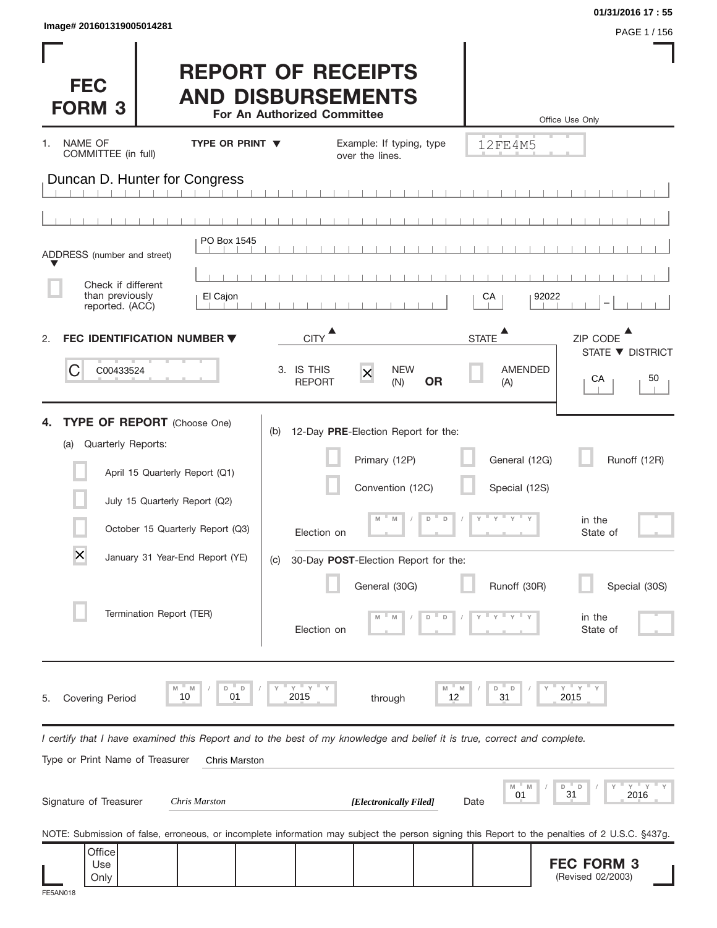| Image# 201601319005014281 |  |  |
|---------------------------|--|--|
|                           |  |  |

| Image# 201601319005014281                                                                                                                      |                                                                                      | 01/31/2016 17:55<br>PAGE 1 / 156                      |
|------------------------------------------------------------------------------------------------------------------------------------------------|--------------------------------------------------------------------------------------|-------------------------------------------------------|
| <b>FEC</b><br><b>FORM 3</b>                                                                                                                    | <b>REPORT OF RECEIPTS</b><br><b>AND DISBURSEMENTS</b><br>For An Authorized Committee | Office Use Only                                       |
| NAME OF<br>TYPE OR PRINT ▼<br>1.<br>COMMITTEE (in full)                                                                                        | Example: If typing, type<br>over the lines.                                          | 12FE4M5                                               |
| Duncan D. Hunter for Congress                                                                                                                  |                                                                                      |                                                       |
|                                                                                                                                                |                                                                                      |                                                       |
| PO Box 1545<br>ADDRESS (number and street)                                                                                                     |                                                                                      |                                                       |
| Check if different<br>than previously<br>El Cajon                                                                                              |                                                                                      | 92022<br>СA                                           |
| reported. (ACC)<br><b>FEC IDENTIFICATION NUMBER ▼</b><br>2.                                                                                    | <b>CITY</b>                                                                          | ▲<br><b>STATE</b><br>ZIP CODE                         |
| С<br>C00433524                                                                                                                                 | 3. IS THIS<br><b>NEW</b><br>$\times$<br><b>OR</b><br><b>REPORT</b><br>(N)            | STATE ▼ DISTRICT<br><b>AMENDED</b><br>CA<br>50<br>(A) |
| <b>TYPE OF REPORT</b> (Choose One)<br>4.<br>Quarterly Reports:<br>(a)                                                                          | 12-Day PRE-Election Report for the:<br>(b)                                           |                                                       |
| April 15 Quarterly Report (Q1)                                                                                                                 | Primary (12P)                                                                        | General (12G)<br>Runoff (12R)                         |
| July 15 Quarterly Report (Q2)                                                                                                                  | Convention (12C)                                                                     | Special (12S)                                         |
| October 15 Quarterly Report (Q3)                                                                                                               | $\Box$<br>D<br>M<br>Election on                                                      | $Y = Y - Y$<br>in the<br>State of                     |
| $\times$<br>January 31 Year-End Report (YE)                                                                                                    | 30-Day POST-Election Report for the:<br>(C)                                          |                                                       |
|                                                                                                                                                | General (30G)                                                                        | Runoff (30R)<br>Special (30S)                         |
| Termination Report (TER)                                                                                                                       | D<br>Election on                                                                     | in the<br>State of                                    |
| D<br>$\mathsf D$<br>M<br>M<br>10<br>01<br><b>Covering Period</b><br>5.                                                                         | "Y<br>Y<br>M<br>M<br>2015<br>12<br>through                                           | " Y<br>Y<br>D<br>D<br>2015<br>31                      |
| I certify that I have examined this Report and to the best of my knowledge and belief it is true, correct and complete.                        |                                                                                      |                                                       |
| Type or Print Name of Treasurer<br>Chris Marston                                                                                               |                                                                                      |                                                       |
| Signature of Treasurer<br><b>Chris Marston</b>                                                                                                 | [Electronically Filed]                                                               | M<br>" M<br>D<br>D<br>31<br>01<br>2016<br>Date        |
| NOTE: Submission of false, erroneous, or incomplete information may subject the person signing this Report to the penalties of 2 U.S.C. §437g. |                                                                                      |                                                       |

| Office |  |  |  |                   |  |
|--------|--|--|--|-------------------|--|
| Use    |  |  |  | <b>FEC FORM 3</b> |  |
| Only   |  |  |  | (Revised 02/2003) |  |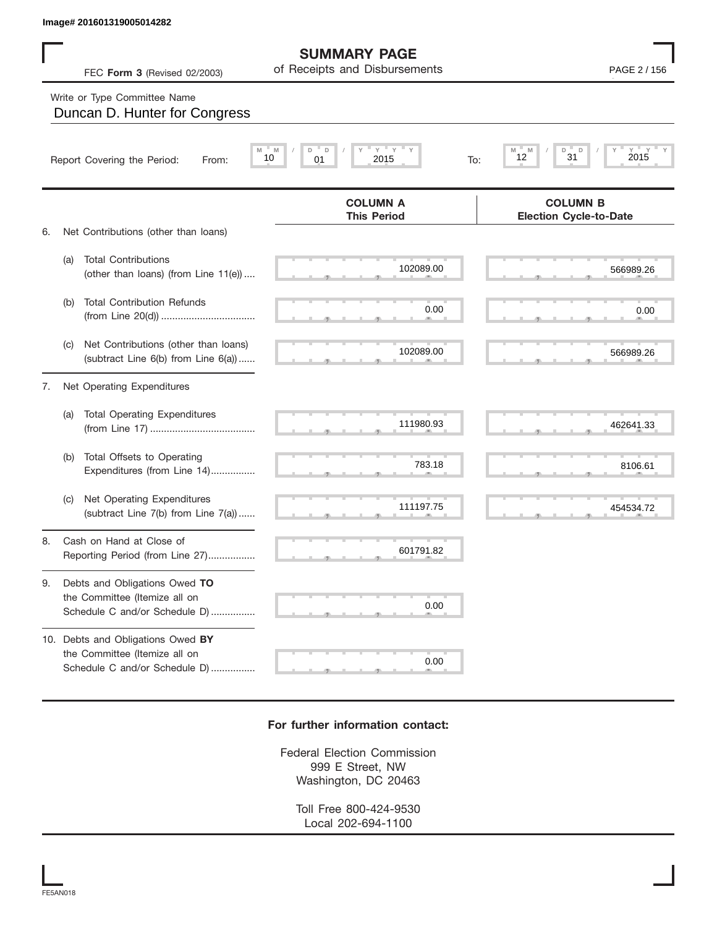## Write or Type Committee Name

|    |     | Image# 201601319005014282                                                                           |                                                               |                                                                                |
|----|-----|-----------------------------------------------------------------------------------------------------|---------------------------------------------------------------|--------------------------------------------------------------------------------|
|    |     | FEC Form 3 (Revised 02/2003)                                                                        | <b>SUMMARY PAGE</b><br>of Receipts and Disbursements          | PAGE 2 / 156                                                                   |
|    |     | Write or Type Committee Name<br>Duncan D. Hunter for Congress                                       |                                                               |                                                                                |
|    |     | Report Covering the Period:<br>From:                                                                | $Y =$<br>$Y =$<br>M<br>D<br>D<br>Y<br>10<br>01<br>2015<br>To: | $Y$ <sup><math>=</math></sup><br>$Y =$<br>D<br>D<br>M<br>M<br>31<br>2015<br>12 |
| 6. |     | Net Contributions (other than loans)                                                                | <b>COLUMN A</b><br><b>This Period</b>                         | <b>COLUMN B</b><br><b>Election Cycle-to-Date</b>                               |
|    | (a) | <b>Total Contributions</b><br>(other than loans) (from Line 11(e))                                  | 102089.00                                                     | 566989.26                                                                      |
|    | (b) | <b>Total Contribution Refunds</b>                                                                   | 0.00                                                          | 0.00                                                                           |
|    | (C) | Net Contributions (other than loans)<br>(subtract Line 6(b) from Line 6(a))                         | 102089.00                                                     | 566989.26                                                                      |
| 7. |     | Net Operating Expenditures                                                                          |                                                               |                                                                                |
|    | (a) | <b>Total Operating Expenditures</b>                                                                 | 111980.93                                                     | 462641.33                                                                      |
|    | (b) | Total Offsets to Operating<br>Expenditures (from Line 14)                                           | 783.18                                                        | 8106.61                                                                        |
|    | (C) | Net Operating Expenditures<br>(subtract Line 7(b) from Line 7(a))                                   | 111197.75                                                     | 454534.72                                                                      |
| 8  |     | Cash on Hand at Close of<br>Reporting Period (from Line 27)                                         | 601791.82                                                     |                                                                                |
| 9. |     | Debts and Obligations Owed TO<br>the Committee (Itemize all on<br>Schedule C and/or Schedule D)     | 0.00                                                          |                                                                                |
|    |     | 10. Debts and Obligations Owed BY<br>the Committee (Itemize all on<br>Schedule C and/or Schedule D) | 0.00                                                          |                                                                                |

## **For further information contact:**

Federal Election Commission 999 E Street, NW Washington, DC 20463

> Toll Free 800-424-9530 Local 202-694-1100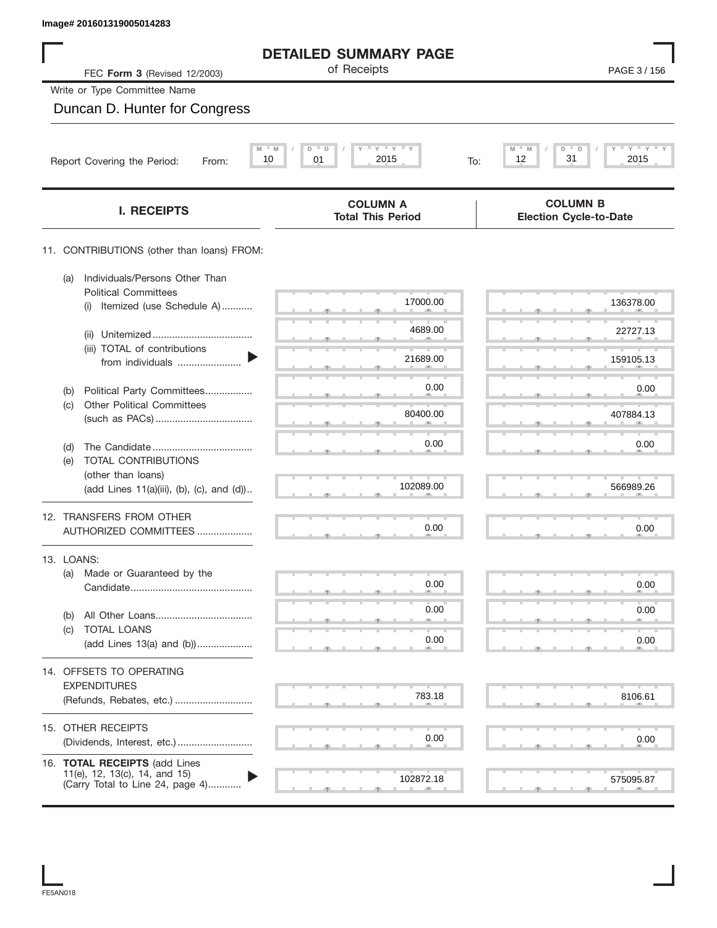| Image# 201601319005014283                                                                          |                                                     |                                                  |
|----------------------------------------------------------------------------------------------------|-----------------------------------------------------|--------------------------------------------------|
|                                                                                                    | <b>DETAILED SUMMARY PAGE</b>                        |                                                  |
| FEC Form 3 (Revised 12/2003)                                                                       | of Receipts                                         | PAGE 3 / 156                                     |
| Write or Type Committee Name                                                                       |                                                     |                                                  |
| Duncan D. Hunter for Congress                                                                      |                                                     |                                                  |
| M<br>10<br>Report Covering the Period:<br>From:                                                    | $Y$ $Y$ $Y$ $Y$<br>M<br>D<br>D<br>01<br>2015<br>To: | $Y = Y$<br>M<br>D<br>2015<br>12<br>31            |
|                                                                                                    |                                                     |                                                  |
| <b>I. RECEIPTS</b>                                                                                 | <b>COLUMN A</b><br><b>Total This Period</b>         | <b>COLUMN B</b><br><b>Election Cycle-to-Date</b> |
| 11. CONTRIBUTIONS (other than loans) FROM:                                                         |                                                     |                                                  |
| Individuals/Persons Other Than<br>(a)<br><b>Political Committees</b>                               |                                                     |                                                  |
| Itemized (use Schedule A)<br>(i)                                                                   | 17000.00                                            | 136378.00                                        |
| (ii)                                                                                               | 4689.00                                             | 22727.13                                         |
| (iii) TOTAL of contributions<br>from individuals                                                   | 21689.00                                            | 159105.13                                        |
| Political Party Committees<br>(b)                                                                  | 0.00                                                | 0.00                                             |
| <b>Other Political Committees</b><br>(c)                                                           | 80400.00                                            | 407884.13                                        |
| (d)                                                                                                | 0.00                                                | 0.00                                             |
| TOTAL CONTRIBUTIONS<br>(e)<br>(other than loans)                                                   |                                                     |                                                  |
| (add Lines 11(a)(iii), (b), (c), and (d))                                                          | 102089.00                                           | 566989.26                                        |
| 12. TRANSFERS FROM OTHER                                                                           | 0.00                                                | 0.00                                             |
| AUTHORIZED COMMITTEES                                                                              |                                                     |                                                  |
| 13. LOANS:<br>Made or Guaranteed by the<br>(a)                                                     |                                                     |                                                  |
|                                                                                                    | 0.00                                                | 0.00                                             |
| (b)                                                                                                | 0.00                                                | 0.00                                             |
| <b>TOTAL LOANS</b><br>(c)<br>(add Lines 13(a) and (b))                                             | 0.00                                                | 0.00                                             |
| 14. OFFSETS TO OPERATING                                                                           |                                                     |                                                  |
| <b>EXPENDITURES</b>                                                                                | 783.18                                              |                                                  |
| (Refunds, Rebates, etc.)                                                                           |                                                     | 8106.61                                          |
| 15. OTHER RECEIPTS<br>(Dividends, Interest, etc.)                                                  | 0.00                                                | 0.00                                             |
|                                                                                                    |                                                     |                                                  |
| 16. TOTAL RECEIPTS (add Lines<br>11(e), 12, 13(c), 14, and 15)<br>(Carry Total to Line 24, page 4) | 102872.18                                           | 575095.87                                        |
|                                                                                                    |                                                     |                                                  |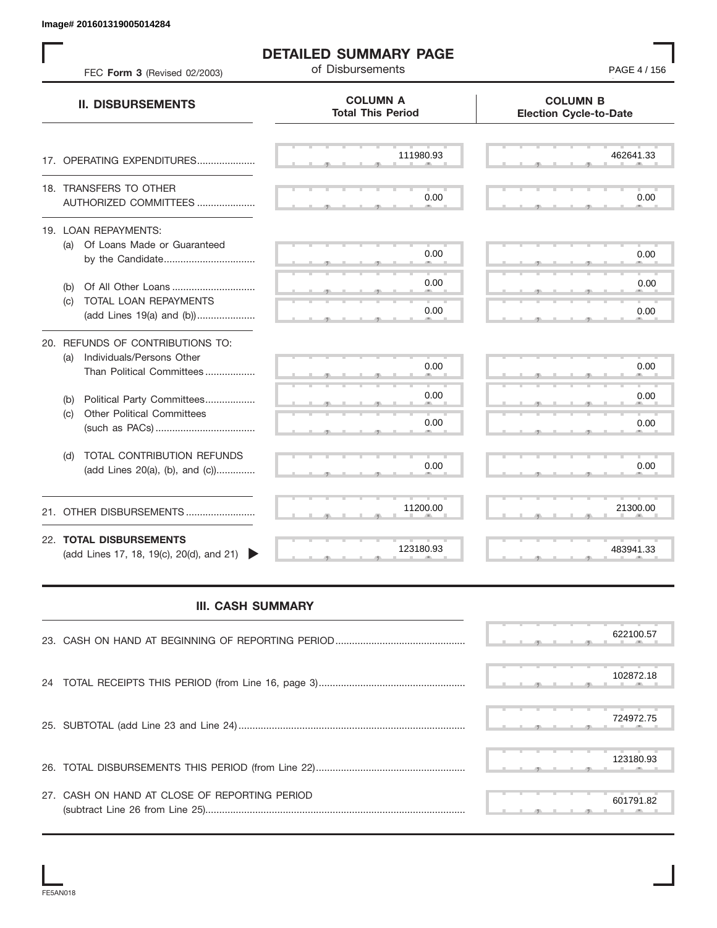| FEC Form 3 (Revised 02/2003)                                                                      | <b>DETAILED SUMMARY PAGE</b><br>of Disbursements | PAGE 4 / 156                                     |
|---------------------------------------------------------------------------------------------------|--------------------------------------------------|--------------------------------------------------|
| <b>II. DISBURSEMENTS</b>                                                                          | <b>COLUMN A</b><br><b>Total This Period</b>      | <b>COLUMN B</b><br><b>Election Cycle-to-Date</b> |
| 17. OPERATING EXPENDITURES                                                                        | 111980.93                                        | 462641.33                                        |
| 18. TRANSFERS TO OTHER<br>AUTHORIZED COMMITTEES                                                   | 0.00                                             | 0.00                                             |
| 19. LOAN REPAYMENTS:<br>(a) Of Loans Made or Guaranteed<br>by the Candidate                       | 0.00                                             | 0.00                                             |
| Of All Other Loans<br>(b)                                                                         | 0.00                                             | 0.00                                             |
| TOTAL LOAN REPAYMENTS<br>(C)<br>(add Lines 19(a) and (b))                                         | 0.00                                             | 0.00                                             |
| 20. REFUNDS OF CONTRIBUTIONS TO:<br>Individuals/Persons Other<br>(a)<br>Than Political Committees | 0.00                                             | 0.00                                             |
| Political Party Committees<br>(b)                                                                 | 0.00                                             | 0.00                                             |
| <b>Other Political Committees</b><br>(c)                                                          | 0.00                                             | 0.00                                             |
| TOTAL CONTRIBUTION REFUNDS<br>(d)<br>(add Lines 20(a), (b), and (c))                              | 0.00                                             | 0.00                                             |
| 21. OTHER DISBURSEMENTS                                                                           | 11200.00                                         | 21300.00                                         |
| 22. TOTAL DISBURSEMENTS<br>(add Lines 17, 18, 19(c), 20(d), and 21)                               | 123180.93                                        | 483941.33                                        |
| <b>III. CASH SUMMARY</b>                                                                          |                                                  |                                                  |
|                                                                                                   |                                                  | 622100.57                                        |
| 24                                                                                                |                                                  | 102872.18                                        |
|                                                                                                   |                                                  | 724972.75                                        |
|                                                                                                   |                                                  | 123180.93                                        |
| 27. CASH ON HAND AT CLOSE OF REPORTING PERIOD                                                     |                                                  | 601791.82                                        |

## **III. CASH SUMMARY**

|                                               | 622100.57 |
|-----------------------------------------------|-----------|
|                                               | 102872.18 |
|                                               | 724972.75 |
|                                               | 123180.93 |
| 27. CASH ON HAND AT CLOSE OF REPORTING PERIOD | 601791.82 |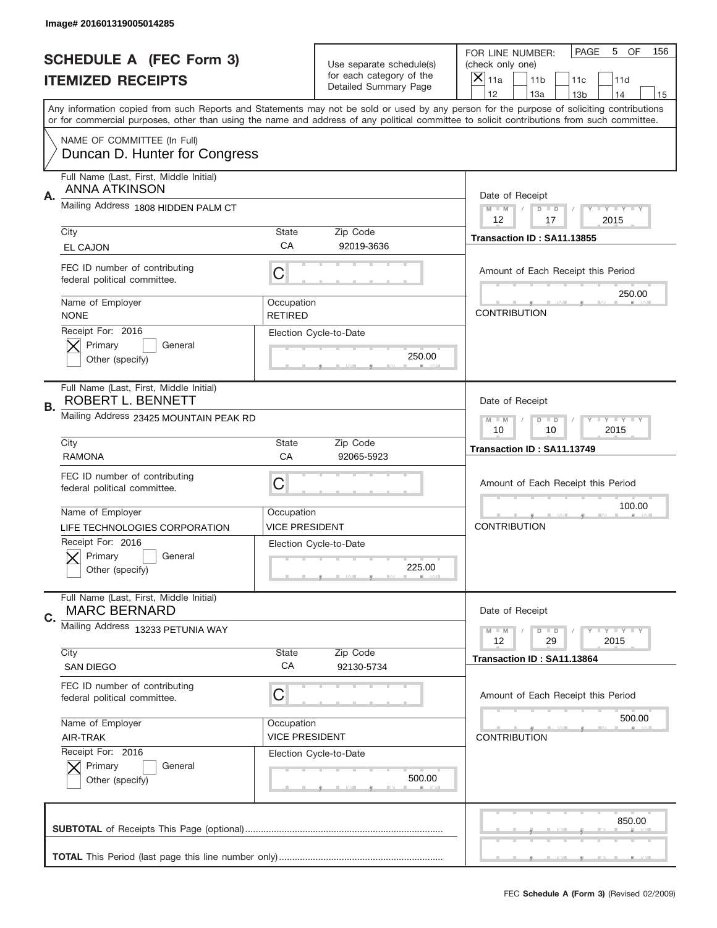|           | Image# 201601319005014285                                       |                              |                                                   |                                                                                                                                                                                                                                                                                                                                     |
|-----------|-----------------------------------------------------------------|------------------------------|---------------------------------------------------|-------------------------------------------------------------------------------------------------------------------------------------------------------------------------------------------------------------------------------------------------------------------------------------------------------------------------------------|
|           | <b>SCHEDULE A (FEC Form 3)</b>                                  |                              | Use separate schedule(s)                          | PAGE<br>OF<br>5<br>156<br>FOR LINE NUMBER:<br>(check only one)                                                                                                                                                                                                                                                                      |
|           | <b>ITEMIZED RECEIPTS</b>                                        |                              | for each category of the<br>Detailed Summary Page | ×<br>11a<br>11 <sub>b</sub><br>11c<br>11d                                                                                                                                                                                                                                                                                           |
|           |                                                                 |                              |                                                   | 12<br>13a<br>14<br>13 <sub>b</sub><br>15<br>Any information copied from such Reports and Statements may not be sold or used by any person for the purpose of soliciting contributions<br>or for commercial purposes, other than using the name and address of any political committee to solicit contributions from such committee. |
|           | NAME OF COMMITTEE (In Full)<br>Duncan D. Hunter for Congress    |                              |                                                   |                                                                                                                                                                                                                                                                                                                                     |
| Α.        | Full Name (Last, First, Middle Initial)<br><b>ANNA ATKINSON</b> |                              |                                                   | Date of Receipt                                                                                                                                                                                                                                                                                                                     |
|           | Mailing Address 1808 HIDDEN PALM CT                             |                              |                                                   | $M$ M<br><b>LYLYLY</b><br>$D$ $D$<br>12<br>2015<br>17                                                                                                                                                                                                                                                                               |
|           | City<br><b>EL CAJON</b>                                         | State<br>CA                  | Zip Code<br>92019-3636                            | Transaction ID: SA11.13855                                                                                                                                                                                                                                                                                                          |
|           | FEC ID number of contributing<br>federal political committee.   | C                            |                                                   | Amount of Each Receipt this Period                                                                                                                                                                                                                                                                                                  |
|           | Name of Employer<br><b>NONE</b>                                 | Occupation<br><b>RETIRED</b> |                                                   | 250.00<br><b>CONTRIBUTION</b>                                                                                                                                                                                                                                                                                                       |
|           | Receipt For: 2016<br>Primary<br>General<br>Other (specify)      |                              | Election Cycle-to-Date<br>250.00                  |                                                                                                                                                                                                                                                                                                                                     |
| <b>B.</b> | Full Name (Last, First, Middle Initial)<br>ROBERT L. BENNETT    |                              |                                                   | Date of Receipt                                                                                                                                                                                                                                                                                                                     |
|           | Mailing Address 23425 MOUNTAIN PEAK RD                          |                              |                                                   | $M - M$<br>$D$ $D$<br>$T - Y = Y - T Y$<br>10<br>10<br>2015                                                                                                                                                                                                                                                                         |
|           | City<br><b>RAMONA</b>                                           | State<br>CA                  | Zip Code<br>92065-5923                            | Transaction ID: SA11.13749                                                                                                                                                                                                                                                                                                          |
|           | FEC ID number of contributing                                   |                              |                                                   |                                                                                                                                                                                                                                                                                                                                     |
|           | federal political committee.                                    | C                            |                                                   | Amount of Each Receipt this Period                                                                                                                                                                                                                                                                                                  |
|           | Name of Employer                                                | Occupation                   |                                                   | 100.00                                                                                                                                                                                                                                                                                                                              |
|           | LIFE TECHNOLOGIES CORPORATION                                   | <b>VICE PRESIDENT</b>        |                                                   | <b>CONTRIBUTION</b>                                                                                                                                                                                                                                                                                                                 |
|           | Receipt For: 2016<br>Primary<br>General<br>Other (specify)      |                              | Election Cycle-to-Date<br>225.00                  |                                                                                                                                                                                                                                                                                                                                     |
| C.        | Full Name (Last, First, Middle Initial)<br><b>MARC BERNARD</b>  |                              |                                                   | Date of Receipt                                                                                                                                                                                                                                                                                                                     |
|           | Mailing Address 13233 PETUNIA WAY                               |                              |                                                   | <b>LY LY LY</b><br>$M - M$<br>$D$ $D$<br>12<br>2015<br>29                                                                                                                                                                                                                                                                           |
|           | City<br><b>SAN DIEGO</b>                                        | State<br>CA                  | Zip Code<br>92130-5734                            | Transaction ID: SA11.13864                                                                                                                                                                                                                                                                                                          |
|           | FEC ID number of contributing<br>federal political committee.   | С                            |                                                   | Amount of Each Receipt this Period                                                                                                                                                                                                                                                                                                  |
|           | Name of Employer                                                | Occupation                   |                                                   | 500.00                                                                                                                                                                                                                                                                                                                              |
|           | AIR-TRAK                                                        | <b>VICE PRESIDENT</b>        |                                                   | <b>CONTRIBUTION</b>                                                                                                                                                                                                                                                                                                                 |
|           | Receipt For: 2016<br>Primary<br>General<br>Other (specify)      |                              | Election Cycle-to-Date<br>500.00                  |                                                                                                                                                                                                                                                                                                                                     |
|           |                                                                 |                              |                                                   | 850.00                                                                                                                                                                                                                                                                                                                              |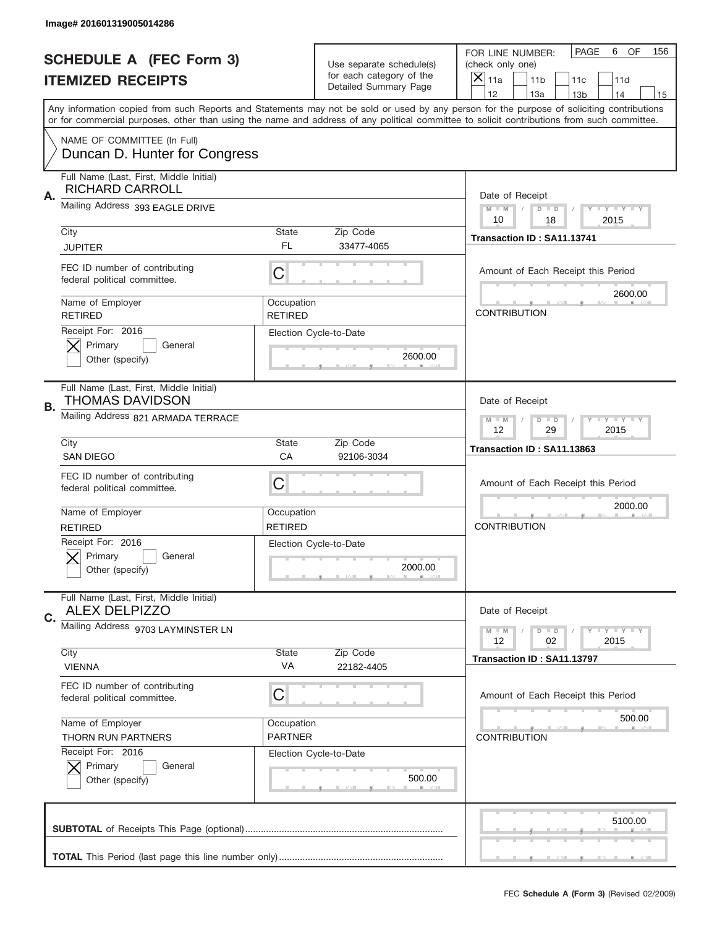|    | Image# 201601319005014286                                                               |                              |                                                   |                                                                                                                                                                                                                                                                                                                                     |
|----|-----------------------------------------------------------------------------------------|------------------------------|---------------------------------------------------|-------------------------------------------------------------------------------------------------------------------------------------------------------------------------------------------------------------------------------------------------------------------------------------------------------------------------------------|
|    | <b>SCHEDULE A (FEC Form 3)</b>                                                          |                              | Use separate schedule(s)                          | PAGE<br>OF<br>6<br>156<br>FOR LINE NUMBER:<br>(check only one)                                                                                                                                                                                                                                                                      |
|    | <b>ITEMIZED RECEIPTS</b>                                                                |                              | for each category of the<br>Detailed Summary Page | ×<br>11a<br>11 <sub>b</sub><br>11c<br>11d                                                                                                                                                                                                                                                                                           |
|    |                                                                                         |                              |                                                   | 12<br>13a<br>14<br>13 <sub>b</sub><br>15<br>Any information copied from such Reports and Statements may not be sold or used by any person for the purpose of soliciting contributions<br>or for commercial purposes, other than using the name and address of any political committee to solicit contributions from such committee. |
|    | NAME OF COMMITTEE (In Full)<br>Duncan D. Hunter for Congress                            |                              |                                                   |                                                                                                                                                                                                                                                                                                                                     |
| Α. | Full Name (Last, First, Middle Initial)<br><b>RICHARD CARROLL</b>                       |                              |                                                   | Date of Receipt                                                                                                                                                                                                                                                                                                                     |
|    | Mailing Address 393 EAGLE DRIVE                                                         |                              |                                                   | $M - M$<br><b>LYLYLY</b><br>$D$ $D$<br>10<br>2015<br>18                                                                                                                                                                                                                                                                             |
|    | City<br><b>JUPITER</b>                                                                  | State<br>FL.                 | Zip Code<br>33477-4065                            | Transaction ID: SA11.13741                                                                                                                                                                                                                                                                                                          |
|    | FEC ID number of contributing<br>federal political committee.                           | C                            |                                                   | Amount of Each Receipt this Period                                                                                                                                                                                                                                                                                                  |
|    | Name of Employer<br><b>RETIRED</b>                                                      | Occupation<br><b>RETIRED</b> |                                                   | 2600.00<br><b>CONTRIBUTION</b>                                                                                                                                                                                                                                                                                                      |
|    | Receipt For: 2016<br>Primary<br>General<br>Other (specify)                              |                              | Election Cycle-to-Date<br>2600.00                 |                                                                                                                                                                                                                                                                                                                                     |
| В. | Full Name (Last, First, Middle Initial)<br>THOMAS DAVIDSON                              |                              |                                                   | Date of Receipt                                                                                                                                                                                                                                                                                                                     |
|    | Mailing Address 821 ARMADA TERRACE                                                      |                              |                                                   | $M - M$<br>$D$ $D$<br><b>LYLYLY</b><br>12<br>29<br>2015                                                                                                                                                                                                                                                                             |
|    | City<br><b>SAN DIEGO</b>                                                                | State<br>CA                  | Zip Code<br>92106-3034                            | Transaction ID: SA11.13863                                                                                                                                                                                                                                                                                                          |
|    | FEC ID number of contributing<br>federal political committee.                           | C                            |                                                   | Amount of Each Receipt this Period                                                                                                                                                                                                                                                                                                  |
|    | Name of Employer                                                                        | Occupation                   |                                                   | 2000.00                                                                                                                                                                                                                                                                                                                             |
|    | <b>RETIRED</b><br>Receipt For: 2016<br>Primary<br>General<br>Other (specify)            | <b>RETIRED</b>               | Election Cycle-to-Date<br>2000.00                 | <b>CONTRIBUTION</b>                                                                                                                                                                                                                                                                                                                 |
| C. | Full Name (Last, First, Middle Initial)<br><b>ALEX DELPIZZO</b>                         |                              |                                                   | Date of Receipt                                                                                                                                                                                                                                                                                                                     |
|    | Mailing Address 9703 LAYMINSTER LN                                                      |                              |                                                   | $D$ $D$<br><b>LY LY LY</b><br>$M - M$<br>12<br>2015<br>02                                                                                                                                                                                                                                                                           |
|    | City<br><b>VIENNA</b>                                                                   | State<br>VA                  | Zip Code<br>22182-4405                            | Transaction ID: SA11.13797                                                                                                                                                                                                                                                                                                          |
|    | FEC ID number of contributing<br>federal political committee.                           | С                            |                                                   | Amount of Each Receipt this Period                                                                                                                                                                                                                                                                                                  |
|    | Name of Employer                                                                        | Occupation<br><b>PARTNER</b> |                                                   | 500.00                                                                                                                                                                                                                                                                                                                              |
|    | <b>THORN RUN PARTNERS</b><br>Receipt For: 2016<br>Primary<br>General<br>Other (specify) |                              | Election Cycle-to-Date<br>500.00                  | <b>CONTRIBUTION</b>                                                                                                                                                                                                                                                                                                                 |
|    |                                                                                         |                              |                                                   | 5100.00<br>_                                                                                                                                                                                                                                                                                                                        |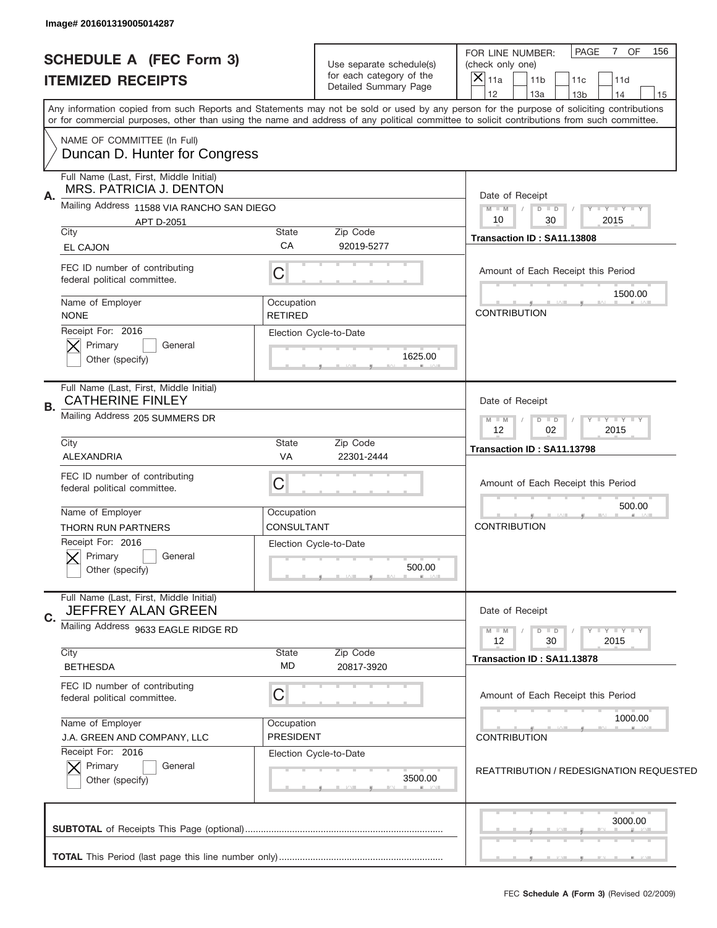| Image# 201601319005014287                                                               |                                |                                                                               |                                                                                                                                                                                                                                                                                         |
|-----------------------------------------------------------------------------------------|--------------------------------|-------------------------------------------------------------------------------|-----------------------------------------------------------------------------------------------------------------------------------------------------------------------------------------------------------------------------------------------------------------------------------------|
| <b>SCHEDULE A (FEC Form 3)</b><br><b>ITEMIZED RECEIPTS</b>                              |                                | Use separate schedule(s)<br>for each category of the<br>Detailed Summary Page | 7 OF<br>PAGE<br>156<br>FOR LINE NUMBER:<br>(check only one)<br>$\left  \times \right $<br>11a<br>11 <sub>b</sub><br>11c<br>11d                                                                                                                                                          |
|                                                                                         |                                |                                                                               | 12<br>13a<br>14<br>13 <sub>b</sub><br>15                                                                                                                                                                                                                                                |
|                                                                                         |                                |                                                                               | Any information copied from such Reports and Statements may not be sold or used by any person for the purpose of soliciting contributions<br>or for commercial purposes, other than using the name and address of any political committee to solicit contributions from such committee. |
| NAME OF COMMITTEE (In Full)<br>Duncan D. Hunter for Congress                            |                                |                                                                               |                                                                                                                                                                                                                                                                                         |
| Full Name (Last, First, Middle Initial)<br>MRS. PATRICIA J. DENTON                      |                                |                                                                               | Date of Receipt                                                                                                                                                                                                                                                                         |
| Α.<br>Mailing Address 11588 VIA RANCHO SAN DIEGO<br>APT D-2051                          |                                |                                                                               | $M - M$<br><b>LYLYLY</b><br>$D$ $D$<br>10<br>30<br>2015                                                                                                                                                                                                                                 |
| City<br>EL CAJON                                                                        | State<br>CA                    | Zip Code<br>92019-5277                                                        | Transaction ID: SA11.13808                                                                                                                                                                                                                                                              |
| FEC ID number of contributing<br>federal political committee.                           | C                              |                                                                               | Amount of Each Receipt this Period                                                                                                                                                                                                                                                      |
| Name of Employer<br><b>NONE</b>                                                         | Occupation<br>RETIRED          |                                                                               | 1500.00<br><b>CONTRIBUTION</b>                                                                                                                                                                                                                                                          |
| Receipt For: 2016<br>Primary<br>General<br>Other (specify)                              |                                | Election Cycle-to-Date<br>1625.00                                             |                                                                                                                                                                                                                                                                                         |
| Full Name (Last, First, Middle Initial)<br><b>CATHERINE FINLEY</b><br>В.                |                                |                                                                               | Date of Receipt                                                                                                                                                                                                                                                                         |
| Mailing Address 205 SUMMERS DR                                                          |                                |                                                                               | <b>TAYLY TAY</b><br>$M - M$<br>$D$ $D$<br>02<br>2015<br>12                                                                                                                                                                                                                              |
| City<br>ALEXANDRIA                                                                      | State<br><b>VA</b>             | Zip Code<br>22301-2444                                                        | Transaction ID: SA11.13798                                                                                                                                                                                                                                                              |
| FEC ID number of contributing<br>federal political committee.                           | C                              |                                                                               | Amount of Each Receipt this Period                                                                                                                                                                                                                                                      |
| Name of Employer                                                                        | Occupation                     |                                                                               | 500.00                                                                                                                                                                                                                                                                                  |
| <b>THORN RUN PARTNERS</b><br>Receipt For: 2016<br>Primary<br>General<br>Other (specify) | CONSULTANT                     | Election Cycle-to-Date<br>500.00                                              | <b>CONTRIBUTION</b>                                                                                                                                                                                                                                                                     |
| Full Name (Last, First, Middle Initial)<br>JEFFREY ALAN GREEN<br>C.                     |                                |                                                                               | Date of Receipt                                                                                                                                                                                                                                                                         |
| Mailing Address 9633 EAGLE RIDGE RD                                                     |                                |                                                                               | <b>LYLYLY</b><br>$M - M$<br>$D$ $D$<br>30<br>2015<br>12                                                                                                                                                                                                                                 |
| City<br><b>BETHESDA</b>                                                                 | State<br>MD                    | Zip Code<br>20817-3920                                                        | Transaction ID: SA11.13878                                                                                                                                                                                                                                                              |
| FEC ID number of contributing<br>federal political committee.                           | C                              |                                                                               | Amount of Each Receipt this Period                                                                                                                                                                                                                                                      |
| Name of Employer<br>J.A. GREEN AND COMPANY, LLC                                         | Occupation<br><b>PRESIDENT</b> |                                                                               | 1000.00<br><b>CONTRIBUTION</b>                                                                                                                                                                                                                                                          |
| Receipt For: 2016<br>Primary<br>General<br>Other (specify)                              |                                | Election Cycle-to-Date<br>3500.00                                             | REATTRIBUTION / REDESIGNATION REQUESTED                                                                                                                                                                                                                                                 |
|                                                                                         |                                |                                                                               | 3000.00                                                                                                                                                                                                                                                                                 |
|                                                                                         |                                |                                                                               |                                                                                                                                                                                                                                                                                         |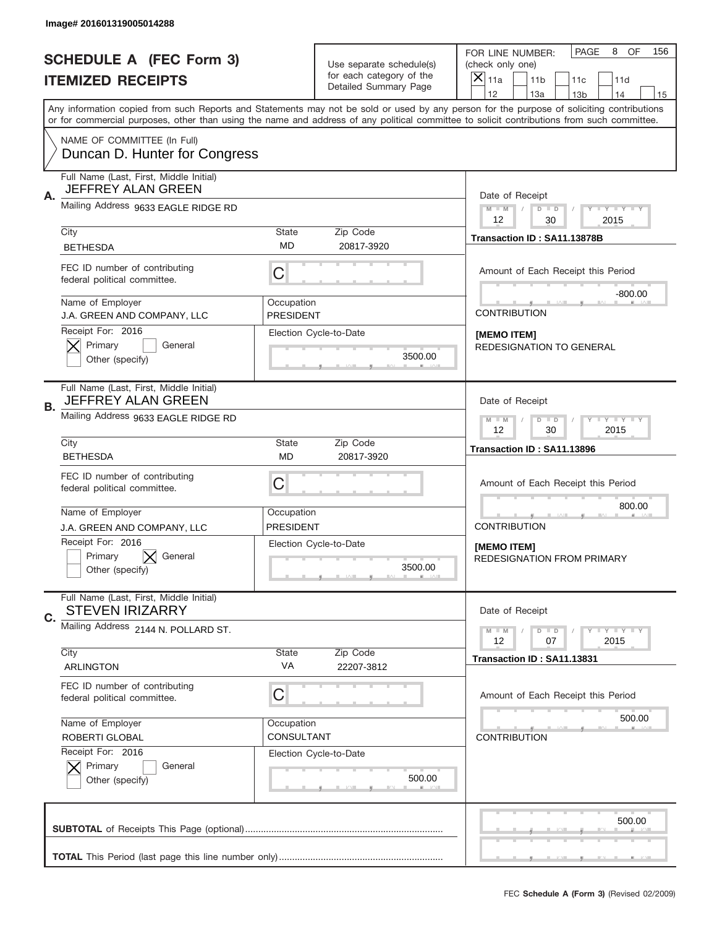|    | Image# 201601319005014288                                                                            |                                |                                                   |                                                                                                                                                                                                                                                                                                                                     |
|----|------------------------------------------------------------------------------------------------------|--------------------------------|---------------------------------------------------|-------------------------------------------------------------------------------------------------------------------------------------------------------------------------------------------------------------------------------------------------------------------------------------------------------------------------------------|
|    | <b>SCHEDULE A (FEC Form 3)</b>                                                                       |                                | Use separate schedule(s)                          | PAGE<br>8 OF<br>156<br>FOR LINE NUMBER:<br>(check only one)                                                                                                                                                                                                                                                                         |
|    | <b>ITEMIZED RECEIPTS</b>                                                                             |                                | for each category of the<br>Detailed Summary Page | $\times$<br>11a<br>11 <sub>b</sub><br>11c<br>11d                                                                                                                                                                                                                                                                                    |
|    |                                                                                                      |                                |                                                   | 12<br>13a<br>14<br>13 <sub>b</sub><br>15<br>Any information copied from such Reports and Statements may not be sold or used by any person for the purpose of soliciting contributions<br>or for commercial purposes, other than using the name and address of any political committee to solicit contributions from such committee. |
|    | NAME OF COMMITTEE (In Full)<br>Duncan D. Hunter for Congress                                         |                                |                                                   |                                                                                                                                                                                                                                                                                                                                     |
| Α. | Full Name (Last, First, Middle Initial)<br><b>JEFFREY ALAN GREEN</b>                                 |                                |                                                   | Date of Receipt                                                                                                                                                                                                                                                                                                                     |
|    | Mailing Address 9633 EAGLE RIDGE RD                                                                  |                                |                                                   | $M - M$<br>$D$ $D$<br>Y FY FY FY<br>12<br>30<br>2015                                                                                                                                                                                                                                                                                |
|    | City<br><b>BETHESDA</b>                                                                              | State<br>MD                    | Zip Code<br>20817-3920                            | Transaction ID: SA11.13878B                                                                                                                                                                                                                                                                                                         |
|    | FEC ID number of contributing<br>federal political committee.                                        | C                              |                                                   | Amount of Each Receipt this Period<br>$-800.00$                                                                                                                                                                                                                                                                                     |
|    | Name of Employer<br>J.A. GREEN AND COMPANY, LLC                                                      | Occupation<br><b>PRESIDENT</b> |                                                   | <b>CONTRIBUTION</b>                                                                                                                                                                                                                                                                                                                 |
|    | Receipt For: 2016<br>Primary<br>General<br>Other (specify)                                           |                                | Election Cycle-to-Date<br>3500.00                 | [MEMO ITEM]<br>REDESIGNATION TO GENERAL                                                                                                                                                                                                                                                                                             |
| В. | Full Name (Last, First, Middle Initial)<br>JEFFREY ALAN GREEN<br>Mailing Address 9633 EAGLE RIDGE RD |                                |                                                   | Date of Receipt<br>$D$ $D$<br>Y I Y I Y I Y<br>$M - M$                                                                                                                                                                                                                                                                              |
|    | City                                                                                                 | <b>State</b>                   | Zip Code                                          | 12<br>30<br>2015                                                                                                                                                                                                                                                                                                                    |
|    | <b>BETHESDA</b>                                                                                      | MD                             | 20817-3920                                        | Transaction ID: SA11.13896                                                                                                                                                                                                                                                                                                          |
|    | FEC ID number of contributing<br>federal political committee.                                        | C                              |                                                   | Amount of Each Receipt this Period                                                                                                                                                                                                                                                                                                  |
|    | Name of Employer                                                                                     | Occupation                     |                                                   | 800.00                                                                                                                                                                                                                                                                                                                              |
|    | J.A. GREEN AND COMPANY, LLC<br>Receipt For: 2016<br>Primary<br>General<br>Other (specify)            | PRESIDENT                      | Election Cycle-to-Date<br>3500.00                 | <b>CONTRIBUTION</b><br>[MEMO ITEM]<br><b>REDESIGNATION FROM PRIMARY</b>                                                                                                                                                                                                                                                             |
| C. | Full Name (Last, First, Middle Initial)<br><b>STEVEN IRIZARRY</b>                                    |                                |                                                   | Date of Receipt                                                                                                                                                                                                                                                                                                                     |
|    | Mailing Address 2144 N. POLLARD ST.                                                                  |                                |                                                   | $D$ $D$<br><b>LY LY LY</b><br>$M - M$<br>2015<br>12<br>07                                                                                                                                                                                                                                                                           |
|    | City<br><b>ARLINGTON</b>                                                                             | State<br>VA                    | Zip Code<br>22207-3812                            | Transaction ID: SA11.13831                                                                                                                                                                                                                                                                                                          |
|    | FEC ID number of contributing<br>federal political committee.                                        | C                              |                                                   | Amount of Each Receipt this Period                                                                                                                                                                                                                                                                                                  |
|    | Name of Employer<br>ROBERTI GLOBAL                                                                   | Occupation<br>CONSULTANT       |                                                   | 500.00<br><b>CONTRIBUTION</b>                                                                                                                                                                                                                                                                                                       |
|    | Receipt For: 2016<br>Primary<br>General<br>Other (specify)                                           |                                | Election Cycle-to-Date<br>500.00                  |                                                                                                                                                                                                                                                                                                                                     |
|    |                                                                                                      |                                |                                                   | 500.00                                                                                                                                                                                                                                                                                                                              |
|    |                                                                                                      |                                |                                                   |                                                                                                                                                                                                                                                                                                                                     |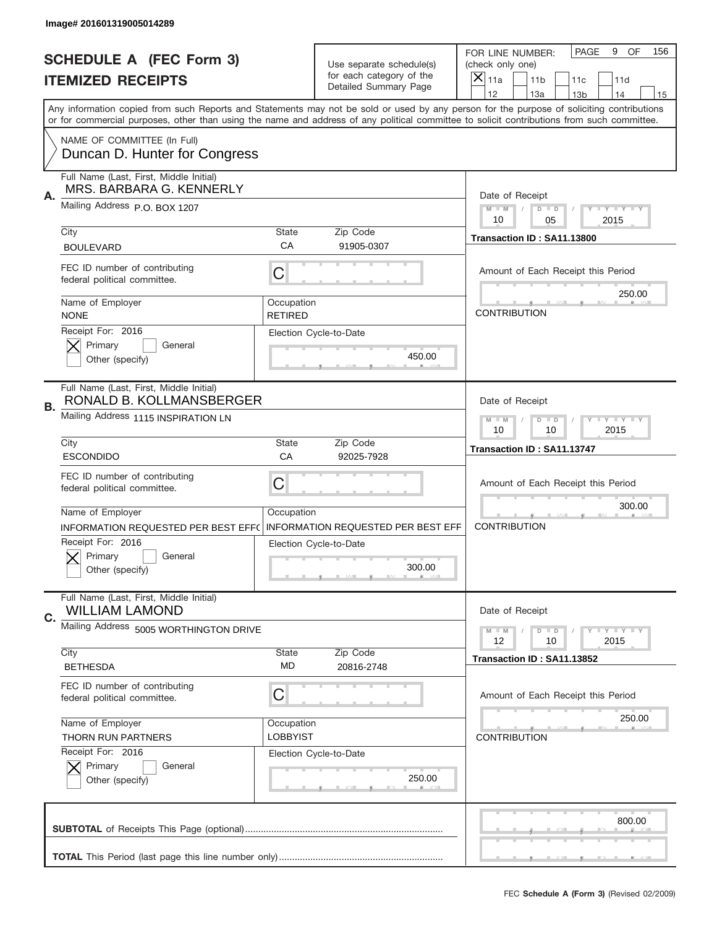|    | Image# 201601319005014289                                                                                                                  |                              |                                                   |                                                                                                                                                                                       |
|----|--------------------------------------------------------------------------------------------------------------------------------------------|------------------------------|---------------------------------------------------|---------------------------------------------------------------------------------------------------------------------------------------------------------------------------------------|
|    | <b>SCHEDULE A (FEC Form 3)</b>                                                                                                             |                              | Use separate schedule(s)                          | PAGE<br>OF<br>9<br>156<br>FOR LINE NUMBER:<br>(check only one)                                                                                                                        |
|    | <b>ITEMIZED RECEIPTS</b>                                                                                                                   |                              | for each category of the<br>Detailed Summary Page | ×<br>11a<br>11 <sub>b</sub><br>11c<br>11d                                                                                                                                             |
|    | or for commercial purposes, other than using the name and address of any political committee to solicit contributions from such committee. |                              |                                                   | 12<br>13a<br>14<br>13 <sub>b</sub><br>15<br>Any information copied from such Reports and Statements may not be sold or used by any person for the purpose of soliciting contributions |
|    | NAME OF COMMITTEE (In Full)<br>Duncan D. Hunter for Congress                                                                               |                              |                                                   |                                                                                                                                                                                       |
|    | Full Name (Last, First, Middle Initial)<br>MRS. BARBARA G. KENNERLY                                                                        |                              |                                                   |                                                                                                                                                                                       |
| Α. | Mailing Address P.O. BOX 1207                                                                                                              |                              |                                                   | Date of Receipt<br>$M - M$<br><b>LEY LEY LEY</b><br>$D$ $D$<br>10<br>2015<br>05                                                                                                       |
|    | City<br><b>BOULEVARD</b>                                                                                                                   | State<br>CA                  | Zip Code<br>91905-0307                            | Transaction ID: SA11.13800                                                                                                                                                            |
|    | FEC ID number of contributing<br>federal political committee.                                                                              | C                            |                                                   | Amount of Each Receipt this Period                                                                                                                                                    |
|    | Name of Employer<br><b>NONE</b>                                                                                                            | Occupation<br><b>RETIRED</b> |                                                   | 250.00<br><b>CONTRIBUTION</b>                                                                                                                                                         |
|    | Receipt For: 2016<br>Primary<br>General<br>Other (specify)                                                                                 |                              | Election Cycle-to-Date<br>450.00                  |                                                                                                                                                                                       |
|    | Full Name (Last, First, Middle Initial)<br>RONALD B. KOLLMANSBERGER                                                                        |                              |                                                   | Date of Receipt                                                                                                                                                                       |
| В. | Mailing Address 1115 INSPIRATION LN                                                                                                        |                              |                                                   | $D$ $D$<br><b>LYLYLY</b><br>$M - M$<br>10<br>10<br>2015                                                                                                                               |
|    | City<br><b>ESCONDIDO</b>                                                                                                                   | State<br>CA                  | Zip Code<br>92025-7928                            | Transaction ID: SA11.13747                                                                                                                                                            |
|    |                                                                                                                                            |                              |                                                   |                                                                                                                                                                                       |
|    | FEC ID number of contributing<br>federal political committee.                                                                              | C                            |                                                   | Amount of Each Receipt this Period                                                                                                                                                    |
|    | Name of Employer                                                                                                                           | Occupation                   |                                                   | 300.00                                                                                                                                                                                |
|    | INFORMATION REQUESTED PER BEST EFF(                                                                                                        |                              | <b>INFORMATION REQUESTED PER BEST EFF</b>         | <b>CONTRIBUTION</b>                                                                                                                                                                   |
|    | Receipt For: 2016<br>Primary<br>General<br>Other (specify)                                                                                 |                              | Election Cycle-to-Date<br>300.00                  |                                                                                                                                                                                       |
| C. | Full Name (Last, First, Middle Initial)<br><b>WILLIAM LAMOND</b>                                                                           |                              |                                                   | Date of Receipt                                                                                                                                                                       |
|    | Mailing Address 5005 WORTHINGTON DRIVE                                                                                                     |                              |                                                   | <b>LY LY LY</b><br>$M - M$<br>$D$ $D$<br>12<br>2015<br>10                                                                                                                             |
|    | City<br><b>BETHESDA</b>                                                                                                                    | State<br>MD                  | Zip Code<br>20816-2748                            | Transaction ID: SA11.13852                                                                                                                                                            |
|    | FEC ID number of contributing<br>federal political committee.                                                                              | С                            |                                                   | Amount of Each Receipt this Period                                                                                                                                                    |
|    | Name of Employer                                                                                                                           | Occupation                   |                                                   | 250.00                                                                                                                                                                                |
|    | <b>THORN RUN PARTNERS</b>                                                                                                                  | <b>LOBBYIST</b>              |                                                   | <b>CONTRIBUTION</b>                                                                                                                                                                   |
|    | Receipt For: 2016<br>Primary<br>General<br>Other (specify)                                                                                 |                              | Election Cycle-to-Date<br>250.00                  |                                                                                                                                                                                       |
|    |                                                                                                                                            |                              |                                                   | 800.00                                                                                                                                                                                |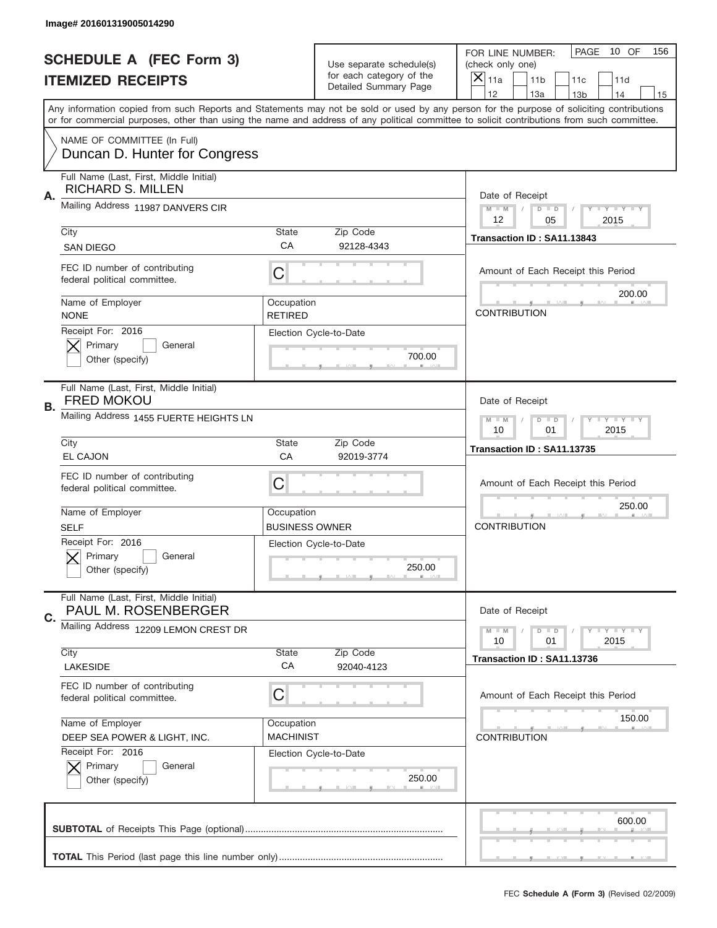|    | Image# 201601319005014290                                           |                                     |                                                          |                                                                                                                                                                                                                                                                                                                                     |
|----|---------------------------------------------------------------------|-------------------------------------|----------------------------------------------------------|-------------------------------------------------------------------------------------------------------------------------------------------------------------------------------------------------------------------------------------------------------------------------------------------------------------------------------------|
|    | <b>SCHEDULE A (FEC Form 3)</b>                                      |                                     | Use separate schedule(s)                                 | PAGE<br>10 OF<br>156<br>FOR LINE NUMBER:<br>(check only one)                                                                                                                                                                                                                                                                        |
|    | <b>ITEMIZED RECEIPTS</b>                                            |                                     | for each category of the<br><b>Detailed Summary Page</b> | ×<br>11a<br>11 <sub>b</sub><br>11c<br>11d                                                                                                                                                                                                                                                                                           |
|    |                                                                     |                                     |                                                          | 12<br>13a<br>14<br>13 <sub>b</sub><br>15<br>Any information copied from such Reports and Statements may not be sold or used by any person for the purpose of soliciting contributions<br>or for commercial purposes, other than using the name and address of any political committee to solicit contributions from such committee. |
|    | NAME OF COMMITTEE (In Full)<br>Duncan D. Hunter for Congress        |                                     |                                                          |                                                                                                                                                                                                                                                                                                                                     |
| Α. | Full Name (Last, First, Middle Initial)<br><b>RICHARD S. MILLEN</b> |                                     |                                                          | Date of Receipt                                                                                                                                                                                                                                                                                                                     |
|    | Mailing Address 11987 DANVERS CIR                                   |                                     |                                                          | $M$ M<br><b>LYLYLY</b><br>$D$ $D$<br>12<br>2015<br>05                                                                                                                                                                                                                                                                               |
|    | City<br><b>SAN DIEGO</b>                                            | State<br>CA                         | Zip Code<br>92128-4343                                   | Transaction ID: SA11.13843                                                                                                                                                                                                                                                                                                          |
|    | FEC ID number of contributing<br>federal political committee.       | C                                   |                                                          | Amount of Each Receipt this Period<br>200.00                                                                                                                                                                                                                                                                                        |
|    | Name of Employer<br><b>NONE</b>                                     | Occupation<br><b>RETIRED</b>        |                                                          | <b>CONTRIBUTION</b>                                                                                                                                                                                                                                                                                                                 |
|    | Receipt For: 2016<br>Primary<br>General<br>Other (specify)          |                                     | Election Cycle-to-Date<br>700.00                         |                                                                                                                                                                                                                                                                                                                                     |
| В. | Full Name (Last, First, Middle Initial)<br><b>FRED MOKOU</b>        |                                     |                                                          | Date of Receipt                                                                                                                                                                                                                                                                                                                     |
|    | Mailing Address 1455 FUERTE HEIGHTS LN                              |                                     |                                                          | $M - M$<br>$D$ $D$<br><b>LYLYLY</b><br>10<br>01<br>2015                                                                                                                                                                                                                                                                             |
|    | City<br><b>EL CAJON</b>                                             | State<br>CA                         | Zip Code<br>92019-3774                                   | Transaction ID: SA11.13735                                                                                                                                                                                                                                                                                                          |
|    | FEC ID number of contributing<br>federal political committee.       | C                                   |                                                          | Amount of Each Receipt this Period                                                                                                                                                                                                                                                                                                  |
|    | Name of Employer<br><b>SELF</b>                                     | Occupation<br><b>BUSINESS OWNER</b> |                                                          | 250.00<br><b>CONTRIBUTION</b>                                                                                                                                                                                                                                                                                                       |
|    | Receipt For: 2016<br>General<br>Primary<br>Other (specify)          |                                     | Election Cycle-to-Date<br>250.00                         |                                                                                                                                                                                                                                                                                                                                     |
| C. | Full Name (Last, First, Middle Initial)<br>PAUL M. ROSENBERGER      |                                     |                                                          | Date of Receipt                                                                                                                                                                                                                                                                                                                     |
|    | Mailing Address 12209 LEMON CREST DR                                |                                     |                                                          | <b>LYLYLY</b><br>$M - M$<br>$D$ $D$<br>2015<br>10<br>01                                                                                                                                                                                                                                                                             |
|    | City<br><b>LAKESIDE</b>                                             | State<br>CA                         | Zip Code<br>92040-4123                                   | Transaction ID: SA11.13736                                                                                                                                                                                                                                                                                                          |
|    | FEC ID number of contributing<br>federal political committee.       | C                                   |                                                          | Amount of Each Receipt this Period                                                                                                                                                                                                                                                                                                  |
|    | Name of Employer<br>DEEP SEA POWER & LIGHT, INC.                    | Occupation<br><b>MACHINIST</b>      |                                                          | 150.00<br><b>CONTRIBUTION</b>                                                                                                                                                                                                                                                                                                       |
|    | Receipt For: 2016<br>Primary<br>General<br>Other (specify)          |                                     | Election Cycle-to-Date<br>250.00                         |                                                                                                                                                                                                                                                                                                                                     |
|    |                                                                     |                                     |                                                          | 600.00                                                                                                                                                                                                                                                                                                                              |
|    |                                                                     |                                     |                                                          |                                                                                                                                                                                                                                                                                                                                     |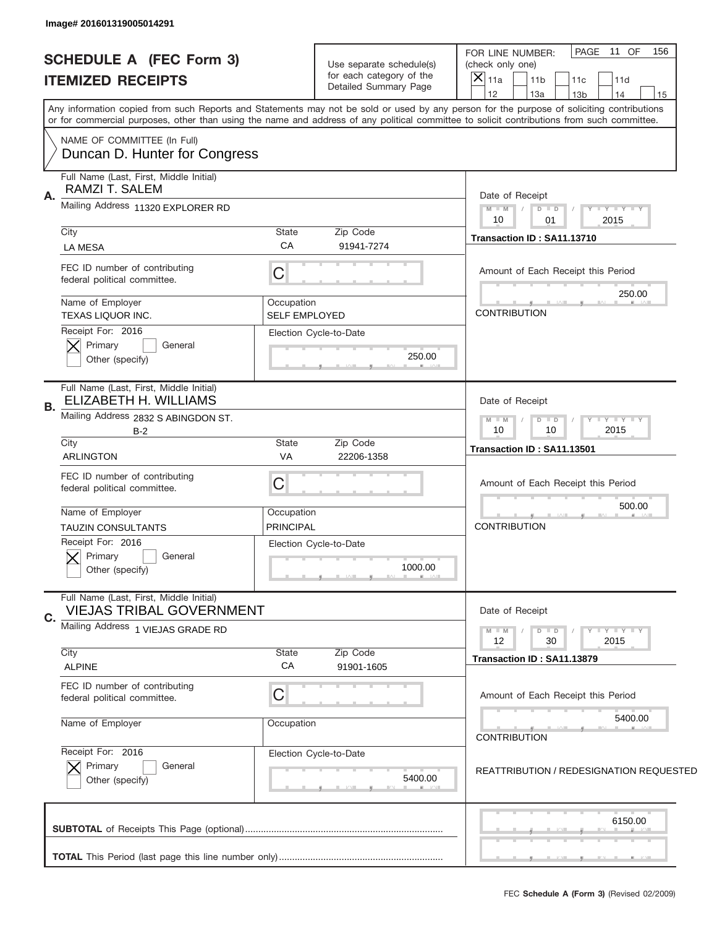| Image# 201601319005014291                                                               |                                    |                                                                               |                                                                                                                                                                                                                                                                                         |
|-----------------------------------------------------------------------------------------|------------------------------------|-------------------------------------------------------------------------------|-----------------------------------------------------------------------------------------------------------------------------------------------------------------------------------------------------------------------------------------------------------------------------------------|
| <b>SCHEDULE A (FEC Form 3)</b><br><b>ITEMIZED RECEIPTS</b>                              |                                    | Use separate schedule(s)<br>for each category of the<br>Detailed Summary Page | PAGE<br>11 OF<br>156<br>FOR LINE NUMBER:<br>(check only one)<br>$\times$<br>11a<br>11 <sub>b</sub><br>11c<br>11d<br>12<br>13a<br>14<br>13 <sub>b</sub><br>15                                                                                                                            |
|                                                                                         |                                    |                                                                               | Any information copied from such Reports and Statements may not be sold or used by any person for the purpose of soliciting contributions<br>or for commercial purposes, other than using the name and address of any political committee to solicit contributions from such committee. |
| NAME OF COMMITTEE (In Full)<br>Duncan D. Hunter for Congress                            |                                    |                                                                               |                                                                                                                                                                                                                                                                                         |
| Full Name (Last, First, Middle Initial)<br>RAMZI T. SALEM<br>Α.                         |                                    |                                                                               | Date of Receipt                                                                                                                                                                                                                                                                         |
| Mailing Address 11320 EXPLORER RD                                                       |                                    |                                                                               | $M - M$<br><b>LYLYLY</b><br>$D$ $D$<br>2015<br>10<br>01                                                                                                                                                                                                                                 |
| City<br><b>LA MESA</b>                                                                  | State<br>CA                        | Zip Code<br>91941-7274                                                        | Transaction ID: SA11.13710                                                                                                                                                                                                                                                              |
| FEC ID number of contributing<br>federal political committee.                           | C                                  |                                                                               | Amount of Each Receipt this Period<br>250.00                                                                                                                                                                                                                                            |
| Name of Employer<br><b>TEXAS LIQUOR INC.</b>                                            | Occupation<br><b>SELF EMPLOYED</b> |                                                                               | <b>CONTRIBUTION</b>                                                                                                                                                                                                                                                                     |
| Receipt For: 2016<br>Primary<br>General<br>Other (specify)                              |                                    | Election Cycle-to-Date<br>250.00                                              |                                                                                                                                                                                                                                                                                         |
| Full Name (Last, First, Middle Initial)<br><b>ELIZABETH H. WILLIAMS</b><br>В.           | Date of Receipt                    |                                                                               |                                                                                                                                                                                                                                                                                         |
| Mailing Address 2832 S ABINGDON ST.<br>$B-2$                                            |                                    |                                                                               | <b>LY LY LY</b><br>$M - M$<br>$D$ $D$<br>2015<br>10<br>10                                                                                                                                                                                                                               |
| City<br>ARLINGTON                                                                       | State<br>VA                        | Zip Code<br>22206-1358                                                        | Transaction ID: SA11.13501                                                                                                                                                                                                                                                              |
| FEC ID number of contributing<br>federal political committee.                           | C                                  |                                                                               | Amount of Each Receipt this Period                                                                                                                                                                                                                                                      |
| Name of Employer                                                                        | Occupation<br><b>PRINCIPAL</b>     |                                                                               | 500.00<br><b>CONTRIBUTION</b>                                                                                                                                                                                                                                                           |
| <b>TAUZIN CONSULTANTS</b><br>Receipt For: 2016<br>Primary<br>General<br>Other (specify) |                                    | Election Cycle-to-Date<br>1000.00                                             |                                                                                                                                                                                                                                                                                         |
| Full Name (Last, First, Middle Initial)<br><b>VIEJAS TRIBAL GOVERNMENT</b><br>C.        |                                    |                                                                               | Date of Receipt                                                                                                                                                                                                                                                                         |
| Mailing Address 1 VIEJAS GRADE RD                                                       |                                    |                                                                               | $\mathbf{I}$ $\mathbf{Y}$ $\mathbf{I}$ $\mathbf{Y}$ $\mathbf{I}$ $\mathbf{Y}$<br>$M$ $M$<br>$D$ $D$<br>30<br>2015<br>12                                                                                                                                                                 |
| City<br><b>ALPINE</b>                                                                   | State<br>CA                        | Zip Code<br>91901-1605                                                        | Transaction ID: SA11.13879                                                                                                                                                                                                                                                              |
| FEC ID number of contributing<br>federal political committee.                           | C                                  |                                                                               | Amount of Each Receipt this Period                                                                                                                                                                                                                                                      |
| Name of Employer                                                                        | Occupation                         |                                                                               | 5400.00<br><b>CONTRIBUTION</b>                                                                                                                                                                                                                                                          |
| Receipt For: 2016<br>Primary<br>General<br>Other (specify)                              |                                    | Election Cycle-to-Date<br>5400.00                                             | <b>REATTRIBUTION / REDESIGNATION REQUESTED</b>                                                                                                                                                                                                                                          |
|                                                                                         |                                    |                                                                               | 6150.00                                                                                                                                                                                                                                                                                 |
|                                                                                         |                                    |                                                                               |                                                                                                                                                                                                                                                                                         |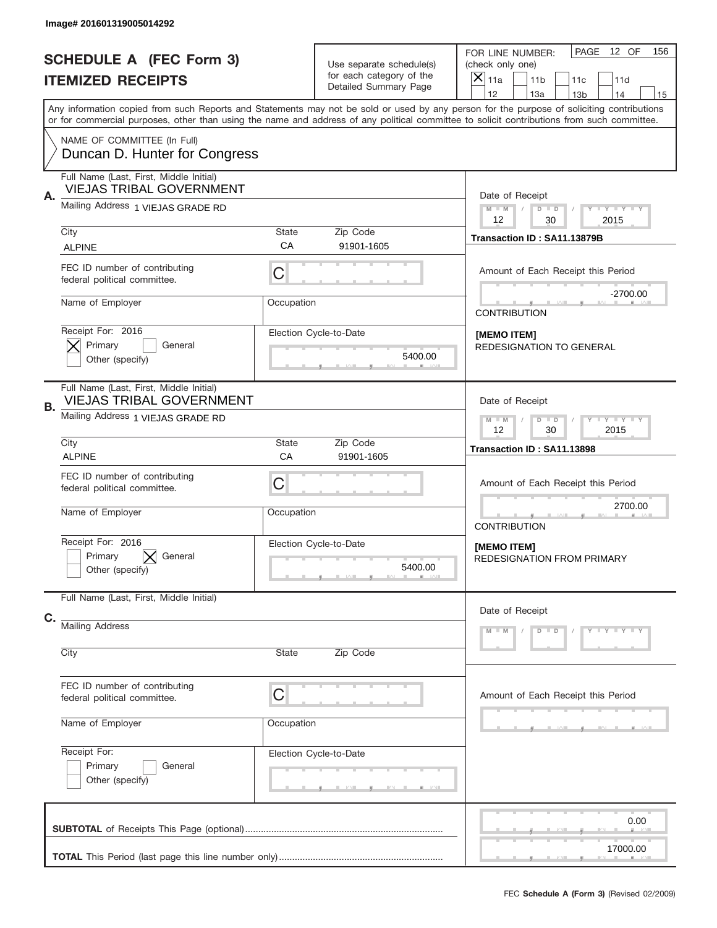|    | Image# 201601319005014292                                                                                       |                                                                   |                                                                               |                                                                                                                                                                                                                                                                                                                  |
|----|-----------------------------------------------------------------------------------------------------------------|-------------------------------------------------------------------|-------------------------------------------------------------------------------|------------------------------------------------------------------------------------------------------------------------------------------------------------------------------------------------------------------------------------------------------------------------------------------------------------------|
|    | <b>SCHEDULE A (FEC Form 3)</b><br><b>ITEMIZED RECEIPTS</b>                                                      |                                                                   | Use separate schedule(s)<br>for each category of the<br>Detailed Summary Page | PAGE<br>12 OF<br>156<br>FOR LINE NUMBER:<br>(check only one)<br>$\overline{\mathsf{x}}$<br>11a<br>11 <sub>b</sub><br>11c<br>11d<br>12<br>13a<br>14                                                                                                                                                               |
|    |                                                                                                                 |                                                                   |                                                                               | 13 <sub>b</sub><br>15<br>Any information copied from such Reports and Statements may not be sold or used by any person for the purpose of soliciting contributions<br>or for commercial purposes, other than using the name and address of any political committee to solicit contributions from such committee. |
|    | NAME OF COMMITTEE (In Full)<br>Duncan D. Hunter for Congress                                                    |                                                                   |                                                                               |                                                                                                                                                                                                                                                                                                                  |
| Α. | Full Name (Last, First, Middle Initial)<br><b>VIEJAS TRIBAL GOVERNMENT</b><br>Mailing Address 1 VIEJAS GRADE RD |                                                                   |                                                                               | Date of Receipt                                                                                                                                                                                                                                                                                                  |
|    |                                                                                                                 |                                                                   |                                                                               | $M$ M<br>Y FY FY FY<br>$D$ $D$<br>12<br>30<br>2015                                                                                                                                                                                                                                                               |
|    | City<br><b>ALPINE</b>                                                                                           | State<br>CA                                                       | Zip Code<br>91901-1605                                                        | Transaction ID: SA11.13879B                                                                                                                                                                                                                                                                                      |
|    | FEC ID number of contributing<br>federal political committee.                                                   | C                                                                 |                                                                               | Amount of Each Receipt this Period                                                                                                                                                                                                                                                                               |
|    | Name of Employer                                                                                                | Occupation                                                        |                                                                               | $-2700.00$<br><b>CONTRIBUTION</b>                                                                                                                                                                                                                                                                                |
|    | Receipt For: 2016<br>Primary<br>General<br>Other (specify)                                                      |                                                                   | Election Cycle-to-Date<br>5400.00                                             | [MEMO ITEM]<br>REDESIGNATION TO GENERAL                                                                                                                                                                                                                                                                          |
| В. | Full Name (Last, First, Middle Initial)<br><b>VIEJAS TRIBAL GOVERNMENT</b>                                      |                                                                   |                                                                               | Date of Receipt                                                                                                                                                                                                                                                                                                  |
|    | Mailing Address 1 VIEJAS GRADE RD                                                                               | $T$ $Y$ $T$ $Y$ $T$ $Y$<br>$M - M$<br>$D$ $D$<br>12<br>30<br>2015 |                                                                               |                                                                                                                                                                                                                                                                                                                  |
|    | City<br><b>ALPINE</b>                                                                                           | State<br>CA                                                       | Zip Code<br>91901-1605                                                        | Transaction ID: SA11.13898                                                                                                                                                                                                                                                                                       |
|    | FEC ID number of contributing<br>federal political committee.                                                   | C                                                                 |                                                                               | Amount of Each Receipt this Period                                                                                                                                                                                                                                                                               |
|    | Name of Employer                                                                                                | Occupation                                                        |                                                                               | 2700.00<br><b>CONTRIBUTION</b>                                                                                                                                                                                                                                                                                   |
|    | Receipt For: 2016<br>Primary<br>General<br>Other (specify)                                                      |                                                                   | Election Cycle-to-Date<br>5400.00                                             | [MEMO ITEM]<br><b>REDESIGNATION FROM PRIMARY</b>                                                                                                                                                                                                                                                                 |
| C. | Full Name (Last, First, Middle Initial)                                                                         |                                                                   |                                                                               | Date of Receipt                                                                                                                                                                                                                                                                                                  |
|    | <b>Mailing Address</b>                                                                                          |                                                                   |                                                                               | Y - Y - Y - Y<br>$M - M$<br>$D$ $D$                                                                                                                                                                                                                                                                              |
|    | City                                                                                                            | State                                                             | Zip Code                                                                      |                                                                                                                                                                                                                                                                                                                  |
|    | FEC ID number of contributing<br>federal political committee.                                                   | C                                                                 |                                                                               | Amount of Each Receipt this Period                                                                                                                                                                                                                                                                               |
|    | Name of Employer                                                                                                | Occupation                                                        |                                                                               |                                                                                                                                                                                                                                                                                                                  |
|    | Receipt For:<br>Primary<br>General<br>Other (specify)                                                           |                                                                   | Election Cycle-to-Date                                                        |                                                                                                                                                                                                                                                                                                                  |
|    |                                                                                                                 |                                                                   |                                                                               |                                                                                                                                                                                                                                                                                                                  |
|    |                                                                                                                 |                                                                   |                                                                               | 0.00<br>17000.00                                                                                                                                                                                                                                                                                                 |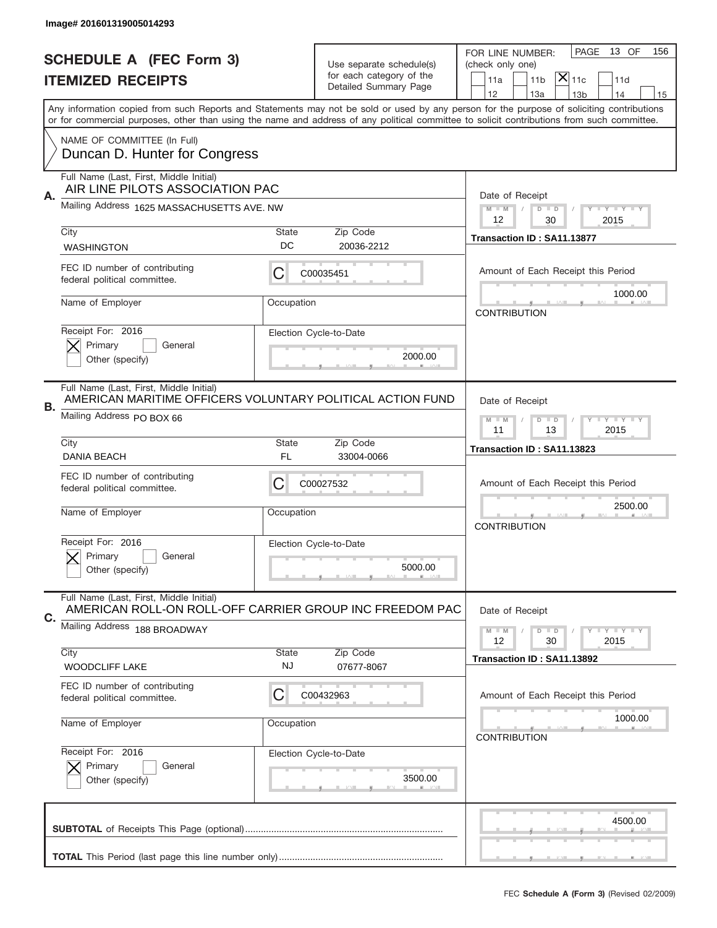|    | Image# 201601319005014293                                                                             |                    |                                                   |                                                                                                                                                                                                                                                                                                                                     |
|----|-------------------------------------------------------------------------------------------------------|--------------------|---------------------------------------------------|-------------------------------------------------------------------------------------------------------------------------------------------------------------------------------------------------------------------------------------------------------------------------------------------------------------------------------------|
|    | <b>SCHEDULE A (FEC Form 3)</b>                                                                        |                    | Use separate schedule(s)                          | 13 OF<br>PAGE<br>156<br>FOR LINE NUMBER:<br>(check only one)                                                                                                                                                                                                                                                                        |
|    | <b>ITEMIZED RECEIPTS</b>                                                                              |                    | for each category of the<br>Detailed Summary Page | $ \mathsf{\overline{X}} _{\mathsf{11c}}$<br>11a<br>11 <sub>b</sub><br>11d                                                                                                                                                                                                                                                           |
|    |                                                                                                       |                    |                                                   | 12<br>13a<br>13 <sub>b</sub><br>14<br>15<br>Any information copied from such Reports and Statements may not be sold or used by any person for the purpose of soliciting contributions<br>or for commercial purposes, other than using the name and address of any political committee to solicit contributions from such committee. |
|    | NAME OF COMMITTEE (In Full)<br>Duncan D. Hunter for Congress                                          |                    |                                                   |                                                                                                                                                                                                                                                                                                                                     |
|    | Full Name (Last, First, Middle Initial)<br>AIR LINE PILOTS ASSOCIATION PAC                            |                    |                                                   |                                                                                                                                                                                                                                                                                                                                     |
| Α. | Mailing Address 1625 MASSACHUSETTS AVE. NW                                                            |                    |                                                   | Date of Receipt<br>$M$ M<br><b>LY LY LY</b><br>$D$ $D$<br>12<br>30<br>2015                                                                                                                                                                                                                                                          |
|    | City<br><b>WASHINGTON</b>                                                                             | State<br>DC        | Zip Code<br>20036-2212                            | Transaction ID: SA11.13877                                                                                                                                                                                                                                                                                                          |
|    | FEC ID number of contributing<br>federal political committee.                                         | С                  | C00035451                                         | Amount of Each Receipt this Period                                                                                                                                                                                                                                                                                                  |
|    | Name of Employer                                                                                      | Occupation         |                                                   | 1000.00<br><b>CONTRIBUTION</b>                                                                                                                                                                                                                                                                                                      |
|    | Receipt For: 2016<br>Primary<br>General<br>Other (specify)                                            |                    | Election Cycle-to-Date<br>2000.00                 |                                                                                                                                                                                                                                                                                                                                     |
| В. | Full Name (Last, First, Middle Initial)<br>AMERICAN MARITIME OFFICERS VOLUNTARY POLITICAL ACTION FUND |                    |                                                   | Date of Receipt                                                                                                                                                                                                                                                                                                                     |
|    | Mailing Address PO BOX 66                                                                             |                    |                                                   | $D$ $D$<br><b>LYLYLY</b><br>$M - M$<br>11<br>13<br>2015                                                                                                                                                                                                                                                                             |
|    | City<br><b>DANIA BEACH</b>                                                                            | State<br>FL        | Zip Code<br>33004-0066                            | Transaction ID: SA11.13823                                                                                                                                                                                                                                                                                                          |
|    | FEC ID number of contributing<br>federal political committee.                                         | C                  | C00027532                                         | Amount of Each Receipt this Period                                                                                                                                                                                                                                                                                                  |
|    |                                                                                                       |                    |                                                   | 2500.00                                                                                                                                                                                                                                                                                                                             |
|    | Name of Employer                                                                                      | Occupation         |                                                   | <b>CONTRIBUTION</b>                                                                                                                                                                                                                                                                                                                 |
|    | Receipt For: 2016<br>General<br>Primary<br>Other (specify)                                            |                    | Election Cycle-to-Date<br>5000.00                 |                                                                                                                                                                                                                                                                                                                                     |
| С. | Full Name (Last, First, Middle Initial)<br>AMERICAN ROLL-ON ROLL-OFF CARRIER GROUP INC FREEDOM PAC    |                    |                                                   | Date of Receipt                                                                                                                                                                                                                                                                                                                     |
|    | Mailing Address 188 BROADWAY                                                                          |                    |                                                   | $D$ $D$<br><b>LYLYLY</b><br>$M - M$<br>2015<br>12<br>30                                                                                                                                                                                                                                                                             |
|    | City<br><b>WOODCLIFF LAKE</b>                                                                         | State<br><b>NJ</b> | Zip Code<br>07677-8067                            | Transaction ID: SA11.13892                                                                                                                                                                                                                                                                                                          |
|    | FEC ID number of contributing<br>federal political committee.                                         | С                  | C00432963                                         | Amount of Each Receipt this Period                                                                                                                                                                                                                                                                                                  |
|    | Name of Employer                                                                                      | Occupation         |                                                   | 1000.00<br><b>CONTRIBUTION</b>                                                                                                                                                                                                                                                                                                      |
|    | Receipt For: 2016<br>Primary<br>General<br>Other (specify)                                            |                    | Election Cycle-to-Date<br>3500.00                 |                                                                                                                                                                                                                                                                                                                                     |
|    |                                                                                                       |                    |                                                   | 4500.00                                                                                                                                                                                                                                                                                                                             |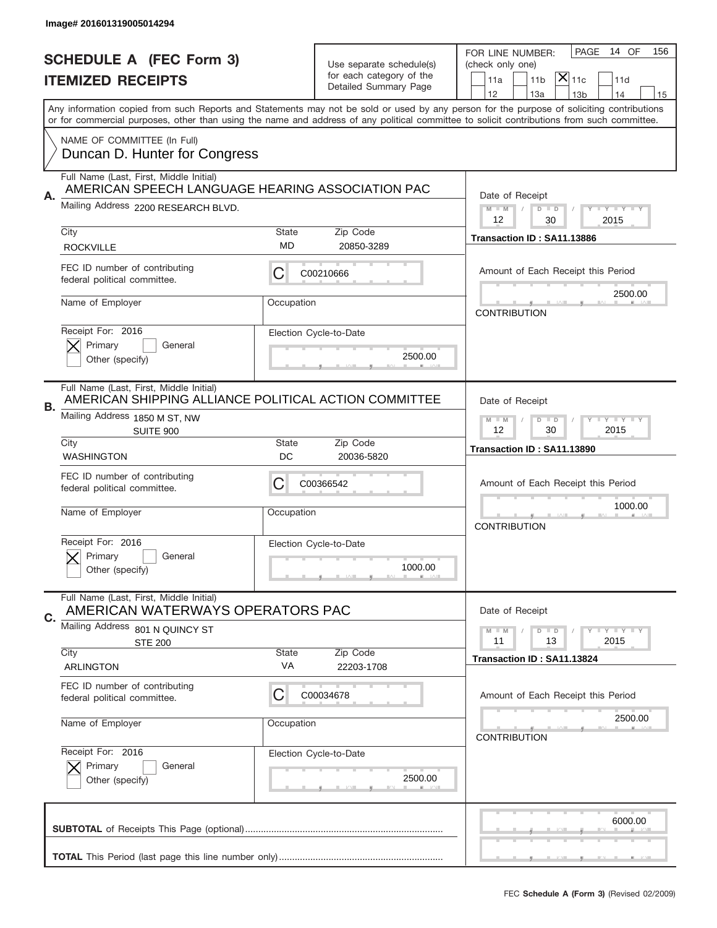|    | Image# 201601319005014294                                                                                                                                                                                                                                                               |                                                           |                                                      |                                                                                    |
|----|-----------------------------------------------------------------------------------------------------------------------------------------------------------------------------------------------------------------------------------------------------------------------------------------|-----------------------------------------------------------|------------------------------------------------------|------------------------------------------------------------------------------------|
|    | <b>SCHEDULE A (FEC Form 3)</b>                                                                                                                                                                                                                                                          |                                                           |                                                      | PAGE<br>14 OF<br>156<br>FOR LINE NUMBER:                                           |
|    | <b>ITEMIZED RECEIPTS</b>                                                                                                                                                                                                                                                                |                                                           | Use separate schedule(s)<br>for each category of the | (check only one)<br>$ \mathsf{X} _{\mathsf{11c}}$<br>11 <sub>b</sub><br>11d<br>11a |
|    | Any information copied from such Reports and Statements may not be sold or used by any person for the purpose of soliciting contributions<br>or for commercial purposes, other than using the name and address of any political committee to solicit contributions from such committee. |                                                           | Detailed Summary Page                                | 12<br>13a<br>13 <sub>b</sub><br>14<br>15                                           |
|    |                                                                                                                                                                                                                                                                                         |                                                           |                                                      |                                                                                    |
|    | NAME OF COMMITTEE (In Full)<br>Duncan D. Hunter for Congress                                                                                                                                                                                                                            |                                                           |                                                      |                                                                                    |
|    | Full Name (Last, First, Middle Initial)<br>AMERICAN SPEECH LANGUAGE HEARING ASSOCIATION PAC                                                                                                                                                                                             |                                                           |                                                      |                                                                                    |
| Α. | Mailing Address 2200 RESEARCH BLVD.                                                                                                                                                                                                                                                     |                                                           |                                                      | Date of Receipt<br>$M - M$<br><b>LEY LEY LEY</b><br>$D$ $D$<br>12<br>30<br>2015    |
|    | City                                                                                                                                                                                                                                                                                    | <b>State</b>                                              | Zip Code                                             | Transaction ID: SA11.13886                                                         |
|    | <b>ROCKVILLE</b>                                                                                                                                                                                                                                                                        | <b>MD</b>                                                 | 20850-3289                                           |                                                                                    |
|    | FEC ID number of contributing<br>federal political committee.                                                                                                                                                                                                                           | С                                                         | C00210666                                            | Amount of Each Receipt this Period                                                 |
|    | Name of Employer                                                                                                                                                                                                                                                                        | Occupation                                                |                                                      | 2500.00<br><b>CONTRIBUTION</b>                                                     |
|    | Receipt For: 2016<br>Primary<br>General                                                                                                                                                                                                                                                 |                                                           | Election Cycle-to-Date<br>2500.00                    |                                                                                    |
|    | Other (specify)                                                                                                                                                                                                                                                                         |                                                           |                                                      |                                                                                    |
| В. | Full Name (Last, First, Middle Initial)<br>AMERICAN SHIPPING ALLIANCE POLITICAL ACTION COMMITTEE                                                                                                                                                                                        |                                                           |                                                      | Date of Receipt                                                                    |
|    | Mailing Address 1850 M ST, NW<br><b>SUITE 900</b>                                                                                                                                                                                                                                       | $D$ $D$<br><b>LY LY LY</b><br>$M - M$<br>12<br>30<br>2015 |                                                      |                                                                                    |
|    | City<br><b>WASHINGTON</b>                                                                                                                                                                                                                                                               | <b>State</b><br>DC                                        | Zip Code<br>20036-5820                               | Transaction ID: SA11.13890                                                         |
|    | FEC ID number of contributing<br>federal political committee.                                                                                                                                                                                                                           | С                                                         | C00366542                                            | Amount of Each Receipt this Period                                                 |
|    | Name of Employer                                                                                                                                                                                                                                                                        | Occupation                                                |                                                      | 1000.00<br><b>CONTRIBUTION</b>                                                     |
|    | Receipt For: 2016                                                                                                                                                                                                                                                                       |                                                           | Election Cycle-to-Date                               |                                                                                    |
|    | Primary<br>General<br>Other (specify)                                                                                                                                                                                                                                                   |                                                           | 1000.00                                              |                                                                                    |
| C. | Full Name (Last, First, Middle Initial)<br>AMERICAN WATERWAYS OPERATORS PAC                                                                                                                                                                                                             |                                                           |                                                      | Date of Receipt                                                                    |
|    | Mailing Address 801 N QUINCY ST                                                                                                                                                                                                                                                         |                                                           |                                                      | $I - Y - I - Y - I - Y$<br>$M - M$<br>$D$ $D$                                      |
|    | <b>STE 200</b><br>City                                                                                                                                                                                                                                                                  | <b>State</b>                                              | Zip Code                                             | 2015<br>11<br>13<br>Transaction ID: SA11.13824                                     |
|    | <b>ARLINGTON</b>                                                                                                                                                                                                                                                                        | VA                                                        | 22203-1708                                           |                                                                                    |
|    | FEC ID number of contributing<br>federal political committee.                                                                                                                                                                                                                           | С                                                         | C00034678                                            | Amount of Each Receipt this Period                                                 |
|    | Name of Employer                                                                                                                                                                                                                                                                        | Occupation                                                |                                                      | 2500.00<br><b>CONTRIBUTION</b>                                                     |
|    | Receipt For: 2016                                                                                                                                                                                                                                                                       |                                                           | Election Cycle-to-Date                               |                                                                                    |
|    | Primary<br>General                                                                                                                                                                                                                                                                      |                                                           | 2500.00                                              |                                                                                    |
|    | Other (specify)                                                                                                                                                                                                                                                                         |                                                           |                                                      |                                                                                    |
|    |                                                                                                                                                                                                                                                                                         |                                                           |                                                      | 6000.00                                                                            |
|    |                                                                                                                                                                                                                                                                                         |                                                           |                                                      |                                                                                    |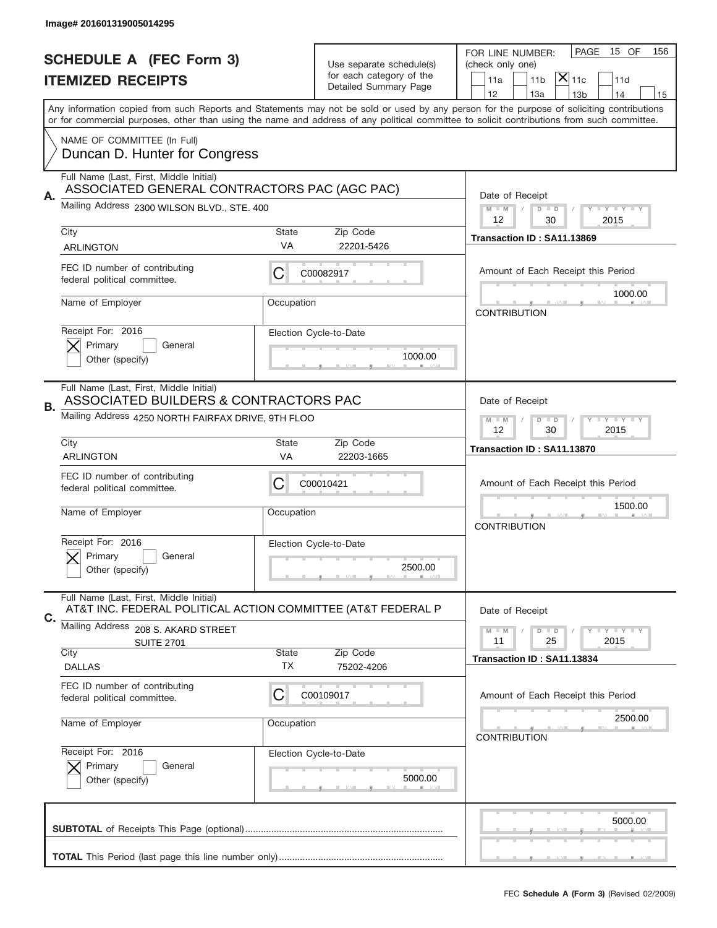|    | Image# 201601319005014295                                                                               |                                                             |                                                   |                                                                                                                                                                                                                                                                                                                                     |
|----|---------------------------------------------------------------------------------------------------------|-------------------------------------------------------------|---------------------------------------------------|-------------------------------------------------------------------------------------------------------------------------------------------------------------------------------------------------------------------------------------------------------------------------------------------------------------------------------------|
|    | <b>SCHEDULE A (FEC Form 3)</b>                                                                          |                                                             | Use separate schedule(s)                          | PAGE<br>15 OF<br>156<br>FOR LINE NUMBER:<br>(check only one)                                                                                                                                                                                                                                                                        |
|    | <b>ITEMIZED RECEIPTS</b>                                                                                |                                                             | for each category of the<br>Detailed Summary Page | $ \mathsf{\overline{X}} _{\mathsf{11c}}$<br>11a<br>11 <sub>b</sub><br>11d                                                                                                                                                                                                                                                           |
|    |                                                                                                         |                                                             |                                                   | 12<br>13a<br>14<br>13 <sub>b</sub><br>15<br>Any information copied from such Reports and Statements may not be sold or used by any person for the purpose of soliciting contributions<br>or for commercial purposes, other than using the name and address of any political committee to solicit contributions from such committee. |
|    | NAME OF COMMITTEE (In Full)<br>Duncan D. Hunter for Congress                                            |                                                             |                                                   |                                                                                                                                                                                                                                                                                                                                     |
|    | Full Name (Last, First, Middle Initial)<br>ASSOCIATED GENERAL CONTRACTORS PAC (AGC PAC)                 |                                                             |                                                   |                                                                                                                                                                                                                                                                                                                                     |
| А. | Mailing Address 2300 WILSON BLVD., STE. 400                                                             |                                                             |                                                   | Date of Receipt<br>$M - M$<br><b>LY LY LY</b><br>$D$ $D$<br>12<br>30<br>2015                                                                                                                                                                                                                                                        |
|    | City<br><b>ARLINGTON</b>                                                                                | State<br><b>VA</b>                                          | Zip Code<br>22201-5426                            | Transaction ID: SA11.13869                                                                                                                                                                                                                                                                                                          |
|    | FEC ID number of contributing<br>federal political committee.                                           | С                                                           | C00082917                                         | Amount of Each Receipt this Period                                                                                                                                                                                                                                                                                                  |
|    | Name of Employer                                                                                        | Occupation                                                  |                                                   | 1000.00<br><b>CONTRIBUTION</b>                                                                                                                                                                                                                                                                                                      |
|    | Receipt For: 2016<br>Primary<br>General<br>Other (specify)                                              |                                                             | Election Cycle-to-Date<br>1000.00                 |                                                                                                                                                                                                                                                                                                                                     |
| В. | Full Name (Last, First, Middle Initial)<br>ASSOCIATED BUILDERS & CONTRACTORS PAC                        |                                                             |                                                   | Date of Receipt                                                                                                                                                                                                                                                                                                                     |
|    | Mailing Address 4250 NORTH FAIRFAX DRIVE, 9TH FLOO                                                      | <b>LEYTEY LEY</b><br>$M - M$<br>$D$ $D$<br>12<br>2015<br>30 |                                                   |                                                                                                                                                                                                                                                                                                                                     |
|    | City<br><b>ARLINGTON</b>                                                                                | State<br>VA                                                 | Zip Code<br>22203-1665                            | Transaction ID: SA11.13870                                                                                                                                                                                                                                                                                                          |
|    | FEC ID number of contributing<br>federal political committee.                                           | C                                                           | C00010421                                         | Amount of Each Receipt this Period                                                                                                                                                                                                                                                                                                  |
|    |                                                                                                         |                                                             |                                                   | 1500.00                                                                                                                                                                                                                                                                                                                             |
|    | Name of Employer                                                                                        | Occupation                                                  |                                                   | <b>CONTRIBUTION</b>                                                                                                                                                                                                                                                                                                                 |
|    | Receipt For: 2016<br>Primary<br>General<br>Other (specify)                                              |                                                             | Election Cycle-to-Date<br>2500.00                 |                                                                                                                                                                                                                                                                                                                                     |
|    | Full Name (Last, First, Middle Initial)<br>AT&T INC. FEDERAL POLITICAL ACTION COMMITTEE (AT&T FEDERAL P |                                                             |                                                   | Date of Receipt                                                                                                                                                                                                                                                                                                                     |
| С. | Mailing Address 208 S. AKARD STREET<br><b>SUITE 2701</b>                                                |                                                             |                                                   | $I - Y - I - Y - I - Y$<br>$M - M$<br>$D$ $D$<br>2015<br>11<br>25                                                                                                                                                                                                                                                                   |
|    | City<br><b>DALLAS</b>                                                                                   | State<br>ТX                                                 | Zip Code<br>75202-4206                            | Transaction ID: SA11.13834                                                                                                                                                                                                                                                                                                          |
|    | FEC ID number of contributing<br>federal political committee.                                           | С                                                           | C00109017                                         | Amount of Each Receipt this Period                                                                                                                                                                                                                                                                                                  |
|    | Name of Employer                                                                                        | Occupation                                                  |                                                   | 2500.00<br><b>CONTRIBUTION</b>                                                                                                                                                                                                                                                                                                      |
|    | Receipt For: 2016<br>Primary<br>General<br>Other (specify)                                              |                                                             | Election Cycle-to-Date<br>5000.00                 |                                                                                                                                                                                                                                                                                                                                     |
|    |                                                                                                         |                                                             |                                                   | 5000.00                                                                                                                                                                                                                                                                                                                             |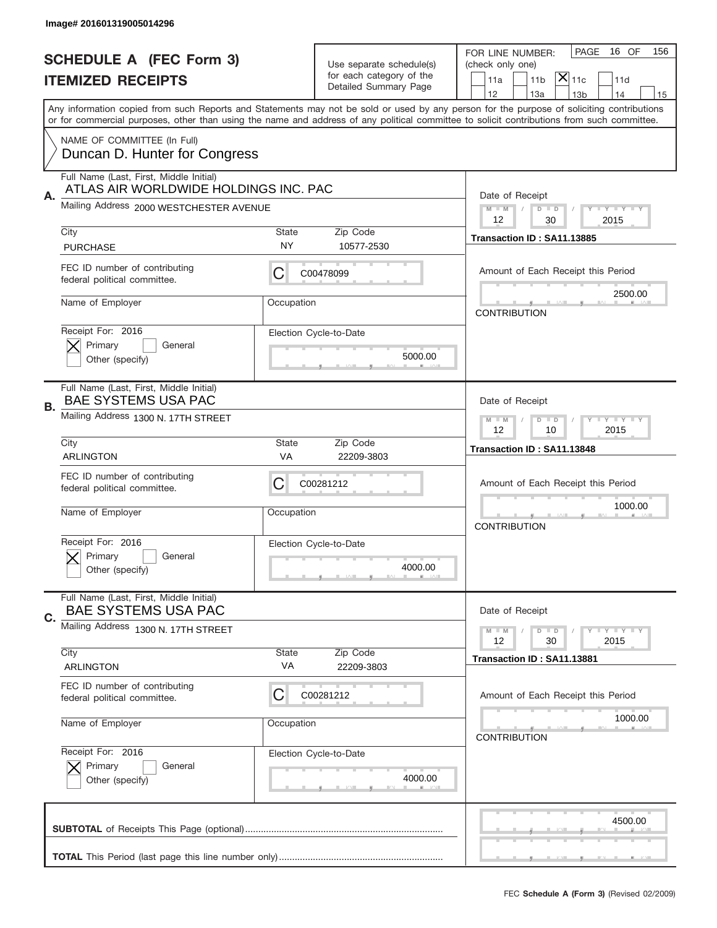|    | Image# 201601319005014296                                                        |                    |                                                      |                                                                                                                                                                                                                                                                                         |
|----|----------------------------------------------------------------------------------|--------------------|------------------------------------------------------|-----------------------------------------------------------------------------------------------------------------------------------------------------------------------------------------------------------------------------------------------------------------------------------------|
|    | <b>SCHEDULE A (FEC Form 3)</b>                                                   |                    | Use separate schedule(s)<br>for each category of the | PAGE<br>16 OF<br>156<br>FOR LINE NUMBER:<br>(check only one)                                                                                                                                                                                                                            |
|    | <b>ITEMIZED RECEIPTS</b>                                                         |                    | Detailed Summary Page                                | $ \mathsf{\overline{X}} _{\mathsf{11c}}$<br>11a<br>11 <sub>b</sub><br>11d<br>12<br>13a<br>13 <sub>b</sub><br>14<br>15                                                                                                                                                                   |
|    |                                                                                  |                    |                                                      | Any information copied from such Reports and Statements may not be sold or used by any person for the purpose of soliciting contributions<br>or for commercial purposes, other than using the name and address of any political committee to solicit contributions from such committee. |
|    | NAME OF COMMITTEE (In Full)<br>Duncan D. Hunter for Congress                     |                    |                                                      |                                                                                                                                                                                                                                                                                         |
| Α. | Full Name (Last, First, Middle Initial)<br>ATLAS AIR WORLDWIDE HOLDINGS INC. PAC |                    |                                                      | Date of Receipt                                                                                                                                                                                                                                                                         |
|    | Mailing Address 2000 WESTCHESTER AVENUE                                          |                    |                                                      | $M$ M<br><b>LEY LEY LEY</b><br>$D$ $D$<br>12<br>30<br>2015                                                                                                                                                                                                                              |
|    | City<br><b>PURCHASE</b>                                                          | State<br><b>NY</b> | Zip Code<br>10577-2530                               | Transaction ID: SA11.13885                                                                                                                                                                                                                                                              |
|    | FEC ID number of contributing<br>federal political committee.                    | С                  | C00478099                                            | Amount of Each Receipt this Period                                                                                                                                                                                                                                                      |
|    | Name of Employer                                                                 | Occupation         |                                                      | 2500.00<br><b>CONTRIBUTION</b>                                                                                                                                                                                                                                                          |
|    | Receipt For: 2016<br>Primary<br>General<br>Other (specify)                       |                    | Election Cycle-to-Date<br>5000.00                    |                                                                                                                                                                                                                                                                                         |
| В. | Full Name (Last, First, Middle Initial)<br><b>BAE SYSTEMS USA PAC</b>            |                    |                                                      | Date of Receipt                                                                                                                                                                                                                                                                         |
|    | Mailing Address 1300 N. 17TH STREET                                              |                    |                                                      | $D$ $D$<br><b>LYLYLY</b><br>$M - M$<br>12<br>2015<br>10                                                                                                                                                                                                                                 |
|    | City<br><b>ARLINGTON</b>                                                         | State<br>VA        | Zip Code<br>22209-3803                               | Transaction ID: SA11.13848                                                                                                                                                                                                                                                              |
|    | FEC ID number of contributing<br>federal political committee.                    | C                  | C00281212                                            | Amount of Each Receipt this Period                                                                                                                                                                                                                                                      |
|    | Name of Employer                                                                 | Occupation         |                                                      | 1000.00<br><b>CONTRIBUTION</b>                                                                                                                                                                                                                                                          |
|    | Receipt For: 2016<br>Primary<br>General<br>Other (specify)                       |                    | Election Cycle-to-Date<br>4000.00                    |                                                                                                                                                                                                                                                                                         |
| C. | Full Name (Last, First, Middle Initial)<br><b>BAE SYSTEMS USA PAC</b>            |                    |                                                      | Date of Receipt                                                                                                                                                                                                                                                                         |
|    | Mailing Address 1300 N. 17TH STREET                                              |                    |                                                      | <b>LYLYLY</b><br>$M - M$<br>$D$ $D$<br>2015<br>12<br>30                                                                                                                                                                                                                                 |
|    | City<br><b>ARLINGTON</b>                                                         | State<br>VA        | Zip Code<br>22209-3803                               | Transaction ID: SA11.13881                                                                                                                                                                                                                                                              |
|    | FEC ID number of contributing<br>federal political committee.                    | С                  | C00281212                                            | Amount of Each Receipt this Period                                                                                                                                                                                                                                                      |
|    | Name of Employer                                                                 | Occupation         |                                                      | 1000.00<br><b>CONTRIBUTION</b>                                                                                                                                                                                                                                                          |
|    | Receipt For: 2016<br>Primary<br>General                                          |                    | Election Cycle-to-Date<br>4000.00                    |                                                                                                                                                                                                                                                                                         |
|    | Other (specify)                                                                  |                    |                                                      |                                                                                                                                                                                                                                                                                         |
|    |                                                                                  |                    |                                                      | 4500.00                                                                                                                                                                                                                                                                                 |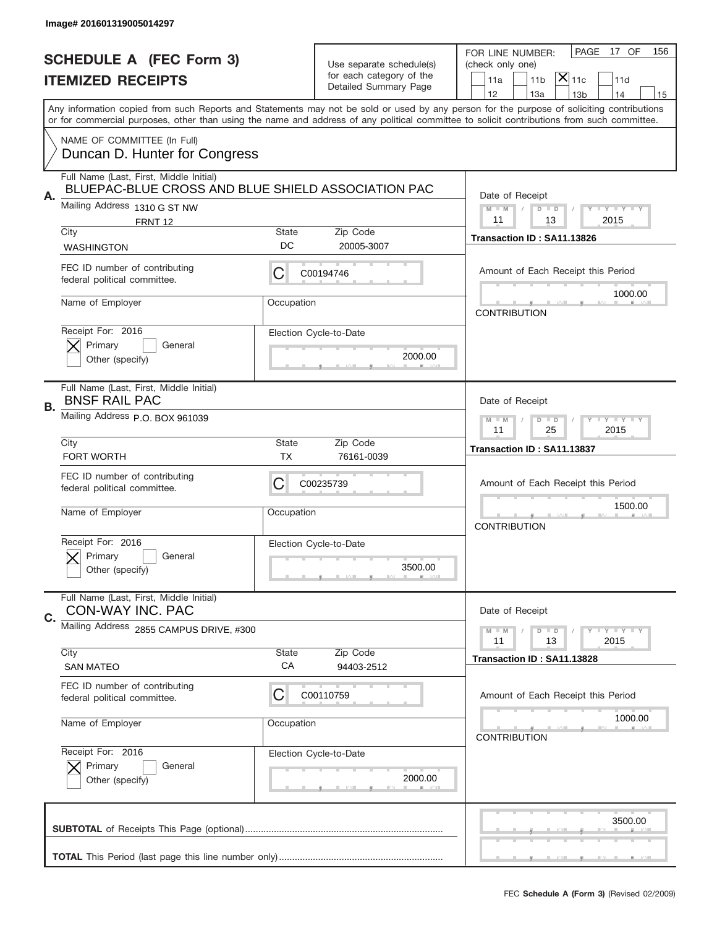|    | Image# 201601319005014297                                                                     |             |                                                      |                                                                                                                                                                                                                                                                                         |
|----|-----------------------------------------------------------------------------------------------|-------------|------------------------------------------------------|-----------------------------------------------------------------------------------------------------------------------------------------------------------------------------------------------------------------------------------------------------------------------------------------|
|    | <b>SCHEDULE A (FEC Form 3)</b>                                                                |             | Use separate schedule(s)<br>for each category of the | PAGE<br>17 OF<br>156<br>FOR LINE NUMBER:<br>(check only one)<br>$ \mathsf{\overline{X}} _{\mathsf{11c}}$                                                                                                                                                                                |
|    | <b>ITEMIZED RECEIPTS</b>                                                                      |             | Detailed Summary Page                                | 11a<br>11 <sub>b</sub><br>11d<br>12<br>13a<br>13 <sub>b</sub><br>14<br>15                                                                                                                                                                                                               |
|    |                                                                                               |             |                                                      | Any information copied from such Reports and Statements may not be sold or used by any person for the purpose of soliciting contributions<br>or for commercial purposes, other than using the name and address of any political committee to solicit contributions from such committee. |
|    | NAME OF COMMITTEE (In Full)<br>Duncan D. Hunter for Congress                                  |             |                                                      |                                                                                                                                                                                                                                                                                         |
| Α. | Full Name (Last, First, Middle Initial)<br>BLUEPAC-BLUE CROSS AND BLUE SHIELD ASSOCIATION PAC |             |                                                      | Date of Receipt                                                                                                                                                                                                                                                                         |
|    | Mailing Address 1310 G ST NW<br>FRNT 12                                                       |             |                                                      | $M$ M<br><b>LEY LEY LEY</b><br>$D$ $D$<br>2015<br>11<br>13                                                                                                                                                                                                                              |
|    | City<br><b>WASHINGTON</b>                                                                     | State<br>DC | Zip Code<br>20005-3007                               | Transaction ID: SA11.13826                                                                                                                                                                                                                                                              |
|    | FEC ID number of contributing<br>federal political committee.                                 | С           | C00194746                                            | Amount of Each Receipt this Period<br>1000.00                                                                                                                                                                                                                                           |
|    | Name of Employer                                                                              | Occupation  |                                                      | <b>CONTRIBUTION</b>                                                                                                                                                                                                                                                                     |
|    | Receipt For: 2016<br>Primary<br>General<br>Other (specify)                                    |             | Election Cycle-to-Date<br>2000.00                    |                                                                                                                                                                                                                                                                                         |
| В. | Full Name (Last, First, Middle Initial)<br><b>BNSF RAIL PAC</b>                               |             |                                                      | Date of Receipt                                                                                                                                                                                                                                                                         |
|    | Mailing Address P.O. BOX 961039                                                               |             |                                                      | $D$ $D$<br><b>LYLYLY</b><br>$M - M$<br>11<br>25<br>2015                                                                                                                                                                                                                                 |
|    | City<br>FORT WORTH                                                                            | State<br>ТX | Zip Code<br>76161-0039                               | Transaction ID: SA11.13837                                                                                                                                                                                                                                                              |
|    | FEC ID number of contributing                                                                 |             | C00235739                                            | Amount of Each Receipt this Period                                                                                                                                                                                                                                                      |
|    | federal political committee.                                                                  | C           |                                                      |                                                                                                                                                                                                                                                                                         |
|    | Name of Employer                                                                              | Occupation  |                                                      | 1500.00<br><b>CONTRIBUTION</b>                                                                                                                                                                                                                                                          |
|    | Receipt For: 2016<br>Primary<br>General<br>Other (specify)                                    |             | Election Cycle-to-Date<br>3500.00                    |                                                                                                                                                                                                                                                                                         |
| C. | Full Name (Last, First, Middle Initial)<br>CON-WAY INC. PAC                                   |             |                                                      | Date of Receipt                                                                                                                                                                                                                                                                         |
|    | Mailing Address 2855 CAMPUS DRIVE, #300                                                       |             |                                                      | <b>LY LY LY</b><br>$M - M$<br>$D$ $D$<br>11                                                                                                                                                                                                                                             |
|    | City<br><b>SAN MATEO</b>                                                                      | State<br>СA | Zip Code<br>94403-2512                               | 2015<br>13<br>Transaction ID: SA11.13828                                                                                                                                                                                                                                                |
|    | FEC ID number of contributing<br>federal political committee.                                 | C           | C00110759                                            | Amount of Each Receipt this Period                                                                                                                                                                                                                                                      |
|    | Name of Employer                                                                              | Occupation  |                                                      | 1000.00<br><b>CONTRIBUTION</b>                                                                                                                                                                                                                                                          |
|    | Receipt For: 2016<br>Primary<br>General<br>Other (specify)                                    |             | Election Cycle-to-Date<br>2000.00                    |                                                                                                                                                                                                                                                                                         |
|    |                                                                                               |             |                                                      | 3500.00                                                                                                                                                                                                                                                                                 |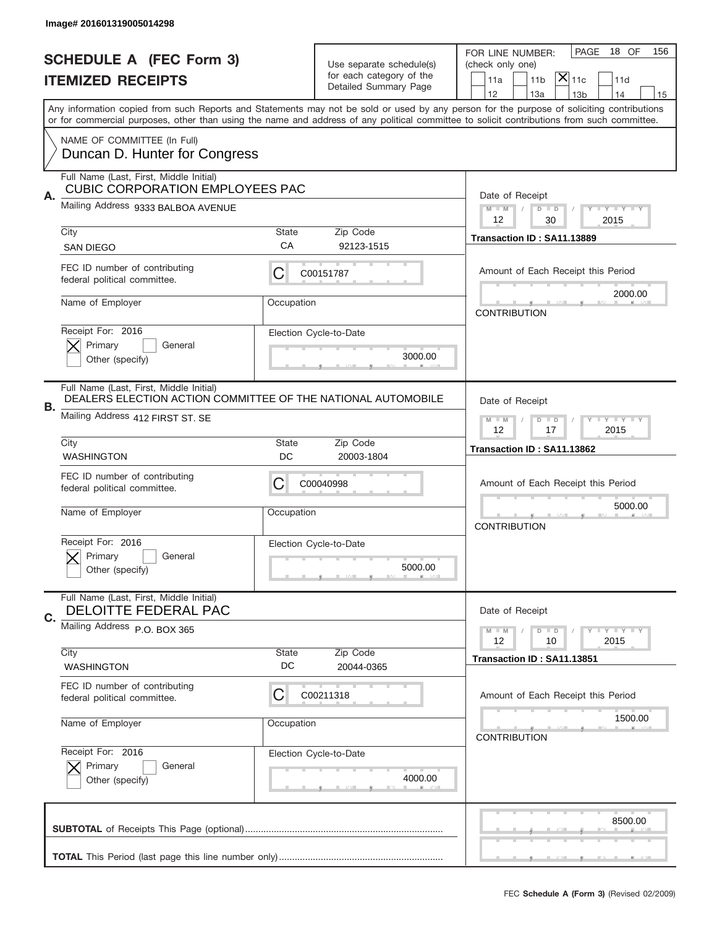|    | Image# 201601319005014298                                                                               |             |                                                   |                                                                                                                                                                                                                                                                                                                                     |
|----|---------------------------------------------------------------------------------------------------------|-------------|---------------------------------------------------|-------------------------------------------------------------------------------------------------------------------------------------------------------------------------------------------------------------------------------------------------------------------------------------------------------------------------------------|
|    | <b>SCHEDULE A (FEC Form 3)</b>                                                                          |             | Use separate schedule(s)                          | 18 OF<br>PAGE<br>156<br>FOR LINE NUMBER:<br>(check only one)                                                                                                                                                                                                                                                                        |
|    | <b>ITEMIZED RECEIPTS</b>                                                                                |             | for each category of the<br>Detailed Summary Page | $\overline{ {\mathsf X} }_{\text{11c}}$<br>11a<br>11 <sub>b</sub><br>11d                                                                                                                                                                                                                                                            |
|    |                                                                                                         |             |                                                   | 12<br>13a<br>13 <sub>b</sub><br>14<br>15<br>Any information copied from such Reports and Statements may not be sold or used by any person for the purpose of soliciting contributions<br>or for commercial purposes, other than using the name and address of any political committee to solicit contributions from such committee. |
|    | NAME OF COMMITTEE (In Full)<br>Duncan D. Hunter for Congress                                            |             |                                                   |                                                                                                                                                                                                                                                                                                                                     |
|    | Full Name (Last, First, Middle Initial)<br><b>CUBIC CORPORATION EMPLOYEES PAC</b>                       |             |                                                   |                                                                                                                                                                                                                                                                                                                                     |
| Α. | Mailing Address 9333 BALBOA AVENUE                                                                      |             |                                                   | Date of Receipt<br>$M$ M<br><b>LEY LEY LEY</b><br>$D$ $D$<br>12<br>2015<br>30                                                                                                                                                                                                                                                       |
|    | City<br><b>SAN DIEGO</b>                                                                                | State<br>CA | Zip Code<br>92123-1515                            | Transaction ID: SA11.13889                                                                                                                                                                                                                                                                                                          |
|    | FEC ID number of contributing<br>federal political committee.                                           | С           | C00151787                                         | Amount of Each Receipt this Period                                                                                                                                                                                                                                                                                                  |
|    | Name of Employer                                                                                        | Occupation  |                                                   | 2000.00<br><b>CONTRIBUTION</b>                                                                                                                                                                                                                                                                                                      |
|    | Receipt For: 2016<br>Primary<br>General<br>Other (specify)                                              |             | Election Cycle-to-Date<br>3000.00                 |                                                                                                                                                                                                                                                                                                                                     |
| В. | Full Name (Last, First, Middle Initial)<br>DEALERS ELECTION ACTION COMMITTEE OF THE NATIONAL AUTOMOBILE |             |                                                   | Date of Receipt                                                                                                                                                                                                                                                                                                                     |
|    | Mailing Address 412 FIRST ST. SE<br>City                                                                | State       | Zip Code                                          | $M - M$<br>$D$ $D$<br><b>LYLYLY</b><br>12<br>17<br>2015                                                                                                                                                                                                                                                                             |
|    | <b>WASHINGTON</b>                                                                                       | DC          | 20003-1804                                        | Transaction ID: SA11.13862                                                                                                                                                                                                                                                                                                          |
|    |                                                                                                         |             |                                                   |                                                                                                                                                                                                                                                                                                                                     |
|    | FEC ID number of contributing<br>federal political committee.                                           | C           | C00040998                                         | Amount of Each Receipt this Period                                                                                                                                                                                                                                                                                                  |
|    | Name of Employer                                                                                        | Occupation  |                                                   | 5000.00<br><b>CONTRIBUTION</b>                                                                                                                                                                                                                                                                                                      |
|    | Receipt For: 2016<br>Primary<br>General<br>Other (specify)                                              |             | Election Cycle-to-Date<br>5000.00                 |                                                                                                                                                                                                                                                                                                                                     |
| C. | Full Name (Last, First, Middle Initial)<br>DELOITTE FEDERAL PAC                                         |             |                                                   | Date of Receipt                                                                                                                                                                                                                                                                                                                     |
|    | Mailing Address P.O. BOX 365                                                                            |             |                                                   | <b>LY LY LY</b><br>$M - M$<br>$D$ $D$<br>2015<br>12<br>10                                                                                                                                                                                                                                                                           |
|    | City<br><b>WASHINGTON</b>                                                                               | State<br>DC | Zip Code<br>20044-0365                            | Transaction ID: SA11.13851                                                                                                                                                                                                                                                                                                          |
|    | FEC ID number of contributing<br>federal political committee.                                           | C           | C00211318                                         | Amount of Each Receipt this Period                                                                                                                                                                                                                                                                                                  |
|    | Name of Employer                                                                                        | Occupation  |                                                   | 1500.00<br><b>CONTRIBUTION</b>                                                                                                                                                                                                                                                                                                      |
|    | Receipt For: 2016<br>Primary<br>General<br>Other (specify)                                              |             | Election Cycle-to-Date<br>4000.00                 |                                                                                                                                                                                                                                                                                                                                     |
|    |                                                                                                         |             |                                                   | 8500.00                                                                                                                                                                                                                                                                                                                             |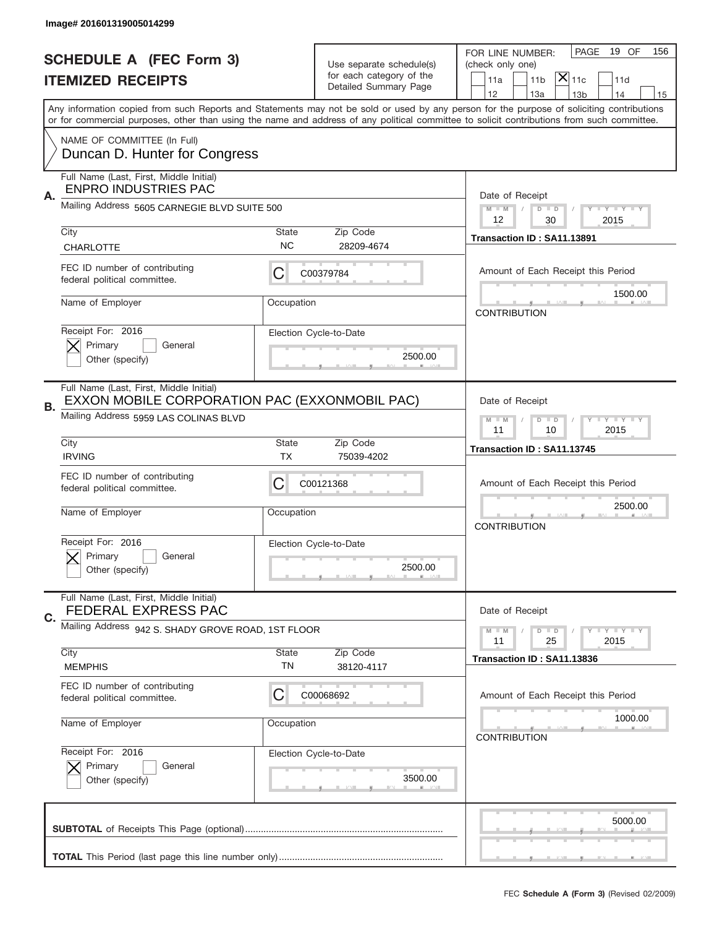|    | Image# 201601319005014299                                                                                                         |                    |                                                   |                                                                                                                                                                                                                                                                                                                                     |
|----|-----------------------------------------------------------------------------------------------------------------------------------|--------------------|---------------------------------------------------|-------------------------------------------------------------------------------------------------------------------------------------------------------------------------------------------------------------------------------------------------------------------------------------------------------------------------------------|
|    | <b>SCHEDULE A (FEC Form 3)</b>                                                                                                    |                    | Use separate schedule(s)                          | PAGE<br>19 OF<br>156<br>FOR LINE NUMBER:<br>(check only one)                                                                                                                                                                                                                                                                        |
|    | <b>ITEMIZED RECEIPTS</b>                                                                                                          |                    | for each category of the<br>Detailed Summary Page | $ \mathsf{\overline{X}} _{\mathsf{11c}}$<br>11a<br>11 <sub>b</sub><br>11d                                                                                                                                                                                                                                                           |
|    |                                                                                                                                   |                    |                                                   | 12<br>13a<br>13 <sub>b</sub><br>14<br>15<br>Any information copied from such Reports and Statements may not be sold or used by any person for the purpose of soliciting contributions<br>or for commercial purposes, other than using the name and address of any political committee to solicit contributions from such committee. |
|    | NAME OF COMMITTEE (In Full)<br>Duncan D. Hunter for Congress                                                                      |                    |                                                   |                                                                                                                                                                                                                                                                                                                                     |
| Α. | Full Name (Last, First, Middle Initial)<br><b>ENPRO INDUSTRIES PAC</b>                                                            |                    |                                                   | Date of Receipt                                                                                                                                                                                                                                                                                                                     |
|    | Mailing Address 5605 CARNEGIE BLVD SUITE 500                                                                                      |                    |                                                   | <b>LY LY LY</b><br>$M - M$<br>$D$ $D$<br>12<br>30<br>2015                                                                                                                                                                                                                                                                           |
|    | City<br><b>CHARLOTTE</b>                                                                                                          | State<br><b>NC</b> | Zip Code<br>28209-4674                            | Transaction ID: SA11.13891                                                                                                                                                                                                                                                                                                          |
|    | FEC ID number of contributing<br>federal political committee.                                                                     | С                  | C00379784                                         | Amount of Each Receipt this Period                                                                                                                                                                                                                                                                                                  |
|    | Name of Employer                                                                                                                  | Occupation         |                                                   | 1500.00<br><b>CONTRIBUTION</b>                                                                                                                                                                                                                                                                                                      |
|    | Receipt For: 2016<br>Primary<br>General<br>Other (specify)                                                                        |                    | Election Cycle-to-Date<br>2500.00                 |                                                                                                                                                                                                                                                                                                                                     |
| В. | Full Name (Last, First, Middle Initial)<br>EXXON MOBILE CORPORATION PAC (EXXONMOBIL PAC)<br>Mailing Address 5959 LAS COLINAS BLVD |                    |                                                   | Date of Receipt<br>$D$ $D$<br><b>LYLYLY</b><br>$M - M$                                                                                                                                                                                                                                                                              |
|    | City<br><b>IRVING</b>                                                                                                             | State<br>TX        | Zip Code<br>75039-4202                            | 11<br>2015<br>10<br>Transaction ID: SA11.13745                                                                                                                                                                                                                                                                                      |
|    | FEC ID number of contributing<br>federal political committee.                                                                     | C                  | C00121368                                         | Amount of Each Receipt this Period                                                                                                                                                                                                                                                                                                  |
|    |                                                                                                                                   |                    |                                                   | 2500.00                                                                                                                                                                                                                                                                                                                             |
|    | Name of Employer                                                                                                                  | Occupation         |                                                   | <b>CONTRIBUTION</b>                                                                                                                                                                                                                                                                                                                 |
|    | Receipt For: 2016<br>Primary<br>General<br>Other (specify)                                                                        |                    | Election Cycle-to-Date<br>2500.00                 |                                                                                                                                                                                                                                                                                                                                     |
|    | Full Name (Last, First, Middle Initial)<br>FEDERAL EXPRESS PAC                                                                    |                    |                                                   | Date of Receipt                                                                                                                                                                                                                                                                                                                     |
| C. | Mailing Address 942 S. SHADY GROVE ROAD, 1ST FLOOR                                                                                |                    |                                                   | <b>LYLYLY</b><br>$M - M$<br>$D$ $D$<br>2015<br>11<br>25                                                                                                                                                                                                                                                                             |
|    | City<br><b>MEMPHIS</b>                                                                                                            | State<br>TN        | Zip Code<br>38120-4117                            | Transaction ID: SA11.13836                                                                                                                                                                                                                                                                                                          |
|    | FEC ID number of contributing<br>federal political committee.                                                                     | С                  | C00068692                                         | Amount of Each Receipt this Period                                                                                                                                                                                                                                                                                                  |
|    | Name of Employer                                                                                                                  | Occupation         |                                                   | 1000.00<br><b>CONTRIBUTION</b>                                                                                                                                                                                                                                                                                                      |
|    | Receipt For: 2016<br>Primary<br>General<br>Other (specify)                                                                        |                    | Election Cycle-to-Date<br>3500.00                 |                                                                                                                                                                                                                                                                                                                                     |
|    |                                                                                                                                   |                    |                                                   | 5000.00                                                                                                                                                                                                                                                                                                                             |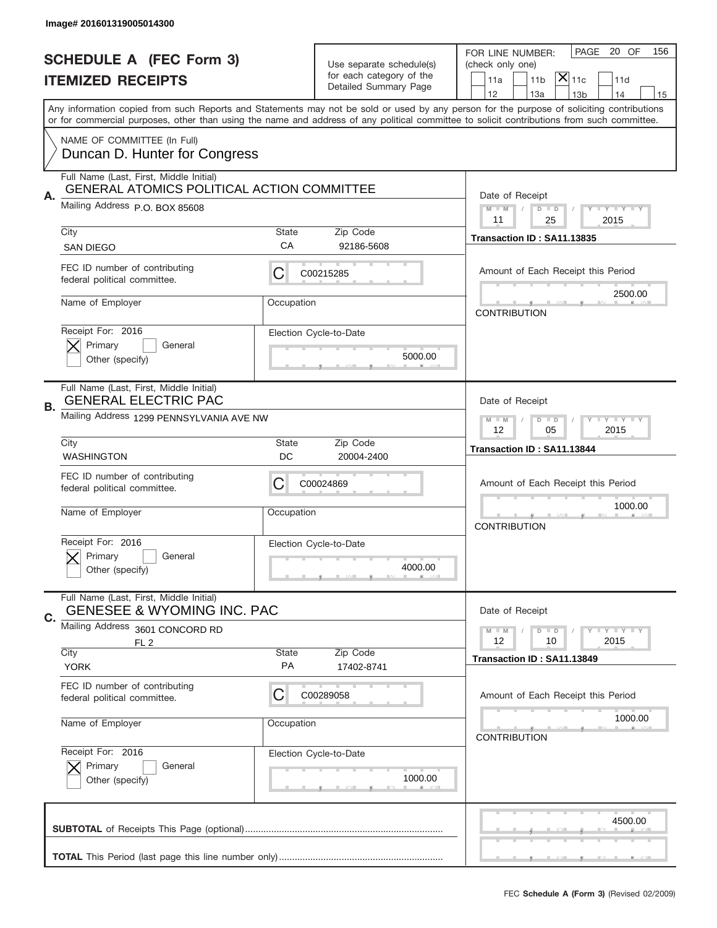|                                                                                                                                                                                                                                                                                         | Image# 201601319005014300                                                                    |                                                             |                                   |                                                                                 |
|-----------------------------------------------------------------------------------------------------------------------------------------------------------------------------------------------------------------------------------------------------------------------------------------|----------------------------------------------------------------------------------------------|-------------------------------------------------------------|-----------------------------------|---------------------------------------------------------------------------------|
|                                                                                                                                                                                                                                                                                         | <b>SCHEDULE A (FEC Form 3)</b>                                                               |                                                             | Use separate schedule(s)          | 20 OF<br>PAGE<br>156<br>FOR LINE NUMBER:<br>(check only one)                    |
|                                                                                                                                                                                                                                                                                         | <b>ITEMIZED RECEIPTS</b>                                                                     |                                                             | for each category of the          | $\mathsf{\bar{X}}\vert_{\mathsf{11c}}$<br>11 <sub>b</sub><br>11a<br>11d         |
| Any information copied from such Reports and Statements may not be sold or used by any person for the purpose of soliciting contributions<br>or for commercial purposes, other than using the name and address of any political committee to solicit contributions from such committee. |                                                                                              |                                                             | Detailed Summary Page             | 12<br>13a<br>13 <sub>b</sub><br>14<br>15                                        |
|                                                                                                                                                                                                                                                                                         |                                                                                              |                                                             |                                   |                                                                                 |
|                                                                                                                                                                                                                                                                                         | NAME OF COMMITTEE (In Full)<br>Duncan D. Hunter for Congress                                 |                                                             |                                   |                                                                                 |
|                                                                                                                                                                                                                                                                                         | Full Name (Last, First, Middle Initial)<br><b>GENERAL ATOMICS POLITICAL ACTION COMMITTEE</b> |                                                             |                                   |                                                                                 |
| Α.                                                                                                                                                                                                                                                                                      | Mailing Address P.O. BOX 85608                                                               |                                                             |                                   | Date of Receipt<br>$M - M$<br><b>LEY LEY LEY</b><br>$D$ $D$<br>11<br>2015<br>25 |
|                                                                                                                                                                                                                                                                                         | City<br><b>SAN DIEGO</b>                                                                     | State<br>СA                                                 | Zip Code<br>92186-5608            | Transaction ID: SA11.13835                                                      |
|                                                                                                                                                                                                                                                                                         | FEC ID number of contributing<br>federal political committee.                                | С                                                           | C00215285                         | Amount of Each Receipt this Period                                              |
|                                                                                                                                                                                                                                                                                         | Name of Employer                                                                             | Occupation                                                  |                                   | 2500.00<br><b>CONTRIBUTION</b>                                                  |
|                                                                                                                                                                                                                                                                                         | Receipt For: 2016<br>Primary<br>General<br>Other (specify)                                   |                                                             | Election Cycle-to-Date<br>5000.00 |                                                                                 |
| В.                                                                                                                                                                                                                                                                                      | Full Name (Last, First, Middle Initial)<br><b>GENERAL ELECTRIC PAC</b>                       |                                                             |                                   | Date of Receipt                                                                 |
|                                                                                                                                                                                                                                                                                         | Mailing Address 1299 PENNSYLVANIA AVE NW                                                     | $D$ $D$<br><b>LEYTEY LEY</b><br>$M - M$<br>12<br>05<br>2015 |                                   |                                                                                 |
|                                                                                                                                                                                                                                                                                         | City<br><b>WASHINGTON</b>                                                                    | State<br>DC                                                 | Zip Code<br>20004-2400            | Transaction ID: SA11.13844                                                      |
|                                                                                                                                                                                                                                                                                         | FEC ID number of contributing<br>federal political committee.                                | С                                                           | C00024869                         | Amount of Each Receipt this Period                                              |
|                                                                                                                                                                                                                                                                                         | Name of Employer                                                                             | Occupation                                                  |                                   | 1000.00<br><b>CONTRIBUTION</b>                                                  |
|                                                                                                                                                                                                                                                                                         | Receipt For: 2016<br>Primary<br>General<br>Other (specify)                                   |                                                             | Election Cycle-to-Date<br>4000.00 |                                                                                 |
|                                                                                                                                                                                                                                                                                         | Full Name (Last, First, Middle Initial)                                                      |                                                             |                                   |                                                                                 |
| C.                                                                                                                                                                                                                                                                                      | <b>GENESEE &amp; WYOMING INC. PAC</b>                                                        |                                                             |                                   | Date of Receipt                                                                 |
|                                                                                                                                                                                                                                                                                         | Mailing Address 3601 CONCORD RD                                                              |                                                             |                                   | <b>LYLYLY</b><br>$M - M$<br>$D$ $D$                                             |
|                                                                                                                                                                                                                                                                                         | FL <sub>2</sub><br>City<br><b>YORK</b>                                                       | <b>State</b><br>PA                                          | Zip Code<br>17402-8741            | 12<br>2015<br>10<br>Transaction ID: SA11.13849                                  |
|                                                                                                                                                                                                                                                                                         | FEC ID number of contributing<br>federal political committee.                                | С                                                           | C00289058                         | Amount of Each Receipt this Period                                              |
|                                                                                                                                                                                                                                                                                         | Name of Employer                                                                             | Occupation                                                  |                                   | 1000.00<br><b>CONTRIBUTION</b>                                                  |
|                                                                                                                                                                                                                                                                                         | Receipt For: 2016<br>Primary<br>General<br>Other (specify)                                   |                                                             | Election Cycle-to-Date<br>1000.00 |                                                                                 |
|                                                                                                                                                                                                                                                                                         |                                                                                              |                                                             |                                   | 4500.00                                                                         |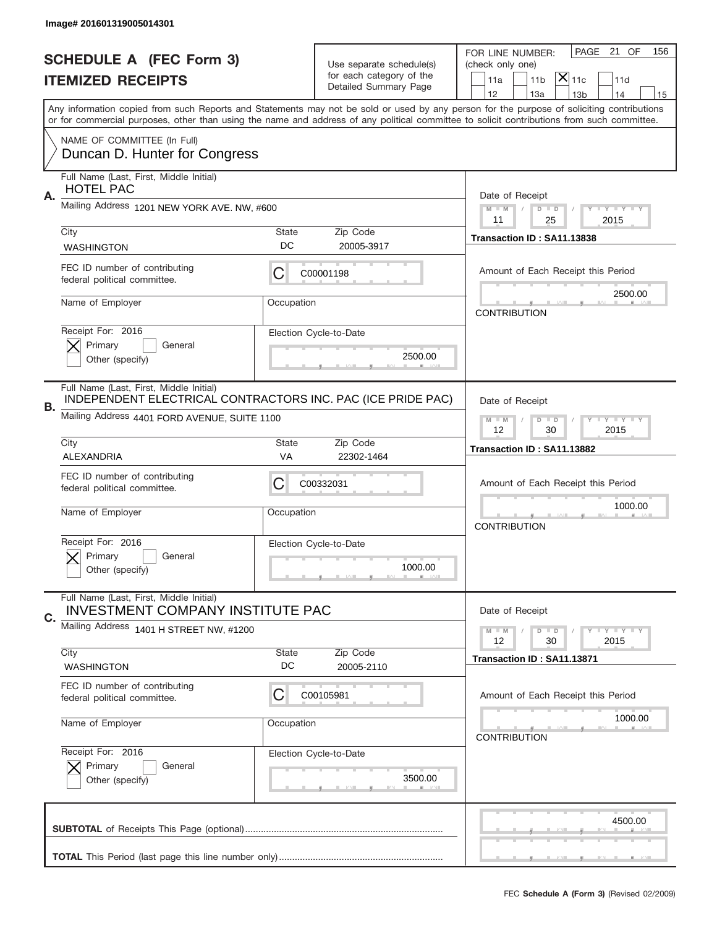|    | Image# 201601319005014301                                                                              |             |                                                   |                                                                                                                                                                                                                                                                                                                                     |
|----|--------------------------------------------------------------------------------------------------------|-------------|---------------------------------------------------|-------------------------------------------------------------------------------------------------------------------------------------------------------------------------------------------------------------------------------------------------------------------------------------------------------------------------------------|
|    | <b>SCHEDULE A (FEC Form 3)</b>                                                                         |             | Use separate schedule(s)                          | PAGE 21 OF<br>156<br>FOR LINE NUMBER:<br>(check only one)                                                                                                                                                                                                                                                                           |
|    | <b>ITEMIZED RECEIPTS</b>                                                                               |             | for each category of the<br>Detailed Summary Page | $ \overline{\mathsf{X}} _{\mathsf{11c}}$<br>11d<br>11a<br>11 <sub>b</sub>                                                                                                                                                                                                                                                           |
|    |                                                                                                        |             |                                                   | 12<br>13a<br>14<br>13 <sub>b</sub><br>15<br>Any information copied from such Reports and Statements may not be sold or used by any person for the purpose of soliciting contributions<br>or for commercial purposes, other than using the name and address of any political committee to solicit contributions from such committee. |
|    | NAME OF COMMITTEE (In Full)<br>Duncan D. Hunter for Congress                                           |             |                                                   |                                                                                                                                                                                                                                                                                                                                     |
| Α. | Full Name (Last, First, Middle Initial)<br><b>HOTEL PAC</b>                                            |             |                                                   | Date of Receipt                                                                                                                                                                                                                                                                                                                     |
|    | Mailing Address 1201 NEW YORK AVE. NW, #600                                                            |             |                                                   | $M - M$<br><b>LEY LEY LEY</b><br>$D$ $D$<br>2015<br>11<br>25                                                                                                                                                                                                                                                                        |
|    | City<br><b>WASHINGTON</b>                                                                              | State<br>DC | Zip Code<br>20005-3917                            | Transaction ID: SA11.13838                                                                                                                                                                                                                                                                                                          |
|    | FEC ID number of contributing<br>federal political committee.                                          | C           | C00001198                                         | Amount of Each Receipt this Period                                                                                                                                                                                                                                                                                                  |
|    | Name of Employer                                                                                       | Occupation  |                                                   | 2500.00<br><b>CONTRIBUTION</b>                                                                                                                                                                                                                                                                                                      |
|    | Receipt For: 2016<br>Primary<br>General<br>Other (specify)                                             |             | Election Cycle-to-Date<br>2500.00                 |                                                                                                                                                                                                                                                                                                                                     |
| В. | Full Name (Last, First, Middle Initial)<br>INDEPENDENT ELECTRICAL CONTRACTORS INC. PAC (ICE PRIDE PAC) |             |                                                   | Date of Receipt                                                                                                                                                                                                                                                                                                                     |
|    | Mailing Address 4401 FORD AVENUE, SUITE 1100                                                           |             |                                                   | $M - M$<br>$D$ $D$<br><b>LYLYLY</b><br>12<br>30<br>2015                                                                                                                                                                                                                                                                             |
|    | City<br>ALEXANDRIA                                                                                     | State<br>VA | Zip Code<br>22302-1464                            | Transaction ID: SA11.13882                                                                                                                                                                                                                                                                                                          |
|    | FEC ID number of contributing<br>federal political committee.                                          | C           | C00332031                                         | Amount of Each Receipt this Period                                                                                                                                                                                                                                                                                                  |
|    | Name of Employer                                                                                       | Occupation  |                                                   | 1000.00<br><b>CONTRIBUTION</b>                                                                                                                                                                                                                                                                                                      |
|    | Receipt For: 2016<br>General<br>Primary<br>Other (specify)                                             |             | Election Cycle-to-Date<br>1000.00                 |                                                                                                                                                                                                                                                                                                                                     |
| C. | Full Name (Last, First, Middle Initial)<br><b>INVESTMENT COMPANY INSTITUTE PAC</b>                     |             |                                                   | Date of Receipt                                                                                                                                                                                                                                                                                                                     |
|    | Mailing Address 1401 H STREET NW, #1200                                                                |             |                                                   | <b>LYLYLY</b><br>$M - M$<br>$D$ $D$<br>12<br>2015<br>30                                                                                                                                                                                                                                                                             |
|    | City<br><b>WASHINGTON</b>                                                                              | State<br>DC | Zip Code<br>20005-2110                            | Transaction ID: SA11.13871                                                                                                                                                                                                                                                                                                          |
|    |                                                                                                        |             |                                                   |                                                                                                                                                                                                                                                                                                                                     |
|    | FEC ID number of contributing<br>federal political committee.                                          | C           | C00105981                                         | Amount of Each Receipt this Period                                                                                                                                                                                                                                                                                                  |
|    | Name of Employer                                                                                       | Occupation  |                                                   | 1000.00<br><b>CONTRIBUTION</b>                                                                                                                                                                                                                                                                                                      |
|    | Receipt For: 2016<br>Primary<br>General<br>Other (specify)                                             |             | Election Cycle-to-Date<br>3500.00                 |                                                                                                                                                                                                                                                                                                                                     |
|    |                                                                                                        |             |                                                   | 4500.00                                                                                                                                                                                                                                                                                                                             |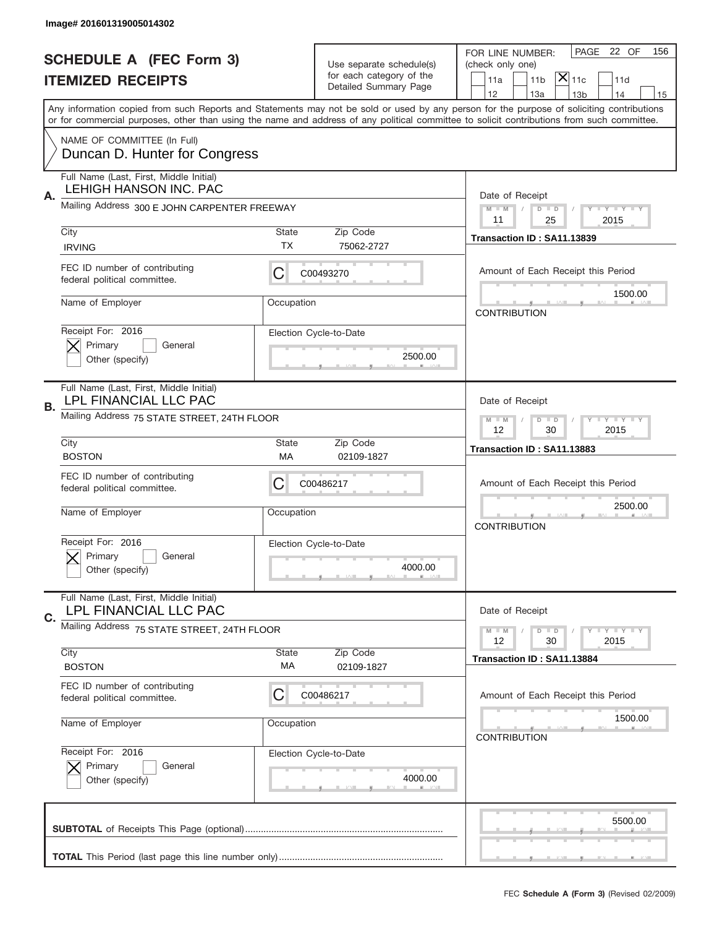|    | Image# 201601319005014302                                                |                                                             |                                                   |                                                                                                                                                                                                                                                                                                                                     |
|----|--------------------------------------------------------------------------|-------------------------------------------------------------|---------------------------------------------------|-------------------------------------------------------------------------------------------------------------------------------------------------------------------------------------------------------------------------------------------------------------------------------------------------------------------------------------|
|    | <b>SCHEDULE A (FEC Form 3)</b>                                           |                                                             | Use separate schedule(s)                          | PAGE 22 OF<br>156<br>FOR LINE NUMBER:<br>(check only one)                                                                                                                                                                                                                                                                           |
|    | <b>ITEMIZED RECEIPTS</b>                                                 |                                                             | for each category of the<br>Detailed Summary Page | $ \mathsf{\overline{X}} _{\mathsf{11c}}$<br>11a<br>11 <sub>b</sub><br>11d                                                                                                                                                                                                                                                           |
|    |                                                                          |                                                             |                                                   | 12<br>13a<br>13 <sub>b</sub><br>14<br>15<br>Any information copied from such Reports and Statements may not be sold or used by any person for the purpose of soliciting contributions<br>or for commercial purposes, other than using the name and address of any political committee to solicit contributions from such committee. |
|    | NAME OF COMMITTEE (In Full)<br>Duncan D. Hunter for Congress             |                                                             |                                                   |                                                                                                                                                                                                                                                                                                                                     |
| Α. | Full Name (Last, First, Middle Initial)<br><b>LEHIGH HANSON INC. PAC</b> |                                                             |                                                   | Date of Receipt                                                                                                                                                                                                                                                                                                                     |
|    | Mailing Address 300 E JOHN CARPENTER FREEWAY                             |                                                             |                                                   | <b>LEY LEY LEY</b><br>$M - M$<br>$D$ $D$<br>11<br>25<br>2015                                                                                                                                                                                                                                                                        |
|    | City<br><b>IRVING</b>                                                    | State<br><b>TX</b>                                          | Zip Code<br>75062-2727                            | Transaction ID: SA11.13839                                                                                                                                                                                                                                                                                                          |
|    | FEC ID number of contributing<br>federal political committee.            | С                                                           | C00493270                                         | Amount of Each Receipt this Period                                                                                                                                                                                                                                                                                                  |
|    | Name of Employer                                                         | Occupation                                                  |                                                   | 1500.00<br><b>CONTRIBUTION</b>                                                                                                                                                                                                                                                                                                      |
|    | Receipt For: 2016<br>Primary<br>General<br>Other (specify)               |                                                             | Election Cycle-to-Date<br>2500.00                 |                                                                                                                                                                                                                                                                                                                                     |
| В. | Full Name (Last, First, Middle Initial)<br>LPL FINANCIAL LLC PAC         |                                                             |                                                   | Date of Receipt                                                                                                                                                                                                                                                                                                                     |
|    | Mailing Address 75 STATE STREET, 24TH FLOOR                              | $D$ $D$<br><b>LEYTEY LEY</b><br>$M - M$<br>12<br>30<br>2015 |                                                   |                                                                                                                                                                                                                                                                                                                                     |
|    | City<br><b>BOSTON</b>                                                    | State<br>МA                                                 | Zip Code<br>02109-1827                            | Transaction ID: SA11.13883                                                                                                                                                                                                                                                                                                          |
|    |                                                                          |                                                             |                                                   |                                                                                                                                                                                                                                                                                                                                     |
|    | FEC ID number of contributing<br>federal political committee.            | C                                                           | C00486217                                         | Amount of Each Receipt this Period                                                                                                                                                                                                                                                                                                  |
|    | Name of Employer                                                         | Occupation                                                  |                                                   | 2500.00<br><b>CONTRIBUTION</b>                                                                                                                                                                                                                                                                                                      |
|    | Receipt For: 2016<br>Primary<br>General<br>Other (specify)               |                                                             | Election Cycle-to-Date<br>4000.00                 |                                                                                                                                                                                                                                                                                                                                     |
|    | Full Name (Last, First, Middle Initial)<br>LPL FINANCIAL LLC PAC         |                                                             |                                                   | Date of Receipt                                                                                                                                                                                                                                                                                                                     |
| C. | Mailing Address 75 STATE STREET, 24TH FLOOR                              |                                                             |                                                   | <b>LYLYLY</b><br>$M - M$<br>$D$ $D$<br>2015<br>12<br>30                                                                                                                                                                                                                                                                             |
|    | City<br><b>BOSTON</b>                                                    | State<br>МA                                                 | Zip Code<br>02109-1827                            | Transaction ID: SA11.13884                                                                                                                                                                                                                                                                                                          |
|    | FEC ID number of contributing<br>federal political committee.            | C                                                           | C00486217                                         | Amount of Each Receipt this Period                                                                                                                                                                                                                                                                                                  |
|    | Name of Employer                                                         | Occupation                                                  |                                                   | 1500.00<br><b>CONTRIBUTION</b>                                                                                                                                                                                                                                                                                                      |
|    | Receipt For: 2016<br>Primary<br>General<br>Other (specify)               |                                                             | Election Cycle-to-Date<br>4000.00                 |                                                                                                                                                                                                                                                                                                                                     |
|    |                                                                          |                                                             |                                                   | 5500.00                                                                                                                                                                                                                                                                                                                             |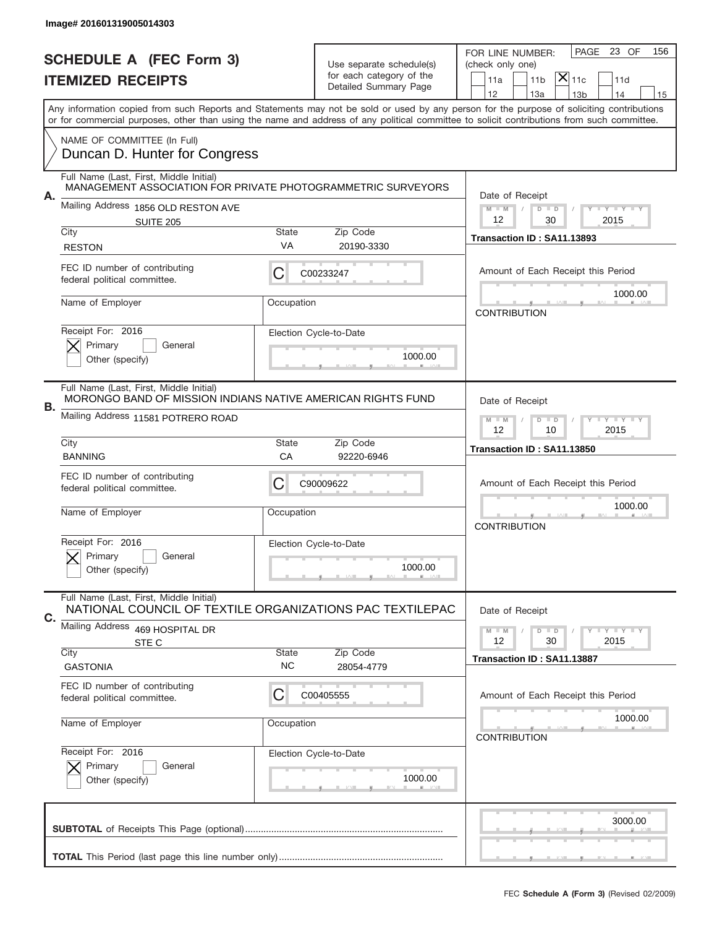|    | Image# 201601319005014303                                                                               |                                                           |                                                                   |                                                                                                                                                                                                                                                                                                                                     |
|----|---------------------------------------------------------------------------------------------------------|-----------------------------------------------------------|-------------------------------------------------------------------|-------------------------------------------------------------------------------------------------------------------------------------------------------------------------------------------------------------------------------------------------------------------------------------------------------------------------------------|
|    | <b>SCHEDULE A (FEC Form 3)</b>                                                                          |                                                           | Use separate schedule(s)                                          | 23 OF<br>PAGE<br>156<br>FOR LINE NUMBER:<br>(check only one)                                                                                                                                                                                                                                                                        |
|    | <b>ITEMIZED RECEIPTS</b>                                                                                |                                                           | for each category of the<br>Detailed Summary Page                 | $ \mathsf{X} _{\mathsf{11c}}$<br>11 <sub>b</sub><br>11d<br>11a                                                                                                                                                                                                                                                                      |
|    |                                                                                                         |                                                           |                                                                   | 12<br>13a<br>14<br>13 <sub>b</sub><br>15<br>Any information copied from such Reports and Statements may not be sold or used by any person for the purpose of soliciting contributions<br>or for commercial purposes, other than using the name and address of any political committee to solicit contributions from such committee. |
|    | NAME OF COMMITTEE (In Full)<br>Duncan D. Hunter for Congress                                            |                                                           |                                                                   |                                                                                                                                                                                                                                                                                                                                     |
| А. | Full Name (Last, First, Middle Initial)<br>MANAGEMENT ASSOCIATION FOR PRIVATE PHOTOGRAMMETRIC SURVEYORS |                                                           |                                                                   | Date of Receipt                                                                                                                                                                                                                                                                                                                     |
|    | Mailing Address 1856 OLD RESTON AVE<br><b>SUITE 205</b>                                                 |                                                           |                                                                   | $M$ M<br>$D$ $D$<br><b>THEY THEY</b><br>12<br>2015<br>30                                                                                                                                                                                                                                                                            |
|    | City<br><b>RESTON</b>                                                                                   | State<br>VA                                               | Zip Code<br>20190-3330                                            | Transaction ID: SA11.13893                                                                                                                                                                                                                                                                                                          |
|    | FEC ID number of contributing<br>federal political committee.                                           | С                                                         | C00233247                                                         | Amount of Each Receipt this Period                                                                                                                                                                                                                                                                                                  |
|    | Name of Employer                                                                                        | Occupation                                                |                                                                   | 1000.00<br><b>CONTRIBUTION</b>                                                                                                                                                                                                                                                                                                      |
|    | Receipt For: 2016<br>Primary<br>General<br>Other (specify)                                              |                                                           | Election Cycle-to-Date<br>1000.00                                 |                                                                                                                                                                                                                                                                                                                                     |
| В. | Full Name (Last, First, Middle Initial)<br>MORONGO BAND OF MISSION INDIANS NATIVE AMERICAN RIGHTS FUND  |                                                           |                                                                   | Date of Receipt                                                                                                                                                                                                                                                                                                                     |
|    | Mailing Address 11581 POTRERO ROAD                                                                      | $M - M$<br>$D$ $D$<br><b>LY LY LY</b><br>12<br>10<br>2015 |                                                                   |                                                                                                                                                                                                                                                                                                                                     |
|    | City<br><b>BANNING</b>                                                                                  | <b>State</b><br>CA                                        | Zip Code<br>92220-6946                                            | Transaction ID: SA11.13850                                                                                                                                                                                                                                                                                                          |
|    | FEC ID number of contributing<br>federal political committee.                                           | C                                                         | C90009622                                                         | Amount of Each Receipt this Period                                                                                                                                                                                                                                                                                                  |
|    | Name of Employer                                                                                        | Occupation                                                |                                                                   | 1000.00<br><b>CONTRIBUTION</b>                                                                                                                                                                                                                                                                                                      |
|    | Receipt For: 2016<br>General<br>Primary<br>Other (specify)                                              |                                                           | Election Cycle-to-Date<br>1000.00                                 |                                                                                                                                                                                                                                                                                                                                     |
| C. | Full Name (Last, First, Middle Initial)<br>NATIONAL COUNCIL OF TEXTILE ORGANIZATIONS PAC TEXTILEPAC     |                                                           |                                                                   | Date of Receipt                                                                                                                                                                                                                                                                                                                     |
|    | Mailing Address 469 HOSPITAL DR<br>STE C                                                                |                                                           | $D$ $D$<br>$I - Y - I - Y - I - Y$<br>$M - M$<br>12<br>30<br>2015 |                                                                                                                                                                                                                                                                                                                                     |
|    | City<br><b>GASTONIA</b>                                                                                 | <b>State</b><br>NC                                        | Zip Code<br>28054-4779                                            | Transaction ID: SA11.13887                                                                                                                                                                                                                                                                                                          |
|    | FEC ID number of contributing<br>federal political committee.                                           | C                                                         | C00405555                                                         | Amount of Each Receipt this Period                                                                                                                                                                                                                                                                                                  |
|    | Name of Employer                                                                                        | Occupation                                                |                                                                   | 1000.00<br><b>CONTRIBUTION</b>                                                                                                                                                                                                                                                                                                      |
|    | Receipt For: 2016<br>Primary<br>General<br>Other (specify)                                              |                                                           | Election Cycle-to-Date<br>1000.00                                 |                                                                                                                                                                                                                                                                                                                                     |
|    |                                                                                                         |                                                           |                                                                   | 3000.00                                                                                                                                                                                                                                                                                                                             |
|    |                                                                                                         |                                                           |                                                                   | __                                                                                                                                                                                                                                                                                                                                  |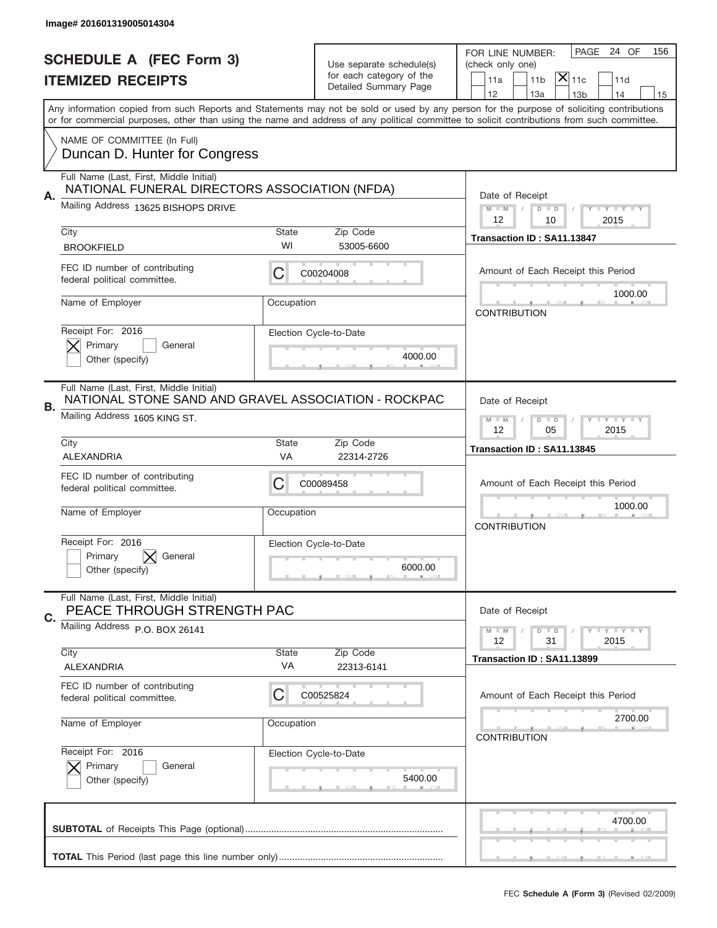|    | Image# 201601319005014304                                                                       |                                                           |                                                   |                                                                                                                                                                                                                                                                                                                                     |
|----|-------------------------------------------------------------------------------------------------|-----------------------------------------------------------|---------------------------------------------------|-------------------------------------------------------------------------------------------------------------------------------------------------------------------------------------------------------------------------------------------------------------------------------------------------------------------------------------|
|    | <b>SCHEDULE A (FEC Form 3)</b>                                                                  |                                                           | Use separate schedule(s)                          | PAGE 24 OF<br>156<br>FOR LINE NUMBER:<br>(check only one)                                                                                                                                                                                                                                                                           |
|    | <b>ITEMIZED RECEIPTS</b>                                                                        |                                                           | for each category of the<br>Detailed Summary Page | $ \mathsf{X} _{\mathsf{11c}}$<br>11 <sub>b</sub><br>11d<br>11a                                                                                                                                                                                                                                                                      |
|    |                                                                                                 |                                                           |                                                   | 12<br>13a<br>14<br>13 <sub>b</sub><br>15<br>Any information copied from such Reports and Statements may not be sold or used by any person for the purpose of soliciting contributions<br>or for commercial purposes, other than using the name and address of any political committee to solicit contributions from such committee. |
|    | NAME OF COMMITTEE (In Full)<br>Duncan D. Hunter for Congress                                    |                                                           |                                                   |                                                                                                                                                                                                                                                                                                                                     |
|    | Full Name (Last, First, Middle Initial)<br>NATIONAL FUNERAL DIRECTORS ASSOCIATION (NFDA)        |                                                           |                                                   |                                                                                                                                                                                                                                                                                                                                     |
| Α. | Mailing Address 13625 BISHOPS DRIVE                                                             |                                                           |                                                   | Date of Receipt<br>$M$ $M$<br><b>LEY LEY LEY</b><br>$D$ $D$<br>12<br>2015<br>10                                                                                                                                                                                                                                                     |
|    | City<br><b>BROOKFIELD</b>                                                                       | <b>State</b><br>WI                                        | Zip Code<br>53005-6600                            | Transaction ID: SA11.13847                                                                                                                                                                                                                                                                                                          |
|    | FEC ID number of contributing<br>federal political committee.                                   | C                                                         | C00204008                                         | Amount of Each Receipt this Period<br>1000.00                                                                                                                                                                                                                                                                                       |
|    | Name of Employer                                                                                | Occupation                                                |                                                   | <b>CONTRIBUTION</b>                                                                                                                                                                                                                                                                                                                 |
|    | Receipt For: 2016<br>Primary<br>General<br>Other (specify)                                      |                                                           | Election Cycle-to-Date<br>4000.00                 |                                                                                                                                                                                                                                                                                                                                     |
| В. | Full Name (Last, First, Middle Initial)<br>NATIONAL STONE SAND AND GRAVEL ASSOCIATION - ROCKPAC |                                                           |                                                   | Date of Receipt                                                                                                                                                                                                                                                                                                                     |
|    | Mailing Address 1605 KING ST.                                                                   | $D$ $D$<br><b>LY LY LY</b><br>$M - M$<br>12<br>05<br>2015 |                                                   |                                                                                                                                                                                                                                                                                                                                     |
|    | City<br>ALEXANDRIA                                                                              | <b>State</b><br>VA                                        | Zip Code<br>22314-2726                            | Transaction ID: SA11.13845                                                                                                                                                                                                                                                                                                          |
|    | FEC ID number of contributing<br>federal political committee.                                   | C                                                         | C00089458                                         | Amount of Each Receipt this Period                                                                                                                                                                                                                                                                                                  |
|    | Name of Employer                                                                                | Occupation                                                |                                                   | 1000.00<br><b>CONTRIBUTION</b>                                                                                                                                                                                                                                                                                                      |
|    | Receipt For: 2016<br>Primary<br>General<br>Other (specify)                                      |                                                           | Election Cycle-to-Date<br>6000.00                 |                                                                                                                                                                                                                                                                                                                                     |
| C. | Full Name (Last, First, Middle Initial)<br>PEACE THROUGH STRENGTH PAC                           |                                                           |                                                   | Date of Receipt                                                                                                                                                                                                                                                                                                                     |
|    | Mailing Address P.O. BOX 26141                                                                  |                                                           |                                                   | <b>LYLYLY</b><br>$M - M$<br>$D$ $D$<br>2015<br>12<br>31                                                                                                                                                                                                                                                                             |
|    | City<br>ALEXANDRIA                                                                              | <b>State</b><br>VA                                        | Zip Code<br>22313-6141                            | Transaction ID: SA11.13899                                                                                                                                                                                                                                                                                                          |
|    | FEC ID number of contributing<br>federal political committee.                                   | C                                                         | C00525824                                         | Amount of Each Receipt this Period                                                                                                                                                                                                                                                                                                  |
|    | Name of Employer                                                                                | Occupation                                                |                                                   | 2700.00<br><b>CONTRIBUTION</b>                                                                                                                                                                                                                                                                                                      |
|    | Receipt For: 2016<br>Primary<br>General<br>Other (specify)                                      |                                                           | Election Cycle-to-Date<br>5400.00                 |                                                                                                                                                                                                                                                                                                                                     |
|    |                                                                                                 |                                                           |                                                   | 4700.00                                                                                                                                                                                                                                                                                                                             |
|    |                                                                                                 |                                                           |                                                   |                                                                                                                                                                                                                                                                                                                                     |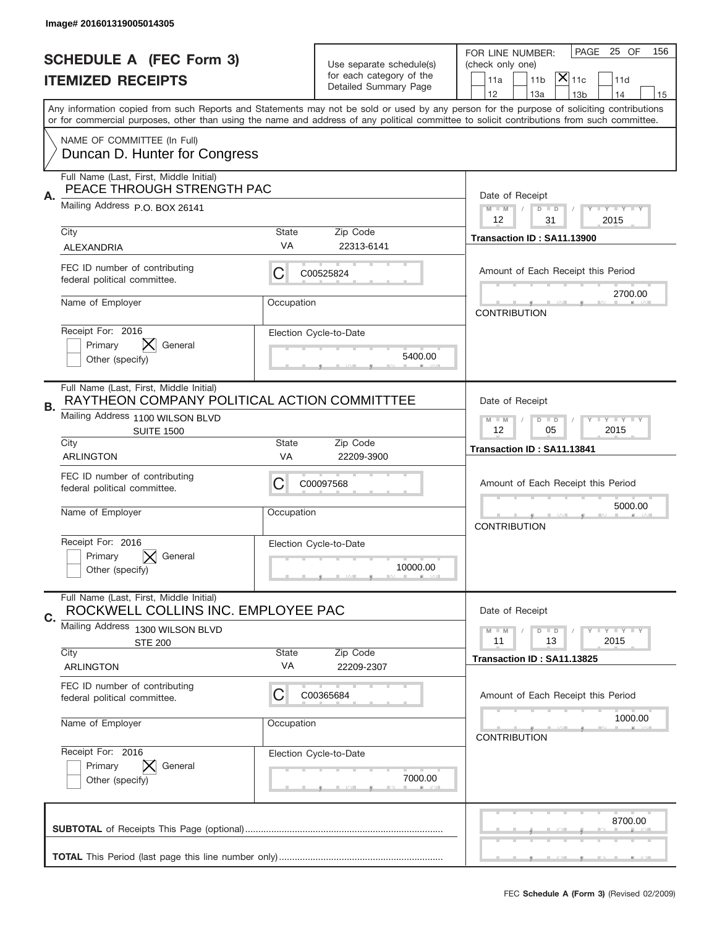|    | Image# 201601319005014305                                                                                                   |                    |                                    |                                                                                                                                                                                                                                                                                         |
|----|-----------------------------------------------------------------------------------------------------------------------------|--------------------|------------------------------------|-----------------------------------------------------------------------------------------------------------------------------------------------------------------------------------------------------------------------------------------------------------------------------------------|
|    | <b>SCHEDULE A (FEC Form 3)</b>                                                                                              |                    | Use separate schedule(s)           | 25 OF<br>PAGE<br>156<br>FOR LINE NUMBER:<br>(check only one)                                                                                                                                                                                                                            |
|    | <b>ITEMIZED RECEIPTS</b>                                                                                                    |                    | for each category of the           | $ \mathsf{X} _{\mathsf{11c}}$<br>11 <sub>b</sub><br>11d<br>11a                                                                                                                                                                                                                          |
|    |                                                                                                                             |                    | Detailed Summary Page              | 12<br>13a<br>14<br>13 <sub>b</sub><br>15                                                                                                                                                                                                                                                |
|    |                                                                                                                             |                    |                                    | Any information copied from such Reports and Statements may not be sold or used by any person for the purpose of soliciting contributions<br>or for commercial purposes, other than using the name and address of any political committee to solicit contributions from such committee. |
|    | NAME OF COMMITTEE (In Full)<br>Duncan D. Hunter for Congress                                                                |                    |                                    |                                                                                                                                                                                                                                                                                         |
| Α. | Full Name (Last, First, Middle Initial)<br>PEACE THROUGH STRENGTH PAC                                                       |                    |                                    | Date of Receipt                                                                                                                                                                                                                                                                         |
|    | Mailing Address P.O. BOX 26141                                                                                              |                    |                                    | $M$ $M$<br>Y FY FY FY<br>$D$ $D$<br>12<br>2015<br>31                                                                                                                                                                                                                                    |
|    | City<br>ALEXANDRIA                                                                                                          | State<br>VA        | Zip Code<br>22313-6141             | Transaction ID: SA11.13900                                                                                                                                                                                                                                                              |
|    | FEC ID number of contributing<br>federal political committee.                                                               | C                  | C00525824                          | Amount of Each Receipt this Period                                                                                                                                                                                                                                                      |
|    | Name of Employer                                                                                                            | Occupation         |                                    | 2700.00<br><b>CONTRIBUTION</b>                                                                                                                                                                                                                                                          |
|    | Receipt For: 2016<br>IХ.<br>Primary<br>General<br>Other (specify)                                                           |                    | Election Cycle-to-Date<br>5400.00  |                                                                                                                                                                                                                                                                                         |
| В. | Full Name (Last, First, Middle Initial)<br>RAYTHEON COMPANY POLITICAL ACTION COMMITTTEE<br>Mailing Address 1100 WILSON BLVD |                    |                                    | Date of Receipt<br>$D$ $D$<br><b>LY LY LY</b><br>$M - M$                                                                                                                                                                                                                                |
|    | <b>SUITE 1500</b><br>City                                                                                                   | 12<br>05<br>2015   |                                    |                                                                                                                                                                                                                                                                                         |
|    | <b>ARLINGTON</b>                                                                                                            | <b>State</b><br>VA | Zip Code<br>22209-3900             | Transaction ID: SA11.13841                                                                                                                                                                                                                                                              |
|    | FEC ID number of contributing<br>federal political committee.                                                               | C                  | C00097568                          | Amount of Each Receipt this Period                                                                                                                                                                                                                                                      |
|    | Name of Employer                                                                                                            | Occupation         |                                    | 5000.00<br><b>CONTRIBUTION</b>                                                                                                                                                                                                                                                          |
|    | Receipt For: 2016<br>Primary<br>General<br>Other (specify)                                                                  |                    | Election Cycle-to-Date<br>10000.00 |                                                                                                                                                                                                                                                                                         |
| C. | Full Name (Last, First, Middle Initial)<br>ROCKWELL COLLINS INC. EMPLOYEE PAC                                               |                    |                                    | Date of Receipt                                                                                                                                                                                                                                                                         |
|    | Mailing Address<br>1300 WILSON BLVD<br><b>STE 200</b>                                                                       |                    |                                    | $D$ $D$<br><b>LY LY LY</b><br>$M - M$<br>11<br>13<br>2015                                                                                                                                                                                                                               |
|    | City<br><b>ARLINGTON</b>                                                                                                    | <b>State</b><br>VA | Zip Code<br>22209-2307             | Transaction ID: SA11.13825                                                                                                                                                                                                                                                              |
|    | FEC ID number of contributing<br>federal political committee.                                                               | C                  | C00365684                          | Amount of Each Receipt this Period                                                                                                                                                                                                                                                      |
|    | Name of Employer                                                                                                            | Occupation         |                                    | 1000.00<br><b>CONTRIBUTION</b>                                                                                                                                                                                                                                                          |
|    | Receipt For: 2016<br>Primary<br>General<br>Other (specify)                                                                  |                    | Election Cycle-to-Date<br>7000.00  |                                                                                                                                                                                                                                                                                         |
|    |                                                                                                                             |                    |                                    | 8700.00                                                                                                                                                                                                                                                                                 |
|    |                                                                                                                             |                    |                                    | , , , , , , ,                                                                                                                                                                                                                                                                           |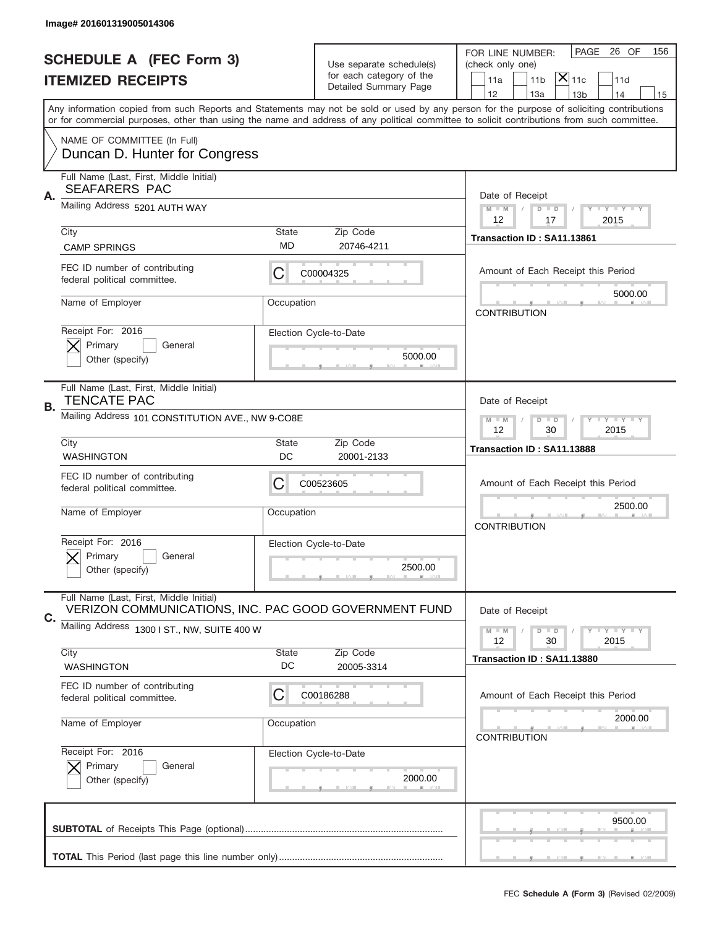|    | Image# 201601319005014306                                                                        |                                                         |                                                   |                                                                                                                                                                                       |
|----|--------------------------------------------------------------------------------------------------|---------------------------------------------------------|---------------------------------------------------|---------------------------------------------------------------------------------------------------------------------------------------------------------------------------------------|
|    | <b>SCHEDULE A (FEC Form 3)</b>                                                                   |                                                         | Use separate schedule(s)                          | PAGE 26 OF<br>156<br>FOR LINE NUMBER:<br>(check only one)                                                                                                                             |
|    | <b>ITEMIZED RECEIPTS</b>                                                                         |                                                         | for each category of the<br>Detailed Summary Page | $\mathsf{\bar{X}}\vert_{\mathsf{11c}}$<br>11 <sub>b</sub><br>11a<br>11d                                                                                                               |
|    |                                                                                                  |                                                         |                                                   | 12<br>13a<br>14<br>13 <sub>b</sub><br>15<br>Any information copied from such Reports and Statements may not be sold or used by any person for the purpose of soliciting contributions |
|    |                                                                                                  |                                                         |                                                   | or for commercial purposes, other than using the name and address of any political committee to solicit contributions from such committee.                                            |
|    | NAME OF COMMITTEE (In Full)<br>Duncan D. Hunter for Congress                                     |                                                         |                                                   |                                                                                                                                                                                       |
| Α. | Full Name (Last, First, Middle Initial)<br><b>SEAFARERS PAC</b>                                  |                                                         |                                                   | Date of Receipt                                                                                                                                                                       |
|    | Mailing Address 5201 AUTH WAY                                                                    |                                                         |                                                   | $M - M$<br><b>LEY LEY LEY</b><br>$D$ $D$<br>12<br>2015<br>17                                                                                                                          |
|    | City<br><b>CAMP SPRINGS</b>                                                                      | State<br>MD                                             | Zip Code<br>20746-4211                            | Transaction ID: SA11.13861                                                                                                                                                            |
|    | FEC ID number of contributing<br>federal political committee.                                    | С                                                       | C00004325                                         | Amount of Each Receipt this Period                                                                                                                                                    |
|    | Name of Employer                                                                                 | Occupation                                              |                                                   | 5000.00<br><b>CONTRIBUTION</b>                                                                                                                                                        |
|    | Receipt For: 2016<br>Primary<br>General<br>Other (specify)                                       |                                                         | Election Cycle-to-Date<br>5000.00                 |                                                                                                                                                                                       |
| В. | Full Name (Last, First, Middle Initial)<br><b>TENCATE PAC</b>                                    |                                                         |                                                   | Date of Receipt                                                                                                                                                                       |
|    | Mailing Address 101 CONSTITUTION AVE., NW 9-CO8E                                                 | $D$ $D$<br><b>LYLYLY</b><br>$M - M$<br>12<br>30<br>2015 |                                                   |                                                                                                                                                                                       |
|    | City<br><b>WASHINGTON</b>                                                                        | State<br>DC                                             | Zip Code<br>20001-2133                            | Transaction ID: SA11.13888                                                                                                                                                            |
|    | FEC ID number of contributing<br>federal political committee.                                    | С                                                       | C00523605                                         | Amount of Each Receipt this Period                                                                                                                                                    |
|    | Name of Employer                                                                                 | Occupation                                              |                                                   | 2500.00<br><b>CONTRIBUTION</b>                                                                                                                                                        |
|    | Receipt For: 2016<br>General<br>Primary<br>Other (specify)                                       |                                                         | Election Cycle-to-Date<br>2500.00                 |                                                                                                                                                                                       |
| C. | Full Name (Last, First, Middle Initial)<br>VERIZON COMMUNICATIONS, INC. PAC GOOD GOVERNMENT FUND |                                                         |                                                   | Date of Receipt                                                                                                                                                                       |
|    | Mailing Address 1300 I ST., NW, SUITE 400 W                                                      |                                                         |                                                   | <b>LY LY LY</b><br>$M - M$<br>$D$ $D$<br>12<br>2015<br>30                                                                                                                             |
|    | City<br>WASHINGTON                                                                               | State<br>DC                                             | Zip Code<br>20005-3314                            | Transaction ID: SA11.13880                                                                                                                                                            |
|    | FEC ID number of contributing<br>federal political committee.                                    | С                                                       | C00186288                                         | Amount of Each Receipt this Period                                                                                                                                                    |
|    | Name of Employer                                                                                 | Occupation                                              |                                                   | 2000.00<br><b>CONTRIBUTION</b>                                                                                                                                                        |
|    | Receipt For: 2016<br>Primary<br>General<br>Other (specify)                                       |                                                         | Election Cycle-to-Date<br>2000.00                 |                                                                                                                                                                                       |
|    |                                                                                                  |                                                         |                                                   | 9500.00                                                                                                                                                                               |
|    |                                                                                                  |                                                         |                                                   |                                                                                                                                                                                       |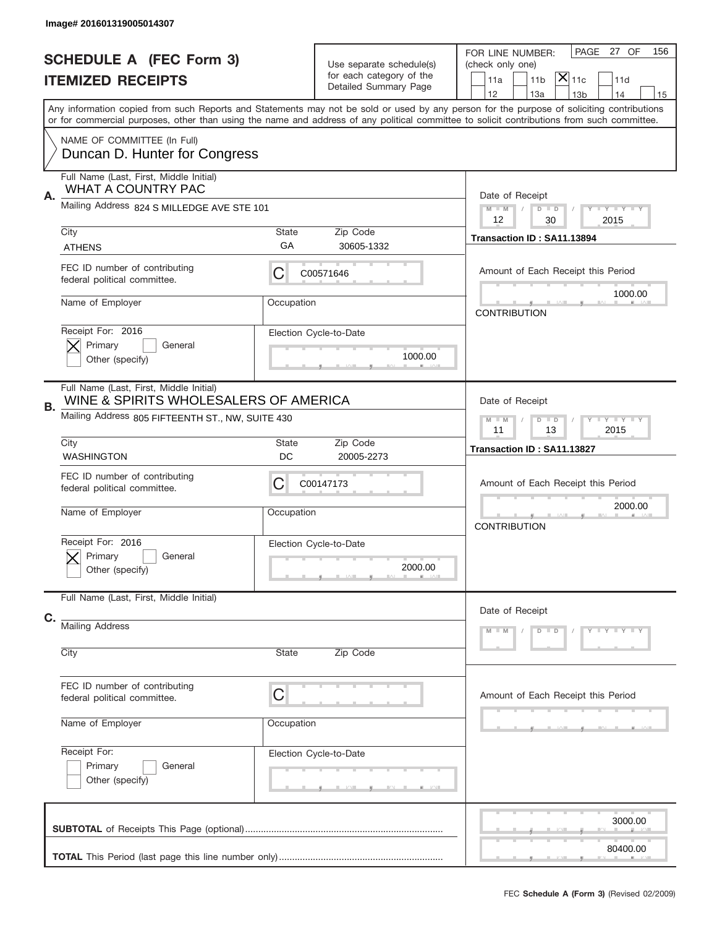|                          | Image# 201601319005014307                                                        |                    |                                                      |                                                                                                                                                                                                                                                                                         |
|--------------------------|----------------------------------------------------------------------------------|--------------------|------------------------------------------------------|-----------------------------------------------------------------------------------------------------------------------------------------------------------------------------------------------------------------------------------------------------------------------------------------|
|                          | <b>SCHEDULE A (FEC Form 3)</b>                                                   |                    |                                                      | PAGE<br>27 OF<br>156<br>FOR LINE NUMBER:                                                                                                                                                                                                                                                |
| <b>ITEMIZED RECEIPTS</b> |                                                                                  |                    | Use separate schedule(s)<br>for each category of the | (check only one)<br>$ \mathsf{X} _{\mathsf{11c}}$<br>11 <sub>b</sub><br>11d<br>11a                                                                                                                                                                                                      |
|                          |                                                                                  |                    | Detailed Summary Page                                | 12<br>13a<br>13 <sub>b</sub><br>14<br>15                                                                                                                                                                                                                                                |
|                          |                                                                                  |                    |                                                      | Any information copied from such Reports and Statements may not be sold or used by any person for the purpose of soliciting contributions<br>or for commercial purposes, other than using the name and address of any political committee to solicit contributions from such committee. |
|                          | NAME OF COMMITTEE (In Full)<br>Duncan D. Hunter for Congress                     |                    |                                                      |                                                                                                                                                                                                                                                                                         |
| Α.                       | Full Name (Last, First, Middle Initial)<br><b>WHAT A COUNTRY PAC</b>             |                    |                                                      | Date of Receipt                                                                                                                                                                                                                                                                         |
|                          | Mailing Address 824 S MILLEDGE AVE STE 101                                       |                    |                                                      | $M - M$<br><b>THEY THEY</b><br>$D$ $D$<br>12<br>2015<br>30                                                                                                                                                                                                                              |
|                          | City<br><b>ATHENS</b>                                                            | <b>State</b><br>GA | Zip Code<br>30605-1332                               | Transaction ID: SA11.13894                                                                                                                                                                                                                                                              |
|                          | FEC ID number of contributing<br>federal political committee.                    | С                  | C00571646                                            | Amount of Each Receipt this Period                                                                                                                                                                                                                                                      |
|                          | Name of Employer                                                                 | Occupation         |                                                      | 1000.00<br><b>CONTRIBUTION</b>                                                                                                                                                                                                                                                          |
|                          | Receipt For: 2016<br>Primary<br>General<br>Other (specify)                       |                    | Election Cycle-to-Date<br>1000.00                    |                                                                                                                                                                                                                                                                                         |
| В.                       | Full Name (Last, First, Middle Initial)<br>WINE & SPIRITS WHOLESALERS OF AMERICA |                    |                                                      | Date of Receipt                                                                                                                                                                                                                                                                         |
|                          | Mailing Address 805 FIFTEENTH ST., NW, SUITE 430                                 |                    |                                                      | <b>LY LY LY</b><br>$M - M$<br>$D$ $D$<br>11<br>13<br>2015                                                                                                                                                                                                                               |
|                          | City<br><b>WASHINGTON</b>                                                        | <b>State</b><br>DC | Zip Code<br>20005-2273                               | Transaction ID: SA11.13827                                                                                                                                                                                                                                                              |
|                          | FEC ID number of contributing<br>federal political committee.                    | C                  | C00147173                                            | Amount of Each Receipt this Period                                                                                                                                                                                                                                                      |
|                          | Name of Employer                                                                 | Occupation         |                                                      | 2000.00<br><b>CONTRIBUTION</b>                                                                                                                                                                                                                                                          |
|                          | Receipt For: 2016<br>General<br>Primary<br>Other (specify)                       |                    | Election Cycle-to-Date<br>2000.00                    |                                                                                                                                                                                                                                                                                         |
|                          | Full Name (Last, First, Middle Initial)                                          |                    |                                                      | Date of Receipt                                                                                                                                                                                                                                                                         |
| C.                       | <b>Mailing Address</b>                                                           |                    |                                                      | Y TY TY TY<br>$D$ $D$<br>$M - M$                                                                                                                                                                                                                                                        |
|                          | City                                                                             | State              | Zip Code                                             |                                                                                                                                                                                                                                                                                         |
|                          | FEC ID number of contributing<br>federal political committee.                    | C                  |                                                      | Amount of Each Receipt this Period                                                                                                                                                                                                                                                      |
|                          | Name of Employer                                                                 | Occupation         |                                                      |                                                                                                                                                                                                                                                                                         |
|                          | Receipt For:<br>Primary<br>General<br>Other (specify)                            |                    | Election Cycle-to-Date                               |                                                                                                                                                                                                                                                                                         |
|                          |                                                                                  |                    |                                                      | 3000.00                                                                                                                                                                                                                                                                                 |
|                          |                                                                                  |                    |                                                      | 80400.00                                                                                                                                                                                                                                                                                |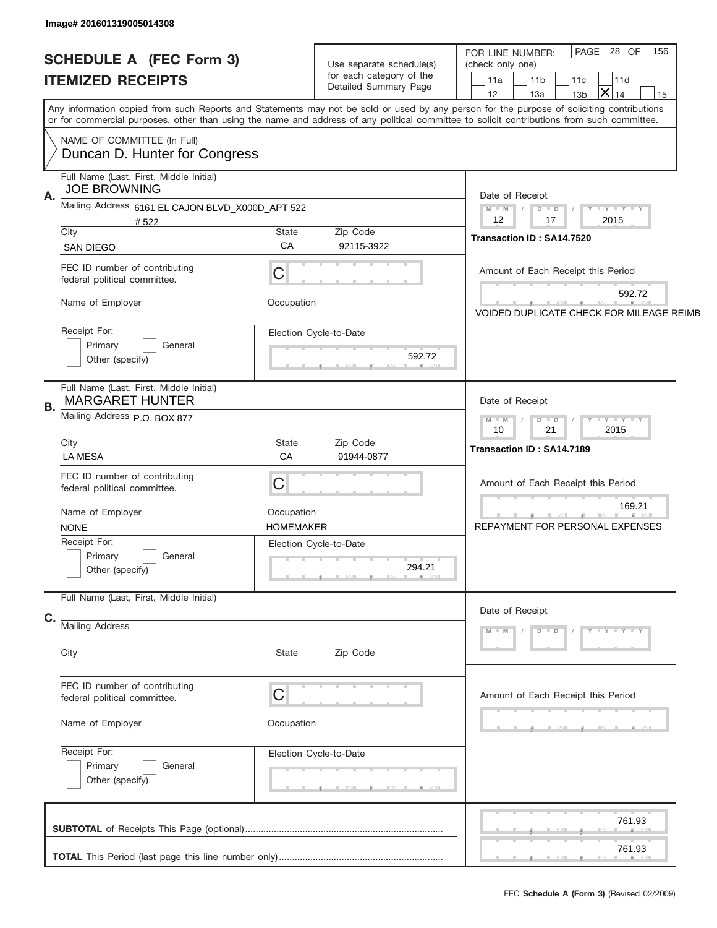| Image# 201601319005014308                                         |                                                                                                                                            |                                                                                                                                                           |
|-------------------------------------------------------------------|--------------------------------------------------------------------------------------------------------------------------------------------|-----------------------------------------------------------------------------------------------------------------------------------------------------------|
| <b>SCHEDULE A (FEC Form 3)</b><br><b>ITEMIZED RECEIPTS</b>        | Use separate schedule(s)<br>for each category of the<br>Detailed Summary Page                                                              | PAGE 28 OF<br>156<br>FOR LINE NUMBER:<br>(check only one)<br>11a<br>11 <sub>b</sub><br>11c<br>11d<br>$\times$<br>12<br>13a<br>13 <sub>b</sub><br>14<br>15 |
|                                                                   | or for commercial purposes, other than using the name and address of any political committee to solicit contributions from such committee. | Any information copied from such Reports and Statements may not be sold or used by any person for the purpose of soliciting contributions                 |
| NAME OF COMMITTEE (In Full)<br>Duncan D. Hunter for Congress      |                                                                                                                                            |                                                                                                                                                           |
| Full Name (Last, First, Middle Initial)<br><b>JOE BROWNING</b>    |                                                                                                                                            |                                                                                                                                                           |
| А.<br>Mailing Address 6161 EL CAJON BLVD_X000D_APT 522<br>#522    |                                                                                                                                            | Date of Receipt<br>$M$ M<br>$D$ $D$<br>Y FY FY FY<br>12<br>2015<br>17                                                                                     |
| City<br><b>SAN DIEGO</b>                                          | State<br>Zip Code<br>CA<br>92115-3922                                                                                                      | Transaction ID: SA14.7520                                                                                                                                 |
| FEC ID number of contributing<br>federal political committee.     | C                                                                                                                                          | Amount of Each Receipt this Period                                                                                                                        |
| Name of Employer                                                  | Occupation                                                                                                                                 | 592.72<br><b>VOIDED DUPLICATE CHECK FOR MILEAGE REIMB</b>                                                                                                 |
| Receipt For:<br>Primary<br>General<br>Other (specify)             | Election Cycle-to-Date<br>592.72                                                                                                           |                                                                                                                                                           |
| Full Name (Last, First, Middle Initial)<br><b>MARGARET HUNTER</b> |                                                                                                                                            | Date of Receipt                                                                                                                                           |
| В.<br>Mailing Address P.O. BOX 877                                | $D$ $D$<br>$Y - Y - Y - Y - Y$<br>$M - M$<br>10<br>21<br>2015                                                                              |                                                                                                                                                           |
| City<br><b>LA MESA</b>                                            | State<br>Zip Code<br>CA<br>91944-0877                                                                                                      | Transaction ID: SA14.7189                                                                                                                                 |
| FEC ID number of contributing<br>federal political committee.     | C                                                                                                                                          | Amount of Each Receipt this Period                                                                                                                        |
| Name of Employer<br><b>NONE</b>                                   | Occupation<br>HOMEMAKER                                                                                                                    | 169.21<br>REPAYMENT FOR PERSONAL EXPENSES                                                                                                                 |
| Receipt For:<br>Primary<br>General<br>Other (specify)             | Election Cycle-to-Date<br>294.21                                                                                                           |                                                                                                                                                           |
| Full Name (Last, First, Middle Initial)                           |                                                                                                                                            | Date of Receipt                                                                                                                                           |
| C.<br><b>Mailing Address</b>                                      |                                                                                                                                            | $D$ $D$<br>$Y - Y - Y - Y - Y$<br>$M - M$                                                                                                                 |
| City                                                              | State<br>Zip Code                                                                                                                          |                                                                                                                                                           |
| FEC ID number of contributing<br>federal political committee.     | C                                                                                                                                          | Amount of Each Receipt this Period                                                                                                                        |
| Name of Employer                                                  | Occupation                                                                                                                                 |                                                                                                                                                           |
| Receipt For:<br>Primary<br>General<br>Other (specify)             | Election Cycle-to-Date                                                                                                                     |                                                                                                                                                           |
|                                                                   |                                                                                                                                            | 761.93                                                                                                                                                    |
|                                                                   |                                                                                                                                            | 761.93                                                                                                                                                    |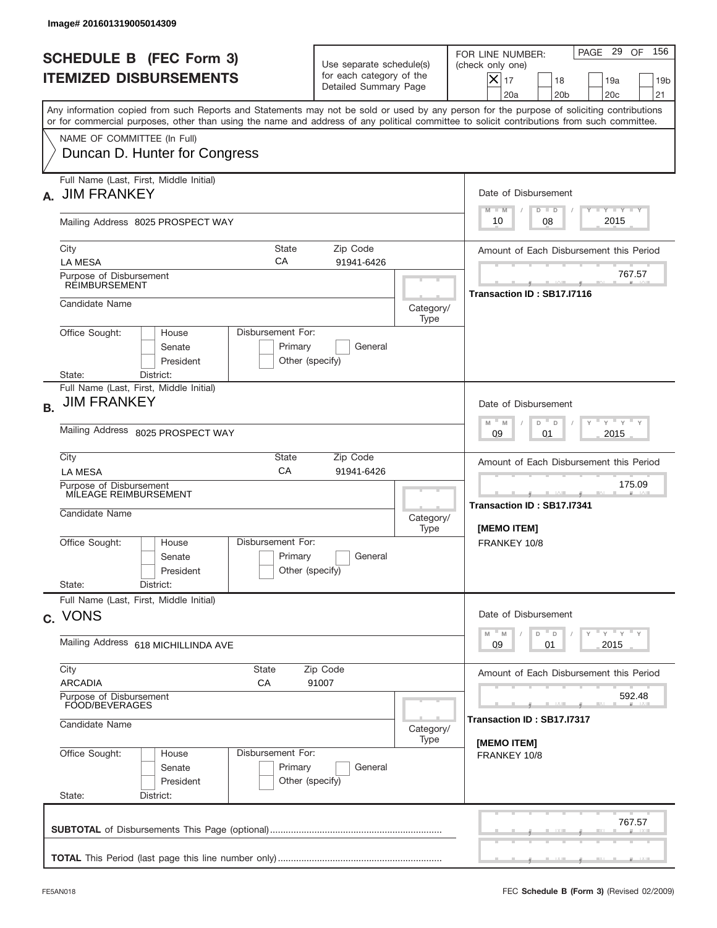| Image# 201601319005014309                                                                                                                                                                                                                                                               |                                                                               |                                                            |                                                                                                                                                                               |  |  |  |
|-----------------------------------------------------------------------------------------------------------------------------------------------------------------------------------------------------------------------------------------------------------------------------------------|-------------------------------------------------------------------------------|------------------------------------------------------------|-------------------------------------------------------------------------------------------------------------------------------------------------------------------------------|--|--|--|
| <b>SCHEDULE B (FEC Form 3)</b><br><b>ITEMIZED DISBURSEMENTS</b>                                                                                                                                                                                                                         | Use separate schedule(s)<br>for each category of the<br>Detailed Summary Page |                                                            | 156<br>PAGE 29 OF<br>FOR LINE NUMBER:<br>(check only one)<br>$ \boldsymbol{\times} $<br>17<br>18<br>19a<br>19 <sub>b</sub><br>20a<br>20 <sub>b</sub><br>20 <sub>c</sub><br>21 |  |  |  |
| Any information copied from such Reports and Statements may not be sold or used by any person for the purpose of soliciting contributions<br>or for commercial purposes, other than using the name and address of any political committee to solicit contributions from such committee. |                                                                               |                                                            |                                                                                                                                                                               |  |  |  |
| NAME OF COMMITTEE (In Full)<br>Duncan D. Hunter for Congress                                                                                                                                                                                                                            |                                                                               |                                                            |                                                                                                                                                                               |  |  |  |
| Full Name (Last, First, Middle Initial)<br><b>JIM FRANKEY</b>                                                                                                                                                                                                                           |                                                                               |                                                            | Date of Disbursement                                                                                                                                                          |  |  |  |
| Mailing Address 8025 PROSPECT WAY                                                                                                                                                                                                                                                       |                                                                               |                                                            | Y FY FY FY<br>$M - M$<br>$D$ $D$<br>2015<br>08<br>10                                                                                                                          |  |  |  |
| City<br>СA<br><b>LA MESA</b>                                                                                                                                                                                                                                                            | State<br>Zip Code<br>91941-6426                                               |                                                            | Amount of Each Disbursement this Period                                                                                                                                       |  |  |  |
| Purpose of Disbursement<br>REIMBURSEMENT                                                                                                                                                                                                                                                |                                                                               |                                                            | 767.57<br>Transaction ID: SB17.I7116                                                                                                                                          |  |  |  |
| Candidate Name                                                                                                                                                                                                                                                                          |                                                                               | Category/<br>Type                                          |                                                                                                                                                                               |  |  |  |
| Office Sought:<br>House<br>Senate<br>President                                                                                                                                                                                                                                          | Disbursement For:<br>Primary<br>General<br>Other (specify)                    |                                                            |                                                                                                                                                                               |  |  |  |
| State:<br>District:<br>Full Name (Last, First, Middle Initial)                                                                                                                                                                                                                          |                                                                               |                                                            |                                                                                                                                                                               |  |  |  |
| <b>JIM FRANKEY</b><br><b>B.</b>                                                                                                                                                                                                                                                         |                                                                               |                                                            | Date of Disbursement<br>ү " ү " ү " ү<br>$M - M$                                                                                                                              |  |  |  |
| Mailing Address 8025 PROSPECT WAY                                                                                                                                                                                                                                                       | D<br>$\Box$<br>2015<br>09<br>01                                               |                                                            |                                                                                                                                                                               |  |  |  |
| City<br><b>LA MESA</b>                                                                                                                                                                                                                                                                  | State<br>Zip Code<br>CA<br>91941-6426                                         |                                                            | Amount of Each Disbursement this Period                                                                                                                                       |  |  |  |
| Purpose of Disbursement<br>MILEAGE REIMBURSEMENT<br>Candidate Name                                                                                                                                                                                                                      | Category/<br>Type                                                             | 175.09<br>___<br>Transaction ID: SB17.I7341<br>[MEMO ITEM] |                                                                                                                                                                               |  |  |  |
| Disbursement For:<br>Office Sought:<br>House<br>Senate<br>President                                                                                                                                                                                                                     | Primary<br>General<br>Other (specify)                                         |                                                            | FRANKEY 10/8                                                                                                                                                                  |  |  |  |
| State:<br>District:<br>Full Name (Last, First, Middle Initial)                                                                                                                                                                                                                          |                                                                               |                                                            |                                                                                                                                                                               |  |  |  |
| c. VONS                                                                                                                                                                                                                                                                                 | Date of Disbursement<br>$Y$ $Y$ $Y$ $Y$ $Y$<br>$-M$<br>M                      |                                                            |                                                                                                                                                                               |  |  |  |
| Mailing Address 618 MICHILLINDA AVE                                                                                                                                                                                                                                                     | D<br>D<br>09<br>2015<br>01                                                    |                                                            |                                                                                                                                                                               |  |  |  |
| City<br><b>State</b><br><b>ARCADIA</b><br>СA                                                                                                                                                                                                                                            | Zip Code<br>91007                                                             |                                                            |                                                                                                                                                                               |  |  |  |
| Purpose of Disbursement<br>FOOD/BEVERAGES<br>Candidate Name                                                                                                                                                                                                                             |                                                                               | 592.48<br>Transaction ID: SB17.I7317                       |                                                                                                                                                                               |  |  |  |
| Office Sought:<br>Disbursement For:<br>House<br>Senate<br>President<br>State:<br>District:                                                                                                                                                                                              | Primary<br>General<br>Other (specify)                                         | Category/<br>Type                                          | [MEMO ITEM]<br>FRANKEY 10/8                                                                                                                                                   |  |  |  |
|                                                                                                                                                                                                                                                                                         |                                                                               |                                                            | 767.57                                                                                                                                                                        |  |  |  |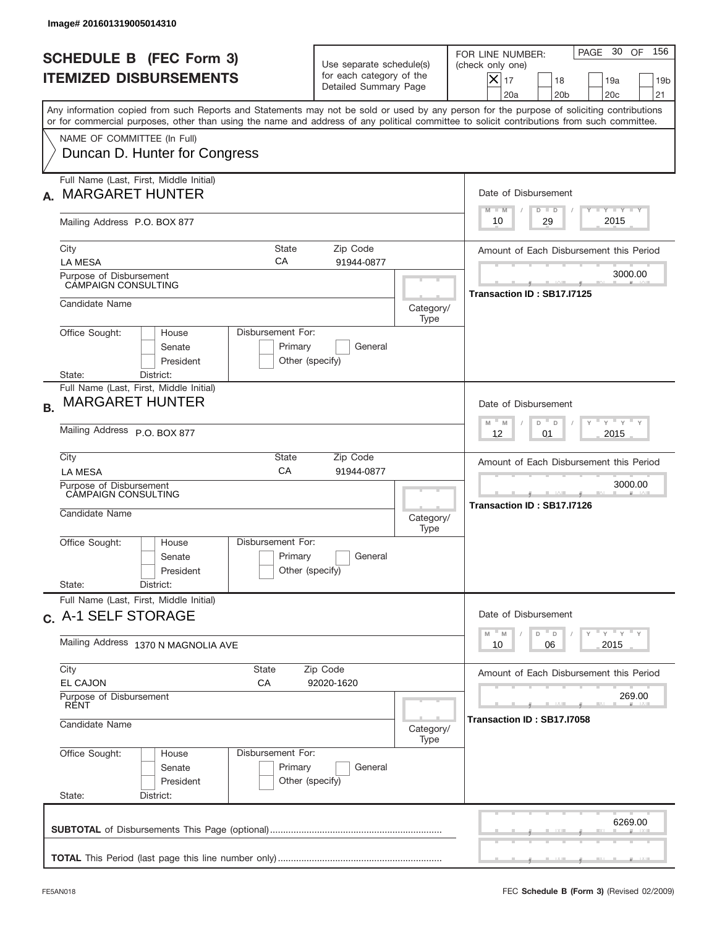| Image# 201601319005014310                                                                                                                                                                                                                                                                                              |                                                                               |                                       |                                                                                                                                                           |  |  |
|------------------------------------------------------------------------------------------------------------------------------------------------------------------------------------------------------------------------------------------------------------------------------------------------------------------------|-------------------------------------------------------------------------------|---------------------------------------|-----------------------------------------------------------------------------------------------------------------------------------------------------------|--|--|
| <b>SCHEDULE B (FEC Form 3)</b><br><b>ITEMIZED DISBURSEMENTS</b>                                                                                                                                                                                                                                                        | Use separate schedule(s)<br>for each category of the<br>Detailed Summary Page |                                       | PAGE 30 OF<br>156<br>FOR LINE NUMBER:<br>(check only one)<br>$X _{17}$<br>18<br>19a<br>19 <sub>b</sub><br>20a<br>20 <sub>b</sub><br>20 <sub>c</sub><br>21 |  |  |
| Any information copied from such Reports and Statements may not be sold or used by any person for the purpose of soliciting contributions<br>or for commercial purposes, other than using the name and address of any political committee to solicit contributions from such committee.<br>NAME OF COMMITTEE (In Full) |                                                                               |                                       |                                                                                                                                                           |  |  |
| Duncan D. Hunter for Congress                                                                                                                                                                                                                                                                                          |                                                                               |                                       |                                                                                                                                                           |  |  |
| Full Name (Last, First, Middle Initial)<br><b>MARGARET HUNTER</b>                                                                                                                                                                                                                                                      |                                                                               |                                       | Date of Disbursement<br>Y I Y I Y I Y<br>$M - M$<br>$D$ $D$                                                                                               |  |  |
| Mailing Address P.O. BOX 877                                                                                                                                                                                                                                                                                           |                                                                               |                                       | 2015<br>29<br>10                                                                                                                                          |  |  |
| City<br>State<br>СA<br><b>LA MESA</b>                                                                                                                                                                                                                                                                                  | Zip Code<br>91944-0877                                                        |                                       | Amount of Each Disbursement this Period                                                                                                                   |  |  |
| Purpose of Disbursement<br><b>CAMPAIGN CONSULTING</b>                                                                                                                                                                                                                                                                  |                                                                               |                                       | 3000.00<br>Transaction ID: SB17.I7125                                                                                                                     |  |  |
| Candidate Name                                                                                                                                                                                                                                                                                                         |                                                                               | Category/<br>Type                     |                                                                                                                                                           |  |  |
| Office Sought:<br>House<br>Senate<br>President<br>State:<br>District:                                                                                                                                                                                                                                                  | Disbursement For:<br>Primary<br>General<br>Other (specify)                    |                                       |                                                                                                                                                           |  |  |
| Full Name (Last, First, Middle Initial)<br><b>MARGARET HUNTER</b><br><b>B.</b>                                                                                                                                                                                                                                         |                                                                               |                                       | Date of Disbursement<br>ү " ү " ү " ү<br>$-$ M<br>M<br>D<br>D                                                                                             |  |  |
| Mailing Address P.O. BOX 877                                                                                                                                                                                                                                                                                           | 2015<br>12<br>01                                                              |                                       |                                                                                                                                                           |  |  |
| City<br>State<br>CA<br><b>LA MESA</b>                                                                                                                                                                                                                                                                                  | Zip Code<br>91944-0877                                                        |                                       | Amount of Each Disbursement this Period                                                                                                                   |  |  |
| Purpose of Disbursement<br>CAMPAIGN CONSULTING<br>Candidate Name                                                                                                                                                                                                                                                       | Category/<br>Type                                                             | 3000.00<br>Transaction ID: SB17.I7126 |                                                                                                                                                           |  |  |
| Disbursement For:<br>Office Sought:<br>House<br>Senate<br>President<br>State:                                                                                                                                                                                                                                          | Primary<br>General<br>Other (specify)                                         |                                       |                                                                                                                                                           |  |  |
| District:<br>Full Name (Last, First, Middle Initial)                                                                                                                                                                                                                                                                   |                                                                               |                                       |                                                                                                                                                           |  |  |
| c. A-1 SELF STORAGE<br>Mailing Address 1370 N MAGNOLIA AVE                                                                                                                                                                                                                                                             |                                                                               |                                       | Date of Disbursement<br>ү" ү" ү" ү<br>$-M$<br>D<br>M<br>D<br>2015<br>10<br>06                                                                             |  |  |
| City<br>State                                                                                                                                                                                                                                                                                                          | Amount of Each Disbursement this Period                                       |                                       |                                                                                                                                                           |  |  |
| Purpose of Disbursement<br><b>RENT</b>                                                                                                                                                                                                                                                                                 | <b>EL CAJON</b><br>СA<br>92020-1620                                           |                                       |                                                                                                                                                           |  |  |
| Candidate Name                                                                                                                                                                                                                                                                                                         | Transaction ID: SB17.I7058                                                    |                                       |                                                                                                                                                           |  |  |
| Office Sought:<br>Disbursement For:<br>House<br>Senate<br>President<br>State:<br>District:                                                                                                                                                                                                                             | Primary<br>General<br>Other (specify)                                         | Type                                  |                                                                                                                                                           |  |  |
|                                                                                                                                                                                                                                                                                                                        |                                                                               |                                       | 6269.00                                                                                                                                                   |  |  |
|                                                                                                                                                                                                                                                                                                                        |                                                                               |                                       |                                                                                                                                                           |  |  |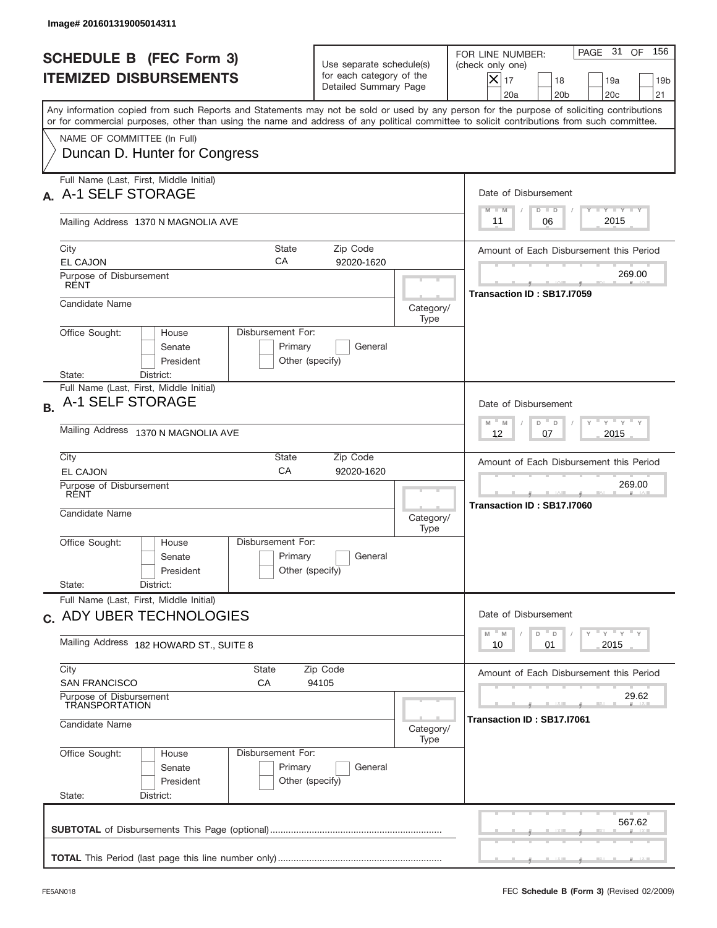| Image# 201601319005014311                                                                                                                                                                                                                                                                                              |                                                                               |                                     |                                                                                                                                                         |  |  |
|------------------------------------------------------------------------------------------------------------------------------------------------------------------------------------------------------------------------------------------------------------------------------------------------------------------------|-------------------------------------------------------------------------------|-------------------------------------|---------------------------------------------------------------------------------------------------------------------------------------------------------|--|--|
| <b>SCHEDULE B (FEC Form 3)</b><br><b>ITEMIZED DISBURSEMENTS</b>                                                                                                                                                                                                                                                        | Use separate schedule(s)<br>for each category of the<br>Detailed Summary Page |                                     | PAGE 31 OF<br>156<br>FOR LINE NUMBER:<br>(check only one)<br>$ \mathsf{X} _{17}$<br>18<br>19a<br>19 <sub>b</sub><br>20a<br>20 <sub>b</sub><br>20c<br>21 |  |  |
| Any information copied from such Reports and Statements may not be sold or used by any person for the purpose of soliciting contributions<br>or for commercial purposes, other than using the name and address of any political committee to solicit contributions from such committee.<br>NAME OF COMMITTEE (In Full) |                                                                               |                                     |                                                                                                                                                         |  |  |
| Duncan D. Hunter for Congress                                                                                                                                                                                                                                                                                          |                                                                               |                                     |                                                                                                                                                         |  |  |
| Full Name (Last, First, Middle Initial)<br>A-1 SELF STORAGE                                                                                                                                                                                                                                                            |                                                                               |                                     | Date of Disbursement<br>Y TY TY TY<br>$M - M$<br>$D$ $D$                                                                                                |  |  |
| Mailing Address 1370 N MAGNOLIA AVE                                                                                                                                                                                                                                                                                    |                                                                               |                                     | 2015<br>06<br>11                                                                                                                                        |  |  |
| City<br><b>State</b><br>CA<br><b>EL CAJON</b>                                                                                                                                                                                                                                                                          | Zip Code<br>92020-1620                                                        |                                     | Amount of Each Disbursement this Period                                                                                                                 |  |  |
| Purpose of Disbursement<br><b>RENT</b>                                                                                                                                                                                                                                                                                 |                                                                               |                                     | 269.00<br>Transaction ID: SB17.I7059                                                                                                                    |  |  |
| Candidate Name                                                                                                                                                                                                                                                                                                         |                                                                               | Category/<br>Type                   |                                                                                                                                                         |  |  |
| Disbursement For:<br>Office Sought:<br>House<br>Senate<br>President                                                                                                                                                                                                                                                    | Primary<br>General<br>Other (specify)                                         |                                     |                                                                                                                                                         |  |  |
| District:<br>State:<br>Full Name (Last, First, Middle Initial)<br>A-1 SELF STORAGE<br><b>B.</b>                                                                                                                                                                                                                        |                                                                               |                                     | Date of Disbursement<br>ү " ү " ү " ү<br>$M - M$<br>D<br>D                                                                                              |  |  |
| Mailing Address 1370 N MAGNOLIA AVE                                                                                                                                                                                                                                                                                    | 2015<br>12<br>07                                                              |                                     |                                                                                                                                                         |  |  |
| City<br>State<br>CA<br><b>EL CAJON</b>                                                                                                                                                                                                                                                                                 | Zip Code<br>92020-1620                                                        |                                     | Amount of Each Disbursement this Period<br>269.00                                                                                                       |  |  |
| Purpose of Disbursement<br>RĖNT<br>Candidate Name                                                                                                                                                                                                                                                                      |                                                                               | Category/<br>Type                   | Transaction ID: SB17.I7060                                                                                                                              |  |  |
| Disbursement For:<br>Office Sought:<br>House<br>Senate<br>President                                                                                                                                                                                                                                                    | Primary<br>General<br>Other (specify)                                         |                                     |                                                                                                                                                         |  |  |
| State:<br>District:<br>Full Name (Last, First, Middle Initial)                                                                                                                                                                                                                                                         |                                                                               |                                     |                                                                                                                                                         |  |  |
| c. ADY UBER TECHNOLOGIES                                                                                                                                                                                                                                                                                               |                                                                               |                                     | Date of Disbursement<br>$\gamma$ = $\gamma$ = $\gamma$ = $\gamma$<br>D<br>M<br>M<br>D                                                                   |  |  |
| Mailing Address 182 HOWARD ST., SUITE 8                                                                                                                                                                                                                                                                                | 2015<br>10<br>01                                                              |                                     |                                                                                                                                                         |  |  |
| City<br>State<br><b>SAN FRANCISCO</b><br>СA                                                                                                                                                                                                                                                                            | Zip Code<br>94105                                                             |                                     | Amount of Each Disbursement this Period                                                                                                                 |  |  |
| Purpose of Disbursement<br><b>TRANSPORTATION</b><br>Candidate Name                                                                                                                                                                                                                                                     | Category/                                                                     | 29.62<br>Transaction ID: SB17.I7061 |                                                                                                                                                         |  |  |
| Office Sought:<br>Disbursement For:<br>House<br>Senate<br>President<br>State:<br>District:                                                                                                                                                                                                                             | Primary<br>General<br>Other (specify)                                         | Type                                |                                                                                                                                                         |  |  |
|                                                                                                                                                                                                                                                                                                                        |                                                                               |                                     | 567.62                                                                                                                                                  |  |  |
|                                                                                                                                                                                                                                                                                                                        |                                                                               |                                     |                                                                                                                                                         |  |  |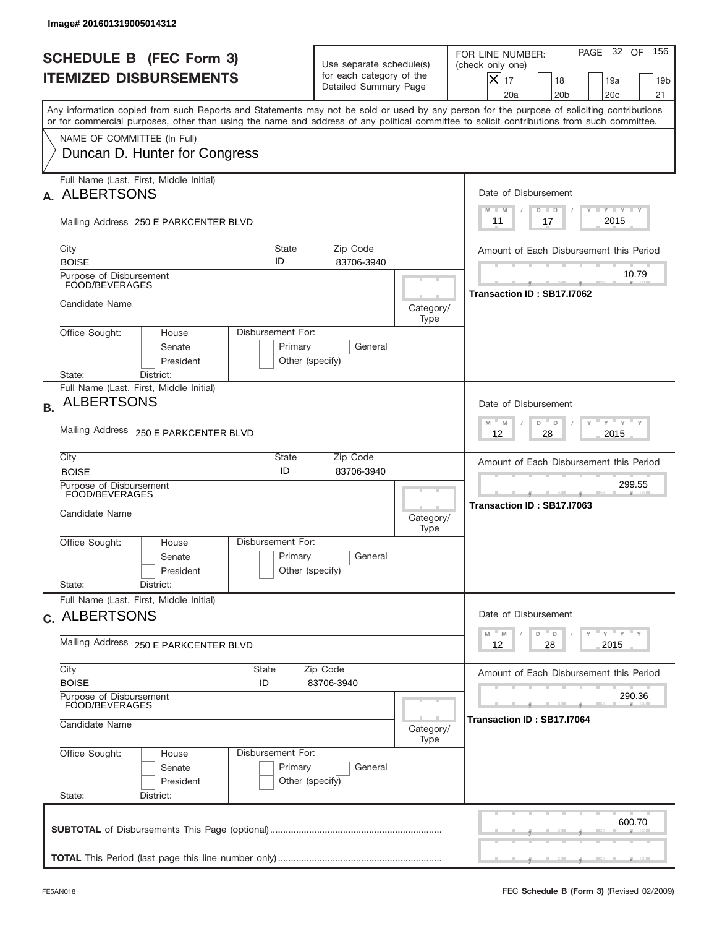|           | Image# 201601319005014312                                             |                                                                                     |                                                                               |                   |                                                                                                                                                                                                                                                                                         |
|-----------|-----------------------------------------------------------------------|-------------------------------------------------------------------------------------|-------------------------------------------------------------------------------|-------------------|-----------------------------------------------------------------------------------------------------------------------------------------------------------------------------------------------------------------------------------------------------------------------------------------|
|           | <b>SCHEDULE B (FEC Form 3)</b><br><b>ITEMIZED DISBURSEMENTS</b>       |                                                                                     | Use separate schedule(s)<br>for each category of the<br>Detailed Summary Page |                   | 156<br>PAGE 32 OF<br>FOR LINE NUMBER:<br>(check only one)<br>$X _{17}$<br>18<br>19a<br>19 <sub>b</sub><br>20a<br>20 <sub>b</sub><br>20 <sub>c</sub><br>21                                                                                                                               |
|           |                                                                       |                                                                                     |                                                                               |                   | Any information copied from such Reports and Statements may not be sold or used by any person for the purpose of soliciting contributions<br>or for commercial purposes, other than using the name and address of any political committee to solicit contributions from such committee. |
|           | NAME OF COMMITTEE (In Full)<br>Duncan D. Hunter for Congress          |                                                                                     |                                                                               |                   |                                                                                                                                                                                                                                                                                         |
| А.        | Full Name (Last, First, Middle Initial)<br><b>ALBERTSONS</b>          |                                                                                     |                                                                               |                   | Date of Disbursement<br><b>TAYLY LY</b>                                                                                                                                                                                                                                                 |
|           | Mailing Address 250 E PARKCENTER BLVD                                 |                                                                                     |                                                                               |                   | $M - M$<br>$D$ $D$<br>2015<br>17<br>11                                                                                                                                                                                                                                                  |
|           | City<br><b>BOISE</b>                                                  | <b>State</b><br>ID                                                                  | Zip Code<br>83706-3940                                                        |                   | Amount of Each Disbursement this Period                                                                                                                                                                                                                                                 |
|           | Purpose of Disbursement<br>FOOD/BEVERAGES                             |                                                                                     |                                                                               |                   | 10.79<br>Transaction ID: SB17.I7062                                                                                                                                                                                                                                                     |
|           | Candidate Name                                                        |                                                                                     |                                                                               | Category/<br>Type |                                                                                                                                                                                                                                                                                         |
|           | Office Sought:<br>House<br>Senate<br>President                        | Disbursement For:<br>Primary<br>Other (specify)                                     | General                                                                       |                   |                                                                                                                                                                                                                                                                                         |
|           | State:<br>District:<br>Full Name (Last, First, Middle Initial)        |                                                                                     |                                                                               |                   |                                                                                                                                                                                                                                                                                         |
| <b>B.</b> | <b>ALBERTSONS</b>                                                     |                                                                                     |                                                                               |                   | Date of Disbursement                                                                                                                                                                                                                                                                    |
|           | Mailing Address 250 E PARKCENTER BLVD                                 | $M - M$<br>≡ γ ≡ γ ≡<br>D<br>D<br>2015<br>12<br>28                                  |                                                                               |                   |                                                                                                                                                                                                                                                                                         |
|           | City<br><b>BOISE</b>                                                  | State<br>ID                                                                         | Zip Code<br>83706-3940                                                        |                   | Amount of Each Disbursement this Period                                                                                                                                                                                                                                                 |
|           | Purpose of Disbursement<br>FOOD/BEVERAGES<br>Candidate Name           |                                                                                     |                                                                               |                   | 299.55<br>Transaction ID: SB17.I7063                                                                                                                                                                                                                                                    |
|           | Office Sought:<br>House<br>Senate<br>President<br>State:<br>District: | Disbursement For:<br>Primary<br>Other (specify)                                     | General                                                                       | Category/<br>Type |                                                                                                                                                                                                                                                                                         |
|           | Full Name (Last, First, Middle Initial)<br>c. ALBERTSONS              |                                                                                     |                                                                               |                   | Date of Disbursement                                                                                                                                                                                                                                                                    |
|           | Mailing Address 250 E PARKCENTER BLVD                                 | $\gamma$ $\gamma$ $\gamma$ $\gamma$ $\gamma$<br>$M$ M<br>D<br>D<br>2015<br>12<br>28 |                                                                               |                   |                                                                                                                                                                                                                                                                                         |
|           | City<br><b>BOISE</b>                                                  | State<br>ID                                                                         | Zip Code<br>83706-3940                                                        |                   | Amount of Each Disbursement this Period                                                                                                                                                                                                                                                 |
|           | Purpose of Disbursement<br>FOOD/BEVERAGES                             |                                                                                     |                                                                               |                   | 290.36<br>Transaction ID: SB17.I7064                                                                                                                                                                                                                                                    |
|           | Candidate Name                                                        |                                                                                     |                                                                               | Category/<br>Type |                                                                                                                                                                                                                                                                                         |
|           | Office Sought:<br>House<br>Senate<br>President<br>State:<br>District: | Disbursement For:<br>Primary<br>Other (specify)                                     | General                                                                       |                   |                                                                                                                                                                                                                                                                                         |
|           |                                                                       |                                                                                     |                                                                               |                   | 600.70                                                                                                                                                                                                                                                                                  |
|           |                                                                       |                                                                                     |                                                                               |                   |                                                                                                                                                                                                                                                                                         |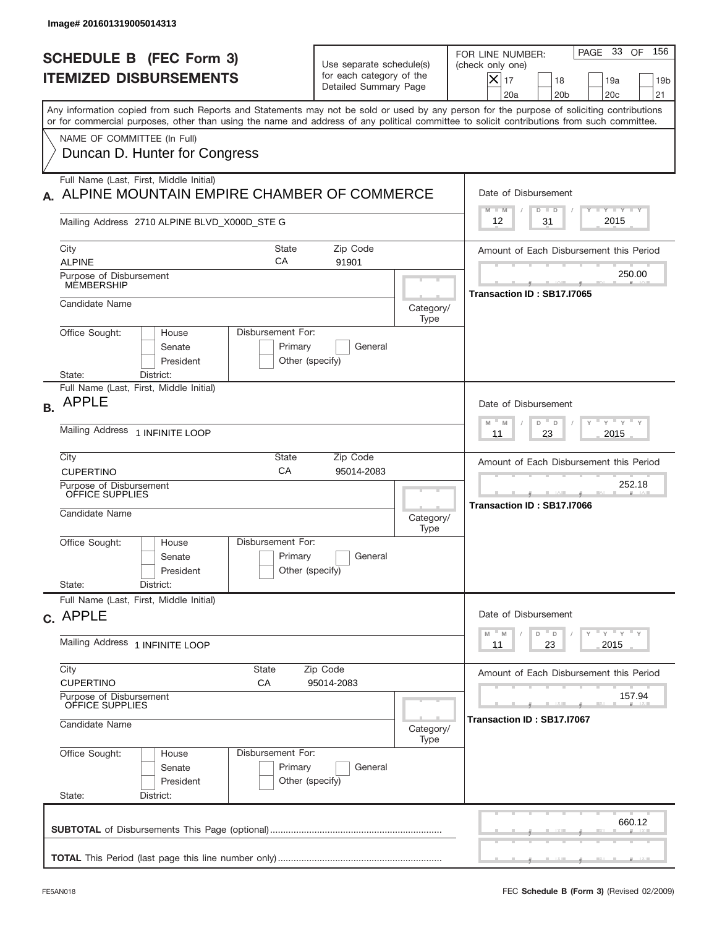| Image# 201601319005014313                                                                                              |                                                                                              |                                                                               |                                      |                                                                                                                                                                                                                                                                                         |
|------------------------------------------------------------------------------------------------------------------------|----------------------------------------------------------------------------------------------|-------------------------------------------------------------------------------|--------------------------------------|-----------------------------------------------------------------------------------------------------------------------------------------------------------------------------------------------------------------------------------------------------------------------------------------|
| <b>SCHEDULE B (FEC Form 3)</b><br><b>ITEMIZED DISBURSEMENTS</b>                                                        |                                                                                              | Use separate schedule(s)<br>for each category of the<br>Detailed Summary Page |                                      | 156<br>PAGE 33 OF<br>FOR LINE NUMBER:<br>(check only one)<br>$ \boldsymbol{\times} $<br>17<br>18<br>19 <sub>b</sub><br>19a<br>20a<br>20 <sub>b</sub><br>20c<br>21                                                                                                                       |
| NAME OF COMMITTEE (In Full)                                                                                            |                                                                                              |                                                                               |                                      | Any information copied from such Reports and Statements may not be sold or used by any person for the purpose of soliciting contributions<br>or for commercial purposes, other than using the name and address of any political committee to solicit contributions from such committee. |
|                                                                                                                        | Duncan D. Hunter for Congress                                                                |                                                                               |                                      |                                                                                                                                                                                                                                                                                         |
| Full Name (Last, First, Middle Initial)                                                                                | ALPINE MOUNTAIN EMPIRE CHAMBER OF COMMERCE                                                   |                                                                               |                                      | Date of Disbursement<br>Y TY TY TY<br>$M - M$<br>$D$ $D$                                                                                                                                                                                                                                |
|                                                                                                                        | Mailing Address 2710 ALPINE BLVD_X000D_STE G                                                 |                                                                               |                                      | 2015<br>31<br>12                                                                                                                                                                                                                                                                        |
| City<br><b>ALPINE</b>                                                                                                  | State<br>СA                                                                                  | Zip Code<br>91901                                                             |                                      | Amount of Each Disbursement this Period                                                                                                                                                                                                                                                 |
| Purpose of Disbursement<br>MEMBERSHIP                                                                                  |                                                                                              |                                                                               |                                      | 250.00<br>Transaction ID: SB17.I7065                                                                                                                                                                                                                                                    |
| Candidate Name                                                                                                         |                                                                                              |                                                                               | Category/<br>Type                    |                                                                                                                                                                                                                                                                                         |
| Office Sought:<br>State:                                                                                               | Disbursement For:<br>House<br>Senate<br>Primary<br>President<br>Other (specify)<br>District: | General                                                                       |                                      |                                                                                                                                                                                                                                                                                         |
| Full Name (Last, First, Middle Initial)<br><b>APPLE</b><br><b>B.</b>                                                   |                                                                                              |                                                                               |                                      | Date of Disbursement                                                                                                                                                                                                                                                                    |
| Mailing Address 1 INFINITE LOOP                                                                                        |                                                                                              | $-\gamma + \gamma - \gamma$<br>D<br>M<br>M<br>D<br>2015<br>11<br>23           |                                      |                                                                                                                                                                                                                                                                                         |
| City<br><b>CUPERTINO</b>                                                                                               | State<br>CA                                                                                  | Zip Code<br>95014-2083                                                        |                                      | Amount of Each Disbursement this Period                                                                                                                                                                                                                                                 |
| Purpose of Disbursement<br>OFFICE SUPPLIES<br>Candidate Name                                                           |                                                                                              | Category/                                                                     | 252.18<br>Transaction ID: SB17.I7066 |                                                                                                                                                                                                                                                                                         |
| Office Sought:                                                                                                         | Disbursement For:<br>House<br>Primary<br>Senate<br>Other (specify)<br>President              | General                                                                       | Type                                 |                                                                                                                                                                                                                                                                                         |
| State:                                                                                                                 | District:                                                                                    |                                                                               |                                      |                                                                                                                                                                                                                                                                                         |
| Full Name (Last, First, Middle Initial)<br>c. APPLE                                                                    |                                                                                              |                                                                               |                                      | Date of Disbursement<br>$\gamma$ $\gamma$ $\gamma$ $\gamma$ $\gamma$<br>$-M$<br>D<br>D<br>M                                                                                                                                                                                             |
| Mailing Address 1 INFINITE LOOP                                                                                        |                                                                                              | 2015<br>11<br>23                                                              |                                      |                                                                                                                                                                                                                                                                                         |
| City<br><b>State</b><br>Zip Code<br><b>CUPERTINO</b><br>СA<br>95014-2083<br>Purpose of Disbursement<br>OFFICE SUPPLIES |                                                                                              |                                                                               |                                      | Amount of Each Disbursement this Period<br>157.94                                                                                                                                                                                                                                       |
| Candidate Name<br>Category/<br>Type                                                                                    |                                                                                              |                                                                               |                                      | Transaction ID: SB17.I7067                                                                                                                                                                                                                                                              |
| Office Sought:<br>State:                                                                                               | Disbursement For:<br>House<br>Primary<br>Senate<br>President<br>Other (specify)<br>District: | General                                                                       |                                      |                                                                                                                                                                                                                                                                                         |
|                                                                                                                        |                                                                                              |                                                                               |                                      | 660.12                                                                                                                                                                                                                                                                                  |
|                                                                                                                        |                                                                                              |                                                                               |                                      |                                                                                                                                                                                                                                                                                         |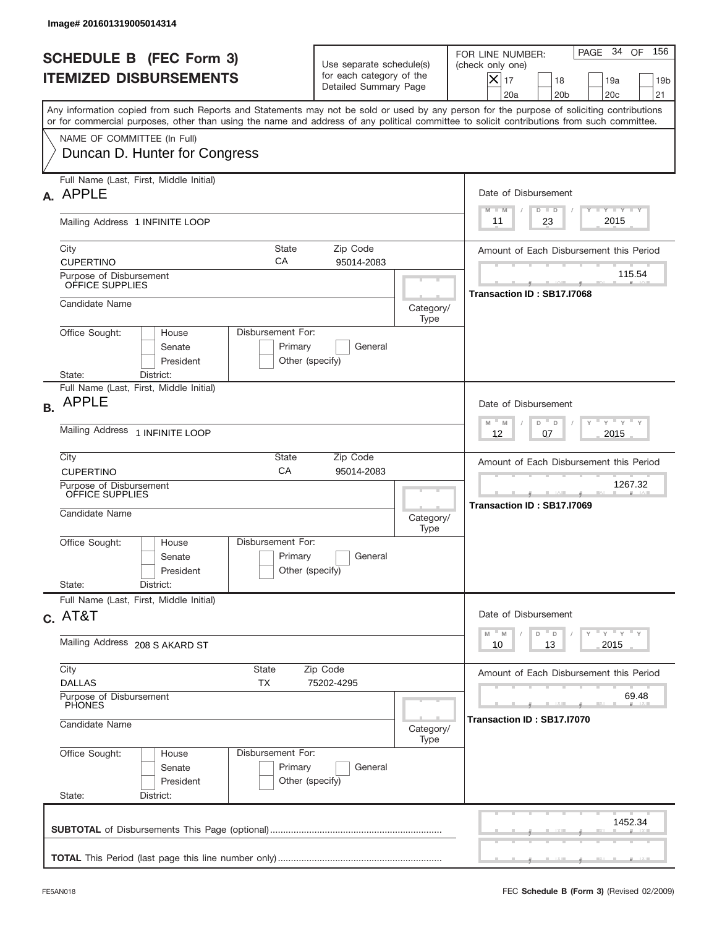|           | Image# 201601319005014314                                                                                                                                                                                                                                                               |                                                                                                |                                         |                                                                                                                                                         |  |  |
|-----------|-----------------------------------------------------------------------------------------------------------------------------------------------------------------------------------------------------------------------------------------------------------------------------------------|------------------------------------------------------------------------------------------------|-----------------------------------------|---------------------------------------------------------------------------------------------------------------------------------------------------------|--|--|
|           | <b>SCHEDULE B (FEC Form 3)</b><br><b>ITEMIZED DISBURSEMENTS</b>                                                                                                                                                                                                                         | Use separate schedule(s)<br>for each category of the<br>Detailed Summary Page                  |                                         | PAGE 34 OF<br>156<br>FOR LINE NUMBER:<br>(check only one)<br>X<br>17<br>18<br>19a<br>19 <sub>b</sub><br>20 <sub>c</sub><br>21<br>20a<br>20 <sub>b</sub> |  |  |
|           | Any information copied from such Reports and Statements may not be sold or used by any person for the purpose of soliciting contributions<br>or for commercial purposes, other than using the name and address of any political committee to solicit contributions from such committee. |                                                                                                |                                         |                                                                                                                                                         |  |  |
|           | NAME OF COMMITTEE (In Full)<br>Duncan D. Hunter for Congress                                                                                                                                                                                                                            |                                                                                                |                                         |                                                                                                                                                         |  |  |
|           | Full Name (Last, First, Middle Initial)<br>A. APPLE                                                                                                                                                                                                                                     | Date of Disbursement<br>$T - Y$ $T - Y$<br>$M - M$<br>$D$ $D$                                  |                                         |                                                                                                                                                         |  |  |
|           | Mailing Address 1 INFINITE LOOP                                                                                                                                                                                                                                                         | 2015<br>23<br>11                                                                               |                                         |                                                                                                                                                         |  |  |
|           | <b>State</b><br>City<br>CA<br><b>CUPERTINO</b>                                                                                                                                                                                                                                          | Zip Code<br>95014-2083                                                                         | Amount of Each Disbursement this Period |                                                                                                                                                         |  |  |
|           | Purpose of Disbursement<br>OFFICE SUPPLIES                                                                                                                                                                                                                                              | 115.54<br>Transaction ID: SB17.I7068                                                           |                                         |                                                                                                                                                         |  |  |
|           | Candidate Name                                                                                                                                                                                                                                                                          |                                                                                                | Category/<br>Type                       |                                                                                                                                                         |  |  |
|           | Disbursement For:<br>Office Sought:<br>House<br>Senate<br>President<br>State:<br>District:                                                                                                                                                                                              | Primary<br>General<br>Other (specify)                                                          |                                         |                                                                                                                                                         |  |  |
| <b>B.</b> | Full Name (Last, First, Middle Initial)<br><b>APPLE</b>                                                                                                                                                                                                                                 |                                                                                                |                                         | Date of Disbursement                                                                                                                                    |  |  |
|           | Mailing Address 1 INFINITE LOOP                                                                                                                                                                                                                                                         | $\cdots$ $\gamma$ $\cdots$ $\gamma$ $\cdots$ $\gamma$<br>$M - M$<br>D<br>D<br>2015<br>12<br>07 |                                         |                                                                                                                                                         |  |  |
|           | City<br>State<br>CA<br><b>CUPERTINO</b>                                                                                                                                                                                                                                                 | Zip Code<br>95014-2083                                                                         |                                         | Amount of Each Disbursement this Period                                                                                                                 |  |  |
|           | Purpose of Disbursement<br>OFFICE SUPPLIES<br>Candidate Name                                                                                                                                                                                                                            | Category/<br>Type                                                                              | 1267.32<br>Transaction ID: SB17.I7069   |                                                                                                                                                         |  |  |
|           | Disbursement For:<br>Office Sought:<br>House<br>Senate<br>President                                                                                                                                                                                                                     | Primary<br>General<br>Other (specify)                                                          |                                         |                                                                                                                                                         |  |  |
|           | State:<br>District:                                                                                                                                                                                                                                                                     |                                                                                                |                                         |                                                                                                                                                         |  |  |
|           | Full Name (Last, First, Middle Initial)<br>$c.$ AT&T                                                                                                                                                                                                                                    |                                                                                                |                                         | Date of Disbursement                                                                                                                                    |  |  |
|           | Mailing Address 208 S AKARD ST                                                                                                                                                                                                                                                          | $\gamma$ $\gamma$ $\gamma$ $\gamma$ $\gamma$<br>$M$ $M$<br>D<br>D<br>2015<br>10<br>13          |                                         |                                                                                                                                                         |  |  |
|           | City<br>State<br><b>DALLAS</b><br>ТX                                                                                                                                                                                                                                                    | Amount of Each Disbursement this Period                                                        |                                         |                                                                                                                                                         |  |  |
|           | Purpose of Disbursement<br>PHONES<br>Candidate Name<br>Category/                                                                                                                                                                                                                        |                                                                                                |                                         | 69.48<br>Transaction ID: SB17.I7070                                                                                                                     |  |  |
|           | Office Sought:<br>Disbursement For:<br>House<br>Senate<br>President<br>State:<br>District:                                                                                                                                                                                              | Primary<br>General<br>Other (specify)                                                          | Type                                    |                                                                                                                                                         |  |  |
|           |                                                                                                                                                                                                                                                                                         |                                                                                                |                                         | 1452.34                                                                                                                                                 |  |  |
|           |                                                                                                                                                                                                                                                                                         |                                                                                                |                                         |                                                                                                                                                         |  |  |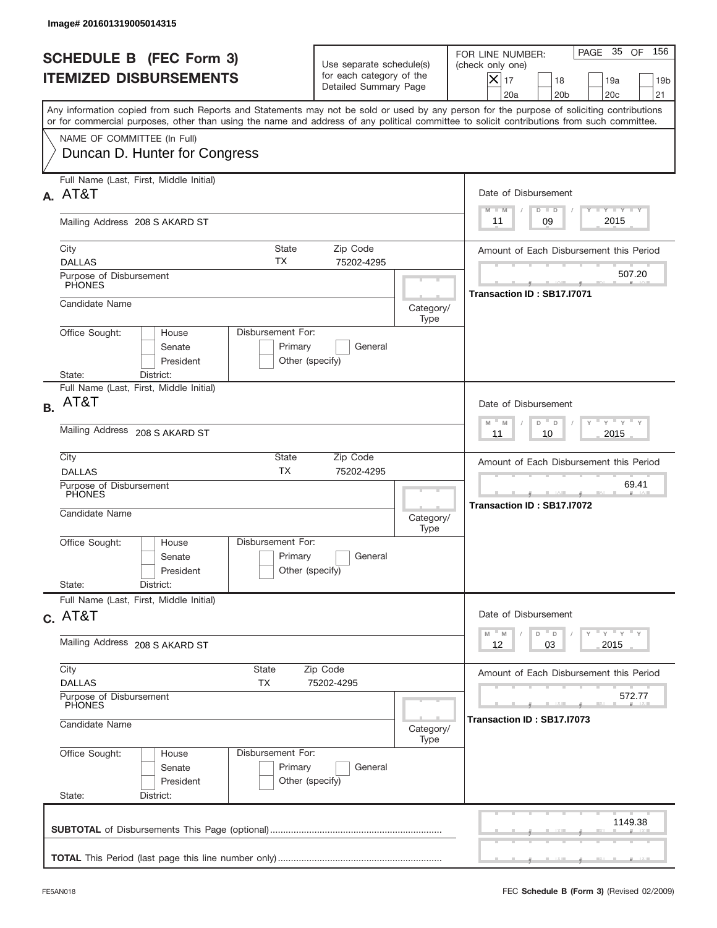|           | Image# 201601319005014315                                                                                                                                                                                                                                                               |                                                                               |      |                                                                                                                                                           |  |  |
|-----------|-----------------------------------------------------------------------------------------------------------------------------------------------------------------------------------------------------------------------------------------------------------------------------------------|-------------------------------------------------------------------------------|------|-----------------------------------------------------------------------------------------------------------------------------------------------------------|--|--|
|           | <b>SCHEDULE B (FEC Form 3)</b><br><b>ITEMIZED DISBURSEMENTS</b>                                                                                                                                                                                                                         | Use separate schedule(s)<br>for each category of the<br>Detailed Summary Page |      | 156<br>PAGE 35 OF<br>FOR LINE NUMBER:<br>(check only one)<br>$X _{17}$<br>18<br>19a<br>19 <sub>b</sub><br>20 <sub>c</sub><br>20a<br>20 <sub>b</sub><br>21 |  |  |
|           | Any information copied from such Reports and Statements may not be sold or used by any person for the purpose of soliciting contributions<br>or for commercial purposes, other than using the name and address of any political committee to solicit contributions from such committee. |                                                                               |      |                                                                                                                                                           |  |  |
|           | NAME OF COMMITTEE (In Full)<br>Duncan D. Hunter for Congress                                                                                                                                                                                                                            |                                                                               |      |                                                                                                                                                           |  |  |
|           | Full Name (Last, First, Middle Initial)<br>A. AT&T                                                                                                                                                                                                                                      | Date of Disbursement                                                          |      |                                                                                                                                                           |  |  |
|           | Mailing Address 208 S AKARD ST                                                                                                                                                                                                                                                          | <b>TANK TANK</b><br>$M - M$<br>$D$ $D$<br>2015<br>09<br>11                    |      |                                                                                                                                                           |  |  |
|           | City<br><b>TX</b><br><b>DALLAS</b><br>Purpose of Disbursement                                                                                                                                                                                                                           | <b>State</b><br>Zip Code<br>75202-4295                                        |      | Amount of Each Disbursement this Period<br>507.20                                                                                                         |  |  |
|           | PHONES<br>Candidate Name                                                                                                                                                                                                                                                                | Transaction ID: SB17.I7071                                                    |      |                                                                                                                                                           |  |  |
|           | Disbursement For:<br>Office Sought:<br>House<br>Senate<br>President<br>State:<br>District:                                                                                                                                                                                              | Primary<br>General<br>Other (specify)                                         | Type |                                                                                                                                                           |  |  |
| <b>B.</b> | Full Name (Last, First, Middle Initial)<br>AT&T                                                                                                                                                                                                                                         |                                                                               |      | Date of Disbursement                                                                                                                                      |  |  |
|           | Mailing Address 208 S AKARD ST                                                                                                                                                                                                                                                          | $-\gamma + \gamma - \gamma$<br>$M - M$<br>D<br>$\Box$<br>2015<br>11<br>10     |      |                                                                                                                                                           |  |  |
|           | City<br><b>DALLAS</b>                                                                                                                                                                                                                                                                   | State<br>Zip Code<br><b>TX</b><br>75202-4295                                  |      | Amount of Each Disbursement this Period<br>69.41                                                                                                          |  |  |
|           | Purpose of Disbursement<br><b>PHONES</b><br>Candidate Name                                                                                                                                                                                                                              |                                                                               |      | --<br>Transaction ID: SB17.I7072                                                                                                                          |  |  |
|           | Disbursement For:<br>Office Sought:<br>House<br>Senate<br>President                                                                                                                                                                                                                     | Primary<br>General<br>Other (specify)                                         | Type |                                                                                                                                                           |  |  |
|           | State:<br>District:<br>Full Name (Last, First, Middle Initial)                                                                                                                                                                                                                          |                                                                               |      |                                                                                                                                                           |  |  |
|           | $C.$ AT&T                                                                                                                                                                                                                                                                               |                                                                               |      | Date of Disbursement<br>ү"ү"ү"ү<br>$M$ $M$<br>D<br>D                                                                                                      |  |  |
|           | Mailing Address 208 S AKARD ST                                                                                                                                                                                                                                                          | 03<br>2015<br>12                                                              |      |                                                                                                                                                           |  |  |
|           | City<br>State<br><b>DALLAS</b><br>TX                                                                                                                                                                                                                                                    | Amount of Each Disbursement this Period                                       |      |                                                                                                                                                           |  |  |
|           | Purpose of Disbursement<br>PHONES<br>Candidate Name<br>Category/                                                                                                                                                                                                                        |                                                                               |      | 572.77<br>Transaction ID: SB17.I7073                                                                                                                      |  |  |
|           | Office Sought:<br>Disbursement For:<br>House<br>Senate<br>President<br>State:<br>District:                                                                                                                                                                                              | Primary<br>General<br>Other (specify)                                         | Type |                                                                                                                                                           |  |  |
|           |                                                                                                                                                                                                                                                                                         |                                                                               |      | 1149.38                                                                                                                                                   |  |  |
|           |                                                                                                                                                                                                                                                                                         |                                                                               |      |                                                                                                                                                           |  |  |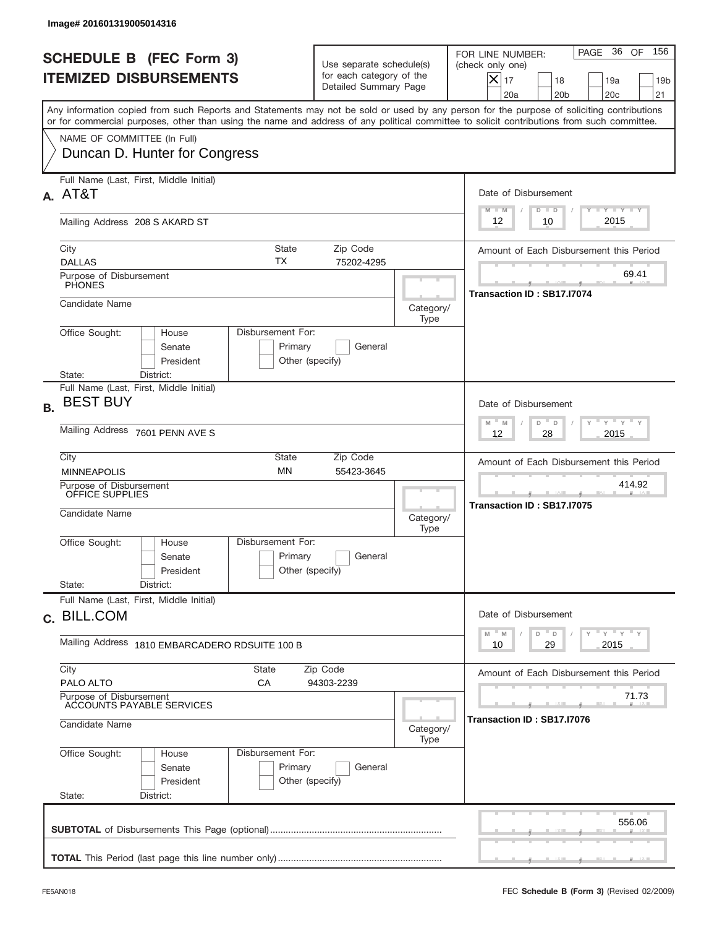|           | Image# 201601319005014316                                              |                                                 |                                                                               |                                                                                          |                                                                                                                                                                                                                                                                                         |  |  |
|-----------|------------------------------------------------------------------------|-------------------------------------------------|-------------------------------------------------------------------------------|------------------------------------------------------------------------------------------|-----------------------------------------------------------------------------------------------------------------------------------------------------------------------------------------------------------------------------------------------------------------------------------------|--|--|
|           | <b>SCHEDULE B (FEC Form 3)</b><br><b>ITEMIZED DISBURSEMENTS</b>        |                                                 | Use separate schedule(s)<br>for each category of the<br>Detailed Summary Page |                                                                                          | 156<br>PAGE 36<br>OF<br>FOR LINE NUMBER:<br>(check only one)<br>$X _{17}$<br>18<br>19a<br>19 <sub>b</sub><br>20 <sub>c</sub><br>20a<br>20 <sub>b</sub><br>21                                                                                                                            |  |  |
|           |                                                                        |                                                 |                                                                               |                                                                                          | Any information copied from such Reports and Statements may not be sold or used by any person for the purpose of soliciting contributions<br>or for commercial purposes, other than using the name and address of any political committee to solicit contributions from such committee. |  |  |
|           | NAME OF COMMITTEE (In Full)<br>Duncan D. Hunter for Congress           |                                                 |                                                                               |                                                                                          |                                                                                                                                                                                                                                                                                         |  |  |
|           | Full Name (Last, First, Middle Initial)<br>A. AT&T                     |                                                 |                                                                               |                                                                                          | Date of Disbursement                                                                                                                                                                                                                                                                    |  |  |
|           | Mailing Address 208 S AKARD ST                                         |                                                 |                                                                               |                                                                                          | <b>TANK TANK</b><br>$M - M$<br>$D$ $D$<br>2015<br>12<br>10                                                                                                                                                                                                                              |  |  |
|           | City<br><b>DALLAS</b>                                                  | State<br>ТX                                     | Zip Code<br>75202-4295                                                        | Amount of Each Disbursement this Period                                                  |                                                                                                                                                                                                                                                                                         |  |  |
|           | Purpose of Disbursement<br><b>PHONES</b>                               |                                                 |                                                                               | 69.41<br>Transaction ID: SB17.I7074                                                      |                                                                                                                                                                                                                                                                                         |  |  |
|           | Candidate Name<br>Office Sought:<br>House                              | Disbursement For:                               |                                                                               | Category/<br>Type                                                                        |                                                                                                                                                                                                                                                                                         |  |  |
|           | Senate<br>President<br>State:<br>District:                             | Primary<br>Other (specify)                      | General                                                                       |                                                                                          |                                                                                                                                                                                                                                                                                         |  |  |
| <b>B.</b> | Full Name (Last, First, Middle Initial)<br><b>BEST BUY</b>             |                                                 |                                                                               | Date of Disbursement                                                                     |                                                                                                                                                                                                                                                                                         |  |  |
|           | Mailing Address 7601 PENN AVE S                                        |                                                 |                                                                               | $\cdots$ $\gamma$ $\cdots$ $\gamma$ $\cdots$<br>$M - M$<br>D<br>D<br>2015<br>12<br>28    |                                                                                                                                                                                                                                                                                         |  |  |
|           | City<br><b>MINNEAPOLIS</b>                                             | State<br><b>MN</b>                              | Zip Code<br>55423-3645                                                        |                                                                                          | Amount of Each Disbursement this Period                                                                                                                                                                                                                                                 |  |  |
|           | Purpose of Disbursement<br>OFFICE SUPPLIES<br>Candidate Name           |                                                 |                                                                               | Category/<br>Type                                                                        | 414.92<br>Transaction ID: SB17.I7075                                                                                                                                                                                                                                                    |  |  |
|           | Office Sought:<br>House<br>Senate<br>President                         | Disbursement For:<br>Primary<br>Other (specify) | General                                                                       |                                                                                          |                                                                                                                                                                                                                                                                                         |  |  |
|           | State:<br>District:<br>Full Name (Last, First, Middle Initial)         |                                                 |                                                                               |                                                                                          |                                                                                                                                                                                                                                                                                         |  |  |
|           | c. BILL.COM                                                            |                                                 |                                                                               | Date of Disbursement<br>$\gamma$ $\gamma$ $\gamma$ $\gamma$ $\gamma$<br>M<br>D<br>M<br>D |                                                                                                                                                                                                                                                                                         |  |  |
|           | Mailing Address 1810 EMBARCADERO RDSUITE 100 B                         |                                                 |                                                                               |                                                                                          | 29<br>2015<br>10                                                                                                                                                                                                                                                                        |  |  |
|           | City<br>PALO ALTO                                                      | <b>State</b><br>Zip Code<br>СA<br>94303-2239    | Amount of Each Disbursement this Period                                       |                                                                                          |                                                                                                                                                                                                                                                                                         |  |  |
|           | Purpose of Disbursement<br>ACCOUNTS PAYABLE SERVICES<br>Candidate Name |                                                 |                                                                               | Category/                                                                                | 71.73<br>Transaction ID : SB17.I7076                                                                                                                                                                                                                                                    |  |  |
|           | Office Sought:<br>House<br>Senate<br>President<br>State:<br>District:  | Disbursement For:<br>Primary<br>Other (specify) | General                                                                       | Type                                                                                     |                                                                                                                                                                                                                                                                                         |  |  |
|           |                                                                        |                                                 |                                                                               |                                                                                          | 556.06                                                                                                                                                                                                                                                                                  |  |  |
|           |                                                                        |                                                 |                                                                               |                                                                                          |                                                                                                                                                                                                                                                                                         |  |  |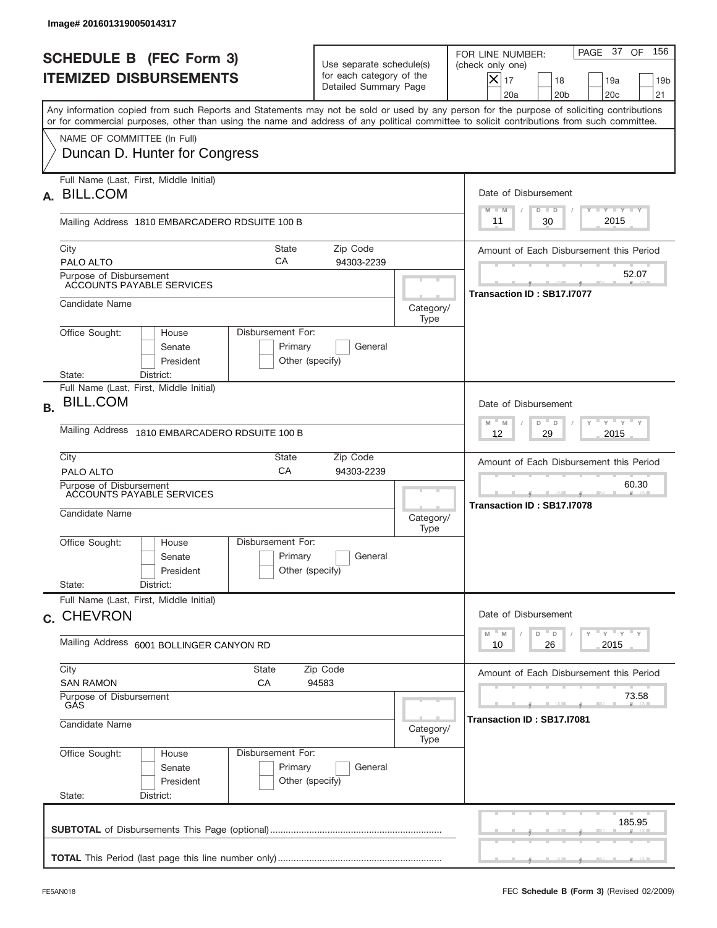|           | Image# 201601319005014317                                                                                                                                                                                                                                                               |                                                                               |                                     |                                                                                                                                                                             |
|-----------|-----------------------------------------------------------------------------------------------------------------------------------------------------------------------------------------------------------------------------------------------------------------------------------------|-------------------------------------------------------------------------------|-------------------------------------|-----------------------------------------------------------------------------------------------------------------------------------------------------------------------------|
|           | <b>SCHEDULE B (FEC Form 3)</b><br><b>ITEMIZED DISBURSEMENTS</b>                                                                                                                                                                                                                         | Use separate schedule(s)<br>for each category of the<br>Detailed Summary Page |                                     | 156<br>PAGE 37 OF<br>FOR LINE NUMBER:<br>(check only one)<br>$\boldsymbol{\times}$<br>17<br>18<br>19a<br>19 <sub>b</sub><br>20a<br>20 <sub>b</sub><br>20 <sub>c</sub><br>21 |
|           | Any information copied from such Reports and Statements may not be sold or used by any person for the purpose of soliciting contributions<br>or for commercial purposes, other than using the name and address of any political committee to solicit contributions from such committee. |                                                                               |                                     |                                                                                                                                                                             |
|           | NAME OF COMMITTEE (In Full)<br>Duncan D. Hunter for Congress                                                                                                                                                                                                                            |                                                                               |                                     |                                                                                                                                                                             |
| А.        | Full Name (Last, First, Middle Initial)<br><b>BILL.COM</b>                                                                                                                                                                                                                              |                                                                               |                                     | Date of Disbursement<br>Y TY TY TY<br>$M - M$<br>$D$ $D$                                                                                                                    |
|           | Mailing Address 1810 EMBARCADERO RDSUITE 100 B                                                                                                                                                                                                                                          |                                                                               |                                     | 2015<br>30<br>11                                                                                                                                                            |
|           | City<br>State<br>CA<br>PALO ALTO                                                                                                                                                                                                                                                        | Zip Code<br>94303-2239                                                        |                                     | Amount of Each Disbursement this Period                                                                                                                                     |
|           | Purpose of Disbursement<br>ACCOUNTS PAYABLE SERVICES                                                                                                                                                                                                                                    |                                                                               |                                     | 52.07<br>Transaction ID: SB17.I7077                                                                                                                                         |
|           | Candidate Name                                                                                                                                                                                                                                                                          |                                                                               | Category/<br>Type                   |                                                                                                                                                                             |
|           | Disbursement For:<br>Office Sought:<br>House<br>Senate<br>President<br>State:<br>District:                                                                                                                                                                                              | Primary<br>General<br>Other (specify)                                         |                                     |                                                                                                                                                                             |
| <b>B.</b> | Full Name (Last, First, Middle Initial)<br><b>BILL.COM</b>                                                                                                                                                                                                                              |                                                                               |                                     | Date of Disbursement<br>$\cdots$ $\gamma$ $\cdots$ $\gamma$ $\cdots$ $\gamma$<br>$M - M$<br>D<br>$\Box$                                                                     |
|           | Mailing Address<br>1810 EMBARCADERO RDSUITE 100 B                                                                                                                                                                                                                                       | 2015<br>12<br>29                                                              |                                     |                                                                                                                                                                             |
|           | City<br>State<br>CA<br>PALO ALTO                                                                                                                                                                                                                                                        | Zip Code<br>94303-2239                                                        |                                     | Amount of Each Disbursement this Period                                                                                                                                     |
|           | Purpose of Disbursement<br>ACCOUNTS PAYABLE SERVICES<br>Candidate Name                                                                                                                                                                                                                  | Category/<br>Type                                                             | 60.30<br>Transaction ID: SB17.I7078 |                                                                                                                                                                             |
|           | Disbursement For:<br>Office Sought:<br>House<br>Senate<br>President                                                                                                                                                                                                                     | Primary<br>General<br>Other (specify)                                         |                                     |                                                                                                                                                                             |
|           | State:<br>District:<br>Full Name (Last, First, Middle Initial)                                                                                                                                                                                                                          |                                                                               |                                     |                                                                                                                                                                             |
|           | c. CHEVRON                                                                                                                                                                                                                                                                              | Date of Disbursement<br>$Y$ $Y$ $Y$ $Y$ $Y$<br>$-M$<br>D<br>M<br>D            |                                     |                                                                                                                                                                             |
|           | Mailing Address 6001 BOLLINGER CANYON RD                                                                                                                                                                                                                                                | 2015<br>10<br>26                                                              |                                     |                                                                                                                                                                             |
|           | City<br><b>State</b><br><b>SAN RAMON</b><br>СA                                                                                                                                                                                                                                          | Zip Code<br>94583                                                             |                                     | Amount of Each Disbursement this Period                                                                                                                                     |
|           | Purpose of Disbursement<br>GÅS<br>Candidate Name                                                                                                                                                                                                                                        | Category/<br>Type                                                             | 73.58<br>Transaction ID: SB17.I7081 |                                                                                                                                                                             |
|           | Office Sought:<br>Disbursement For:<br>House<br>Senate<br>President<br>State:<br>District:                                                                                                                                                                                              | Primary<br>General<br>Other (specify)                                         |                                     |                                                                                                                                                                             |
|           |                                                                                                                                                                                                                                                                                         |                                                                               |                                     | 185.95                                                                                                                                                                      |
|           |                                                                                                                                                                                                                                                                                         |                                                                               |                                     |                                                                                                                                                                             |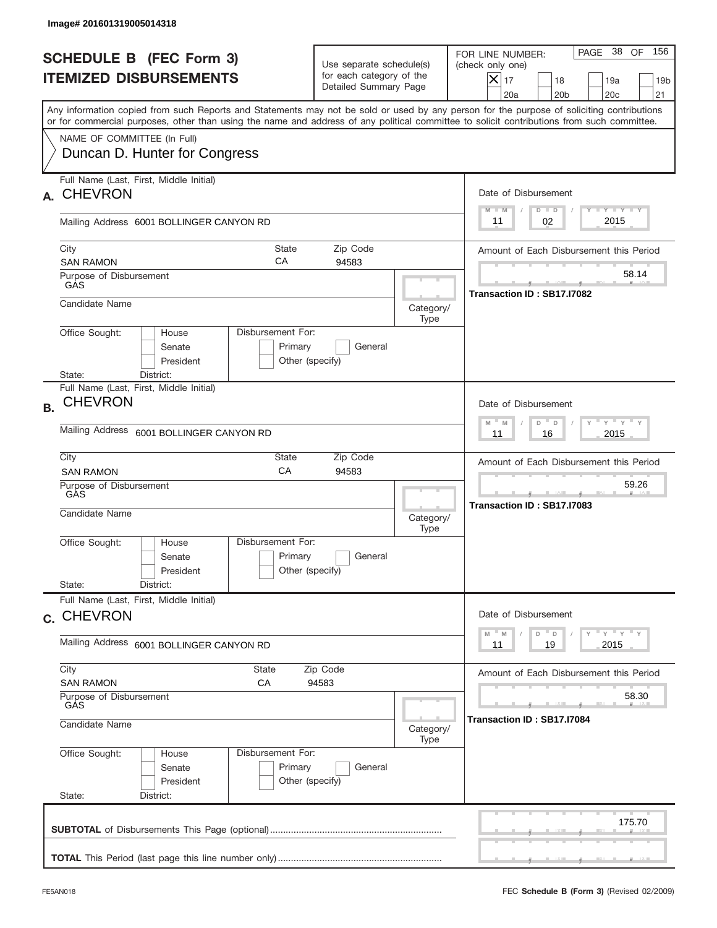|           | Image# 201601319005014318                                                                                                                                                                                                                                                               |                                                                                                |                   |                                                                                                                                                                   |
|-----------|-----------------------------------------------------------------------------------------------------------------------------------------------------------------------------------------------------------------------------------------------------------------------------------------|------------------------------------------------------------------------------------------------|-------------------|-------------------------------------------------------------------------------------------------------------------------------------------------------------------|
|           | <b>SCHEDULE B (FEC Form 3)</b><br><b>ITEMIZED DISBURSEMENTS</b>                                                                                                                                                                                                                         | Use separate schedule(s)<br>for each category of the<br>Detailed Summary Page                  |                   | 156<br>PAGE 38<br>OF<br>FOR LINE NUMBER:<br>(check only one)<br>$\times$<br>17<br>18<br>19a<br>19 <sub>b</sub><br>20 <sub>c</sub><br>21<br>20a<br>20 <sub>b</sub> |
|           | Any information copied from such Reports and Statements may not be sold or used by any person for the purpose of soliciting contributions<br>or for commercial purposes, other than using the name and address of any political committee to solicit contributions from such committee. |                                                                                                |                   |                                                                                                                                                                   |
|           | NAME OF COMMITTEE (In Full)<br>Duncan D. Hunter for Congress                                                                                                                                                                                                                            |                                                                                                |                   |                                                                                                                                                                   |
| А.        | Full Name (Last, First, Middle Initial)<br><b>CHEVRON</b>                                                                                                                                                                                                                               |                                                                                                |                   | Date of Disbursement<br>$T - Y$ $T - Y$<br>$M - M$<br>$D$ $D$                                                                                                     |
|           | Mailing Address 6001 BOLLINGER CANYON RD                                                                                                                                                                                                                                                |                                                                                                |                   | 2015<br>02<br>11                                                                                                                                                  |
|           | <b>State</b><br>City<br>CA<br><b>SAN RAMON</b>                                                                                                                                                                                                                                          | Zip Code<br>94583                                                                              |                   | Amount of Each Disbursement this Period                                                                                                                           |
|           | Purpose of Disbursement<br>GAS                                                                                                                                                                                                                                                          |                                                                                                |                   | 58.14<br>Transaction ID: SB17.I7082                                                                                                                               |
|           | Candidate Name                                                                                                                                                                                                                                                                          |                                                                                                | Category/<br>Type |                                                                                                                                                                   |
|           | Disbursement For:<br>Office Sought:<br>House<br>Senate<br>President<br>State:<br>District:                                                                                                                                                                                              | Primary<br>General<br>Other (specify)                                                          |                   |                                                                                                                                                                   |
| <b>B.</b> | Full Name (Last, First, Middle Initial)<br><b>CHEVRON</b>                                                                                                                                                                                                                               |                                                                                                |                   | Date of Disbursement                                                                                                                                              |
|           | Mailing Address<br>6001 BOLLINGER CANYON RD                                                                                                                                                                                                                                             | $\cdots$ $\gamma$ $\cdots$ $\gamma$ $\cdots$ $\gamma$<br>$M - M$<br>D<br>D<br>2015<br>11<br>16 |                   |                                                                                                                                                                   |
|           | City<br>State<br>CA<br><b>SAN RAMON</b>                                                                                                                                                                                                                                                 | Zip Code<br>94583                                                                              |                   | Amount of Each Disbursement this Period                                                                                                                           |
|           | Purpose of Disbursement<br>GÀS<br>Candidate Name                                                                                                                                                                                                                                        |                                                                                                | Category/<br>Type | 59.26<br>__<br>Transaction ID: SB17.I7083                                                                                                                         |
|           | Disbursement For:<br>Office Sought:<br>House<br>Senate<br>President                                                                                                                                                                                                                     | Primary<br>General<br>Other (specify)                                                          |                   |                                                                                                                                                                   |
|           | State:<br>District:<br>Full Name (Last, First, Middle Initial)                                                                                                                                                                                                                          |                                                                                                |                   |                                                                                                                                                                   |
|           | c. CHEVRON                                                                                                                                                                                                                                                                              |                                                                                                |                   | Date of Disbursement<br>$\gamma$ $\gamma$ $\gamma$ $\gamma$ $\gamma$<br>$-$ M<br>D<br>M<br>D                                                                      |
|           | Mailing Address 6001 BOLLINGER CANYON RD                                                                                                                                                                                                                                                | 19<br>2015<br>11                                                                               |                   |                                                                                                                                                                   |
|           | City<br>State<br>CA<br><b>SAN RAMON</b>                                                                                                                                                                                                                                                 | Zip Code<br>94583                                                                              |                   | Amount of Each Disbursement this Period                                                                                                                           |
|           | Purpose of Disbursement<br>GÁS<br>Candidate Name                                                                                                                                                                                                                                        | 58.30<br>Transaction ID: SB17.I7084                                                            |                   |                                                                                                                                                                   |
|           | Office Sought:<br>Disbursement For:<br>House                                                                                                                                                                                                                                            | Category/<br>Type                                                                              |                   |                                                                                                                                                                   |
|           | Senate<br>President<br>State:<br>District:                                                                                                                                                                                                                                              | Primary<br>General<br>Other (specify)                                                          |                   |                                                                                                                                                                   |
|           |                                                                                                                                                                                                                                                                                         |                                                                                                |                   | 175.70                                                                                                                                                            |
|           |                                                                                                                                                                                                                                                                                         |                                                                                                |                   |                                                                                                                                                                   |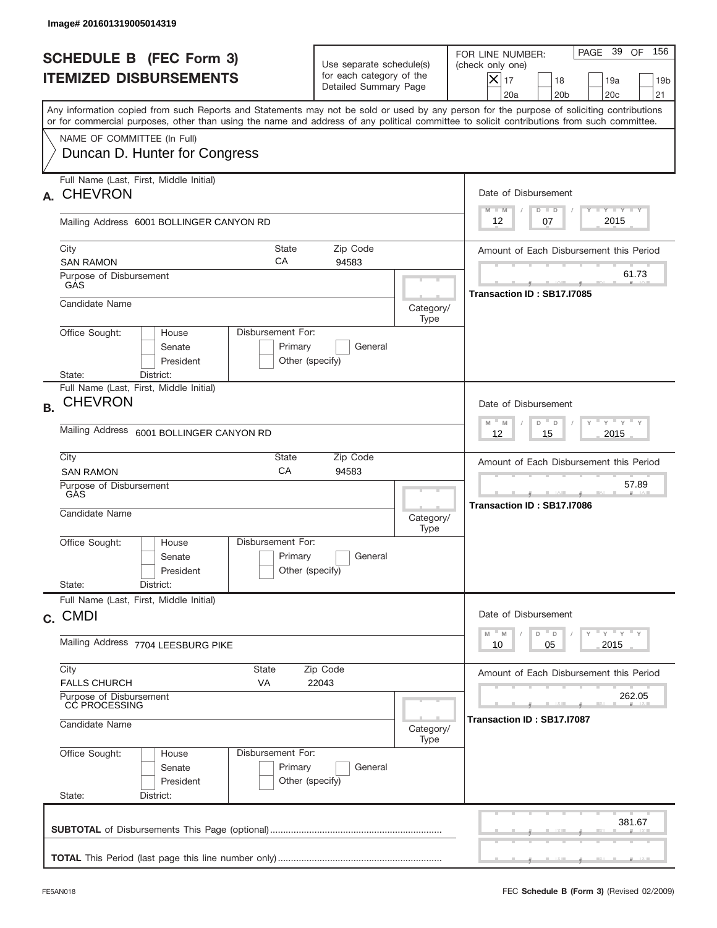|           | Image# 201601319005014319                                                                                                                                                                                                                                                               |                                                 |                                                                               |                                                                      |                                                                                                                                                              |
|-----------|-----------------------------------------------------------------------------------------------------------------------------------------------------------------------------------------------------------------------------------------------------------------------------------------|-------------------------------------------------|-------------------------------------------------------------------------------|----------------------------------------------------------------------|--------------------------------------------------------------------------------------------------------------------------------------------------------------|
|           | <b>SCHEDULE B (FEC Form 3)</b><br><b>ITEMIZED DISBURSEMENTS</b>                                                                                                                                                                                                                         |                                                 | Use separate schedule(s)<br>for each category of the<br>Detailed Summary Page |                                                                      | 156<br>PAGE 39<br>OF<br>FOR LINE NUMBER:<br>(check only one)<br>$X _{17}$<br>18<br>19a<br>19 <sub>b</sub><br>20 <sub>c</sub><br>20a<br>20 <sub>b</sub><br>21 |
|           | Any information copied from such Reports and Statements may not be sold or used by any person for the purpose of soliciting contributions<br>or for commercial purposes, other than using the name and address of any political committee to solicit contributions from such committee. |                                                 |                                                                               |                                                                      |                                                                                                                                                              |
|           | NAME OF COMMITTEE (In Full)<br>Duncan D. Hunter for Congress                                                                                                                                                                                                                            |                                                 |                                                                               |                                                                      |                                                                                                                                                              |
| А.        | Full Name (Last, First, Middle Initial)<br><b>CHEVRON</b>                                                                                                                                                                                                                               |                                                 |                                                                               |                                                                      | Date of Disbursement<br><b>TAYLY LY</b>                                                                                                                      |
|           | Mailing Address 6001 BOLLINGER CANYON RD                                                                                                                                                                                                                                                |                                                 |                                                                               |                                                                      | $M - M$<br>$D$ $D$<br>2015<br>12<br>07                                                                                                                       |
|           | City<br>State<br>Zip Code<br>СA<br><b>SAN RAMON</b><br>94583                                                                                                                                                                                                                            |                                                 |                                                                               |                                                                      | Amount of Each Disbursement this Period                                                                                                                      |
|           | Purpose of Disbursement<br>GAS                                                                                                                                                                                                                                                          |                                                 |                                                                               |                                                                      | 61.73<br>Transaction ID: SB17.I7085                                                                                                                          |
|           | Candidate Name                                                                                                                                                                                                                                                                          |                                                 |                                                                               | Category/<br>Type                                                    |                                                                                                                                                              |
|           | Office Sought:<br>House<br>Senate<br>President<br>State:<br>District:                                                                                                                                                                                                                   | Disbursement For:<br>Primary<br>Other (specify) | General                                                                       |                                                                      |                                                                                                                                                              |
| <b>B.</b> | Full Name (Last, First, Middle Initial)<br><b>CHEVRON</b>                                                                                                                                                                                                                               |                                                 |                                                                               |                                                                      | Date of Disbursement                                                                                                                                         |
|           | Mailing Address<br>6001 BOLLINGER CANYON RD                                                                                                                                                                                                                                             |                                                 |                                                                               |                                                                      | $-\gamma + \gamma - \gamma$<br>$M - M$<br>D<br>$\Box$<br>2015<br>12<br>15                                                                                    |
|           | City<br><b>SAN RAMON</b>                                                                                                                                                                                                                                                                | State<br>CA                                     | Zip Code<br>94583                                                             |                                                                      | Amount of Each Disbursement this Period                                                                                                                      |
|           | Purpose of Disbursement<br>GÀS<br>Candidate Name                                                                                                                                                                                                                                        |                                                 |                                                                               | Category/<br>Type                                                    | 57.89<br>--<br>Transaction ID: SB17.I7086                                                                                                                    |
|           | Office Sought:<br>House<br>Senate<br>President                                                                                                                                                                                                                                          | Disbursement For:<br>Primary<br>Other (specify) | General                                                                       |                                                                      |                                                                                                                                                              |
|           | State:<br>District:<br>Full Name (Last, First, Middle Initial)                                                                                                                                                                                                                          |                                                 |                                                                               |                                                                      |                                                                                                                                                              |
|           | c. CMDI                                                                                                                                                                                                                                                                                 |                                                 |                                                                               | Date of Disbursement<br>$\gamma$ $\gamma$ $\gamma$ $\gamma$ $\gamma$ |                                                                                                                                                              |
|           | Mailing Address 7704 LEESBURG PIKE                                                                                                                                                                                                                                                      |                                                 |                                                                               |                                                                      | M<br>D<br>M<br>D<br>2015<br>10<br>05                                                                                                                         |
|           | City<br>State<br>Zip Code<br><b>FALLS CHURCH</b><br>VA<br>22043                                                                                                                                                                                                                         |                                                 |                                                                               |                                                                      | Amount of Each Disbursement this Period                                                                                                                      |
|           | Purpose of Disbursement<br>CC PROCESSING<br>Candidate Name                                                                                                                                                                                                                              |                                                 |                                                                               | Category/                                                            | 262.05<br>Transaction ID : SB17.I7087                                                                                                                        |
|           | Office Sought:<br>House<br>Senate<br>President<br>State:<br>District:                                                                                                                                                                                                                   | Disbursement For:<br>Primary<br>Other (specify) | General                                                                       | Type                                                                 |                                                                                                                                                              |
|           |                                                                                                                                                                                                                                                                                         |                                                 |                                                                               |                                                                      | 381.67                                                                                                                                                       |
|           |                                                                                                                                                                                                                                                                                         |                                                 |                                                                               |                                                                      |                                                                                                                                                              |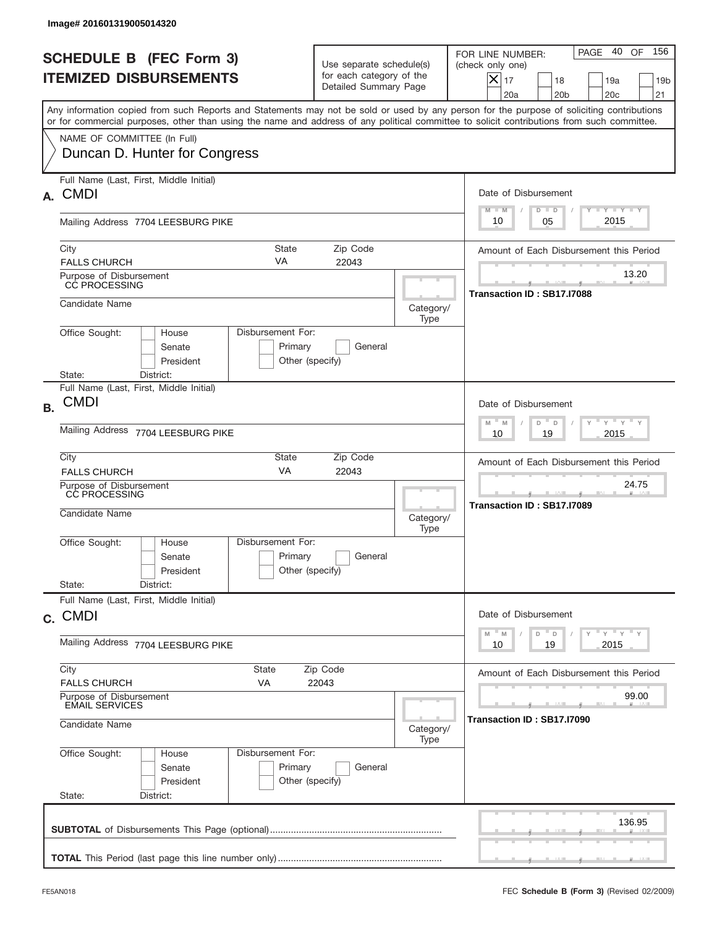|           | Image# 201601319005014320                                                                                                                                                                                                                                                               |                                                                                        |                   |                                                                                                                                                              |
|-----------|-----------------------------------------------------------------------------------------------------------------------------------------------------------------------------------------------------------------------------------------------------------------------------------------|----------------------------------------------------------------------------------------|-------------------|--------------------------------------------------------------------------------------------------------------------------------------------------------------|
|           | <b>SCHEDULE B (FEC Form 3)</b><br><b>ITEMIZED DISBURSEMENTS</b>                                                                                                                                                                                                                         | Use separate schedule(s)<br>for each category of the<br>Detailed Summary Page          |                   | 156<br>PAGE 40<br>OF<br>FOR LINE NUMBER:<br>(check only one)<br>$X _{17}$<br>18<br>19a<br>19 <sub>b</sub><br>20a<br>20 <sub>b</sub><br>20 <sub>c</sub><br>21 |
|           | Any information copied from such Reports and Statements may not be sold or used by any person for the purpose of soliciting contributions<br>or for commercial purposes, other than using the name and address of any political committee to solicit contributions from such committee. |                                                                                        |                   |                                                                                                                                                              |
|           | NAME OF COMMITTEE (In Full)<br>Duncan D. Hunter for Congress                                                                                                                                                                                                                            |                                                                                        |                   |                                                                                                                                                              |
| А.        | Full Name (Last, First, Middle Initial)<br><b>CMDI</b>                                                                                                                                                                                                                                  |                                                                                        |                   | Date of Disbursement                                                                                                                                         |
|           | Mailing Address 7704 LEESBURG PIKE                                                                                                                                                                                                                                                      |                                                                                        |                   | $T - Y$ $T - Y$<br>$M - M$<br>$D$ $D$<br>2015<br>10<br>05                                                                                                    |
|           | City<br><b>State</b><br>VA<br><b>FALLS CHURCH</b>                                                                                                                                                                                                                                       | Amount of Each Disbursement this Period                                                |                   |                                                                                                                                                              |
|           | Purpose of Disbursement<br>CC PROCESSING                                                                                                                                                                                                                                                |                                                                                        |                   | 13.20<br>Transaction ID: SB17.I7088                                                                                                                          |
|           | Candidate Name                                                                                                                                                                                                                                                                          |                                                                                        | Category/<br>Type |                                                                                                                                                              |
|           | Disbursement For:<br>Office Sought:<br>House<br>Senate<br>Primary<br>President<br>State:<br>District:                                                                                                                                                                                   | General<br>Other (specify)                                                             |                   |                                                                                                                                                              |
| <b>B.</b> | Full Name (Last, First, Middle Initial)<br><b>CMDI</b>                                                                                                                                                                                                                                  |                                                                                        |                   | Date of Disbursement                                                                                                                                         |
|           | Mailing Address 7704 LEESBURG PIKE                                                                                                                                                                                                                                                      | $M - M$<br>≡ γ ≡ γ ≡<br>D<br>D<br>2015<br>10<br>19                                     |                   |                                                                                                                                                              |
|           | City<br>State<br>VA<br><b>FALLS CHURCH</b>                                                                                                                                                                                                                                              | Amount of Each Disbursement this Period                                                |                   |                                                                                                                                                              |
|           | Purpose of Disbursement<br>CC PROCESSING<br>Candidate Name                                                                                                                                                                                                                              |                                                                                        |                   | 24.75<br>Transaction ID: SB17.I7089                                                                                                                          |
|           | Disbursement For:<br>Office Sought:<br>House<br>Primary<br>Senate<br>President                                                                                                                                                                                                          | General<br>Other (specify)                                                             | Type              |                                                                                                                                                              |
|           | State:<br>District:<br>Full Name (Last, First, Middle Initial)                                                                                                                                                                                                                          |                                                                                        |                   |                                                                                                                                                              |
|           | c. CMDI                                                                                                                                                                                                                                                                                 | Date of Disbursement<br>$\gamma$ $\gamma$ $\gamma$ $\gamma$ $\gamma$<br>$-M$<br>M<br>D |                   |                                                                                                                                                              |
|           | Mailing Address 7704 LEESBURG PIKE                                                                                                                                                                                                                                                      | $\mathsf D$<br>19<br>2015<br>10                                                        |                   |                                                                                                                                                              |
|           | City<br>State<br><b>FALLS CHURCH</b><br>VA                                                                                                                                                                                                                                              | Zip Code<br>22043                                                                      |                   | Amount of Each Disbursement this Period                                                                                                                      |
|           | Purpose of Disbursement<br><b>EMAIL SERVICES</b>                                                                                                                                                                                                                                        | 99.00<br>Transaction ID: SB17.I7090                                                    |                   |                                                                                                                                                              |
|           | Candidate Name                                                                                                                                                                                                                                                                          |                                                                                        |                   |                                                                                                                                                              |
|           | Office Sought:<br>Disbursement For:<br>House<br>Primary<br>Senate<br>President<br>State:<br>District:                                                                                                                                                                                   | General<br>Other (specify)                                                             |                   |                                                                                                                                                              |
|           |                                                                                                                                                                                                                                                                                         |                                                                                        |                   | 136.95                                                                                                                                                       |
|           |                                                                                                                                                                                                                                                                                         |                                                                                        |                   |                                                                                                                                                              |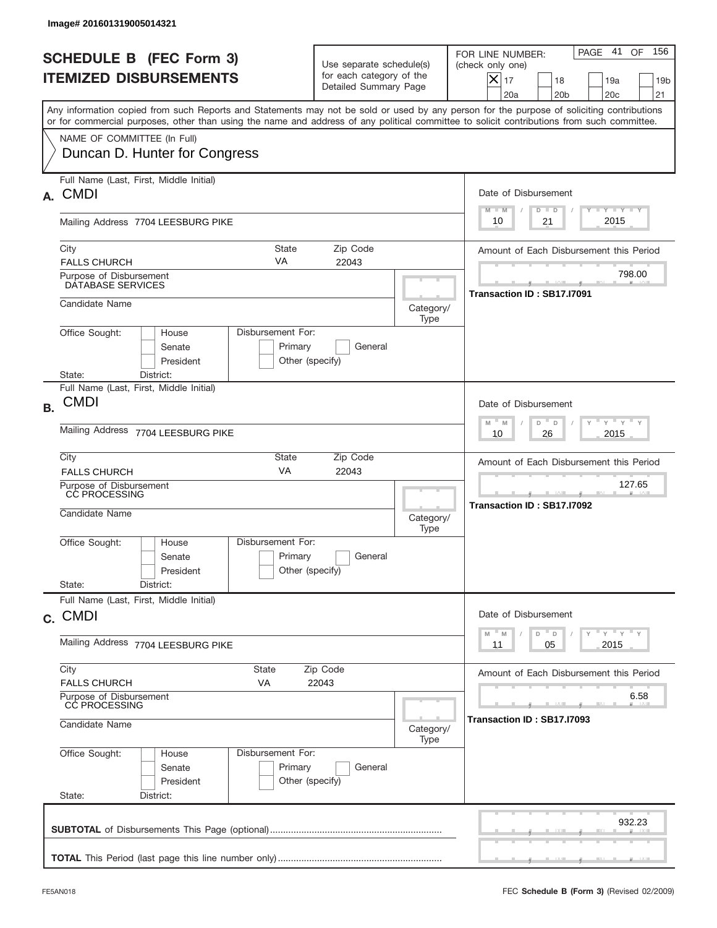|           | Image# 201601319005014321                                                                                                                                                                                                                                                               |                                                                                       |                                         |                                                                                                                                                              |
|-----------|-----------------------------------------------------------------------------------------------------------------------------------------------------------------------------------------------------------------------------------------------------------------------------------------|---------------------------------------------------------------------------------------|-----------------------------------------|--------------------------------------------------------------------------------------------------------------------------------------------------------------|
|           | <b>SCHEDULE B (FEC Form 3)</b><br><b>ITEMIZED DISBURSEMENTS</b>                                                                                                                                                                                                                         | Use separate schedule(s)<br>for each category of the<br>Detailed Summary Page         |                                         | 156<br>PAGE 41<br>OF<br>FOR LINE NUMBER:<br>(check only one)<br>$X _{17}$<br>18<br>19a<br>19 <sub>b</sub><br>20 <sub>c</sub><br>20a<br>20 <sub>b</sub><br>21 |
|           | Any information copied from such Reports and Statements may not be sold or used by any person for the purpose of soliciting contributions<br>or for commercial purposes, other than using the name and address of any political committee to solicit contributions from such committee. |                                                                                       |                                         |                                                                                                                                                              |
|           | NAME OF COMMITTEE (In Full)<br>Duncan D. Hunter for Congress                                                                                                                                                                                                                            |                                                                                       |                                         |                                                                                                                                                              |
| А.        | Full Name (Last, First, Middle Initial)<br><b>CMDI</b>                                                                                                                                                                                                                                  |                                                                                       |                                         | Date of Disbursement<br>$T - Y$ $T - Y$<br>$M - M$<br>$D$ $D$                                                                                                |
|           | Mailing Address 7704 LEESBURG PIKE                                                                                                                                                                                                                                                      |                                                                                       |                                         | 2015<br>21<br>10                                                                                                                                             |
|           | State<br>City<br>VA<br><b>FALLS CHURCH</b>                                                                                                                                                                                                                                              | Zip Code<br>22043                                                                     |                                         | Amount of Each Disbursement this Period                                                                                                                      |
|           | Purpose of Disbursement<br>DATABASE SERVICES                                                                                                                                                                                                                                            |                                                                                       |                                         | 798.00<br>Transaction ID: SB17.I7091                                                                                                                         |
|           | Candidate Name                                                                                                                                                                                                                                                                          |                                                                                       | Category/<br>Type                       |                                                                                                                                                              |
|           | Disbursement For:<br>Office Sought:<br>House<br>Senate<br>Primary<br>President<br>State:                                                                                                                                                                                                | General<br>Other (specify)                                                            |                                         |                                                                                                                                                              |
| <b>B.</b> | District:<br>Full Name (Last, First, Middle Initial)<br><b>CMDI</b>                                                                                                                                                                                                                     |                                                                                       |                                         | Date of Disbursement                                                                                                                                         |
|           | Mailing Address 7704 LEESBURG PIKE                                                                                                                                                                                                                                                      | $\cdots$ $\gamma$ $\cdots$ $\gamma$ $\cdots$<br>$M - M$<br>D<br>D<br>2015<br>10<br>26 |                                         |                                                                                                                                                              |
|           | City<br>State<br>VA<br><b>FALLS CHURCH</b>                                                                                                                                                                                                                                              |                                                                                       | Amount of Each Disbursement this Period |                                                                                                                                                              |
|           | Purpose of Disbursement<br>CC PROCESSING<br>Candidate Name                                                                                                                                                                                                                              | Category/<br>Type                                                                     | 127.65<br>Transaction ID: SB17.I7092    |                                                                                                                                                              |
|           | Disbursement For:<br>Office Sought:<br>House<br>Primary<br>Senate<br>President                                                                                                                                                                                                          | General<br>Other (specify)                                                            |                                         |                                                                                                                                                              |
|           | State:<br>District:<br>Full Name (Last, First, Middle Initial)                                                                                                                                                                                                                          |                                                                                       |                                         |                                                                                                                                                              |
|           | c. CMDI                                                                                                                                                                                                                                                                                 | Date of Disbursement<br>$\cdots$ $\gamma$ $\cdots$ $\gamma$ $\cdots$ $\gamma$<br>D    |                                         |                                                                                                                                                              |
|           | Mailing Address 7704 LEESBURG PIKE                                                                                                                                                                                                                                                      | M<br>M<br>D<br>Y<br>2015<br>11<br>05                                                  |                                         |                                                                                                                                                              |
|           | City<br>State<br>Zip Code<br><b>FALLS CHURCH</b><br>VA                                                                                                                                                                                                                                  | Amount of Each Disbursement this Period                                               |                                         |                                                                                                                                                              |
|           | Purpose of Disbursement<br>CC PROCESSING<br>Candidate Name                                                                                                                                                                                                                              | Category/                                                                             | 6.58<br>Transaction ID : SB17.I7093     |                                                                                                                                                              |
|           | Office Sought:<br>Disbursement For:<br>House<br>Primary<br>Senate<br>President<br>State:<br>District:                                                                                                                                                                                   | General<br>Other (specify)                                                            | Type                                    |                                                                                                                                                              |
|           |                                                                                                                                                                                                                                                                                         |                                                                                       |                                         | 932.23                                                                                                                                                       |
|           |                                                                                                                                                                                                                                                                                         |                                                                                       |                                         |                                                                                                                                                              |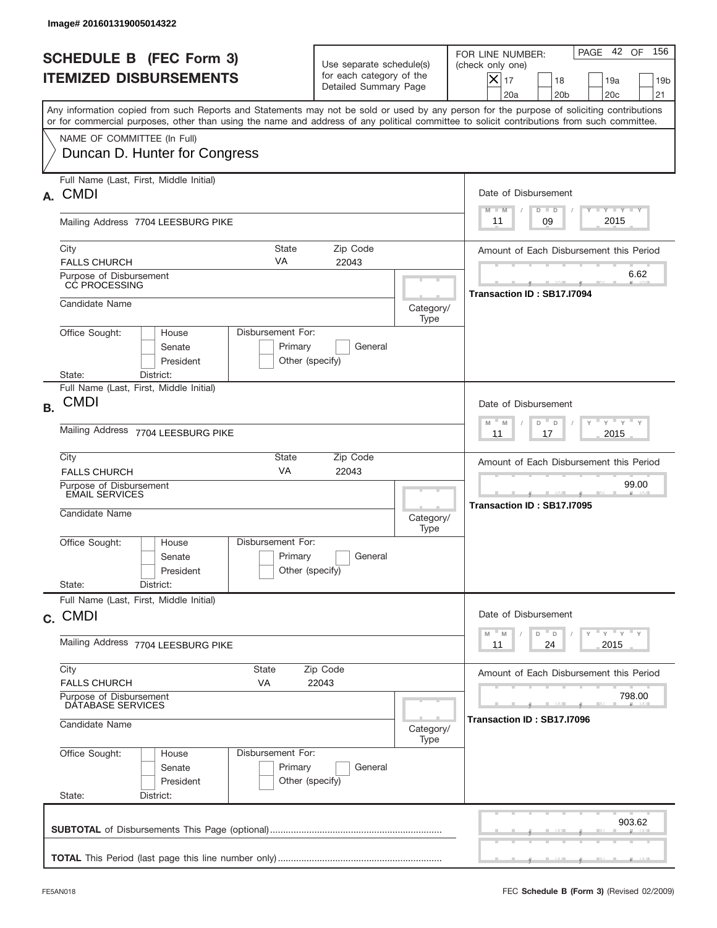|           | Image# 201601319005014322                                                                                                                                                                                                                                                               |                                                                               |                                     |                                                                                                                                                           |
|-----------|-----------------------------------------------------------------------------------------------------------------------------------------------------------------------------------------------------------------------------------------------------------------------------------------|-------------------------------------------------------------------------------|-------------------------------------|-----------------------------------------------------------------------------------------------------------------------------------------------------------|
|           | <b>SCHEDULE B (FEC Form 3)</b><br><b>ITEMIZED DISBURSEMENTS</b>                                                                                                                                                                                                                         | Use separate schedule(s)<br>for each category of the<br>Detailed Summary Page |                                     | 156<br>PAGE 42 OF<br>FOR LINE NUMBER:<br>(check only one)<br>$X _{17}$<br>18<br>19a<br>19 <sub>b</sub><br>20a<br>20 <sub>b</sub><br>20 <sub>c</sub><br>21 |
|           | Any information copied from such Reports and Statements may not be sold or used by any person for the purpose of soliciting contributions<br>or for commercial purposes, other than using the name and address of any political committee to solicit contributions from such committee. |                                                                               |                                     |                                                                                                                                                           |
|           | NAME OF COMMITTEE (In Full)<br>Duncan D. Hunter for Congress                                                                                                                                                                                                                            |                                                                               |                                     |                                                                                                                                                           |
| А.        | Full Name (Last, First, Middle Initial)<br><b>CMDI</b>                                                                                                                                                                                                                                  |                                                                               |                                     | Date of Disbursement                                                                                                                                      |
|           | Mailing Address 7704 LEESBURG PIKE                                                                                                                                                                                                                                                      |                                                                               |                                     | <b>TAYLY LY</b><br>$M - M$<br>$D$ $D$<br>2015<br>09<br>11                                                                                                 |
|           | City<br><b>State</b><br>VA<br><b>FALLS CHURCH</b>                                                                                                                                                                                                                                       | Zip Code<br>22043                                                             |                                     | Amount of Each Disbursement this Period                                                                                                                   |
|           | Purpose of Disbursement<br>CC PROCESSING                                                                                                                                                                                                                                                |                                                                               |                                     | 6.62<br>Transaction ID: SB17.I7094                                                                                                                        |
|           | Candidate Name                                                                                                                                                                                                                                                                          |                                                                               | Category/<br>Type                   |                                                                                                                                                           |
|           | Disbursement For:<br>Office Sought:<br>House<br>Senate<br>Primary<br>President<br>State:<br>District:                                                                                                                                                                                   | General<br>Other (specify)                                                    |                                     |                                                                                                                                                           |
| <b>B.</b> | Full Name (Last, First, Middle Initial)<br><b>CMDI</b>                                                                                                                                                                                                                                  |                                                                               |                                     | Date of Disbursement<br>$-$ M<br>≡ γ ≡ γ ≡<br>M<br>D<br>D                                                                                                 |
|           | Mailing Address 7704 LEESBURG PIKE                                                                                                                                                                                                                                                      | 2015<br>11<br>17                                                              |                                     |                                                                                                                                                           |
|           | City<br>State<br>VA<br><b>FALLS CHURCH</b>                                                                                                                                                                                                                                              | Amount of Each Disbursement this Period                                       |                                     |                                                                                                                                                           |
|           | Purpose of Disbursement<br>EMAIL SERVICES<br>Candidate Name                                                                                                                                                                                                                             | Category/<br>Type                                                             | 99.00<br>Transaction ID: SB17.I7095 |                                                                                                                                                           |
|           | Disbursement For:<br>Office Sought:<br>House<br>Primary<br>Senate<br>President<br>State:<br>District:                                                                                                                                                                                   | General<br>Other (specify)                                                    |                                     |                                                                                                                                                           |
|           | Full Name (Last, First, Middle Initial)<br>c. CMDI                                                                                                                                                                                                                                      |                                                                               |                                     | Date of Disbursement                                                                                                                                      |
|           | Mailing Address 7704 LEESBURG PIKE                                                                                                                                                                                                                                                      | $-\gamma + \gamma - \gamma$<br>M<br>M<br>D<br>D<br>Y<br>2015<br>11<br>24      |                                     |                                                                                                                                                           |
|           | City<br>State<br><b>FALLS CHURCH</b><br>VA                                                                                                                                                                                                                                              | Zip Code<br>22043                                                             |                                     | Amount of Each Disbursement this Period                                                                                                                   |
|           | Purpose of Disbursement<br>DATABASE SERVICES                                                                                                                                                                                                                                            |                                                                               | 798.00                              |                                                                                                                                                           |
|           | Candidate Name                                                                                                                                                                                                                                                                          | Transaction ID: SB17.I7096                                                    |                                     |                                                                                                                                                           |
|           | Office Sought:<br>Disbursement For:<br>House<br>Primary<br>Senate<br>President<br>State:<br>District:                                                                                                                                                                                   | General<br>Other (specify)                                                    |                                     |                                                                                                                                                           |
|           |                                                                                                                                                                                                                                                                                         |                                                                               |                                     | 903.62                                                                                                                                                    |
|           |                                                                                                                                                                                                                                                                                         |                                                                               |                                     |                                                                                                                                                           |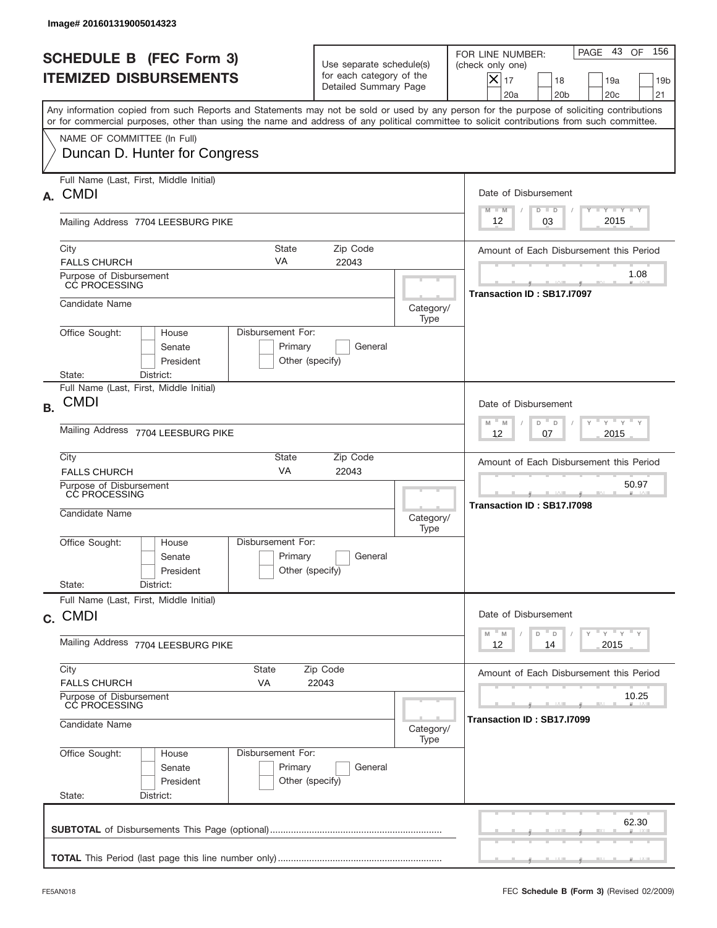|           | Image# 201601319005014323                                                                                                                                                                                                                                                               |                                                                               |                                     |                                                                                                                                                              |
|-----------|-----------------------------------------------------------------------------------------------------------------------------------------------------------------------------------------------------------------------------------------------------------------------------------------|-------------------------------------------------------------------------------|-------------------------------------|--------------------------------------------------------------------------------------------------------------------------------------------------------------|
|           | <b>SCHEDULE B (FEC Form 3)</b><br><b>ITEMIZED DISBURSEMENTS</b>                                                                                                                                                                                                                         | Use separate schedule(s)<br>for each category of the<br>Detailed Summary Page |                                     | 156<br>PAGE 43<br>OF<br>FOR LINE NUMBER:<br>(check only one)<br>$X _{17}$<br>18<br>19a<br>19 <sub>b</sub><br>20a<br>20 <sub>b</sub><br>20 <sub>c</sub><br>21 |
|           | Any information copied from such Reports and Statements may not be sold or used by any person for the purpose of soliciting contributions<br>or for commercial purposes, other than using the name and address of any political committee to solicit contributions from such committee. |                                                                               |                                     |                                                                                                                                                              |
|           | NAME OF COMMITTEE (In Full)<br>Duncan D. Hunter for Congress                                                                                                                                                                                                                            |                                                                               |                                     |                                                                                                                                                              |
| А.        | Full Name (Last, First, Middle Initial)<br><b>CMDI</b>                                                                                                                                                                                                                                  |                                                                               |                                     | Date of Disbursement<br><b>TAYLY LY</b><br>$M - M$<br>$D$ $D$                                                                                                |
|           | Mailing Address 7704 LEESBURG PIKE                                                                                                                                                                                                                                                      |                                                                               |                                     | 2015<br>03<br>12                                                                                                                                             |
|           | City<br><b>State</b><br>VA<br><b>FALLS CHURCH</b>                                                                                                                                                                                                                                       | Amount of Each Disbursement this Period                                       |                                     |                                                                                                                                                              |
|           | Purpose of Disbursement<br>CC PROCESSING                                                                                                                                                                                                                                                |                                                                               |                                     | 1.08<br>Transaction ID: SB17.I7097                                                                                                                           |
|           | Candidate Name                                                                                                                                                                                                                                                                          |                                                                               | Category/<br>Type                   |                                                                                                                                                              |
|           | Disbursement For:<br>Office Sought:<br>House<br>Senate<br>Primary<br>President<br>State:<br>District:                                                                                                                                                                                   | General<br>Other (specify)                                                    |                                     |                                                                                                                                                              |
| <b>B.</b> | Full Name (Last, First, Middle Initial)<br><b>CMDI</b>                                                                                                                                                                                                                                  |                                                                               |                                     | Date of Disbursement<br>$M - M$<br>≡ γ ≡ γ ≡<br>D                                                                                                            |
|           | Mailing Address 7704 LEESBURG PIKE                                                                                                                                                                                                                                                      | D<br>2015<br>12<br>07                                                         |                                     |                                                                                                                                                              |
|           | City<br>State<br>VA<br><b>FALLS CHURCH</b>                                                                                                                                                                                                                                              | Amount of Each Disbursement this Period                                       |                                     |                                                                                                                                                              |
|           | Purpose of Disbursement<br>CC PROCESSING<br>Candidate Name                                                                                                                                                                                                                              | Category/<br>Type                                                             | 50.97<br>Transaction ID: SB17.I7098 |                                                                                                                                                              |
|           | Disbursement For:<br>Office Sought:<br>House<br>Primary<br>Senate<br>President                                                                                                                                                                                                          | General<br>Other (specify)                                                    |                                     |                                                                                                                                                              |
|           | State:<br>District:<br>Full Name (Last, First, Middle Initial)                                                                                                                                                                                                                          |                                                                               |                                     |                                                                                                                                                              |
|           | c. CMDI                                                                                                                                                                                                                                                                                 |                                                                               |                                     | Date of Disbursement                                                                                                                                         |
|           | Mailing Address 7704 LEESBURG PIKE                                                                                                                                                                                                                                                      | ү"ү"ү"ү<br>$-M$<br>M<br>D<br>$\mathsf D$<br>2015<br>12<br>14                  |                                     |                                                                                                                                                              |
|           | City<br>State<br><b>FALLS CHURCH</b><br>VA                                                                                                                                                                                                                                              | Zip Code<br>22043                                                             |                                     | Amount of Each Disbursement this Period                                                                                                                      |
|           | Purpose of Disbursement<br>CC PROCESSING                                                                                                                                                                                                                                                | 10.25                                                                         |                                     |                                                                                                                                                              |
|           | Candidate Name                                                                                                                                                                                                                                                                          | Transaction ID: SB17.I7099                                                    |                                     |                                                                                                                                                              |
|           | Office Sought:<br>Disbursement For:<br>House<br>Primary<br>Senate<br>President<br>State:<br>District:                                                                                                                                                                                   | General<br>Other (specify)                                                    | Type                                |                                                                                                                                                              |
|           |                                                                                                                                                                                                                                                                                         |                                                                               |                                     | 62.30                                                                                                                                                        |
|           |                                                                                                                                                                                                                                                                                         |                                                                               |                                     |                                                                                                                                                              |
|           |                                                                                                                                                                                                                                                                                         |                                                                               |                                     |                                                                                                                                                              |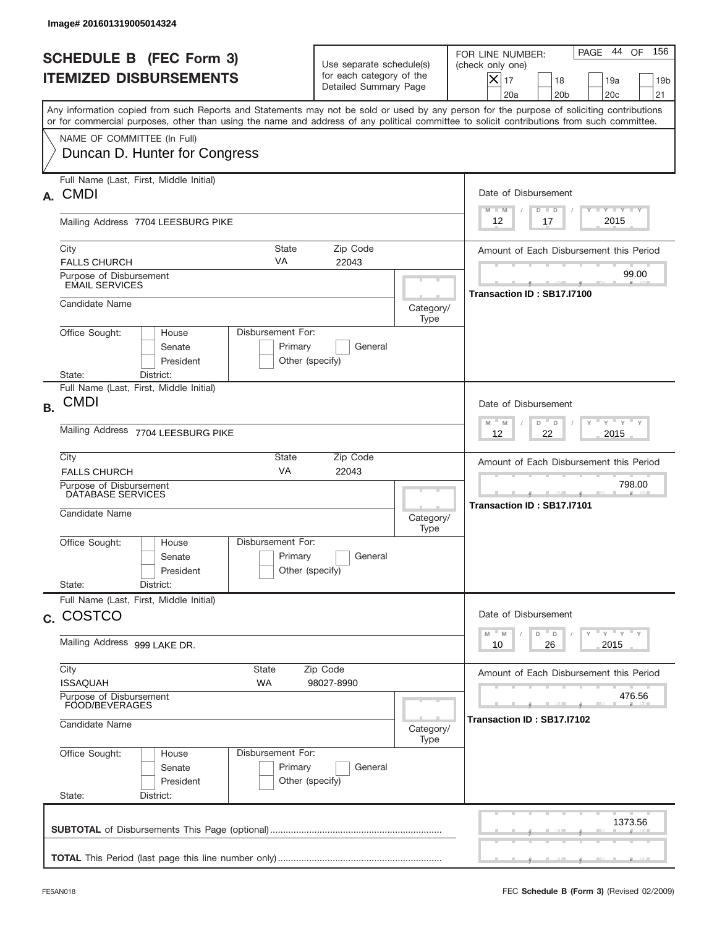| Image# 201601319005014324                                                                                                                                                                                                                                                               |                                                                                         |                                                                                                                                                              |  |  |  |
|-----------------------------------------------------------------------------------------------------------------------------------------------------------------------------------------------------------------------------------------------------------------------------------------|-----------------------------------------------------------------------------------------|--------------------------------------------------------------------------------------------------------------------------------------------------------------|--|--|--|
| <b>SCHEDULE B (FEC Form 3)</b><br><b>ITEMIZED DISBURSEMENTS</b>                                                                                                                                                                                                                         | Use separate schedule(s)<br>for each category of the<br>Detailed Summary Page           | 156<br>PAGE 44<br>OF<br>FOR LINE NUMBER:<br>(check only one)<br>$X _{17}$<br>18<br>19a<br>19 <sub>b</sub><br>20 <sub>c</sub><br>20a<br>20 <sub>b</sub><br>21 |  |  |  |
| Any information copied from such Reports and Statements may not be sold or used by any person for the purpose of soliciting contributions<br>or for commercial purposes, other than using the name and address of any political committee to solicit contributions from such committee. |                                                                                         |                                                                                                                                                              |  |  |  |
| NAME OF COMMITTEE (In Full)<br>Duncan D. Hunter for Congress                                                                                                                                                                                                                            |                                                                                         |                                                                                                                                                              |  |  |  |
| Full Name (Last, First, Middle Initial)<br><b>CMDI</b><br>А.                                                                                                                                                                                                                            |                                                                                         | Date of Disbursement                                                                                                                                         |  |  |  |
| Mailing Address 7704 LEESBURG PIKE                                                                                                                                                                                                                                                      |                                                                                         | <b>TAYLY LY</b><br>$M - M$<br>$D$ $D$<br>2015<br>12<br>17                                                                                                    |  |  |  |
| State<br>City<br>VA<br><b>FALLS CHURCH</b>                                                                                                                                                                                                                                              | Zip Code<br>22043                                                                       | Amount of Each Disbursement this Period                                                                                                                      |  |  |  |
| Purpose of Disbursement<br><b>EMAIL SERVICES</b>                                                                                                                                                                                                                                        |                                                                                         | 99.00<br>Transaction ID: SB17.I7100                                                                                                                          |  |  |  |
| Candidate Name                                                                                                                                                                                                                                                                          |                                                                                         | Category/<br>Type                                                                                                                                            |  |  |  |
| Disbursement For:<br>Office Sought:<br>House<br>Senate<br>President                                                                                                                                                                                                                     | Primary<br>General<br>Other (specify)                                                   |                                                                                                                                                              |  |  |  |
| State:<br>District:<br>Full Name (Last, First, Middle Initial)<br><b>CMDI</b><br><b>B.</b>                                                                                                                                                                                              |                                                                                         | Date of Disbursement<br>$\cdots$ $\gamma$ $\cdots$ $\gamma$ $\cdots$                                                                                         |  |  |  |
| Mailing Address 7704 LEESBURG PIKE                                                                                                                                                                                                                                                      |                                                                                         |                                                                                                                                                              |  |  |  |
| City<br>State<br>VA<br><b>FALLS CHURCH</b>                                                                                                                                                                                                                                              | Amount of Each Disbursement this Period                                                 |                                                                                                                                                              |  |  |  |
| Purpose of Disbursement<br>DATABASE SERVICES<br>Candidate Name                                                                                                                                                                                                                          |                                                                                         | 798.00<br>Transaction ID: SB17.I7101<br>Category/<br>Type                                                                                                    |  |  |  |
| Disbursement For:<br>Office Sought:<br>House<br>Senate<br>President                                                                                                                                                                                                                     | Primary<br>General<br>Other (specify)                                                   |                                                                                                                                                              |  |  |  |
| State:<br>District:<br>Full Name (Last, First, Middle Initial)                                                                                                                                                                                                                          |                                                                                         |                                                                                                                                                              |  |  |  |
| c. COSTCO                                                                                                                                                                                                                                                                               |                                                                                         |                                                                                                                                                              |  |  |  |
| Mailing Address 999 LAKE DR.                                                                                                                                                                                                                                                            | $\gamma$ $\gamma$ $\gamma$ $\gamma$ $\gamma$<br>$-M$<br>D<br>M<br>D<br>2015<br>10<br>26 |                                                                                                                                                              |  |  |  |
| City<br>State<br><b>ISSAQUAH</b><br>WA                                                                                                                                                                                                                                                  | Zip Code<br>98027-8990                                                                  | Amount of Each Disbursement this Period                                                                                                                      |  |  |  |
| Purpose of Disbursement<br>FOOD/BEVERAGES<br>Candidate Name                                                                                                                                                                                                                             |                                                                                         | 476.56<br>Transaction ID : SB17.I7102<br>Category/                                                                                                           |  |  |  |
| Office Sought:<br>Disbursement For:<br>House<br>Senate<br>President<br>State:<br>District:                                                                                                                                                                                              | Primary<br>General<br>Other (specify)                                                   | Type                                                                                                                                                         |  |  |  |
|                                                                                                                                                                                                                                                                                         |                                                                                         | 1373.56                                                                                                                                                      |  |  |  |
|                                                                                                                                                                                                                                                                                         |                                                                                         |                                                                                                                                                              |  |  |  |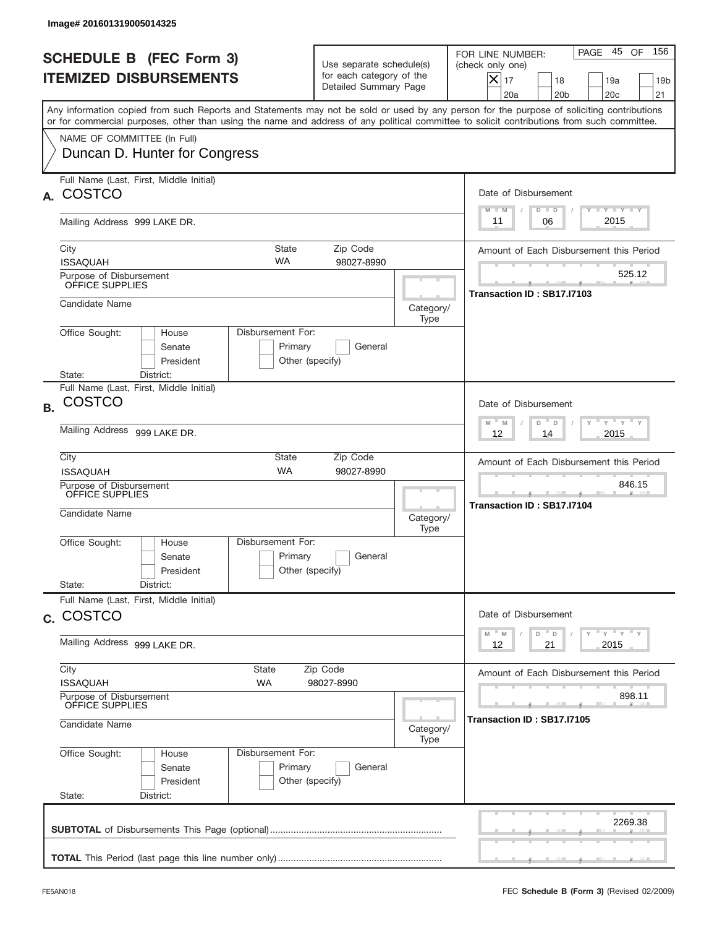|              | Image# 201601319005014325                                                         |                                                                                                           |                                                                               |                   |                                                                                                                                                                                                                                                                                         |
|--------------|-----------------------------------------------------------------------------------|-----------------------------------------------------------------------------------------------------------|-------------------------------------------------------------------------------|-------------------|-----------------------------------------------------------------------------------------------------------------------------------------------------------------------------------------------------------------------------------------------------------------------------------------|
|              | <b>SCHEDULE B (FEC Form 3)</b><br><b>ITEMIZED DISBURSEMENTS</b>                   |                                                                                                           | Use separate schedule(s)<br>for each category of the<br>Detailed Summary Page |                   | 156<br>PAGE 45<br>OF<br>FOR LINE NUMBER:<br>(check only one)<br>$X _{17}$<br>18<br>19a<br>19 <sub>b</sub><br>20a<br>20 <sub>b</sub><br>20 <sub>c</sub><br>21                                                                                                                            |
|              | NAME OF COMMITTEE (In Full)                                                       |                                                                                                           |                                                                               |                   | Any information copied from such Reports and Statements may not be sold or used by any person for the purpose of soliciting contributions<br>or for commercial purposes, other than using the name and address of any political committee to solicit contributions from such committee. |
|              | Duncan D. Hunter for Congress                                                     |                                                                                                           |                                                                               |                   |                                                                                                                                                                                                                                                                                         |
| $\mathbf{A}$ | Full Name (Last, First, Middle Initial)<br><b>COSTCO</b>                          |                                                                                                           |                                                                               |                   | Date of Disbursement<br><b>TAYLY LY</b><br>$M - M$<br>$D$ $D$                                                                                                                                                                                                                           |
|              | Mailing Address 999 LAKE DR.                                                      |                                                                                                           |                                                                               |                   | 2015<br>06<br>11                                                                                                                                                                                                                                                                        |
|              | City<br><b>ISSAQUAH</b>                                                           | Amount of Each Disbursement this Period                                                                   |                                                                               |                   |                                                                                                                                                                                                                                                                                         |
|              | Purpose of Disbursement<br>OFFICE SUPPLIES                                        |                                                                                                           |                                                                               |                   | 525.12<br>Transaction ID: SB17.I7103                                                                                                                                                                                                                                                    |
|              | Candidate Name                                                                    |                                                                                                           |                                                                               | Category/<br>Type |                                                                                                                                                                                                                                                                                         |
|              | Office Sought:<br>House<br>Senate<br>President<br>State:<br>District:             | Disbursement For:<br>Primary<br>Other (specify)                                                           | General                                                                       |                   |                                                                                                                                                                                                                                                                                         |
| <b>B.</b>    | Full Name (Last, First, Middle Initial)<br><b>COSTCO</b>                          |                                                                                                           |                                                                               |                   | Date of Disbursement                                                                                                                                                                                                                                                                    |
|              | Mailing Address 999 LAKE DR.                                                      | $\mathbb{F}$ $\mathbb{Y}$ $\mathbb{F}$ $\mathbb{Y}$ $\mathbb{F}$<br>$M - M$<br>D<br>D<br>2015<br>12<br>14 |                                                                               |                   |                                                                                                                                                                                                                                                                                         |
|              | City<br><b>ISSAQUAH</b>                                                           | Amount of Each Disbursement this Period                                                                   |                                                                               |                   |                                                                                                                                                                                                                                                                                         |
|              | Purpose of Disbursement<br>OFFICE SUPPLIES<br>Candidate Name<br>Category/<br>Type |                                                                                                           |                                                                               |                   | 846.15<br>Transaction ID: SB17.I7104                                                                                                                                                                                                                                                    |
|              | Office Sought:<br>House<br>Senate<br>President<br>District:                       | Disbursement For:<br>Primary<br>Other (specify)                                                           | General                                                                       |                   |                                                                                                                                                                                                                                                                                         |
|              | State:<br>Full Name (Last, First, Middle Initial)                                 |                                                                                                           |                                                                               |                   |                                                                                                                                                                                                                                                                                         |
|              | c. COSTCO                                                                         |                                                                                                           |                                                                               |                   | Date of Disbursement<br>$\gamma$ $\gamma$ $\gamma$ $\gamma$ $\gamma$<br>$-M$<br>M<br>D<br>D                                                                                                                                                                                             |
|              | Mailing Address 999 LAKE DR.                                                      | 2015<br>12<br>21                                                                                          |                                                                               |                   |                                                                                                                                                                                                                                                                                         |
|              | City<br><b>ISSAQUAH</b>                                                           | State<br>WA                                                                                               | Zip Code<br>98027-8990                                                        |                   | Amount of Each Disbursement this Period                                                                                                                                                                                                                                                 |
|              | Purpose of Disbursement<br>OFFICE SUPPLIES<br>Candidate Name<br>Category/         |                                                                                                           |                                                                               |                   | 898.11<br>Transaction ID: SB17.I7105                                                                                                                                                                                                                                                    |
|              | Office Sought:<br>House<br>Senate<br>President<br>State:<br>District:             | Disbursement For:<br>Primary<br>Other (specify)                                                           | General                                                                       | Type              |                                                                                                                                                                                                                                                                                         |
|              |                                                                                   |                                                                                                           |                                                                               |                   | 2269.38                                                                                                                                                                                                                                                                                 |
|              |                                                                                   |                                                                                                           |                                                                               |                   |                                                                                                                                                                                                                                                                                         |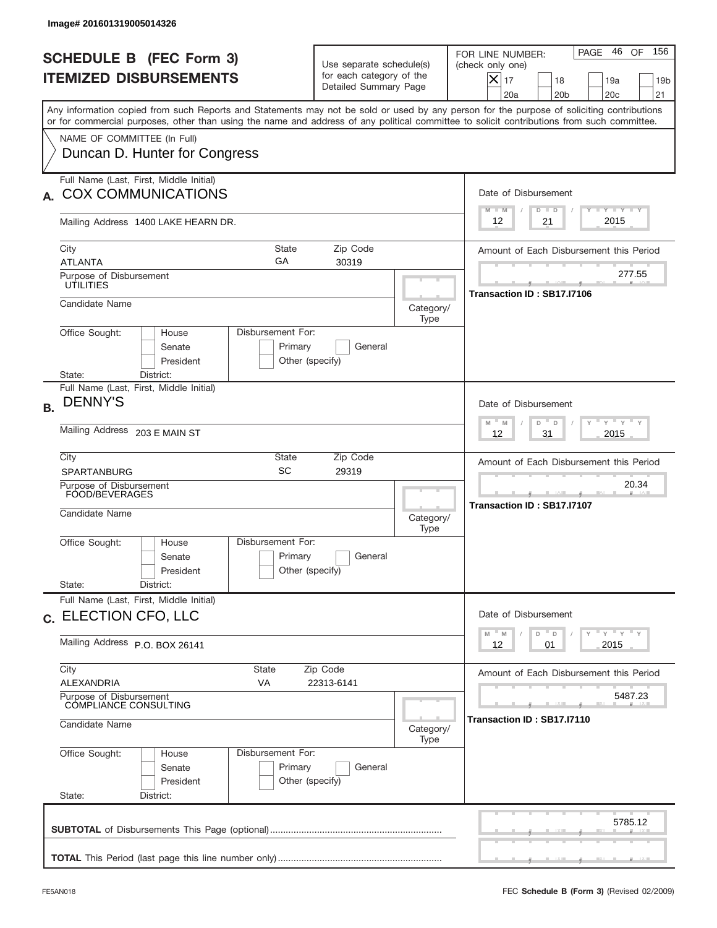| Image# 201601319005014326                                                                                                                                                                                                                                                               |                                                                                                  |                                         |                                                                                                                                                              |
|-----------------------------------------------------------------------------------------------------------------------------------------------------------------------------------------------------------------------------------------------------------------------------------------|--------------------------------------------------------------------------------------------------|-----------------------------------------|--------------------------------------------------------------------------------------------------------------------------------------------------------------|
| <b>SCHEDULE B (FEC Form 3)</b><br><b>ITEMIZED DISBURSEMENTS</b>                                                                                                                                                                                                                         | Use separate schedule(s)<br>for each category of the<br>Detailed Summary Page                    |                                         | 46 OF<br>156<br>PAGE<br>FOR LINE NUMBER:<br>(check only one)<br>$X _{17}$<br>18<br>19a<br>19 <sub>b</sub><br>20a<br>20 <sub>b</sub><br>20 <sub>c</sub><br>21 |
| Any information copied from such Reports and Statements may not be sold or used by any person for the purpose of soliciting contributions<br>or for commercial purposes, other than using the name and address of any political committee to solicit contributions from such committee. |                                                                                                  |                                         |                                                                                                                                                              |
| NAME OF COMMITTEE (In Full)<br>Duncan D. Hunter for Congress                                                                                                                                                                                                                            |                                                                                                  |                                         |                                                                                                                                                              |
| Full Name (Last, First, Middle Initial)<br><b>COX COMMUNICATIONS</b>                                                                                                                                                                                                                    |                                                                                                  |                                         | Date of Disbursement<br>Y I Y I Y I Y<br>$M - M$<br>$D$ $D$                                                                                                  |
| Mailing Address 1400 LAKE HEARN DR.                                                                                                                                                                                                                                                     |                                                                                                  |                                         | 2015<br>21<br>12                                                                                                                                             |
| City<br>State<br>GA<br><b>ATLANTA</b>                                                                                                                                                                                                                                                   | Amount of Each Disbursement this Period                                                          |                                         |                                                                                                                                                              |
| Purpose of Disbursement<br>UTILITIES                                                                                                                                                                                                                                                    |                                                                                                  |                                         | 277.55<br>Transaction ID: SB17.I7106                                                                                                                         |
| Candidate Name                                                                                                                                                                                                                                                                          |                                                                                                  | Category/<br>Type                       |                                                                                                                                                              |
| Office Sought:<br>Disbursement For:<br>House<br>Senate<br>President<br>District:<br>State:                                                                                                                                                                                              | Primary<br>General<br>Other (specify)                                                            |                                         |                                                                                                                                                              |
| Full Name (Last, First, Middle Initial)<br><b>DENNY'S</b>                                                                                                                                                                                                                               |                                                                                                  |                                         | Date of Disbursement                                                                                                                                         |
| Mailing Address 203 E MAIN ST                                                                                                                                                                                                                                                           | $\cdots$ $\gamma$ $\cdots$ $\gamma$ $\cdots$ $\gamma$<br>$-M$<br>M<br>D<br>D<br>31<br>2015<br>12 |                                         |                                                                                                                                                              |
| City<br>State<br>SC<br><b>SPARTANBURG</b>                                                                                                                                                                                                                                               |                                                                                                  | Amount of Each Disbursement this Period |                                                                                                                                                              |
| Purpose of Disbursement<br>FOOD/BEVERAGES<br>Candidate Name                                                                                                                                                                                                                             |                                                                                                  | Category/<br>Type                       | 20.34<br>Transaction ID: SB17.I7107                                                                                                                          |
| Disbursement For:<br>Office Sought:<br>House<br>Senate<br>President<br>State:<br>District:                                                                                                                                                                                              | Primary<br>General<br>Other (specify)                                                            |                                         |                                                                                                                                                              |
| Full Name (Last, First, Middle Initial)<br>c. ELECTION CFO, LLC                                                                                                                                                                                                                         |                                                                                                  |                                         | Date of Disbursement                                                                                                                                         |
| Mailing Address P.O. BOX 26141                                                                                                                                                                                                                                                          | ү" ү" ү" ү<br>$-M$<br>D<br>M<br>$\mathsf D$<br>2015<br>12<br>01                                  |                                         |                                                                                                                                                              |
| City<br>State<br>ALEXANDRIA<br>VA                                                                                                                                                                                                                                                       | Zip Code<br>22313-6141                                                                           |                                         | Amount of Each Disbursement this Period                                                                                                                      |
| Purpose of Disbursement<br>COMPLIANCE CONSULTING                                                                                                                                                                                                                                        |                                                                                                  |                                         | 5487.23<br>Transaction ID: SB17.I7110                                                                                                                        |
| Candidate Name                                                                                                                                                                                                                                                                          | Category/<br>Type                                                                                |                                         |                                                                                                                                                              |
| Office Sought:<br>Disbursement For:<br>House<br>Senate<br>President<br>State:<br>District:                                                                                                                                                                                              | Primary<br>General<br>Other (specify)                                                            |                                         |                                                                                                                                                              |
|                                                                                                                                                                                                                                                                                         |                                                                                                  |                                         | 5785.12                                                                                                                                                      |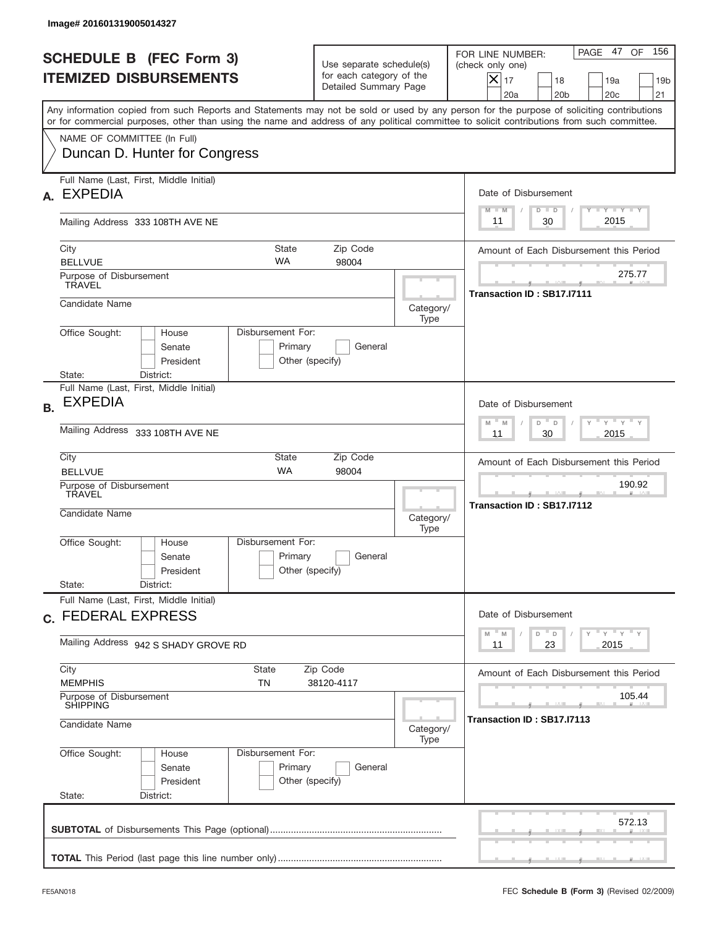|           | Image# 201601319005014327                                                                                                                                                                                                                                                               |                                                                           |                                                                               |                   |                                                                                                                                                                   |  |  |
|-----------|-----------------------------------------------------------------------------------------------------------------------------------------------------------------------------------------------------------------------------------------------------------------------------------------|---------------------------------------------------------------------------|-------------------------------------------------------------------------------|-------------------|-------------------------------------------------------------------------------------------------------------------------------------------------------------------|--|--|
|           | <b>SCHEDULE B (FEC Form 3)</b><br><b>ITEMIZED DISBURSEMENTS</b>                                                                                                                                                                                                                         |                                                                           | Use separate schedule(s)<br>for each category of the<br>Detailed Summary Page |                   | 156<br>PAGE 47<br>OF<br>FOR LINE NUMBER:<br>(check only one)<br>$\times$<br>17<br>18<br>19a<br>19 <sub>b</sub><br>20a<br>20 <sub>b</sub><br>20 <sub>c</sub><br>21 |  |  |
|           | Any information copied from such Reports and Statements may not be sold or used by any person for the purpose of soliciting contributions<br>or for commercial purposes, other than using the name and address of any political committee to solicit contributions from such committee. |                                                                           |                                                                               |                   |                                                                                                                                                                   |  |  |
|           | NAME OF COMMITTEE (In Full)<br>Duncan D. Hunter for Congress                                                                                                                                                                                                                            |                                                                           |                                                                               |                   |                                                                                                                                                                   |  |  |
| А.        | Full Name (Last, First, Middle Initial)<br><b>EXPEDIA</b>                                                                                                                                                                                                                               |                                                                           |                                                                               |                   | Date of Disbursement                                                                                                                                              |  |  |
|           | Mailing Address 333 108TH AVE NE                                                                                                                                                                                                                                                        |                                                                           |                                                                               |                   | $T - Y$ $T - Y$ $T - Y$<br>$M - M$<br>$D$ $D$<br>2015<br>30<br>11                                                                                                 |  |  |
|           | City<br><b>State</b><br><b>WA</b><br><b>BELLVUE</b>                                                                                                                                                                                                                                     | Amount of Each Disbursement this Period                                   |                                                                               |                   |                                                                                                                                                                   |  |  |
|           | Purpose of Disbursement<br><b>TRAVEL</b>                                                                                                                                                                                                                                                |                                                                           |                                                                               |                   | 275.77<br>Transaction ID: SB17.I7111                                                                                                                              |  |  |
|           | Candidate Name                                                                                                                                                                                                                                                                          |                                                                           |                                                                               | Category/<br>Type |                                                                                                                                                                   |  |  |
|           | Disbursement For:<br>Office Sought:<br>House<br>Senate<br>President                                                                                                                                                                                                                     | Primary<br>Other (specify)                                                | General                                                                       |                   |                                                                                                                                                                   |  |  |
| <b>B.</b> | State:<br>District:<br>Full Name (Last, First, Middle Initial)<br><b>EXPEDIA</b>                                                                                                                                                                                                        |                                                                           |                                                                               |                   | Date of Disbursement                                                                                                                                              |  |  |
|           | <b>Mailing Address</b><br>333 108TH AVE NE                                                                                                                                                                                                                                              | $-\gamma + \gamma - \gamma$<br>$M - M$<br>D<br>$\Box$<br>30<br>2015<br>11 |                                                                               |                   |                                                                                                                                                                   |  |  |
|           | City<br>State<br>Zip Code<br><b>WA</b><br><b>BELLVUE</b><br>98004                                                                                                                                                                                                                       |                                                                           |                                                                               |                   | Amount of Each Disbursement this Period                                                                                                                           |  |  |
|           | Purpose of Disbursement<br>TRAVEL<br>Candidate Name<br>Category/<br>Type                                                                                                                                                                                                                |                                                                           |                                                                               |                   | 190.92<br>__<br>Transaction ID: SB17.I7112                                                                                                                        |  |  |
|           | Disbursement For:<br>Office Sought:<br>House<br>Senate<br>President                                                                                                                                                                                                                     | Primary<br>Other (specify)                                                | General                                                                       |                   |                                                                                                                                                                   |  |  |
|           | State:<br>District:<br>Full Name (Last, First, Middle Initial)                                                                                                                                                                                                                          |                                                                           |                                                                               |                   |                                                                                                                                                                   |  |  |
|           | c. FEDERAL EXPRESS                                                                                                                                                                                                                                                                      |                                                                           |                                                                               |                   | Date of Disbursement<br>ү " ү " ү " ү<br>M<br>D<br>M<br>D                                                                                                         |  |  |
|           | Mailing Address 942 S SHADY GROVE RD                                                                                                                                                                                                                                                    | 23<br>2015<br>11                                                          |                                                                               |                   |                                                                                                                                                                   |  |  |
|           | City<br>State<br><b>MEMPHIS</b><br>TN                                                                                                                                                                                                                                                   | Amount of Each Disbursement this Period                                   |                                                                               |                   |                                                                                                                                                                   |  |  |
|           | Purpose of Disbursement<br><b>SHIPPING</b><br>Candidate Name<br>Category/                                                                                                                                                                                                               |                                                                           |                                                                               |                   | 105.44<br>Transaction ID: SB17.I7113                                                                                                                              |  |  |
|           | Office Sought:<br>Disbursement For:<br>House<br>Senate<br>President<br>State:<br>District:                                                                                                                                                                                              | Primary<br>Other (specify)                                                | General                                                                       | Type              |                                                                                                                                                                   |  |  |
|           |                                                                                                                                                                                                                                                                                         |                                                                           |                                                                               |                   | 572.13                                                                                                                                                            |  |  |
|           |                                                                                                                                                                                                                                                                                         |                                                                           |                                                                               |                   |                                                                                                                                                                   |  |  |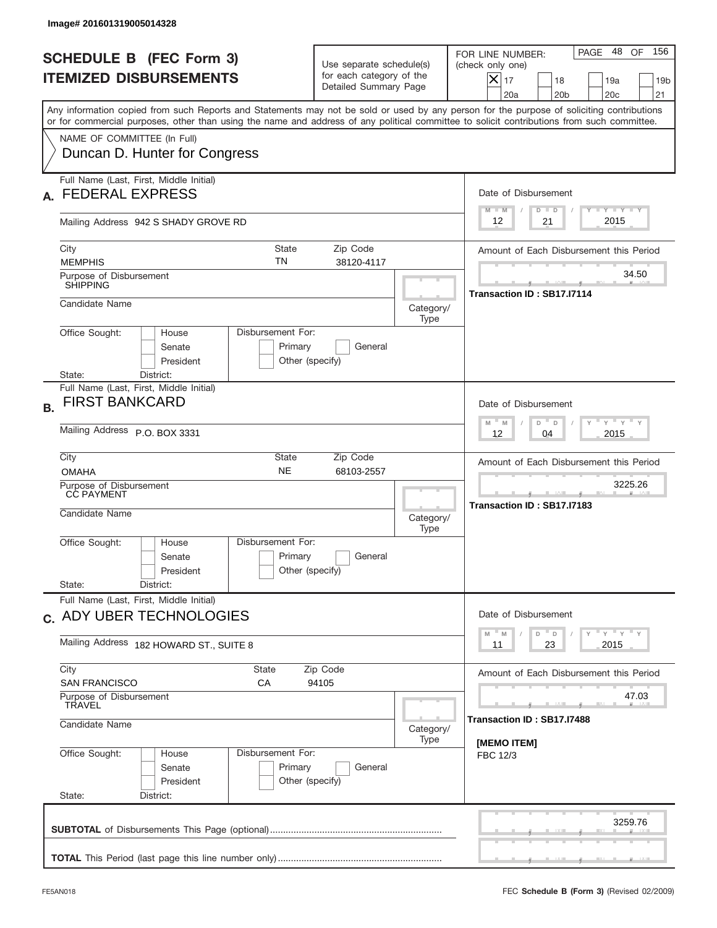| Image# 201601319005014328                                                                                                                                                                                                                                                               |                                                                               |                                                                |                                                                                                                                                            |  |
|-----------------------------------------------------------------------------------------------------------------------------------------------------------------------------------------------------------------------------------------------------------------------------------------|-------------------------------------------------------------------------------|----------------------------------------------------------------|------------------------------------------------------------------------------------------------------------------------------------------------------------|--|
| <b>SCHEDULE B (FEC Form 3)</b><br><b>ITEMIZED DISBURSEMENTS</b>                                                                                                                                                                                                                         | Use separate schedule(s)<br>for each category of the<br>Detailed Summary Page |                                                                | 48 OF<br>156<br>PAGE<br>FOR LINE NUMBER:<br>(check only one)<br>$ \mathsf{X} _{17}$<br>18<br>19a<br>19 <sub>b</sub><br>20a<br>20 <sub>b</sub><br>20c<br>21 |  |
| Any information copied from such Reports and Statements may not be sold or used by any person for the purpose of soliciting contributions<br>or for commercial purposes, other than using the name and address of any political committee to solicit contributions from such committee. |                                                                               |                                                                |                                                                                                                                                            |  |
| NAME OF COMMITTEE (In Full)<br>Duncan D. Hunter for Congress                                                                                                                                                                                                                            |                                                                               |                                                                |                                                                                                                                                            |  |
| Full Name (Last, First, Middle Initial)<br><b>FEDERAL EXPRESS</b>                                                                                                                                                                                                                       |                                                                               |                                                                | Date of Disbursement<br>Y TY TY TY                                                                                                                         |  |
| Mailing Address 942 S SHADY GROVE RD                                                                                                                                                                                                                                                    |                                                                               |                                                                | $M - M$<br>$D$ $D$<br>2015<br>12<br>21                                                                                                                     |  |
| City<br><b>State</b><br>ΤN<br><b>MEMPHIS</b>                                                                                                                                                                                                                                            | Amount of Each Disbursement this Period                                       |                                                                |                                                                                                                                                            |  |
| Purpose of Disbursement<br><b>SHIPPING</b>                                                                                                                                                                                                                                              |                                                                               |                                                                | 34.50<br>Transaction ID: SB17.I7114                                                                                                                        |  |
| Candidate Name                                                                                                                                                                                                                                                                          |                                                                               | Category/<br>Type                                              |                                                                                                                                                            |  |
| Disbursement For:<br>Office Sought:<br>House<br>Senate<br>President<br>District:<br>State:                                                                                                                                                                                              | Primary<br>General<br>Other (specify)                                         |                                                                |                                                                                                                                                            |  |
| Full Name (Last, First, Middle Initial)<br><b>FIRST BANKCARD</b><br><b>B.</b>                                                                                                                                                                                                           |                                                                               |                                                                | Date of Disbursement                                                                                                                                       |  |
| Mailing Address P.O. BOX 3331                                                                                                                                                                                                                                                           |                                                                               | ү " ү " ү " ү<br>$-$ M<br>M<br>D<br>$\Box$<br>2015<br>12<br>04 |                                                                                                                                                            |  |
| City<br>State<br><b>NE</b><br><b>OMAHA</b>                                                                                                                                                                                                                                              | Zip Code<br>68103-2557                                                        |                                                                | Amount of Each Disbursement this Period                                                                                                                    |  |
| Purpose of Disbursement<br>CC PAYMENT<br>Candidate Name                                                                                                                                                                                                                                 |                                                                               | Category/<br>Type                                              | 3225.26<br>Transaction ID: SB17.I7183                                                                                                                      |  |
| Disbursement For:<br>Office Sought:<br>House<br>Senate<br>President<br>State:<br>District:                                                                                                                                                                                              | Primary<br>General<br>Other (specify)                                         |                                                                |                                                                                                                                                            |  |
| Full Name (Last, First, Middle Initial)                                                                                                                                                                                                                                                 |                                                                               |                                                                |                                                                                                                                                            |  |
| c. ADY UBER TECHNOLOGIES                                                                                                                                                                                                                                                                |                                                                               |                                                                | Date of Disbursement<br>ү" ү" ү" ү<br>$-M$<br>$\mathsf D$<br>M<br>D                                                                                        |  |
| Mailing Address 182 HOWARD ST., SUITE 8<br>City<br>State                                                                                                                                                                                                                                | 2015<br>23<br>11<br>Amount of Each Disbursement this Period                   |                                                                |                                                                                                                                                            |  |
| <b>SAN FRANCISCO</b><br>СA                                                                                                                                                                                                                                                              | Zip Code<br>94105                                                             |                                                                |                                                                                                                                                            |  |
| Purpose of Disbursement<br><b>TRAVEL</b><br>Candidate Name                                                                                                                                                                                                                              |                                                                               |                                                                | 47.03<br>Transaction ID: SB17.I7488                                                                                                                        |  |
| Office Sought:<br>Disbursement For:<br>House<br>Senate<br>President<br>State:<br>District:                                                                                                                                                                                              | Primary<br>General<br>Other (specify)                                         | Type                                                           | [MEMO ITEM]<br>FBC 12/3                                                                                                                                    |  |
|                                                                                                                                                                                                                                                                                         |                                                                               |                                                                | 3259.76                                                                                                                                                    |  |
|                                                                                                                                                                                                                                                                                         |                                                                               |                                                                |                                                                                                                                                            |  |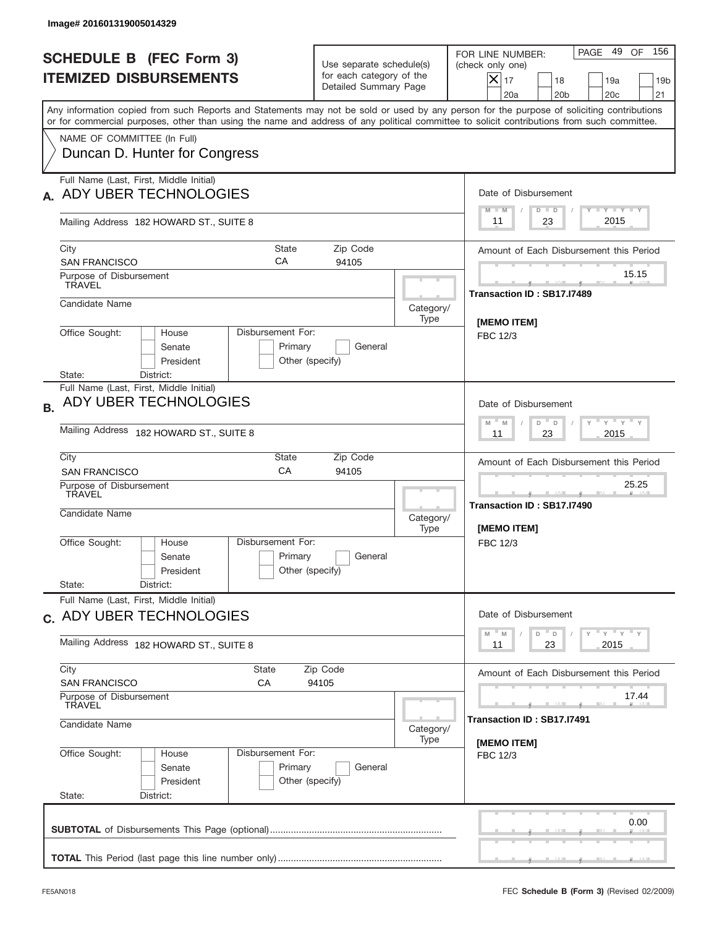| PAGE<br>FOR LINE NUMBER:<br><b>SCHEDULE B (FEC Form 3)</b><br>Use separate schedule(s)<br>(check only one)<br>for each category of the<br><b>ITEMIZED DISBURSEMENTS</b><br>$ \mathsf{X} _{17}$<br>18<br>19a<br>Detailed Summary Page<br>20a<br>20 <sub>b</sub><br>20c<br>Any information copied from such Reports and Statements may not be sold or used by any person for the purpose of soliciting contributions<br>or for commercial purposes, other than using the name and address of any political committee to solicit contributions from such committee.<br>NAME OF COMMITTEE (In Full)<br>Duncan D. Hunter for Congress<br>Full Name (Last, First, Middle Initial)<br>ADY UBER TECHNOLOGIES<br>Date of Disbursement<br>Y TY TY TY<br>$D$ $D$<br>$M - M$<br>2015<br>23<br>11<br>Mailing Address 182 HOWARD ST., SUITE 8<br>City<br><b>State</b><br>Zip Code<br>CA<br>94105<br><b>SAN FRANCISCO</b><br>Purpose of Disbursement<br><b>TRAVEL</b><br>Transaction ID: SB17.I7489<br>Candidate Name<br>Category/<br>Type<br>[MEMO ITEM]<br>Office Sought:<br>Disbursement For:<br>House<br>FBC 12/3<br>Senate<br>Primary<br>General<br>President<br>Other (specify)<br>District:<br>State:<br>Full Name (Last, First, Middle Initial)<br>ADY UBER TECHNOLOGIES<br>Date of Disbursement<br><b>B.</b><br>ү " ү " ү " ү<br>$-$ M<br>M<br>D<br>D<br>Mailing Address 182 HOWARD ST., SUITE 8<br>2015<br>11<br>23<br>City<br>Zip Code<br>State<br>CA<br>94105<br><b>SAN FRANCISCO</b><br>25.25<br>Purpose of Disbursement<br>TRAVEL<br>____<br>Transaction ID: SB17.I7490<br>Candidate Name<br>Category/<br>[MEMO ITEM]<br>Type<br>Disbursement For:<br>Office Sought:<br>House<br>FBC 12/3<br>Primary<br>General<br>Senate<br>Other (specify)<br>President<br>State:<br>District:<br>Full Name (Last, First, Middle Initial)<br>Date of Disbursement<br>c. ADY UBER TECHNOLOGIES<br>$-M$<br>$\mathsf D$<br>M<br>D<br>Mailing Address 182 HOWARD ST., SUITE 8<br>2015<br>23<br>11<br>City<br>State<br>Zip Code<br><b>SAN FRANCISCO</b><br>СA<br>94105<br>Purpose of Disbursement<br><b>TRAVEL</b><br>Transaction ID: SB17.I7491<br>Candidate Name<br>Category/<br>Type<br>[MEMO ITEM]<br>Office Sought:<br>Disbursement For:<br>House<br>FBC 12/3<br>Primary<br>Senate<br>General<br>President<br>Other (specify)<br>State:<br>District: | Image# 201601319005014329 |            |                                         |                                         |  |  |
|---------------------------------------------------------------------------------------------------------------------------------------------------------------------------------------------------------------------------------------------------------------------------------------------------------------------------------------------------------------------------------------------------------------------------------------------------------------------------------------------------------------------------------------------------------------------------------------------------------------------------------------------------------------------------------------------------------------------------------------------------------------------------------------------------------------------------------------------------------------------------------------------------------------------------------------------------------------------------------------------------------------------------------------------------------------------------------------------------------------------------------------------------------------------------------------------------------------------------------------------------------------------------------------------------------------------------------------------------------------------------------------------------------------------------------------------------------------------------------------------------------------------------------------------------------------------------------------------------------------------------------------------------------------------------------------------------------------------------------------------------------------------------------------------------------------------------------------------------------------------------------------------------------------------------------------------------------------------------------------------------------------------------------------------------------------------------------------------------------------------------------------------------------------------------------------------------------------------------------------------------------------------------------------------------------------------------------------|---------------------------|------------|-----------------------------------------|-----------------------------------------|--|--|
|                                                                                                                                                                                                                                                                                                                                                                                                                                                                                                                                                                                                                                                                                                                                                                                                                                                                                                                                                                                                                                                                                                                                                                                                                                                                                                                                                                                                                                                                                                                                                                                                                                                                                                                                                                                                                                                                                                                                                                                                                                                                                                                                                                                                                                                                                                                                       |                           |            |                                         | 49 OF<br>156<br>19 <sub>b</sub><br>21   |  |  |
|                                                                                                                                                                                                                                                                                                                                                                                                                                                                                                                                                                                                                                                                                                                                                                                                                                                                                                                                                                                                                                                                                                                                                                                                                                                                                                                                                                                                                                                                                                                                                                                                                                                                                                                                                                                                                                                                                                                                                                                                                                                                                                                                                                                                                                                                                                                                       |                           |            |                                         |                                         |  |  |
|                                                                                                                                                                                                                                                                                                                                                                                                                                                                                                                                                                                                                                                                                                                                                                                                                                                                                                                                                                                                                                                                                                                                                                                                                                                                                                                                                                                                                                                                                                                                                                                                                                                                                                                                                                                                                                                                                                                                                                                                                                                                                                                                                                                                                                                                                                                                       |                           |            |                                         |                                         |  |  |
|                                                                                                                                                                                                                                                                                                                                                                                                                                                                                                                                                                                                                                                                                                                                                                                                                                                                                                                                                                                                                                                                                                                                                                                                                                                                                                                                                                                                                                                                                                                                                                                                                                                                                                                                                                                                                                                                                                                                                                                                                                                                                                                                                                                                                                                                                                                                       |                           |            |                                         |                                         |  |  |
|                                                                                                                                                                                                                                                                                                                                                                                                                                                                                                                                                                                                                                                                                                                                                                                                                                                                                                                                                                                                                                                                                                                                                                                                                                                                                                                                                                                                                                                                                                                                                                                                                                                                                                                                                                                                                                                                                                                                                                                                                                                                                                                                                                                                                                                                                                                                       |                           |            |                                         |                                         |  |  |
|                                                                                                                                                                                                                                                                                                                                                                                                                                                                                                                                                                                                                                                                                                                                                                                                                                                                                                                                                                                                                                                                                                                                                                                                                                                                                                                                                                                                                                                                                                                                                                                                                                                                                                                                                                                                                                                                                                                                                                                                                                                                                                                                                                                                                                                                                                                                       |                           |            | Amount of Each Disbursement this Period |                                         |  |  |
|                                                                                                                                                                                                                                                                                                                                                                                                                                                                                                                                                                                                                                                                                                                                                                                                                                                                                                                                                                                                                                                                                                                                                                                                                                                                                                                                                                                                                                                                                                                                                                                                                                                                                                                                                                                                                                                                                                                                                                                                                                                                                                                                                                                                                                                                                                                                       |                           |            |                                         | 15.15                                   |  |  |
|                                                                                                                                                                                                                                                                                                                                                                                                                                                                                                                                                                                                                                                                                                                                                                                                                                                                                                                                                                                                                                                                                                                                                                                                                                                                                                                                                                                                                                                                                                                                                                                                                                                                                                                                                                                                                                                                                                                                                                                                                                                                                                                                                                                                                                                                                                                                       |                           |            |                                         |                                         |  |  |
|                                                                                                                                                                                                                                                                                                                                                                                                                                                                                                                                                                                                                                                                                                                                                                                                                                                                                                                                                                                                                                                                                                                                                                                                                                                                                                                                                                                                                                                                                                                                                                                                                                                                                                                                                                                                                                                                                                                                                                                                                                                                                                                                                                                                                                                                                                                                       |                           |            |                                         |                                         |  |  |
|                                                                                                                                                                                                                                                                                                                                                                                                                                                                                                                                                                                                                                                                                                                                                                                                                                                                                                                                                                                                                                                                                                                                                                                                                                                                                                                                                                                                                                                                                                                                                                                                                                                                                                                                                                                                                                                                                                                                                                                                                                                                                                                                                                                                                                                                                                                                       |                           |            |                                         |                                         |  |  |
|                                                                                                                                                                                                                                                                                                                                                                                                                                                                                                                                                                                                                                                                                                                                                                                                                                                                                                                                                                                                                                                                                                                                                                                                                                                                                                                                                                                                                                                                                                                                                                                                                                                                                                                                                                                                                                                                                                                                                                                                                                                                                                                                                                                                                                                                                                                                       |                           |            |                                         |                                         |  |  |
|                                                                                                                                                                                                                                                                                                                                                                                                                                                                                                                                                                                                                                                                                                                                                                                                                                                                                                                                                                                                                                                                                                                                                                                                                                                                                                                                                                                                                                                                                                                                                                                                                                                                                                                                                                                                                                                                                                                                                                                                                                                                                                                                                                                                                                                                                                                                       |                           |            | Amount of Each Disbursement this Period |                                         |  |  |
|                                                                                                                                                                                                                                                                                                                                                                                                                                                                                                                                                                                                                                                                                                                                                                                                                                                                                                                                                                                                                                                                                                                                                                                                                                                                                                                                                                                                                                                                                                                                                                                                                                                                                                                                                                                                                                                                                                                                                                                                                                                                                                                                                                                                                                                                                                                                       |                           |            |                                         |                                         |  |  |
|                                                                                                                                                                                                                                                                                                                                                                                                                                                                                                                                                                                                                                                                                                                                                                                                                                                                                                                                                                                                                                                                                                                                                                                                                                                                                                                                                                                                                                                                                                                                                                                                                                                                                                                                                                                                                                                                                                                                                                                                                                                                                                                                                                                                                                                                                                                                       |                           |            |                                         |                                         |  |  |
|                                                                                                                                                                                                                                                                                                                                                                                                                                                                                                                                                                                                                                                                                                                                                                                                                                                                                                                                                                                                                                                                                                                                                                                                                                                                                                                                                                                                                                                                                                                                                                                                                                                                                                                                                                                                                                                                                                                                                                                                                                                                                                                                                                                                                                                                                                                                       |                           |            |                                         |                                         |  |  |
|                                                                                                                                                                                                                                                                                                                                                                                                                                                                                                                                                                                                                                                                                                                                                                                                                                                                                                                                                                                                                                                                                                                                                                                                                                                                                                                                                                                                                                                                                                                                                                                                                                                                                                                                                                                                                                                                                                                                                                                                                                                                                                                                                                                                                                                                                                                                       |                           | ү" ү" ү" ү |                                         |                                         |  |  |
|                                                                                                                                                                                                                                                                                                                                                                                                                                                                                                                                                                                                                                                                                                                                                                                                                                                                                                                                                                                                                                                                                                                                                                                                                                                                                                                                                                                                                                                                                                                                                                                                                                                                                                                                                                                                                                                                                                                                                                                                                                                                                                                                                                                                                                                                                                                                       |                           |            |                                         | Amount of Each Disbursement this Period |  |  |
|                                                                                                                                                                                                                                                                                                                                                                                                                                                                                                                                                                                                                                                                                                                                                                                                                                                                                                                                                                                                                                                                                                                                                                                                                                                                                                                                                                                                                                                                                                                                                                                                                                                                                                                                                                                                                                                                                                                                                                                                                                                                                                                                                                                                                                                                                                                                       |                           |            | 17.44                                   |                                         |  |  |
|                                                                                                                                                                                                                                                                                                                                                                                                                                                                                                                                                                                                                                                                                                                                                                                                                                                                                                                                                                                                                                                                                                                                                                                                                                                                                                                                                                                                                                                                                                                                                                                                                                                                                                                                                                                                                                                                                                                                                                                                                                                                                                                                                                                                                                                                                                                                       |                           |            |                                         |                                         |  |  |
|                                                                                                                                                                                                                                                                                                                                                                                                                                                                                                                                                                                                                                                                                                                                                                                                                                                                                                                                                                                                                                                                                                                                                                                                                                                                                                                                                                                                                                                                                                                                                                                                                                                                                                                                                                                                                                                                                                                                                                                                                                                                                                                                                                                                                                                                                                                                       |                           |            |                                         |                                         |  |  |
|                                                                                                                                                                                                                                                                                                                                                                                                                                                                                                                                                                                                                                                                                                                                                                                                                                                                                                                                                                                                                                                                                                                                                                                                                                                                                                                                                                                                                                                                                                                                                                                                                                                                                                                                                                                                                                                                                                                                                                                                                                                                                                                                                                                                                                                                                                                                       |                           |            |                                         | 0.00                                    |  |  |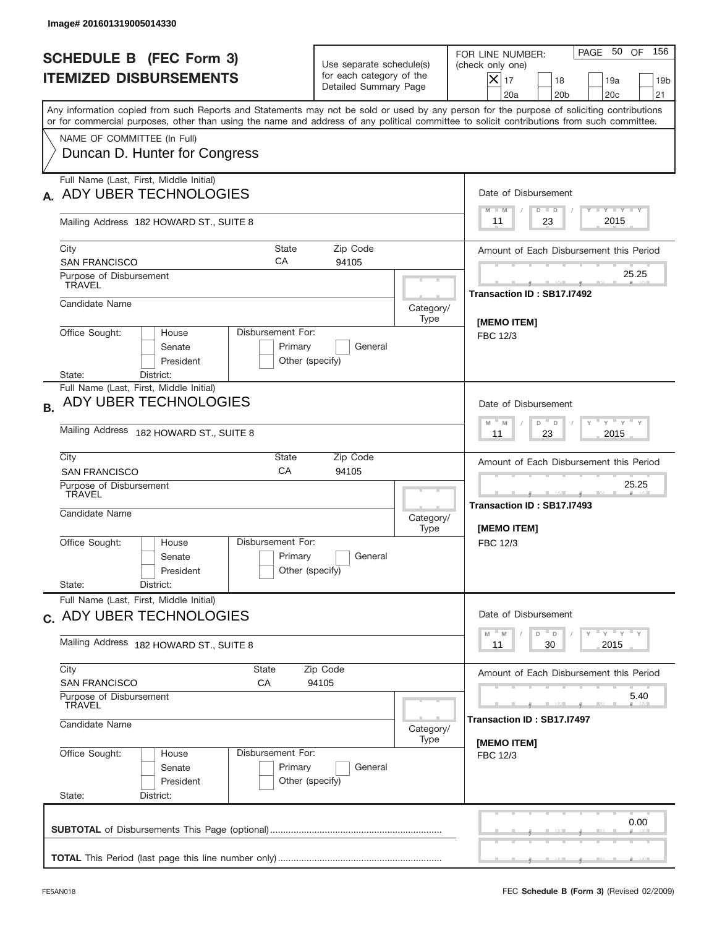| <b>SCHEDULE B (FEC Form 3)</b><br><b>ITEMIZED DISBURSEMENTS</b><br>Any information copied from such Reports and Statements may not be sold or used by any person for the purpose of soliciting contributions<br>or for commercial purposes, other than using the name and address of any political committee to solicit contributions from such committee.<br>NAME OF COMMITTEE (In Full)<br>Duncan D. Hunter for Congress<br>Full Name (Last, First, Middle Initial)<br>ADY UBER TECHNOLOGIES<br>Mailing Address 182 HOWARD ST., SUITE 8<br>City<br><b>State</b><br>CA<br><b>SAN FRANCISCO</b><br>Purpose of Disbursement<br><b>TRAVEL</b><br>Candidate Name<br>Office Sought:<br>Disbursement For:<br>House<br>Senate<br>Primary<br>President<br>District:<br>State:<br>Full Name (Last, First, Middle Initial)<br>ADY UBER TECHNOLOGIES<br><b>B.</b><br>Mailing Address 182 HOWARD ST., SUITE 8 | Use separate schedule(s)<br>for each category of the<br>Detailed Summary Page<br>Zip Code<br>94105 | PAGE 50 OF<br>156<br>FOR LINE NUMBER:<br>(check only one)<br>$ \mathsf{X} _{17}$<br>18<br>19a<br>19 <sub>b</sub><br>20a<br>20 <sub>b</sub><br>20c<br>21<br>Date of Disbursement<br>Y TY TY TY<br>$D$ $D$<br>$M - M$<br>2015<br>23<br>11<br>Amount of Each Disbursement this Period |  |  |  |
|----------------------------------------------------------------------------------------------------------------------------------------------------------------------------------------------------------------------------------------------------------------------------------------------------------------------------------------------------------------------------------------------------------------------------------------------------------------------------------------------------------------------------------------------------------------------------------------------------------------------------------------------------------------------------------------------------------------------------------------------------------------------------------------------------------------------------------------------------------------------------------------------------|----------------------------------------------------------------------------------------------------|------------------------------------------------------------------------------------------------------------------------------------------------------------------------------------------------------------------------------------------------------------------------------------|--|--|--|
|                                                                                                                                                                                                                                                                                                                                                                                                                                                                                                                                                                                                                                                                                                                                                                                                                                                                                                    |                                                                                                    |                                                                                                                                                                                                                                                                                    |  |  |  |
|                                                                                                                                                                                                                                                                                                                                                                                                                                                                                                                                                                                                                                                                                                                                                                                                                                                                                                    |                                                                                                    |                                                                                                                                                                                                                                                                                    |  |  |  |
|                                                                                                                                                                                                                                                                                                                                                                                                                                                                                                                                                                                                                                                                                                                                                                                                                                                                                                    |                                                                                                    |                                                                                                                                                                                                                                                                                    |  |  |  |
|                                                                                                                                                                                                                                                                                                                                                                                                                                                                                                                                                                                                                                                                                                                                                                                                                                                                                                    |                                                                                                    |                                                                                                                                                                                                                                                                                    |  |  |  |
|                                                                                                                                                                                                                                                                                                                                                                                                                                                                                                                                                                                                                                                                                                                                                                                                                                                                                                    |                                                                                                    |                                                                                                                                                                                                                                                                                    |  |  |  |
|                                                                                                                                                                                                                                                                                                                                                                                                                                                                                                                                                                                                                                                                                                                                                                                                                                                                                                    |                                                                                                    |                                                                                                                                                                                                                                                                                    |  |  |  |
|                                                                                                                                                                                                                                                                                                                                                                                                                                                                                                                                                                                                                                                                                                                                                                                                                                                                                                    |                                                                                                    | 25.25<br>Transaction ID: SB17.I7492                                                                                                                                                                                                                                                |  |  |  |
|                                                                                                                                                                                                                                                                                                                                                                                                                                                                                                                                                                                                                                                                                                                                                                                                                                                                                                    | Category/<br>Type                                                                                  | [MEMO ITEM]                                                                                                                                                                                                                                                                        |  |  |  |
|                                                                                                                                                                                                                                                                                                                                                                                                                                                                                                                                                                                                                                                                                                                                                                                                                                                                                                    | General<br>Other (specify)                                                                         |                                                                                                                                                                                                                                                                                    |  |  |  |
|                                                                                                                                                                                                                                                                                                                                                                                                                                                                                                                                                                                                                                                                                                                                                                                                                                                                                                    |                                                                                                    |                                                                                                                                                                                                                                                                                    |  |  |  |
|                                                                                                                                                                                                                                                                                                                                                                                                                                                                                                                                                                                                                                                                                                                                                                                                                                                                                                    | ү " ү " ү " ү<br>$-$ M<br>M<br>D<br>D<br>2015<br>11<br>23                                          |                                                                                                                                                                                                                                                                                    |  |  |  |
| City<br>State<br>CA<br><b>SAN FRANCISCO</b>                                                                                                                                                                                                                                                                                                                                                                                                                                                                                                                                                                                                                                                                                                                                                                                                                                                        | Zip Code<br>94105                                                                                  | Amount of Each Disbursement this Period                                                                                                                                                                                                                                            |  |  |  |
| Purpose of Disbursement<br>TRAVEL<br>Candidate Name                                                                                                                                                                                                                                                                                                                                                                                                                                                                                                                                                                                                                                                                                                                                                                                                                                                | Category/<br>Type                                                                                  | 25.25<br>Transaction ID: SB17.I7493<br>[MEMO ITEM]                                                                                                                                                                                                                                 |  |  |  |
| Disbursement For:<br>Office Sought:<br>House<br>Primary<br>Senate<br>Other (specify)<br>President<br>State:<br>District:                                                                                                                                                                                                                                                                                                                                                                                                                                                                                                                                                                                                                                                                                                                                                                           | General                                                                                            | FBC 12/3                                                                                                                                                                                                                                                                           |  |  |  |
| Full Name (Last, First, Middle Initial)<br>c. ADY UBER TECHNOLOGIES                                                                                                                                                                                                                                                                                                                                                                                                                                                                                                                                                                                                                                                                                                                                                                                                                                |                                                                                                    |                                                                                                                                                                                                                                                                                    |  |  |  |
| Mailing Address 182 HOWARD ST., SUITE 8                                                                                                                                                                                                                                                                                                                                                                                                                                                                                                                                                                                                                                                                                                                                                                                                                                                            | ү" ү" ү" ү<br>$-M$<br>D<br>M<br>D<br>2015<br>30<br>11                                              |                                                                                                                                                                                                                                                                                    |  |  |  |
| City<br>State<br><b>SAN FRANCISCO</b><br>СA                                                                                                                                                                                                                                                                                                                                                                                                                                                                                                                                                                                                                                                                                                                                                                                                                                                        | Zip Code<br>94105                                                                                  | Amount of Each Disbursement this Period                                                                                                                                                                                                                                            |  |  |  |
| Purpose of Disbursement<br><b>TRAVEL</b>                                                                                                                                                                                                                                                                                                                                                                                                                                                                                                                                                                                                                                                                                                                                                                                                                                                           |                                                                                                    | 5.40                                                                                                                                                                                                                                                                               |  |  |  |
| Candidate Name                                                                                                                                                                                                                                                                                                                                                                                                                                                                                                                                                                                                                                                                                                                                                                                                                                                                                     | Category/<br>Type                                                                                  | Transaction ID: SB17.I7497<br>[MEMO ITEM]                                                                                                                                                                                                                                          |  |  |  |
| Office Sought:<br>Disbursement For:<br>House<br>Primary<br>Senate<br>President<br>Other (specify)<br>State:<br>District:                                                                                                                                                                                                                                                                                                                                                                                                                                                                                                                                                                                                                                                                                                                                                                           | General                                                                                            | FBC 12/3                                                                                                                                                                                                                                                                           |  |  |  |
|                                                                                                                                                                                                                                                                                                                                                                                                                                                                                                                                                                                                                                                                                                                                                                                                                                                                                                    |                                                                                                    |                                                                                                                                                                                                                                                                                    |  |  |  |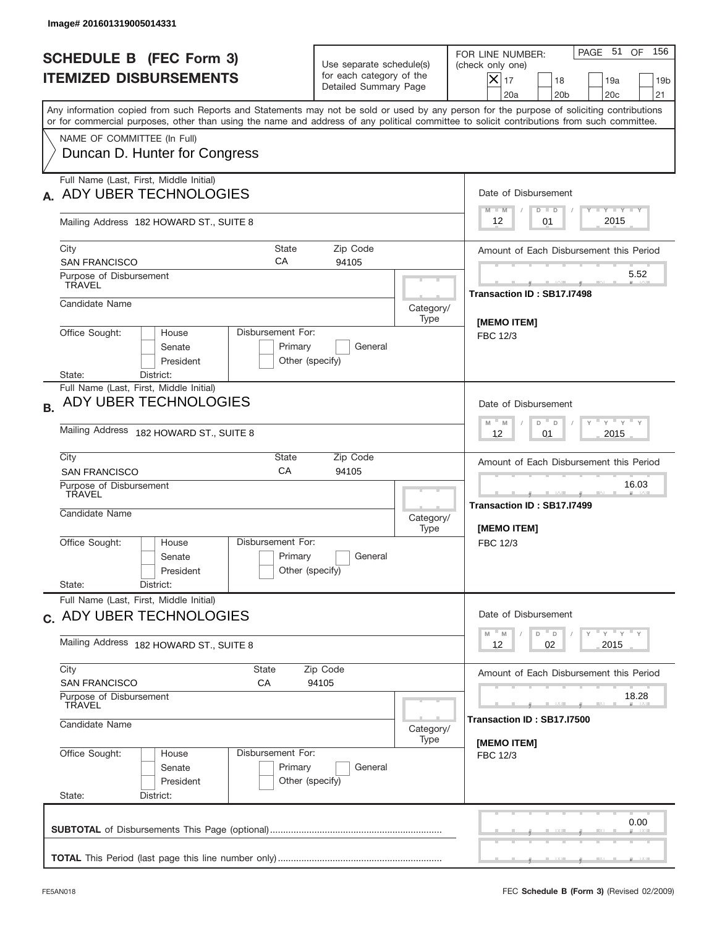| Image# 201601319005014331                                                                                                                                                                                                                                                               |                                                                               |                                           |                                                                                                                                                         |  |  |
|-----------------------------------------------------------------------------------------------------------------------------------------------------------------------------------------------------------------------------------------------------------------------------------------|-------------------------------------------------------------------------------|-------------------------------------------|---------------------------------------------------------------------------------------------------------------------------------------------------------|--|--|
| <b>SCHEDULE B (FEC Form 3)</b><br><b>ITEMIZED DISBURSEMENTS</b>                                                                                                                                                                                                                         | Use separate schedule(s)<br>for each category of the<br>Detailed Summary Page |                                           | PAGE 51 OF<br>156<br>FOR LINE NUMBER:<br>(check only one)<br>$ \mathsf{X} _{17}$<br>18<br>19a<br>19 <sub>b</sub><br>20a<br>20 <sub>b</sub><br>20c<br>21 |  |  |
| Any information copied from such Reports and Statements may not be sold or used by any person for the purpose of soliciting contributions<br>or for commercial purposes, other than using the name and address of any political committee to solicit contributions from such committee. |                                                                               |                                           |                                                                                                                                                         |  |  |
| NAME OF COMMITTEE (In Full)<br>Duncan D. Hunter for Congress                                                                                                                                                                                                                            |                                                                               |                                           |                                                                                                                                                         |  |  |
| Full Name (Last, First, Middle Initial)<br>ADY UBER TECHNOLOGIES                                                                                                                                                                                                                        |                                                                               |                                           | Date of Disbursement                                                                                                                                    |  |  |
| Mailing Address 182 HOWARD ST., SUITE 8                                                                                                                                                                                                                                                 |                                                                               |                                           | Y TY TY TY<br>$M - M$<br>$D$ $D$<br>2015<br>12<br>01                                                                                                    |  |  |
| City<br><b>State</b><br>CA<br><b>SAN FRANCISCO</b>                                                                                                                                                                                                                                      |                                                                               | Amount of Each Disbursement this Period   |                                                                                                                                                         |  |  |
| Purpose of Disbursement<br><b>TRAVEL</b>                                                                                                                                                                                                                                                |                                                                               |                                           | 5.52<br>Transaction ID: SB17.I7498                                                                                                                      |  |  |
| Candidate Name                                                                                                                                                                                                                                                                          |                                                                               | Category/<br>Type                         | [MEMO ITEM]                                                                                                                                             |  |  |
| Office Sought:<br>Disbursement For:<br>House<br>Senate<br>Primary<br>President<br>Other (specify)<br>District:<br>State:                                                                                                                                                                | FBC 12/3                                                                      |                                           |                                                                                                                                                         |  |  |
| Full Name (Last, First, Middle Initial)<br>ADY UBER TECHNOLOGIES<br><b>B.</b>                                                                                                                                                                                                           |                                                                               |                                           | Date of Disbursement                                                                                                                                    |  |  |
| Mailing Address 182 HOWARD ST., SUITE 8                                                                                                                                                                                                                                                 | ү " ү " ү " ү<br>$M - M$<br>D<br>D<br>2015<br>12<br>01                        |                                           |                                                                                                                                                         |  |  |
| City<br>Zip Code<br>State<br>CA<br><b>SAN FRANCISCO</b><br>94105                                                                                                                                                                                                                        |                                                                               |                                           | Amount of Each Disbursement this Period                                                                                                                 |  |  |
| Purpose of Disbursement<br>TRAVEL<br>Candidate Name                                                                                                                                                                                                                                     |                                                                               | Category/<br>Type                         | 16.03<br>____<br>Transaction ID: SB17.I7499<br>[MEMO ITEM]                                                                                              |  |  |
| Disbursement For:<br>Office Sought:<br>House<br>Primary<br>Senate<br>President<br>State:<br>District:                                                                                                                                                                                   | General<br>Other (specify)                                                    |                                           | FBC 12/3                                                                                                                                                |  |  |
| Full Name (Last, First, Middle Initial)<br>c. ADY UBER TECHNOLOGIES                                                                                                                                                                                                                     |                                                                               |                                           | Date of Disbursement                                                                                                                                    |  |  |
| Mailing Address 182 HOWARD ST., SUITE 8                                                                                                                                                                                                                                                 | ү" ү" ү" ү<br>$-M$<br>D<br>M<br>D<br>02<br>2015<br>12                         |                                           |                                                                                                                                                         |  |  |
| City<br>State<br><b>SAN FRANCISCO</b><br>СA                                                                                                                                                                                                                                             | Zip Code<br>94105                                                             |                                           | Amount of Each Disbursement this Period                                                                                                                 |  |  |
| Purpose of Disbursement<br><b>TRAVEL</b>                                                                                                                                                                                                                                                |                                                                               | 18.28                                     |                                                                                                                                                         |  |  |
| Candidate Name                                                                                                                                                                                                                                                                          | Category/<br>Type                                                             | Transaction ID: SB17.I7500<br>[MEMO ITEM] |                                                                                                                                                         |  |  |
| Office Sought:<br>Disbursement For:<br>House<br>Primary<br>Senate<br>President<br>State:<br>District:                                                                                                                                                                                   | General<br>Other (specify)                                                    |                                           | FBC 12/3                                                                                                                                                |  |  |
|                                                                                                                                                                                                                                                                                         |                                                                               |                                           | 0.00                                                                                                                                                    |  |  |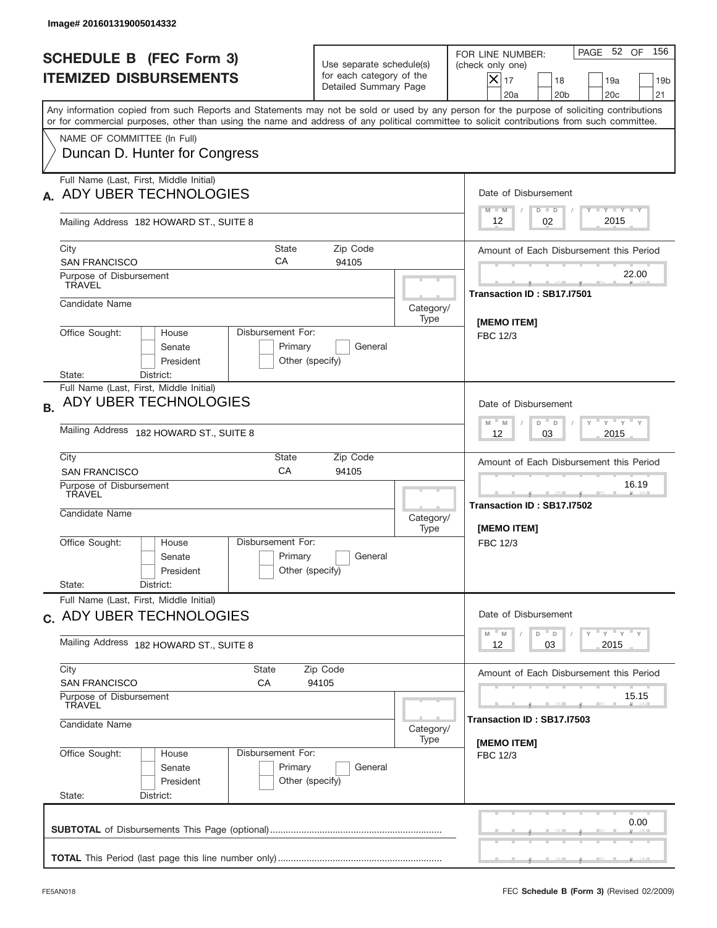| FOR LINE NUMBER:<br><b>SCHEDULE B (FEC Form 3)</b><br>Use separate schedule(s)<br>(check only one)<br>for each category of the<br><b>ITEMIZED DISBURSEMENTS</b><br>$ \mathsf{X} _{17}$<br>18<br>19a<br>Detailed Summary Page<br>20a<br>20 <sub>b</sub><br>20c<br>Any information copied from such Reports and Statements may not be sold or used by any person for the purpose of soliciting contributions<br>or for commercial purposes, other than using the name and address of any political committee to solicit contributions from such committee.<br>NAME OF COMMITTEE (In Full)<br>Duncan D. Hunter for Congress<br>Full Name (Last, First, Middle Initial)<br>ADY UBER TECHNOLOGIES<br>Date of Disbursement<br>Y TY TY TY<br>$M - M$<br>$D$ $D$<br>2015<br>02<br>12<br>Mailing Address 182 HOWARD ST., SUITE 8<br>City<br><b>State</b><br>Zip Code<br>CA<br>94105<br><b>SAN FRANCISCO</b><br>Purpose of Disbursement<br><b>TRAVEL</b><br>Transaction ID: SB17.I7501<br>Candidate Name<br>Category/<br>Type<br>[MEMO ITEM]<br>Office Sought:<br>Disbursement For:<br>House<br>FBC 12/3<br>Senate<br>Primary<br>General<br>President<br>Other (specify)<br>District:<br>State:<br>Full Name (Last, First, Middle Initial)<br>ADY UBER TECHNOLOGIES<br>Date of Disbursement<br><b>B.</b><br>ү " ү " ү " ү<br>$M - M$<br>D<br>D<br>Mailing Address 182 HOWARD ST., SUITE 8<br>2015<br>12<br>03<br>City<br>Zip Code<br>State<br>CA<br>94105<br><b>SAN FRANCISCO</b><br>Purpose of Disbursement<br>TRAVEL<br>Transaction ID: SB17.I7502<br>Candidate Name<br>Category/<br>[MEMO ITEM]<br>Type<br>Disbursement For:<br>Office Sought:<br>House<br>FBC 12/3<br>Primary<br>General<br>Senate<br>Other (specify)<br>President<br>State:<br>District:<br>Full Name (Last, First, Middle Initial)<br>Date of Disbursement<br>c. ADY UBER TECHNOLOGIES<br>$-M$<br>D<br>M<br>D<br>Mailing Address 182 HOWARD ST., SUITE 8<br>2015<br>12<br>03<br>City<br>State<br>Zip Code<br><b>SAN FRANCISCO</b><br>СA<br>94105<br>Purpose of Disbursement<br><b>TRAVEL</b><br>Transaction ID: SB17.I7503<br>Candidate Name<br>Category/<br>Type<br>[MEMO ITEM]<br>Office Sought:<br>Disbursement For:<br>House<br>FBC 12/3<br>Primary<br>Senate<br>General<br>President<br>Other (specify)<br>State:<br>District: | Image# 201601319005014332 |  |                                         |       |                                            |  |  |
|-------------------------------------------------------------------------------------------------------------------------------------------------------------------------------------------------------------------------------------------------------------------------------------------------------------------------------------------------------------------------------------------------------------------------------------------------------------------------------------------------------------------------------------------------------------------------------------------------------------------------------------------------------------------------------------------------------------------------------------------------------------------------------------------------------------------------------------------------------------------------------------------------------------------------------------------------------------------------------------------------------------------------------------------------------------------------------------------------------------------------------------------------------------------------------------------------------------------------------------------------------------------------------------------------------------------------------------------------------------------------------------------------------------------------------------------------------------------------------------------------------------------------------------------------------------------------------------------------------------------------------------------------------------------------------------------------------------------------------------------------------------------------------------------------------------------------------------------------------------------------------------------------------------------------------------------------------------------------------------------------------------------------------------------------------------------------------------------------------------------------------------------------------------------------------------------------------------------------------------------------------------------------------------------------|---------------------------|--|-----------------------------------------|-------|--------------------------------------------|--|--|
|                                                                                                                                                                                                                                                                                                                                                                                                                                                                                                                                                                                                                                                                                                                                                                                                                                                                                                                                                                                                                                                                                                                                                                                                                                                                                                                                                                                                                                                                                                                                                                                                                                                                                                                                                                                                                                                                                                                                                                                                                                                                                                                                                                                                                                                                                                 |                           |  |                                         |       | PAGE 52 OF<br>156<br>19 <sub>b</sub><br>21 |  |  |
|                                                                                                                                                                                                                                                                                                                                                                                                                                                                                                                                                                                                                                                                                                                                                                                                                                                                                                                                                                                                                                                                                                                                                                                                                                                                                                                                                                                                                                                                                                                                                                                                                                                                                                                                                                                                                                                                                                                                                                                                                                                                                                                                                                                                                                                                                                 |                           |  |                                         |       |                                            |  |  |
|                                                                                                                                                                                                                                                                                                                                                                                                                                                                                                                                                                                                                                                                                                                                                                                                                                                                                                                                                                                                                                                                                                                                                                                                                                                                                                                                                                                                                                                                                                                                                                                                                                                                                                                                                                                                                                                                                                                                                                                                                                                                                                                                                                                                                                                                                                 |                           |  |                                         |       |                                            |  |  |
|                                                                                                                                                                                                                                                                                                                                                                                                                                                                                                                                                                                                                                                                                                                                                                                                                                                                                                                                                                                                                                                                                                                                                                                                                                                                                                                                                                                                                                                                                                                                                                                                                                                                                                                                                                                                                                                                                                                                                                                                                                                                                                                                                                                                                                                                                                 |                           |  |                                         |       |                                            |  |  |
|                                                                                                                                                                                                                                                                                                                                                                                                                                                                                                                                                                                                                                                                                                                                                                                                                                                                                                                                                                                                                                                                                                                                                                                                                                                                                                                                                                                                                                                                                                                                                                                                                                                                                                                                                                                                                                                                                                                                                                                                                                                                                                                                                                                                                                                                                                 |                           |  |                                         |       |                                            |  |  |
|                                                                                                                                                                                                                                                                                                                                                                                                                                                                                                                                                                                                                                                                                                                                                                                                                                                                                                                                                                                                                                                                                                                                                                                                                                                                                                                                                                                                                                                                                                                                                                                                                                                                                                                                                                                                                                                                                                                                                                                                                                                                                                                                                                                                                                                                                                 |                           |  | Amount of Each Disbursement this Period |       |                                            |  |  |
|                                                                                                                                                                                                                                                                                                                                                                                                                                                                                                                                                                                                                                                                                                                                                                                                                                                                                                                                                                                                                                                                                                                                                                                                                                                                                                                                                                                                                                                                                                                                                                                                                                                                                                                                                                                                                                                                                                                                                                                                                                                                                                                                                                                                                                                                                                 |                           |  |                                         |       | 22.00                                      |  |  |
|                                                                                                                                                                                                                                                                                                                                                                                                                                                                                                                                                                                                                                                                                                                                                                                                                                                                                                                                                                                                                                                                                                                                                                                                                                                                                                                                                                                                                                                                                                                                                                                                                                                                                                                                                                                                                                                                                                                                                                                                                                                                                                                                                                                                                                                                                                 |                           |  |                                         |       |                                            |  |  |
|                                                                                                                                                                                                                                                                                                                                                                                                                                                                                                                                                                                                                                                                                                                                                                                                                                                                                                                                                                                                                                                                                                                                                                                                                                                                                                                                                                                                                                                                                                                                                                                                                                                                                                                                                                                                                                                                                                                                                                                                                                                                                                                                                                                                                                                                                                 |                           |  |                                         |       |                                            |  |  |
|                                                                                                                                                                                                                                                                                                                                                                                                                                                                                                                                                                                                                                                                                                                                                                                                                                                                                                                                                                                                                                                                                                                                                                                                                                                                                                                                                                                                                                                                                                                                                                                                                                                                                                                                                                                                                                                                                                                                                                                                                                                                                                                                                                                                                                                                                                 |                           |  |                                         |       |                                            |  |  |
|                                                                                                                                                                                                                                                                                                                                                                                                                                                                                                                                                                                                                                                                                                                                                                                                                                                                                                                                                                                                                                                                                                                                                                                                                                                                                                                                                                                                                                                                                                                                                                                                                                                                                                                                                                                                                                                                                                                                                                                                                                                                                                                                                                                                                                                                                                 |                           |  |                                         |       |                                            |  |  |
|                                                                                                                                                                                                                                                                                                                                                                                                                                                                                                                                                                                                                                                                                                                                                                                                                                                                                                                                                                                                                                                                                                                                                                                                                                                                                                                                                                                                                                                                                                                                                                                                                                                                                                                                                                                                                                                                                                                                                                                                                                                                                                                                                                                                                                                                                                 |                           |  |                                         |       | Amount of Each Disbursement this Period    |  |  |
|                                                                                                                                                                                                                                                                                                                                                                                                                                                                                                                                                                                                                                                                                                                                                                                                                                                                                                                                                                                                                                                                                                                                                                                                                                                                                                                                                                                                                                                                                                                                                                                                                                                                                                                                                                                                                                                                                                                                                                                                                                                                                                                                                                                                                                                                                                 |                           |  |                                         | 16.19 |                                            |  |  |
|                                                                                                                                                                                                                                                                                                                                                                                                                                                                                                                                                                                                                                                                                                                                                                                                                                                                                                                                                                                                                                                                                                                                                                                                                                                                                                                                                                                                                                                                                                                                                                                                                                                                                                                                                                                                                                                                                                                                                                                                                                                                                                                                                                                                                                                                                                 |                           |  |                                         |       |                                            |  |  |
|                                                                                                                                                                                                                                                                                                                                                                                                                                                                                                                                                                                                                                                                                                                                                                                                                                                                                                                                                                                                                                                                                                                                                                                                                                                                                                                                                                                                                                                                                                                                                                                                                                                                                                                                                                                                                                                                                                                                                                                                                                                                                                                                                                                                                                                                                                 |                           |  |                                         |       |                                            |  |  |
|                                                                                                                                                                                                                                                                                                                                                                                                                                                                                                                                                                                                                                                                                                                                                                                                                                                                                                                                                                                                                                                                                                                                                                                                                                                                                                                                                                                                                                                                                                                                                                                                                                                                                                                                                                                                                                                                                                                                                                                                                                                                                                                                                                                                                                                                                                 |                           |  |                                         |       | ү" ү" ү" ү                                 |  |  |
|                                                                                                                                                                                                                                                                                                                                                                                                                                                                                                                                                                                                                                                                                                                                                                                                                                                                                                                                                                                                                                                                                                                                                                                                                                                                                                                                                                                                                                                                                                                                                                                                                                                                                                                                                                                                                                                                                                                                                                                                                                                                                                                                                                                                                                                                                                 |                           |  |                                         |       | Amount of Each Disbursement this Period    |  |  |
|                                                                                                                                                                                                                                                                                                                                                                                                                                                                                                                                                                                                                                                                                                                                                                                                                                                                                                                                                                                                                                                                                                                                                                                                                                                                                                                                                                                                                                                                                                                                                                                                                                                                                                                                                                                                                                                                                                                                                                                                                                                                                                                                                                                                                                                                                                 |                           |  |                                         |       | 15.15                                      |  |  |
|                                                                                                                                                                                                                                                                                                                                                                                                                                                                                                                                                                                                                                                                                                                                                                                                                                                                                                                                                                                                                                                                                                                                                                                                                                                                                                                                                                                                                                                                                                                                                                                                                                                                                                                                                                                                                                                                                                                                                                                                                                                                                                                                                                                                                                                                                                 |                           |  |                                         |       |                                            |  |  |
|                                                                                                                                                                                                                                                                                                                                                                                                                                                                                                                                                                                                                                                                                                                                                                                                                                                                                                                                                                                                                                                                                                                                                                                                                                                                                                                                                                                                                                                                                                                                                                                                                                                                                                                                                                                                                                                                                                                                                                                                                                                                                                                                                                                                                                                                                                 |                           |  |                                         |       |                                            |  |  |
|                                                                                                                                                                                                                                                                                                                                                                                                                                                                                                                                                                                                                                                                                                                                                                                                                                                                                                                                                                                                                                                                                                                                                                                                                                                                                                                                                                                                                                                                                                                                                                                                                                                                                                                                                                                                                                                                                                                                                                                                                                                                                                                                                                                                                                                                                                 |                           |  |                                         |       | 0.00                                       |  |  |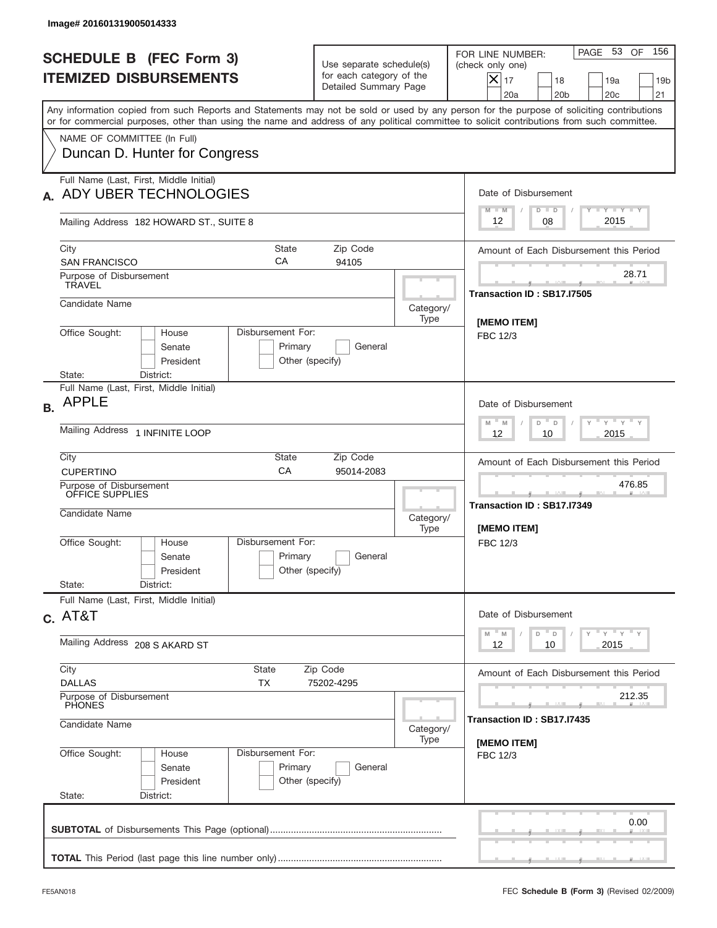| Image# 201601319005014333                                                                                                                                                                                                                                                                                              |                                                                                                                                              |                                                     |                                                                                                                                                                   |  |  |
|------------------------------------------------------------------------------------------------------------------------------------------------------------------------------------------------------------------------------------------------------------------------------------------------------------------------|----------------------------------------------------------------------------------------------------------------------------------------------|-----------------------------------------------------|-------------------------------------------------------------------------------------------------------------------------------------------------------------------|--|--|
| <b>SCHEDULE B (FEC Form 3)</b><br><b>ITEMIZED DISBURSEMENTS</b>                                                                                                                                                                                                                                                        | Use separate schedule(s)<br>for each category of the<br>Detailed Summary Page                                                                |                                                     | 156<br>PAGE 53 OF<br>FOR LINE NUMBER:<br>(check only one)<br>$ \boldsymbol{\times} $<br>17<br>18<br>19a<br>19 <sub>b</sub><br>20a<br>20 <sub>b</sub><br>20c<br>21 |  |  |
| Any information copied from such Reports and Statements may not be sold or used by any person for the purpose of soliciting contributions<br>or for commercial purposes, other than using the name and address of any political committee to solicit contributions from such committee.<br>NAME OF COMMITTEE (In Full) |                                                                                                                                              |                                                     |                                                                                                                                                                   |  |  |
| Duncan D. Hunter for Congress                                                                                                                                                                                                                                                                                          |                                                                                                                                              |                                                     |                                                                                                                                                                   |  |  |
| Full Name (Last, First, Middle Initial)<br>ADY UBER TECHNOLOGIES                                                                                                                                                                                                                                                       |                                                                                                                                              |                                                     | Date of Disbursement<br>Y TY TY TY<br>$M - M$<br>$D$ $D$                                                                                                          |  |  |
| Mailing Address 182 HOWARD ST., SUITE 8                                                                                                                                                                                                                                                                                |                                                                                                                                              |                                                     | 2015<br>12<br>08                                                                                                                                                  |  |  |
| City<br>СA<br><b>SAN FRANCISCO</b>                                                                                                                                                                                                                                                                                     | State<br>Zip Code<br>94105                                                                                                                   |                                                     |                                                                                                                                                                   |  |  |
| Purpose of Disbursement<br><b>TRAVEL</b>                                                                                                                                                                                                                                                                               |                                                                                                                                              |                                                     | 28.71<br>Transaction ID: SB17.I7505                                                                                                                               |  |  |
| Candidate Name                                                                                                                                                                                                                                                                                                         |                                                                                                                                              | Category/<br>Type                                   | [MEMO ITEM]                                                                                                                                                       |  |  |
| Office Sought:<br>Disbursement For:<br>House<br>Senate<br>President<br>State:<br>District:                                                                                                                                                                                                                             | Primary<br>General<br>Other (specify)                                                                                                        |                                                     | FBC 12/3                                                                                                                                                          |  |  |
| Full Name (Last, First, Middle Initial)<br><b>APPLE</b><br><b>B.</b>                                                                                                                                                                                                                                                   | Date of Disbursement                                                                                                                         |                                                     |                                                                                                                                                                   |  |  |
| Mailing Address 1 INFINITE LOOP                                                                                                                                                                                                                                                                                        | $-\gamma + \gamma - \gamma$<br>D<br>M<br>$\mathsf D$<br>M<br>2015<br>12<br>10                                                                |                                                     |                                                                                                                                                                   |  |  |
| City<br>State<br>CA<br><b>CUPERTINO</b>                                                                                                                                                                                                                                                                                | Amount of Each Disbursement this Period                                                                                                      |                                                     |                                                                                                                                                                   |  |  |
| Purpose of Disbursement<br>OFFICE SUPPLIES<br>Candidate Name                                                                                                                                                                                                                                                           | Category/<br>Type                                                                                                                            | 476.85<br>Transaction ID: SB17.I7349<br>[MEMO ITEM] |                                                                                                                                                                   |  |  |
| Disbursement For:<br>Office Sought:<br>House<br>Senate<br>President                                                                                                                                                                                                                                                    | Primary<br>General<br>Other (specify)                                                                                                        |                                                     | FBC 12/3                                                                                                                                                          |  |  |
| State:<br>District:<br>Full Name (Last, First, Middle Initial)                                                                                                                                                                                                                                                         |                                                                                                                                              |                                                     |                                                                                                                                                                   |  |  |
| $c.$ AT&T                                                                                                                                                                                                                                                                                                              | Date of Disbursement<br>$\mathsf{Y} \quad \mathsf{Y} \quad \mathsf{Y} \quad \mathsf{Y} \quad \mathsf{Y}$<br>$\mathbb{F}_{M}$<br>$D$ $D$<br>M |                                                     |                                                                                                                                                                   |  |  |
| Mailing Address 208 S AKARD ST<br>City<br><b>State</b>                                                                                                                                                                                                                                                                 | 2015<br>12<br>10                                                                                                                             |                                                     |                                                                                                                                                                   |  |  |
| <b>DALLAS</b><br>ТX                                                                                                                                                                                                                                                                                                    | Zip Code<br>75202-4295                                                                                                                       |                                                     | Amount of Each Disbursement this Period<br>212.35                                                                                                                 |  |  |
| Purpose of Disbursement<br>PHONES<br>Candidate Name                                                                                                                                                                                                                                                                    | Transaction ID: SB17.I7435                                                                                                                   |                                                     |                                                                                                                                                                   |  |  |
| Disbursement For:<br>Office Sought:<br>House<br>Senate<br>President<br>State:<br>District:                                                                                                                                                                                                                             | Primary<br>General<br>Other (specify)                                                                                                        | Type                                                | [MEMO ITEM]<br>FBC 12/3                                                                                                                                           |  |  |
|                                                                                                                                                                                                                                                                                                                        |                                                                                                                                              |                                                     | 0.00                                                                                                                                                              |  |  |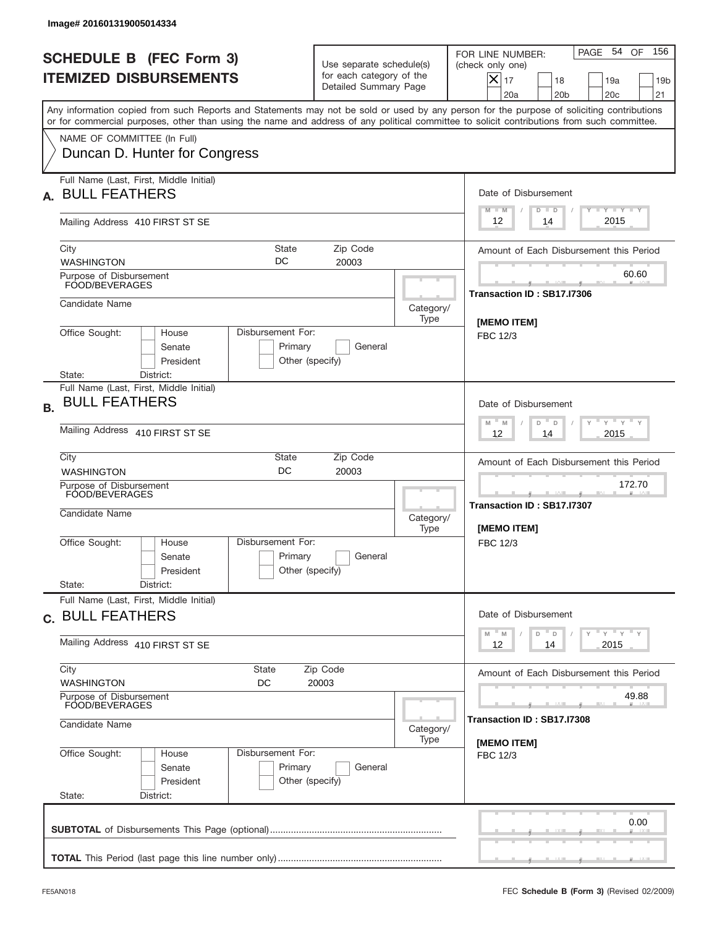|           | Image# 201601319005014334                                                                                                                                                                                                                                                               |                                                                                      |                                                            |                                                                                                                                                              |  |
|-----------|-----------------------------------------------------------------------------------------------------------------------------------------------------------------------------------------------------------------------------------------------------------------------------------------|--------------------------------------------------------------------------------------|------------------------------------------------------------|--------------------------------------------------------------------------------------------------------------------------------------------------------------|--|
|           | <b>SCHEDULE B (FEC Form 3)</b><br><b>ITEMIZED DISBURSEMENTS</b>                                                                                                                                                                                                                         | Use separate schedule(s)<br>for each category of the<br>Detailed Summary Page        |                                                            | 156<br>PAGE 54<br>OF<br>FOR LINE NUMBER:<br>(check only one)<br>$X _{17}$<br>18<br>19a<br>19 <sub>b</sub><br>20a<br>20 <sub>b</sub><br>20 <sub>c</sub><br>21 |  |
|           | Any information copied from such Reports and Statements may not be sold or used by any person for the purpose of soliciting contributions<br>or for commercial purposes, other than using the name and address of any political committee to solicit contributions from such committee. |                                                                                      |                                                            |                                                                                                                                                              |  |
|           | NAME OF COMMITTEE (In Full)<br>Duncan D. Hunter for Congress                                                                                                                                                                                                                            |                                                                                      |                                                            |                                                                                                                                                              |  |
| А.        | Full Name (Last, First, Middle Initial)<br><b>BULL FEATHERS</b>                                                                                                                                                                                                                         |                                                                                      |                                                            | Date of Disbursement<br><b>TAYLY LY</b><br>$M - M$<br>$D$ $D$                                                                                                |  |
|           | Mailing Address 410 FIRST ST SE                                                                                                                                                                                                                                                         |                                                                                      |                                                            | 2015<br>12<br>14                                                                                                                                             |  |
|           | City<br>State<br>DC<br><b>WASHINGTON</b>                                                                                                                                                                                                                                                | Zip Code<br>20003                                                                    |                                                            | Amount of Each Disbursement this Period                                                                                                                      |  |
|           | Purpose of Disbursement<br>FOOD/BEVERAGES                                                                                                                                                                                                                                               |                                                                                      |                                                            | 60.60<br>Transaction ID: SB17.I7306                                                                                                                          |  |
|           | Candidate Name                                                                                                                                                                                                                                                                          |                                                                                      | Category/<br>Type                                          |                                                                                                                                                              |  |
|           | Office Sought:<br>Disbursement For:<br>House<br>Senate<br>Primary<br>President<br>State:<br>District:                                                                                                                                                                                   | General<br>Other (specify)                                                           |                                                            | <b>IMEMO ITEM1</b><br>FBC 12/3                                                                                                                               |  |
| <b>B.</b> | Full Name (Last, First, Middle Initial)<br><b>BULL FEATHERS</b>                                                                                                                                                                                                                         |                                                                                      |                                                            | Date of Disbursement<br>$\cdots$ $\gamma$ $\cdots$ $\gamma$ $\cdots$<br>$-$ M                                                                                |  |
|           | Mailing Address 410 FIRST ST SE                                                                                                                                                                                                                                                         | M<br>D<br>D<br>2015<br>12<br>14                                                      |                                                            |                                                                                                                                                              |  |
|           | City<br>State<br>DC<br><b>WASHINGTON</b>                                                                                                                                                                                                                                                | Amount of Each Disbursement this Period                                              |                                                            |                                                                                                                                                              |  |
|           | Purpose of Disbursement<br>FOOD/BEVERAGES<br>Candidate Name                                                                                                                                                                                                                             | Category/<br>Type                                                                    | 172.70<br>Transaction ID: SB17.I7307<br><b>IMEMO ITEMI</b> |                                                                                                                                                              |  |
|           | Disbursement For:<br>Office Sought:<br>House<br>Primary<br>Senate<br>President<br>State:<br>District:                                                                                                                                                                                   | General<br>Other (specify)                                                           |                                                            | FBC 12/3                                                                                                                                                     |  |
|           | Full Name (Last, First, Middle Initial)<br>c. BULL FEATHERS                                                                                                                                                                                                                             |                                                                                      |                                                            | Date of Disbursement                                                                                                                                         |  |
|           | Mailing Address 410 FIRST ST SE                                                                                                                                                                                                                                                         | $\gamma$ $\gamma$ $\gamma$ $\gamma$ $\gamma$<br>M<br>D<br>M<br>D<br>2015<br>12<br>14 |                                                            |                                                                                                                                                              |  |
|           | City<br>State<br><b>WASHINGTON</b><br>DC                                                                                                                                                                                                                                                | Zip Code<br>20003                                                                    |                                                            | Amount of Each Disbursement this Period                                                                                                                      |  |
|           | Purpose of Disbursement<br>FOOD/BEVERAGES<br>Candidate Name                                                                                                                                                                                                                             | 49.88<br>Transaction ID : SB17.I7308                                                 |                                                            |                                                                                                                                                              |  |
|           | Office Sought:<br>Disbursement For:<br>House<br>Primary<br>Senate<br>President<br>State:<br>District:                                                                                                                                                                                   | General<br>Other (specify)                                                           | Type                                                       | [MEMO ITEM]<br>FBC 12/3                                                                                                                                      |  |
|           |                                                                                                                                                                                                                                                                                         | 0.00                                                                                 |                                                            |                                                                                                                                                              |  |
|           |                                                                                                                                                                                                                                                                                         |                                                                                      |                                                            |                                                                                                                                                              |  |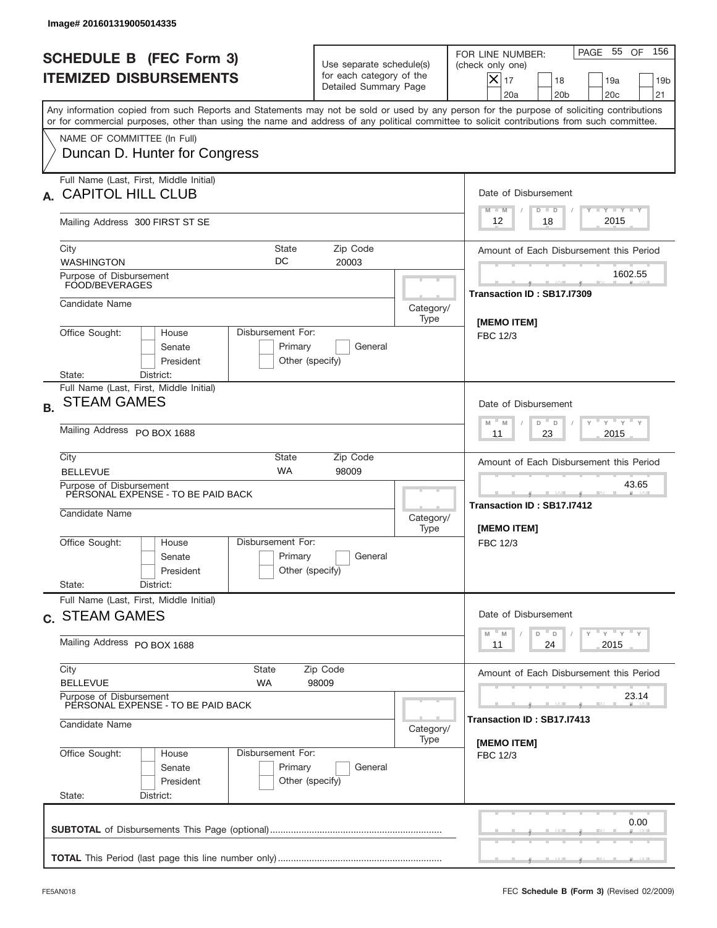| Image# 201601319005014335                                                                                                                                                                                                                                                               |                                                                                                      |                                     |                                                                                                                                                           |  |  |
|-----------------------------------------------------------------------------------------------------------------------------------------------------------------------------------------------------------------------------------------------------------------------------------------|------------------------------------------------------------------------------------------------------|-------------------------------------|-----------------------------------------------------------------------------------------------------------------------------------------------------------|--|--|
| <b>SCHEDULE B (FEC Form 3)</b><br><b>ITEMIZED DISBURSEMENTS</b>                                                                                                                                                                                                                         | Use separate schedule(s)<br>for each category of the<br>Detailed Summary Page                        |                                     | PAGE 55 OF<br>156<br>FOR LINE NUMBER:<br>(check only one)<br>$X _{17}$<br>18<br>19a<br>19 <sub>b</sub><br>20a<br>20 <sub>b</sub><br>20 <sub>c</sub><br>21 |  |  |
| Any information copied from such Reports and Statements may not be sold or used by any person for the purpose of soliciting contributions<br>or for commercial purposes, other than using the name and address of any political committee to solicit contributions from such committee. |                                                                                                      |                                     |                                                                                                                                                           |  |  |
| NAME OF COMMITTEE (In Full)<br>Duncan D. Hunter for Congress                                                                                                                                                                                                                            |                                                                                                      |                                     |                                                                                                                                                           |  |  |
| Full Name (Last, First, Middle Initial)<br><b>CAPITOL HILL CLUB</b>                                                                                                                                                                                                                     |                                                                                                      |                                     |                                                                                                                                                           |  |  |
| Mailing Address 300 FIRST ST SE                                                                                                                                                                                                                                                         |                                                                                                      |                                     | Y TY TY TY<br>$M - M$<br>$D$ $D$<br>2015<br>12<br>18                                                                                                      |  |  |
| City<br><b>WASHINGTON</b>                                                                                                                                                                                                                                                               | Amount of Each Disbursement this Period                                                              |                                     |                                                                                                                                                           |  |  |
| Purpose of Disbursement<br>FOOD/BEVERAGES                                                                                                                                                                                                                                               |                                                                                                      |                                     | 1602.55<br>Transaction ID: SB17.I7309                                                                                                                     |  |  |
| Candidate Name                                                                                                                                                                                                                                                                          |                                                                                                      | Category/<br>Type                   | <b>IMEMO ITEMI</b>                                                                                                                                        |  |  |
| Office Sought:<br>Disbursement For:<br>House<br>Senate<br>President<br>District:<br>State:                                                                                                                                                                                              | FBC 12/3                                                                                             |                                     |                                                                                                                                                           |  |  |
| Full Name (Last, First, Middle Initial)<br><b>STEAM GAMES</b><br><b>B.</b>                                                                                                                                                                                                              | Date of Disbursement<br>ү " ү " ү " ү<br>M<br>D<br>M<br>D                                            |                                     |                                                                                                                                                           |  |  |
| Mailing Address PO BOX 1688                                                                                                                                                                                                                                                             | 2015<br>23<br>11                                                                                     |                                     |                                                                                                                                                           |  |  |
| City<br><b>BELLEVUE</b>                                                                                                                                                                                                                                                                 | State<br>Zip Code<br><b>WA</b><br>98009                                                              |                                     |                                                                                                                                                           |  |  |
| Purpose of Disbursement<br>PERSONAL EXPENSE - TO BE PAID BACK<br>Candidate Name                                                                                                                                                                                                         |                                                                                                      | Category/<br>Type                   | 43.65<br>Transaction ID: SB17.I7412<br>[MEMO ITEM]                                                                                                        |  |  |
| Office Sought:<br>House<br>Senate<br>President<br>State:<br>District:                                                                                                                                                                                                                   | Disbursement For:<br>Primary<br>General<br>Other (specify)                                           |                                     | FBC 12/3                                                                                                                                                  |  |  |
| Full Name (Last, First, Middle Initial)<br>c. STEAM GAMES                                                                                                                                                                                                                               | Date of Disbursement                                                                                 |                                     |                                                                                                                                                           |  |  |
| Mailing Address PO BOX 1688                                                                                                                                                                                                                                                             | $\gamma$ = $\gamma$ = $\gamma$ = $\gamma$<br>$-M$<br>$D$ $-$<br>$\mathsf D$<br>M<br>2015<br>11<br>24 |                                     |                                                                                                                                                           |  |  |
| City<br><b>BELLEVUE</b>                                                                                                                                                                                                                                                                 | State<br>Zip Code<br><b>WA</b><br>98009                                                              |                                     |                                                                                                                                                           |  |  |
| Purpose of Disbursement<br>PERSONAL EXPENSE - TO BE PAID BACK<br>Candidate Name                                                                                                                                                                                                         | Category/                                                                                            | 23.14<br>Transaction ID: SB17.I7413 |                                                                                                                                                           |  |  |
| Office Sought:<br>House<br>Senate<br>President<br>State:<br>District:                                                                                                                                                                                                                   | Disbursement For:<br>Primary<br>General<br>Other (specify)                                           | Type                                | [MEMO ITEM]<br>FBC 12/3                                                                                                                                   |  |  |
|                                                                                                                                                                                                                                                                                         |                                                                                                      |                                     | 0.00                                                                                                                                                      |  |  |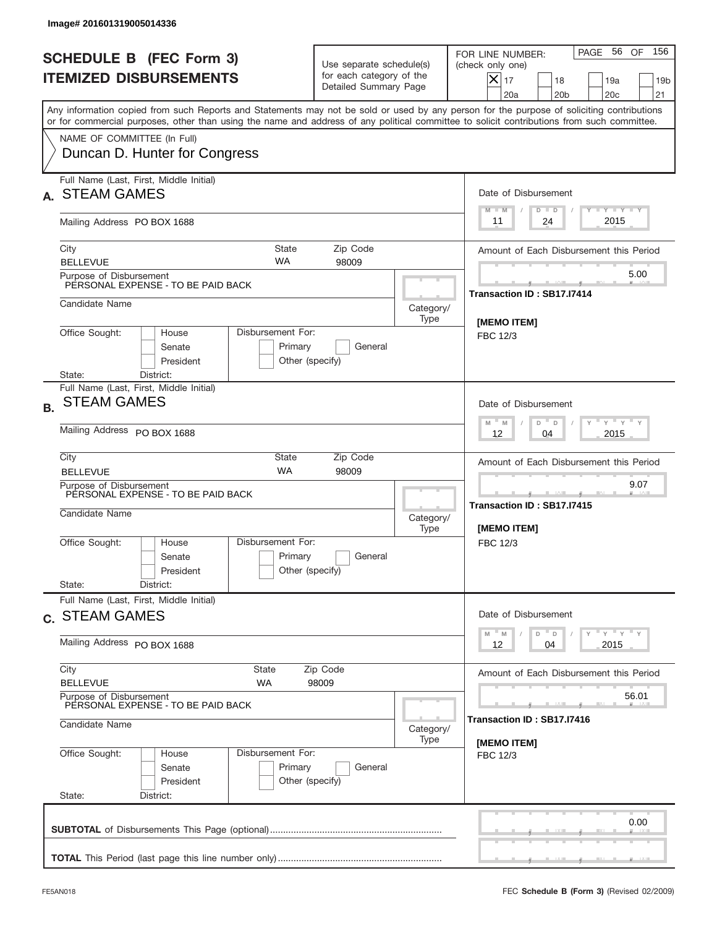|           | Image# 201601319005014336                                                                                                |                                                            |                                                                               |                                         |                                                                                                                                                                                                                                                                                         |  |
|-----------|--------------------------------------------------------------------------------------------------------------------------|------------------------------------------------------------|-------------------------------------------------------------------------------|-----------------------------------------|-----------------------------------------------------------------------------------------------------------------------------------------------------------------------------------------------------------------------------------------------------------------------------------------|--|
|           | <b>SCHEDULE B (FEC Form 3)</b><br><b>ITEMIZED DISBURSEMENTS</b>                                                          |                                                            | Use separate schedule(s)<br>for each category of the<br>Detailed Summary Page |                                         | 156<br>PAGE 56<br>OF<br>FOR LINE NUMBER:<br>(check only one)<br>$X _{17}$<br>18<br>19a<br>19 <sub>b</sub><br>20 <sub>c</sub><br>20a<br>20 <sub>b</sub><br>21                                                                                                                            |  |
|           |                                                                                                                          |                                                            |                                                                               |                                         | Any information copied from such Reports and Statements may not be sold or used by any person for the purpose of soliciting contributions<br>or for commercial purposes, other than using the name and address of any political committee to solicit contributions from such committee. |  |
|           | NAME OF COMMITTEE (In Full)<br>Duncan D. Hunter for Congress                                                             |                                                            |                                                                               |                                         |                                                                                                                                                                                                                                                                                         |  |
|           | Full Name (Last, First, Middle Initial)<br><b>STEAM GAMES</b>                                                            |                                                            |                                                                               | Date of Disbursement<br><b>TAYLY LY</b> |                                                                                                                                                                                                                                                                                         |  |
|           | Mailing Address PO BOX 1688                                                                                              |                                                            |                                                                               |                                         | $D$ $D$<br>$M - M$<br>2015<br>24<br>11                                                                                                                                                                                                                                                  |  |
|           | City<br><b>BELLEVUE</b>                                                                                                  | State<br><b>WA</b>                                         | Zip Code<br>98009                                                             | Amount of Each Disbursement this Period |                                                                                                                                                                                                                                                                                         |  |
|           | Purpose of Disbursement<br>PERSONAL EXPENSE - TO BE PAID BACK                                                            |                                                            |                                                                               |                                         | 5.00<br>Transaction ID: SB17.I7414                                                                                                                                                                                                                                                      |  |
|           | Candidate Name                                                                                                           |                                                            |                                                                               | Category/<br>Type                       | <b>IMEMO ITEM1</b>                                                                                                                                                                                                                                                                      |  |
|           | Office Sought:<br>House<br>Senate<br>President<br>State:<br>District:                                                    | Disbursement For:<br>Primary<br>General<br>Other (specify) |                                                                               |                                         |                                                                                                                                                                                                                                                                                         |  |
| <b>B.</b> | Full Name (Last, First, Middle Initial)<br><b>STEAM GAMES</b><br>Mailing Address PO BOX 1688                             |                                                            |                                                                               |                                         | Date of Disbursement<br>$\cdots$ $\gamma$ $\cdots$ $\gamma$ $\cdots$<br>$M - M$<br>D<br>$\Box$<br>2015<br>12<br>04                                                                                                                                                                      |  |
|           | City                                                                                                                     | <b>State</b><br>Zip Code                                   |                                                                               |                                         |                                                                                                                                                                                                                                                                                         |  |
|           | <b>WA</b><br><b>BELLEVUE</b><br>98009<br>Purpose of Disbursement<br>PERSONAL EXPENSE - TO BE PAID BACK<br>Candidate Name |                                                            |                                                                               | Category/<br>Type                       | 9.07<br>____<br>Transaction ID: SB17.I7415<br>[MEMO ITEM]                                                                                                                                                                                                                               |  |
|           | Office Sought:<br>House<br>Senate<br>President<br>State:<br>District:                                                    | Disbursement For:<br>Primary<br>Other (specify)            | General                                                                       |                                         | FBC 12/3                                                                                                                                                                                                                                                                                |  |
|           | Full Name (Last, First, Middle Initial)<br>c. STEAM GAMES                                                                |                                                            |                                                                               |                                         | Date of Disbursement<br>γ <sup>=</sup> γ <sup>=</sup> γ <sup>=</sup> γ                                                                                                                                                                                                                  |  |
|           | Mailing Address PO BOX 1688                                                                                              | M<br>D<br>M<br>D<br>2015<br>12<br>04                       |                                                                               |                                         |                                                                                                                                                                                                                                                                                         |  |
|           | City<br><b>BELLEVUE</b>                                                                                                  | State<br>WA                                                | Zip Code<br>98009                                                             |                                         | Amount of Each Disbursement this Period                                                                                                                                                                                                                                                 |  |
|           | Purpose of Disbursement<br>PERSONAL EXPENSE - TO BE PAID BACK<br>Candidate Name                                          | Category/                                                  | 56.01<br>Transaction ID : SB17.I7416                                          |                                         |                                                                                                                                                                                                                                                                                         |  |
|           | Office Sought:<br>House<br>Senate<br>President<br>State:<br>District:                                                    | Disbursement For:<br>Primary<br>Other (specify)            | General                                                                       | Type                                    | [MEMO ITEM]<br>FBC 12/3                                                                                                                                                                                                                                                                 |  |
|           |                                                                                                                          |                                                            |                                                                               |                                         | 0.00                                                                                                                                                                                                                                                                                    |  |
|           |                                                                                                                          |                                                            |                                                                               |                                         |                                                                                                                                                                                                                                                                                         |  |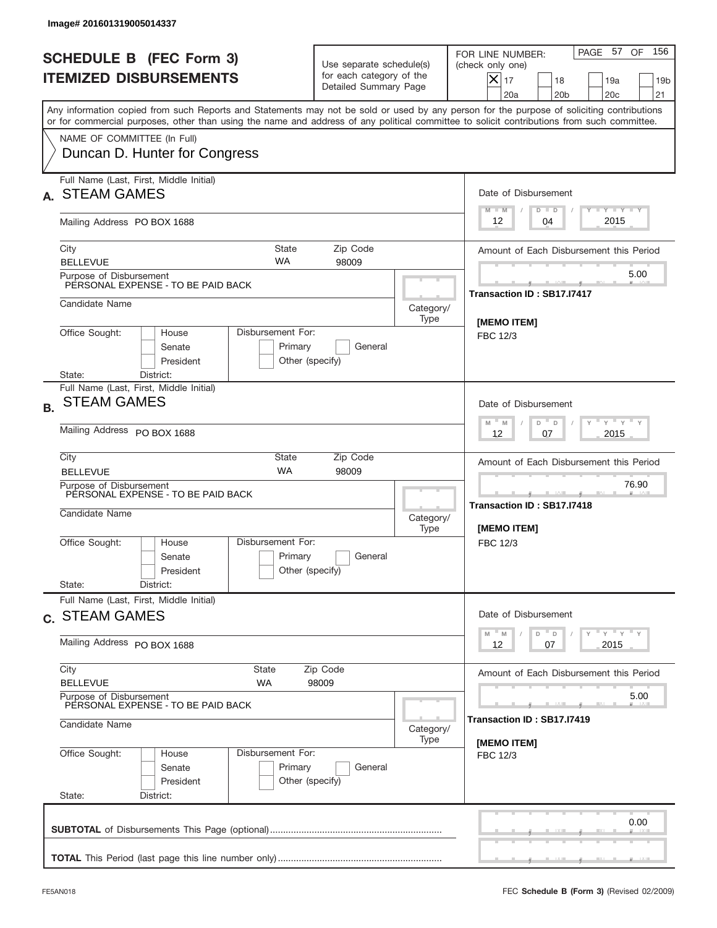|           | Image# 201601319005014337                                                                    |                                                                                   |                                                                               |                                                               |                                                                                                                                                                                                                                                                                         |
|-----------|----------------------------------------------------------------------------------------------|-----------------------------------------------------------------------------------|-------------------------------------------------------------------------------|---------------------------------------------------------------|-----------------------------------------------------------------------------------------------------------------------------------------------------------------------------------------------------------------------------------------------------------------------------------------|
|           | <b>SCHEDULE B (FEC Form 3)</b><br><b>ITEMIZED DISBURSEMENTS</b>                              |                                                                                   | Use separate schedule(s)<br>for each category of the<br>Detailed Summary Page |                                                               | 156<br>PAGE 57<br>OF<br>FOR LINE NUMBER:<br>(check only one)<br>$X _{17}$<br>18<br>19a<br>19 <sub>b</sub><br>20 <sub>c</sub><br>20a<br>20 <sub>b</sub><br>21                                                                                                                            |
|           |                                                                                              |                                                                                   |                                                                               |                                                               | Any information copied from such Reports and Statements may not be sold or used by any person for the purpose of soliciting contributions<br>or for commercial purposes, other than using the name and address of any political committee to solicit contributions from such committee. |
|           | NAME OF COMMITTEE (In Full)<br>Duncan D. Hunter for Congress                                 |                                                                                   |                                                                               |                                                               |                                                                                                                                                                                                                                                                                         |
|           | Full Name (Last, First, Middle Initial)<br><b>STEAM GAMES</b>                                |                                                                                   |                                                                               | Date of Disbursement<br><b>TAYLY LY</b><br>$M - M$<br>$D$ $D$ |                                                                                                                                                                                                                                                                                         |
|           | Mailing Address PO BOX 1688                                                                  |                                                                                   |                                                                               |                                                               | 2015<br>12<br>04                                                                                                                                                                                                                                                                        |
|           | City<br><b>BELLEVUE</b>                                                                      | State<br><b>WA</b>                                                                | Zip Code<br>98009                                                             |                                                               | Amount of Each Disbursement this Period                                                                                                                                                                                                                                                 |
|           | Purpose of Disbursement<br>PERSONAL EXPENSE - TO BE PAID BACK                                |                                                                                   |                                                                               |                                                               | 5.00<br>Transaction ID: SB17.I7417                                                                                                                                                                                                                                                      |
|           | Candidate Name                                                                               |                                                                                   |                                                                               | Category/<br>Type                                             | <b>IMEMO ITEM1</b>                                                                                                                                                                                                                                                                      |
|           | Office Sought:<br>House<br>Senate<br>President<br>State:<br>District:                        | Disbursement For:<br>Primary<br>Other (specify)                                   | <b>FBC 12/3</b>                                                               |                                                               |                                                                                                                                                                                                                                                                                         |
| <b>B.</b> | Full Name (Last, First, Middle Initial)<br><b>STEAM GAMES</b><br>Mailing Address PO BOX 1688 |                                                                                   |                                                                               |                                                               | Date of Disbursement<br>$\cdots$ $\gamma$ $\cdots$ $\gamma$ $\cdots$<br>$M - M$<br>D<br>$\Box$<br>2015<br>12<br>07                                                                                                                                                                      |
|           | City<br><b>BELLEVUE</b>                                                                      | Amount of Each Disbursement this Period<br>76.90                                  |                                                                               |                                                               |                                                                                                                                                                                                                                                                                         |
|           | Purpose of Disbursement<br>PERSONAL EXPENSE - TO BE PAID BACK<br>Candidate Name              |                                                                                   | Category/<br>Type                                                             | ____<br>Transaction ID: SB17.I7418<br>[MEMO ITEM]             |                                                                                                                                                                                                                                                                                         |
|           | Office Sought:<br>House<br>Senate<br>President<br>State:<br>District:                        | Disbursement For:<br>Primary<br>Other (specify)                                   | General                                                                       |                                                               | FBC 12/3                                                                                                                                                                                                                                                                                |
|           | Full Name (Last, First, Middle Initial)<br>c. STEAM GAMES                                    |                                                                                   |                                                                               |                                                               | Date of Disbursement                                                                                                                                                                                                                                                                    |
|           | Mailing Address PO BOX 1688                                                                  | $\gamma$ = $\gamma$ = $\gamma$ = $\gamma$<br>M<br>D<br>M<br>D<br>2015<br>12<br>07 |                                                                               |                                                               |                                                                                                                                                                                                                                                                                         |
|           | City<br>State<br><b>BELLEVUE</b>                                                             | Amount of Each Disbursement this Period                                           |                                                                               |                                                               |                                                                                                                                                                                                                                                                                         |
|           | Purpose of Disbursement<br>PERSONAL EXPENSE - TO BE PAID BACK<br>Candidate Name              | Category/                                                                         | 5.00<br>Transaction ID : SB17.I7419                                           |                                                               |                                                                                                                                                                                                                                                                                         |
|           | Office Sought:<br>House<br>Senate<br>President<br>State:<br>District:                        | Disbursement For:<br>Primary<br>Other (specify)                                   | General                                                                       | Type                                                          | [MEMO ITEM]<br>FBC 12/3                                                                                                                                                                                                                                                                 |
|           |                                                                                              |                                                                                   |                                                                               |                                                               | 0.00                                                                                                                                                                                                                                                                                    |
|           |                                                                                              |                                                                                   |                                                                               |                                                               |                                                                                                                                                                                                                                                                                         |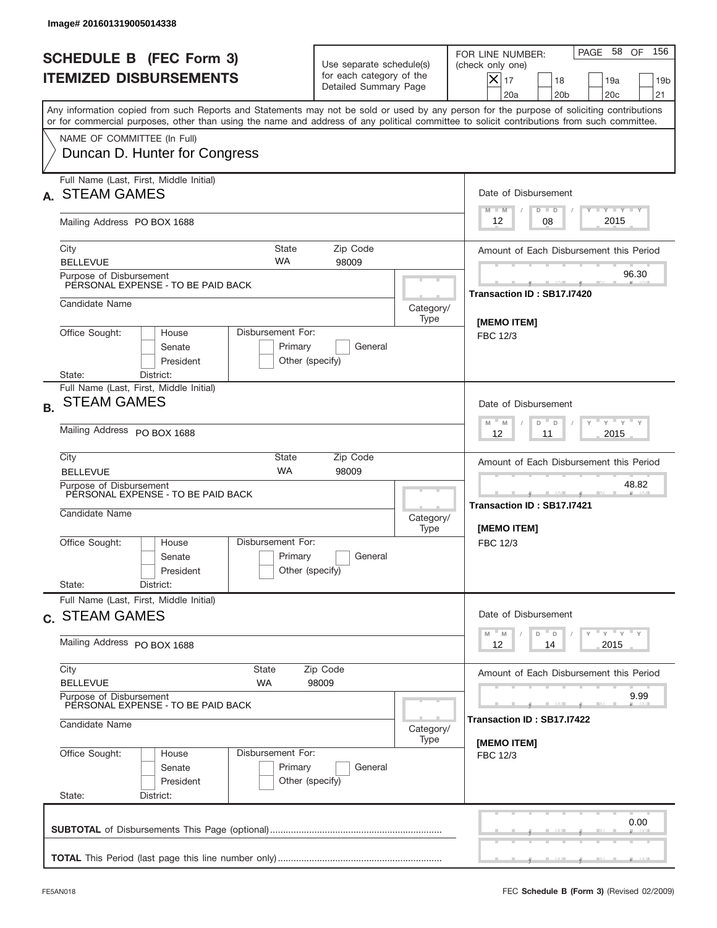|           | Image# 201601319005014338                                             |                                                                                          |                                                                               |                                         |                                                                                                                                                                                                                                                                                         |  |  |
|-----------|-----------------------------------------------------------------------|------------------------------------------------------------------------------------------|-------------------------------------------------------------------------------|-----------------------------------------|-----------------------------------------------------------------------------------------------------------------------------------------------------------------------------------------------------------------------------------------------------------------------------------------|--|--|
|           | <b>SCHEDULE B (FEC Form 3)</b><br><b>ITEMIZED DISBURSEMENTS</b>       |                                                                                          | Use separate schedule(s)<br>for each category of the<br>Detailed Summary Page |                                         | 156<br>PAGE 58<br>OF<br>FOR LINE NUMBER:<br>(check only one)<br>$X _{17}$<br>18<br>19a<br>19 <sub>b</sub><br>20 <sub>c</sub><br>20a<br>20 <sub>b</sub><br>21                                                                                                                            |  |  |
|           |                                                                       |                                                                                          |                                                                               |                                         | Any information copied from such Reports and Statements may not be sold or used by any person for the purpose of soliciting contributions<br>or for commercial purposes, other than using the name and address of any political committee to solicit contributions from such committee. |  |  |
|           | NAME OF COMMITTEE (In Full)<br>Duncan D. Hunter for Congress          |                                                                                          |                                                                               |                                         |                                                                                                                                                                                                                                                                                         |  |  |
|           | Full Name (Last, First, Middle Initial)<br><b>STEAM GAMES</b>         |                                                                                          |                                                                               | Date of Disbursement<br><b>TAYLY LY</b> |                                                                                                                                                                                                                                                                                         |  |  |
|           | Mailing Address PO BOX 1688                                           |                                                                                          |                                                                               |                                         | $M - M$<br>$D$ $D$<br>2015<br>08<br>12                                                                                                                                                                                                                                                  |  |  |
|           | City<br><b>BELLEVUE</b>                                               | State<br><b>WA</b>                                                                       | Zip Code<br>98009                                                             |                                         | Amount of Each Disbursement this Period                                                                                                                                                                                                                                                 |  |  |
|           | Purpose of Disbursement<br>PERSONAL EXPENSE - TO BE PAID BACK         |                                                                                          |                                                                               |                                         | 96.30<br>Transaction ID: SB17.I7420                                                                                                                                                                                                                                                     |  |  |
|           | Candidate Name                                                        |                                                                                          |                                                                               | Category/<br>Type                       | [MEMO ITEM]                                                                                                                                                                                                                                                                             |  |  |
|           | Office Sought:<br>House<br>Senate<br>President<br>State:<br>District: | Disbursement For:<br>Primary<br>General<br>Other (specify)                               |                                                                               |                                         |                                                                                                                                                                                                                                                                                         |  |  |
| <b>B.</b> | Full Name (Last, First, Middle Initial)<br><b>STEAM GAMES</b>         |                                                                                          |                                                                               |                                         | Date of Disbursement<br>$\cdots$ $\gamma$ $\cdots$ $\gamma$ $\cdots$<br>$M - M$<br>D<br>$\Box$                                                                                                                                                                                          |  |  |
|           | Mailing Address PO BOX 1688<br>City                                   | 2015<br>12<br>11                                                                         |                                                                               |                                         |                                                                                                                                                                                                                                                                                         |  |  |
|           | <b>BELLEVUE</b><br>Purpose of Disbursement                            | Amount of Each Disbursement this Period<br>48.82                                         |                                                                               |                                         |                                                                                                                                                                                                                                                                                         |  |  |
|           | PERSONAL EXPENSE - TO BE PAID BACK<br>Candidate Name                  |                                                                                          |                                                                               |                                         | Transaction ID: SB17.I7421<br>[MEMO ITEM]                                                                                                                                                                                                                                               |  |  |
|           | Office Sought:<br>House<br>Senate<br>President                        | Disbursement For:<br>Primary<br>Other (specify)                                          | General                                                                       |                                         | FBC 12/3                                                                                                                                                                                                                                                                                |  |  |
|           | State:<br>District:<br>Full Name (Last, First, Middle Initial)        |                                                                                          |                                                                               |                                         |                                                                                                                                                                                                                                                                                         |  |  |
|           | c. STEAM GAMES<br>Mailing Address PO BOX 1688                         | Date of Disbursement<br>$\gamma$ = $\gamma$ = $\gamma$ = $\gamma$<br>$-M$<br>D<br>M<br>D |                                                                               |                                         |                                                                                                                                                                                                                                                                                         |  |  |
|           | City                                                                  | 2015<br>12<br>14<br>Amount of Each Disbursement this Period                              |                                                                               |                                         |                                                                                                                                                                                                                                                                                         |  |  |
|           | <b>BELLEVUE</b><br>Purpose of Disbursement                            | WA                                                                                       | 98009                                                                         |                                         | 9.99                                                                                                                                                                                                                                                                                    |  |  |
|           | PERSONAL EXPENSE - TO BE PAID BACK<br>Candidate Name                  | Category/                                                                                | Transaction ID : SB17.I7422                                                   |                                         |                                                                                                                                                                                                                                                                                         |  |  |
|           | Office Sought:<br>House<br>Senate<br>President<br>State:<br>District: | Disbursement For:<br>Primary<br>Other (specify)                                          | General                                                                       | Type<br>[MEMO ITEM]<br>FBC 12/3         |                                                                                                                                                                                                                                                                                         |  |  |
|           |                                                                       |                                                                                          |                                                                               |                                         | 0.00                                                                                                                                                                                                                                                                                    |  |  |
|           |                                                                       |                                                                                          |                                                                               |                                         |                                                                                                                                                                                                                                                                                         |  |  |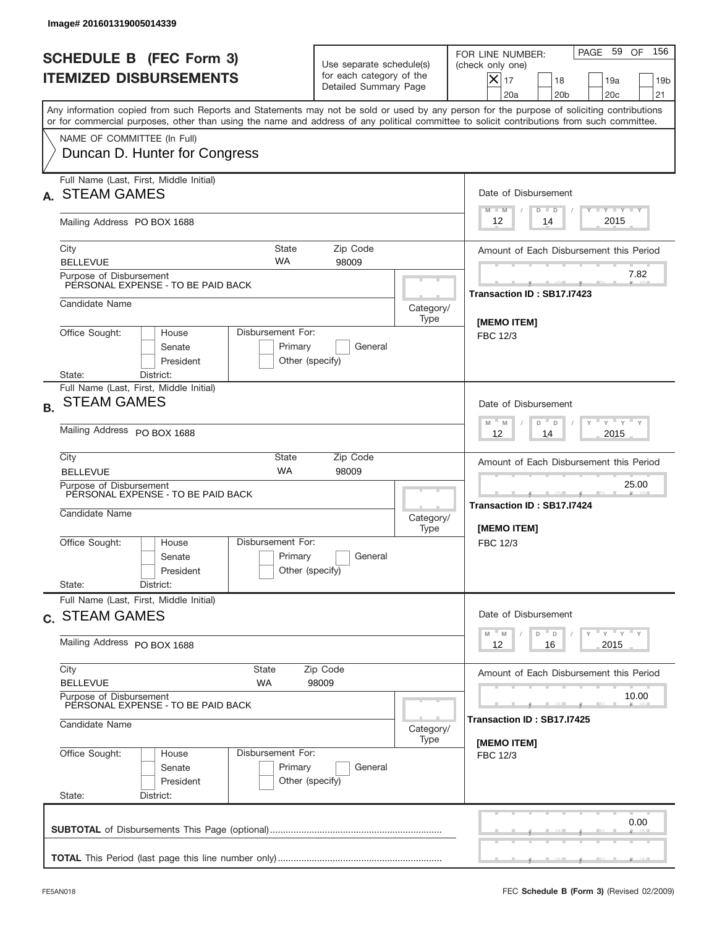|           | Image# 201601319005014339                                                                                           |                                                                                   |                                                                               |                                                                |                                                                                                                                                                                                                                                                                         |
|-----------|---------------------------------------------------------------------------------------------------------------------|-----------------------------------------------------------------------------------|-------------------------------------------------------------------------------|----------------------------------------------------------------|-----------------------------------------------------------------------------------------------------------------------------------------------------------------------------------------------------------------------------------------------------------------------------------------|
|           | <b>SCHEDULE B (FEC Form 3)</b><br><b>ITEMIZED DISBURSEMENTS</b>                                                     |                                                                                   | Use separate schedule(s)<br>for each category of the<br>Detailed Summary Page |                                                                | 156<br>PAGE 59<br>OF<br>FOR LINE NUMBER:<br>(check only one)<br>$X _{17}$<br>18<br>19a<br>19 <sub>b</sub><br>20 <sub>c</sub><br>20a<br>20 <sub>b</sub><br>21                                                                                                                            |
|           |                                                                                                                     |                                                                                   |                                                                               |                                                                | Any information copied from such Reports and Statements may not be sold or used by any person for the purpose of soliciting contributions<br>or for commercial purposes, other than using the name and address of any political committee to solicit contributions from such committee. |
|           | NAME OF COMMITTEE (In Full)<br>Duncan D. Hunter for Congress                                                        |                                                                                   |                                                                               |                                                                |                                                                                                                                                                                                                                                                                         |
|           | Full Name (Last, First, Middle Initial)<br><b>STEAM GAMES</b>                                                       |                                                                                   |                                                                               | Date of Disbursement<br><b>TANK TANK</b><br>$M - M$<br>$D$ $D$ |                                                                                                                                                                                                                                                                                         |
|           | Mailing Address PO BOX 1688                                                                                         |                                                                                   |                                                                               |                                                                | 2015<br>12<br>14                                                                                                                                                                                                                                                                        |
|           | City<br><b>BELLEVUE</b>                                                                                             | State<br><b>WA</b>                                                                | Zip Code<br>98009                                                             |                                                                | Amount of Each Disbursement this Period                                                                                                                                                                                                                                                 |
|           | Purpose of Disbursement<br>PERSONAL EXPENSE - TO BE PAID BACK                                                       |                                                                                   |                                                                               |                                                                | 7.82<br>Transaction ID: SB17.I7423                                                                                                                                                                                                                                                      |
|           | Candidate Name                                                                                                      |                                                                                   |                                                                               | Category/<br>Type                                              | <b>IMEMO ITEM1</b>                                                                                                                                                                                                                                                                      |
|           | Office Sought:<br>Disbursement For:<br>House<br>Senate<br>President                                                 | <b>FBC 12/3</b>                                                                   |                                                                               |                                                                |                                                                                                                                                                                                                                                                                         |
| <b>B.</b> | State:<br>District:<br>Full Name (Last, First, Middle Initial)<br><b>STEAM GAMES</b><br>Mailing Address PO BOX 1688 |                                                                                   |                                                                               |                                                                | Date of Disbursement<br>$\cdots$ $\gamma$ $\cdots$ $\gamma$ $\cdots$<br>$M - M$<br>D<br>$\Box$<br>2015<br>12<br>14                                                                                                                                                                      |
|           | City<br><b>BELLEVUE</b>                                                                                             | Amount of Each Disbursement this Period                                           |                                                                               |                                                                |                                                                                                                                                                                                                                                                                         |
|           | Purpose of Disbursement<br>PERSONAL EXPENSE - TO BE PAID BACK<br>Candidate Name                                     |                                                                                   |                                                                               |                                                                | 25.00<br>Transaction ID: SB17.I7424<br>[MEMO ITEM]                                                                                                                                                                                                                                      |
|           | Office Sought:<br>House<br>Senate<br>President<br>State:<br>District:                                               | Disbursement For:<br>Primary<br>Other (specify)                                   | General                                                                       |                                                                | FBC 12/3                                                                                                                                                                                                                                                                                |
|           | Full Name (Last, First, Middle Initial)<br>c. STEAM GAMES                                                           |                                                                                   |                                                                               |                                                                | Date of Disbursement                                                                                                                                                                                                                                                                    |
|           | Mailing Address PO BOX 1688                                                                                         | $\gamma$ = $\gamma$ = $\gamma$ = $\gamma$<br>M<br>D<br>M<br>D<br>2015<br>12<br>16 |                                                                               |                                                                |                                                                                                                                                                                                                                                                                         |
|           | City<br><b>BELLEVUE</b>                                                                                             | Amount of Each Disbursement this Period                                           |                                                                               |                                                                |                                                                                                                                                                                                                                                                                         |
|           | Purpose of Disbursement<br>PERSONAL EXPENSE - TO BE PAID BACK<br>Candidate Name                                     | Category/                                                                         | 10.00<br>Transaction ID : SB17.I7425                                          |                                                                |                                                                                                                                                                                                                                                                                         |
|           | Office Sought:<br>House<br>Senate<br>President<br>State:<br>District:                                               | Disbursement For:<br>Primary<br>Other (specify)                                   | General                                                                       | Type                                                           | [MEMO ITEM]<br>FBC 12/3                                                                                                                                                                                                                                                                 |
|           |                                                                                                                     |                                                                                   |                                                                               |                                                                | 0.00                                                                                                                                                                                                                                                                                    |
|           |                                                                                                                     |                                                                                   |                                                                               |                                                                |                                                                                                                                                                                                                                                                                         |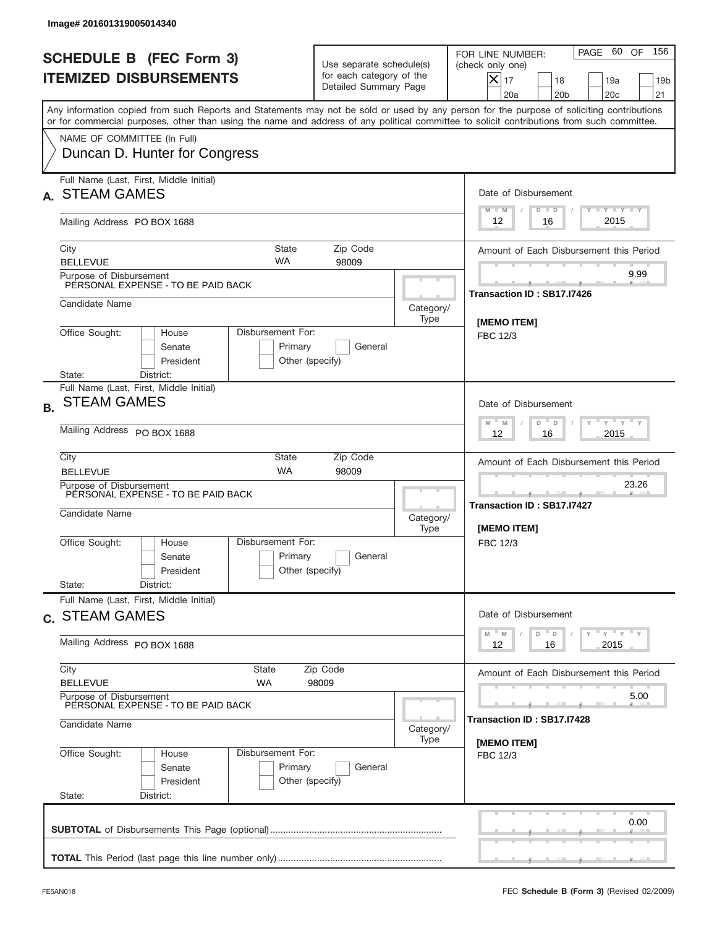|           | Image# 201601319005014340                                                       |                                                  |                                                                               |                                          |                                                                                                                                                                                                                                                                                         |
|-----------|---------------------------------------------------------------------------------|--------------------------------------------------|-------------------------------------------------------------------------------|------------------------------------------|-----------------------------------------------------------------------------------------------------------------------------------------------------------------------------------------------------------------------------------------------------------------------------------------|
|           | <b>SCHEDULE B (FEC Form 3)</b><br><b>ITEMIZED DISBURSEMENTS</b>                 |                                                  | Use separate schedule(s)<br>for each category of the<br>Detailed Summary Page |                                          | 156<br>60<br>OF<br>PAGE<br>FOR LINE NUMBER:<br>(check only one)<br>$X _{17}$<br>18<br>19a<br>19 <sub>b</sub><br>20 <sub>c</sub><br>20a<br>20 <sub>b</sub><br>21                                                                                                                         |
|           |                                                                                 |                                                  |                                                                               |                                          | Any information copied from such Reports and Statements may not be sold or used by any person for the purpose of soliciting contributions<br>or for commercial purposes, other than using the name and address of any political committee to solicit contributions from such committee. |
|           | NAME OF COMMITTEE (In Full)<br>Duncan D. Hunter for Congress                    |                                                  |                                                                               |                                          |                                                                                                                                                                                                                                                                                         |
|           | Full Name (Last, First, Middle Initial)<br><b>STEAM GAMES</b>                   |                                                  |                                                                               | Date of Disbursement<br><b>TANK TANK</b> |                                                                                                                                                                                                                                                                                         |
|           | Mailing Address PO BOX 1688                                                     | $M - M$<br>$D$ $D$<br>2015<br>12<br>16           |                                                                               |                                          |                                                                                                                                                                                                                                                                                         |
|           | City<br><b>BELLEVUE</b>                                                         | State<br><b>WA</b>                               | Zip Code<br>98009                                                             |                                          | Amount of Each Disbursement this Period                                                                                                                                                                                                                                                 |
|           | Purpose of Disbursement<br>PERSONAL EXPENSE - TO BE PAID BACK                   | 9.99<br>Transaction ID: SB17.I7426               |                                                                               |                                          |                                                                                                                                                                                                                                                                                         |
|           | Candidate Name                                                                  |                                                  |                                                                               | Category/<br>Type                        | [MEMO ITEM]                                                                                                                                                                                                                                                                             |
|           | Office Sought:<br>House<br>Senate<br>President<br>State:<br>District:           | Disbursement For:<br>Primary<br>Other (specify)  | <b>FBC 12/3</b>                                                               |                                          |                                                                                                                                                                                                                                                                                         |
| <b>B.</b> | Full Name (Last, First, Middle Initial)<br><b>STEAM GAMES</b>                   |                                                  |                                                                               |                                          | Date of Disbursement<br>$\cdots$ $\gamma$ $\cdots$ $\gamma$ $\cdots$<br>$M - M$<br>D<br>$\Box$                                                                                                                                                                                          |
|           | Mailing Address PO BOX 1688<br>City                                             | 2015<br>12<br>16                                 |                                                                               |                                          |                                                                                                                                                                                                                                                                                         |
|           | <b>BELLEVUE</b><br>Purpose of Disbursement                                      | Amount of Each Disbursement this Period<br>23.26 |                                                                               |                                          |                                                                                                                                                                                                                                                                                         |
|           | PERSONAL EXPENSE - TO BE PAID BACK<br>Candidate Name                            |                                                  |                                                                               |                                          | Transaction ID: SB17.I7427<br>[MEMO ITEM]                                                                                                                                                                                                                                               |
|           | Office Sought:<br>House<br>Senate<br>President                                  | Disbursement For:<br>Primary<br>Other (specify)  | General                                                                       |                                          | FBC 12/3                                                                                                                                                                                                                                                                                |
|           | State:<br>District:<br>Full Name (Last, First, Middle Initial)                  |                                                  |                                                                               |                                          | Date of Disbursement                                                                                                                                                                                                                                                                    |
|           |                                                                                 | c. STEAM GAMES                                   |                                                                               |                                          |                                                                                                                                                                                                                                                                                         |
|           | Mailing Address PO BOX 1688<br>City                                             | 2015<br>12<br>16                                 |                                                                               |                                          |                                                                                                                                                                                                                                                                                         |
|           | <b>BELLEVUE</b>                                                                 | State<br>WA                                      | Zip Code<br>98009                                                             |                                          | Amount of Each Disbursement this Period                                                                                                                                                                                                                                                 |
|           | Purpose of Disbursement<br>PERSONAL EXPENSE - TO BE PAID BACK<br>Candidate Name | Category/                                        | 5.00<br>Transaction ID : SB17.I7428                                           |                                          |                                                                                                                                                                                                                                                                                         |
|           | Office Sought:<br>House<br>Senate<br>President<br>State:<br>District:           | Disbursement For:<br>Primary<br>Other (specify)  | General                                                                       | Type                                     | [MEMO ITEM]<br>FBC 12/3                                                                                                                                                                                                                                                                 |
|           |                                                                                 |                                                  |                                                                               |                                          | 0.00                                                                                                                                                                                                                                                                                    |
|           |                                                                                 |                                                  |                                                                               |                                          |                                                                                                                                                                                                                                                                                         |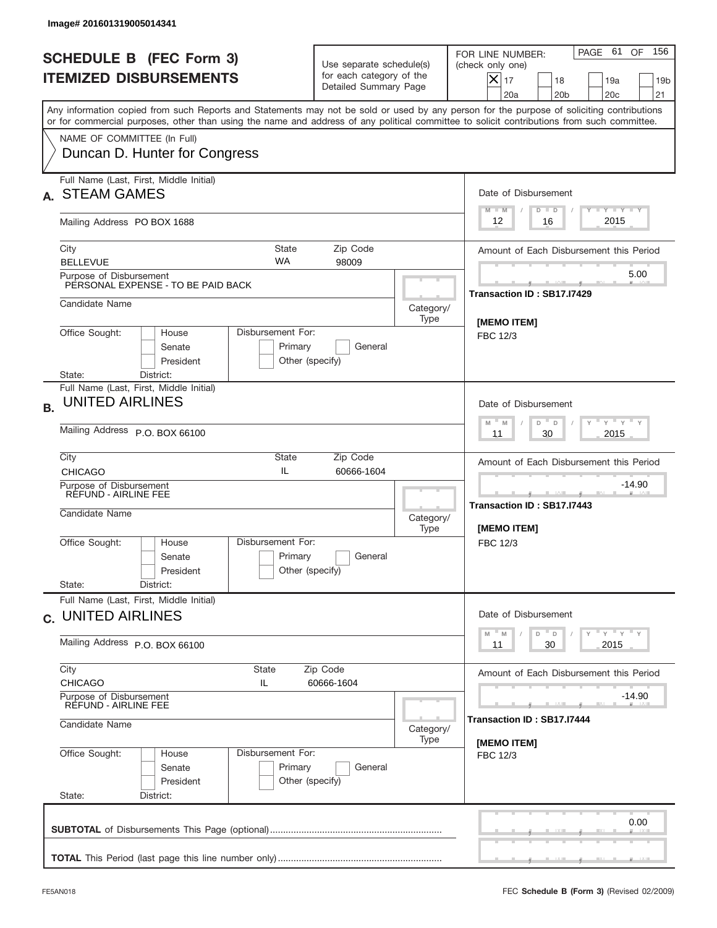|                                                                 | Image# 201601319005014341                                                                                                                                                                                                                                                               |                                                                |                                                                               |                   |                                                                                                                                                                     |
|-----------------------------------------------------------------|-----------------------------------------------------------------------------------------------------------------------------------------------------------------------------------------------------------------------------------------------------------------------------------------|----------------------------------------------------------------|-------------------------------------------------------------------------------|-------------------|---------------------------------------------------------------------------------------------------------------------------------------------------------------------|
| <b>SCHEDULE B (FEC Form 3)</b><br><b>ITEMIZED DISBURSEMENTS</b> |                                                                                                                                                                                                                                                                                         |                                                                | Use separate schedule(s)<br>for each category of the<br>Detailed Summary Page |                   | 156<br>PAGE 61 OF<br>FOR LINE NUMBER:<br>(check only one)<br>$ \mathsf{X} _{17}$<br>18<br>19a<br>19 <sub>b</sub><br>20a<br>20 <sub>b</sub><br>20 <sub>c</sub><br>21 |
|                                                                 | Any information copied from such Reports and Statements may not be sold or used by any person for the purpose of soliciting contributions<br>or for commercial purposes, other than using the name and address of any political committee to solicit contributions from such committee. |                                                                |                                                                               |                   |                                                                                                                                                                     |
|                                                                 | NAME OF COMMITTEE (In Full)<br>Duncan D. Hunter for Congress                                                                                                                                                                                                                            |                                                                |                                                                               |                   |                                                                                                                                                                     |
|                                                                 | Full Name (Last, First, Middle Initial)<br><b>STEAM GAMES</b>                                                                                                                                                                                                                           |                                                                |                                                                               |                   | Date of Disbursement<br>Y FY FY FY<br>$M - M$<br>$D$ $D$                                                                                                            |
|                                                                 | Mailing Address PO BOX 1688                                                                                                                                                                                                                                                             |                                                                |                                                                               |                   | 2015<br>12<br>16                                                                                                                                                    |
|                                                                 | City<br><b>WA</b><br><b>BELLEVUE</b>                                                                                                                                                                                                                                                    | <b>State</b>                                                   | Zip Code<br>98009                                                             |                   | Amount of Each Disbursement this Period                                                                                                                             |
|                                                                 | Purpose of Disbursement<br>PERSONAL EXPENSE - TO BE PAID BACK                                                                                                                                                                                                                           |                                                                |                                                                               |                   | 5.00<br>Transaction ID: SB17.I7429                                                                                                                                  |
|                                                                 | Candidate Name                                                                                                                                                                                                                                                                          |                                                                |                                                                               | Category/<br>Type | <b>IMEMO ITEMI</b>                                                                                                                                                  |
|                                                                 | Office Sought:<br>House<br>Senate<br>President<br>District:<br>State:                                                                                                                                                                                                                   | Disbursement For:<br>Primary<br>General<br>Other (specify)     |                                                                               |                   | FBC 12/3                                                                                                                                                            |
| <b>B.</b>                                                       | Full Name (Last, First, Middle Initial)<br><b>UNITED AIRLINES</b>                                                                                                                                                                                                                       |                                                                |                                                                               |                   | Date of Disbursement<br>ү " ү " ү " ү<br>$M - M$<br>D<br>D                                                                                                          |
|                                                                 | Mailing Address P.O. BOX 66100                                                                                                                                                                                                                                                          | 2015<br>11<br>30                                               |                                                                               |                   |                                                                                                                                                                     |
|                                                                 | City<br><b>CHICAGO</b>                                                                                                                                                                                                                                                                  | State<br>IL                                                    | Zip Code<br>60666-1604                                                        |                   | Amount of Each Disbursement this Period                                                                                                                             |
|                                                                 | Purpose of Disbursement<br>RÉFUND - AIRLINE FEE<br>Candidate Name                                                                                                                                                                                                                       |                                                                |                                                                               | Category/<br>Type | $-14.90$<br>____<br>Transaction ID: SB17.I7443<br>[MEMO ITEM]                                                                                                       |
|                                                                 | Disbursement For:<br>Office Sought:<br>House<br>Senate<br>President<br>State:<br>District:                                                                                                                                                                                              | Primary<br>Other (specify)                                     | General                                                                       |                   | FBC 12/3                                                                                                                                                            |
|                                                                 | Full Name (Last, First, Middle Initial)<br>c. UNITED AIRLINES                                                                                                                                                                                                                           |                                                                |                                                                               |                   | Date of Disbursement                                                                                                                                                |
|                                                                 | Mailing Address P.O. BOX 66100                                                                                                                                                                                                                                                          | $Y$ $Y$ $Y$ $Y$ $Y$<br>$-M$<br>D<br>M<br>D<br>2015<br>11<br>30 |                                                                               |                   |                                                                                                                                                                     |
|                                                                 | City<br>State<br><b>CHICAGO</b><br>IL.                                                                                                                                                                                                                                                  | Amount of Each Disbursement this Period                        |                                                                               |                   |                                                                                                                                                                     |
|                                                                 | Purpose of Disbursement<br>REFUND - AIRLINE FEE<br>Candidate Name                                                                                                                                                                                                                       | Category/<br>Type                                              | $-14.90$<br>Transaction ID : SB17.I7444                                       |                   |                                                                                                                                                                     |
|                                                                 | Office Sought:<br>Disbursement For:<br>House<br>Senate<br>President<br>State:<br>District:                                                                                                                                                                                              | Primary<br>Other (specify)                                     | General                                                                       |                   | [MEMO ITEM]<br>FBC 12/3                                                                                                                                             |
|                                                                 |                                                                                                                                                                                                                                                                                         |                                                                |                                                                               |                   | 0.00                                                                                                                                                                |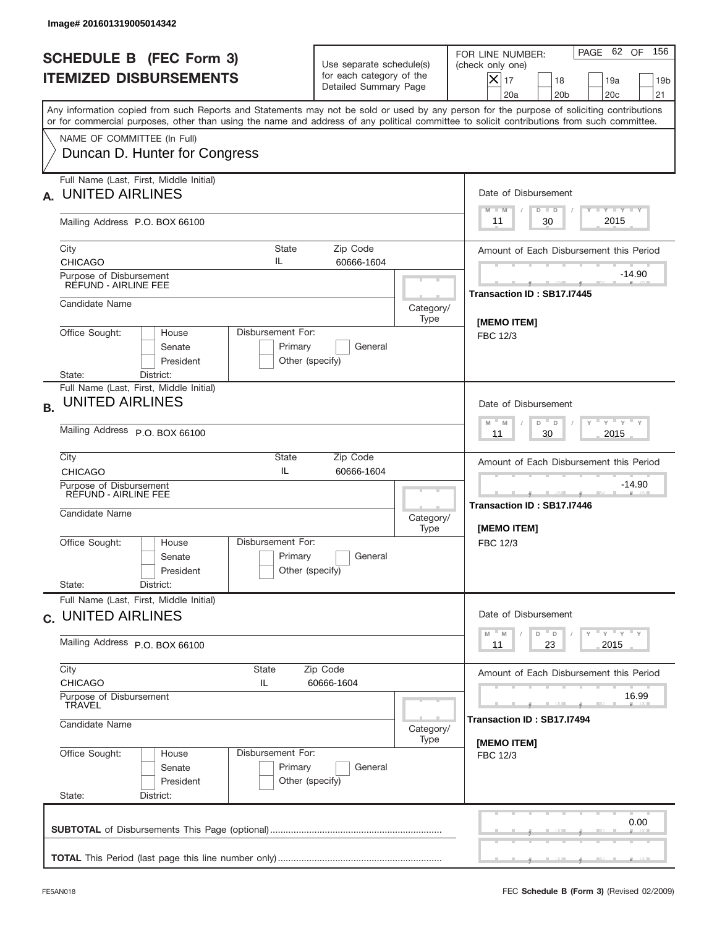|                                                                 | Image# 201601319005014342                                             |                                                           |                                                                               |                                                                      |                                                                                                                                                                                                                                                                                         |
|-----------------------------------------------------------------|-----------------------------------------------------------------------|-----------------------------------------------------------|-------------------------------------------------------------------------------|----------------------------------------------------------------------|-----------------------------------------------------------------------------------------------------------------------------------------------------------------------------------------------------------------------------------------------------------------------------------------|
| <b>SCHEDULE B (FEC Form 3)</b><br><b>ITEMIZED DISBURSEMENTS</b> |                                                                       |                                                           | Use separate schedule(s)<br>for each category of the<br>Detailed Summary Page |                                                                      | 156<br>PAGE 62 OF<br>FOR LINE NUMBER:<br>(check only one)<br>$X _{17}$<br>18<br>19a<br>19 <sub>b</sub><br>20a<br>20 <sub>b</sub><br>20 <sub>c</sub><br>21                                                                                                                               |
|                                                                 |                                                                       |                                                           |                                                                               |                                                                      | Any information copied from such Reports and Statements may not be sold or used by any person for the purpose of soliciting contributions<br>or for commercial purposes, other than using the name and address of any political committee to solicit contributions from such committee. |
|                                                                 | NAME OF COMMITTEE (In Full)<br>Duncan D. Hunter for Congress          |                                                           |                                                                               |                                                                      |                                                                                                                                                                                                                                                                                         |
| А.                                                              | Full Name (Last, First, Middle Initial)<br><b>UNITED AIRLINES</b>     |                                                           |                                                                               |                                                                      | Date of Disbursement<br><b>TANK TANK</b><br>$D$ $D$<br>$M - M$                                                                                                                                                                                                                          |
|                                                                 | Mailing Address P.O. BOX 66100                                        |                                                           |                                                                               |                                                                      | 2015<br>30<br>11                                                                                                                                                                                                                                                                        |
|                                                                 | City<br><b>CHICAGO</b>                                                | <b>State</b><br>IL                                        | Zip Code<br>60666-1604                                                        |                                                                      | Amount of Each Disbursement this Period                                                                                                                                                                                                                                                 |
|                                                                 | Purpose of Disbursement<br>REFUND - AIRLINE FEE                       |                                                           |                                                                               |                                                                      | $-14.90$<br>Transaction ID: SB17.I7445                                                                                                                                                                                                                                                  |
|                                                                 | Candidate Name                                                        |                                                           |                                                                               | Category/<br>Type                                                    |                                                                                                                                                                                                                                                                                         |
|                                                                 | Office Sought:<br>House<br>Senate<br>President<br>District:<br>State: | Disbursement For:<br>Primary<br>Other (specify)           | [MEMO ITEM]<br>FBC 12/3                                                       |                                                                      |                                                                                                                                                                                                                                                                                         |
| <b>B.</b>                                                       | Full Name (Last, First, Middle Initial)<br><b>UNITED AIRLINES</b>     | Date of Disbursement<br>$-$ M<br>≡ γ ≡ γ ≡<br>D<br>M<br>D |                                                                               |                                                                      |                                                                                                                                                                                                                                                                                         |
|                                                                 | Mailing Address P.O. BOX 66100                                        | 2015<br>11<br>30                                          |                                                                               |                                                                      |                                                                                                                                                                                                                                                                                         |
|                                                                 | City<br><b>CHICAGO</b>                                                | State<br>IL                                               | Zip Code<br>60666-1604                                                        | Amount of Each Disbursement this Period                              |                                                                                                                                                                                                                                                                                         |
|                                                                 | Purpose of Disbursement<br>RÉFUND - AIRLINE FEE<br>Candidate Name     |                                                           | Category/<br>Type                                                             | $-14.90$<br>____<br>Transaction ID: SB17.I7446<br><b>IMEMO ITEMI</b> |                                                                                                                                                                                                                                                                                         |
|                                                                 | Office Sought:<br>House<br>Senate<br>President                        | Disbursement For:<br>Primary<br>Other (specify)           | General                                                                       |                                                                      | FBC 12/3                                                                                                                                                                                                                                                                                |
|                                                                 | State:<br>District:<br>Full Name (Last, First, Middle Initial)        |                                                           |                                                                               |                                                                      |                                                                                                                                                                                                                                                                                         |
|                                                                 | c. UNITED AIRLINES                                                    |                                                           |                                                                               |                                                                      | Date of Disbursement<br>$Y$ $Y$ $Y$ $Y$ $Y$<br>$M$ M<br>D<br>D                                                                                                                                                                                                                          |
|                                                                 | Mailing Address P.O. BOX 66100                                        | 23<br>2015<br>11                                          |                                                                               |                                                                      |                                                                                                                                                                                                                                                                                         |
|                                                                 | City<br><b>CHICAGO</b><br>Purpose of Disbursement                     | Amount of Each Disbursement this Period<br>16.99          |                                                                               |                                                                      |                                                                                                                                                                                                                                                                                         |
|                                                                 | TRAVEL<br>Candidate Name<br>Category/<br>Type                         |                                                           |                                                                               |                                                                      | Transaction ID: SB17.I7494<br>[MEMO ITEM]                                                                                                                                                                                                                                               |
|                                                                 | Office Sought:<br>House<br>Senate<br>President<br>State:<br>District: | Disbursement For:<br>Primary<br>Other (specify)           | General                                                                       |                                                                      | FBC 12/3                                                                                                                                                                                                                                                                                |
|                                                                 |                                                                       |                                                           |                                                                               |                                                                      | 0.00                                                                                                                                                                                                                                                                                    |
|                                                                 |                                                                       |                                                           |                                                                               |                                                                      |                                                                                                                                                                                                                                                                                         |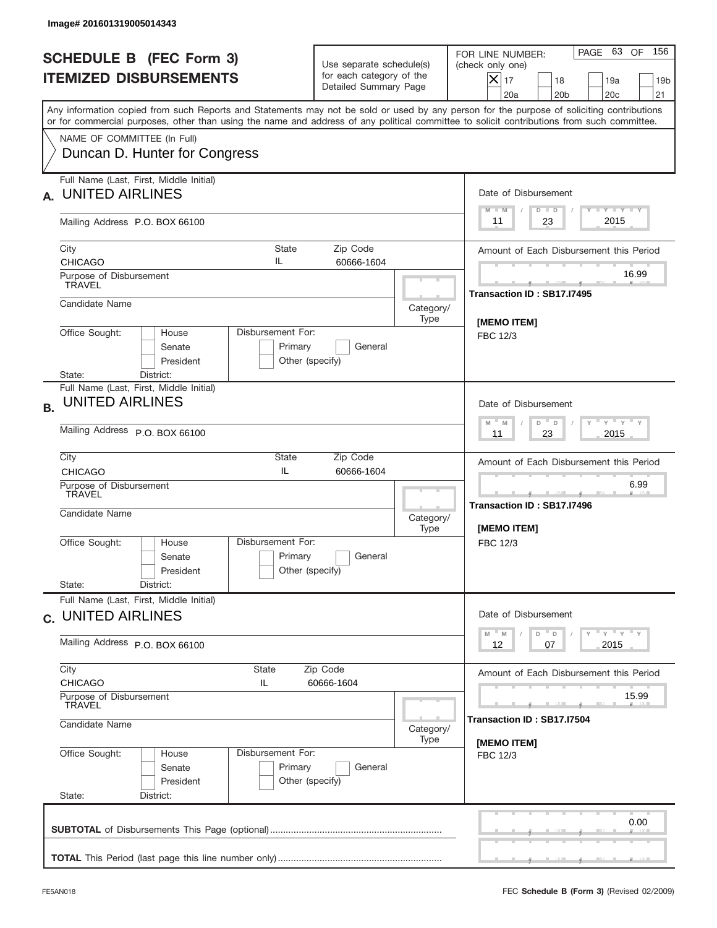|                                                                 | Image# 201601319005014343                                                                            |                                                                             |                                                                               |                                |                                                                                                                                                                                                                                                                                         |
|-----------------------------------------------------------------|------------------------------------------------------------------------------------------------------|-----------------------------------------------------------------------------|-------------------------------------------------------------------------------|--------------------------------|-----------------------------------------------------------------------------------------------------------------------------------------------------------------------------------------------------------------------------------------------------------------------------------------|
| <b>SCHEDULE B (FEC Form 3)</b><br><b>ITEMIZED DISBURSEMENTS</b> |                                                                                                      |                                                                             | Use separate schedule(s)<br>for each category of the<br>Detailed Summary Page |                                | 156<br>PAGE 63<br>OF<br>FOR LINE NUMBER:<br>(check only one)<br>$X _{17}$<br>18<br>19a<br>19 <sub>b</sub><br>20a<br>20 <sub>b</sub><br>20 <sub>c</sub><br>21                                                                                                                            |
|                                                                 |                                                                                                      |                                                                             |                                                                               |                                | Any information copied from such Reports and Statements may not be sold or used by any person for the purpose of soliciting contributions<br>or for commercial purposes, other than using the name and address of any political committee to solicit contributions from such committee. |
|                                                                 | NAME OF COMMITTEE (In Full)<br>Duncan D. Hunter for Congress                                         |                                                                             |                                                                               |                                |                                                                                                                                                                                                                                                                                         |
| А.                                                              | Full Name (Last, First, Middle Initial)<br><b>UNITED AIRLINES</b>                                    |                                                                             |                                                                               |                                | Date of Disbursement<br>$T - Y$ $T - Y$ $T - Y$<br>$M - M$<br>$D$ $D$                                                                                                                                                                                                                   |
|                                                                 | Mailing Address P.O. BOX 66100                                                                       |                                                                             |                                                                               |                                | 2015<br>23<br>11                                                                                                                                                                                                                                                                        |
|                                                                 | City<br><b>CHICAGO</b>                                                                               | <b>State</b><br>IL                                                          | Zip Code<br>60666-1604                                                        |                                | Amount of Each Disbursement this Period                                                                                                                                                                                                                                                 |
|                                                                 | Purpose of Disbursement<br><b>TRAVEL</b>                                                             |                                                                             |                                                                               |                                | 16.99                                                                                                                                                                                                                                                                                   |
|                                                                 | Candidate Name                                                                                       |                                                                             |                                                                               | Category/<br>Type              | Transaction ID: SB17.I7495                                                                                                                                                                                                                                                              |
|                                                                 | Office Sought:<br>House<br>Senate<br>President<br>District:<br>State:                                | Disbursement For:<br>Primary<br>Other (specify)                             | General                                                                       | <b>IMEMO ITEM1</b><br>FBC 12/3 |                                                                                                                                                                                                                                                                                         |
| <b>B.</b>                                                       | Full Name (Last, First, Middle Initial)<br><b>UNITED AIRLINES</b>                                    | Date of Disbursement<br>$-\gamma + \gamma - \gamma$<br>$-$ M<br>M<br>D<br>D |                                                                               |                                |                                                                                                                                                                                                                                                                                         |
|                                                                 | Mailing Address P.O. BOX 66100                                                                       | 2015<br>11<br>23                                                            |                                                                               |                                |                                                                                                                                                                                                                                                                                         |
|                                                                 | City<br><b>CHICAGO</b>                                                                               | State<br>IL                                                                 | Amount of Each Disbursement this Period                                       |                                |                                                                                                                                                                                                                                                                                         |
|                                                                 | Purpose of Disbursement<br>TRAVEL<br>Candidate Name                                                  | Category/<br>Type                                                           |                                                                               |                                | 6.99<br>________<br>Transaction ID: SB17.I7496<br>[MEMO ITEM]                                                                                                                                                                                                                           |
|                                                                 | Office Sought:<br>House<br>Senate<br>President<br>State:<br>District:                                | Disbursement For:<br>Primary<br>Other (specify)                             | General                                                                       |                                | FBC 12/3                                                                                                                                                                                                                                                                                |
|                                                                 | Full Name (Last, First, Middle Initial)<br>c. UNITED AIRLINES                                        |                                                                             |                                                                               |                                | Date of Disbursement                                                                                                                                                                                                                                                                    |
|                                                                 | Mailing Address P.O. BOX 66100                                                                       | $Y$ $Y$ $Y$ $Y$ $Y$<br>$M$ $M$<br>D<br>D<br>2015<br>12<br>07                |                                                                               |                                |                                                                                                                                                                                                                                                                                         |
|                                                                 | City<br>State<br>Zip Code<br><b>CHICAGO</b><br>IL<br>60666-1604<br>Purpose of Disbursement<br>TRAVEL |                                                                             |                                                                               |                                | Amount of Each Disbursement this Period<br>15.99                                                                                                                                                                                                                                        |
|                                                                 | Candidate Name<br>Category/<br>Type                                                                  |                                                                             |                                                                               |                                | Transaction ID: SB17.I7504                                                                                                                                                                                                                                                              |
|                                                                 | Office Sought:<br>House<br>Senate<br>President<br>State:<br>District:                                | Disbursement For:<br>Primary<br>Other (specify)                             | General                                                                       |                                | [MEMO ITEM]<br>FBC 12/3                                                                                                                                                                                                                                                                 |
|                                                                 |                                                                                                      |                                                                             |                                                                               |                                | 0.00                                                                                                                                                                                                                                                                                    |
|                                                                 |                                                                                                      |                                                                             |                                                                               |                                |                                                                                                                                                                                                                                                                                         |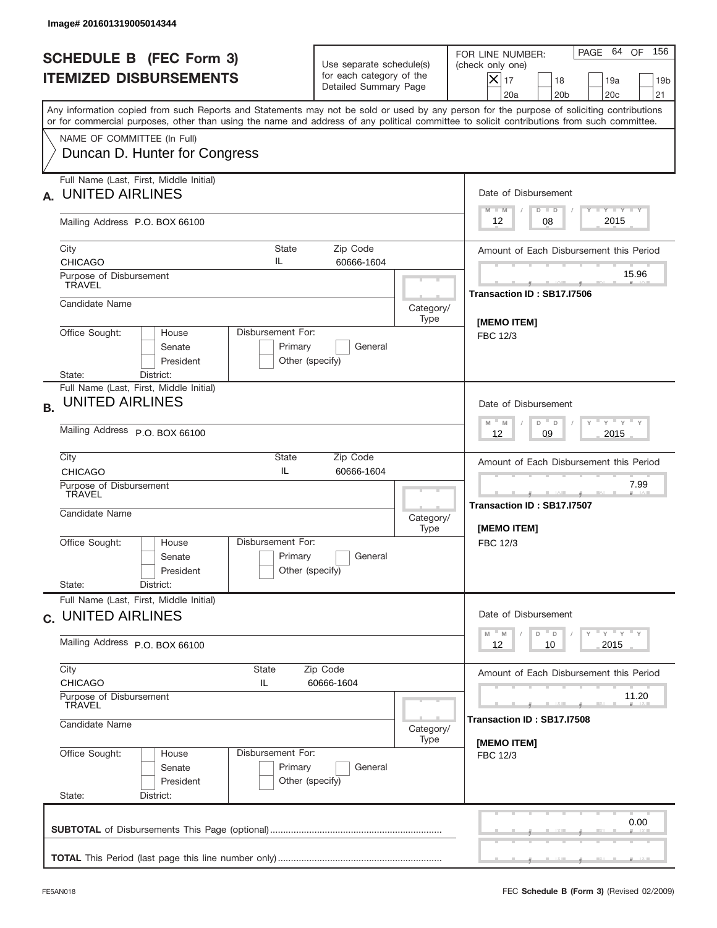|                                                                 | Image# 201601319005014344                                                                            |                                                                               |                                                                               |                                 |                                                                                                                                                                                                                                                                                         |  |
|-----------------------------------------------------------------|------------------------------------------------------------------------------------------------------|-------------------------------------------------------------------------------|-------------------------------------------------------------------------------|---------------------------------|-----------------------------------------------------------------------------------------------------------------------------------------------------------------------------------------------------------------------------------------------------------------------------------------|--|
| <b>SCHEDULE B (FEC Form 3)</b><br><b>ITEMIZED DISBURSEMENTS</b> |                                                                                                      |                                                                               | Use separate schedule(s)<br>for each category of the<br>Detailed Summary Page |                                 | 156<br>PAGE 64<br>OF<br>FOR LINE NUMBER:<br>(check only one)<br>$X _{17}$<br>18<br>19a<br>19 <sub>b</sub><br>20a<br>20 <sub>b</sub><br>20 <sub>c</sub><br>21                                                                                                                            |  |
|                                                                 |                                                                                                      |                                                                               |                                                                               |                                 | Any information copied from such Reports and Statements may not be sold or used by any person for the purpose of soliciting contributions<br>or for commercial purposes, other than using the name and address of any political committee to solicit contributions from such committee. |  |
|                                                                 | NAME OF COMMITTEE (In Full)<br>Duncan D. Hunter for Congress                                         |                                                                               |                                                                               |                                 |                                                                                                                                                                                                                                                                                         |  |
| А.                                                              | Full Name (Last, First, Middle Initial)<br><b>UNITED AIRLINES</b>                                    |                                                                               |                                                                               |                                 | Date of Disbursement<br>$T - Y$ $T - Y$ $T - Y$<br>$M - M$<br>$D$ $D$                                                                                                                                                                                                                   |  |
|                                                                 | Mailing Address P.O. BOX 66100                                                                       |                                                                               |                                                                               |                                 | 2015<br>08<br>12                                                                                                                                                                                                                                                                        |  |
|                                                                 | City<br><b>CHICAGO</b>                                                                               | <b>State</b><br>IL                                                            | Zip Code<br>60666-1604                                                        |                                 | Amount of Each Disbursement this Period                                                                                                                                                                                                                                                 |  |
|                                                                 | Purpose of Disbursement<br><b>TRAVEL</b>                                                             |                                                                               |                                                                               |                                 | 15.96<br>Transaction ID: SB17.I7506                                                                                                                                                                                                                                                     |  |
|                                                                 | Candidate Name                                                                                       |                                                                               |                                                                               | Category/<br>Type               |                                                                                                                                                                                                                                                                                         |  |
|                                                                 | Office Sought:<br>House<br>Senate<br>President<br>District:<br>State:                                | Disbursement For:<br>Primary<br>Other (specify)                               | General                                                                       | [MEMO ITEM]<br>FBC 12/3         |                                                                                                                                                                                                                                                                                         |  |
| <b>B.</b>                                                       | Full Name (Last, First, Middle Initial)<br><b>UNITED AIRLINES</b>                                    | Date of Disbursement<br>$-\gamma + \gamma - \gamma$<br>$M - M$<br>D<br>$\Box$ |                                                                               |                                 |                                                                                                                                                                                                                                                                                         |  |
|                                                                 | Mailing Address P.O. BOX 66100                                                                       | 2015<br>12<br>09                                                              |                                                                               |                                 |                                                                                                                                                                                                                                                                                         |  |
|                                                                 | City<br><b>CHICAGO</b>                                                                               | State<br>IL                                                                   | Amount of Each Disbursement this Period<br>7.99                               |                                 |                                                                                                                                                                                                                                                                                         |  |
|                                                                 | Purpose of Disbursement<br>TRAVEL<br>Candidate Name                                                  | Category/<br>Type                                                             |                                                                               |                                 | <u> 1999 - Jan Jan Jan</u><br>Transaction ID: SB17.I7507<br>[MEMO ITEM]                                                                                                                                                                                                                 |  |
|                                                                 | Office Sought:<br>House<br>Senate<br>President<br>State:<br>District:                                | Disbursement For:<br>Primary<br>Other (specify)                               | General                                                                       |                                 | FBC 12/3                                                                                                                                                                                                                                                                                |  |
|                                                                 | Full Name (Last, First, Middle Initial)<br>c. UNITED AIRLINES                                        |                                                                               |                                                                               |                                 | Date of Disbursement                                                                                                                                                                                                                                                                    |  |
|                                                                 | Mailing Address P.O. BOX 66100                                                                       | $Y$ $Y$ $Y$ $Y$ $Y$<br>$M$ $M$<br>D<br>D<br>2015<br>12<br>10                  |                                                                               |                                 |                                                                                                                                                                                                                                                                                         |  |
|                                                                 | City<br>State<br>Zip Code<br><b>CHICAGO</b><br>IL<br>60666-1604<br>Purpose of Disbursement<br>TRAVEL |                                                                               |                                                                               |                                 | Amount of Each Disbursement this Period<br>11.20                                                                                                                                                                                                                                        |  |
|                                                                 | Candidate Name<br>Category/                                                                          |                                                                               |                                                                               |                                 | Transaction ID: SB17.I7508                                                                                                                                                                                                                                                              |  |
|                                                                 | Office Sought:<br>House<br>Senate<br>President<br>State:<br>District:                                | Disbursement For:<br>Primary<br>Other (specify)                               | General                                                                       | Type<br>[MEMO ITEM]<br>FBC 12/3 |                                                                                                                                                                                                                                                                                         |  |
|                                                                 |                                                                                                      |                                                                               |                                                                               |                                 | 0.00                                                                                                                                                                                                                                                                                    |  |
|                                                                 |                                                                                                      |                                                                               |                                                                               |                                 |                                                                                                                                                                                                                                                                                         |  |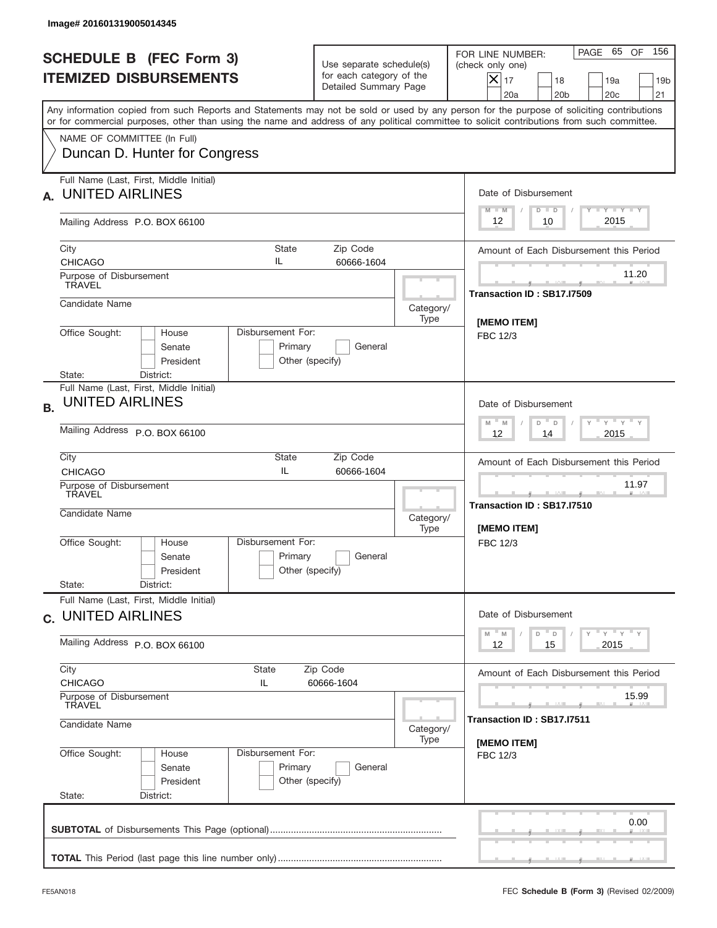|           | Image# 201601319005014345                                                                                                                                                                                                                                                               |                                                                               |                                                               |                                                                                                                                                           |
|-----------|-----------------------------------------------------------------------------------------------------------------------------------------------------------------------------------------------------------------------------------------------------------------------------------------|-------------------------------------------------------------------------------|---------------------------------------------------------------|-----------------------------------------------------------------------------------------------------------------------------------------------------------|
|           | <b>SCHEDULE B (FEC Form 3)</b><br><b>ITEMIZED DISBURSEMENTS</b>                                                                                                                                                                                                                         | Use separate schedule(s)<br>for each category of the<br>Detailed Summary Page |                                                               | 156<br>PAGE 65 OF<br>FOR LINE NUMBER:<br>(check only one)<br>$X _{17}$<br>18<br>19a<br>19 <sub>b</sub><br>20a<br>20 <sub>b</sub><br>20 <sub>c</sub><br>21 |
|           | Any information copied from such Reports and Statements may not be sold or used by any person for the purpose of soliciting contributions<br>or for commercial purposes, other than using the name and address of any political committee to solicit contributions from such committee. |                                                                               |                                                               |                                                                                                                                                           |
|           | NAME OF COMMITTEE (In Full)<br>Duncan D. Hunter for Congress                                                                                                                                                                                                                            |                                                                               |                                                               |                                                                                                                                                           |
| А.        | Full Name (Last, First, Middle Initial)<br><b>UNITED AIRLINES</b>                                                                                                                                                                                                                       |                                                                               |                                                               | Date of Disbursement<br>$T - Y$ $T - Y$ $T - Y$<br>$M - M$<br>$D$ $D$                                                                                     |
|           | Mailing Address P.O. BOX 66100                                                                                                                                                                                                                                                          |                                                                               |                                                               | 2015<br>12<br>10                                                                                                                                          |
|           | City<br><b>State</b><br>IL<br><b>CHICAGO</b>                                                                                                                                                                                                                                            | Zip Code<br>60666-1604                                                        |                                                               | Amount of Each Disbursement this Period<br>11.20                                                                                                          |
|           | Purpose of Disbursement<br><b>TRAVEL</b>                                                                                                                                                                                                                                                |                                                                               |                                                               | Transaction ID: SB17.I7509                                                                                                                                |
|           | Candidate Name<br>Disbursement For:<br>Office Sought:<br>House                                                                                                                                                                                                                          |                                                                               | Category/<br>Type                                             | [MEMO ITEM]                                                                                                                                               |
|           | Senate<br>Primary<br>President<br>Other (specify)<br>District:<br>State:                                                                                                                                                                                                                | FBC 12/3                                                                      |                                                               |                                                                                                                                                           |
| <b>B.</b> | Full Name (Last, First, Middle Initial)<br><b>UNITED AIRLINES</b>                                                                                                                                                                                                                       |                                                                               |                                                               | Date of Disbursement                                                                                                                                      |
|           | Mailing Address P.O. BOX 66100                                                                                                                                                                                                                                                          | $-\gamma + \gamma - \gamma$<br>$M - M$<br>D<br>D<br>2015<br>12<br>14          |                                                               |                                                                                                                                                           |
|           | City<br>State<br>IL<br><b>CHICAGO</b>                                                                                                                                                                                                                                                   | Amount of Each Disbursement this Period                                       |                                                               |                                                                                                                                                           |
|           | Purpose of Disbursement<br>TRAVEL<br>Candidate Name                                                                                                                                                                                                                                     | Category/<br>Type                                                             | 11.97<br>_______<br>Transaction ID: SB17.I7510<br>[MEMO ITEM] |                                                                                                                                                           |
|           | Disbursement For:<br>Office Sought:<br>House<br>Senate<br>President<br>State:<br>District:                                                                                                                                                                                              | Primary<br>General<br>Other (specify)                                         |                                                               | FBC 12/3                                                                                                                                                  |
|           | Full Name (Last, First, Middle Initial)<br>c. UNITED AIRLINES                                                                                                                                                                                                                           |                                                                               |                                                               | Date of Disbursement                                                                                                                                      |
|           | Mailing Address P.O. BOX 66100                                                                                                                                                                                                                                                          | $Y$ $Y$ $Y$ $Y$ $Y$<br>$M$ $M$<br>D<br>D<br>2015<br>12<br>15                  |                                                               |                                                                                                                                                           |
|           | City<br>State<br><b>CHICAGO</b><br>IL                                                                                                                                                                                                                                                   | Zip Code<br>60666-1604                                                        |                                                               | Amount of Each Disbursement this Period                                                                                                                   |
|           | Purpose of Disbursement<br>TRAVEL                                                                                                                                                                                                                                                       | 15.99<br>Transaction ID: SB17.I7511                                           |                                                               |                                                                                                                                                           |
|           | Candidate Name                                                                                                                                                                                                                                                                          | [MEMO ITEM]                                                                   |                                                               |                                                                                                                                                           |
|           | Office Sought:<br>Disbursement For:<br>House<br>Senate<br>President<br>State:<br>District:                                                                                                                                                                                              | Primary<br>General<br>Other (specify)                                         |                                                               | FBC 12/3                                                                                                                                                  |
|           |                                                                                                                                                                                                                                                                                         |                                                                               |                                                               | 0.00                                                                                                                                                      |
|           |                                                                                                                                                                                                                                                                                         |                                                                               |                                                               |                                                                                                                                                           |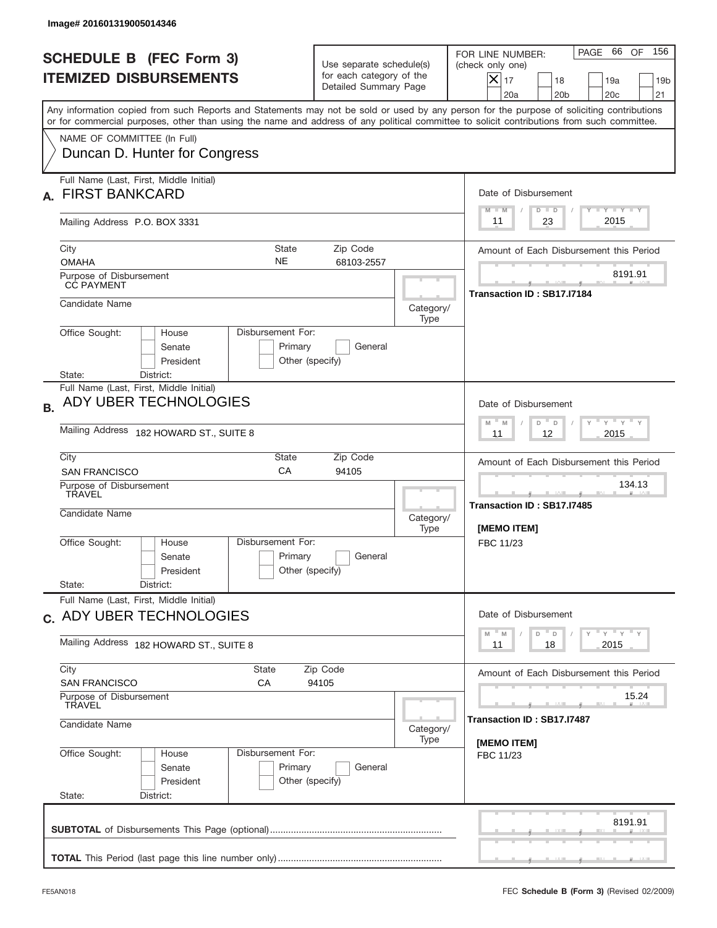| Image# 201601319005014346                                                                                                                                                                                                                                                               |                                                                               |                                                             |                                                                                                                                                              |  |  |
|-----------------------------------------------------------------------------------------------------------------------------------------------------------------------------------------------------------------------------------------------------------------------------------------|-------------------------------------------------------------------------------|-------------------------------------------------------------|--------------------------------------------------------------------------------------------------------------------------------------------------------------|--|--|
| <b>SCHEDULE B (FEC Form 3)</b><br><b>ITEMIZED DISBURSEMENTS</b>                                                                                                                                                                                                                         | Use separate schedule(s)<br>for each category of the<br>Detailed Summary Page |                                                             | 66 OF<br>156<br>PAGE<br>FOR LINE NUMBER:<br>(check only one)<br>$X _{17}$<br>18<br>19a<br>19 <sub>b</sub><br>20a<br>20 <sub>b</sub><br>20 <sub>c</sub><br>21 |  |  |
| Any information copied from such Reports and Statements may not be sold or used by any person for the purpose of soliciting contributions<br>or for commercial purposes, other than using the name and address of any political committee to solicit contributions from such committee. |                                                                               |                                                             |                                                                                                                                                              |  |  |
| NAME OF COMMITTEE (In Full)<br>Duncan D. Hunter for Congress                                                                                                                                                                                                                            |                                                                               |                                                             |                                                                                                                                                              |  |  |
| Full Name (Last, First, Middle Initial)<br><b>FIRST BANKCARD</b>                                                                                                                                                                                                                        |                                                                               |                                                             |                                                                                                                                                              |  |  |
| Mailing Address P.O. BOX 3331                                                                                                                                                                                                                                                           |                                                                               |                                                             | $Y$ $Y$ $Y$ $Y$ $Y$<br>$D$ $D$<br>$M - M$<br>2015<br>23<br>11                                                                                                |  |  |
| City<br><b>OMAHA</b>                                                                                                                                                                                                                                                                    | <b>State</b><br>Zip Code<br><b>NE</b><br>68103-2557                           |                                                             | Amount of Each Disbursement this Period                                                                                                                      |  |  |
| Purpose of Disbursement<br><b>CC PAYMENT</b>                                                                                                                                                                                                                                            |                                                                               |                                                             | 8191.91<br>Transaction ID: SB17.I7184                                                                                                                        |  |  |
| Candidate Name                                                                                                                                                                                                                                                                          |                                                                               | Category/<br>Type                                           |                                                                                                                                                              |  |  |
| Office Sought:<br>House<br>Senate<br>President                                                                                                                                                                                                                                          | Disbursement For:<br>Primary<br>General<br>Other (specify)                    |                                                             |                                                                                                                                                              |  |  |
| District:<br>State:<br>Full Name (Last, First, Middle Initial)<br>ADY UBER TECHNOLOGIES                                                                                                                                                                                                 |                                                                               |                                                             | Date of Disbursement<br>$-\gamma + \gamma - \gamma$<br>$M - M$<br>D<br>$\Box$                                                                                |  |  |
| Mailing Address 182 HOWARD ST., SUITE 8                                                                                                                                                                                                                                                 | 2015<br>11<br>12                                                              |                                                             |                                                                                                                                                              |  |  |
| City<br>Zip Code<br>State<br>CA<br><b>SAN FRANCISCO</b><br>94105                                                                                                                                                                                                                        |                                                                               |                                                             | Amount of Each Disbursement this Period                                                                                                                      |  |  |
| Purpose of Disbursement<br>TRAVEL<br>Candidate Name                                                                                                                                                                                                                                     | Category/<br>Type                                                             | 134.13<br>____<br>Transaction ID: SB17.I7485<br>[MEMO ITEM] |                                                                                                                                                              |  |  |
| Office Sought:<br>House<br>Senate<br>President<br>State:<br>District:                                                                                                                                                                                                                   | Disbursement For:<br>Primary<br>General<br>Other (specify)                    |                                                             | FBC 11/23                                                                                                                                                    |  |  |
| Full Name (Last, First, Middle Initial)                                                                                                                                                                                                                                                 |                                                                               |                                                             | Date of Disbursement                                                                                                                                         |  |  |
| c. ADY UBER TECHNOLOGIES<br>Mailing Address 182 HOWARD ST., SUITE 8                                                                                                                                                                                                                     | ү" ү" ү" ү<br>$-M$<br>D<br>M<br>D<br>2015<br>11<br>18                         |                                                             |                                                                                                                                                              |  |  |
| City<br>State                                                                                                                                                                                                                                                                           | Amount of Each Disbursement this Period                                       |                                                             |                                                                                                                                                              |  |  |
| <b>SAN FRANCISCO</b><br>СA<br>94105<br>Purpose of Disbursement<br>TRAVEL                                                                                                                                                                                                                |                                                                               |                                                             | 15.24                                                                                                                                                        |  |  |
| Candidate Name                                                                                                                                                                                                                                                                          | Transaction ID : SB17.I7487<br>[MEMO ITEM]                                    |                                                             |                                                                                                                                                              |  |  |
| Office Sought:<br>House<br>Senate<br>President<br>State:<br>District:                                                                                                                                                                                                                   | Disbursement For:<br>Primary<br>General<br>Other (specify)                    | Type                                                        | FBC 11/23                                                                                                                                                    |  |  |
|                                                                                                                                                                                                                                                                                         |                                                                               |                                                             | 8191.91                                                                                                                                                      |  |  |
|                                                                                                                                                                                                                                                                                         |                                                                               |                                                             |                                                                                                                                                              |  |  |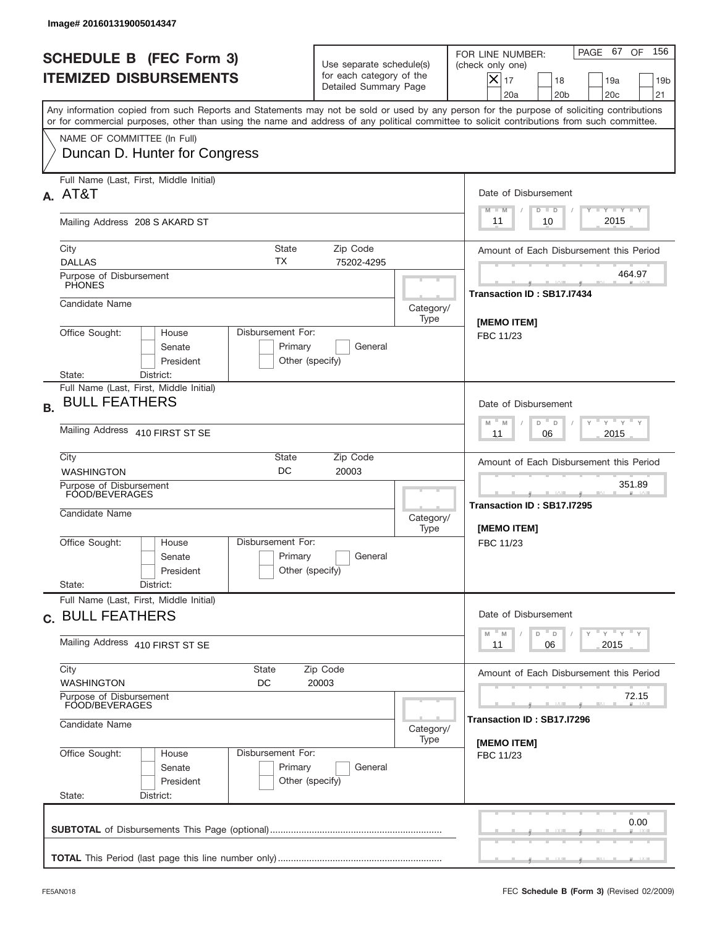|           | Image# 201601319005014347                                                                                                                                                                                                                                                               |                                                                                      |                                                                       |                                                                                                                                                              |
|-----------|-----------------------------------------------------------------------------------------------------------------------------------------------------------------------------------------------------------------------------------------------------------------------------------------|--------------------------------------------------------------------------------------|-----------------------------------------------------------------------|--------------------------------------------------------------------------------------------------------------------------------------------------------------|
|           | <b>SCHEDULE B (FEC Form 3)</b><br><b>ITEMIZED DISBURSEMENTS</b>                                                                                                                                                                                                                         | Use separate schedule(s)<br>for each category of the<br>Detailed Summary Page        |                                                                       | 156<br>PAGE 67<br>OF<br>FOR LINE NUMBER:<br>(check only one)<br>$X _{17}$<br>18<br>19a<br>19 <sub>b</sub><br>20 <sub>c</sub><br>20a<br>20 <sub>b</sub><br>21 |
|           | Any information copied from such Reports and Statements may not be sold or used by any person for the purpose of soliciting contributions<br>or for commercial purposes, other than using the name and address of any political committee to solicit contributions from such committee. |                                                                                      |                                                                       |                                                                                                                                                              |
|           | NAME OF COMMITTEE (In Full)<br>Duncan D. Hunter for Congress                                                                                                                                                                                                                            |                                                                                      |                                                                       |                                                                                                                                                              |
|           | Full Name (Last, First, Middle Initial)<br>A. AT&T                                                                                                                                                                                                                                      |                                                                                      |                                                                       | Date of Disbursement<br><b>TANK TANK</b><br>$M - M$<br>$D$ $D$                                                                                               |
|           | Mailing Address 208 S AKARD ST                                                                                                                                                                                                                                                          |                                                                                      |                                                                       | 2015<br>10<br>11                                                                                                                                             |
|           | State<br>City<br>ТX<br><b>DALLAS</b>                                                                                                                                                                                                                                                    | Zip Code<br>75202-4295                                                               |                                                                       | Amount of Each Disbursement this Period                                                                                                                      |
|           | Purpose of Disbursement<br><b>PHONES</b>                                                                                                                                                                                                                                                |                                                                                      |                                                                       | 464.97                                                                                                                                                       |
|           | Candidate Name                                                                                                                                                                                                                                                                          |                                                                                      | Category/<br>Type                                                     | Transaction ID: SB17.I7434                                                                                                                                   |
|           | Office Sought:<br>Disbursement For:<br>House<br>Senate<br>Primary<br>President<br>Other (specify)<br>State:<br>District:                                                                                                                                                                | <b>IMEMO ITEM1</b><br>FBC 11/23                                                      |                                                                       |                                                                                                                                                              |
| <b>B.</b> | Full Name (Last, First, Middle Initial)<br><b>BULL FEATHERS</b>                                                                                                                                                                                                                         |                                                                                      |                                                                       | Date of Disbursement<br>$\cdots$ $\gamma$ $\cdots$ $\gamma$ $\cdots$<br>$-$ M                                                                                |
|           | Mailing Address 410 FIRST ST SE                                                                                                                                                                                                                                                         | M<br>D<br>D<br>2015<br>11<br>06                                                      |                                                                       |                                                                                                                                                              |
|           | City<br>State<br>DC<br><b>WASHINGTON</b>                                                                                                                                                                                                                                                | Zip Code<br>20003                                                                    |                                                                       | Amount of Each Disbursement this Period                                                                                                                      |
|           | Purpose of Disbursement<br>FOOD/BEVERAGES<br>Candidate Name                                                                                                                                                                                                                             | Category/<br>Type                                                                    | 351.89<br>المساحب<br>Transaction ID: SB17.I7295<br><b>IMEMO ITEMI</b> |                                                                                                                                                              |
|           | Disbursement For:<br>Office Sought:<br>House<br>Primary<br>Senate<br>President<br>State:<br>District:                                                                                                                                                                                   | General<br>Other (specify)                                                           |                                                                       | FBC 11/23                                                                                                                                                    |
|           | Full Name (Last, First, Middle Initial)<br>c. BULL FEATHERS                                                                                                                                                                                                                             |                                                                                      |                                                                       | Date of Disbursement                                                                                                                                         |
|           | Mailing Address 410 FIRST ST SE                                                                                                                                                                                                                                                         | $\gamma$ $\gamma$ $\gamma$ $\gamma$ $\gamma$<br>M<br>D<br>M<br>D<br>2015<br>11<br>06 |                                                                       |                                                                                                                                                              |
|           | City<br>State<br>Zip Code<br><b>WASHINGTON</b><br>DC<br>20003<br>Purpose of Disbursement                                                                                                                                                                                                | Amount of Each Disbursement this Period<br>72.15                                     |                                                                       |                                                                                                                                                              |
|           | FOOD/BEVERAGES<br>Candidate Name                                                                                                                                                                                                                                                        | Transaction ID : SB17.I7296                                                          |                                                                       |                                                                                                                                                              |
|           | Office Sought:<br>Disbursement For:<br>House<br>Primary<br>Senate<br>President<br>State:<br>District:                                                                                                                                                                                   | General<br>Other (specify)                                                           | Type                                                                  | [MEMO ITEM]<br>FBC 11/23                                                                                                                                     |
|           |                                                                                                                                                                                                                                                                                         |                                                                                      |                                                                       | 0.00                                                                                                                                                         |
|           |                                                                                                                                                                                                                                                                                         |                                                                                      |                                                                       |                                                                                                                                                              |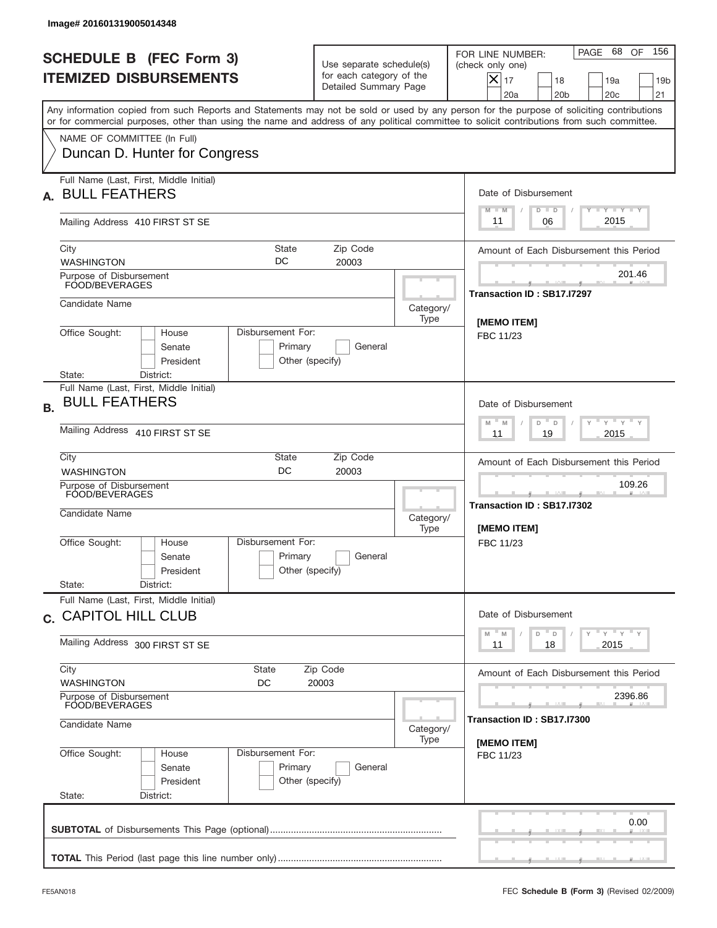|           | Image# 201601319005014348                                                                                                                                                                                                                                                               |                                                                                          |                                                     |                                                                                                                                                                 |  |  |
|-----------|-----------------------------------------------------------------------------------------------------------------------------------------------------------------------------------------------------------------------------------------------------------------------------------------|------------------------------------------------------------------------------------------|-----------------------------------------------------|-----------------------------------------------------------------------------------------------------------------------------------------------------------------|--|--|
|           | <b>SCHEDULE B (FEC Form 3)</b><br><b>ITEMIZED DISBURSEMENTS</b>                                                                                                                                                                                                                         | Use separate schedule(s)<br>for each category of the<br>Detailed Summary Page            |                                                     | 156<br>68<br>OF<br>PAGE<br>FOR LINE NUMBER:<br>(check only one)<br>$X _{17}$<br>18<br>19a<br>19 <sub>b</sub><br>20a<br>20 <sub>b</sub><br>20 <sub>c</sub><br>21 |  |  |
|           | Any information copied from such Reports and Statements may not be sold or used by any person for the purpose of soliciting contributions<br>or for commercial purposes, other than using the name and address of any political committee to solicit contributions from such committee. |                                                                                          |                                                     |                                                                                                                                                                 |  |  |
|           | NAME OF COMMITTEE (In Full)<br>Duncan D. Hunter for Congress                                                                                                                                                                                                                            |                                                                                          |                                                     |                                                                                                                                                                 |  |  |
| А.        | Full Name (Last, First, Middle Initial)<br><b>BULL FEATHERS</b>                                                                                                                                                                                                                         |                                                                                          |                                                     | Date of Disbursement<br><b>TANK TANK</b>                                                                                                                        |  |  |
|           | Mailing Address 410 FIRST ST SE                                                                                                                                                                                                                                                         |                                                                                          |                                                     | $D$ $D$<br>$M - M$<br>2015<br>06<br>11                                                                                                                          |  |  |
|           | State<br>City<br>DC<br><b>WASHINGTON</b>                                                                                                                                                                                                                                                | Zip Code<br>20003                                                                        |                                                     | Amount of Each Disbursement this Period<br>201.46                                                                                                               |  |  |
|           | Purpose of Disbursement<br>FOOD/BEVERAGES                                                                                                                                                                                                                                               |                                                                                          |                                                     | Transaction ID: SB17.I7297                                                                                                                                      |  |  |
|           | Candidate Name                                                                                                                                                                                                                                                                          |                                                                                          | Category/<br>Type                                   | [MEMO ITEM]                                                                                                                                                     |  |  |
|           | Office Sought:<br>Disbursement For:<br>House<br>Senate<br>Primary<br>President<br>Other (specify)<br>State:<br>District:                                                                                                                                                                | FBC 11/23                                                                                |                                                     |                                                                                                                                                                 |  |  |
| <b>B.</b> | Full Name (Last, First, Middle Initial)<br><b>BULL FEATHERS</b>                                                                                                                                                                                                                         |                                                                                          |                                                     | Date of Disbursement                                                                                                                                            |  |  |
|           | Mailing Address 410 FIRST ST SE                                                                                                                                                                                                                                                         | $\cdots$ $\gamma$ $\cdots$ $\gamma$ $\cdots$<br>$-$ M<br>M<br>D<br>D<br>2015<br>11<br>19 |                                                     |                                                                                                                                                                 |  |  |
|           | City<br>State<br>DC<br><b>WASHINGTON</b>                                                                                                                                                                                                                                                | Zip Code<br>20003                                                                        |                                                     |                                                                                                                                                                 |  |  |
|           | Purpose of Disbursement<br>FOOD/BEVERAGES<br>Candidate Name                                                                                                                                                                                                                             | Category/<br>Type                                                                        | 109.26<br>Transaction ID: SB17.I7302<br>[MEMO ITEM] |                                                                                                                                                                 |  |  |
|           | Disbursement For:<br>Office Sought:<br>House<br>Primary<br>Senate<br>Other (specify)<br>President<br>State:<br>District:                                                                                                                                                                | General                                                                                  |                                                     | FBC 11/23                                                                                                                                                       |  |  |
|           | Full Name (Last, First, Middle Initial)                                                                                                                                                                                                                                                 |                                                                                          |                                                     |                                                                                                                                                                 |  |  |
|           | c. CAPITOL HILL CLUB                                                                                                                                                                                                                                                                    |                                                                                          |                                                     | Date of Disbursement<br>γ <sup>=</sup> γ <sup>=</sup> γ <sup>=</sup> γ<br>$-M$<br>D<br>M<br>D                                                                   |  |  |
|           | Mailing Address 300 FIRST ST SE<br>City<br><b>State</b>                                                                                                                                                                                                                                 | 2015<br>11<br>18                                                                         |                                                     |                                                                                                                                                                 |  |  |
|           | <b>WASHINGTON</b><br>DC                                                                                                                                                                                                                                                                 | Zip Code<br>20003                                                                        |                                                     | Amount of Each Disbursement this Period                                                                                                                         |  |  |
|           | Purpose of Disbursement<br>FOOD/BEVERAGES<br>Candidate Name                                                                                                                                                                                                                             | Category/                                                                                | 2396.86<br>Transaction ID : SB17.I7300              |                                                                                                                                                                 |  |  |
|           | Office Sought:<br>Disbursement For:<br>House<br>Primary<br>Senate<br>President<br>Other (specify)<br>State:<br>District:                                                                                                                                                                | General                                                                                  | Type                                                | [MEMO ITEM]<br>FBC 11/23                                                                                                                                        |  |  |
|           |                                                                                                                                                                                                                                                                                         |                                                                                          |                                                     | 0.00                                                                                                                                                            |  |  |
|           |                                                                                                                                                                                                                                                                                         |                                                                                          |                                                     |                                                                                                                                                                 |  |  |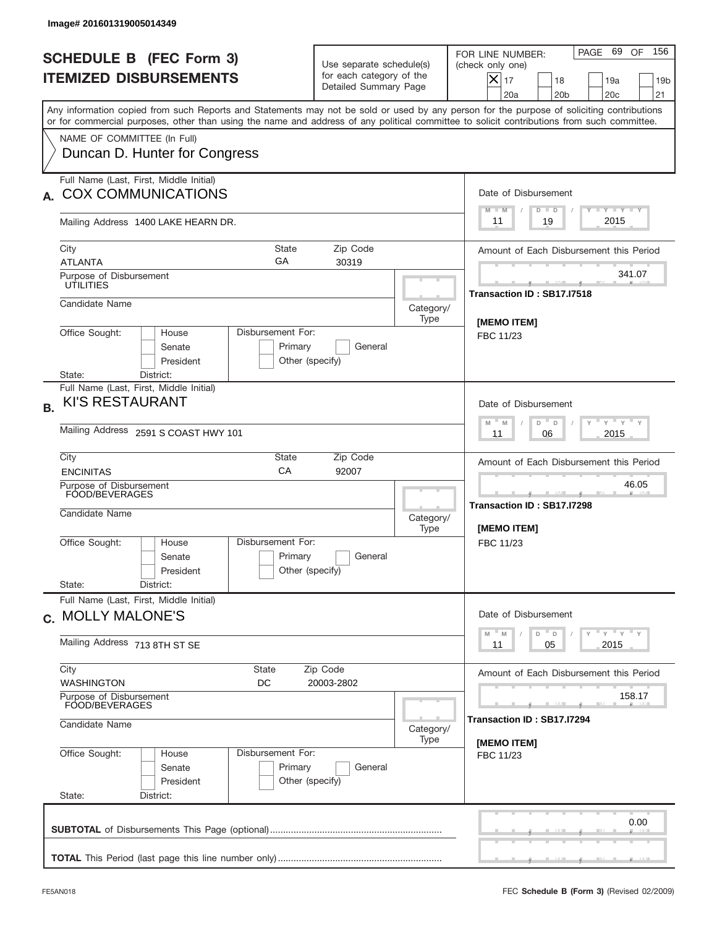| Image# 201601319005014349                                                                                                                                                                                                                                                                                              |                                                                                           |                                                           |                                                                                                                                                                   |  |  |
|------------------------------------------------------------------------------------------------------------------------------------------------------------------------------------------------------------------------------------------------------------------------------------------------------------------------|-------------------------------------------------------------------------------------------|-----------------------------------------------------------|-------------------------------------------------------------------------------------------------------------------------------------------------------------------|--|--|
| <b>SCHEDULE B (FEC Form 3)</b><br><b>ITEMIZED DISBURSEMENTS</b>                                                                                                                                                                                                                                                        | Use separate schedule(s)<br>for each category of the<br>Detailed Summary Page             |                                                           | 156<br>PAGE 69 OF<br>FOR LINE NUMBER:<br>(check only one)<br>$ \boldsymbol{\times} $<br>17<br>18<br>19a<br>19 <sub>b</sub><br>20a<br>20 <sub>b</sub><br>20c<br>21 |  |  |
| Any information copied from such Reports and Statements may not be sold or used by any person for the purpose of soliciting contributions<br>or for commercial purposes, other than using the name and address of any political committee to solicit contributions from such committee.<br>NAME OF COMMITTEE (In Full) |                                                                                           |                                                           |                                                                                                                                                                   |  |  |
| Duncan D. Hunter for Congress                                                                                                                                                                                                                                                                                          |                                                                                           |                                                           |                                                                                                                                                                   |  |  |
| <b>COX COMMUNICATIONS</b>                                                                                                                                                                                                                                                                                              | Full Name (Last, First, Middle Initial)                                                   |                                                           |                                                                                                                                                                   |  |  |
| Mailing Address 1400 LAKE HEARN DR.                                                                                                                                                                                                                                                                                    |                                                                                           |                                                           | Y TY TY TY<br>$M - M$<br>$D$ $D$<br>2015<br>19<br>11                                                                                                              |  |  |
| City<br>State<br>GA<br><b>ATLANTA</b>                                                                                                                                                                                                                                                                                  | Zip Code<br>30319                                                                         |                                                           | Amount of Each Disbursement this Period                                                                                                                           |  |  |
| Purpose of Disbursement<br>UTILITIES                                                                                                                                                                                                                                                                                   |                                                                                           |                                                           | 341.07<br>Transaction ID: SB17.I7518                                                                                                                              |  |  |
| Candidate Name                                                                                                                                                                                                                                                                                                         |                                                                                           | Category/<br>Type                                         | [MEMO ITEM]                                                                                                                                                       |  |  |
| Office Sought:<br>Disbursement For:<br>House<br>Senate<br>Primary<br>President<br>Other (specify)<br>District:<br>State:                                                                                                                                                                                               | FBC 11/23                                                                                 |                                                           |                                                                                                                                                                   |  |  |
| Full Name (Last, First, Middle Initial)<br><b>KI'S RESTAURANT</b><br><b>B.</b>                                                                                                                                                                                                                                         | Date of Disbursement<br>$-\gamma + \gamma - \gamma$<br>D<br>M<br>M<br>D                   |                                                           |                                                                                                                                                                   |  |  |
| Mailing Address 2591 S COAST HWY 101                                                                                                                                                                                                                                                                                   | 2015<br>11<br>06                                                                          |                                                           |                                                                                                                                                                   |  |  |
| City<br>State<br>CA<br><b>ENCINITAS</b>                                                                                                                                                                                                                                                                                | Amount of Each Disbursement this Period                                                   |                                                           |                                                                                                                                                                   |  |  |
| Purpose of Disbursement<br>FOOD/BEVERAGES<br>Candidate Name                                                                                                                                                                                                                                                            | Category/<br>Type                                                                         | 46.05<br>Transaction ID: SB17.I7298<br><b>IMEMO ITEMI</b> |                                                                                                                                                                   |  |  |
| Disbursement For:<br>Office Sought:<br>House<br>Senate<br>President                                                                                                                                                                                                                                                    | Primary<br>General<br>Other (specify)                                                     |                                                           | FBC 11/23                                                                                                                                                         |  |  |
| State:<br>District:<br>Full Name (Last, First, Middle Initial)                                                                                                                                                                                                                                                         |                                                                                           |                                                           | Date of Disbursement                                                                                                                                              |  |  |
| c. MOLLY MALONE'S<br>Mailing Address 713 8TH ST SE                                                                                                                                                                                                                                                                     | $\gamma$ $\gamma$ $\gamma$ $\gamma$ $\gamma$<br>$- M$<br>$D$ $D$<br>M<br>2015<br>11<br>05 |                                                           |                                                                                                                                                                   |  |  |
| City<br><b>State</b><br><b>WASHINGTON</b><br>DC                                                                                                                                                                                                                                                                        | Zip Code<br>20003-2802                                                                    |                                                           | Amount of Each Disbursement this Period                                                                                                                           |  |  |
| Purpose of Disbursement<br>FOOD/BEVERAGES                                                                                                                                                                                                                                                                              | 158.17                                                                                    |                                                           |                                                                                                                                                                   |  |  |
| Candidate Name                                                                                                                                                                                                                                                                                                         | Transaction ID: SB17.I7294<br>[MEMO ITEM]                                                 |                                                           |                                                                                                                                                                   |  |  |
| Disbursement For:<br>Office Sought:<br>House<br>Senate<br>President<br>State:<br>District:                                                                                                                                                                                                                             | Primary<br>General<br>Other (specify)                                                     | Type                                                      | FBC 11/23                                                                                                                                                         |  |  |
|                                                                                                                                                                                                                                                                                                                        |                                                                                           |                                                           | 0.00                                                                                                                                                              |  |  |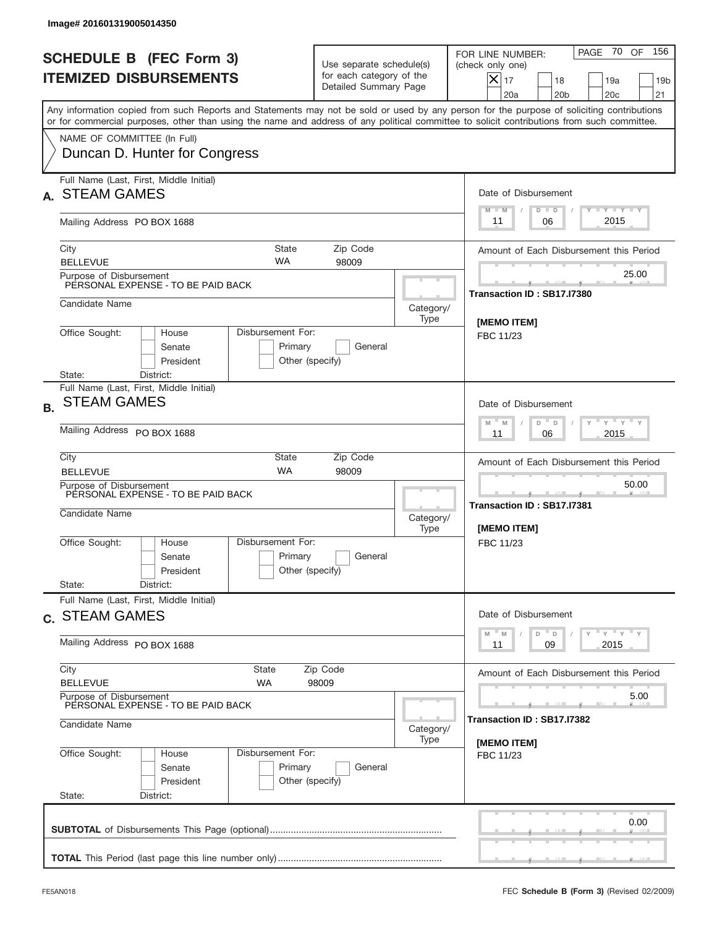|           | Image# 201601319005014350                                                       |                                                  |                                                                               |                                          |                                                                                                                                                                                                                                                                                         |
|-----------|---------------------------------------------------------------------------------|--------------------------------------------------|-------------------------------------------------------------------------------|------------------------------------------|-----------------------------------------------------------------------------------------------------------------------------------------------------------------------------------------------------------------------------------------------------------------------------------------|
|           | <b>SCHEDULE B (FEC Form 3)</b><br><b>ITEMIZED DISBURSEMENTS</b>                 |                                                  | Use separate schedule(s)<br>for each category of the<br>Detailed Summary Page |                                          | 156<br>PAGE 70<br>OF<br>FOR LINE NUMBER:<br>(check only one)<br>$X _{17}$<br>18<br>19a<br>19 <sub>b</sub><br>20 <sub>c</sub><br>20a<br>20 <sub>b</sub><br>21                                                                                                                            |
|           |                                                                                 |                                                  |                                                                               |                                          | Any information copied from such Reports and Statements may not be sold or used by any person for the purpose of soliciting contributions<br>or for commercial purposes, other than using the name and address of any political committee to solicit contributions from such committee. |
|           | NAME OF COMMITTEE (In Full)<br>Duncan D. Hunter for Congress                    |                                                  |                                                                               |                                          |                                                                                                                                                                                                                                                                                         |
|           | Full Name (Last, First, Middle Initial)<br><b>STEAM GAMES</b>                   |                                                  |                                                                               | Date of Disbursement<br><b>TANK TANK</b> |                                                                                                                                                                                                                                                                                         |
|           | Mailing Address PO BOX 1688                                                     |                                                  |                                                                               |                                          | $D$ $D$<br>$M - M$<br>2015<br>06<br>11                                                                                                                                                                                                                                                  |
|           | City<br><b>BELLEVUE</b>                                                         | State<br><b>WA</b>                               | Zip Code<br>98009                                                             |                                          | Amount of Each Disbursement this Period                                                                                                                                                                                                                                                 |
|           | Purpose of Disbursement<br>PERSONAL EXPENSE - TO BE PAID BACK                   |                                                  |                                                                               |                                          | 25.00<br>Transaction ID: SB17.I7380                                                                                                                                                                                                                                                     |
|           | Candidate Name                                                                  |                                                  |                                                                               | Category/<br>Type                        | [MEMO ITEM]                                                                                                                                                                                                                                                                             |
|           | Office Sought:<br>House<br>Senate<br>President<br>State:                        | Disbursement For:<br>Primary<br>Other (specify)  | General                                                                       |                                          | FBC 11/23                                                                                                                                                                                                                                                                               |
| <b>B.</b> | District:<br>Full Name (Last, First, Middle Initial)<br><b>STEAM GAMES</b>      |                                                  |                                                                               |                                          | Date of Disbursement<br>$\cdots$ $\gamma$ $\cdots$ $\gamma$ $\cdots$<br>$-$ M<br>M<br>D<br>D                                                                                                                                                                                            |
|           | Mailing Address PO BOX 1688<br>City                                             | 2015<br>11<br>06                                 |                                                                               |                                          |                                                                                                                                                                                                                                                                                         |
|           | <b>BELLEVUE</b><br>Purpose of Disbursement                                      | Amount of Each Disbursement this Period<br>50.00 |                                                                               |                                          |                                                                                                                                                                                                                                                                                         |
|           | PERSONAL EXPENSE - TO BE PAID BACK<br>Candidate Name                            |                                                  |                                                                               | Category/<br>Type                        | ___<br>Transaction ID: SB17.I7381<br>[MEMO ITEM]                                                                                                                                                                                                                                        |
|           | Office Sought:<br>House<br>Senate<br>President                                  | Disbursement For:<br>Primary<br>Other (specify)  | General                                                                       |                                          | FBC 11/23                                                                                                                                                                                                                                                                               |
|           | State:<br>District:<br>Full Name (Last, First, Middle Initial)                  |                                                  |                                                                               |                                          |                                                                                                                                                                                                                                                                                         |
|           | c. STEAM GAMES                                                                  |                                                  |                                                                               |                                          | Date of Disbursement<br>γ <sup>=</sup> γ <sup>=</sup> γ <sup>=</sup> γ<br>$-M$<br>D<br>M<br>D                                                                                                                                                                                           |
|           | Mailing Address PO BOX 1688                                                     | 09<br>2015<br>11                                 |                                                                               |                                          |                                                                                                                                                                                                                                                                                         |
|           | City<br><b>BELLEVUE</b>                                                         | <b>State</b><br>WA                               | Zip Code<br>98009                                                             |                                          | Amount of Each Disbursement this Period                                                                                                                                                                                                                                                 |
|           | Purpose of Disbursement<br>PERSONAL EXPENSE - TO BE PAID BACK<br>Candidate Name | 5.00<br>Transaction ID : SB17.I7382              |                                                                               |                                          |                                                                                                                                                                                                                                                                                         |
|           | Office Sought:<br>House<br>Senate<br>President                                  | Disbursement For:<br>Primary<br>Other (specify)  | General                                                                       | Category/<br>Type                        | [MEMO ITEM]<br>FBC 11/23                                                                                                                                                                                                                                                                |
|           | State:<br>District:                                                             |                                                  |                                                                               |                                          | 0.00                                                                                                                                                                                                                                                                                    |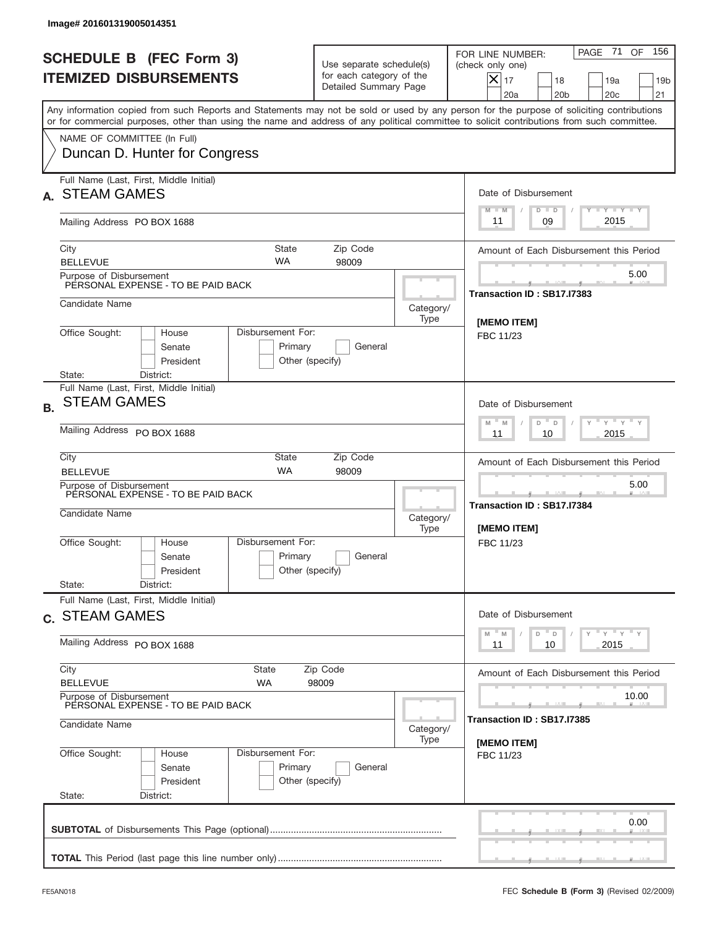|           | Image# 201601319005014351                                                            |                                                                                               |                                                                               |                   |                                                                                                                                                                                                                                                                                         |
|-----------|--------------------------------------------------------------------------------------|-----------------------------------------------------------------------------------------------|-------------------------------------------------------------------------------|-------------------|-----------------------------------------------------------------------------------------------------------------------------------------------------------------------------------------------------------------------------------------------------------------------------------------|
|           | <b>SCHEDULE B (FEC Form 3)</b><br><b>ITEMIZED DISBURSEMENTS</b>                      |                                                                                               | Use separate schedule(s)<br>for each category of the<br>Detailed Summary Page |                   | 156<br>PAGE 71<br>OF<br>FOR LINE NUMBER:<br>(check only one)<br>$X _{17}$<br>18<br>19a<br>19 <sub>b</sub><br>20 <sub>c</sub><br>20a<br>20 <sub>b</sub><br>21                                                                                                                            |
|           |                                                                                      |                                                                                               |                                                                               |                   | Any information copied from such Reports and Statements may not be sold or used by any person for the purpose of soliciting contributions<br>or for commercial purposes, other than using the name and address of any political committee to solicit contributions from such committee. |
|           | NAME OF COMMITTEE (In Full)<br>Duncan D. Hunter for Congress                         |                                                                                               |                                                                               |                   |                                                                                                                                                                                                                                                                                         |
|           | Full Name (Last, First, Middle Initial)<br><b>STEAM GAMES</b>                        |                                                                                               |                                                                               |                   | Date of Disbursement<br><b>TANK TANK</b><br>$D$ $D$<br>$M - M$                                                                                                                                                                                                                          |
|           | Mailing Address PO BOX 1688                                                          |                                                                                               |                                                                               |                   | 2015<br>09<br>11                                                                                                                                                                                                                                                                        |
|           | City<br><b>BELLEVUE</b>                                                              | State<br><b>WA</b>                                                                            | Zip Code<br>98009                                                             |                   | Amount of Each Disbursement this Period                                                                                                                                                                                                                                                 |
|           | Purpose of Disbursement<br>PERSONAL EXPENSE - TO BE PAID BACK                        |                                                                                               |                                                                               |                   | 5.00<br>Transaction ID: SB17.I7383                                                                                                                                                                                                                                                      |
|           | Candidate Name                                                                       |                                                                                               |                                                                               | Category/<br>Type | [MEMO ITEM]                                                                                                                                                                                                                                                                             |
|           | Office Sought:<br>House<br>Senate<br>President                                       | Disbursement For:<br>Primary<br>Other (specify)                                               | General                                                                       |                   | FBC 11/23                                                                                                                                                                                                                                                                               |
| <b>B.</b> | State:<br>District:<br>Full Name (Last, First, Middle Initial)<br><b>STEAM GAMES</b> |                                                                                               |                                                                               |                   | Date of Disbursement                                                                                                                                                                                                                                                                    |
|           | Mailing Address PO BOX 1688                                                          | $\cdots$ $\gamma$ $\cdots$ $\gamma$ $\cdots$<br>$-$ M<br>M<br>D<br>$\Box$<br>2015<br>11<br>10 |                                                                               |                   |                                                                                                                                                                                                                                                                                         |
|           | City<br><b>BELLEVUE</b>                                                              | Amount of Each Disbursement this Period                                                       |                                                                               |                   |                                                                                                                                                                                                                                                                                         |
|           | Purpose of Disbursement<br>PERSONAL EXPENSE - TO BE PAID BACK<br>Candidate Name      |                                                                                               |                                                                               |                   | 5.00<br>Transaction ID: SB17.I7384<br>[MEMO ITEM]                                                                                                                                                                                                                                       |
|           | Office Sought:<br>House<br>Senate<br>President<br>State:<br>District:                | Disbursement For:<br>Primary<br>Other (specify)                                               | General                                                                       |                   | FBC 11/23                                                                                                                                                                                                                                                                               |
|           | Full Name (Last, First, Middle Initial)<br>c. STEAM GAMES                            |                                                                                               |                                                                               |                   | Date of Disbursement                                                                                                                                                                                                                                                                    |
|           | Mailing Address PO BOX 1688                                                          | γ <sup>=</sup> γ <sup>=</sup> γ <sup>=</sup> γ<br>$-M$<br>D<br>M<br>D<br>2015<br>11<br>10     |                                                                               |                   |                                                                                                                                                                                                                                                                                         |
|           | City<br><b>BELLEVUE</b>                                                              | Amount of Each Disbursement this Period                                                       |                                                                               |                   |                                                                                                                                                                                                                                                                                         |
|           | Purpose of Disbursement<br>PERSONAL EXPENSE - TO BE PAID BACK                        | 10.00<br>Transaction ID : SB17.I7385                                                          |                                                                               |                   |                                                                                                                                                                                                                                                                                         |
|           | Candidate Name                                                                       | [MEMO ITEM]                                                                                   |                                                                               |                   |                                                                                                                                                                                                                                                                                         |
|           | Office Sought:<br>House<br>Senate<br>President<br>State:<br>District:                | Disbursement For:<br>Primary<br>Other (specify)                                               | General                                                                       |                   | FBC 11/23                                                                                                                                                                                                                                                                               |
|           |                                                                                      |                                                                                               |                                                                               |                   | 0.00                                                                                                                                                                                                                                                                                    |
|           |                                                                                      |                                                                                               |                                                                               |                   |                                                                                                                                                                                                                                                                                         |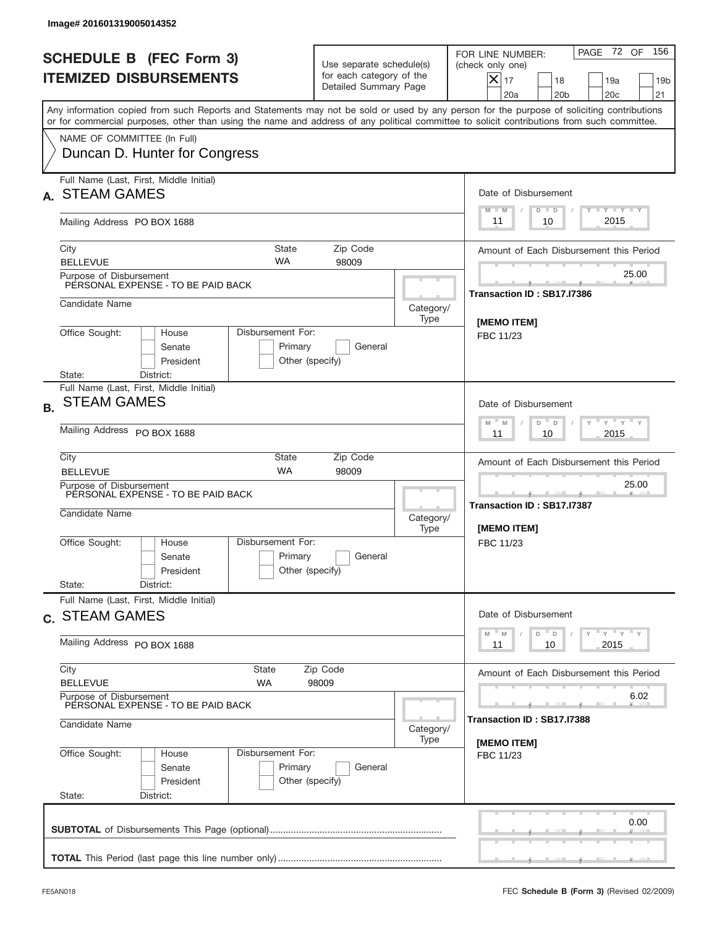|           | Image# 201601319005014352                                                                    |                                                                                           |                                                                               |                   |                                                                                                                                                                                                                                                                                         |
|-----------|----------------------------------------------------------------------------------------------|-------------------------------------------------------------------------------------------|-------------------------------------------------------------------------------|-------------------|-----------------------------------------------------------------------------------------------------------------------------------------------------------------------------------------------------------------------------------------------------------------------------------------|
|           | <b>SCHEDULE B (FEC Form 3)</b><br><b>ITEMIZED DISBURSEMENTS</b>                              |                                                                                           | Use separate schedule(s)<br>for each category of the<br>Detailed Summary Page |                   | PAGE 72 OF<br>156<br>FOR LINE NUMBER:<br>(check only one)<br>$X _{17}$<br>18<br>19a<br>19 <sub>b</sub><br>20 <sub>c</sub><br>20a<br>20 <sub>b</sub><br>21                                                                                                                               |
|           |                                                                                              |                                                                                           |                                                                               |                   | Any information copied from such Reports and Statements may not be sold or used by any person for the purpose of soliciting contributions<br>or for commercial purposes, other than using the name and address of any political committee to solicit contributions from such committee. |
|           | NAME OF COMMITTEE (In Full)<br>Duncan D. Hunter for Congress                                 |                                                                                           |                                                                               |                   |                                                                                                                                                                                                                                                                                         |
|           | Full Name (Last, First, Middle Initial)<br><b>STEAM GAMES</b>                                |                                                                                           |                                                                               |                   | Date of Disbursement<br><b>TANK TANK</b><br>$D$ $D$<br>$M - M$                                                                                                                                                                                                                          |
|           | Mailing Address PO BOX 1688                                                                  |                                                                                           |                                                                               |                   | 2015<br>10<br>11                                                                                                                                                                                                                                                                        |
|           | City<br><b>BELLEVUE</b>                                                                      | State<br><b>WA</b>                                                                        | Zip Code<br>98009                                                             |                   | Amount of Each Disbursement this Period                                                                                                                                                                                                                                                 |
|           | Purpose of Disbursement<br>PERSONAL EXPENSE - TO BE PAID BACK                                |                                                                                           |                                                                               |                   | 25.00<br>Transaction ID: SB17.I7386                                                                                                                                                                                                                                                     |
|           | Candidate Name                                                                               |                                                                                           |                                                                               | Category/<br>Type | [MEMO ITEM]                                                                                                                                                                                                                                                                             |
|           | Office Sought:<br>House<br>Senate<br>President<br>State:<br>District:                        | Disbursement For:<br>Primary<br>Other (specify)                                           | General                                                                       |                   | FBC 11/23                                                                                                                                                                                                                                                                               |
| <b>B.</b> | Full Name (Last, First, Middle Initial)<br><b>STEAM GAMES</b><br>Mailing Address PO BOX 1688 |                                                                                           |                                                                               |                   | Date of Disbursement<br>$\cdots$ $\gamma$ $\cdots$ $\gamma$ $\cdots$<br>$-$ M<br>M<br>D<br>$\Box$<br>2015<br>11<br>10                                                                                                                                                                   |
|           | City<br><b>BELLEVUE</b>                                                                      | Amount of Each Disbursement this Period                                                   |                                                                               |                   |                                                                                                                                                                                                                                                                                         |
|           | Purpose of Disbursement<br>PERSONAL EXPENSE - TO BE PAID BACK<br>Candidate Name              | <b>WA</b>                                                                                 | 98009                                                                         | Category/<br>Type | 25.00<br>Transaction ID: SB17.I7387<br>[MEMO ITEM]                                                                                                                                                                                                                                      |
|           | Office Sought:<br>House<br>Senate<br>President<br>State:<br>District:                        | Disbursement For:<br>Primary<br>Other (specify)                                           | General                                                                       |                   | FBC 11/23                                                                                                                                                                                                                                                                               |
|           | Full Name (Last, First, Middle Initial)<br>c. STEAM GAMES                                    |                                                                                           |                                                                               |                   | Date of Disbursement                                                                                                                                                                                                                                                                    |
|           | Mailing Address PO BOX 1688                                                                  | γ <sup>=</sup> γ <sup>=</sup> γ <sup>=</sup> γ<br>$-M$<br>D<br>M<br>D<br>2015<br>11<br>10 |                                                                               |                   |                                                                                                                                                                                                                                                                                         |
|           | City<br><b>BELLEVUE</b>                                                                      | Amount of Each Disbursement this Period                                                   |                                                                               |                   |                                                                                                                                                                                                                                                                                         |
|           | Purpose of Disbursement<br>PERSONAL EXPENSE - TO BE PAID BACK<br>Candidate Name              | 6.02<br>Transaction ID : SB17.I7388                                                       |                                                                               |                   |                                                                                                                                                                                                                                                                                         |
|           | Office Sought:<br>House<br>Senate<br>President<br>State:<br>District:                        | Disbursement For:<br>Primary<br>Other (specify)                                           | General                                                                       | Category/<br>Type | [MEMO ITEM]<br>FBC 11/23                                                                                                                                                                                                                                                                |
|           |                                                                                              |                                                                                           |                                                                               |                   | 0.00                                                                                                                                                                                                                                                                                    |
|           |                                                                                              |                                                                                           |                                                                               |                   |                                                                                                                                                                                                                                                                                         |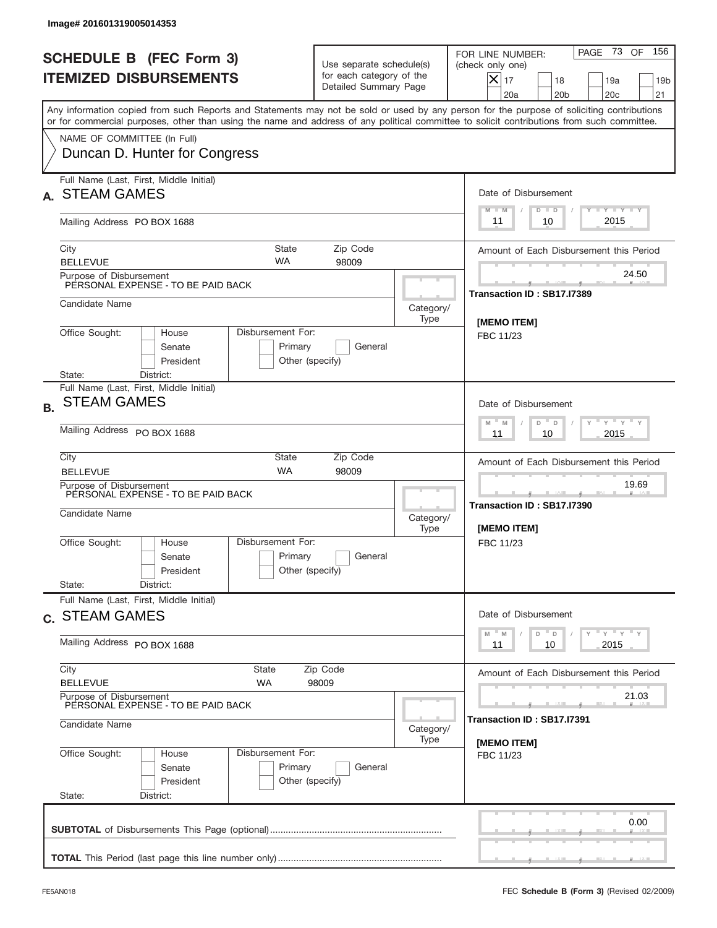|           | Image# 201601319005014353                                                                    |                                                                                                                       |                                                                               |                   |                                                                                                                                                                                                                                                                                         |
|-----------|----------------------------------------------------------------------------------------------|-----------------------------------------------------------------------------------------------------------------------|-------------------------------------------------------------------------------|-------------------|-----------------------------------------------------------------------------------------------------------------------------------------------------------------------------------------------------------------------------------------------------------------------------------------|
|           | <b>SCHEDULE B (FEC Form 3)</b><br><b>ITEMIZED DISBURSEMENTS</b>                              |                                                                                                                       | Use separate schedule(s)<br>for each category of the<br>Detailed Summary Page |                   | PAGE 73<br>156<br>OF<br>FOR LINE NUMBER:<br>(check only one)<br>$X _{17}$<br>18<br>19a<br>19 <sub>b</sub><br>20 <sub>c</sub><br>20a<br>20 <sub>b</sub><br>21                                                                                                                            |
|           |                                                                                              |                                                                                                                       |                                                                               |                   | Any information copied from such Reports and Statements may not be sold or used by any person for the purpose of soliciting contributions<br>or for commercial purposes, other than using the name and address of any political committee to solicit contributions from such committee. |
|           | NAME OF COMMITTEE (In Full)<br>Duncan D. Hunter for Congress                                 |                                                                                                                       |                                                                               |                   |                                                                                                                                                                                                                                                                                         |
|           | Full Name (Last, First, Middle Initial)<br><b>STEAM GAMES</b>                                |                                                                                                                       |                                                                               |                   | Date of Disbursement<br><b>TAYLY LY</b><br>$D$ $D$<br>$M - M$                                                                                                                                                                                                                           |
|           | Mailing Address PO BOX 1688                                                                  |                                                                                                                       |                                                                               |                   | 2015<br>10<br>11                                                                                                                                                                                                                                                                        |
|           | City<br><b>BELLEVUE</b>                                                                      | <b>State</b><br><b>WA</b>                                                                                             | Zip Code<br>98009                                                             |                   | Amount of Each Disbursement this Period                                                                                                                                                                                                                                                 |
|           | Purpose of Disbursement<br>PERSONAL EXPENSE - TO BE PAID BACK                                |                                                                                                                       |                                                                               |                   | 24.50<br>Transaction ID: SB17.I7389                                                                                                                                                                                                                                                     |
|           | Candidate Name                                                                               |                                                                                                                       |                                                                               | Category/<br>Type | [MEMO ITEM]                                                                                                                                                                                                                                                                             |
|           | Office Sought:<br>House<br>Senate<br>President<br>State:<br>District:                        | Disbursement For:<br>Primary<br>Other (specify)                                                                       | General                                                                       |                   | FBC 11/23                                                                                                                                                                                                                                                                               |
| <b>B.</b> | Full Name (Last, First, Middle Initial)<br><b>STEAM GAMES</b><br>Mailing Address PO BOX 1688 | Date of Disbursement<br>$\cdots$ $\gamma$ $\cdots$ $\gamma$ $\cdots$<br>$-$ M<br>M<br>D<br>$\Box$<br>2015<br>11<br>10 |                                                                               |                   |                                                                                                                                                                                                                                                                                         |
|           | City<br><b>BELLEVUE</b>                                                                      | <b>State</b><br><b>WA</b>                                                                                             | Zip Code<br>98009                                                             |                   | Amount of Each Disbursement this Period                                                                                                                                                                                                                                                 |
|           | Purpose of Disbursement<br>PERSONAL EXPENSE - TO BE PAID BACK<br>Candidate Name              |                                                                                                                       |                                                                               | Category/<br>Type | 19.69<br>___<br>Transaction ID: SB17.I7390<br>[MEMO ITEM]                                                                                                                                                                                                                               |
|           | Office Sought:<br>House<br>Senate<br>President<br>State:<br>District:                        | Disbursement For:<br>Primary<br>Other (specify)                                                                       | General                                                                       |                   | FBC 11/23                                                                                                                                                                                                                                                                               |
|           | Full Name (Last, First, Middle Initial)<br>c. STEAM GAMES                                    | Date of Disbursement                                                                                                  |                                                                               |                   |                                                                                                                                                                                                                                                                                         |
|           | Mailing Address PO BOX 1688                                                                  |                                                                                                                       |                                                                               |                   | γ <sup>=</sup> γ <sup>=</sup> γ <sup>=</sup> γ<br>$-M$<br>D<br>M<br>D<br>2015<br>11<br>10                                                                                                                                                                                               |
|           | City<br><b>BELLEVUE</b>                                                                      | <b>State</b><br>WA                                                                                                    | Zip Code<br>98009                                                             |                   | Amount of Each Disbursement this Period                                                                                                                                                                                                                                                 |
|           | Purpose of Disbursement<br>PERSONAL EXPENSE - TO BE PAID BACK<br>Candidate Name              | Category/                                                                                                             | 21.03<br>Transaction ID : SB17.I7391                                          |                   |                                                                                                                                                                                                                                                                                         |
|           | Office Sought:<br>House<br>Senate<br>President<br>State:<br>District:                        | Disbursement For:<br>Primary<br>Other (specify)                                                                       | General                                                                       | Type              | [MEMO ITEM]<br>FBC 11/23                                                                                                                                                                                                                                                                |
|           |                                                                                              |                                                                                                                       |                                                                               |                   | 0.00                                                                                                                                                                                                                                                                                    |
|           |                                                                                              |                                                                                                                       |                                                                               |                   |                                                                                                                                                                                                                                                                                         |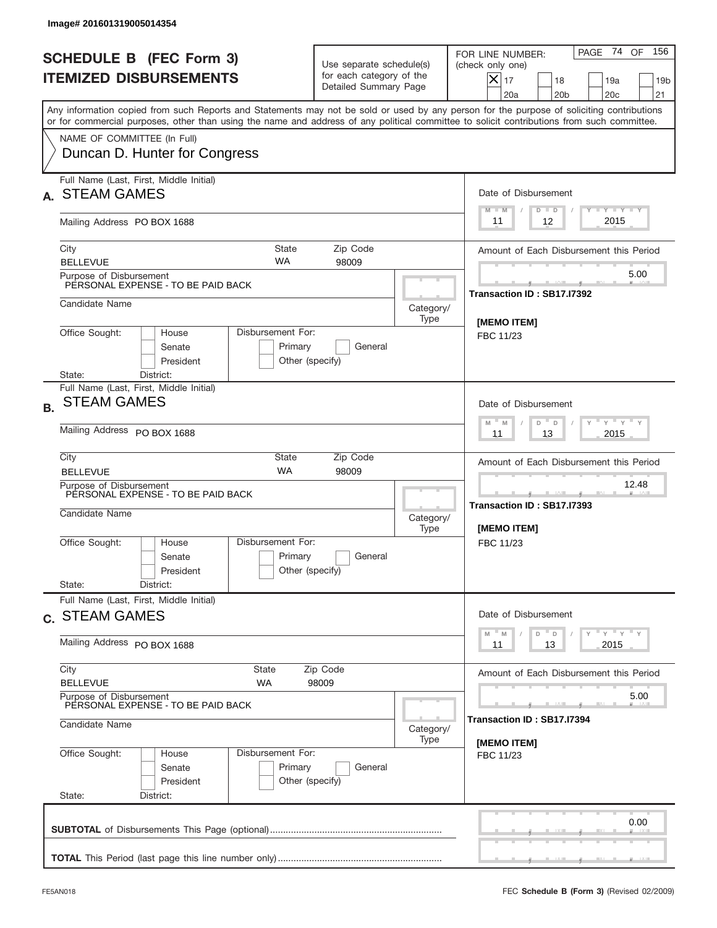|           | Image# 201601319005014354                                                       |                                                                                                   |                                                                               |                   |                                                                                                                                                                                                                                                                                         |
|-----------|---------------------------------------------------------------------------------|---------------------------------------------------------------------------------------------------|-------------------------------------------------------------------------------|-------------------|-----------------------------------------------------------------------------------------------------------------------------------------------------------------------------------------------------------------------------------------------------------------------------------------|
|           | <b>SCHEDULE B (FEC Form 3)</b><br><b>ITEMIZED DISBURSEMENTS</b>                 |                                                                                                   | Use separate schedule(s)<br>for each category of the<br>Detailed Summary Page |                   | PAGE 74 OF<br>156<br>FOR LINE NUMBER:<br>(check only one)<br>$X _{17}$<br>18<br>19a<br>19 <sub>b</sub><br>20 <sub>c</sub><br>20a<br>20 <sub>b</sub><br>21                                                                                                                               |
|           |                                                                                 |                                                                                                   |                                                                               |                   | Any information copied from such Reports and Statements may not be sold or used by any person for the purpose of soliciting contributions<br>or for commercial purposes, other than using the name and address of any political committee to solicit contributions from such committee. |
|           | NAME OF COMMITTEE (In Full)<br>Duncan D. Hunter for Congress                    |                                                                                                   |                                                                               |                   |                                                                                                                                                                                                                                                                                         |
|           | Full Name (Last, First, Middle Initial)<br><b>STEAM GAMES</b>                   |                                                                                                   |                                                                               |                   | Date of Disbursement<br><b>TAYLY LY</b><br>$D$ $D$<br>$M - M$                                                                                                                                                                                                                           |
|           | Mailing Address PO BOX 1688                                                     |                                                                                                   |                                                                               |                   | 2015<br>12<br>11                                                                                                                                                                                                                                                                        |
|           | City<br><b>BELLEVUE</b>                                                         | <b>State</b><br><b>WA</b>                                                                         | Zip Code<br>98009                                                             |                   | Amount of Each Disbursement this Period                                                                                                                                                                                                                                                 |
|           | Purpose of Disbursement<br>PERSONAL EXPENSE - TO BE PAID BACK                   |                                                                                                   |                                                                               |                   | 5.00<br>Transaction ID: SB17.I7392                                                                                                                                                                                                                                                      |
|           | Candidate Name                                                                  |                                                                                                   |                                                                               | Category/<br>Type | [MEMO ITEM]                                                                                                                                                                                                                                                                             |
|           | Office Sought:<br>House<br>Senate<br>President                                  | Disbursement For:<br>Primary<br>Other (specify)                                                   | General                                                                       |                   | FBC 11/23                                                                                                                                                                                                                                                                               |
|           | State:<br>District:<br>Full Name (Last, First, Middle Initial)                  |                                                                                                   |                                                                               |                   |                                                                                                                                                                                                                                                                                         |
| <b>B.</b> | <b>STEAM GAMES</b>                                                              | Date of Disbursement<br>$\cdots$ $\gamma$ $\cdots$ $\gamma$ $\cdots$<br>$-$ M<br>M<br>D<br>$\Box$ |                                                                               |                   |                                                                                                                                                                                                                                                                                         |
|           | Mailing Address PO BOX 1688                                                     | 2015<br>11<br>13                                                                                  |                                                                               |                   |                                                                                                                                                                                                                                                                                         |
|           | City<br><b>BELLEVUE</b>                                                         | <b>State</b><br><b>WA</b>                                                                         | Zip Code<br>98009                                                             |                   | Amount of Each Disbursement this Period                                                                                                                                                                                                                                                 |
|           | Purpose of Disbursement<br>PERSONAL EXPENSE - TO BE PAID BACK<br>Candidate Name |                                                                                                   |                                                                               | Category/<br>Type | 12.48<br>Transaction ID: SB17.I7393<br>[MEMO ITEM]                                                                                                                                                                                                                                      |
|           | Office Sought:<br>House<br>Senate<br>President<br>State:<br>District:           | Disbursement For:<br>Primary<br>Other (specify)                                                   | General                                                                       |                   | FBC 11/23                                                                                                                                                                                                                                                                               |
|           | Full Name (Last, First, Middle Initial)                                         |                                                                                                   |                                                                               |                   |                                                                                                                                                                                                                                                                                         |
|           | c. STEAM GAMES<br>Mailing Address PO BOX 1688                                   |                                                                                                   |                                                                               |                   | Date of Disbursement<br>$\gamma$ = $\gamma$ = $\gamma$ = $\gamma$<br>$-M$<br>D<br>M<br>D<br>13<br>2015<br>11                                                                                                                                                                            |
|           | City                                                                            | <b>State</b>                                                                                      | Zip Code                                                                      |                   | Amount of Each Disbursement this Period                                                                                                                                                                                                                                                 |
|           | <b>BELLEVUE</b><br>Purpose of Disbursement                                      | 5.00                                                                                              |                                                                               |                   |                                                                                                                                                                                                                                                                                         |
|           | PERSONAL EXPENSE - TO BE PAID BACK<br>Candidate Name                            | Category/                                                                                         | Transaction ID : SB17.I7394                                                   |                   |                                                                                                                                                                                                                                                                                         |
|           | Office Sought:<br>House<br>Senate<br>President<br>State:<br>District:           | Disbursement For:<br>Primary<br>Other (specify)                                                   | General                                                                       | Type              | [MEMO ITEM]<br>FBC 11/23                                                                                                                                                                                                                                                                |
|           |                                                                                 |                                                                                                   |                                                                               |                   | 0.00                                                                                                                                                                                                                                                                                    |
|           |                                                                                 |                                                                                                   |                                                                               |                   |                                                                                                                                                                                                                                                                                         |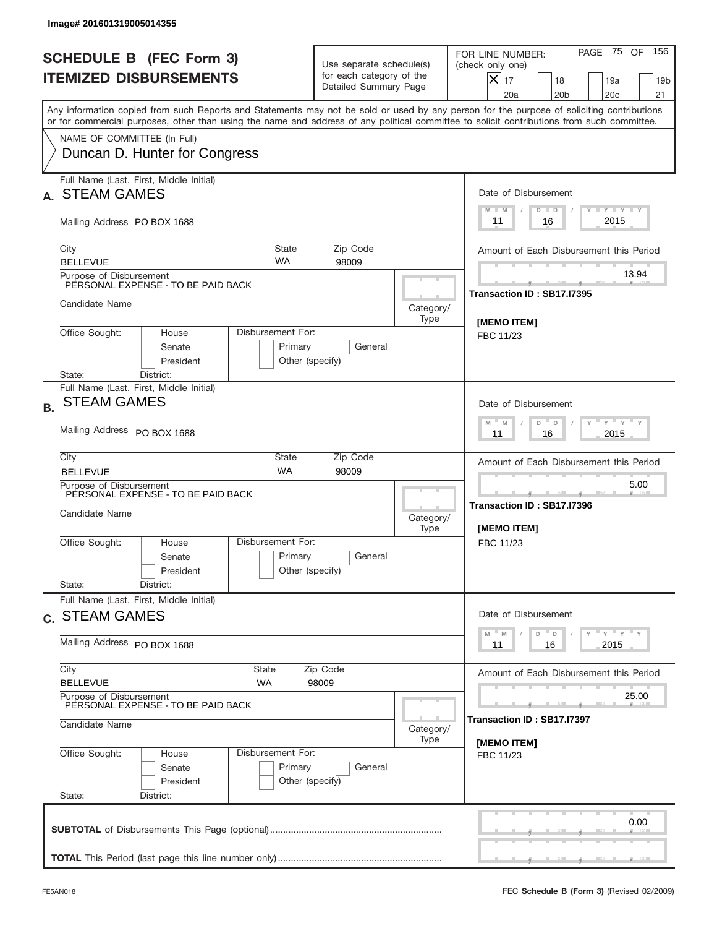|           | Image# 201601319005014355                                                                                 |                                                                                                                       |                                                                               |                                  |                                                                                                                                                                                                                                                                                         |  |  |
|-----------|-----------------------------------------------------------------------------------------------------------|-----------------------------------------------------------------------------------------------------------------------|-------------------------------------------------------------------------------|----------------------------------|-----------------------------------------------------------------------------------------------------------------------------------------------------------------------------------------------------------------------------------------------------------------------------------------|--|--|
|           | <b>SCHEDULE B (FEC Form 3)</b><br><b>ITEMIZED DISBURSEMENTS</b>                                           |                                                                                                                       | Use separate schedule(s)<br>for each category of the<br>Detailed Summary Page |                                  | 156<br>PAGE 75 OF<br>FOR LINE NUMBER:<br>(check only one)<br>$X _{17}$<br>18<br>19a<br>19 <sub>b</sub><br>20 <sub>c</sub><br>20a<br>20 <sub>b</sub><br>21                                                                                                                               |  |  |
|           |                                                                                                           |                                                                                                                       |                                                                               |                                  | Any information copied from such Reports and Statements may not be sold or used by any person for the purpose of soliciting contributions<br>or for commercial purposes, other than using the name and address of any political committee to solicit contributions from such committee. |  |  |
|           | NAME OF COMMITTEE (In Full)<br>Duncan D. Hunter for Congress                                              |                                                                                                                       |                                                                               |                                  |                                                                                                                                                                                                                                                                                         |  |  |
|           | Full Name (Last, First, Middle Initial)<br><b>STEAM GAMES</b>                                             |                                                                                                                       |                                                                               |                                  | Date of Disbursement<br><b>TAYLY LY</b>                                                                                                                                                                                                                                                 |  |  |
|           | Mailing Address PO BOX 1688                                                                               |                                                                                                                       |                                                                               |                                  | $D$ $D$<br>$M - M$<br>2015<br>16<br>11                                                                                                                                                                                                                                                  |  |  |
|           | City<br><b>BELLEVUE</b>                                                                                   | <b>State</b><br><b>WA</b>                                                                                             | Zip Code<br>98009                                                             |                                  | Amount of Each Disbursement this Period                                                                                                                                                                                                                                                 |  |  |
|           | Purpose of Disbursement<br>PERSONAL EXPENSE - TO BE PAID BACK                                             |                                                                                                                       |                                                                               |                                  | 13.94<br>Transaction ID: SB17.I7395                                                                                                                                                                                                                                                     |  |  |
|           | Candidate Name                                                                                            |                                                                                                                       |                                                                               | Category/<br>Type                | [MEMO ITEM]                                                                                                                                                                                                                                                                             |  |  |
|           | Office Sought:<br>House<br>Senate<br>President<br>State:                                                  | Disbursement For:<br>Primary<br>Other (specify)                                                                       | General                                                                       |                                  | FBC 11/23                                                                                                                                                                                                                                                                               |  |  |
| <b>B.</b> | District:<br>Full Name (Last, First, Middle Initial)<br><b>STEAM GAMES</b><br>Mailing Address PO BOX 1688 | Date of Disbursement<br>$\cdots$ $\gamma$ $\cdots$ $\gamma$ $\cdots$<br>$-$ M<br>M<br>D<br>$\Box$<br>2015<br>11<br>16 |                                                                               |                                  |                                                                                                                                                                                                                                                                                         |  |  |
|           | City                                                                                                      | <b>State</b><br>Zip Code                                                                                              |                                                                               |                                  |                                                                                                                                                                                                                                                                                         |  |  |
|           | <b>BELLEVUE</b><br>Purpose of Disbursement<br>PERSONAL EXPENSE - TO BE PAID BACK<br>Candidate Name        | <b>WA</b>                                                                                                             | 98009                                                                         | Category/<br>Type                | 5.00<br>Transaction ID: SB17.I7396<br>[MEMO ITEM]                                                                                                                                                                                                                                       |  |  |
|           | Office Sought:<br>House<br>Senate<br>President<br>State:<br>District:                                     | Disbursement For:<br>Primary<br>Other (specify)                                                                       | General                                                                       |                                  | FBC 11/23                                                                                                                                                                                                                                                                               |  |  |
|           | Full Name (Last, First, Middle Initial)<br>c. STEAM GAMES                                                 |                                                                                                                       |                                                                               |                                  | Date of Disbursement<br>$\gamma$ = $\gamma$ = $\gamma$ = $\gamma$<br>$-M$<br>D<br>M<br>D                                                                                                                                                                                                |  |  |
|           | Mailing Address PO BOX 1688                                                                               | 2015<br>11<br>16                                                                                                      |                                                                               |                                  |                                                                                                                                                                                                                                                                                         |  |  |
|           | City<br><b>BELLEVUE</b>                                                                                   | State<br>WA                                                                                                           | Zip Code<br>98009                                                             |                                  | Amount of Each Disbursement this Period                                                                                                                                                                                                                                                 |  |  |
|           | Purpose of Disbursement<br>PERSONAL EXPENSE - TO BE PAID BACK<br>Candidate Name                           | Category/                                                                                                             | 25.00<br>Transaction ID : SB17.I7397                                          |                                  |                                                                                                                                                                                                                                                                                         |  |  |
|           | Office Sought:<br>House<br>Senate<br>President<br>State:<br>District:                                     | Disbursement For:<br>Primary<br>Other (specify)                                                                       | General                                                                       | Type<br>[MEMO ITEM]<br>FBC 11/23 |                                                                                                                                                                                                                                                                                         |  |  |
|           |                                                                                                           |                                                                                                                       |                                                                               |                                  | 0.00                                                                                                                                                                                                                                                                                    |  |  |
|           |                                                                                                           |                                                                                                                       |                                                                               |                                  |                                                                                                                                                                                                                                                                                         |  |  |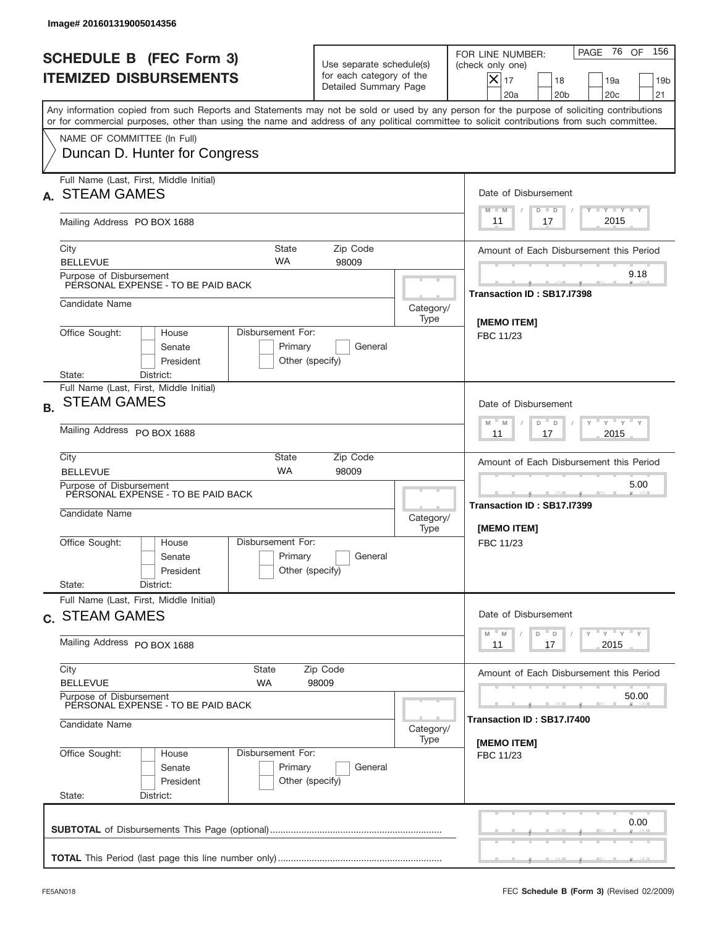|           | Image# 201601319005014356                                                       |                                                 |                                                                               |                   |                                                                                                                                                                                                                                                                                         |
|-----------|---------------------------------------------------------------------------------|-------------------------------------------------|-------------------------------------------------------------------------------|-------------------|-----------------------------------------------------------------------------------------------------------------------------------------------------------------------------------------------------------------------------------------------------------------------------------------|
|           | <b>SCHEDULE B (FEC Form 3)</b><br><b>ITEMIZED DISBURSEMENTS</b>                 |                                                 | Use separate schedule(s)<br>for each category of the<br>Detailed Summary Page |                   | 156<br>PAGE 76 OF<br>FOR LINE NUMBER:<br>(check only one)<br>$X _{17}$<br>18<br>19a<br>19 <sub>b</sub><br>20 <sub>c</sub><br>20a<br>20 <sub>b</sub><br>21                                                                                                                               |
|           |                                                                                 |                                                 |                                                                               |                   | Any information copied from such Reports and Statements may not be sold or used by any person for the purpose of soliciting contributions<br>or for commercial purposes, other than using the name and address of any political committee to solicit contributions from such committee. |
|           | NAME OF COMMITTEE (In Full)<br>Duncan D. Hunter for Congress                    |                                                 |                                                                               |                   |                                                                                                                                                                                                                                                                                         |
|           | Full Name (Last, First, Middle Initial)<br><b>STEAM GAMES</b>                   |                                                 |                                                                               |                   | Date of Disbursement<br><b>TANK TANK</b><br>$M - M$<br>$D$ $D$                                                                                                                                                                                                                          |
|           | Mailing Address PO BOX 1688                                                     |                                                 |                                                                               |                   | 2015<br>17<br>11                                                                                                                                                                                                                                                                        |
|           | City<br><b>BELLEVUE</b>                                                         | <b>State</b><br><b>WA</b>                       | Zip Code<br>98009                                                             |                   | Amount of Each Disbursement this Period                                                                                                                                                                                                                                                 |
|           | Purpose of Disbursement<br>PERSONAL EXPENSE - TO BE PAID BACK                   |                                                 |                                                                               |                   | 9.18<br>Transaction ID: SB17.I7398                                                                                                                                                                                                                                                      |
|           | Candidate Name                                                                  |                                                 |                                                                               | Category/<br>Type | [MEMO ITEM]                                                                                                                                                                                                                                                                             |
|           | Office Sought:<br>House<br>Senate<br>President<br>State:<br>District:           | Disbursement For:<br>Primary<br>Other (specify) | General                                                                       |                   | FBC 11/23                                                                                                                                                                                                                                                                               |
| <b>B.</b> | Full Name (Last, First, Middle Initial)<br><b>STEAM GAMES</b>                   |                                                 |                                                                               |                   | Date of Disbursement<br>$\cdots$ $\gamma$ $\cdots$ $\gamma$ $\cdots$<br>$-$ M<br>M<br>D<br>$\Box$                                                                                                                                                                                       |
|           | Mailing Address PO BOX 1688                                                     | 2015<br>11<br>17                                |                                                                               |                   |                                                                                                                                                                                                                                                                                         |
|           | City<br><b>BELLEVUE</b>                                                         | Amount of Each Disbursement this Period         |                                                                               |                   |                                                                                                                                                                                                                                                                                         |
|           | Purpose of Disbursement<br>PERSONAL EXPENSE - TO BE PAID BACK<br>Candidate Name |                                                 |                                                                               | Category/<br>Type | 5.00<br>Transaction ID: SB17.I7399<br>[MEMO ITEM]                                                                                                                                                                                                                                       |
|           | Office Sought:<br>House<br>Senate<br>President<br>State:<br>District:           | Disbursement For:<br>Primary<br>Other (specify) | General                                                                       |                   | FBC 11/23                                                                                                                                                                                                                                                                               |
|           | Full Name (Last, First, Middle Initial)<br>c. STEAM GAMES                       |                                                 |                                                                               |                   | Date of Disbursement                                                                                                                                                                                                                                                                    |
|           | Mailing Address PO BOX 1688                                                     |                                                 |                                                                               |                   | $\gamma$ = $\gamma$ = $\gamma$ = $\gamma$<br>$-M$<br>D<br>M<br>D<br>2015<br>11<br>17                                                                                                                                                                                                    |
|           | City<br><b>BELLEVUE</b>                                                         | Amount of Each Disbursement this Period         |                                                                               |                   |                                                                                                                                                                                                                                                                                         |
|           | Purpose of Disbursement<br>PERSONAL EXPENSE - TO BE PAID BACK<br>Candidate Name | 50.00<br>Transaction ID : SB17.I7400            |                                                                               |                   |                                                                                                                                                                                                                                                                                         |
|           | Office Sought:<br>House                                                         | Category/<br>Type                               | [MEMO ITEM]                                                                   |                   |                                                                                                                                                                                                                                                                                         |
|           | Senate<br>President<br>State:<br>District:                                      | Disbursement For:<br>Primary<br>Other (specify) | General                                                                       |                   | FBC 11/23                                                                                                                                                                                                                                                                               |
|           |                                                                                 |                                                 |                                                                               |                   | 0.00                                                                                                                                                                                                                                                                                    |
|           |                                                                                 |                                                 |                                                                               |                   |                                                                                                                                                                                                                                                                                         |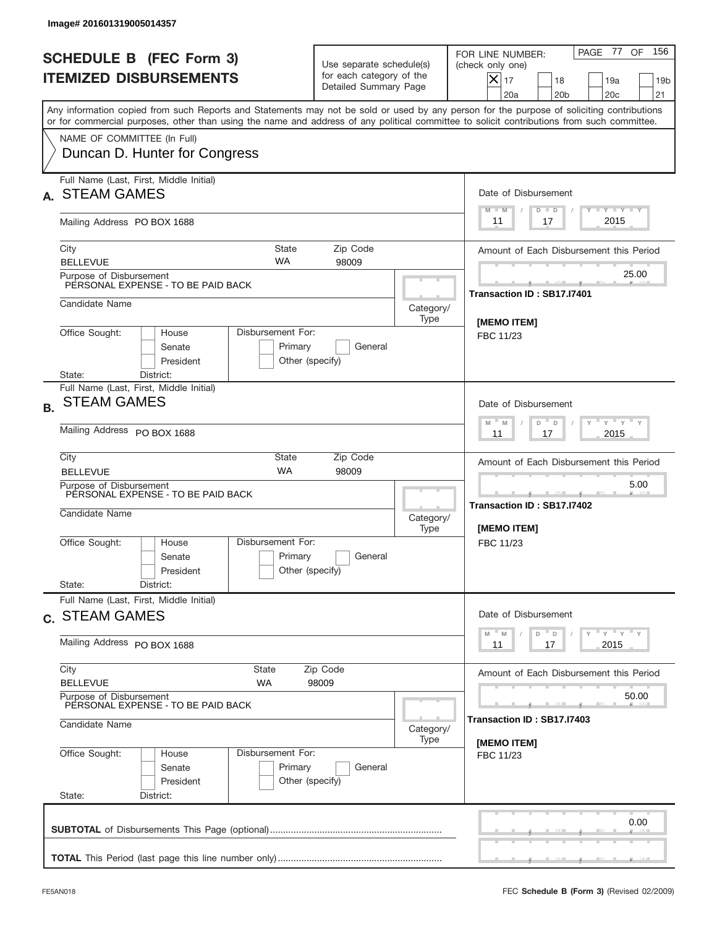|           | Image# 201601319005014357                                                                                 |                                                                                                                       |                                                                               |                   |                                                                                                                                                                                                                                                                                         |
|-----------|-----------------------------------------------------------------------------------------------------------|-----------------------------------------------------------------------------------------------------------------------|-------------------------------------------------------------------------------|-------------------|-----------------------------------------------------------------------------------------------------------------------------------------------------------------------------------------------------------------------------------------------------------------------------------------|
|           | <b>SCHEDULE B (FEC Form 3)</b><br><b>ITEMIZED DISBURSEMENTS</b>                                           |                                                                                                                       | Use separate schedule(s)<br>for each category of the<br>Detailed Summary Page |                   | 156<br>PAGE 77<br>OF<br>FOR LINE NUMBER:<br>(check only one)<br>$X _{17}$<br>18<br>19a<br>19 <sub>b</sub><br>20 <sub>c</sub><br>20a<br>20 <sub>b</sub><br>21                                                                                                                            |
|           |                                                                                                           |                                                                                                                       |                                                                               |                   | Any information copied from such Reports and Statements may not be sold or used by any person for the purpose of soliciting contributions<br>or for commercial purposes, other than using the name and address of any political committee to solicit contributions from such committee. |
|           | NAME OF COMMITTEE (In Full)<br>Duncan D. Hunter for Congress                                              |                                                                                                                       |                                                                               |                   |                                                                                                                                                                                                                                                                                         |
|           | Full Name (Last, First, Middle Initial)<br><b>STEAM GAMES</b>                                             |                                                                                                                       |                                                                               |                   | Date of Disbursement<br><b>TANK TANK</b><br>$M - M$<br>$D$ $D$                                                                                                                                                                                                                          |
|           | Mailing Address PO BOX 1688                                                                               |                                                                                                                       |                                                                               |                   | 2015<br>17<br>11                                                                                                                                                                                                                                                                        |
|           | City<br><b>BELLEVUE</b>                                                                                   | <b>State</b><br><b>WA</b>                                                                                             | Zip Code<br>98009                                                             |                   | Amount of Each Disbursement this Period                                                                                                                                                                                                                                                 |
|           | Purpose of Disbursement<br>PERSONAL EXPENSE - TO BE PAID BACK                                             |                                                                                                                       |                                                                               |                   | 25.00<br>Transaction ID: SB17.I7401                                                                                                                                                                                                                                                     |
|           | Candidate Name                                                                                            |                                                                                                                       |                                                                               | Category/<br>Type | [MEMO ITEM]                                                                                                                                                                                                                                                                             |
|           | Office Sought:<br>House<br>Senate<br>President<br>State:                                                  | Disbursement For:<br>Primary<br>Other (specify)                                                                       | General                                                                       |                   | FBC 11/23                                                                                                                                                                                                                                                                               |
| <b>B.</b> | District:<br>Full Name (Last, First, Middle Initial)<br><b>STEAM GAMES</b><br>Mailing Address PO BOX 1688 | Date of Disbursement<br>$\cdots$ $\gamma$ $\cdots$ $\gamma$ $\cdots$<br>$-$ M<br>M<br>D<br>$\Box$<br>2015<br>11<br>17 |                                                                               |                   |                                                                                                                                                                                                                                                                                         |
|           | City<br><b>BELLEVUE</b><br>Purpose of Disbursement<br>PERSONAL EXPENSE - TO BE PAID BACK                  | <b>State</b><br><b>WA</b>                                                                                             | Zip Code<br>98009                                                             |                   | Amount of Each Disbursement this Period<br>5.00<br>Transaction ID: SB17.I7402                                                                                                                                                                                                           |
|           | Candidate Name<br>Office Sought:<br>House<br>Senate<br>President<br>State:<br>District:                   | Disbursement For:<br>Primary<br>Other (specify)                                                                       | General                                                                       | Category/<br>Type | [MEMO ITEM]<br>FBC 11/23                                                                                                                                                                                                                                                                |
|           | Full Name (Last, First, Middle Initial)<br>c. STEAM GAMES                                                 | Date of Disbursement<br>$\gamma$ = $\gamma$ = $\gamma$ = $\gamma$<br>$-M$<br>D<br>M<br>D                              |                                                                               |                   |                                                                                                                                                                                                                                                                                         |
|           | Mailing Address PO BOX 1688                                                                               | 2015<br>11<br>17                                                                                                      |                                                                               |                   |                                                                                                                                                                                                                                                                                         |
|           | City<br><b>BELLEVUE</b>                                                                                   | Amount of Each Disbursement this Period                                                                               |                                                                               |                   |                                                                                                                                                                                                                                                                                         |
|           | Purpose of Disbursement<br>PERSONAL EXPENSE - TO BE PAID BACK<br>Candidate Name                           | 50.00<br>Transaction ID : SB17.I7403                                                                                  |                                                                               |                   |                                                                                                                                                                                                                                                                                         |
|           | Office Sought:<br>House<br>Senate<br>President<br>State:<br>District:                                     | Disbursement For:<br>Primary<br>Other (specify)                                                                       | General                                                                       | Type              | [MEMO ITEM]<br>FBC 11/23                                                                                                                                                                                                                                                                |
|           |                                                                                                           |                                                                                                                       |                                                                               |                   | 0.00                                                                                                                                                                                                                                                                                    |
|           |                                                                                                           |                                                                                                                       |                                                                               |                   |                                                                                                                                                                                                                                                                                         |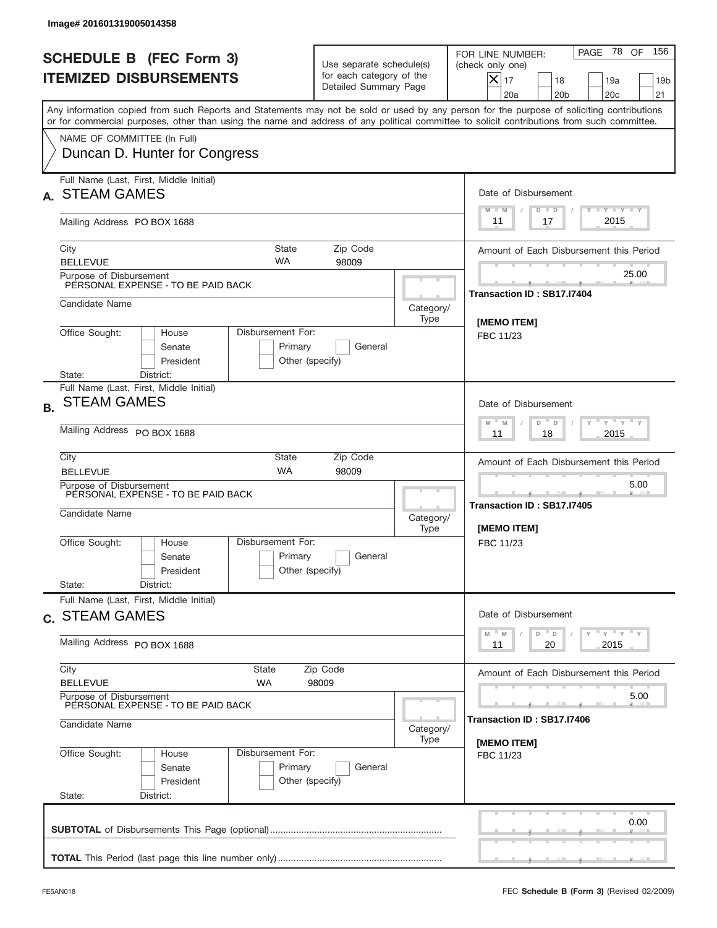|           | Image# 201601319005014358                                                                                           |                                                                                                                       |                                                                               |                   |                                                                                                                                                                                                                                                                                         |
|-----------|---------------------------------------------------------------------------------------------------------------------|-----------------------------------------------------------------------------------------------------------------------|-------------------------------------------------------------------------------|-------------------|-----------------------------------------------------------------------------------------------------------------------------------------------------------------------------------------------------------------------------------------------------------------------------------------|
|           | <b>SCHEDULE B (FEC Form 3)</b><br><b>ITEMIZED DISBURSEMENTS</b>                                                     |                                                                                                                       | Use separate schedule(s)<br>for each category of the<br>Detailed Summary Page |                   | PAGE 78<br>156<br>OF<br>FOR LINE NUMBER:<br>(check only one)<br>$X _{17}$<br>18<br>19a<br>19 <sub>b</sub><br>20 <sub>c</sub><br>20a<br>20 <sub>b</sub><br>21                                                                                                                            |
|           |                                                                                                                     |                                                                                                                       |                                                                               |                   | Any information copied from such Reports and Statements may not be sold or used by any person for the purpose of soliciting contributions<br>or for commercial purposes, other than using the name and address of any political committee to solicit contributions from such committee. |
|           | NAME OF COMMITTEE (In Full)<br>Duncan D. Hunter for Congress                                                        |                                                                                                                       |                                                                               |                   |                                                                                                                                                                                                                                                                                         |
|           | Full Name (Last, First, Middle Initial)<br><b>STEAM GAMES</b>                                                       |                                                                                                                       |                                                                               |                   | Date of Disbursement<br><b>TANK TANK</b><br>$M - M$<br>$D$ $D$                                                                                                                                                                                                                          |
|           | Mailing Address PO BOX 1688                                                                                         |                                                                                                                       |                                                                               |                   | 2015<br>17<br>11                                                                                                                                                                                                                                                                        |
|           | City<br><b>BELLEVUE</b>                                                                                             | <b>State</b><br><b>WA</b>                                                                                             | Zip Code<br>98009                                                             |                   | Amount of Each Disbursement this Period                                                                                                                                                                                                                                                 |
|           | Purpose of Disbursement<br>PERSONAL EXPENSE - TO BE PAID BACK                                                       |                                                                                                                       |                                                                               |                   | 25.00<br>Transaction ID: SB17.I7404                                                                                                                                                                                                                                                     |
|           | Candidate Name                                                                                                      |                                                                                                                       |                                                                               | Category/<br>Type | [MEMO ITEM]                                                                                                                                                                                                                                                                             |
|           | Office Sought:<br>House<br>Senate<br>President                                                                      | Disbursement For:<br>Primary<br>Other (specify)                                                                       | General                                                                       |                   | FBC 11/23                                                                                                                                                                                                                                                                               |
| <b>B.</b> | State:<br>District:<br>Full Name (Last, First, Middle Initial)<br><b>STEAM GAMES</b><br>Mailing Address PO BOX 1688 | Date of Disbursement<br>$\cdots$ $\gamma$ $\cdots$ $\gamma$ $\cdots$<br>$-$ M<br>M<br>D<br>$\Box$<br>2015<br>11<br>18 |                                                                               |                   |                                                                                                                                                                                                                                                                                         |
|           | City<br><b>BELLEVUE</b>                                                                                             | <b>State</b><br><b>WA</b>                                                                                             | Zip Code<br>98009                                                             |                   | Amount of Each Disbursement this Period                                                                                                                                                                                                                                                 |
|           | Purpose of Disbursement<br>PERSONAL EXPENSE - TO BE PAID BACK<br>Candidate Name                                     |                                                                                                                       |                                                                               | Category/<br>Type | 5.00<br>____<br>Transaction ID: SB17.I7405<br>[MEMO ITEM]                                                                                                                                                                                                                               |
|           | Office Sought:<br>House<br>Senate<br>President<br>State:<br>District:                                               | Disbursement For:<br>Primary<br>Other (specify)                                                                       | General                                                                       |                   | FBC 11/23                                                                                                                                                                                                                                                                               |
|           | Full Name (Last, First, Middle Initial)<br>c. STEAM GAMES                                                           | Date of Disbursement                                                                                                  |                                                                               |                   |                                                                                                                                                                                                                                                                                         |
|           | Mailing Address PO BOX 1688                                                                                         |                                                                                                                       |                                                                               |                   | γ <sup>=</sup> γ <sup>=</sup> γ <sup>=</sup> γ<br>$-M$<br>D<br>M<br>D<br>2015<br>11<br>20                                                                                                                                                                                               |
|           | City<br><b>BELLEVUE</b>                                                                                             | Amount of Each Disbursement this Period                                                                               |                                                                               |                   |                                                                                                                                                                                                                                                                                         |
|           | Purpose of Disbursement<br>PERSONAL EXPENSE - TO BE PAID BACK<br>Candidate Name                                     | 5.00<br>Transaction ID : SB17.I7406                                                                                   |                                                                               |                   |                                                                                                                                                                                                                                                                                         |
|           | Office Sought:<br>House<br>Senate<br>President<br>State:<br>District:                                               | Disbursement For:<br>Primary<br>Other (specify)                                                                       | General                                                                       | Category/<br>Type | [MEMO ITEM]<br>FBC 11/23                                                                                                                                                                                                                                                                |
|           |                                                                                                                     |                                                                                                                       |                                                                               |                   | 0.00                                                                                                                                                                                                                                                                                    |
|           |                                                                                                                     |                                                                                                                       |                                                                               |                   |                                                                                                                                                                                                                                                                                         |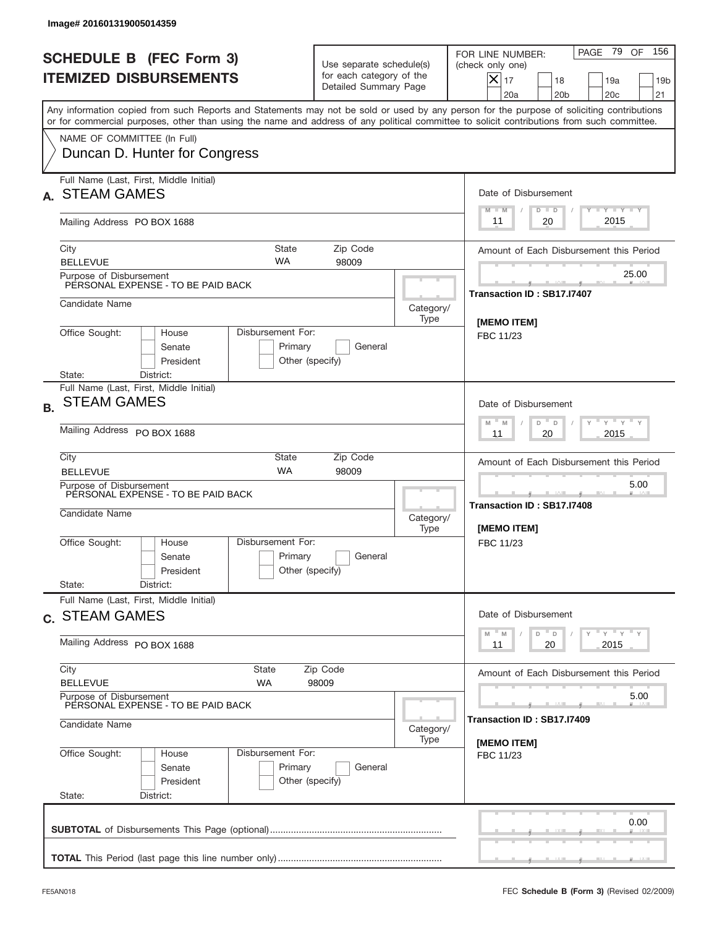|           | Image# 201601319005014359                                                                                           |                                                                                                                  |                                                                               |                   |                                                                                                                                                                                                                                                                                         |
|-----------|---------------------------------------------------------------------------------------------------------------------|------------------------------------------------------------------------------------------------------------------|-------------------------------------------------------------------------------|-------------------|-----------------------------------------------------------------------------------------------------------------------------------------------------------------------------------------------------------------------------------------------------------------------------------------|
|           | <b>SCHEDULE B (FEC Form 3)</b><br><b>ITEMIZED DISBURSEMENTS</b>                                                     |                                                                                                                  | Use separate schedule(s)<br>for each category of the<br>Detailed Summary Page |                   | PAGE 79<br>156<br>OF<br>FOR LINE NUMBER:<br>(check only one)<br>$X _{17}$<br>18<br>19a<br>19 <sub>b</sub><br>20 <sub>c</sub><br>20a<br>20 <sub>b</sub><br>21                                                                                                                            |
|           |                                                                                                                     |                                                                                                                  |                                                                               |                   | Any information copied from such Reports and Statements may not be sold or used by any person for the purpose of soliciting contributions<br>or for commercial purposes, other than using the name and address of any political committee to solicit contributions from such committee. |
|           | NAME OF COMMITTEE (In Full)<br>Duncan D. Hunter for Congress                                                        |                                                                                                                  |                                                                               |                   |                                                                                                                                                                                                                                                                                         |
|           | Full Name (Last, First, Middle Initial)<br><b>STEAM GAMES</b>                                                       |                                                                                                                  |                                                                               |                   | Date of Disbursement<br><b>TANK TANK</b><br>$D$ $D$<br>$M - M$                                                                                                                                                                                                                          |
|           | Mailing Address PO BOX 1688                                                                                         |                                                                                                                  |                                                                               |                   | 2015<br>20<br>11                                                                                                                                                                                                                                                                        |
|           | City<br><b>BELLEVUE</b>                                                                                             | <b>State</b><br><b>WA</b>                                                                                        | Zip Code<br>98009                                                             |                   | Amount of Each Disbursement this Period                                                                                                                                                                                                                                                 |
|           | Purpose of Disbursement<br>PERSONAL EXPENSE - TO BE PAID BACK                                                       |                                                                                                                  |                                                                               |                   | 25.00<br>Transaction ID: SB17.I7407                                                                                                                                                                                                                                                     |
|           | Candidate Name                                                                                                      |                                                                                                                  |                                                                               | Category/<br>Type | [MEMO ITEM]                                                                                                                                                                                                                                                                             |
|           | Office Sought:<br>House<br>Senate<br>President                                                                      | Disbursement For:<br>Primary<br>Other (specify)                                                                  | General                                                                       |                   | FBC 11/23                                                                                                                                                                                                                                                                               |
| <b>B.</b> | State:<br>District:<br>Full Name (Last, First, Middle Initial)<br><b>STEAM GAMES</b><br>Mailing Address PO BOX 1688 | Date of Disbursement<br>$\cdots$ $\gamma$ $\cdots$ $\gamma$ $\cdots$<br>$-$ M<br>M<br>D<br>D<br>2015<br>11<br>20 |                                                                               |                   |                                                                                                                                                                                                                                                                                         |
|           | City<br><b>BELLEVUE</b>                                                                                             | <b>State</b><br><b>WA</b>                                                                                        | Zip Code<br>98009                                                             |                   | Amount of Each Disbursement this Period                                                                                                                                                                                                                                                 |
|           | Purpose of Disbursement<br>PERSONAL EXPENSE - TO BE PAID BACK<br>Candidate Name                                     |                                                                                                                  |                                                                               | Category/<br>Type | 5.00<br>Transaction ID: SB17.I7408<br>[MEMO ITEM]                                                                                                                                                                                                                                       |
|           | Office Sought:<br>House<br>Senate<br>President<br>State:<br>District:                                               | Disbursement For:<br>Primary<br>Other (specify)                                                                  | General                                                                       |                   | FBC 11/23                                                                                                                                                                                                                                                                               |
|           | Full Name (Last, First, Middle Initial)<br>c. STEAM GAMES                                                           |                                                                                                                  |                                                                               |                   | Date of Disbursement                                                                                                                                                                                                                                                                    |
|           | Mailing Address PO BOX 1688                                                                                         |                                                                                                                  |                                                                               |                   | γ <sup>=</sup> γ <sup>=</sup> γ <sup>=</sup> γ<br>$-M$<br>D<br>M<br>D<br>2015<br>11<br>20                                                                                                                                                                                               |
|           | City<br><b>BELLEVUE</b>                                                                                             | Amount of Each Disbursement this Period                                                                          |                                                                               |                   |                                                                                                                                                                                                                                                                                         |
|           | Purpose of Disbursement<br>PERSONAL EXPENSE - TO BE PAID BACK<br>Candidate Name                                     | 5.00<br>Transaction ID : SB17.I7409                                                                              |                                                                               |                   |                                                                                                                                                                                                                                                                                         |
|           | Office Sought:<br>House<br>Senate<br>President<br>State:<br>District:                                               | Disbursement For:<br>Primary<br>Other (specify)                                                                  | General                                                                       | Category/<br>Type | [MEMO ITEM]<br>FBC 11/23                                                                                                                                                                                                                                                                |
|           |                                                                                                                     |                                                                                                                  |                                                                               |                   | 0.00                                                                                                                                                                                                                                                                                    |
|           |                                                                                                                     |                                                                                                                  |                                                                               |                   |                                                                                                                                                                                                                                                                                         |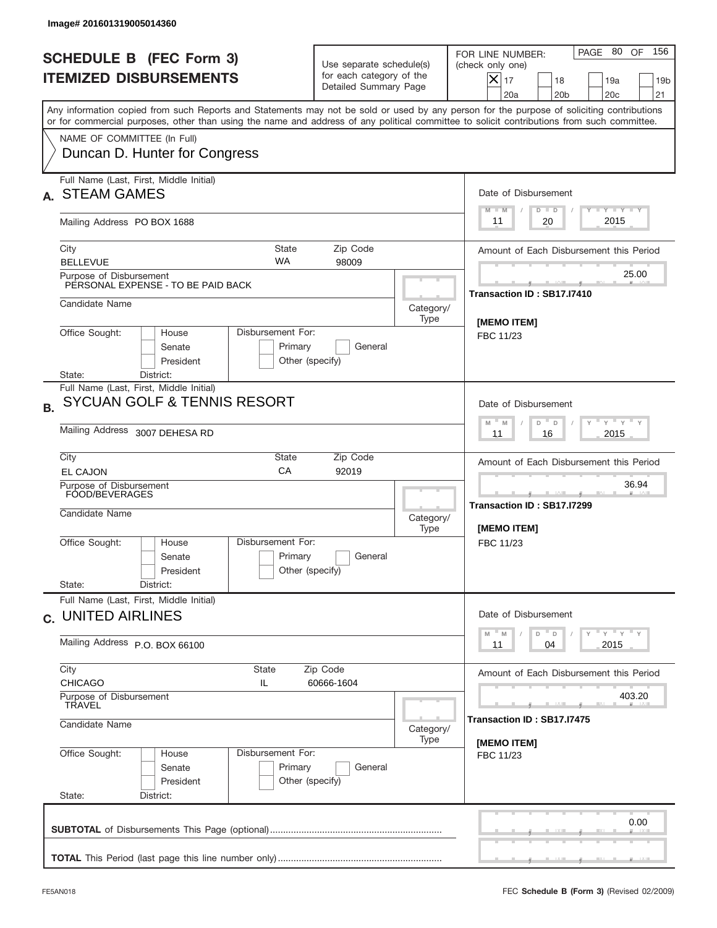|           | Image# 201601319005014360                                                                                                                                                                                                                                                               |                                                                               |                             |                                                                                                                                                                     |
|-----------|-----------------------------------------------------------------------------------------------------------------------------------------------------------------------------------------------------------------------------------------------------------------------------------------|-------------------------------------------------------------------------------|-----------------------------|---------------------------------------------------------------------------------------------------------------------------------------------------------------------|
|           | <b>SCHEDULE B (FEC Form 3)</b><br><b>ITEMIZED DISBURSEMENTS</b>                                                                                                                                                                                                                         | Use separate schedule(s)<br>for each category of the<br>Detailed Summary Page |                             | PAGE 80 OF<br>156<br>FOR LINE NUMBER:<br>(check only one)<br>$ \mathsf{X} _{17}$<br>18<br>19a<br>19 <sub>b</sub><br>20a<br>20 <sub>b</sub><br>20 <sub>c</sub><br>21 |
|           | Any information copied from such Reports and Statements may not be sold or used by any person for the purpose of soliciting contributions<br>or for commercial purposes, other than using the name and address of any political committee to solicit contributions from such committee. |                                                                               |                             |                                                                                                                                                                     |
|           | NAME OF COMMITTEE (In Full)<br>Duncan D. Hunter for Congress                                                                                                                                                                                                                            |                                                                               |                             |                                                                                                                                                                     |
|           | Full Name (Last, First, Middle Initial)<br><b>STEAM GAMES</b>                                                                                                                                                                                                                           |                                                                               |                             | Date of Disbursement<br>Y FY FY FY<br>$M - M$<br>$D$ $D$                                                                                                            |
|           | Mailing Address PO BOX 1688                                                                                                                                                                                                                                                             |                                                                               |                             | 2015<br>20<br>11                                                                                                                                                    |
|           | <b>State</b><br>City<br><b>WA</b><br><b>BELLEVUE</b>                                                                                                                                                                                                                                    | Zip Code<br>98009                                                             |                             | Amount of Each Disbursement this Period                                                                                                                             |
|           | Purpose of Disbursement<br>PERSONAL EXPENSE - TO BE PAID BACK                                                                                                                                                                                                                           |                                                                               |                             | 25.00<br>Transaction ID: SB17.I7410                                                                                                                                 |
|           | Candidate Name                                                                                                                                                                                                                                                                          |                                                                               | Category/<br>Type           |                                                                                                                                                                     |
|           | Disbursement For:<br>Office Sought:<br>House<br>Senate<br>Primary<br>President<br>Other (specify)<br>District:<br>State:                                                                                                                                                                | [MEMO ITEM]<br>FBC 11/23                                                      |                             |                                                                                                                                                                     |
| <b>B.</b> | Full Name (Last, First, Middle Initial)<br>SYCUAN GOLF & TENNIS RESORT                                                                                                                                                                                                                  | Date of Disbursement<br>$-\gamma + \gamma + \gamma$<br>$M - M$<br>D<br>D      |                             |                                                                                                                                                                     |
|           | Mailing Address 3007 DEHESA RD                                                                                                                                                                                                                                                          | 2015<br>11<br>16                                                              |                             |                                                                                                                                                                     |
|           | City<br>State<br>CA<br>EL CAJON                                                                                                                                                                                                                                                         | Zip Code<br>92019                                                             |                             | Amount of Each Disbursement this Period                                                                                                                             |
|           | Purpose of Disbursement<br>FOOD/BEVERAGES<br>Candidate Name                                                                                                                                                                                                                             |                                                                               |                             | 36.94<br>Transaction ID: SB17.I7299<br>[MEMO ITEM]                                                                                                                  |
|           | Disbursement For:<br>Office Sought:<br>House<br>Primary<br>Senate<br>President<br>State:<br>District:                                                                                                                                                                                   | General<br>Other (specify)                                                    | Type                        | FBC 11/23                                                                                                                                                           |
|           | Full Name (Last, First, Middle Initial)<br>c. UNITED AIRLINES                                                                                                                                                                                                                           | Date of Disbursement                                                          |                             |                                                                                                                                                                     |
|           | Mailing Address P.O. BOX 66100                                                                                                                                                                                                                                                          | $Y$ $Y$ $Y$ $Y$ $Y$<br>$-M$<br>D =<br>M<br>D<br>2015<br>11<br>04              |                             |                                                                                                                                                                     |
|           | City<br>State<br>Zip Code<br><b>CHICAGO</b><br>IL.<br>Purpose of Disbursement<br>TRAVEL                                                                                                                                                                                                 | Amount of Each Disbursement this Period<br>403.20                             |                             |                                                                                                                                                                     |
|           | Candidate Name                                                                                                                                                                                                                                                                          | Category/<br>Type                                                             | Transaction ID : SB17.I7475 |                                                                                                                                                                     |
|           | Disbursement For:<br>Office Sought:<br>House<br>Primary<br>Senate<br>President<br>State:<br>District:                                                                                                                                                                                   | General<br>Other (specify)                                                    |                             | [MEMO ITEM]<br>FBC 11/23                                                                                                                                            |
|           |                                                                                                                                                                                                                                                                                         |                                                                               |                             | 0.00                                                                                                                                                                |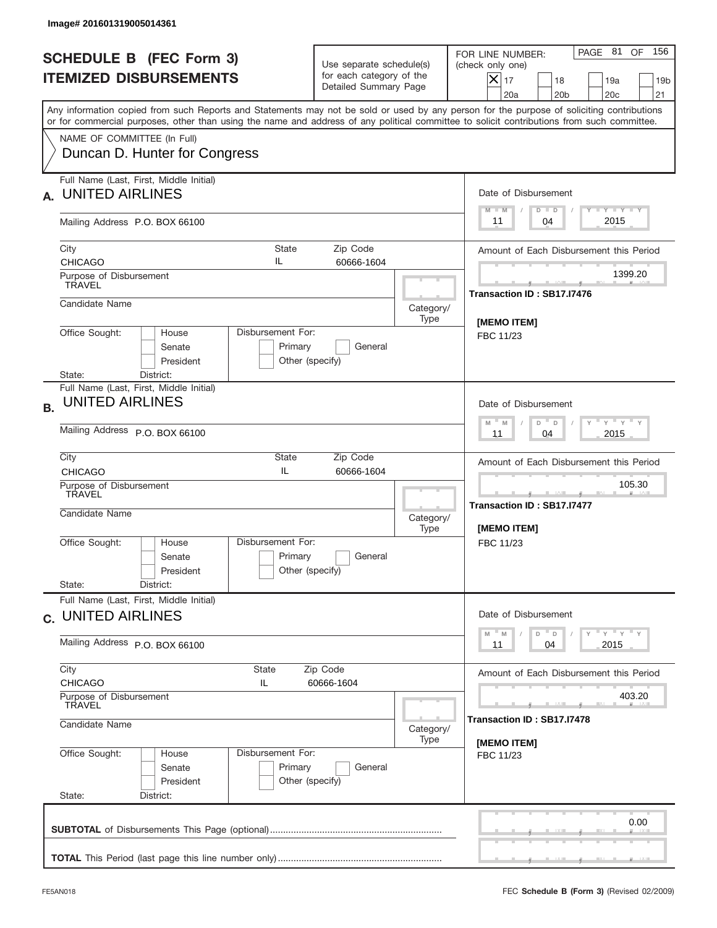|           | Image# 201601319005014361                                                                                                                                                                                                                                                               |                                                                               |                                                             |                                                                                                                                                           |
|-----------|-----------------------------------------------------------------------------------------------------------------------------------------------------------------------------------------------------------------------------------------------------------------------------------------|-------------------------------------------------------------------------------|-------------------------------------------------------------|-----------------------------------------------------------------------------------------------------------------------------------------------------------|
|           | <b>SCHEDULE B (FEC Form 3)</b><br><b>ITEMIZED DISBURSEMENTS</b>                                                                                                                                                                                                                         | Use separate schedule(s)<br>for each category of the<br>Detailed Summary Page |                                                             | PAGE 81 OF<br>156<br>FOR LINE NUMBER:<br>(check only one)<br>$X _{17}$<br>18<br>19a<br>19 <sub>b</sub><br>20a<br>20 <sub>b</sub><br>20 <sub>c</sub><br>21 |
|           | Any information copied from such Reports and Statements may not be sold or used by any person for the purpose of soliciting contributions<br>or for commercial purposes, other than using the name and address of any political committee to solicit contributions from such committee. |                                                                               |                                                             |                                                                                                                                                           |
|           | NAME OF COMMITTEE (In Full)<br>Duncan D. Hunter for Congress                                                                                                                                                                                                                            |                                                                               |                                                             |                                                                                                                                                           |
| А.        | Full Name (Last, First, Middle Initial)<br><b>UNITED AIRLINES</b>                                                                                                                                                                                                                       |                                                                               |                                                             | Date of Disbursement<br>Y I Y I Y I Y                                                                                                                     |
|           | Mailing Address P.O. BOX 66100                                                                                                                                                                                                                                                          |                                                                               |                                                             | $M - M$<br>$D$ $D$<br>2015<br>04<br>11                                                                                                                    |
|           | City<br>State<br>IL<br><b>CHICAGO</b>                                                                                                                                                                                                                                                   | Zip Code<br>60666-1604                                                        |                                                             | Amount of Each Disbursement this Period                                                                                                                   |
|           | Purpose of Disbursement<br><b>TRAVEL</b>                                                                                                                                                                                                                                                |                                                                               |                                                             | 1399.20<br>Transaction ID: SB17.I7476                                                                                                                     |
|           | Candidate Name                                                                                                                                                                                                                                                                          |                                                                               | Category/<br>Type                                           | <b>IMEMO ITEMI</b>                                                                                                                                        |
|           | Office Sought:<br>Disbursement For:<br>House<br>Senate<br>Primary<br>President<br>Other (specify)<br>District:<br>State:                                                                                                                                                                |                                                                               | FBC 11/23                                                   |                                                                                                                                                           |
| <b>B.</b> | Full Name (Last, First, Middle Initial)<br><b>UNITED AIRLINES</b>                                                                                                                                                                                                                       |                                                                               |                                                             | Date of Disbursement<br>$\gamma$ $\gamma$ $\gamma$ $\gamma$ $\gamma$<br>$-M$<br>D<br>M<br>$\Box$                                                          |
|           | Mailing Address P.O. BOX 66100                                                                                                                                                                                                                                                          | 2015<br>11<br>04                                                              |                                                             |                                                                                                                                                           |
|           | City<br>State<br>IL<br><b>CHICAGO</b>                                                                                                                                                                                                                                                   | Zip Code<br>60666-1604                                                        |                                                             | Amount of Each Disbursement this Period                                                                                                                   |
|           | Purpose of Disbursement<br>TRAVEL<br>Candidate Name                                                                                                                                                                                                                                     | Category/<br>Type                                                             | 105.30<br>____<br>Transaction ID: SB17.I7477<br>[MEMO ITEM] |                                                                                                                                                           |
|           | Disbursement For:<br>Office Sought:<br>House<br>Primary<br>Senate<br>President<br>State:<br>District:                                                                                                                                                                                   | General<br>Other (specify)                                                    |                                                             | FBC 11/23                                                                                                                                                 |
|           | Full Name (Last, First, Middle Initial)<br>c. UNITED AIRLINES                                                                                                                                                                                                                           | Date of Disbursement                                                          |                                                             |                                                                                                                                                           |
|           | Mailing Address P.O. BOX 66100                                                                                                                                                                                                                                                          | ү "ү "ү "ү<br>M<br>$D$ $D$<br>M<br>2015<br>11<br>04                           |                                                             |                                                                                                                                                           |
|           | City<br>State<br><b>CHICAGO</b><br>IL<br>Purpose of Disbursement<br>TRAVEL                                                                                                                                                                                                              | Amount of Each Disbursement this Period<br>403.20                             |                                                             |                                                                                                                                                           |
|           | Candidate Name                                                                                                                                                                                                                                                                          | Category/<br>Type                                                             | Transaction ID: SB17.I7478                                  |                                                                                                                                                           |
|           | Office Sought:<br>Disbursement For:<br>House<br>Primary<br>Senate<br>President<br>State:<br>District:                                                                                                                                                                                   | General<br>Other (specify)                                                    |                                                             | [MEMO ITEM]<br>FBC 11/23                                                                                                                                  |
|           |                                                                                                                                                                                                                                                                                         |                                                                               |                                                             | 0.00                                                                                                                                                      |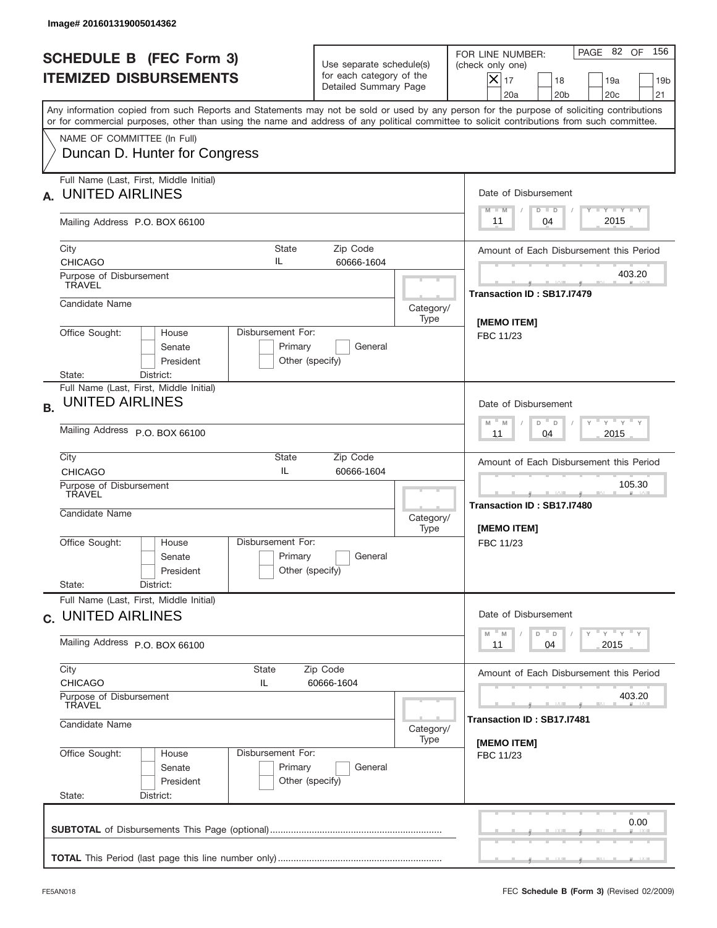|           | Image# 201601319005014362                                                                             |                                                                  |                                                                               |                   |                                                                                                                                                                                                                                                                                         |
|-----------|-------------------------------------------------------------------------------------------------------|------------------------------------------------------------------|-------------------------------------------------------------------------------|-------------------|-----------------------------------------------------------------------------------------------------------------------------------------------------------------------------------------------------------------------------------------------------------------------------------------|
|           | <b>SCHEDULE B (FEC Form 3)</b><br><b>ITEMIZED DISBURSEMENTS</b>                                       |                                                                  | Use separate schedule(s)<br>for each category of the<br>Detailed Summary Page |                   | PAGE 82 OF<br>156<br>FOR LINE NUMBER:<br>(check only one)<br>$ \mathsf{X} _{17}$<br>18<br>19a<br>19 <sub>b</sub><br>20a<br>20 <sub>b</sub><br>20 <sub>c</sub><br>21                                                                                                                     |
|           |                                                                                                       |                                                                  |                                                                               |                   | Any information copied from such Reports and Statements may not be sold or used by any person for the purpose of soliciting contributions<br>or for commercial purposes, other than using the name and address of any political committee to solicit contributions from such committee. |
|           | NAME OF COMMITTEE (In Full)<br>Duncan D. Hunter for Congress                                          |                                                                  |                                                                               |                   |                                                                                                                                                                                                                                                                                         |
| А.        | Full Name (Last, First, Middle Initial)<br><b>UNITED AIRLINES</b>                                     |                                                                  |                                                                               |                   | Date of Disbursement<br>Y FY FY FY                                                                                                                                                                                                                                                      |
|           | Mailing Address P.O. BOX 66100                                                                        |                                                                  |                                                                               |                   | $M - M$<br>$D$ $D$<br>2015<br>04<br>11                                                                                                                                                                                                                                                  |
|           | City<br><b>CHICAGO</b>                                                                                | State<br>IL                                                      | Zip Code<br>60666-1604                                                        |                   | Amount of Each Disbursement this Period                                                                                                                                                                                                                                                 |
|           | Purpose of Disbursement<br><b>TRAVEL</b>                                                              |                                                                  |                                                                               |                   | 403.20<br>Transaction ID: SB17.I7479                                                                                                                                                                                                                                                    |
|           | Candidate Name                                                                                        |                                                                  |                                                                               | Category/<br>Type |                                                                                                                                                                                                                                                                                         |
|           | Office Sought:<br>House<br>Senate<br>President<br>District:<br>State:                                 | Disbursement For:<br>Primary<br>Other (specify)                  | General                                                                       |                   | [MEMO ITEM]<br>FBC 11/23                                                                                                                                                                                                                                                                |
| <b>B.</b> | Full Name (Last, First, Middle Initial)<br><b>UNITED AIRLINES</b>                                     |                                                                  |                                                                               |                   | Date of Disbursement<br>$-\gamma + \gamma + \gamma$<br>$M - M$<br>D<br>$\Box$                                                                                                                                                                                                           |
|           | Mailing Address P.O. BOX 66100                                                                        | 2015<br>11<br>04                                                 |                                                                               |                   |                                                                                                                                                                                                                                                                                         |
|           | City<br><b>CHICAGO</b>                                                                                | State<br>IL                                                      | Zip Code<br>60666-1604                                                        |                   | Amount of Each Disbursement this Period                                                                                                                                                                                                                                                 |
|           | Purpose of Disbursement<br>TRAVEL<br>Candidate Name                                                   |                                                                  |                                                                               | Category/<br>Type | 105.30<br>____<br>Transaction ID: SB17.I7480<br>[MEMO ITEM]                                                                                                                                                                                                                             |
|           | Office Sought:<br>House<br>Senate<br>President                                                        | Disbursement For:<br>Primary<br>Other (specify)                  | General                                                                       |                   | FBC 11/23                                                                                                                                                                                                                                                                               |
|           | State:<br>District:<br>Full Name (Last, First, Middle Initial)<br>c. UNITED AIRLINES                  |                                                                  |                                                                               |                   | Date of Disbursement                                                                                                                                                                                                                                                                    |
|           | Mailing Address P.O. BOX 66100                                                                        | $Y$ $Y$ $Y$ $Y$ $Y$<br>$-M$<br>D =<br>M<br>D<br>2015<br>11<br>04 |                                                                               |                   |                                                                                                                                                                                                                                                                                         |
|           | City<br>State<br>Zip Code<br><b>CHICAGO</b><br>IL.<br>60666-1604<br>Purpose of Disbursement<br>TRAVEL |                                                                  |                                                                               |                   | Amount of Each Disbursement this Period<br>403.20                                                                                                                                                                                                                                       |
|           | Candidate Name<br>Category/                                                                           |                                                                  |                                                                               |                   | Transaction ID : SB17.I7481                                                                                                                                                                                                                                                             |
|           | Office Sought:<br>House<br>Senate<br>President<br>State:<br>District:                                 | Disbursement For:<br>Primary<br>Other (specify)                  | General                                                                       | Type              | [MEMO ITEM]<br>FBC 11/23                                                                                                                                                                                                                                                                |
|           |                                                                                                       |                                                                  |                                                                               |                   | 0.00                                                                                                                                                                                                                                                                                    |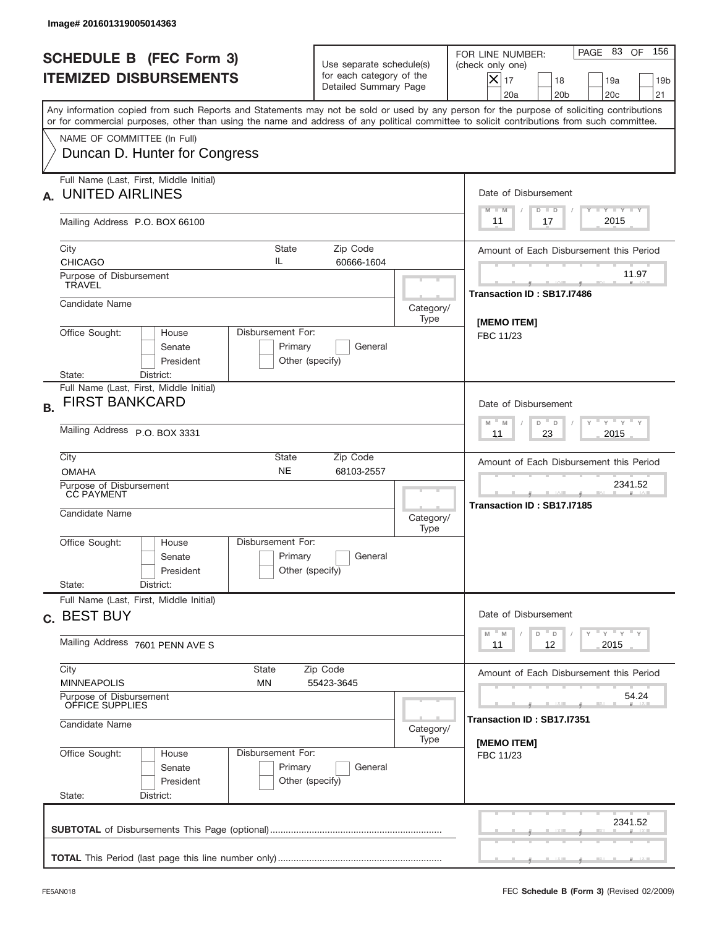| Image# 201601319005014363                                                                                                                                                                                                                                                               |                                                                                         |                                                    |                                                                                                                                                           |  |  |
|-----------------------------------------------------------------------------------------------------------------------------------------------------------------------------------------------------------------------------------------------------------------------------------------|-----------------------------------------------------------------------------------------|----------------------------------------------------|-----------------------------------------------------------------------------------------------------------------------------------------------------------|--|--|
| <b>SCHEDULE B (FEC Form 3)</b><br><b>ITEMIZED DISBURSEMENTS</b>                                                                                                                                                                                                                         | Use separate schedule(s)<br>for each category of the<br>Detailed Summary Page           |                                                    | PAGE 83 OF<br>156<br>FOR LINE NUMBER:<br>(check only one)<br>$X _{17}$<br>18<br>19a<br>19 <sub>b</sub><br>20a<br>20 <sub>b</sub><br>20 <sub>c</sub><br>21 |  |  |
| Any information copied from such Reports and Statements may not be sold or used by any person for the purpose of soliciting contributions<br>or for commercial purposes, other than using the name and address of any political committee to solicit contributions from such committee. |                                                                                         |                                                    |                                                                                                                                                           |  |  |
| NAME OF COMMITTEE (In Full)<br>Duncan D. Hunter for Congress                                                                                                                                                                                                                            |                                                                                         |                                                    |                                                                                                                                                           |  |  |
| Full Name (Last, First, Middle Initial)<br><b>UNITED AIRLINES</b><br>А.                                                                                                                                                                                                                 |                                                                                         |                                                    | Date of Disbursement                                                                                                                                      |  |  |
| Mailing Address P.O. BOX 66100                                                                                                                                                                                                                                                          |                                                                                         |                                                    | Y TY TY TY<br>$M - M$<br>$D$ $D$<br>2015<br>17<br>11                                                                                                      |  |  |
| City<br>State<br>IL<br><b>CHICAGO</b>                                                                                                                                                                                                                                                   | Zip Code<br>60666-1604                                                                  |                                                    | Amount of Each Disbursement this Period                                                                                                                   |  |  |
| Purpose of Disbursement<br><b>TRAVEL</b>                                                                                                                                                                                                                                                |                                                                                         |                                                    | 11.97<br>Transaction ID: SB17.I7486                                                                                                                       |  |  |
| Candidate Name                                                                                                                                                                                                                                                                          |                                                                                         | Category/<br>Type                                  | <b>IMEMO ITEMI</b>                                                                                                                                        |  |  |
| Office Sought:<br>Disbursement For:<br>House<br>Senate<br>President                                                                                                                                                                                                                     | Primary<br>General<br>Other (specify)                                                   |                                                    | FBC 11/23                                                                                                                                                 |  |  |
| State:<br>District:<br>Full Name (Last, First, Middle Initial)<br><b>FIRST BANKCARD</b><br><b>B.</b>                                                                                                                                                                                    | Date of Disbursement<br>ү " ү " ү " ү<br>$-M$<br>M<br>$D$ $-$<br>D                      |                                                    |                                                                                                                                                           |  |  |
| Mailing Address P.O. BOX 3331<br>City<br>State                                                                                                                                                                                                                                          | 23<br>2015<br>11                                                                        |                                                    |                                                                                                                                                           |  |  |
| <b>NE</b><br><b>OMAHA</b>                                                                                                                                                                                                                                                               |                                                                                         | Amount of Each Disbursement this Period<br>2341.52 |                                                                                                                                                           |  |  |
| Purpose of Disbursement<br>CC PAYMENT<br>Candidate Name                                                                                                                                                                                                                                 | Category/<br>Type                                                                       | Transaction ID: SB17.I7185                         |                                                                                                                                                           |  |  |
| Disbursement For:<br>Office Sought:<br>House<br>Senate<br>President                                                                                                                                                                                                                     | Primary<br>General<br>Other (specify)                                                   |                                                    |                                                                                                                                                           |  |  |
| State:<br>District:<br>Full Name (Last, First, Middle Initial)                                                                                                                                                                                                                          |                                                                                         |                                                    |                                                                                                                                                           |  |  |
| c. BEST BUY<br>Mailing Address 7601 PENN AVE S                                                                                                                                                                                                                                          | Date of Disbursement<br>ү" ү" ү" ү<br>$-M$<br>D<br>M<br>$\mathsf D$<br>2015<br>11<br>12 |                                                    |                                                                                                                                                           |  |  |
| City<br>State                                                                                                                                                                                                                                                                           | Zip Code                                                                                |                                                    | Amount of Each Disbursement this Period                                                                                                                   |  |  |
| <b>MINNEAPOLIS</b><br><b>MN</b>                                                                                                                                                                                                                                                         | 55423-3645                                                                              |                                                    | 54.24                                                                                                                                                     |  |  |
| Purpose of Disbursement<br>OFFICE SUPPLIES<br>Candidate Name                                                                                                                                                                                                                            | Category/                                                                               | Transaction ID: SB17.I7351                         |                                                                                                                                                           |  |  |
| Office Sought:<br>Disbursement For:<br>House<br>Senate<br>President<br>State:<br>District:                                                                                                                                                                                              | Primary<br>General<br>Other (specify)                                                   | Type                                               | [MEMO ITEM]<br>FBC 11/23                                                                                                                                  |  |  |
|                                                                                                                                                                                                                                                                                         |                                                                                         |                                                    | 2341.52                                                                                                                                                   |  |  |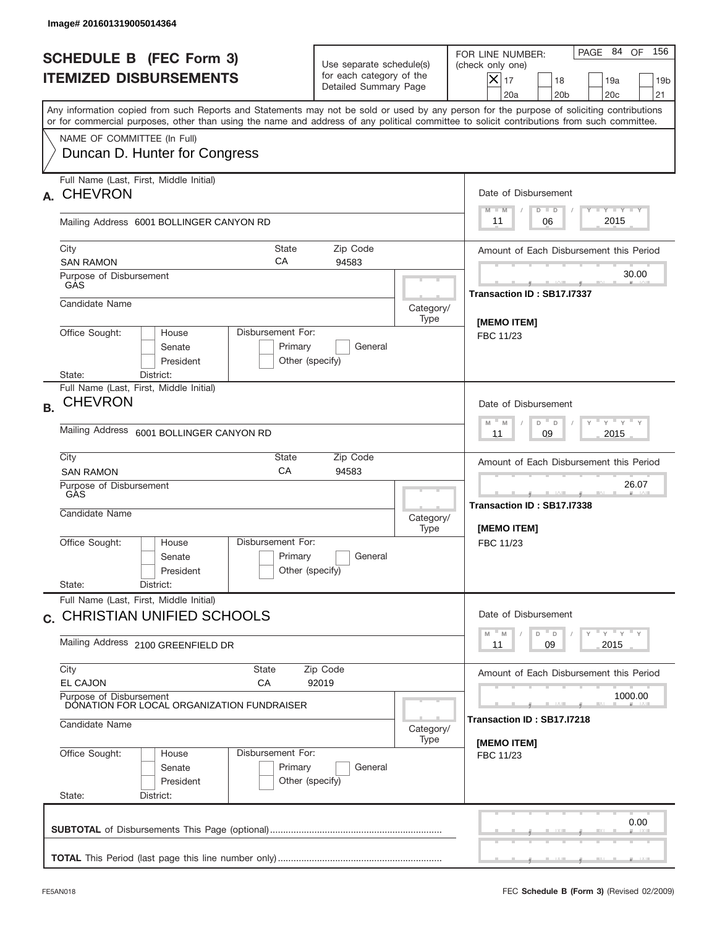|           | Image# 201601319005014364                                                                |                                                                           |                                                                               |                   |                                                                                                                                                                                                                                                                                         |  |  |
|-----------|------------------------------------------------------------------------------------------|---------------------------------------------------------------------------|-------------------------------------------------------------------------------|-------------------|-----------------------------------------------------------------------------------------------------------------------------------------------------------------------------------------------------------------------------------------------------------------------------------------|--|--|
|           | <b>SCHEDULE B (FEC Form 3)</b><br><b>ITEMIZED DISBURSEMENTS</b>                          |                                                                           | Use separate schedule(s)<br>for each category of the<br>Detailed Summary Page |                   | 156<br>PAGE 84<br>OF<br>FOR LINE NUMBER:<br>(check only one)<br>$\overline{\mathsf{x}}$ 17<br>18<br>19a<br>19 <sub>b</sub><br>20 <sub>c</sub><br>20a<br>20 <sub>b</sub><br>21                                                                                                           |  |  |
|           | NAME OF COMMITTEE (In Full)                                                              |                                                                           |                                                                               |                   | Any information copied from such Reports and Statements may not be sold or used by any person for the purpose of soliciting contributions<br>or for commercial purposes, other than using the name and address of any political committee to solicit contributions from such committee. |  |  |
|           | Duncan D. Hunter for Congress                                                            |                                                                           |                                                                               |                   |                                                                                                                                                                                                                                                                                         |  |  |
| A.        | Full Name (Last, First, Middle Initial)<br><b>CHEVRON</b>                                |                                                                           |                                                                               |                   | Date of Disbursement<br>Y TY TY TY<br>$D$ $D$<br>$M - M$                                                                                                                                                                                                                                |  |  |
|           | Mailing Address 6001 BOLLINGER CANYON RD                                                 |                                                                           |                                                                               |                   | 2015<br>11<br>06                                                                                                                                                                                                                                                                        |  |  |
|           | City<br><b>SAN RAMON</b>                                                                 | <b>State</b><br>СA                                                        | Zip Code<br>94583                                                             |                   | Amount of Each Disbursement this Period                                                                                                                                                                                                                                                 |  |  |
|           | Purpose of Disbursement<br>GAS                                                           |                                                                           |                                                                               |                   | 30.00<br>Transaction ID: SB17.I7337                                                                                                                                                                                                                                                     |  |  |
|           | Candidate Name                                                                           |                                                                           |                                                                               | Category/<br>Type | [MEMO ITEM]                                                                                                                                                                                                                                                                             |  |  |
|           | Office Sought:<br>House<br>Senate<br>President<br>State:<br>District:                    | Disbursement For:<br>Primary<br>Other (specify)                           | General                                                                       |                   | FBC 11/23                                                                                                                                                                                                                                                                               |  |  |
| <b>B.</b> | Full Name (Last, First, Middle Initial)<br><b>CHEVRON</b>                                | Date of Disbursement                                                      |                                                                               |                   |                                                                                                                                                                                                                                                                                         |  |  |
|           | Mailing Address<br>6001 BOLLINGER CANYON RD                                              | $-\gamma + \gamma - \gamma$<br>$M - M$<br>D<br>$\Box$<br>2015<br>11<br>09 |                                                                               |                   |                                                                                                                                                                                                                                                                                         |  |  |
|           | City<br><b>SAN RAMON</b>                                                                 | State<br>Zip Code<br>CA<br>94583                                          |                                                                               |                   |                                                                                                                                                                                                                                                                                         |  |  |
|           | Purpose of Disbursement<br>GAS<br>Candidate Name                                         |                                                                           |                                                                               | Category/<br>Type | 26.07<br>________<br>Transaction ID: SB17.I7338<br>[MEMO ITEM]                                                                                                                                                                                                                          |  |  |
|           | Office Sought:<br>House<br>Senate<br>President                                           | Disbursement For:<br>Primary<br>Other (specify)                           | General                                                                       |                   | FBC 11/23                                                                                                                                                                                                                                                                               |  |  |
|           | State:<br>District:<br>Full Name (Last, First, Middle Initial)                           |                                                                           |                                                                               |                   |                                                                                                                                                                                                                                                                                         |  |  |
|           | c. CHRISTIAN UNIFIED SCHOOLS<br>Mailing Address 2100 GREENFIELD DR                       |                                                                           |                                                                               |                   | Date of Disbursement<br>$\gamma$ = $\gamma$ = $\gamma$ = $\gamma$<br>M<br>D<br>M<br>D<br>09<br>2015<br>11                                                                                                                                                                               |  |  |
|           | City                                                                                     | State<br>СA                                                               | Zip Code<br>92019                                                             |                   | Amount of Each Disbursement this Period                                                                                                                                                                                                                                                 |  |  |
|           | <b>EL CAJON</b><br>Purpose of Disbursement<br>DONATION FOR LOCAL ORGANIZATION FUNDRAISER |                                                                           | 1000.00                                                                       |                   |                                                                                                                                                                                                                                                                                         |  |  |
|           | Candidate Name<br>Category/                                                              |                                                                           |                                                                               |                   | Transaction ID : SB17.I7218<br>[MEMO ITEM]                                                                                                                                                                                                                                              |  |  |
|           | Office Sought:<br>House<br>Senate<br>President<br>State:<br>District:                    | Disbursement For:<br>Primary<br>Other (specify)                           | General                                                                       | Type              | FBC 11/23                                                                                                                                                                                                                                                                               |  |  |
|           |                                                                                          |                                                                           |                                                                               |                   | 0.00                                                                                                                                                                                                                                                                                    |  |  |
|           |                                                                                          |                                                                           |                                                                               |                   |                                                                                                                                                                                                                                                                                         |  |  |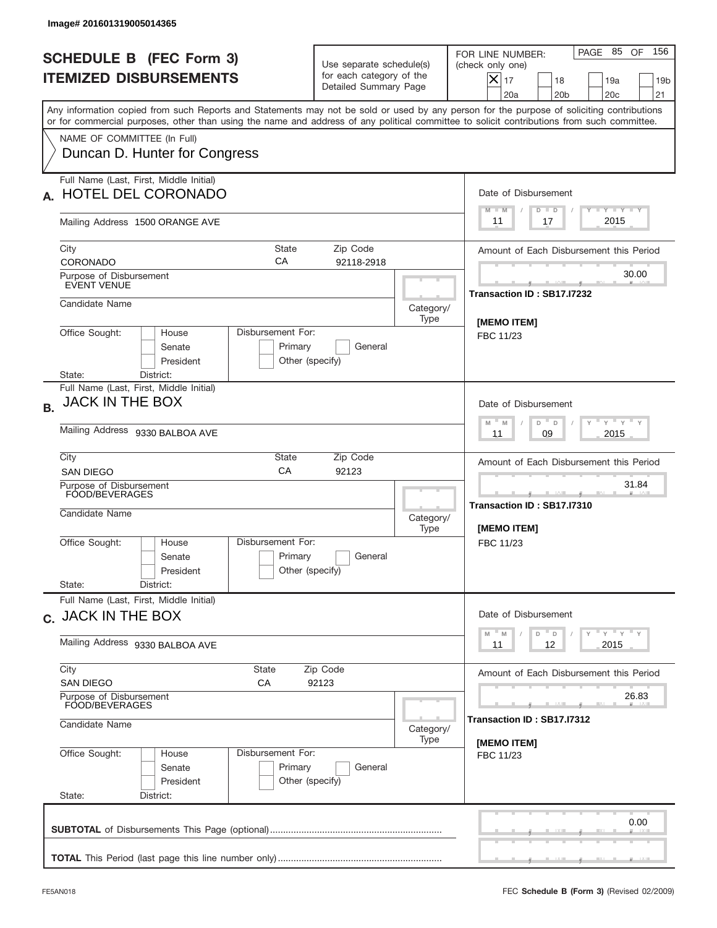| Image# 201601319005014365                                                                                                                                                                                                                                                               |                                                                                      |                                           |                                                                                                                                                    |
|-----------------------------------------------------------------------------------------------------------------------------------------------------------------------------------------------------------------------------------------------------------------------------------------|--------------------------------------------------------------------------------------|-------------------------------------------|----------------------------------------------------------------------------------------------------------------------------------------------------|
| <b>SCHEDULE B (FEC Form 3)</b><br><b>ITEMIZED DISBURSEMENTS</b>                                                                                                                                                                                                                         | Use separate schedule(s)<br>for each category of the<br>Detailed Summary Page        |                                           | 156<br>PAGE 85 OF<br>FOR LINE NUMBER:<br>(check only one)<br>$\boldsymbol{\times}$<br>17<br>18<br>19a<br>20a<br>20 <sub>b</sub><br>20 <sub>c</sub> |
| Any information copied from such Reports and Statements may not be sold or used by any person for the purpose of soliciting contributions<br>or for commercial purposes, other than using the name and address of any political committee to solicit contributions from such committee. |                                                                                      |                                           |                                                                                                                                                    |
| NAME OF COMMITTEE (In Full)<br>Duncan D. Hunter for Congress                                                                                                                                                                                                                            |                                                                                      |                                           |                                                                                                                                                    |
| Full Name (Last, First, Middle Initial)<br><b>HOTEL DEL CORONADO</b>                                                                                                                                                                                                                    |                                                                                      |                                           | Date of Disbursement<br>Y TY TY TY<br>$M - M$<br>$D$ $D$                                                                                           |
| Mailing Address 1500 ORANGE AVE                                                                                                                                                                                                                                                         |                                                                                      |                                           | 2015<br>17<br>11                                                                                                                                   |
| City<br><b>State</b><br>СA<br><b>CORONADO</b>                                                                                                                                                                                                                                           | Zip Code<br>92118-2918                                                               |                                           | Amount of Each Disbursement this Period                                                                                                            |
| Purpose of Disbursement<br>EVENT VENUE                                                                                                                                                                                                                                                  |                                                                                      |                                           | 30.00<br>Transaction ID: SB17.I7232                                                                                                                |
| Candidate Name                                                                                                                                                                                                                                                                          |                                                                                      | Category/<br>Type                         | [MEMO ITEM]                                                                                                                                        |
| Office Sought:<br>Disbursement For:<br>House<br>Senate<br>Primary<br>President<br>State:<br>District:                                                                                                                                                                                   | General<br>Other (specify)                                                           |                                           | FBC 11/23                                                                                                                                          |
| Full Name (Last, First, Middle Initial)<br>JACK IN THE BOX<br><b>B.</b>                                                                                                                                                                                                                 | Date of Disbursement<br>$-\gamma + \gamma - \gamma$<br>D <sup>"</sup><br>M<br>M<br>D |                                           |                                                                                                                                                    |
| Mailing Address 9330 BALBOA AVE<br>City<br>State                                                                                                                                                                                                                                        | 2015<br>11<br>09                                                                     |                                           |                                                                                                                                                    |
| CA<br><b>SAN DIEGO</b><br>Purpose of Disbursement                                                                                                                                                                                                                                       | Amount of Each Disbursement this Period<br>31.84                                     |                                           |                                                                                                                                                    |
| FOOD/BEVERAGES<br>Candidate Name                                                                                                                                                                                                                                                        | Category/<br>Type                                                                    | Transaction ID: SB17.17310<br>[MEMO ITEM] |                                                                                                                                                    |
| Disbursement For:<br>Office Sought:<br>House<br>Primary<br>Senate<br>President<br>State:<br>District:                                                                                                                                                                                   | General<br>Other (specify)                                                           |                                           | FBC 11/23                                                                                                                                          |
| Full Name (Last, First, Middle Initial)<br>c. JACK IN THE BOX                                                                                                                                                                                                                           |                                                                                      |                                           | Date of Disbursement                                                                                                                               |
| Mailing Address 9330 BALBOA AVE                                                                                                                                                                                                                                                         | ү "ү "ү "ү<br>$-M$<br>D<br>D<br>M<br>2015<br>11<br>12                                |                                           |                                                                                                                                                    |
| City<br>State<br><b>SAN DIEGO</b><br>СA                                                                                                                                                                                                                                                 | Zip Code<br>92123                                                                    |                                           | Amount of Each Disbursement this Period                                                                                                            |
| Purpose of Disbursement<br>FOOD/BEVERAGES                                                                                                                                                                                                                                               |                                                                                      | 26.83                                     |                                                                                                                                                    |
| Candidate Name                                                                                                                                                                                                                                                                          | Transaction ID: SB17.I7312<br>Category/<br>[MEMO ITEM]                               |                                           |                                                                                                                                                    |
| Office Sought:<br>Disbursement For:<br>House<br>Primary<br>Senate<br>President<br>State:<br>District:                                                                                                                                                                                   | General<br>Other (specify)                                                           |                                           | FBC 11/23                                                                                                                                          |
|                                                                                                                                                                                                                                                                                         |                                                                                      |                                           | 0.00                                                                                                                                               |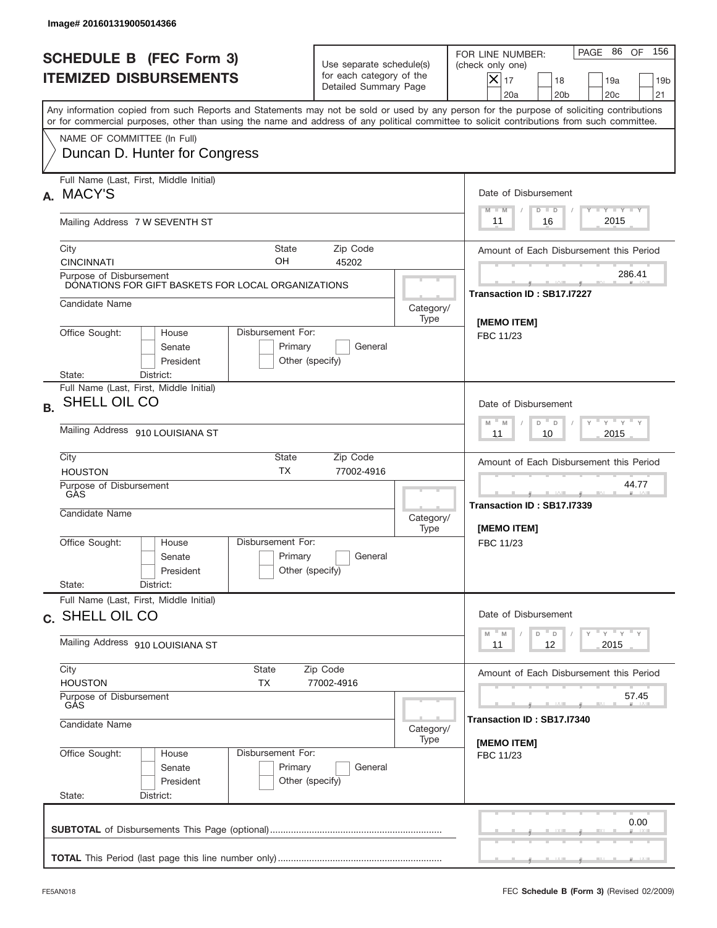|           | Image# 201601319005014366                                                                                                                                                                                                                                                               |                                                                               |                                                            |                                                                                                                                                              |
|-----------|-----------------------------------------------------------------------------------------------------------------------------------------------------------------------------------------------------------------------------------------------------------------------------------------|-------------------------------------------------------------------------------|------------------------------------------------------------|--------------------------------------------------------------------------------------------------------------------------------------------------------------|
|           | <b>SCHEDULE B (FEC Form 3)</b><br><b>ITEMIZED DISBURSEMENTS</b>                                                                                                                                                                                                                         | Use separate schedule(s)<br>for each category of the<br>Detailed Summary Page |                                                            | 156<br>PAGE 86<br>OF<br>FOR LINE NUMBER:<br>(check only one)<br>$X _{17}$<br>18<br>19a<br>19 <sub>b</sub><br>20 <sub>c</sub><br>20a<br>20 <sub>b</sub><br>21 |
|           | Any information copied from such Reports and Statements may not be sold or used by any person for the purpose of soliciting contributions<br>or for commercial purposes, other than using the name and address of any political committee to solicit contributions from such committee. |                                                                               |                                                            |                                                                                                                                                              |
|           | NAME OF COMMITTEE (In Full)<br>Duncan D. Hunter for Congress                                                                                                                                                                                                                            |                                                                               |                                                            |                                                                                                                                                              |
| А.        | Full Name (Last, First, Middle Initial)<br><b>MACY'S</b>                                                                                                                                                                                                                                |                                                                               |                                                            | Date of Disbursement<br><b>TANK TANK</b>                                                                                                                     |
|           | Mailing Address 7 W SEVENTH ST                                                                                                                                                                                                                                                          |                                                                               |                                                            | $D$ $D$<br>$M - M$<br>2015<br>16<br>11                                                                                                                       |
|           | City<br>State<br>OН<br><b>CINCINNATI</b>                                                                                                                                                                                                                                                | Zip Code<br>45202                                                             |                                                            | Amount of Each Disbursement this Period                                                                                                                      |
|           | Purpose of Disbursement<br>DONATIONS FOR GIFT BASKETS FOR LOCAL ORGANIZATIONS                                                                                                                                                                                                           |                                                                               |                                                            | 286.41<br>Transaction ID: SB17.I7227                                                                                                                         |
|           | Candidate Name<br>Disbursement For:<br>House                                                                                                                                                                                                                                            |                                                                               | Category/<br>Type                                          | [MEMO ITEM]                                                                                                                                                  |
|           | Office Sought:<br>Senate<br>Primary<br>President<br>State:<br>District:                                                                                                                                                                                                                 | General<br>Other (specify)                                                    |                                                            | FBC 11/23                                                                                                                                                    |
| <b>B.</b> | Full Name (Last, First, Middle Initial)<br>SHELL OIL CO                                                                                                                                                                                                                                 | Date of Disbursement                                                          |                                                            |                                                                                                                                                              |
|           | Mailing Address 910 LOUISIANA ST                                                                                                                                                                                                                                                        | $-\gamma + \gamma - \gamma$<br>$M - M$<br>D<br>$\Box$<br>2015<br>11<br>10     |                                                            |                                                                                                                                                              |
|           | City<br>State<br><b>TX</b><br><b>HOUSTON</b>                                                                                                                                                                                                                                            | Amount of Each Disbursement this Period                                       |                                                            |                                                                                                                                                              |
|           | Purpose of Disbursement<br>GÀS<br>Candidate Name                                                                                                                                                                                                                                        | Category/<br>Type                                                             | 44.77<br>____<br>Transaction ID: SB17.I7339<br>[MEMO ITEM] |                                                                                                                                                              |
|           | Disbursement For:<br>Office Sought:<br>House<br>Primary<br>Senate<br>President                                                                                                                                                                                                          | General<br>Other (specify)                                                    |                                                            | FBC 11/23                                                                                                                                                    |
|           | State:<br>District:<br>Full Name (Last, First, Middle Initial)                                                                                                                                                                                                                          |                                                                               |                                                            |                                                                                                                                                              |
|           | c. SHELL OIL CO                                                                                                                                                                                                                                                                         | Date of Disbursement<br>$Y$ $Y$ $Y$ $Y$ $Y$<br>$-M$<br>D<br>M<br>D            |                                                            |                                                                                                                                                              |
|           | Mailing Address 910 LOUISIANA ST<br>City<br>State                                                                                                                                                                                                                                       | 12<br>2015<br>11                                                              |                                                            |                                                                                                                                                              |
|           | <b>HOUSTON</b><br>TX<br>Purpose of Disbursement                                                                                                                                                                                                                                         | Zip Code<br>77002-4916                                                        |                                                            | Amount of Each Disbursement this Period<br>57.45                                                                                                             |
|           | GÅS<br>Candidate Name                                                                                                                                                                                                                                                                   | Transaction ID : SB17.I7340<br>Category/                                      |                                                            |                                                                                                                                                              |
|           | Office Sought:<br>Disbursement For:<br>House<br>Primary<br>Senate<br>President<br>State:<br>District:                                                                                                                                                                                   | General<br>Other (specify)                                                    | Type                                                       | [MEMO ITEM]<br>FBC 11/23                                                                                                                                     |
|           |                                                                                                                                                                                                                                                                                         |                                                                               |                                                            | 0.00                                                                                                                                                         |
|           |                                                                                                                                                                                                                                                                                         |                                                                               |                                                            |                                                                                                                                                              |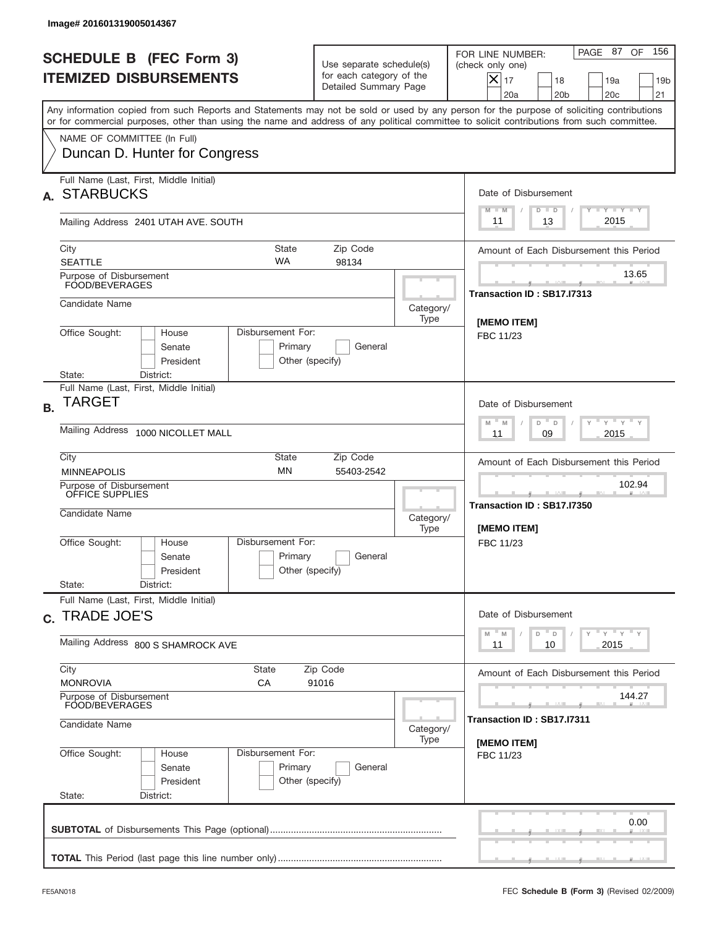|           | Image# 201601319005014367                                                                                                                                                                                                                                                               |                                                                                           |                                                                               |                   |                                                                                                                                                              |  |  |
|-----------|-----------------------------------------------------------------------------------------------------------------------------------------------------------------------------------------------------------------------------------------------------------------------------------------|-------------------------------------------------------------------------------------------|-------------------------------------------------------------------------------|-------------------|--------------------------------------------------------------------------------------------------------------------------------------------------------------|--|--|
|           | <b>SCHEDULE B (FEC Form 3)</b><br><b>ITEMIZED DISBURSEMENTS</b>                                                                                                                                                                                                                         |                                                                                           | Use separate schedule(s)<br>for each category of the<br>Detailed Summary Page |                   | 156<br>PAGE 87<br>OF<br>FOR LINE NUMBER:<br>(check only one)<br>$X _{17}$<br>18<br>19a<br>19 <sub>b</sub><br>20 <sub>c</sub><br>20a<br>20 <sub>b</sub><br>21 |  |  |
|           | Any information copied from such Reports and Statements may not be sold or used by any person for the purpose of soliciting contributions<br>or for commercial purposes, other than using the name and address of any political committee to solicit contributions from such committee. |                                                                                           |                                                                               |                   |                                                                                                                                                              |  |  |
|           | NAME OF COMMITTEE (In Full)<br>Duncan D. Hunter for Congress                                                                                                                                                                                                                            |                                                                                           |                                                                               |                   |                                                                                                                                                              |  |  |
| А.        | Full Name (Last, First, Middle Initial)<br><b>STARBUCKS</b>                                                                                                                                                                                                                             |                                                                                           |                                                                               |                   | Date of Disbursement<br><b>TANK TANK</b>                                                                                                                     |  |  |
|           | Mailing Address 2401 UTAH AVE. SOUTH                                                                                                                                                                                                                                                    |                                                                                           |                                                                               |                   | $M - M$<br>$D$ $D$<br>2015<br>13<br>11                                                                                                                       |  |  |
|           | City<br><b>SEATTLE</b>                                                                                                                                                                                                                                                                  | State<br><b>WA</b>                                                                        | Zip Code<br>98134                                                             |                   | Amount of Each Disbursement this Period                                                                                                                      |  |  |
|           | Purpose of Disbursement<br>FOOD/BEVERAGES                                                                                                                                                                                                                                               |                                                                                           |                                                                               |                   | 13.65<br>Transaction ID: SB17.I7313                                                                                                                          |  |  |
|           | Candidate Name                                                                                                                                                                                                                                                                          |                                                                                           |                                                                               | Category/<br>Type | [MEMO ITEM]                                                                                                                                                  |  |  |
|           | Office Sought:<br>House<br>Senate<br>President<br>State:<br>District:                                                                                                                                                                                                                   | Disbursement For:<br>Primary<br>Other (specify)                                           | General                                                                       |                   | FBC 11/23                                                                                                                                                    |  |  |
| <b>B.</b> | Full Name (Last, First, Middle Initial)<br>TARGET                                                                                                                                                                                                                                       | Date of Disbursement                                                                      |                                                                               |                   |                                                                                                                                                              |  |  |
|           | Mailing Address<br>1000 NICOLLET MALL                                                                                                                                                                                                                                                   | $\cdots$ $\gamma$ $\cdots$ $\gamma$ $\cdots$<br>$-$ M<br>M<br>D<br>D<br>2015<br>11<br>09  |                                                                               |                   |                                                                                                                                                              |  |  |
|           | City<br>State<br><b>MINNEAPOLIS</b>                                                                                                                                                                                                                                                     | Amount of Each Disbursement this Period                                                   |                                                                               |                   |                                                                                                                                                              |  |  |
|           | Purpose of Disbursement<br>OFFICE SUPPLIES<br>Candidate Name                                                                                                                                                                                                                            | Category/<br>Type                                                                         | 102.94<br>المسامد<br>Transaction ID: SB17.I7350<br>[MEMO ITEM]                |                   |                                                                                                                                                              |  |  |
|           | Office Sought:<br>House<br>Senate<br>President<br>State:                                                                                                                                                                                                                                | Disbursement For:<br>Primary<br>Other (specify)                                           | General                                                                       |                   | FBC 11/23                                                                                                                                                    |  |  |
|           | District:<br>Full Name (Last, First, Middle Initial)                                                                                                                                                                                                                                    |                                                                                           |                                                                               |                   | Date of Disbursement                                                                                                                                         |  |  |
|           | c. TRADE JOE'S<br>Mailing Address 800 S SHAMROCK AVE                                                                                                                                                                                                                                    | γ <sup>=</sup> γ <sup>=</sup> γ <sup>=</sup> γ<br>$-M$<br>D<br>M<br>D<br>2015<br>11<br>10 |                                                                               |                   |                                                                                                                                                              |  |  |
|           | City<br>State<br><b>MONROVIA</b><br>СA                                                                                                                                                                                                                                                  |                                                                                           | Zip Code<br>91016                                                             |                   | Amount of Each Disbursement this Period                                                                                                                      |  |  |
|           | Purpose of Disbursement<br>FOOD/BEVERAGES                                                                                                                                                                                                                                               | 144.27<br>Transaction ID : SB17.I7311                                                     |                                                                               |                   |                                                                                                                                                              |  |  |
|           | Candidate Name                                                                                                                                                                                                                                                                          | Category/<br>Type                                                                         | [MEMO ITEM]                                                                   |                   |                                                                                                                                                              |  |  |
|           | Office Sought:<br>House<br>Senate<br>President<br>State:<br>District:                                                                                                                                                                                                                   | Disbursement For:<br>Primary<br>Other (specify)                                           | General                                                                       |                   | FBC 11/23                                                                                                                                                    |  |  |
|           |                                                                                                                                                                                                                                                                                         |                                                                                           |                                                                               |                   | 0.00                                                                                                                                                         |  |  |
|           |                                                                                                                                                                                                                                                                                         |                                                                                           |                                                                               |                   |                                                                                                                                                              |  |  |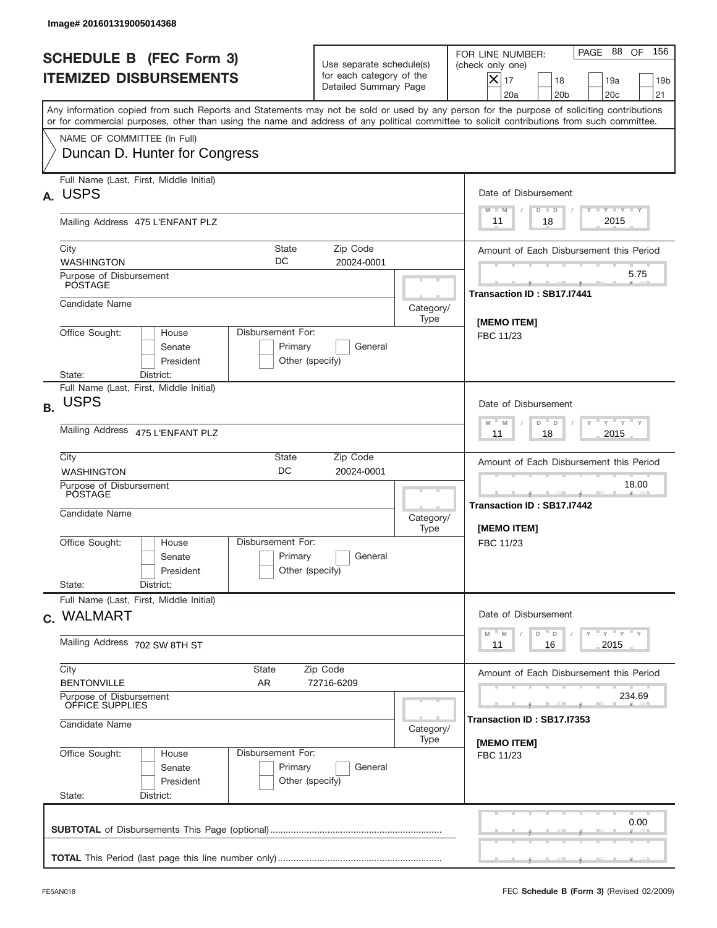|           | Image# 201601319005014368                                                                                                                                                                                                                                                               |                                                                                                   |                                                                               |                   |                                                                                                                                                              |
|-----------|-----------------------------------------------------------------------------------------------------------------------------------------------------------------------------------------------------------------------------------------------------------------------------------------|---------------------------------------------------------------------------------------------------|-------------------------------------------------------------------------------|-------------------|--------------------------------------------------------------------------------------------------------------------------------------------------------------|
|           | <b>SCHEDULE B (FEC Form 3)</b><br><b>ITEMIZED DISBURSEMENTS</b>                                                                                                                                                                                                                         |                                                                                                   | Use separate schedule(s)<br>for each category of the<br>Detailed Summary Page |                   | 156<br>PAGE 88<br>OF<br>FOR LINE NUMBER:<br>(check only one)<br>$X _{17}$<br>18<br>19a<br>19 <sub>b</sub><br>20 <sub>c</sub><br>20a<br>20 <sub>b</sub><br>21 |
|           | Any information copied from such Reports and Statements may not be sold or used by any person for the purpose of soliciting contributions<br>or for commercial purposes, other than using the name and address of any political committee to solicit contributions from such committee. |                                                                                                   |                                                                               |                   |                                                                                                                                                              |
|           | NAME OF COMMITTEE (In Full)<br>Duncan D. Hunter for Congress                                                                                                                                                                                                                            |                                                                                                   |                                                                               |                   |                                                                                                                                                              |
| А.        | Full Name (Last, First, Middle Initial)<br><b>USPS</b>                                                                                                                                                                                                                                  |                                                                                                   |                                                                               |                   | Date of Disbursement<br><b>TANK TANK</b>                                                                                                                     |
|           | Mailing Address 475 L'ENFANT PLZ                                                                                                                                                                                                                                                        |                                                                                                   |                                                                               |                   | $M - M$<br>$D$ $D$<br>2015<br>18<br>11                                                                                                                       |
|           | City<br>DC<br><b>WASHINGTON</b>                                                                                                                                                                                                                                                         | State                                                                                             | Zip Code<br>20024-0001                                                        |                   | Amount of Each Disbursement this Period                                                                                                                      |
|           | Purpose of Disbursement<br>PÓSTAGE                                                                                                                                                                                                                                                      |                                                                                                   |                                                                               |                   | 5.75<br>Transaction ID: SB17.I7441                                                                                                                           |
|           | Candidate Name                                                                                                                                                                                                                                                                          |                                                                                                   |                                                                               | Category/<br>Type | [MEMO ITEM]                                                                                                                                                  |
|           | Office Sought:<br>Disbursement For:<br>House<br>Senate<br>President<br>State:<br>District:                                                                                                                                                                                              | Primary<br>Other (specify)                                                                        | General                                                                       |                   | FBC 11/23                                                                                                                                                    |
| <b>B.</b> | Full Name (Last, First, Middle Initial)<br><b>USPS</b>                                                                                                                                                                                                                                  | Date of Disbursement                                                                              |                                                                               |                   |                                                                                                                                                              |
|           | Mailing Address 475 L'ENFANT PLZ                                                                                                                                                                                                                                                        | $\cdots$ $\gamma$ $\cdots$ $\gamma$ $\cdots$ $\gamma$<br>$M$ M<br>D<br>$\Box$<br>2015<br>11<br>18 |                                                                               |                   |                                                                                                                                                              |
|           | City<br>State<br>DC<br><b>WASHINGTON</b>                                                                                                                                                                                                                                                |                                                                                                   | Amount of Each Disbursement this Period                                       |                   |                                                                                                                                                              |
|           | Purpose of Disbursement<br>POSTAGE<br>Candidate Name                                                                                                                                                                                                                                    | Category/<br>Type                                                                                 | 18.00<br>_______<br>Transaction ID: SB17.I7442<br>[MEMO ITEM]                 |                   |                                                                                                                                                              |
|           | Disbursement For:<br>Office Sought:<br>House<br>Senate<br>President<br>State:<br>District:                                                                                                                                                                                              | Primary<br>Other (specify)                                                                        | General                                                                       |                   | FBC 11/23                                                                                                                                                    |
|           | Full Name (Last, First, Middle Initial)                                                                                                                                                                                                                                                 |                                                                                                   |                                                                               |                   |                                                                                                                                                              |
|           | c. WALMART<br>Mailing Address 702 SW 8TH ST                                                                                                                                                                                                                                             | Date of Disbursement<br>$Y$ $Y$ $Y$ $Y$ $Y$<br>$-M$<br>D<br>M<br>D<br>2015<br>11<br>16            |                                                                               |                   |                                                                                                                                                              |
|           | City<br>State<br><b>BENTONVILLE</b><br>AR                                                                                                                                                                                                                                               |                                                                                                   | Zip Code<br>72716-6209                                                        |                   | Amount of Each Disbursement this Period                                                                                                                      |
|           | Purpose of Disbursement<br>OFFICE SUPPLIES                                                                                                                                                                                                                                              | 234.69                                                                                            |                                                                               |                   |                                                                                                                                                              |
|           | Candidate Name                                                                                                                                                                                                                                                                          | Transaction ID : SB17.I7353<br>[MEMO ITEM]                                                        |                                                                               |                   |                                                                                                                                                              |
|           | Office Sought:<br>Disbursement For:<br>House<br>Senate<br>President<br>State:<br>District:                                                                                                                                                                                              | Primary<br>Other (specify)                                                                        | General                                                                       |                   | FBC 11/23                                                                                                                                                    |
|           |                                                                                                                                                                                                                                                                                         |                                                                                                   |                                                                               |                   | 0.00                                                                                                                                                         |
|           |                                                                                                                                                                                                                                                                                         |                                                                                                   |                                                                               |                   |                                                                                                                                                              |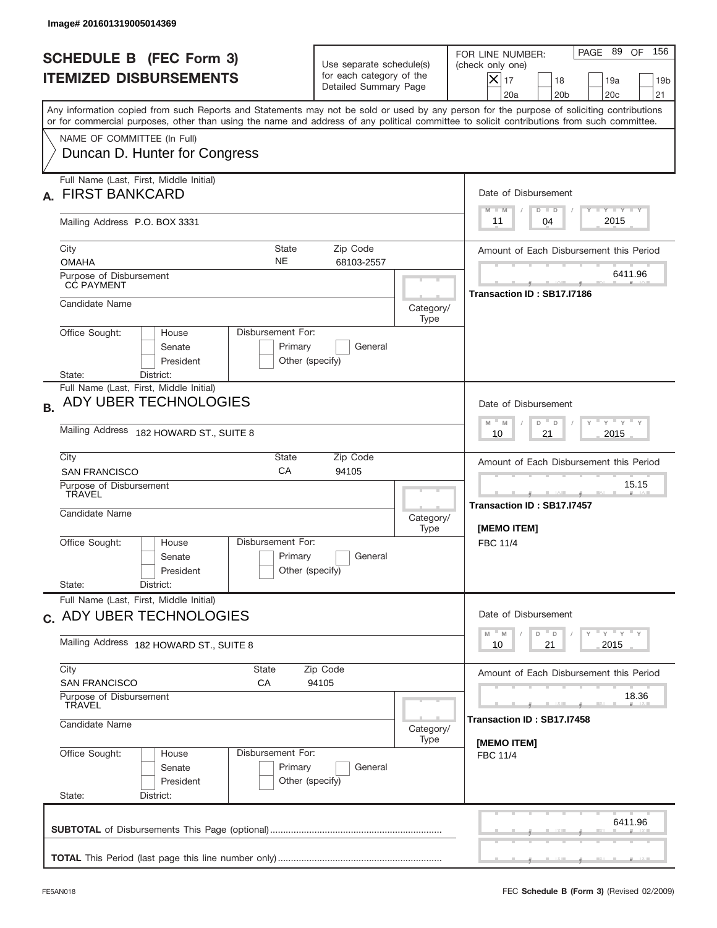| <b>SCHEDULE B (FEC Form 3)</b>                                                                                                                                                                                                                                                          |                                                                               |                                                             |                                                                                                                                                              |
|-----------------------------------------------------------------------------------------------------------------------------------------------------------------------------------------------------------------------------------------------------------------------------------------|-------------------------------------------------------------------------------|-------------------------------------------------------------|--------------------------------------------------------------------------------------------------------------------------------------------------------------|
| <b>ITEMIZED DISBURSEMENTS</b>                                                                                                                                                                                                                                                           | Use separate schedule(s)<br>for each category of the<br>Detailed Summary Page |                                                             | PAGE 89<br>OF<br>156<br>FOR LINE NUMBER:<br>(check only one)<br>$X _{17}$<br>18<br>19a<br>19 <sub>b</sub><br>20a<br>20 <sub>b</sub><br>20 <sub>c</sub><br>21 |
| Any information copied from such Reports and Statements may not be sold or used by any person for the purpose of soliciting contributions<br>or for commercial purposes, other than using the name and address of any political committee to solicit contributions from such committee. |                                                                               |                                                             |                                                                                                                                                              |
| NAME OF COMMITTEE (In Full)<br>Duncan D. Hunter for Congress                                                                                                                                                                                                                            |                                                                               |                                                             |                                                                                                                                                              |
| Full Name (Last, First, Middle Initial)<br><b>FIRST BANKCARD</b>                                                                                                                                                                                                                        |                                                                               |                                                             | Date of Disbursement                                                                                                                                         |
| Mailing Address P.O. BOX 3331                                                                                                                                                                                                                                                           |                                                                               |                                                             | $Y$ $Y$ $Y$ $Y$ $Y$<br>$D$ $D$<br>$M - M$<br>2015<br>11<br>04                                                                                                |
| City<br><b>State</b><br><b>NE</b><br><b>OMAHA</b>                                                                                                                                                                                                                                       | Amount of Each Disbursement this Period                                       |                                                             |                                                                                                                                                              |
| Purpose of Disbursement<br><b>CC PAYMENT</b>                                                                                                                                                                                                                                            |                                                                               |                                                             | 6411.96<br>Transaction ID: SB17.I7186                                                                                                                        |
| Candidate Name                                                                                                                                                                                                                                                                          |                                                                               | Category/<br>Type                                           |                                                                                                                                                              |
| Office Sought:<br>Disbursement For:<br>House<br>Senate<br>President                                                                                                                                                                                                                     | Primary<br>General<br>Other (specify)                                         |                                                             |                                                                                                                                                              |
| District:<br>State:<br>Full Name (Last, First, Middle Initial)<br>ADY UBER TECHNOLOGIES<br><b>B.</b><br>Mailing Address 182 HOWARD ST., SUITE 8                                                                                                                                         | Date of Disbursement<br>ү " ү " ү " ү<br>$M - M$<br>D<br>$\Box$               |                                                             |                                                                                                                                                              |
| City<br>State<br>CA<br><b>SAN FRANCISCO</b>                                                                                                                                                                                                                                             |                                                                               | 2015<br>10<br>21<br>Amount of Each Disbursement this Period |                                                                                                                                                              |
| 94105<br>Purpose of Disbursement<br>TRAVEL<br>Candidate Name                                                                                                                                                                                                                            |                                                                               |                                                             | 15.15<br>____<br>Transaction ID: SB17.I7457<br>[MEMO ITEM]                                                                                                   |
| Disbursement For:<br>Office Sought:<br>House<br>Senate<br>President<br>State:<br>District:                                                                                                                                                                                              | Primary<br>General<br>Other (specify)                                         |                                                             | FBC 11/4                                                                                                                                                     |
| Full Name (Last, First, Middle Initial)<br>c. ADY UBER TECHNOLOGIES                                                                                                                                                                                                                     | Date of Disbursement                                                          |                                                             |                                                                                                                                                              |
| Mailing Address 182 HOWARD ST., SUITE 8                                                                                                                                                                                                                                                 | ү" ү" ү" ү<br>$-M$<br>D<br>M<br>D<br>2015<br>10<br>21                         |                                                             |                                                                                                                                                              |
| City<br>State<br><b>SAN FRANCISCO</b><br>СA                                                                                                                                                                                                                                             | Zip Code<br>94105                                                             |                                                             | Amount of Each Disbursement this Period                                                                                                                      |
| Purpose of Disbursement<br>TRAVEL<br>Candidate Name                                                                                                                                                                                                                                     | Category/                                                                     | 18.36<br>Transaction ID : SB17.I7458                        |                                                                                                                                                              |
| Office Sought:<br>Disbursement For:<br>House<br>Senate<br>President<br>State:<br>District:                                                                                                                                                                                              | Primary<br>General<br>Other (specify)                                         | Type                                                        | [MEMO ITEM]<br><b>FBC 11/4</b>                                                                                                                               |
|                                                                                                                                                                                                                                                                                         |                                                                               |                                                             | 6411.96                                                                                                                                                      |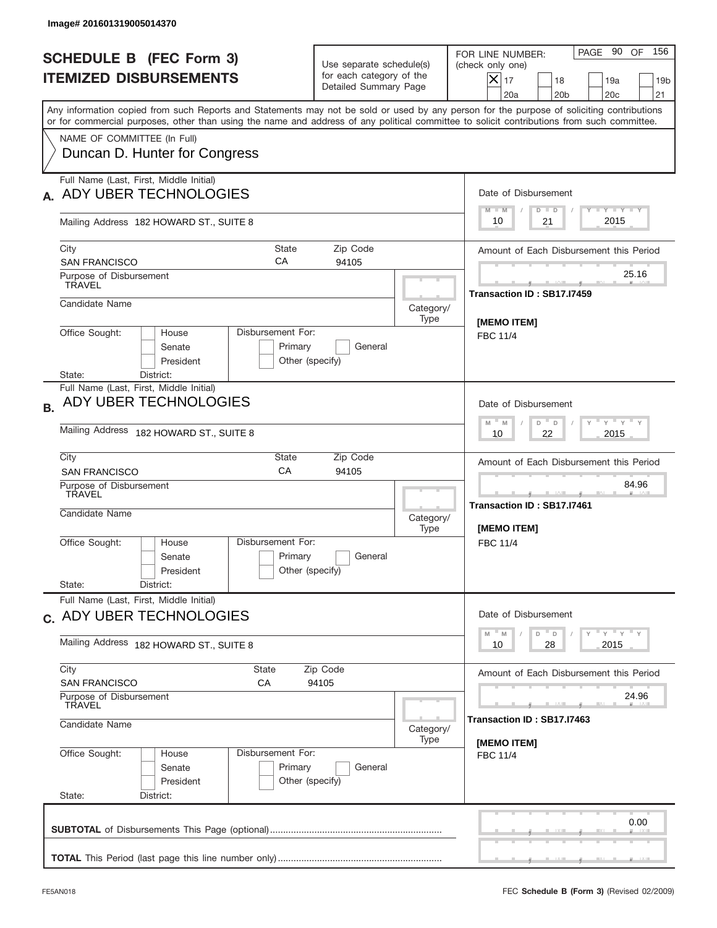| <b>SCHEDULE B (FEC Form 3)</b><br><b>ITEMIZED DISBURSEMENTS</b>                                                                                                                                                                                                                         | Use separate schedule(s)<br>for each category of the<br>Detailed Summary Page |                                                   | PAGE 90 OF<br>156<br>FOR LINE NUMBER:<br>(check only one)<br>$ \mathsf{X} _{17}$<br>18<br>19a<br>19 <sub>b</sub><br>20a<br>20 <sub>b</sub><br>20c<br>21 |
|-----------------------------------------------------------------------------------------------------------------------------------------------------------------------------------------------------------------------------------------------------------------------------------------|-------------------------------------------------------------------------------|---------------------------------------------------|---------------------------------------------------------------------------------------------------------------------------------------------------------|
| Any information copied from such Reports and Statements may not be sold or used by any person for the purpose of soliciting contributions<br>or for commercial purposes, other than using the name and address of any political committee to solicit contributions from such committee. |                                                                               |                                                   |                                                                                                                                                         |
| NAME OF COMMITTEE (In Full)<br>Duncan D. Hunter for Congress                                                                                                                                                                                                                            |                                                                               |                                                   |                                                                                                                                                         |
| Full Name (Last, First, Middle Initial)<br>ADY UBER TECHNOLOGIES                                                                                                                                                                                                                        |                                                                               |                                                   | Date of Disbursement                                                                                                                                    |
| Mailing Address 182 HOWARD ST., SUITE 8                                                                                                                                                                                                                                                 |                                                                               |                                                   | Y TY TY TY<br>$M - M$<br>$D$ $D$<br>2015<br>10<br>21                                                                                                    |
| City<br><b>State</b><br>CA<br><b>SAN FRANCISCO</b>                                                                                                                                                                                                                                      | Zip Code<br>94105                                                             |                                                   | Amount of Each Disbursement this Period                                                                                                                 |
| Purpose of Disbursement<br><b>TRAVEL</b>                                                                                                                                                                                                                                                |                                                                               |                                                   | 25.16<br>Transaction ID: SB17.I7459                                                                                                                     |
| Candidate Name                                                                                                                                                                                                                                                                          |                                                                               | Category/<br>Type                                 | <b>IMEMO ITEM1</b>                                                                                                                                      |
| Office Sought:<br>Disbursement For:<br>House<br>Senate<br>President<br>District:                                                                                                                                                                                                        | Primary<br>General<br>Other (specify)                                         |                                                   | <b>FBC 11/4</b>                                                                                                                                         |
| State:<br>Full Name (Last, First, Middle Initial)<br>ADY UBER TECHNOLOGIES<br><b>B.</b>                                                                                                                                                                                                 | Date of Disbursement<br>ү " ү " ү " ү<br>$M - M$<br>D<br>D                    |                                                   |                                                                                                                                                         |
| Mailing Address 182 HOWARD ST., SUITE 8                                                                                                                                                                                                                                                 | 2015<br>10<br>22                                                              |                                                   |                                                                                                                                                         |
| City<br>State<br>CA<br><b>SAN FRANCISCO</b>                                                                                                                                                                                                                                             |                                                                               | Amount of Each Disbursement this Period<br>84.96  |                                                                                                                                                         |
| Purpose of Disbursement<br>TRAVEL<br>Candidate Name                                                                                                                                                                                                                                     | Category/<br>Type                                                             | ____<br>Transaction ID: SB17.I7461<br>[MEMO ITEM] |                                                                                                                                                         |
| Disbursement For:<br>Office Sought:<br>House<br>Senate<br>President<br>State:<br>District:                                                                                                                                                                                              | Primary<br>General<br>Other (specify)                                         |                                                   | FBC 11/4                                                                                                                                                |
| Full Name (Last, First, Middle Initial)                                                                                                                                                                                                                                                 |                                                                               |                                                   | Date of Disbursement                                                                                                                                    |
| c. ADY UBER TECHNOLOGIES<br>Mailing Address 182 HOWARD ST., SUITE 8                                                                                                                                                                                                                     | ү" ү" ү" ү<br>$-M$<br>D<br>M<br>D<br>2015<br>10<br>28                         |                                                   |                                                                                                                                                         |
| City<br>State                                                                                                                                                                                                                                                                           | Zip Code<br>94105                                                             |                                                   | Amount of Each Disbursement this Period                                                                                                                 |
| <b>SAN FRANCISCO</b><br>СA<br>Purpose of Disbursement<br><b>TRAVEL</b>                                                                                                                                                                                                                  |                                                                               | 24.96                                             |                                                                                                                                                         |
| Candidate Name                                                                                                                                                                                                                                                                          | Category/<br>Type                                                             | Transaction ID: SB17.I7463<br>[MEMO ITEM]         |                                                                                                                                                         |
| Office Sought:<br>Disbursement For:<br>House<br>Senate<br>President<br>State:<br>District:                                                                                                                                                                                              | Primary<br>General<br>Other (specify)                                         |                                                   | <b>FBC 11/4</b>                                                                                                                                         |
|                                                                                                                                                                                                                                                                                         |                                                                               |                                                   | 0.00                                                                                                                                                    |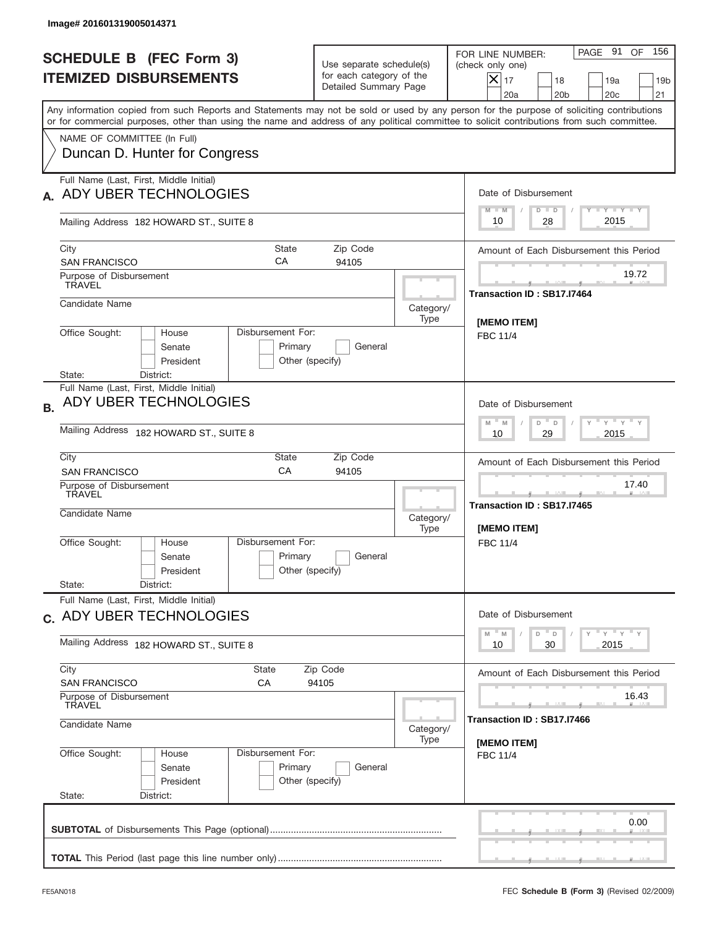| <b>SCHEDULE B (FEC Form 3)</b><br><b>ITEMIZED DISBURSEMENTS</b>                                                                                                                                                                                                                         | Use separate schedule(s)<br>for each category of the<br>Detailed Summary Page |                                                            | PAGE 91<br>OF<br>156<br>FOR LINE NUMBER:<br>(check only one)<br>$ \mathsf{X} _{17}$<br>18<br>19a<br>19 <sub>b</sub><br>20a<br>20 <sub>b</sub><br>20c<br>21 |
|-----------------------------------------------------------------------------------------------------------------------------------------------------------------------------------------------------------------------------------------------------------------------------------------|-------------------------------------------------------------------------------|------------------------------------------------------------|------------------------------------------------------------------------------------------------------------------------------------------------------------|
| Any information copied from such Reports and Statements may not be sold or used by any person for the purpose of soliciting contributions<br>or for commercial purposes, other than using the name and address of any political committee to solicit contributions from such committee. |                                                                               |                                                            |                                                                                                                                                            |
| NAME OF COMMITTEE (In Full)<br>Duncan D. Hunter for Congress                                                                                                                                                                                                                            |                                                                               |                                                            |                                                                                                                                                            |
| Full Name (Last, First, Middle Initial)<br>ADY UBER TECHNOLOGIES                                                                                                                                                                                                                        |                                                                               |                                                            | Date of Disbursement<br>Y TY TY TY                                                                                                                         |
| Mailing Address 182 HOWARD ST., SUITE 8                                                                                                                                                                                                                                                 |                                                                               |                                                            | $M - M$<br>$D$ $D$<br>2015<br>10<br>28                                                                                                                     |
| City<br><b>State</b><br>CA<br><b>SAN FRANCISCO</b>                                                                                                                                                                                                                                      | Zip Code<br>94105                                                             |                                                            | Amount of Each Disbursement this Period                                                                                                                    |
| Purpose of Disbursement<br><b>TRAVEL</b>                                                                                                                                                                                                                                                |                                                                               |                                                            | 19.72<br>Transaction ID: SB17.I7464                                                                                                                        |
| Candidate Name                                                                                                                                                                                                                                                                          |                                                                               | Category/<br>Type                                          | <b>IMEMO ITEM1</b>                                                                                                                                         |
| Office Sought:<br>Disbursement For:<br>House<br>Senate<br>President<br>District:<br>State:                                                                                                                                                                                              | Primary<br>General<br>Other (specify)                                         |                                                            | <b>FBC 11/4</b>                                                                                                                                            |
| Full Name (Last, First, Middle Initial)<br>ADY UBER TECHNOLOGIES                                                                                                                                                                                                                        | Date of Disbursement<br>ү " ү " ү " ү<br>$M - M$<br>D<br>D                    |                                                            |                                                                                                                                                            |
| Mailing Address 182 HOWARD ST., SUITE 8                                                                                                                                                                                                                                                 | 2015<br>10<br>29                                                              |                                                            |                                                                                                                                                            |
| City<br>State<br>CA<br><b>SAN FRANCISCO</b>                                                                                                                                                                                                                                             |                                                                               | Amount of Each Disbursement this Period                    |                                                                                                                                                            |
| Purpose of Disbursement<br>TRAVEL<br>Candidate Name                                                                                                                                                                                                                                     | Category/<br>Type                                                             | 17.40<br>____<br>Transaction ID: SB17.I7465<br>[MEMO ITEM] |                                                                                                                                                            |
| Disbursement For:<br>Office Sought:<br>House<br>Senate<br>President<br>State:<br>District:                                                                                                                                                                                              | Primary<br>General<br>Other (specify)                                         |                                                            | FBC 11/4                                                                                                                                                   |
| Full Name (Last, First, Middle Initial)<br>c. ADY UBER TECHNOLOGIES                                                                                                                                                                                                                     |                                                                               |                                                            | Date of Disbursement                                                                                                                                       |
| Mailing Address 182 HOWARD ST., SUITE 8                                                                                                                                                                                                                                                 | ү" ү" ү" ү<br>$-M$<br>D<br>M<br>D<br>2015<br>10<br>30                         |                                                            |                                                                                                                                                            |
| City<br>State<br><b>SAN FRANCISCO</b><br>СA                                                                                                                                                                                                                                             | Amount of Each Disbursement this Period                                       |                                                            |                                                                                                                                                            |
| Purpose of Disbursement<br><b>TRAVEL</b>                                                                                                                                                                                                                                                |                                                                               | 16.43                                                      |                                                                                                                                                            |
| Candidate Name                                                                                                                                                                                                                                                                          | Category/<br>Type                                                             | Transaction ID: SB17.I7466<br>[MEMO ITEM]                  |                                                                                                                                                            |
| Office Sought:<br>Disbursement For:<br>House<br>Senate<br>President<br>State:<br>District:                                                                                                                                                                                              | Primary<br>General<br>Other (specify)                                         |                                                            | <b>FBC 11/4</b>                                                                                                                                            |
|                                                                                                                                                                                                                                                                                         |                                                                               |                                                            | 0.00                                                                                                                                                       |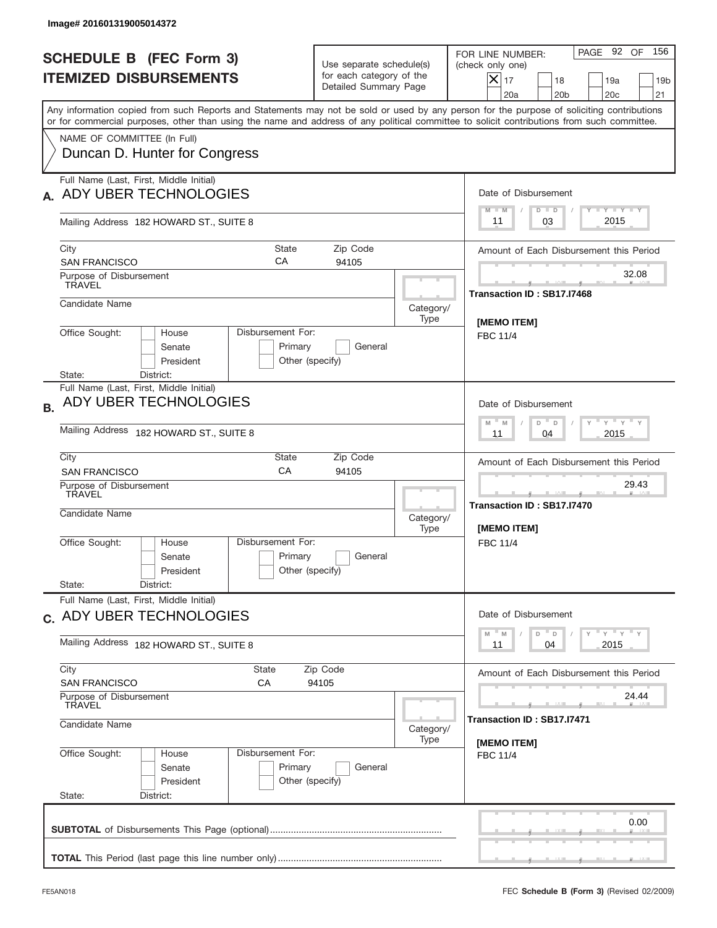| Image# 201601319005014372                                                                                                                                                                                                                                                               |                                                                                             |                                                            |                                                                                                                                                           |
|-----------------------------------------------------------------------------------------------------------------------------------------------------------------------------------------------------------------------------------------------------------------------------------------|---------------------------------------------------------------------------------------------|------------------------------------------------------------|-----------------------------------------------------------------------------------------------------------------------------------------------------------|
| <b>SCHEDULE B (FEC Form 3)</b><br><b>ITEMIZED DISBURSEMENTS</b>                                                                                                                                                                                                                         | Use separate schedule(s)<br>for each category of the<br>Detailed Summary Page               |                                                            | PAGE 92 OF<br>156<br>FOR LINE NUMBER:<br>(check only one)<br>$X _{17}$<br>18<br>19a<br>19 <sub>b</sub><br>20a<br>20 <sub>b</sub><br>20 <sub>c</sub><br>21 |
| Any information copied from such Reports and Statements may not be sold or used by any person for the purpose of soliciting contributions<br>or for commercial purposes, other than using the name and address of any political committee to solicit contributions from such committee. |                                                                                             |                                                            |                                                                                                                                                           |
| NAME OF COMMITTEE (In Full)<br>Duncan D. Hunter for Congress                                                                                                                                                                                                                            |                                                                                             |                                                            |                                                                                                                                                           |
| Full Name (Last, First, Middle Initial)<br>ADY UBER TECHNOLOGIES                                                                                                                                                                                                                        |                                                                                             |                                                            | Date of Disbursement<br>Y TY TY TY<br>$D$ $D$<br>$M - M$                                                                                                  |
| Mailing Address 182 HOWARD ST., SUITE 8                                                                                                                                                                                                                                                 |                                                                                             |                                                            | 2015<br>03<br>11                                                                                                                                          |
| City<br>State<br>CA<br><b>SAN FRANCISCO</b>                                                                                                                                                                                                                                             | Zip Code<br>94105                                                                           |                                                            | Amount of Each Disbursement this Period                                                                                                                   |
| Purpose of Disbursement<br><b>TRAVEL</b>                                                                                                                                                                                                                                                |                                                                                             |                                                            | 32.08<br>Transaction ID: SB17.I7468                                                                                                                       |
| Candidate Name                                                                                                                                                                                                                                                                          |                                                                                             | Category/<br>Type                                          | [MEMO ITEM]                                                                                                                                               |
| Disbursement For:<br>Office Sought:<br>House<br>Senate<br>President<br>District:<br>State:                                                                                                                                                                                              | Primary<br>General<br>Other (specify)                                                       |                                                            | <b>FBC 11/4</b>                                                                                                                                           |
| Full Name (Last, First, Middle Initial)<br>ADY UBER TECHNOLOGIES<br><b>B.</b>                                                                                                                                                                                                           | Date of Disbursement                                                                        |                                                            |                                                                                                                                                           |
| Mailing Address 182 HOWARD ST., SUITE 8                                                                                                                                                                                                                                                 | $-\gamma + \gamma - \gamma$<br>$-$ M<br>M<br>D<br>$\Box$<br>2015<br>11<br>04                |                                                            |                                                                                                                                                           |
| City<br>State<br>CA<br><b>SAN FRANCISCO</b>                                                                                                                                                                                                                                             |                                                                                             | Amount of Each Disbursement this Period                    |                                                                                                                                                           |
| Purpose of Disbursement<br>TRAVEL<br>Candidate Name                                                                                                                                                                                                                                     | Category/<br>Type                                                                           | 29.43<br>____<br>Transaction ID: SB17.I7470<br>[MEMO ITEM] |                                                                                                                                                           |
| Disbursement For:<br>Office Sought:<br>House<br>Senate<br>President                                                                                                                                                                                                                     | Primary<br>General<br>Other (specify)                                                       |                                                            | FBC 11/4                                                                                                                                                  |
| State:<br>District:<br>Full Name (Last, First, Middle Initial)                                                                                                                                                                                                                          |                                                                                             |                                                            |                                                                                                                                                           |
| c. ADY UBER TECHNOLOGIES                                                                                                                                                                                                                                                                | Date of Disbursement<br>$\gamma$ $\gamma$ $\gamma$ $\gamma$ $\gamma$<br>$-M$<br>D<br>M<br>D |                                                            |                                                                                                                                                           |
| Mailing Address 182 HOWARD ST., SUITE 8                                                                                                                                                                                                                                                 | 2015<br>11<br>04                                                                            |                                                            |                                                                                                                                                           |
| City<br>State<br><b>SAN FRANCISCO</b><br>СA                                                                                                                                                                                                                                             | Amount of Each Disbursement this Period                                                     |                                                            |                                                                                                                                                           |
| Purpose of Disbursement<br><b>TRAVEL</b><br>Candidate Name                                                                                                                                                                                                                              | Category/                                                                                   | 24.44<br>Transaction ID: SB17.I7471                        |                                                                                                                                                           |
| Office Sought:<br>Disbursement For:<br>House<br>Senate<br>President<br>State:<br>District:                                                                                                                                                                                              | Primary<br>General<br>Other (specify)                                                       | Type                                                       | [MEMO ITEM]<br><b>FBC 11/4</b>                                                                                                                            |
|                                                                                                                                                                                                                                                                                         |                                                                                             |                                                            | 0.00                                                                                                                                                      |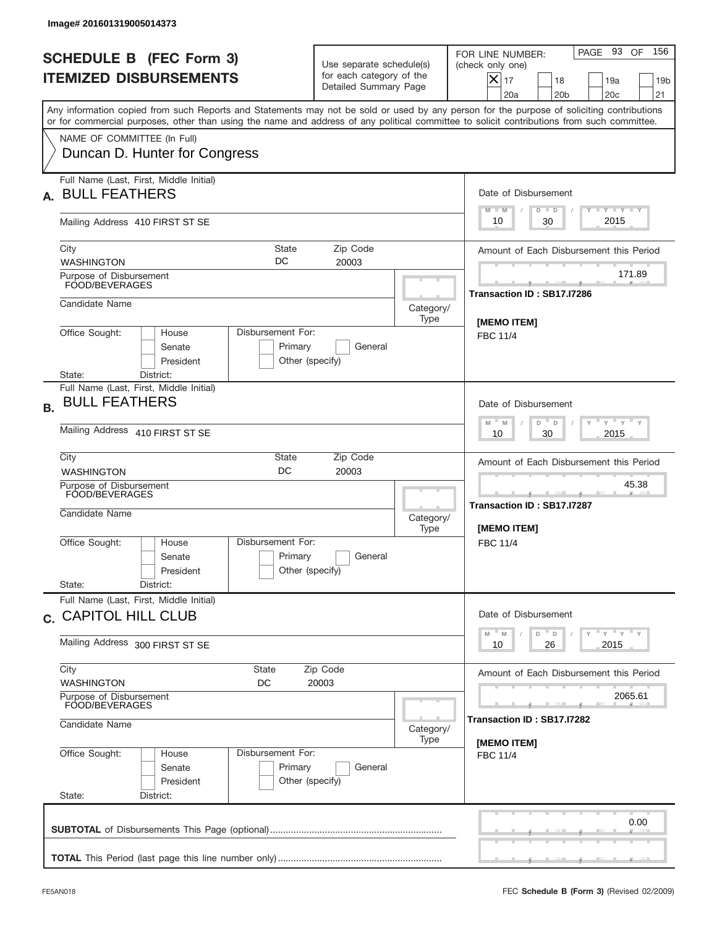|           | Image# 201601319005014373                                                                                                                                                                                                                                                               |                                                                               |                   |                                                                                                                                                                             |
|-----------|-----------------------------------------------------------------------------------------------------------------------------------------------------------------------------------------------------------------------------------------------------------------------------------------|-------------------------------------------------------------------------------|-------------------|-----------------------------------------------------------------------------------------------------------------------------------------------------------------------------|
|           | <b>SCHEDULE B (FEC Form 3)</b><br><b>ITEMIZED DISBURSEMENTS</b>                                                                                                                                                                                                                         | Use separate schedule(s)<br>for each category of the<br>Detailed Summary Page |                   | 156<br>PAGE 93 OF<br>FOR LINE NUMBER:<br>(check only one)<br>$\boldsymbol{\times}$<br>17<br>18<br>19a<br>19 <sub>b</sub><br>20a<br>20 <sub>b</sub><br>20 <sub>c</sub><br>21 |
|           | Any information copied from such Reports and Statements may not be sold or used by any person for the purpose of soliciting contributions<br>or for commercial purposes, other than using the name and address of any political committee to solicit contributions from such committee. |                                                                               |                   |                                                                                                                                                                             |
|           | NAME OF COMMITTEE (In Full)<br>Duncan D. Hunter for Congress                                                                                                                                                                                                                            |                                                                               |                   |                                                                                                                                                                             |
| А.        | Full Name (Last, First, Middle Initial)<br><b>BULL FEATHERS</b>                                                                                                                                                                                                                         |                                                                               |                   | Date of Disbursement<br>Y FY FY FY<br>$M - M$<br>$D$ $D$                                                                                                                    |
|           | Mailing Address 410 FIRST ST SE                                                                                                                                                                                                                                                         |                                                                               |                   | 2015<br>30<br>10                                                                                                                                                            |
|           | State<br>City<br>DC<br><b>WASHINGTON</b>                                                                                                                                                                                                                                                | Zip Code<br>20003                                                             |                   | Amount of Each Disbursement this Period                                                                                                                                     |
|           | Purpose of Disbursement<br>FOOD/BEVERAGES                                                                                                                                                                                                                                               |                                                                               |                   | 171.89<br>Transaction ID: SB17.I7286                                                                                                                                        |
|           | Candidate Name                                                                                                                                                                                                                                                                          |                                                                               | Category/<br>Type | [MEMO ITEM]                                                                                                                                                                 |
|           | Office Sought:<br>Disbursement For:<br>House<br>Senate<br>Primary<br>President<br>Other (specify)<br>State:<br>District:                                                                                                                                                                | General                                                                       |                   | <b>FBC 11/4</b>                                                                                                                                                             |
| <b>B.</b> | Full Name (Last, First, Middle Initial)<br><b>BULL FEATHERS</b>                                                                                                                                                                                                                         |                                                                               |                   | Date of Disbursement                                                                                                                                                        |
|           | Mailing Address 410 FIRST ST SE                                                                                                                                                                                                                                                         | ү " ү " ү " ү<br>$M - M$<br>D<br>$\Box$<br>2015<br>10<br>30                   |                   |                                                                                                                                                                             |
|           | City<br>State<br>DC<br><b>WASHINGTON</b>                                                                                                                                                                                                                                                | Zip Code<br>20003                                                             |                   | Amount of Each Disbursement this Period                                                                                                                                     |
|           | Purpose of Disbursement<br>FOOD/BEVERAGES<br>Candidate Name                                                                                                                                                                                                                             |                                                                               | Category/<br>Type | 45.38<br>Transaction ID: SB17.I7287<br>[MEMO ITEM]                                                                                                                          |
|           | Disbursement For:<br>Office Sought:<br>House<br>Primary<br>Senate<br>Other (specify)<br>President<br>State:<br>District:                                                                                                                                                                | General                                                                       |                   | FBC 11/4                                                                                                                                                                    |
|           | Full Name (Last, First, Middle Initial)<br>c. CAPITOL HILL CLUB                                                                                                                                                                                                                         |                                                                               |                   | Date of Disbursement                                                                                                                                                        |
|           | Mailing Address 300 FIRST ST SE                                                                                                                                                                                                                                                         | $Y$ $Y$ $Y$ $Y$ $Y$<br>M<br>$\mathsf D$<br>M<br>D<br>2015<br>10<br>26         |                   |                                                                                                                                                                             |
|           | City<br><b>State</b><br><b>WASHINGTON</b><br>DC                                                                                                                                                                                                                                         | Zip Code<br>20003                                                             |                   | Amount of Each Disbursement this Period                                                                                                                                     |
|           | Purpose of Disbursement<br>FOOD/BEVERAGES<br>Candidate Name                                                                                                                                                                                                                             | 2065.61<br>Transaction ID: SB17.I7282                                         |                   |                                                                                                                                                                             |
|           | Office Sought:<br>Disbursement For:<br>House<br>Primary<br>Senate<br>Other (specify)<br>President<br>State:<br>District:                                                                                                                                                                | General                                                                       | Type              | [MEMO ITEM]<br><b>FBC 11/4</b>                                                                                                                                              |
|           |                                                                                                                                                                                                                                                                                         |                                                                               |                   | 0.00                                                                                                                                                                        |
|           |                                                                                                                                                                                                                                                                                         |                                                                               |                   |                                                                                                                                                                             |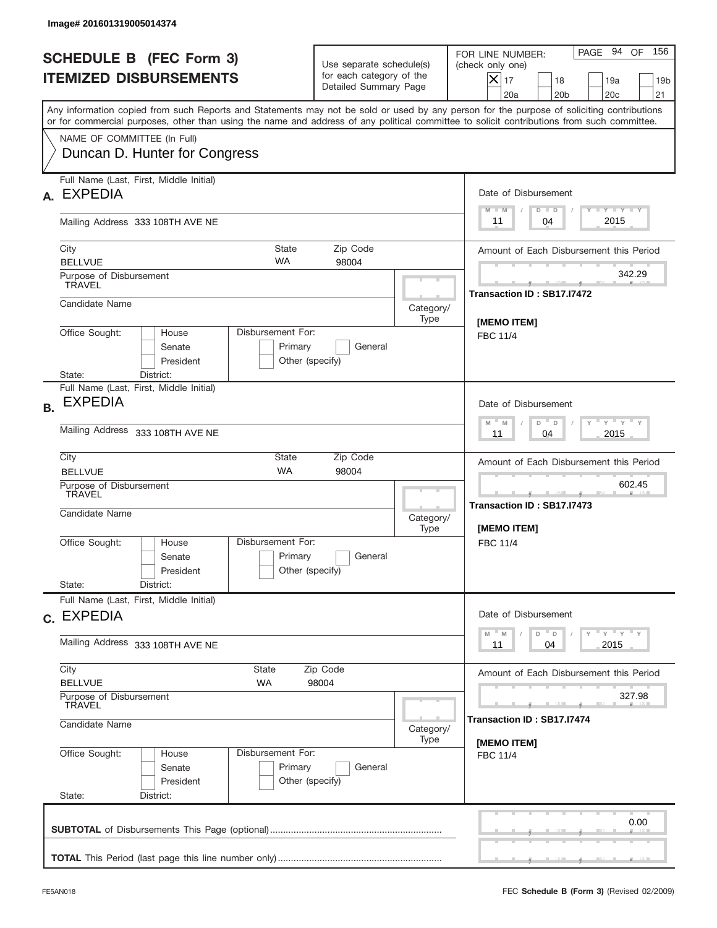|           | Image# 201601319005014374                                                                                                                                                                                                                                                               |                                                                           |                                                                               |                   |                                                                                                                                                              |  |  |
|-----------|-----------------------------------------------------------------------------------------------------------------------------------------------------------------------------------------------------------------------------------------------------------------------------------------|---------------------------------------------------------------------------|-------------------------------------------------------------------------------|-------------------|--------------------------------------------------------------------------------------------------------------------------------------------------------------|--|--|
|           | <b>SCHEDULE B (FEC Form 3)</b><br><b>ITEMIZED DISBURSEMENTS</b>                                                                                                                                                                                                                         |                                                                           | Use separate schedule(s)<br>for each category of the<br>Detailed Summary Page |                   | 156<br>PAGE 94<br>OF<br>FOR LINE NUMBER:<br>(check only one)<br>$X _{17}$<br>18<br>19a<br>19 <sub>b</sub><br>20 <sub>c</sub><br>20a<br>20 <sub>b</sub><br>21 |  |  |
|           | Any information copied from such Reports and Statements may not be sold or used by any person for the purpose of soliciting contributions<br>or for commercial purposes, other than using the name and address of any political committee to solicit contributions from such committee. |                                                                           |                                                                               |                   |                                                                                                                                                              |  |  |
|           | NAME OF COMMITTEE (In Full)<br>Duncan D. Hunter for Congress                                                                                                                                                                                                                            |                                                                           |                                                                               |                   |                                                                                                                                                              |  |  |
| А.        | Full Name (Last, First, Middle Initial)<br><b>EXPEDIA</b>                                                                                                                                                                                                                               |                                                                           |                                                                               |                   | Date of Disbursement                                                                                                                                         |  |  |
|           | Mailing Address 333 108TH AVE NE                                                                                                                                                                                                                                                        |                                                                           |                                                                               |                   | $T - Y$ $T - Y$ $T - Y$<br>$D$ $D$<br>$M - M$<br>2015<br>11<br>04                                                                                            |  |  |
|           | City<br><b>BELLVUE</b>                                                                                                                                                                                                                                                                  | State<br><b>WA</b>                                                        | Zip Code<br>98004                                                             |                   | Amount of Each Disbursement this Period                                                                                                                      |  |  |
|           | Purpose of Disbursement<br><b>TRAVEL</b>                                                                                                                                                                                                                                                |                                                                           |                                                                               |                   | 342.29<br>Transaction ID: SB17.I7472                                                                                                                         |  |  |
|           | Candidate Name<br>Disbursement For:                                                                                                                                                                                                                                                     |                                                                           |                                                                               | Category/<br>Type | [MEMO ITEM]                                                                                                                                                  |  |  |
|           | Office Sought:<br>House<br>Senate<br>President<br>State:<br>District:                                                                                                                                                                                                                   | Primary<br>Other (specify)                                                | General                                                                       |                   | <b>FBC 11/4</b>                                                                                                                                              |  |  |
| <b>B.</b> | Full Name (Last, First, Middle Initial)<br><b>EXPEDIA</b>                                                                                                                                                                                                                               | Date of Disbursement                                                      |                                                                               |                   |                                                                                                                                                              |  |  |
|           | Mailing Address 333 108TH AVE NE                                                                                                                                                                                                                                                        | $-\gamma + \gamma - \gamma$<br>$M - M$<br>D<br>$\Box$<br>2015<br>11<br>04 |                                                                               |                   |                                                                                                                                                              |  |  |
|           | City<br>State<br><b>WA</b><br><b>BELLVUE</b>                                                                                                                                                                                                                                            | Amount of Each Disbursement this Period                                   |                                                                               |                   |                                                                                                                                                              |  |  |
|           | Purpose of Disbursement<br>TRAVEL<br>Candidate Name                                                                                                                                                                                                                                     | Category/<br>Type                                                         | 602.45<br>____<br>Transaction ID: SB17.I7473<br>[MEMO ITEM]                   |                   |                                                                                                                                                              |  |  |
|           | Disbursement For:<br>Office Sought:<br>House<br>Senate<br>President                                                                                                                                                                                                                     | Primary<br>Other (specify)                                                | General                                                                       |                   | FBC 11/4                                                                                                                                                     |  |  |
|           | State:<br>District:<br>Full Name (Last, First, Middle Initial)                                                                                                                                                                                                                          |                                                                           |                                                                               |                   |                                                                                                                                                              |  |  |
|           | c. EXPEDIA                                                                                                                                                                                                                                                                              | Date of Disbursement<br>$Y$ $Y$ $Y$ $Y$ $Y$<br>$-M$<br>D<br>M<br>D        |                                                                               |                   |                                                                                                                                                              |  |  |
|           | Mailing Address 333 108TH AVE NE                                                                                                                                                                                                                                                        | 2015<br>11<br>04                                                          |                                                                               |                   |                                                                                                                                                              |  |  |
|           | City<br>State<br><b>BELLVUE</b><br>WA                                                                                                                                                                                                                                                   |                                                                           | Zip Code<br>98004                                                             |                   | Amount of Each Disbursement this Period                                                                                                                      |  |  |
|           | Purpose of Disbursement<br>TRAVEL<br>Candidate Name                                                                                                                                                                                                                                     | 327.98<br>Transaction ID : SB17.I7474                                     |                                                                               |                   |                                                                                                                                                              |  |  |
|           | Office Sought:<br>Disbursement For:<br>House                                                                                                                                                                                                                                            | [MEMO ITEM]<br><b>FBC 11/4</b>                                            |                                                                               |                   |                                                                                                                                                              |  |  |
|           | Senate<br>President<br>State:<br>District:                                                                                                                                                                                                                                              | Primary<br>Other (specify)                                                | General                                                                       |                   |                                                                                                                                                              |  |  |
|           |                                                                                                                                                                                                                                                                                         |                                                                           |                                                                               |                   | 0.00                                                                                                                                                         |  |  |
|           |                                                                                                                                                                                                                                                                                         |                                                                           |                                                                               |                   |                                                                                                                                                              |  |  |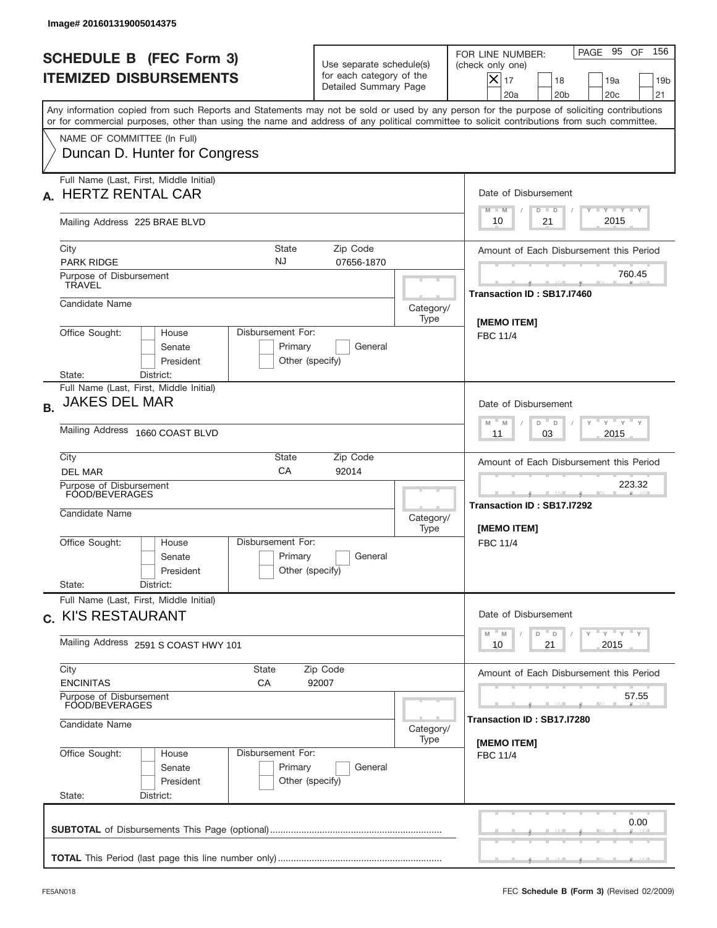| Image# 201601319005014375                                                                                                                                                                                                                                                               |                                                                                                                           |                                                     |                                                                                                                                                                   |  |  |  |
|-----------------------------------------------------------------------------------------------------------------------------------------------------------------------------------------------------------------------------------------------------------------------------------------|---------------------------------------------------------------------------------------------------------------------------|-----------------------------------------------------|-------------------------------------------------------------------------------------------------------------------------------------------------------------------|--|--|--|
| <b>SCHEDULE B (FEC Form 3)</b><br><b>ITEMIZED DISBURSEMENTS</b>                                                                                                                                                                                                                         | Use separate schedule(s)<br>for each category of the<br>Detailed Summary Page                                             |                                                     | 156<br>PAGE 95 OF<br>FOR LINE NUMBER:<br>(check only one)<br>$ \boldsymbol{\times} $<br>17<br>18<br>19 <sub>b</sub><br>19a<br>20a<br>20 <sub>b</sub><br>20c<br>21 |  |  |  |
| Any information copied from such Reports and Statements may not be sold or used by any person for the purpose of soliciting contributions<br>or for commercial purposes, other than using the name and address of any political committee to solicit contributions from such committee. |                                                                                                                           |                                                     |                                                                                                                                                                   |  |  |  |
| NAME OF COMMITTEE (In Full)<br>Duncan D. Hunter for Congress                                                                                                                                                                                                                            |                                                                                                                           |                                                     |                                                                                                                                                                   |  |  |  |
| Full Name (Last, First, Middle Initial)<br><b>HERTZ RENTAL CAR</b><br>А.                                                                                                                                                                                                                |                                                                                                                           |                                                     | Date of Disbursement<br>Y TY TY TY<br>$M - M$<br>$D$ $D$                                                                                                          |  |  |  |
| Mailing Address 225 BRAE BLVD                                                                                                                                                                                                                                                           |                                                                                                                           |                                                     | 2015<br>21<br>10                                                                                                                                                  |  |  |  |
| City<br>State<br>NJ<br><b>PARK RIDGE</b>                                                                                                                                                                                                                                                | Amount of Each Disbursement this Period                                                                                   |                                                     |                                                                                                                                                                   |  |  |  |
| Purpose of Disbursement<br><b>TRAVEL</b>                                                                                                                                                                                                                                                |                                                                                                                           |                                                     | 760.45<br>Transaction ID: SB17.I7460                                                                                                                              |  |  |  |
| Candidate Name                                                                                                                                                                                                                                                                          |                                                                                                                           | Category/<br>Type                                   | [MEMO ITEM]                                                                                                                                                       |  |  |  |
| Office Sought:<br>Disbursement For:<br>House<br>Senate<br>President<br>State:<br>District:                                                                                                                                                                                              | Primary<br>General<br>Other (specify)                                                                                     |                                                     | <b>FBC 11/4</b>                                                                                                                                                   |  |  |  |
| Full Name (Last, First, Middle Initial)<br><b>JAKES DEL MAR</b><br><b>B.</b>                                                                                                                                                                                                            | Date of Disbursement<br>$-\gamma + \gamma - \gamma$<br>D<br>M<br>M                                                        |                                                     |                                                                                                                                                                   |  |  |  |
| Mailing Address 1660 COAST BLVD                                                                                                                                                                                                                                                         | D<br>2015<br>11<br>03                                                                                                     |                                                     |                                                                                                                                                                   |  |  |  |
| City<br>State<br>CA<br><b>DEL MAR</b>                                                                                                                                                                                                                                                   | Amount of Each Disbursement this Period                                                                                   |                                                     |                                                                                                                                                                   |  |  |  |
| Purpose of Disbursement<br>FOOD/BEVERAGES<br>Candidate Name                                                                                                                                                                                                                             | Category/<br>Type                                                                                                         | 223.32<br>Transaction ID: SB17.I7292<br>[MEMO ITEM] |                                                                                                                                                                   |  |  |  |
| Disbursement For:<br>Office Sought:<br>House<br>Senate<br>President                                                                                                                                                                                                                     | Primary<br>General<br>Other (specify)                                                                                     |                                                     | FBC 11/4                                                                                                                                                          |  |  |  |
| State:<br>District:<br>Full Name (Last, First, Middle Initial)                                                                                                                                                                                                                          |                                                                                                                           |                                                     |                                                                                                                                                                   |  |  |  |
| c. KI'S RESTAURANT<br>Mailing Address 2591 S COAST HWY 101                                                                                                                                                                                                                              | Date of Disbursement<br>$\gamma$ $\gamma$ $\gamma$ $\gamma$ $\gamma$<br>M<br>$\overline{D}$<br>M<br>D<br>2015<br>10<br>21 |                                                     |                                                                                                                                                                   |  |  |  |
| City<br><b>State</b>                                                                                                                                                                                                                                                                    | Amount of Each Disbursement this Period                                                                                   |                                                     |                                                                                                                                                                   |  |  |  |
| <b>ENCINITAS</b><br>СA<br>Purpose of Disbursement<br>FOOD/BEVERAGES                                                                                                                                                                                                                     | 57.55                                                                                                                     |                                                     |                                                                                                                                                                   |  |  |  |
| Candidate Name                                                                                                                                                                                                                                                                          | Transaction ID: SB17.I7280                                                                                                |                                                     |                                                                                                                                                                   |  |  |  |
| Disbursement For:<br>Office Sought:<br>House<br>Senate<br>President<br>State:<br>District:                                                                                                                                                                                              | Primary<br>General<br>Other (specify)                                                                                     | Type                                                | [MEMO ITEM]<br><b>FBC 11/4</b>                                                                                                                                    |  |  |  |
|                                                                                                                                                                                                                                                                                         |                                                                                                                           |                                                     | 0.00                                                                                                                                                              |  |  |  |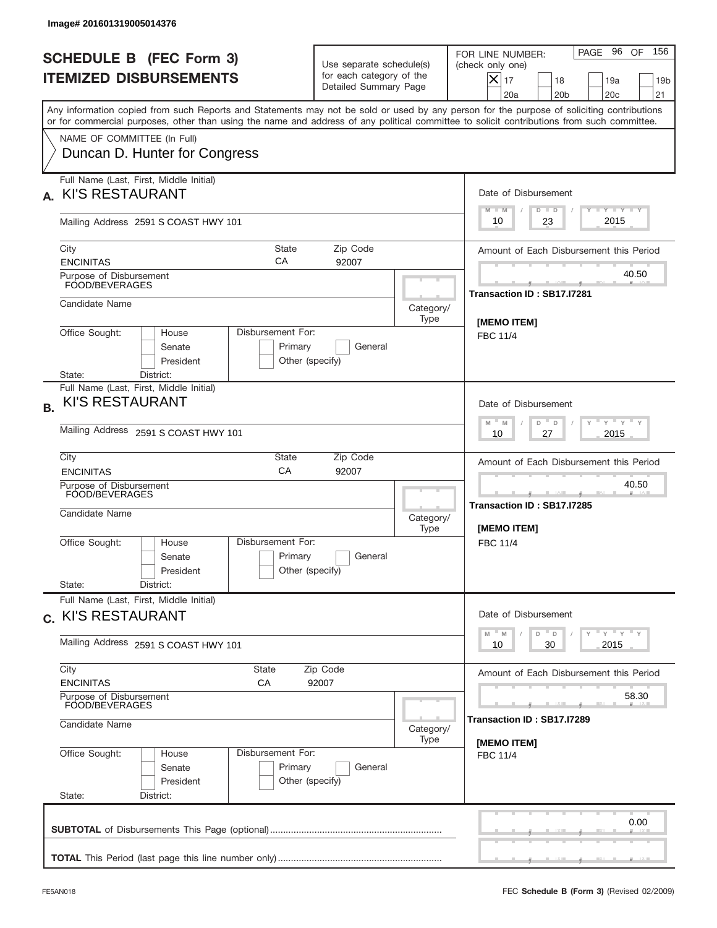|                                                            | Image# 201601319005014376                                                                                                 |                                                                 |                                                 |                                                                               |                                                          |                                                                                                                                                                                                                                                                                         |
|------------------------------------------------------------|---------------------------------------------------------------------------------------------------------------------------|-----------------------------------------------------------------|-------------------------------------------------|-------------------------------------------------------------------------------|----------------------------------------------------------|-----------------------------------------------------------------------------------------------------------------------------------------------------------------------------------------------------------------------------------------------------------------------------------------|
|                                                            |                                                                                                                           | <b>SCHEDULE B (FEC Form 3)</b><br><b>ITEMIZED DISBURSEMENTS</b> |                                                 | Use separate schedule(s)<br>for each category of the<br>Detailed Summary Page |                                                          | PAGE 96 OF<br>156<br>FOR LINE NUMBER:<br>(check only one)<br>$X _{17}$<br>18<br>19a<br>19 <sub>b</sub><br>20a<br>20 <sub>b</sub><br>20 <sub>c</sub><br>21                                                                                                                               |
|                                                            |                                                                                                                           |                                                                 |                                                 |                                                                               |                                                          | Any information copied from such Reports and Statements may not be sold or used by any person for the purpose of soliciting contributions<br>or for commercial purposes, other than using the name and address of any political committee to solicit contributions from such committee. |
|                                                            |                                                                                                                           | NAME OF COMMITTEE (In Full)<br>Duncan D. Hunter for Congress    |                                                 |                                                                               |                                                          |                                                                                                                                                                                                                                                                                         |
| А.                                                         | <b>KI'S RESTAURANT</b>                                                                                                    | Full Name (Last, First, Middle Initial)                         |                                                 |                                                                               |                                                          | Date of Disbursement                                                                                                                                                                                                                                                                    |
|                                                            |                                                                                                                           | Mailing Address 2591 S COAST HWY 101                            |                                                 |                                                                               |                                                          | Y I Y I Y I Y<br>$M - M$<br>$D$ $D$<br>2015<br>10<br>23                                                                                                                                                                                                                                 |
| City<br><b>ENCINITAS</b>                                   |                                                                                                                           |                                                                 | Amount of Each Disbursement this Period         |                                                                               |                                                          |                                                                                                                                                                                                                                                                                         |
|                                                            | Purpose of Disbursement<br>FOOD/BEVERAGES                                                                                 |                                                                 |                                                 |                                                                               |                                                          | 40.50<br>Transaction ID: SB17.I7281                                                                                                                                                                                                                                                     |
|                                                            | Candidate Name                                                                                                            |                                                                 |                                                 |                                                                               | Category/<br>Type                                        | <b>IMEMO ITEMI</b>                                                                                                                                                                                                                                                                      |
|                                                            | Office Sought:                                                                                                            | House<br>Senate<br>President                                    | Disbursement For:<br>Primary<br>Other (specify) | General                                                                       |                                                          | <b>FBC 11/4</b>                                                                                                                                                                                                                                                                         |
| <b>B.</b>                                                  | District:<br>State:<br>Full Name (Last, First, Middle Initial)<br><b>KI'S RESTAURANT</b>                                  |                                                                 |                                                 |                                                                               |                                                          | Date of Disbursement<br>ү " ү " ү " ү<br>$M - M$<br>D<br>D                                                                                                                                                                                                                              |
| City                                                       | Mailing Address 2591 S COAST HWY 101<br>State<br>Zip Code                                                                 |                                                                 |                                                 |                                                                               |                                                          | 2015<br>10<br>27<br>Amount of Each Disbursement this Period                                                                                                                                                                                                                             |
|                                                            | <b>ENCINITAS</b>                                                                                                          |                                                                 | CA                                              | 92007                                                                         |                                                          | 40.50                                                                                                                                                                                                                                                                                   |
|                                                            | Purpose of Disbursement<br>FOOD/BEVERAGES<br>Candidate Name                                                               |                                                                 |                                                 |                                                                               | Category/<br>Type                                        | Transaction ID: SB17.I7285<br><b>IMEMO ITEMI</b>                                                                                                                                                                                                                                        |
|                                                            | Office Sought:                                                                                                            | House<br>Senate<br>President                                    | Disbursement For:<br>Primary<br>Other (specify) | General                                                                       |                                                          | FBC 11/4                                                                                                                                                                                                                                                                                |
| State:                                                     |                                                                                                                           | District:<br>Full Name (Last, First, Middle Initial)            |                                                 |                                                                               |                                                          | Date of Disbursement                                                                                                                                                                                                                                                                    |
| c. KI'S RESTAURANT<br>Mailing Address 2591 S COAST HWY 101 |                                                                                                                           |                                                                 |                                                 |                                                                               | ү" ү" ү" ү<br>M<br>$D$ $-$<br>M<br>D<br>2015<br>10<br>30 |                                                                                                                                                                                                                                                                                         |
| City<br><b>ENCINITAS</b>                                   |                                                                                                                           |                                                                 | <b>State</b><br>СA                              | Zip Code<br>92007                                                             |                                                          | Amount of Each Disbursement this Period                                                                                                                                                                                                                                                 |
| Purpose of Disbursement<br>FOOD/BEVERAGES                  |                                                                                                                           |                                                                 |                                                 |                                                                               |                                                          | 58.30                                                                                                                                                                                                                                                                                   |
|                                                            | Candidate Name<br>Category/<br>Type                                                                                       |                                                                 |                                                 |                                                                               |                                                          | Transaction ID: SB17.I7289<br>[MEMO ITEM]                                                                                                                                                                                                                                               |
| State:                                                     | Office Sought:<br>Disbursement For:<br>House<br>Primary<br>Senate<br>General<br>Other (specify)<br>President<br>District: |                                                                 |                                                 |                                                                               | <b>FBC 11/4</b>                                          |                                                                                                                                                                                                                                                                                         |
|                                                            |                                                                                                                           |                                                                 |                                                 |                                                                               |                                                          | 0.00                                                                                                                                                                                                                                                                                    |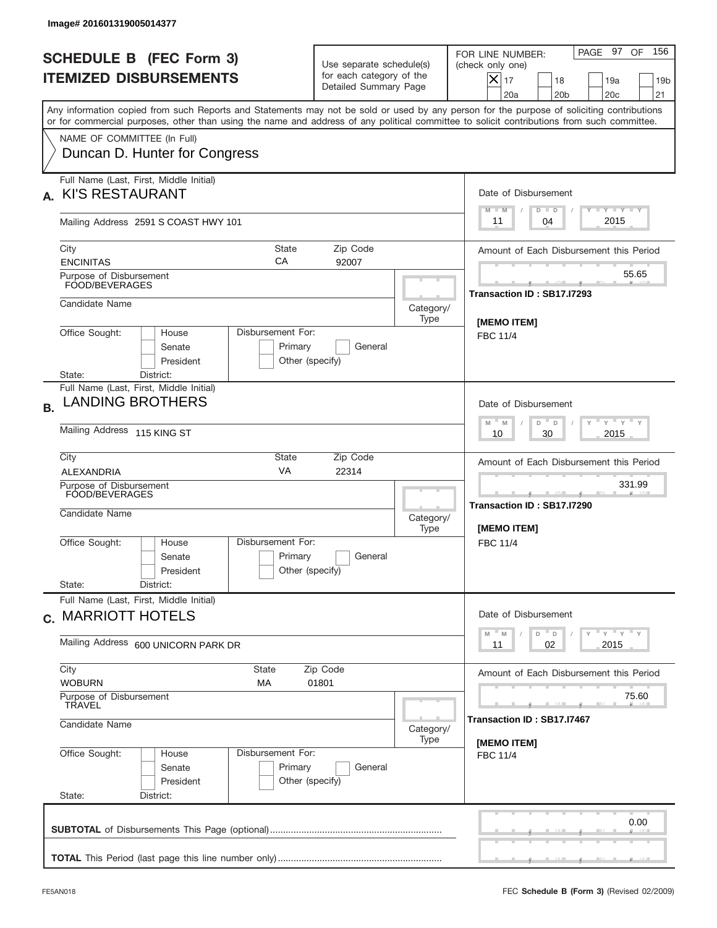| Image# 201601319005014377                                                                                                                                                                                                                                                                                              |                                                                                                                                 |                   |                                                                                                                                                           |
|------------------------------------------------------------------------------------------------------------------------------------------------------------------------------------------------------------------------------------------------------------------------------------------------------------------------|---------------------------------------------------------------------------------------------------------------------------------|-------------------|-----------------------------------------------------------------------------------------------------------------------------------------------------------|
| <b>SCHEDULE B (FEC Form 3)</b><br><b>ITEMIZED DISBURSEMENTS</b>                                                                                                                                                                                                                                                        | Use separate schedule(s)<br>for each category of the<br>Detailed Summary Page                                                   |                   | PAGE 97 OF<br>156<br>FOR LINE NUMBER:<br>(check only one)<br>$X _{17}$<br>18<br>19a<br>19 <sub>b</sub><br>20a<br>20 <sub>b</sub><br>20 <sub>c</sub><br>21 |
| Any information copied from such Reports and Statements may not be sold or used by any person for the purpose of soliciting contributions<br>or for commercial purposes, other than using the name and address of any political committee to solicit contributions from such committee.<br>NAME OF COMMITTEE (In Full) |                                                                                                                                 |                   |                                                                                                                                                           |
| Duncan D. Hunter for Congress                                                                                                                                                                                                                                                                                          |                                                                                                                                 |                   |                                                                                                                                                           |
| Full Name (Last, First, Middle Initial)<br><b>KI'S RESTAURANT</b><br>А.                                                                                                                                                                                                                                                |                                                                                                                                 |                   | Date of Disbursement<br>Y TY TY TY<br>$M - M$<br>$D$ $D$                                                                                                  |
| Mailing Address 2591 S COAST HWY 101                                                                                                                                                                                                                                                                                   |                                                                                                                                 |                   | 2015<br>04<br>11                                                                                                                                          |
| City<br><b>ENCINITAS</b>                                                                                                                                                                                                                                                                                               | <b>State</b><br>Zip Code<br>СA<br>92007                                                                                         |                   | Amount of Each Disbursement this Period                                                                                                                   |
| Purpose of Disbursement<br>FOOD/BEVERAGES                                                                                                                                                                                                                                                                              |                                                                                                                                 |                   | 55.65<br>Transaction ID: SB17.I7293                                                                                                                       |
| Candidate Name                                                                                                                                                                                                                                                                                                         |                                                                                                                                 | Category/<br>Type | <b>IMEMO ITEMI</b>                                                                                                                                        |
| Office Sought:<br>Disbursement For:<br>House<br>Senate<br>President<br>State:<br>District:                                                                                                                                                                                                                             | Primary<br>General<br>Other (specify)                                                                                           |                   | <b>FBC 11/4</b>                                                                                                                                           |
| Full Name (Last, First, Middle Initial)<br><b>LANDING BROTHERS</b><br><b>B.</b>                                                                                                                                                                                                                                        |                                                                                                                                 |                   | Date of Disbursement                                                                                                                                      |
| Mailing Address 115 KING ST                                                                                                                                                                                                                                                                                            | $\cdots$ $\gamma$ $\cdots$ $\gamma$ $\cdots$ $\gamma$<br>$M - M$<br>$D$ <sup><math>-</math></sup><br>$\Box$<br>2015<br>10<br>30 |                   |                                                                                                                                                           |
| City<br><b>ALEXANDRIA</b>                                                                                                                                                                                                                                                                                              | State<br>Zip Code<br>VA<br>22314                                                                                                |                   | Amount of Each Disbursement this Period                                                                                                                   |
| Purpose of Disbursement<br>FOOD/BEVERAGES<br>Candidate Name                                                                                                                                                                                                                                                            |                                                                                                                                 | Category/<br>Type | 331.99<br>Transaction ID: SB17.I7290<br>[MEMO ITEM]                                                                                                       |
| Disbursement For:<br>Office Sought:<br>House<br>Senate<br>President<br>State:<br>District:                                                                                                                                                                                                                             | Primary<br>General<br>Other (specify)                                                                                           |                   | FBC 11/4                                                                                                                                                  |
| Full Name (Last, First, Middle Initial)<br>c. MARRIOTT HOTELS                                                                                                                                                                                                                                                          |                                                                                                                                 |                   | Date of Disbursement                                                                                                                                      |
| Mailing Address 600 UNICORN PARK DR                                                                                                                                                                                                                                                                                    |                                                                                                                                 |                   | ү" ү" ү" ү<br>$-M$<br>$D$ $D$<br>M<br>02<br>2015<br>11                                                                                                    |
| City<br>State<br><b>WOBURN</b><br>МA                                                                                                                                                                                                                                                                                   | Amount of Each Disbursement this Period                                                                                         |                   |                                                                                                                                                           |
| Purpose of Disbursement<br>TRAVEL<br>Candidate Name                                                                                                                                                                                                                                                                    | 75.60<br>Transaction ID: SB17.I7467                                                                                             |                   |                                                                                                                                                           |
| Disbursement For:                                                                                                                                                                                                                                                                                                      | [MEMO ITEM]                                                                                                                     |                   |                                                                                                                                                           |
| Office Sought:<br>House<br>Senate<br>President<br>State:<br>District:                                                                                                                                                                                                                                                  | Primary<br>General<br>Other (specify)                                                                                           |                   | <b>FBC 11/4</b>                                                                                                                                           |
|                                                                                                                                                                                                                                                                                                                        |                                                                                                                                 |                   | 0.00                                                                                                                                                      |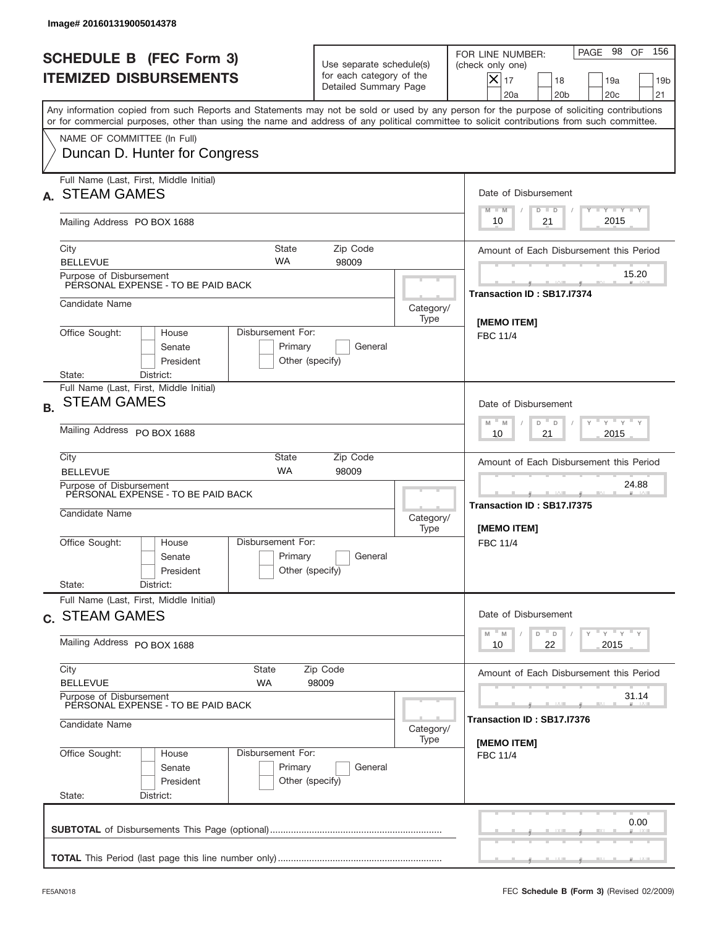|           | Image# 201601319005014378                                                                          |                                                 |                                                                               |                   |                                                                                                                                                                                                                                                                                         |
|-----------|----------------------------------------------------------------------------------------------------|-------------------------------------------------|-------------------------------------------------------------------------------|-------------------|-----------------------------------------------------------------------------------------------------------------------------------------------------------------------------------------------------------------------------------------------------------------------------------------|
|           | <b>SCHEDULE B (FEC Form 3)</b><br><b>ITEMIZED DISBURSEMENTS</b>                                    |                                                 | Use separate schedule(s)<br>for each category of the<br>Detailed Summary Page |                   | 156<br>PAGE 98<br>OF<br>FOR LINE NUMBER:<br>(check only one)<br>$X _{17}$<br>18<br>19a<br>19 <sub>b</sub><br>20 <sub>c</sub><br>20a<br>20 <sub>b</sub><br>21                                                                                                                            |
|           |                                                                                                    |                                                 |                                                                               |                   | Any information copied from such Reports and Statements may not be sold or used by any person for the purpose of soliciting contributions<br>or for commercial purposes, other than using the name and address of any political committee to solicit contributions from such committee. |
|           | NAME OF COMMITTEE (In Full)<br>Duncan D. Hunter for Congress                                       |                                                 |                                                                               |                   |                                                                                                                                                                                                                                                                                         |
|           | Full Name (Last, First, Middle Initial)<br><b>STEAM GAMES</b>                                      |                                                 |                                                                               |                   | Date of Disbursement                                                                                                                                                                                                                                                                    |
|           | Mailing Address PO BOX 1688                                                                        |                                                 |                                                                               |                   | <b>TANK TANK</b><br>$M - M$<br>$D$ $D$<br>2015<br>10<br>21                                                                                                                                                                                                                              |
|           | City<br><b>BELLEVUE</b>                                                                            | State<br><b>WA</b>                              | Zip Code<br>98009                                                             |                   | Amount of Each Disbursement this Period                                                                                                                                                                                                                                                 |
|           | Purpose of Disbursement<br>PERSONAL EXPENSE - TO BE PAID BACK                                      |                                                 |                                                                               |                   | 15.20<br>Transaction ID: SB17.I7374                                                                                                                                                                                                                                                     |
|           | Candidate Name                                                                                     |                                                 |                                                                               | Category/<br>Type | [MEMO ITEM]                                                                                                                                                                                                                                                                             |
|           | Office Sought:<br>House<br>Senate<br>President<br>State:<br>District:                              | Disbursement For:<br>Primary<br>Other (specify) | General                                                                       |                   | <b>FBC 11/4</b>                                                                                                                                                                                                                                                                         |
| <b>B.</b> | Full Name (Last, First, Middle Initial)<br><b>STEAM GAMES</b>                                      |                                                 |                                                                               |                   | Date of Disbursement<br>$\cdots$ $\gamma$ $\cdots$ $\gamma$ $\cdots$<br>$M - M$<br>D<br>$\Box$                                                                                                                                                                                          |
|           | Mailing Address PO BOX 1688<br>City                                                                | <b>State</b>                                    | Zip Code                                                                      |                   | 2015<br>10<br>21<br>Amount of Each Disbursement this Period                                                                                                                                                                                                                             |
|           | <b>BELLEVUE</b><br>Purpose of Disbursement<br>PERSONAL EXPENSE - TO BE PAID BACK<br>Candidate Name | <b>WA</b>                                       | 98009                                                                         | Category/<br>Type | 24.88<br>Transaction ID: SB17.I7375<br>[MEMO ITEM]                                                                                                                                                                                                                                      |
|           | Office Sought:<br>House<br>Senate<br>President<br>State:<br>District:                              | Disbursement For:<br>Primary<br>Other (specify) | General                                                                       |                   | FBC 11/4                                                                                                                                                                                                                                                                                |
|           | Full Name (Last, First, Middle Initial)<br>c. STEAM GAMES                                          |                                                 |                                                                               |                   | Date of Disbursement<br>$\gamma$ = $\gamma$ = $\gamma$ = $\gamma$<br>$-M$<br>D<br>M<br>D                                                                                                                                                                                                |
|           | Mailing Address PO BOX 1688                                                                        |                                                 |                                                                               |                   | 22<br>2015<br>10                                                                                                                                                                                                                                                                        |
|           | City<br><b>BELLEVUE</b>                                                                            | <b>State</b><br>WA                              | Zip Code<br>98009                                                             |                   | Amount of Each Disbursement this Period                                                                                                                                                                                                                                                 |
|           | Purpose of Disbursement<br>PERSONAL EXPENSE - TO BE PAID BACK<br>Candidate Name                    |                                                 |                                                                               | Category/         | 31.14<br>Transaction ID : SB17.I7376                                                                                                                                                                                                                                                    |
|           | Office Sought:<br>House<br>Senate<br>President<br>State:<br>District:                              | Disbursement For:<br>Primary<br>Other (specify) | General                                                                       | Type              | [MEMO ITEM]<br><b>FBC 11/4</b>                                                                                                                                                                                                                                                          |
|           |                                                                                                    |                                                 |                                                                               |                   | 0.00                                                                                                                                                                                                                                                                                    |
|           |                                                                                                    |                                                 |                                                                               |                   |                                                                                                                                                                                                                                                                                         |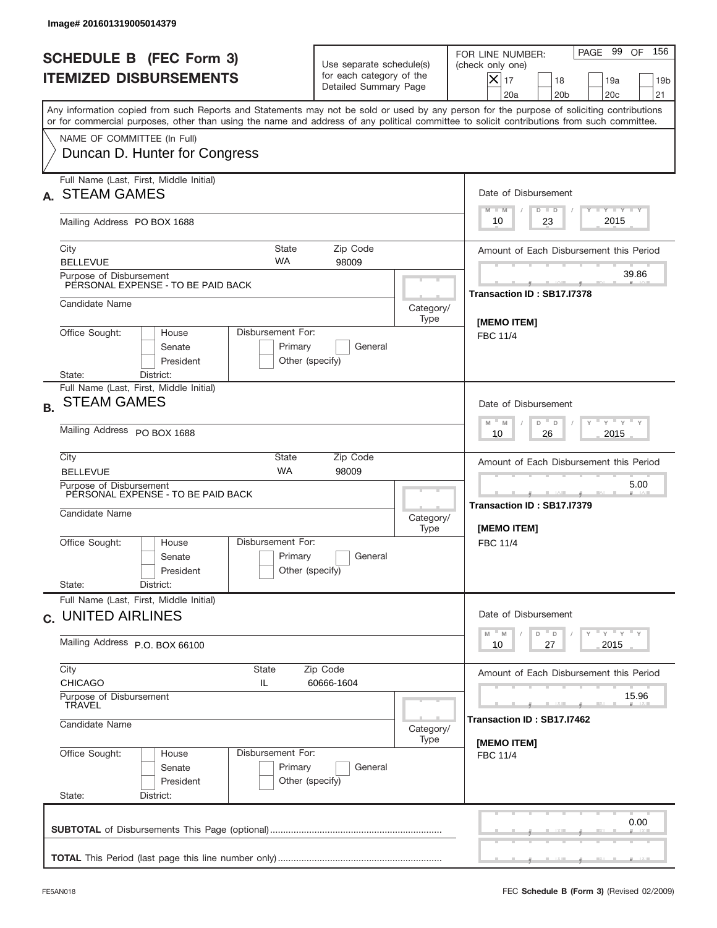|           | Image# 201601319005014379                                                  |                                                 |                                                                               |                   |                                                                                                                                                                                                                                                                                         |
|-----------|----------------------------------------------------------------------------|-------------------------------------------------|-------------------------------------------------------------------------------|-------------------|-----------------------------------------------------------------------------------------------------------------------------------------------------------------------------------------------------------------------------------------------------------------------------------------|
|           | <b>SCHEDULE B (FEC Form 3)</b><br><b>ITEMIZED DISBURSEMENTS</b>            |                                                 | Use separate schedule(s)<br>for each category of the<br>Detailed Summary Page |                   | 156<br>PAGE 99<br>OF<br>FOR LINE NUMBER:<br>(check only one)<br>$X _{17}$<br>18<br>19a<br>19 <sub>b</sub><br>20 <sub>c</sub><br>20a<br>20 <sub>b</sub><br>21                                                                                                                            |
|           |                                                                            |                                                 |                                                                               |                   | Any information copied from such Reports and Statements may not be sold or used by any person for the purpose of soliciting contributions<br>or for commercial purposes, other than using the name and address of any political committee to solicit contributions from such committee. |
|           | NAME OF COMMITTEE (In Full)<br>Duncan D. Hunter for Congress               |                                                 |                                                                               |                   |                                                                                                                                                                                                                                                                                         |
|           | Full Name (Last, First, Middle Initial)<br><b>STEAM GAMES</b>              |                                                 |                                                                               |                   | Date of Disbursement<br><b>TANK TANK</b><br>$M - M$<br>$D$ $D$                                                                                                                                                                                                                          |
|           | Mailing Address PO BOX 1688                                                |                                                 |                                                                               |                   | 2015<br>23<br>10                                                                                                                                                                                                                                                                        |
|           | City<br><b>BELLEVUE</b>                                                    | State<br><b>WA</b>                              | Zip Code<br>98009                                                             |                   | Amount of Each Disbursement this Period                                                                                                                                                                                                                                                 |
|           | Purpose of Disbursement<br>PERSONAL EXPENSE - TO BE PAID BACK              |                                                 |                                                                               |                   | 39.86<br>Transaction ID: SB17.I7378                                                                                                                                                                                                                                                     |
|           | Candidate Name                                                             |                                                 |                                                                               | Category/<br>Type | [MEMO ITEM]                                                                                                                                                                                                                                                                             |
|           | Office Sought:<br>House<br>Senate<br>President<br>State:                   | Disbursement For:<br>Primary<br>Other (specify) | General                                                                       |                   | <b>FBC 11/4</b>                                                                                                                                                                                                                                                                         |
| <b>B.</b> | District:<br>Full Name (Last, First, Middle Initial)<br><b>STEAM GAMES</b> |                                                 |                                                                               |                   | Date of Disbursement<br>$\cdots$ $\gamma$ $\cdots$ $\gamma$ $\cdots$<br>$M - M$<br>D<br>D                                                                                                                                                                                               |
|           | Mailing Address PO BOX 1688<br>City                                        | <b>State</b>                                    | Zip Code                                                                      |                   | 2015<br>10<br>26<br>Amount of Each Disbursement this Period                                                                                                                                                                                                                             |
|           | <b>BELLEVUE</b><br>Purpose of Disbursement                                 | <b>WA</b>                                       | 98009                                                                         |                   | 5.00                                                                                                                                                                                                                                                                                    |
|           | PERSONAL EXPENSE - TO BE PAID BACK<br>Candidate Name                       |                                                 |                                                                               | Category/<br>Type | Transaction ID: SB17.I7379<br>[MEMO ITEM]                                                                                                                                                                                                                                               |
|           | Office Sought:<br>House<br>Senate<br>President<br>State:<br>District:      | Disbursement For:<br>Primary<br>Other (specify) | General                                                                       |                   | FBC 11/4                                                                                                                                                                                                                                                                                |
|           | Full Name (Last, First, Middle Initial)<br>c. UNITED AIRLINES              |                                                 |                                                                               |                   | Date of Disbursement                                                                                                                                                                                                                                                                    |
|           | Mailing Address P.O. BOX 66100                                             |                                                 |                                                                               |                   | $Y$ $Y$ $Y$ $Y$ $Y$<br>$M - M$<br>D<br>D<br>2015<br>10<br>27                                                                                                                                                                                                                            |
|           | City<br><b>CHICAGO</b>                                                     | State<br>IL                                     | Zip Code<br>60666-1604                                                        |                   | Amount of Each Disbursement this Period                                                                                                                                                                                                                                                 |
|           | Purpose of Disbursement<br>TRAVEL<br>Candidate Name                        |                                                 |                                                                               | Category/         | 15.96<br>Transaction ID : SB17.I7462                                                                                                                                                                                                                                                    |
|           | Office Sought:<br>House<br>Senate<br>President<br>State:<br>District:      | Disbursement For:<br>Primary<br>Other (specify) | General                                                                       | Type              | [MEMO ITEM]<br><b>FBC 11/4</b>                                                                                                                                                                                                                                                          |
|           |                                                                            |                                                 |                                                                               |                   | 0.00                                                                                                                                                                                                                                                                                    |
|           |                                                                            |                                                 |                                                                               |                   |                                                                                                                                                                                                                                                                                         |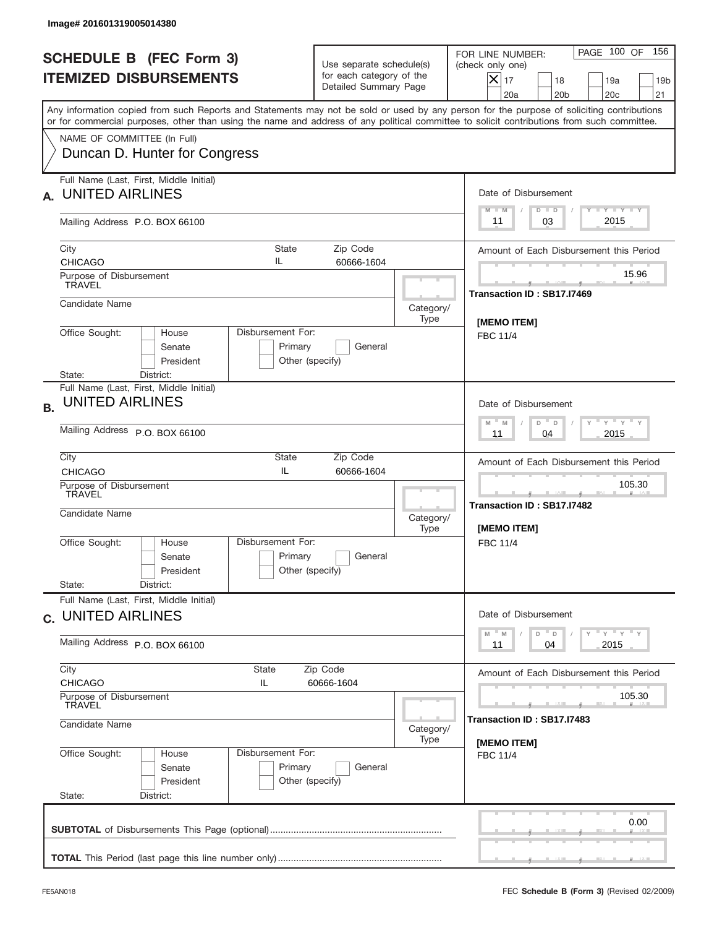| Image# 201601319005014380                                                                                                                                                                                                                                                               |                                                                               |                                                                |                                                                                                                                                                      |  |  |
|-----------------------------------------------------------------------------------------------------------------------------------------------------------------------------------------------------------------------------------------------------------------------------------------|-------------------------------------------------------------------------------|----------------------------------------------------------------|----------------------------------------------------------------------------------------------------------------------------------------------------------------------|--|--|
| <b>SCHEDULE B (FEC Form 3)</b><br><b>ITEMIZED DISBURSEMENTS</b>                                                                                                                                                                                                                         | Use separate schedule(s)<br>for each category of the<br>Detailed Summary Page |                                                                | PAGE 100 OF<br>156<br>FOR LINE NUMBER:<br>(check only one)<br>$ \mathsf{X} _{17}$<br>18<br>19a<br>19 <sub>b</sub><br>20a<br>20 <sub>b</sub><br>20 <sub>c</sub><br>21 |  |  |
| Any information copied from such Reports and Statements may not be sold or used by any person for the purpose of soliciting contributions<br>or for commercial purposes, other than using the name and address of any political committee to solicit contributions from such committee. |                                                                               |                                                                |                                                                                                                                                                      |  |  |
| NAME OF COMMITTEE (In Full)<br>Duncan D. Hunter for Congress                                                                                                                                                                                                                            |                                                                               |                                                                |                                                                                                                                                                      |  |  |
| Full Name (Last, First, Middle Initial)<br><b>UNITED AIRLINES</b>                                                                                                                                                                                                                       |                                                                               |                                                                | Date of Disbursement<br>Y FY FY FY                                                                                                                                   |  |  |
| Mailing Address P.O. BOX 66100                                                                                                                                                                                                                                                          |                                                                               |                                                                | $M - M$<br>$D$ $D$<br>2015<br>03<br>11                                                                                                                               |  |  |
| City<br><b>CHICAGO</b>                                                                                                                                                                                                                                                                  | State<br>Zip Code<br>IL<br>60666-1604                                         |                                                                | Amount of Each Disbursement this Period                                                                                                                              |  |  |
| Purpose of Disbursement<br><b>TRAVEL</b>                                                                                                                                                                                                                                                |                                                                               |                                                                | 15.96<br>Transaction ID: SB17.I7469                                                                                                                                  |  |  |
| Candidate Name                                                                                                                                                                                                                                                                          |                                                                               | Category/<br>Type                                              | <b>IMEMO ITEMI</b>                                                                                                                                                   |  |  |
| Office Sought:<br>House<br>Senate<br>President                                                                                                                                                                                                                                          | Disbursement For:<br>Primary<br>General<br>Other (specify)                    |                                                                | <b>FBC 11/4</b>                                                                                                                                                      |  |  |
| District:<br>State:<br>Full Name (Last, First, Middle Initial)<br><b>UNITED AIRLINES</b><br><b>B.</b>                                                                                                                                                                                   |                                                                               |                                                                | Date of Disbursement<br>ү " ү " ү " ү<br>$M - M$<br>$D$ $D$                                                                                                          |  |  |
| Mailing Address P.O. BOX 66100<br>City                                                                                                                                                                                                                                                  | 2015<br>11<br>04                                                              |                                                                |                                                                                                                                                                      |  |  |
| <b>CHICAGO</b>                                                                                                                                                                                                                                                                          | Amount of Each Disbursement this Period<br>105.30                             |                                                                |                                                                                                                                                                      |  |  |
| Purpose of Disbursement<br>TRAVEL<br>Candidate Name                                                                                                                                                                                                                                     |                                                                               | Category/<br>Type                                              | ____<br>Transaction ID: SB17.I7482<br>[MEMO ITEM]                                                                                                                    |  |  |
| Office Sought:<br>House<br>Senate<br>President<br>State:<br>District:                                                                                                                                                                                                                   | Disbursement For:<br>Primary<br>General<br>Other (specify)                    |                                                                | FBC 11/4                                                                                                                                                             |  |  |
| Full Name (Last, First, Middle Initial)<br>c. UNITED AIRLINES                                                                                                                                                                                                                           |                                                                               |                                                                | Date of Disbursement                                                                                                                                                 |  |  |
| Mailing Address P.O. BOX 66100                                                                                                                                                                                                                                                          |                                                                               | $Y$ $Y$ $Y$ $Y$ $Y$<br>$-M$<br>D<br>M<br>D<br>2015<br>11<br>04 |                                                                                                                                                                      |  |  |
| City<br><b>CHICAGO</b>                                                                                                                                                                                                                                                                  | State<br>Zip Code<br>IL<br>60666-1604                                         |                                                                |                                                                                                                                                                      |  |  |
| Purpose of Disbursement<br>TRAVEL                                                                                                                                                                                                                                                       |                                                                               | 105.30<br>Transaction ID : SB17.I7483                          |                                                                                                                                                                      |  |  |
| Candidate Name                                                                                                                                                                                                                                                                          | [MEMO ITEM]                                                                   |                                                                |                                                                                                                                                                      |  |  |
| Office Sought:<br>House<br>Senate<br>President<br>State:<br>District:                                                                                                                                                                                                                   | Disbursement For:<br>Primary<br>General<br>Other (specify)                    |                                                                | <b>FBC 11/4</b>                                                                                                                                                      |  |  |
|                                                                                                                                                                                                                                                                                         |                                                                               |                                                                | 0.00                                                                                                                                                                 |  |  |
|                                                                                                                                                                                                                                                                                         |                                                                               |                                                                |                                                                                                                                                                      |  |  |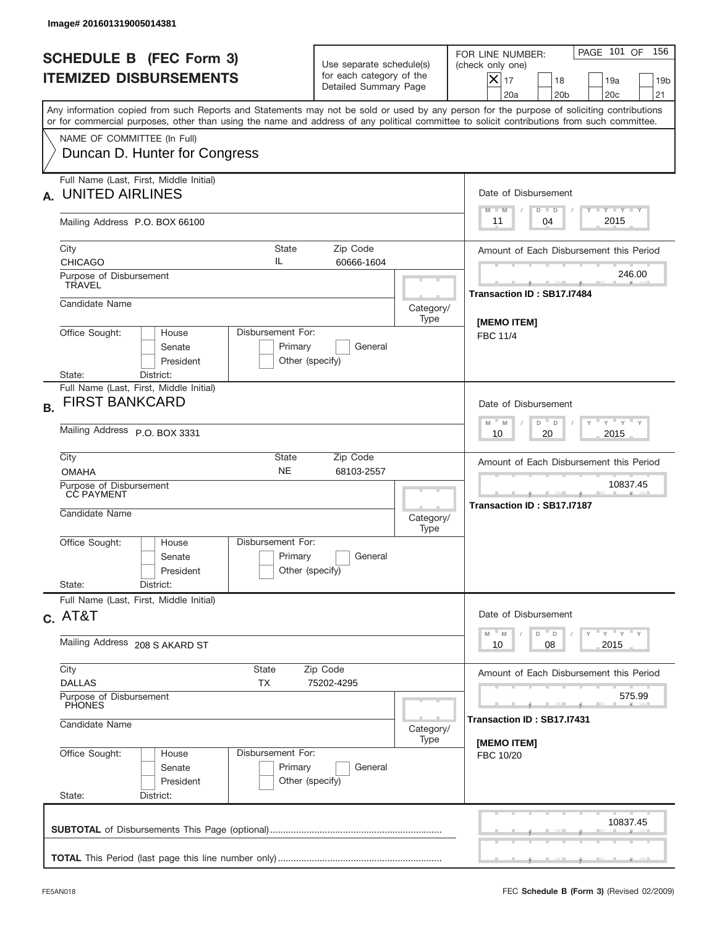| Image# 201601319005014381                                                                                                                                                                                                                                                                                              |                                                                               |                   |                                                                                                                                                                             |
|------------------------------------------------------------------------------------------------------------------------------------------------------------------------------------------------------------------------------------------------------------------------------------------------------------------------|-------------------------------------------------------------------------------|-------------------|-----------------------------------------------------------------------------------------------------------------------------------------------------------------------------|
| <b>SCHEDULE B (FEC Form 3)</b><br><b>ITEMIZED DISBURSEMENTS</b>                                                                                                                                                                                                                                                        | Use separate schedule(s)<br>for each category of the<br>Detailed Summary Page |                   | PAGE 101 OF<br>156<br>FOR LINE NUMBER:<br>(check only one)<br>$\overline{\mathsf{x}}$ 17<br>18<br>19a<br>19 <sub>b</sub><br>20a<br>20 <sub>b</sub><br>20 <sub>c</sub><br>21 |
| Any information copied from such Reports and Statements may not be sold or used by any person for the purpose of soliciting contributions<br>or for commercial purposes, other than using the name and address of any political committee to solicit contributions from such committee.<br>NAME OF COMMITTEE (In Full) |                                                                               |                   |                                                                                                                                                                             |
| Duncan D. Hunter for Congress                                                                                                                                                                                                                                                                                          |                                                                               |                   |                                                                                                                                                                             |
| Full Name (Last, First, Middle Initial)<br><b>UNITED AIRLINES</b><br>А.                                                                                                                                                                                                                                                |                                                                               |                   | Date of Disbursement<br>Y TY TY TY<br>$M - M$<br>$D$ $D$                                                                                                                    |
| Mailing Address P.O. BOX 66100                                                                                                                                                                                                                                                                                         |                                                                               |                   | 2015<br>04<br>11                                                                                                                                                            |
| City<br><b>State</b><br>IL<br><b>CHICAGO</b>                                                                                                                                                                                                                                                                           | Zip Code<br>60666-1604                                                        |                   | Amount of Each Disbursement this Period                                                                                                                                     |
| Purpose of Disbursement<br><b>TRAVEL</b>                                                                                                                                                                                                                                                                               |                                                                               |                   | 246.00<br>Transaction ID: SB17.I7484                                                                                                                                        |
| Candidate Name                                                                                                                                                                                                                                                                                                         |                                                                               | Category/<br>Type | [MEMO ITEM]                                                                                                                                                                 |
| Disbursement For:<br>Office Sought:<br>House<br>Senate<br>President                                                                                                                                                                                                                                                    | Primary<br>General<br>Other (specify)                                         |                   | <b>FBC 11/4</b>                                                                                                                                                             |
| State:<br>District:<br>Full Name (Last, First, Middle Initial)<br><b>FIRST BANKCARD</b><br><b>B.</b>                                                                                                                                                                                                                   |                                                                               |                   | Date of Disbursement                                                                                                                                                        |
| Mailing Address P.O. BOX 3331                                                                                                                                                                                                                                                                                          | $Y$ $Y$ $Y$ $Y$ $Y$<br>$M - M$<br>D<br>$\mathsf D$<br>2015<br>10<br>20        |                   |                                                                                                                                                                             |
| City<br>State<br><b>NE</b><br><b>OMAHA</b>                                                                                                                                                                                                                                                                             | Amount of Each Disbursement this Period                                       |                   |                                                                                                                                                                             |
| Purpose of Disbursement<br>CC PAYMENT<br>Candidate Name                                                                                                                                                                                                                                                                |                                                                               | Category/<br>Type | 10837.45<br>Transaction ID: SB17.I7187                                                                                                                                      |
| Disbursement For:<br>Office Sought:<br>House<br>Senate<br>President                                                                                                                                                                                                                                                    | Primary<br>General<br>Other (specify)                                         |                   |                                                                                                                                                                             |
| State:<br>District:<br>Full Name (Last, First, Middle Initial)                                                                                                                                                                                                                                                         |                                                                               |                   |                                                                                                                                                                             |
| $c.$ AT&T                                                                                                                                                                                                                                                                                                              | Date of Disbursement<br>$\gamma$ = $\gamma$ = $\gamma$ = $\gamma$             |                   |                                                                                                                                                                             |
| Mailing Address 208 S AKARD ST                                                                                                                                                                                                                                                                                         | $-M$<br>$D$ $D$<br>M<br>2015<br>10<br>08                                      |                   |                                                                                                                                                                             |
| City<br>State<br><b>DALLAS</b><br>ТX                                                                                                                                                                                                                                                                                   | Amount of Each Disbursement this Period                                       |                   |                                                                                                                                                                             |
| Purpose of Disbursement<br><b>PHONES</b><br>Candidate Name                                                                                                                                                                                                                                                             | 575.99<br>Transaction ID: SB17.I7431                                          |                   |                                                                                                                                                                             |
| Office Sought:<br>Disbursement For:<br>House<br>Senate<br>President<br>State:<br>District:                                                                                                                                                                                                                             | Primary<br>General<br>Other (specify)                                         | Category/<br>Type | [MEMO ITEM]<br>FBC 10/20                                                                                                                                                    |
|                                                                                                                                                                                                                                                                                                                        |                                                                               |                   | 10837.45                                                                                                                                                                    |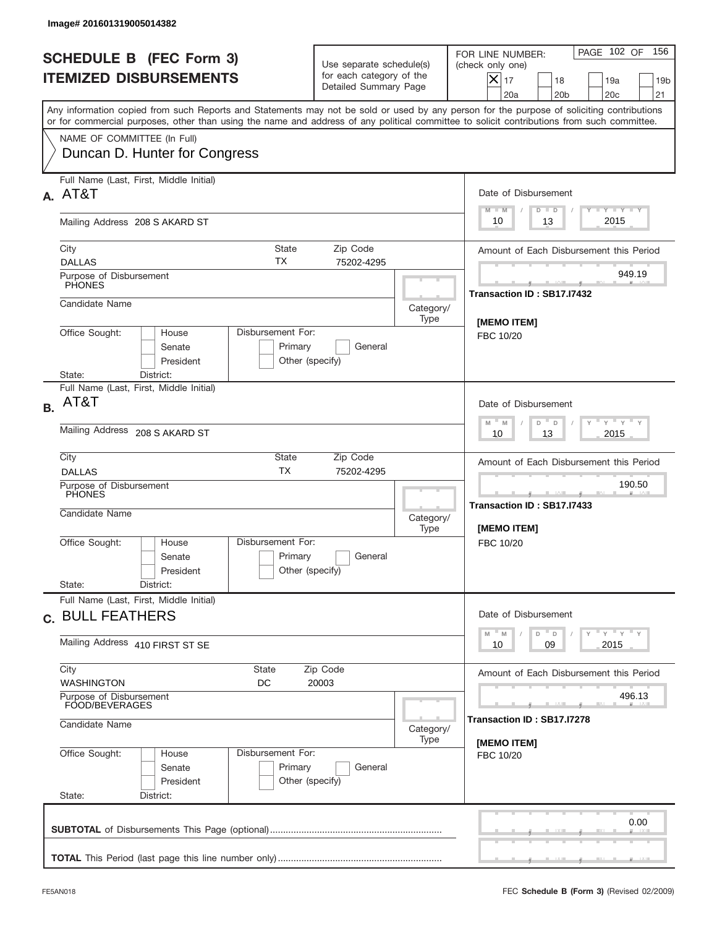| FOR LINE NUMBER:<br><b>SCHEDULE B (FEC Form 3)</b><br>Use separate schedule(s)<br>(check only one)<br>for each category of the<br><b>ITEMIZED DISBURSEMENTS</b><br>$X _{17}$<br>18<br>Detailed Summary Page<br>20a<br>20 <sub>b</sub><br>Any information copied from such Reports and Statements may not be sold or used by any person for the purpose of soliciting contributions<br>or for commercial purposes, other than using the name and address of any political committee to solicit contributions from such committee.<br>NAME OF COMMITTEE (In Full)<br>Duncan D. Hunter for Congress<br>Full Name (Last, First, Middle Initial)<br>A. AT&T<br>Date of Disbursement<br>$M - M$<br>$D$ $D$<br>13<br>10<br>Mailing Address 208 S AKARD ST<br>State<br>Zip Code<br>City<br>ТX<br><b>DALLAS</b><br>75202-4295<br>Purpose of Disbursement<br><b>PHONES</b><br>Transaction ID: SB17.I7432<br>Candidate Name<br>Category/<br>Type<br>[MEMO ITEM]<br>Office Sought:<br>Disbursement For:<br>House<br>FBC 10/20<br>Senate<br>Primary<br>General<br>President<br>Other (specify)<br>State:<br>District:<br>Full Name (Last, First, Middle Initial)<br>AT&T<br>Date of Disbursement<br><b>B.</b><br>$M - M$<br>D<br>$\Box$<br>Mailing Address 208 S AKARD ST<br>10<br>13<br>City<br>State<br>Zip Code<br><b>TX</b><br><b>DALLAS</b><br>75202-4295<br>Purpose of Disbursement<br>PHONES<br>____<br>Transaction ID: SB17.I7433<br>Candidate Name<br>Category/<br>[MEMO ITEM]<br>Type<br>Disbursement For:<br>Office Sought:<br>House<br>FBC 10/20<br>Primary<br>General<br>Senate<br>Other (specify)<br>President<br>State:<br>District:<br>Full Name (Last, First, Middle Initial)<br>Date of Disbursement<br>c. BULL FEATHERS<br>M<br>D<br>M<br>D<br>Mailing Address 410 FIRST ST SE<br>09<br>10<br>City<br>State<br>Zip Code<br><b>WASHINGTON</b><br>DC<br>20003<br>Purpose of Disbursement<br>FOOD/BEVERAGES | Image# 201601319005014382 |                                                                       |
|----------------------------------------------------------------------------------------------------------------------------------------------------------------------------------------------------------------------------------------------------------------------------------------------------------------------------------------------------------------------------------------------------------------------------------------------------------------------------------------------------------------------------------------------------------------------------------------------------------------------------------------------------------------------------------------------------------------------------------------------------------------------------------------------------------------------------------------------------------------------------------------------------------------------------------------------------------------------------------------------------------------------------------------------------------------------------------------------------------------------------------------------------------------------------------------------------------------------------------------------------------------------------------------------------------------------------------------------------------------------------------------------------------------------------------------------------------------------------------------------------------------------------------------------------------------------------------------------------------------------------------------------------------------------------------------------------------------------------------------------------------------------------------------------------------------------------------------------------------------------------------------------------------------|---------------------------|-----------------------------------------------------------------------|
|                                                                                                                                                                                                                                                                                                                                                                                                                                                                                                                                                                                                                                                                                                                                                                                                                                                                                                                                                                                                                                                                                                                                                                                                                                                                                                                                                                                                                                                                                                                                                                                                                                                                                                                                                                                                                                                                                                                |                           | 156<br>PAGE 102 OF<br>19a<br>19 <sub>b</sub><br>20 <sub>c</sub><br>21 |
|                                                                                                                                                                                                                                                                                                                                                                                                                                                                                                                                                                                                                                                                                                                                                                                                                                                                                                                                                                                                                                                                                                                                                                                                                                                                                                                                                                                                                                                                                                                                                                                                                                                                                                                                                                                                                                                                                                                |                           |                                                                       |
|                                                                                                                                                                                                                                                                                                                                                                                                                                                                                                                                                                                                                                                                                                                                                                                                                                                                                                                                                                                                                                                                                                                                                                                                                                                                                                                                                                                                                                                                                                                                                                                                                                                                                                                                                                                                                                                                                                                |                           |                                                                       |
|                                                                                                                                                                                                                                                                                                                                                                                                                                                                                                                                                                                                                                                                                                                                                                                                                                                                                                                                                                                                                                                                                                                                                                                                                                                                                                                                                                                                                                                                                                                                                                                                                                                                                                                                                                                                                                                                                                                |                           |                                                                       |
|                                                                                                                                                                                                                                                                                                                                                                                                                                                                                                                                                                                                                                                                                                                                                                                                                                                                                                                                                                                                                                                                                                                                                                                                                                                                                                                                                                                                                                                                                                                                                                                                                                                                                                                                                                                                                                                                                                                |                           | <b>TANK TANK</b><br>2015                                              |
|                                                                                                                                                                                                                                                                                                                                                                                                                                                                                                                                                                                                                                                                                                                                                                                                                                                                                                                                                                                                                                                                                                                                                                                                                                                                                                                                                                                                                                                                                                                                                                                                                                                                                                                                                                                                                                                                                                                |                           | Amount of Each Disbursement this Period                               |
|                                                                                                                                                                                                                                                                                                                                                                                                                                                                                                                                                                                                                                                                                                                                                                                                                                                                                                                                                                                                                                                                                                                                                                                                                                                                                                                                                                                                                                                                                                                                                                                                                                                                                                                                                                                                                                                                                                                |                           | 949.19                                                                |
|                                                                                                                                                                                                                                                                                                                                                                                                                                                                                                                                                                                                                                                                                                                                                                                                                                                                                                                                                                                                                                                                                                                                                                                                                                                                                                                                                                                                                                                                                                                                                                                                                                                                                                                                                                                                                                                                                                                |                           |                                                                       |
|                                                                                                                                                                                                                                                                                                                                                                                                                                                                                                                                                                                                                                                                                                                                                                                                                                                                                                                                                                                                                                                                                                                                                                                                                                                                                                                                                                                                                                                                                                                                                                                                                                                                                                                                                                                                                                                                                                                |                           |                                                                       |
|                                                                                                                                                                                                                                                                                                                                                                                                                                                                                                                                                                                                                                                                                                                                                                                                                                                                                                                                                                                                                                                                                                                                                                                                                                                                                                                                                                                                                                                                                                                                                                                                                                                                                                                                                                                                                                                                                                                |                           |                                                                       |
|                                                                                                                                                                                                                                                                                                                                                                                                                                                                                                                                                                                                                                                                                                                                                                                                                                                                                                                                                                                                                                                                                                                                                                                                                                                                                                                                                                                                                                                                                                                                                                                                                                                                                                                                                                                                                                                                                                                |                           | $-\gamma + \gamma - \gamma$<br>2015                                   |
|                                                                                                                                                                                                                                                                                                                                                                                                                                                                                                                                                                                                                                                                                                                                                                                                                                                                                                                                                                                                                                                                                                                                                                                                                                                                                                                                                                                                                                                                                                                                                                                                                                                                                                                                                                                                                                                                                                                |                           | Amount of Each Disbursement this Period                               |
|                                                                                                                                                                                                                                                                                                                                                                                                                                                                                                                                                                                                                                                                                                                                                                                                                                                                                                                                                                                                                                                                                                                                                                                                                                                                                                                                                                                                                                                                                                                                                                                                                                                                                                                                                                                                                                                                                                                |                           | 190.50                                                                |
|                                                                                                                                                                                                                                                                                                                                                                                                                                                                                                                                                                                                                                                                                                                                                                                                                                                                                                                                                                                                                                                                                                                                                                                                                                                                                                                                                                                                                                                                                                                                                                                                                                                                                                                                                                                                                                                                                                                |                           |                                                                       |
|                                                                                                                                                                                                                                                                                                                                                                                                                                                                                                                                                                                                                                                                                                                                                                                                                                                                                                                                                                                                                                                                                                                                                                                                                                                                                                                                                                                                                                                                                                                                                                                                                                                                                                                                                                                                                                                                                                                |                           |                                                                       |
|                                                                                                                                                                                                                                                                                                                                                                                                                                                                                                                                                                                                                                                                                                                                                                                                                                                                                                                                                                                                                                                                                                                                                                                                                                                                                                                                                                                                                                                                                                                                                                                                                                                                                                                                                                                                                                                                                                                |                           | γ <sup>=</sup> γ <sup>=</sup> γ <sup>=</sup> γ<br>2015                |
|                                                                                                                                                                                                                                                                                                                                                                                                                                                                                                                                                                                                                                                                                                                                                                                                                                                                                                                                                                                                                                                                                                                                                                                                                                                                                                                                                                                                                                                                                                                                                                                                                                                                                                                                                                                                                                                                                                                |                           | Amount of Each Disbursement this Period                               |
| Transaction ID : SB17.I7278                                                                                                                                                                                                                                                                                                                                                                                                                                                                                                                                                                                                                                                                                                                                                                                                                                                                                                                                                                                                                                                                                                                                                                                                                                                                                                                                                                                                                                                                                                                                                                                                                                                                                                                                                                                                                                                                                    |                           | 496.13                                                                |
| Candidate Name<br>Category/<br>Type<br>[MEMO ITEM]                                                                                                                                                                                                                                                                                                                                                                                                                                                                                                                                                                                                                                                                                                                                                                                                                                                                                                                                                                                                                                                                                                                                                                                                                                                                                                                                                                                                                                                                                                                                                                                                                                                                                                                                                                                                                                                             |                           |                                                                       |
| Office Sought:<br>Disbursement For:<br>House<br>FBC 10/20<br>Primary<br>Senate<br>General<br>President<br>Other (specify)<br>State:<br>District:                                                                                                                                                                                                                                                                                                                                                                                                                                                                                                                                                                                                                                                                                                                                                                                                                                                                                                                                                                                                                                                                                                                                                                                                                                                                                                                                                                                                                                                                                                                                                                                                                                                                                                                                                               |                           |                                                                       |
|                                                                                                                                                                                                                                                                                                                                                                                                                                                                                                                                                                                                                                                                                                                                                                                                                                                                                                                                                                                                                                                                                                                                                                                                                                                                                                                                                                                                                                                                                                                                                                                                                                                                                                                                                                                                                                                                                                                |                           | 0.00                                                                  |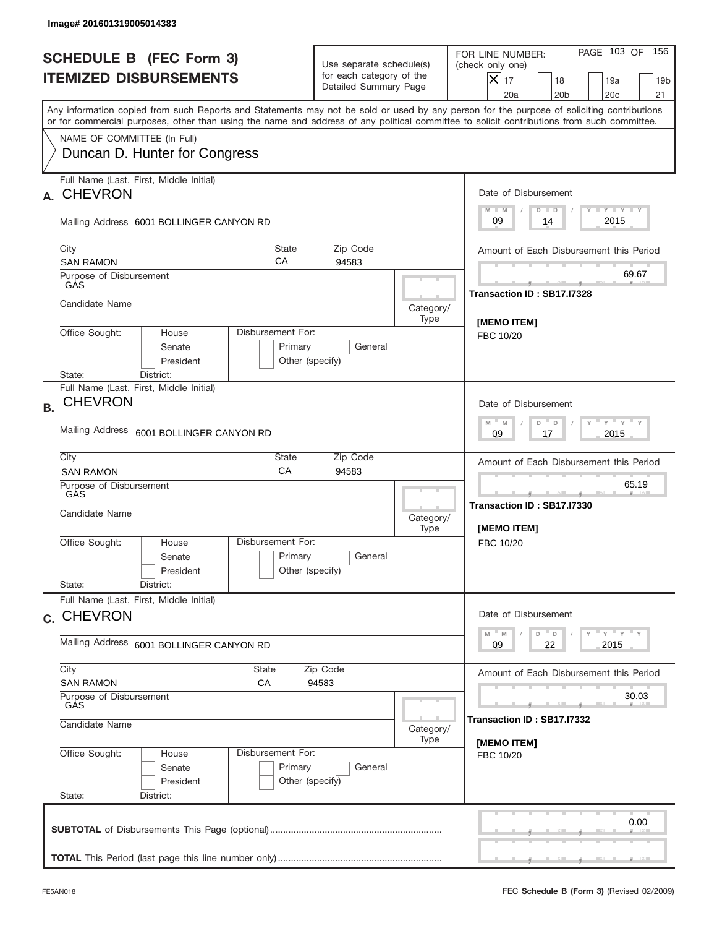|           | Image# 201601319005014383                                                                                                                  |                                                 |                                                                               |                   |                                                                                                                                                                 |
|-----------|--------------------------------------------------------------------------------------------------------------------------------------------|-------------------------------------------------|-------------------------------------------------------------------------------|-------------------|-----------------------------------------------------------------------------------------------------------------------------------------------------------------|
|           | <b>SCHEDULE B (FEC Form 3)</b><br><b>ITEMIZED DISBURSEMENTS</b>                                                                            |                                                 | Use separate schedule(s)<br>for each category of the<br>Detailed Summary Page |                   | 156<br>PAGE 103 OF<br>FOR LINE NUMBER:<br>(check only one)<br>$\times$<br>17<br>18<br>19a<br>19 <sub>b</sub><br>20 <sub>c</sub><br>21<br>20a<br>20 <sub>b</sub> |
|           | or for commercial purposes, other than using the name and address of any political committee to solicit contributions from such committee. |                                                 |                                                                               |                   | Any information copied from such Reports and Statements may not be sold or used by any person for the purpose of soliciting contributions                       |
|           | NAME OF COMMITTEE (In Full)<br>Duncan D. Hunter for Congress                                                                               |                                                 |                                                                               |                   |                                                                                                                                                                 |
| A.        | Full Name (Last, First, Middle Initial)<br><b>CHEVRON</b>                                                                                  |                                                 |                                                                               |                   | Date of Disbursement<br>$T - Y$ $T - Y$<br>$M - M$<br>$D$ $D$                                                                                                   |
|           | Mailing Address 6001 BOLLINGER CANYON RD                                                                                                   |                                                 |                                                                               |                   | 2015<br>09<br>14                                                                                                                                                |
|           | City<br><b>SAN RAMON</b>                                                                                                                   | State<br>СA                                     | Zip Code<br>94583                                                             |                   | Amount of Each Disbursement this Period<br>69.67                                                                                                                |
|           | Purpose of Disbursement<br>GAS                                                                                                             |                                                 |                                                                               |                   | Transaction ID: SB17.I7328                                                                                                                                      |
|           | Candidate Name                                                                                                                             |                                                 |                                                                               | Category/<br>Type |                                                                                                                                                                 |
|           | Office Sought:<br>House<br>Senate<br>President<br>State:                                                                                   | Disbursement For:<br>Primary<br>Other (specify) | General                                                                       |                   | [MEMO ITEM]<br>FBC 10/20                                                                                                                                        |
|           | District:<br>Full Name (Last, First, Middle Initial)                                                                                       |                                                 |                                                                               |                   |                                                                                                                                                                 |
| <b>B.</b> | <b>CHEVRON</b>                                                                                                                             |                                                 |                                                                               |                   | Date of Disbursement                                                                                                                                            |
|           | Mailing Address<br>6001 BOLLINGER CANYON RD                                                                                                |                                                 |                                                                               |                   | $\cdots$ $\gamma$ $\cdots$ $\gamma$ $\cdots$ $\gamma$<br>$M - M$<br>D<br>D<br>2015<br>09<br>17                                                                  |
|           | City<br><b>SAN RAMON</b>                                                                                                                   | Amount of Each Disbursement this Period         |                                                                               |                   |                                                                                                                                                                 |
|           | Purpose of Disbursement<br>GÀS                                                                                                             |                                                 | 65.19<br>____<br>Transaction ID: SB17.I7330                                   |                   |                                                                                                                                                                 |
|           | Candidate Name                                                                                                                             |                                                 |                                                                               | Category/<br>Type | [MEMO ITEM]                                                                                                                                                     |
|           | Office Sought:<br>House<br>Senate<br>President                                                                                             | Disbursement For:<br>Primary<br>Other (specify) | General                                                                       |                   | FBC 10/20                                                                                                                                                       |
|           | State:<br>District:<br>Full Name (Last, First, Middle Initial)                                                                             |                                                 |                                                                               |                   |                                                                                                                                                                 |
|           | c. CHEVRON                                                                                                                                 |                                                 |                                                                               |                   | Date of Disbursement<br>ү" ү" ү" ү<br>$M$ $M$<br>D<br>$\mathsf D$                                                                                               |
|           | Mailing Address 6001 BOLLINGER CANYON RD                                                                                                   | 22<br>2015<br>09                                |                                                                               |                   |                                                                                                                                                                 |
|           | City<br><b>State</b><br><b>SAN RAMON</b><br>СA                                                                                             | Amount of Each Disbursement this Period         |                                                                               |                   |                                                                                                                                                                 |
|           | Purpose of Disbursement<br>GÁS                                                                                                             | 30.03                                           |                                                                               |                   |                                                                                                                                                                 |
|           | Candidate Name                                                                                                                             | Transaction ID: SB17.I7332<br>[MEMO ITEM]       |                                                                               |                   |                                                                                                                                                                 |
|           | Office Sought:<br>House<br>Senate<br>President<br>State:<br>District:                                                                      | Disbursement For:<br>Primary<br>Other (specify) | General                                                                       | Type              | FBC 10/20                                                                                                                                                       |
|           |                                                                                                                                            |                                                 |                                                                               |                   | 0.00                                                                                                                                                            |
|           |                                                                                                                                            |                                                 |                                                                               |                   |                                                                                                                                                                 |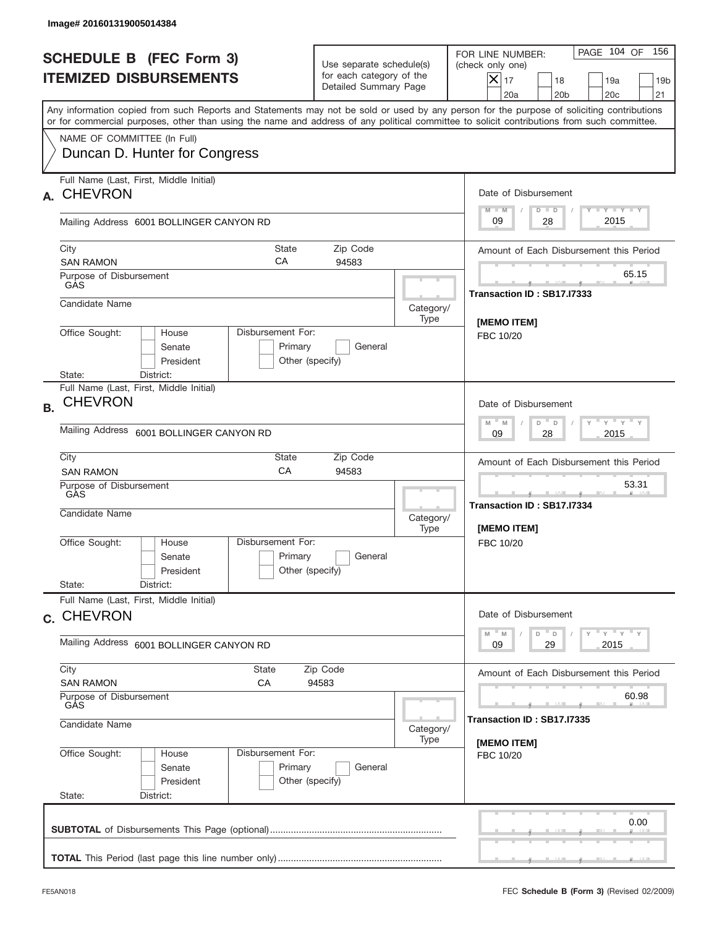|           | Image# 201601319005014384                                             |                                                                           |                                                                               |                   |                                                                                                                                                                                                                                                                                         |
|-----------|-----------------------------------------------------------------------|---------------------------------------------------------------------------|-------------------------------------------------------------------------------|-------------------|-----------------------------------------------------------------------------------------------------------------------------------------------------------------------------------------------------------------------------------------------------------------------------------------|
|           | <b>SCHEDULE B (FEC Form 3)</b><br><b>ITEMIZED DISBURSEMENTS</b>       |                                                                           | Use separate schedule(s)<br>for each category of the<br>Detailed Summary Page |                   | 156<br>PAGE 104 OF<br>FOR LINE NUMBER:<br>(check only one)<br>$\overline{\mathsf{x}}$ 17<br>18<br>19a<br>19 <sub>b</sub><br>20 <sub>c</sub><br>20a<br>20 <sub>b</sub><br>21                                                                                                             |
|           |                                                                       |                                                                           |                                                                               |                   | Any information copied from such Reports and Statements may not be sold or used by any person for the purpose of soliciting contributions<br>or for commercial purposes, other than using the name and address of any political committee to solicit contributions from such committee. |
|           | NAME OF COMMITTEE (In Full)<br>Duncan D. Hunter for Congress          |                                                                           |                                                                               |                   |                                                                                                                                                                                                                                                                                         |
| A.        | Full Name (Last, First, Middle Initial)<br><b>CHEVRON</b>             |                                                                           |                                                                               |                   | Date of Disbursement<br>Y FY FY FY<br>$M - M$<br>$D$ $D$                                                                                                                                                                                                                                |
|           | Mailing Address 6001 BOLLINGER CANYON RD                              |                                                                           |                                                                               |                   | 2015<br>09<br>28                                                                                                                                                                                                                                                                        |
|           | City<br><b>SAN RAMON</b>                                              | <b>State</b><br>СA                                                        | Zip Code<br>94583                                                             |                   | Amount of Each Disbursement this Period                                                                                                                                                                                                                                                 |
|           | Purpose of Disbursement<br>GAS                                        |                                                                           |                                                                               |                   | 65.15<br>Transaction ID: SB17.I7333                                                                                                                                                                                                                                                     |
|           | Candidate Name                                                        |                                                                           |                                                                               | Category/<br>Type | [MEMO ITEM]                                                                                                                                                                                                                                                                             |
|           | Office Sought:<br>House<br>Senate<br>President<br>State:<br>District: | Disbursement For:<br>Primary<br>Other (specify)                           | General                                                                       |                   | FBC 10/20                                                                                                                                                                                                                                                                               |
| <b>B.</b> | Full Name (Last, First, Middle Initial)<br><b>CHEVRON</b>             |                                                                           |                                                                               |                   | Date of Disbursement                                                                                                                                                                                                                                                                    |
|           | Mailing Address<br>6001 BOLLINGER CANYON RD                           | $-\gamma + \gamma - \gamma$<br>$M - M$<br>D<br>$\Box$<br>2015<br>09<br>28 |                                                                               |                   |                                                                                                                                                                                                                                                                                         |
|           | City<br><b>SAN RAMON</b>                                              | Amount of Each Disbursement this Period                                   |                                                                               |                   |                                                                                                                                                                                                                                                                                         |
|           | Purpose of Disbursement<br>GAS<br>Candidate Name                      |                                                                           |                                                                               | Category/<br>Type | 53.31<br>Transaction ID: SB17.I7334<br>[MEMO ITEM]                                                                                                                                                                                                                                      |
|           | Office Sought:<br>House<br>Senate<br>President                        | Disbursement For:<br>Primary<br>Other (specify)                           | General                                                                       |                   | FBC 10/20                                                                                                                                                                                                                                                                               |
|           | State:<br>District:<br>Full Name (Last, First, Middle Initial)        |                                                                           |                                                                               |                   |                                                                                                                                                                                                                                                                                         |
|           | c. CHEVRON                                                            |                                                                           |                                                                               |                   | Date of Disbursement<br>$\gamma$ $\gamma$ $\gamma$ $\gamma$ $\gamma$<br>$-M$<br>$\mathbb M$<br>D<br>D                                                                                                                                                                                   |
|           | Mailing Address 6001 BOLLINGER CANYON RD                              | 29<br>2015<br>09                                                          |                                                                               |                   |                                                                                                                                                                                                                                                                                         |
|           | City<br><b>SAN RAMON</b>                                              | Amount of Each Disbursement this Period                                   |                                                                               |                   |                                                                                                                                                                                                                                                                                         |
|           | Purpose of Disbursement<br>GÁS<br>Candidate Name                      | 60.98<br>Transaction ID : SB17.I7335                                      |                                                                               |                   |                                                                                                                                                                                                                                                                                         |
|           | Office Sought:<br>House<br>Senate<br>President<br>State:<br>District: | Disbursement For:<br>Primary<br>Other (specify)                           | General                                                                       | Category/<br>Type | [MEMO ITEM]<br>FBC 10/20                                                                                                                                                                                                                                                                |
|           |                                                                       |                                                                           |                                                                               |                   | 0.00                                                                                                                                                                                                                                                                                    |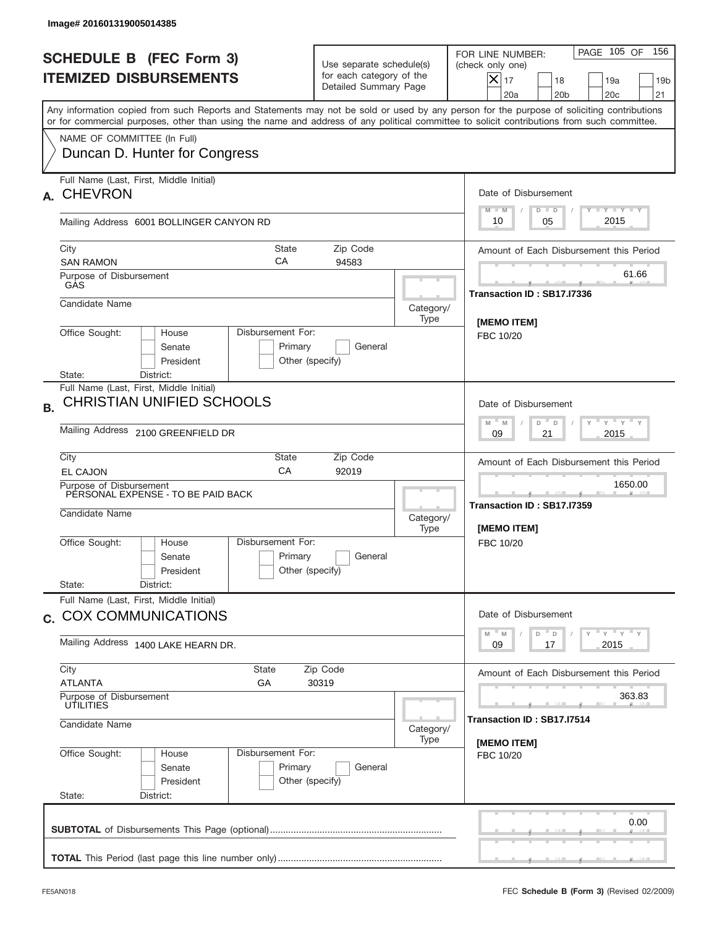|           | Image# 201601319005014385                                                                          |                                                    |                                                                               |                   |                                                                                                                                                                                                                                                                                         |
|-----------|----------------------------------------------------------------------------------------------------|----------------------------------------------------|-------------------------------------------------------------------------------|-------------------|-----------------------------------------------------------------------------------------------------------------------------------------------------------------------------------------------------------------------------------------------------------------------------------------|
|           | <b>SCHEDULE B (FEC Form 3)</b><br><b>ITEMIZED DISBURSEMENTS</b>                                    |                                                    | Use separate schedule(s)<br>for each category of the<br>Detailed Summary Page |                   | 156<br>PAGE 105 OF<br>FOR LINE NUMBER:<br>(check only one)<br>$\times$<br>17<br>18<br>19a<br>19 <sub>b</sub><br>20a<br>20 <sub>b</sub><br>20 <sub>c</sub><br>21                                                                                                                         |
|           |                                                                                                    |                                                    |                                                                               |                   | Any information copied from such Reports and Statements may not be sold or used by any person for the purpose of soliciting contributions<br>or for commercial purposes, other than using the name and address of any political committee to solicit contributions from such committee. |
|           | NAME OF COMMITTEE (In Full)<br>Duncan D. Hunter for Congress                                       |                                                    |                                                                               |                   |                                                                                                                                                                                                                                                                                         |
| А.        | Full Name (Last, First, Middle Initial)<br><b>CHEVRON</b>                                          |                                                    |                                                                               |                   | Date of Disbursement                                                                                                                                                                                                                                                                    |
|           | Mailing Address 6001 BOLLINGER CANYON RD                                                           |                                                    |                                                                               |                   | <b>TANK TANK</b><br>$M - M$<br>$D$ $D$<br>2015<br>05<br>10                                                                                                                                                                                                                              |
| City      | <b>SAN RAMON</b>                                                                                   | State<br>CA                                        | Zip Code<br>94583                                                             |                   | Amount of Each Disbursement this Period<br>61.66                                                                                                                                                                                                                                        |
|           | Purpose of Disbursement<br>GAS                                                                     |                                                    |                                                                               |                   | Transaction ID: SB17.I7336                                                                                                                                                                                                                                                              |
|           | Candidate Name                                                                                     | Disbursement For:                                  |                                                                               | Category/<br>Type | [MEMO ITEM]                                                                                                                                                                                                                                                                             |
|           | Office Sought:<br>House<br>Senate<br>President                                                     | Primary<br>Other (specify)                         | General                                                                       |                   | FBC 10/20                                                                                                                                                                                                                                                                               |
| <b>B.</b> | District:<br>State:<br>Full Name (Last, First, Middle Initial)<br><b>CHRISTIAN UNIFIED SCHOOLS</b> |                                                    |                                                                               |                   | Date of Disbursement                                                                                                                                                                                                                                                                    |
|           | Mailing Address 2100 GREENFIELD DR                                                                 | $M - M$<br>≡ γ ≡ γ ≡<br>D<br>D<br>2015<br>09<br>21 |                                                                               |                   |                                                                                                                                                                                                                                                                                         |
| City      | <b>EL CAJON</b>                                                                                    | <b>State</b><br>CA                                 | Zip Code<br>92019                                                             |                   | Amount of Each Disbursement this Period                                                                                                                                                                                                                                                 |
|           | Purpose of Disbursement<br>PERSONAL EXPENSE - TO BE PAID BACK<br>Candidate Name                    |                                                    |                                                                               | Category/<br>Type | 1650.00<br>المستقبل<br>Transaction ID: SB17.I7359<br>[MEMO ITEM]                                                                                                                                                                                                                        |
|           | Office Sought:<br>House<br>Senate<br>President                                                     | Disbursement For:<br>Primary<br>Other (specify)    | General                                                                       |                   | FBC 10/20                                                                                                                                                                                                                                                                               |
|           | State:<br>District:<br>Full Name (Last, First, Middle Initial)                                     |                                                    |                                                                               |                   |                                                                                                                                                                                                                                                                                         |
|           | c. COX COMMUNICATIONS<br>Mailing Address 1400 LAKE HEARN DR.                                       |                                                    |                                                                               |                   | Date of Disbursement<br>γ <sup>=</sup> γ <sup>=</sup> γ <sup>=</sup> γ<br>$M - M$<br>D<br>D<br>2015<br>09<br>17                                                                                                                                                                         |
| City      | <b>State</b>                                                                                       | Amount of Each Disbursement this Period            |                                                                               |                   |                                                                                                                                                                                                                                                                                         |
|           | <b>ATLANTA</b><br>GА<br>Purpose of Disbursement<br>UTILITIES                                       | 363.83                                             |                                                                               |                   |                                                                                                                                                                                                                                                                                         |
|           | Candidate Name                                                                                     | Transaction ID: SB17.I7514                         |                                                                               |                   |                                                                                                                                                                                                                                                                                         |
|           | Office Sought:<br>House<br>Senate<br>President<br>State:<br>District:                              | Disbursement For:<br>Primary<br>Other (specify)    | General                                                                       | Type              | [MEMO ITEM]<br>FBC 10/20                                                                                                                                                                                                                                                                |
|           |                                                                                                    |                                                    |                                                                               |                   | 0.00                                                                                                                                                                                                                                                                                    |
|           |                                                                                                    |                                                    |                                                                               |                   |                                                                                                                                                                                                                                                                                         |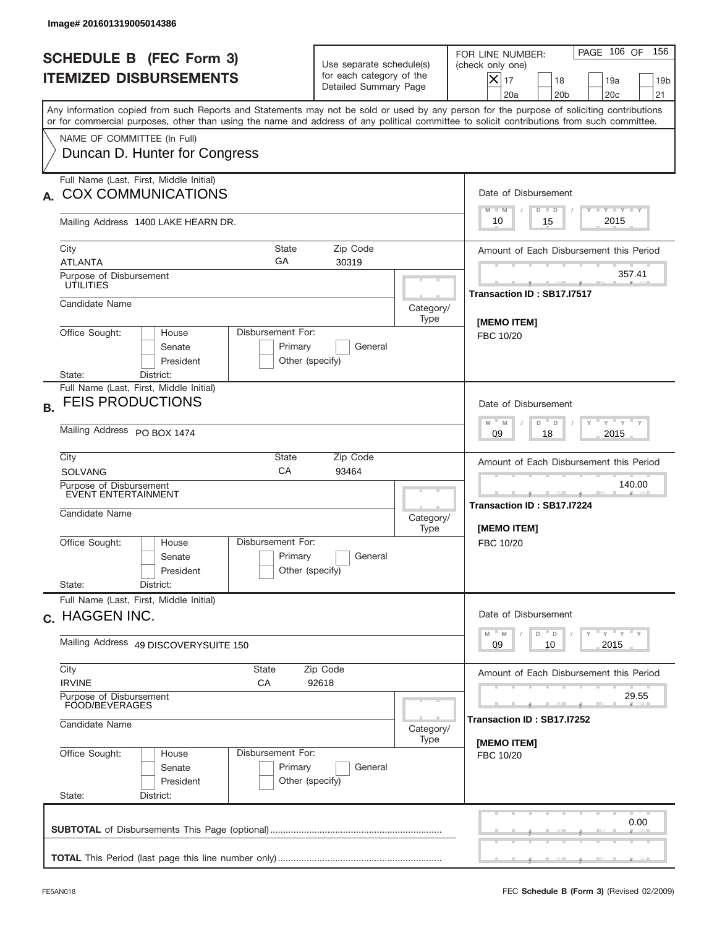| Image# 201601319005014386                                                                                                                                                                                                                                                               |                                                                               |                   |                                                                                                                                                                    |
|-----------------------------------------------------------------------------------------------------------------------------------------------------------------------------------------------------------------------------------------------------------------------------------------|-------------------------------------------------------------------------------|-------------------|--------------------------------------------------------------------------------------------------------------------------------------------------------------------|
| <b>SCHEDULE B (FEC Form 3)</b><br><b>ITEMIZED DISBURSEMENTS</b>                                                                                                                                                                                                                         | Use separate schedule(s)<br>for each category of the<br>Detailed Summary Page |                   | PAGE 106 OF<br>156<br>FOR LINE NUMBER:<br>(check only one)<br>$ \boldsymbol{\times} $<br>17<br>18<br>19a<br>19 <sub>b</sub><br>20a<br>20 <sub>b</sub><br>20c<br>21 |
| Any information copied from such Reports and Statements may not be sold or used by any person for the purpose of soliciting contributions<br>or for commercial purposes, other than using the name and address of any political committee to solicit contributions from such committee. |                                                                               |                   |                                                                                                                                                                    |
| NAME OF COMMITTEE (In Full)<br>Duncan D. Hunter for Congress                                                                                                                                                                                                                            |                                                                               |                   |                                                                                                                                                                    |
| Full Name (Last, First, Middle Initial)<br><b>COX COMMUNICATIONS</b>                                                                                                                                                                                                                    |                                                                               |                   | Date of Disbursement<br>Y TY TY TY<br>$M - M$<br>$D$ $D$                                                                                                           |
| Mailing Address 1400 LAKE HEARN DR.                                                                                                                                                                                                                                                     |                                                                               |                   | 2015<br>10<br>15                                                                                                                                                   |
| City<br>State<br>GA<br><b>ATLANTA</b>                                                                                                                                                                                                                                                   | Zip Code<br>30319                                                             |                   | Amount of Each Disbursement this Period                                                                                                                            |
| Purpose of Disbursement<br><b>ÚTILITIES</b>                                                                                                                                                                                                                                             |                                                                               |                   | 357.41<br>Transaction ID: SB17.I7517                                                                                                                               |
| Candidate Name                                                                                                                                                                                                                                                                          |                                                                               | Category/<br>Type | [MEMO ITEM]                                                                                                                                                        |
| Office Sought:<br>Disbursement For:<br>House<br>Senate<br>Primary<br>President                                                                                                                                                                                                          | General<br>Other (specify)                                                    |                   | FBC 10/20                                                                                                                                                          |
| District:<br>State:<br>Full Name (Last, First, Middle Initial)<br><b>FEIS PRODUCTIONS</b><br><b>B.</b>                                                                                                                                                                                  |                                                                               |                   | Date of Disbursement<br>$-\gamma + \gamma - \gamma$<br>D "<br>M<br>$\mathsf D$<br>M                                                                                |
| Mailing Address PO BOX 1474                                                                                                                                                                                                                                                             | 2015<br>09<br>18                                                              |                   |                                                                                                                                                                    |
| City<br>State<br>CA<br><b>SOLVANG</b>                                                                                                                                                                                                                                                   | Zip Code<br>93464                                                             |                   | Amount of Each Disbursement this Period                                                                                                                            |
| Purpose of Disbursement<br>EVENT ENTERTAINMENT<br>Candidate Name                                                                                                                                                                                                                        |                                                                               | Category/<br>Type | 140.00<br>Transaction ID: SB17.I7224<br><b>IMEMO ITEMI</b>                                                                                                         |
| Disbursement For:<br>Office Sought:<br>House<br>Primary<br>Senate<br>President                                                                                                                                                                                                          | General<br>Other (specify)                                                    |                   | FBC 10/20                                                                                                                                                          |
| State:<br>District:<br>Full Name (Last, First, Middle Initial)                                                                                                                                                                                                                          |                                                                               |                   |                                                                                                                                                                    |
| c. HAGGEN INC.                                                                                                                                                                                                                                                                          | Date of Disbursement<br>$Y$ $Y$ $Y$ $Y$ $Y$<br>$M - M$<br>D<br>D              |                   |                                                                                                                                                                    |
| Mailing Address 49 DISCOVERYSUITE 150                                                                                                                                                                                                                                                   | 2015<br>09<br>10                                                              |                   |                                                                                                                                                                    |
| City<br><b>State</b><br><b>IRVINE</b><br>СA                                                                                                                                                                                                                                             | Amount of Each Disbursement this Period                                       |                   |                                                                                                                                                                    |
| Purpose of Disbursement<br>FOOD/BEVERAGES<br>Candidate Name                                                                                                                                                                                                                             | 29.55<br>Transaction ID: SB17.I7252                                           |                   |                                                                                                                                                                    |
| Disbursement For:<br>Office Sought:<br>House<br>Primary<br>Senate<br>President<br>State:<br>District:                                                                                                                                                                                   | General<br>Other (specify)                                                    | Category/<br>Type | [MEMO ITEM]<br>FBC 10/20                                                                                                                                           |
|                                                                                                                                                                                                                                                                                         |                                                                               |                   | 0.00                                                                                                                                                               |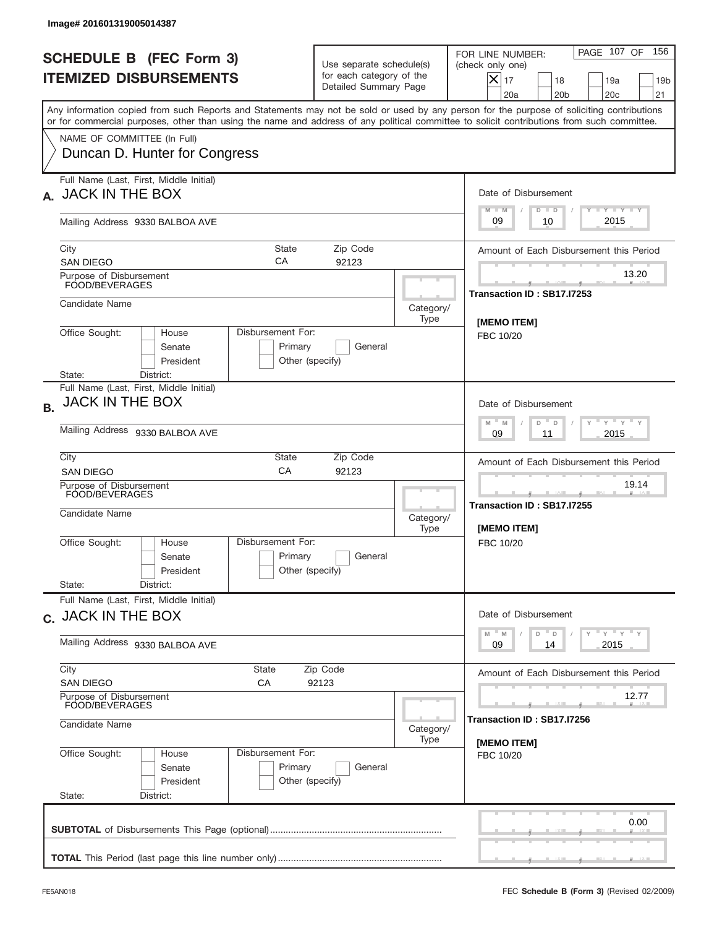| Image# 201601319005014387                                                                                                                                                                                                                                                               |                                                                               |                                     |                                                                                                                                                            |  |  |  |
|-----------------------------------------------------------------------------------------------------------------------------------------------------------------------------------------------------------------------------------------------------------------------------------------|-------------------------------------------------------------------------------|-------------------------------------|------------------------------------------------------------------------------------------------------------------------------------------------------------|--|--|--|
| <b>SCHEDULE B (FEC Form 3)</b><br><b>ITEMIZED DISBURSEMENTS</b>                                                                                                                                                                                                                         | Use separate schedule(s)<br>for each category of the<br>Detailed Summary Page |                                     | PAGE 107 OF<br>156<br>FOR LINE NUMBER:<br>(check only one)<br>$X _{17}$<br>18<br>19a<br>19 <sub>b</sub><br>20a<br>20 <sub>b</sub><br>20 <sub>c</sub><br>21 |  |  |  |
| Any information copied from such Reports and Statements may not be sold or used by any person for the purpose of soliciting contributions<br>or for commercial purposes, other than using the name and address of any political committee to solicit contributions from such committee. |                                                                               |                                     |                                                                                                                                                            |  |  |  |
| NAME OF COMMITTEE (In Full)<br>Duncan D. Hunter for Congress                                                                                                                                                                                                                            |                                                                               |                                     |                                                                                                                                                            |  |  |  |
| Full Name (Last, First, Middle Initial)<br>A. JACK IN THE BOX                                                                                                                                                                                                                           |                                                                               |                                     | Date of Disbursement<br>Y I Y I Y I Y                                                                                                                      |  |  |  |
| Mailing Address 9330 BALBOA AVE                                                                                                                                                                                                                                                         |                                                                               |                                     | $M - M$<br>$D$ $D$<br>2015<br>09<br>10                                                                                                                     |  |  |  |
| City<br>СA<br><b>SAN DIEGO</b>                                                                                                                                                                                                                                                          | State<br>Zip Code<br>92123                                                    |                                     | Amount of Each Disbursement this Period                                                                                                                    |  |  |  |
| Purpose of Disbursement<br>FOOD/BEVERAGES                                                                                                                                                                                                                                               |                                                                               |                                     | 13.20<br>Transaction ID: SB17.I7253                                                                                                                        |  |  |  |
| Candidate Name                                                                                                                                                                                                                                                                          |                                                                               | Category/<br>Type                   | [MEMO ITEM]                                                                                                                                                |  |  |  |
| Office Sought:<br>Disbursement For:<br>House<br>Senate<br>President<br>State:<br>District:                                                                                                                                                                                              | Primary<br>General<br>Other (specify)                                         |                                     | FBC 10/20                                                                                                                                                  |  |  |  |
| Full Name (Last, First, Middle Initial)<br>JACK IN THE BOX<br><b>B.</b>                                                                                                                                                                                                                 |                                                                               |                                     | Date of Disbursement                                                                                                                                       |  |  |  |
| Mailing Address 9330 BALBOA AVE                                                                                                                                                                                                                                                         | ү " ү " ү " ү<br>$M - M$<br>D<br>D<br>2015<br>09<br>11                        |                                     |                                                                                                                                                            |  |  |  |
| City<br>State<br>CA<br><b>SAN DIEGO</b>                                                                                                                                                                                                                                                 | Amount of Each Disbursement this Period                                       |                                     |                                                                                                                                                            |  |  |  |
| Purpose of Disbursement<br>FOOD/BEVERAGES<br>Candidate Name                                                                                                                                                                                                                             |                                                                               | Category/<br>Type                   | 19.14<br>Transaction ID: SB17.I7255<br><b>IMEMO ITEMI</b>                                                                                                  |  |  |  |
| Disbursement For:<br>Office Sought:<br>House<br>Senate<br>President<br>State:<br>District:                                                                                                                                                                                              | Primary<br>General<br>Other (specify)                                         |                                     | FBC 10/20                                                                                                                                                  |  |  |  |
| Full Name (Last, First, Middle Initial)<br>c. JACK IN THE BOX                                                                                                                                                                                                                           | Date of Disbursement                                                          |                                     |                                                                                                                                                            |  |  |  |
| Mailing Address 9330 BALBOA AVE                                                                                                                                                                                                                                                         | ү" ү" ү" ү<br>$M - M$<br>$\mathsf D$<br>$\mathsf D$<br>2015<br>09<br>14       |                                     |                                                                                                                                                            |  |  |  |
| City<br>State<br><b>SAN DIEGO</b><br>СA                                                                                                                                                                                                                                                 | Zip Code<br>92123                                                             |                                     |                                                                                                                                                            |  |  |  |
| Purpose of Disbursement<br>FOOD/BEVERAGES<br>Candidate Name                                                                                                                                                                                                                             |                                                                               | 12.77<br>Transaction ID: SB17.I7256 |                                                                                                                                                            |  |  |  |
| Office Sought:<br>Disbursement For:<br>House                                                                                                                                                                                                                                            |                                                                               | Category/<br>Type                   | [MEMO ITEM]                                                                                                                                                |  |  |  |
| Senate<br>President<br>State:<br>District:                                                                                                                                                                                                                                              | Primary<br>General<br>Other (specify)                                         |                                     | FBC 10/20                                                                                                                                                  |  |  |  |
|                                                                                                                                                                                                                                                                                         |                                                                               |                                     | 0.00                                                                                                                                                       |  |  |  |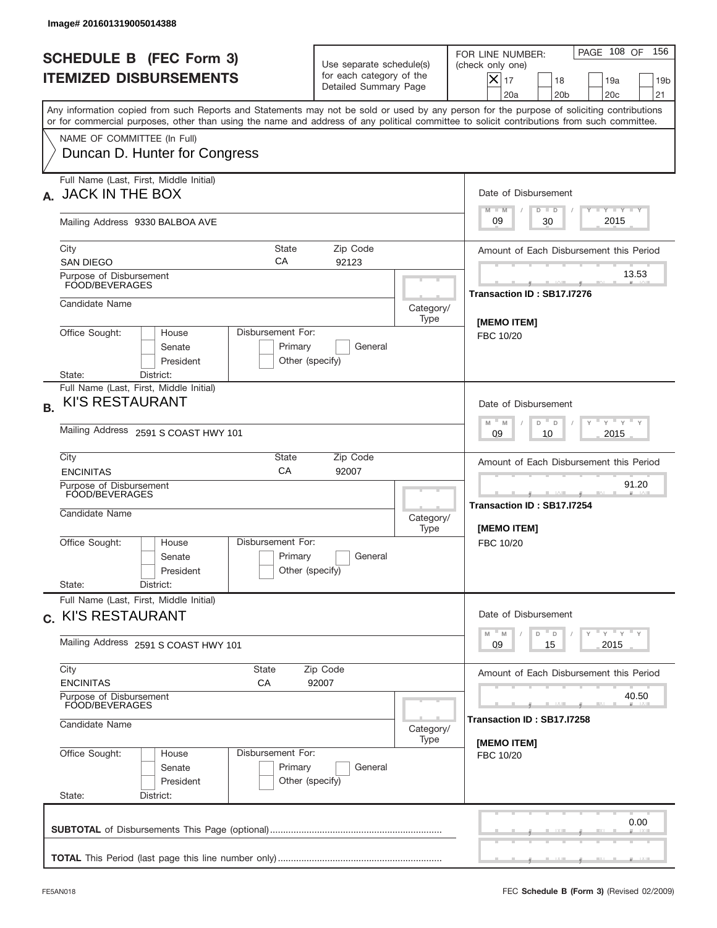| Image# 201601319005014388                                                                                                                                                                                                                                                               |                                                                               |                                     |                                                                                                                                                            |
|-----------------------------------------------------------------------------------------------------------------------------------------------------------------------------------------------------------------------------------------------------------------------------------------|-------------------------------------------------------------------------------|-------------------------------------|------------------------------------------------------------------------------------------------------------------------------------------------------------|
| <b>SCHEDULE B (FEC Form 3)</b><br><b>ITEMIZED DISBURSEMENTS</b>                                                                                                                                                                                                                         | Use separate schedule(s)<br>for each category of the<br>Detailed Summary Page |                                     | PAGE 108 OF<br>156<br>FOR LINE NUMBER:<br>(check only one)<br>$X _{17}$<br>18<br>19a<br>19 <sub>b</sub><br>20a<br>20 <sub>b</sub><br>20 <sub>c</sub><br>21 |
| Any information copied from such Reports and Statements may not be sold or used by any person for the purpose of soliciting contributions<br>or for commercial purposes, other than using the name and address of any political committee to solicit contributions from such committee. |                                                                               |                                     |                                                                                                                                                            |
| NAME OF COMMITTEE (In Full)<br>Duncan D. Hunter for Congress                                                                                                                                                                                                                            |                                                                               |                                     |                                                                                                                                                            |
| Full Name (Last, First, Middle Initial)<br>A. JACK IN THE BOX                                                                                                                                                                                                                           |                                                                               |                                     | Date of Disbursement                                                                                                                                       |
| Mailing Address 9330 BALBOA AVE                                                                                                                                                                                                                                                         |                                                                               |                                     | Y I Y I Y I Y<br>$M - M$<br>$D$ $D$<br>2015<br>30<br>09                                                                                                    |
| State<br>City<br>СA<br><b>SAN DIEGO</b>                                                                                                                                                                                                                                                 | Zip Code<br>92123                                                             |                                     | Amount of Each Disbursement this Period                                                                                                                    |
| Purpose of Disbursement<br>FOOD/BEVERAGES                                                                                                                                                                                                                                               |                                                                               |                                     | 13.53<br>Transaction ID: SB17.I7276                                                                                                                        |
| Candidate Name                                                                                                                                                                                                                                                                          |                                                                               | Category/<br>Type                   | [MEMO ITEM]                                                                                                                                                |
| Office Sought:<br>Disbursement For:<br>House<br>Senate<br>President                                                                                                                                                                                                                     | Primary<br>General<br>Other (specify)                                         |                                     | FBC 10/20                                                                                                                                                  |
| District:<br>State:<br>Full Name (Last, First, Middle Initial)<br><b>KI'S RESTAURANT</b><br><b>B.</b><br>Mailing Address 2591 S COAST HWY 101                                                                                                                                           |                                                                               |                                     | Date of Disbursement<br>$\cdots$ $\gamma$ $\cdots$ $\gamma$ $\cdots$ $\gamma$<br>$M - M$<br>D<br>D<br>2015<br>09<br>10                                     |
| City<br>State<br>CA<br><b>ENCINITAS</b>                                                                                                                                                                                                                                                 | Zip Code<br>92007                                                             |                                     | Amount of Each Disbursement this Period                                                                                                                    |
| Purpose of Disbursement<br>FOOD/BEVERAGES<br>Candidate Name                                                                                                                                                                                                                             |                                                                               | Category/<br>Type                   | 91.20<br>Transaction ID: SB17.I7254<br><b>IMEMO ITEMI</b>                                                                                                  |
| Disbursement For:<br>Office Sought:<br>House<br>Senate<br>President<br>State:<br>District:                                                                                                                                                                                              | Primary<br>General<br>Other (specify)                                         |                                     | FBC 10/20                                                                                                                                                  |
| Full Name (Last, First, Middle Initial)<br>c. KI'S RESTAURANT                                                                                                                                                                                                                           |                                                                               |                                     | Date of Disbursement                                                                                                                                       |
| Mailing Address 2591 S COAST HWY 101                                                                                                                                                                                                                                                    | ү" ү" ү" ү<br>$M - M$<br>D<br>$\mathsf D$<br>2015<br>09<br>15                 |                                     |                                                                                                                                                            |
| City<br><b>State</b><br><b>ENCINITAS</b><br>СA                                                                                                                                                                                                                                          | Amount of Each Disbursement this Period                                       |                                     |                                                                                                                                                            |
| Purpose of Disbursement<br>FOOD/BEVERAGES<br>Candidate Name                                                                                                                                                                                                                             | Category/                                                                     | 40.50<br>Transaction ID: SB17.I7258 |                                                                                                                                                            |
| Disbursement For:<br>Office Sought:<br>House<br>Senate<br>President<br>State:<br>District:                                                                                                                                                                                              | Primary<br>General<br>Other (specify)                                         | Type                                | [MEMO ITEM]<br>FBC 10/20                                                                                                                                   |
|                                                                                                                                                                                                                                                                                         |                                                                               |                                     | 0.00                                                                                                                                                       |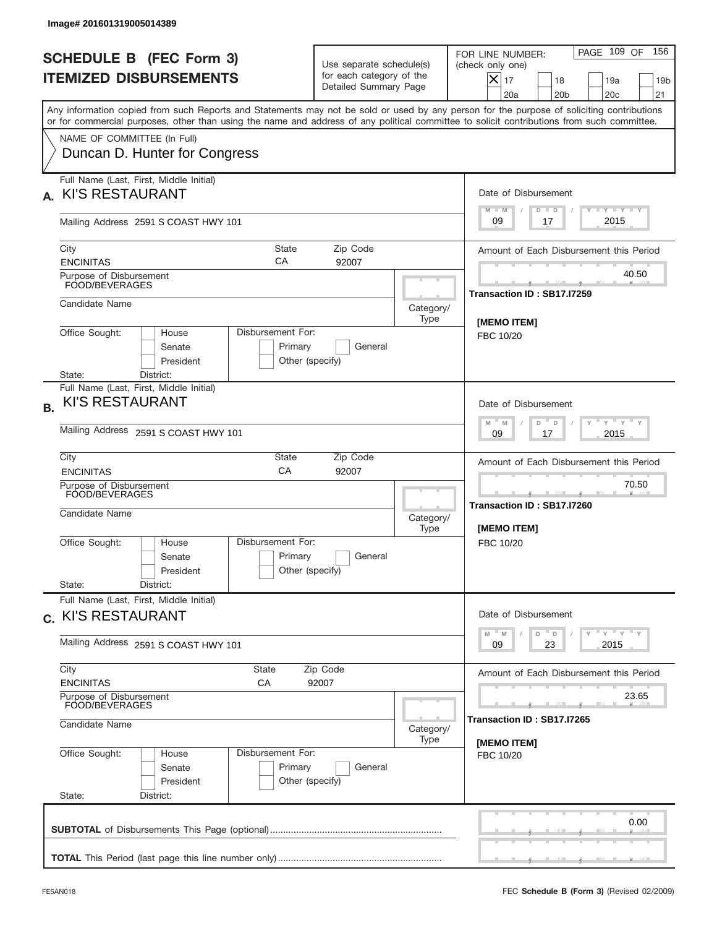|           | Image# 201601319005014389                                                                |                                                                                          |                                                                               |                                                  |                                                                                                                                                                                                                                                                                         |
|-----------|------------------------------------------------------------------------------------------|------------------------------------------------------------------------------------------|-------------------------------------------------------------------------------|--------------------------------------------------|-----------------------------------------------------------------------------------------------------------------------------------------------------------------------------------------------------------------------------------------------------------------------------------------|
|           | <b>SCHEDULE B (FEC Form 3)</b><br><b>ITEMIZED DISBURSEMENTS</b>                          |                                                                                          | Use separate schedule(s)<br>for each category of the<br>Detailed Summary Page |                                                  | PAGE 109 OF<br>156<br>FOR LINE NUMBER:<br>(check only one)<br>$X _{17}$<br>18<br>19a<br>19 <sub>b</sub><br>20a<br>20 <sub>b</sub><br>20 <sub>c</sub><br>21                                                                                                                              |
|           |                                                                                          |                                                                                          |                                                                               |                                                  | Any information copied from such Reports and Statements may not be sold or used by any person for the purpose of soliciting contributions<br>or for commercial purposes, other than using the name and address of any political committee to solicit contributions from such committee. |
|           | NAME OF COMMITTEE (In Full)<br>Duncan D. Hunter for Congress                             |                                                                                          |                                                                               |                                                  |                                                                                                                                                                                                                                                                                         |
| А.        | Full Name (Last, First, Middle Initial)<br><b>KI'S RESTAURANT</b>                        |                                                                                          |                                                                               |                                                  | Date of Disbursement                                                                                                                                                                                                                                                                    |
|           | Mailing Address 2591 S COAST HWY 101                                                     |                                                                                          |                                                                               |                                                  | Y I Y I Y I Y<br>$M - M$<br>$D$ $D$<br>2015<br>09<br>17                                                                                                                                                                                                                                 |
|           | City<br><b>ENCINITAS</b>                                                                 | State<br>СA                                                                              | Zip Code<br>92007                                                             |                                                  | Amount of Each Disbursement this Period                                                                                                                                                                                                                                                 |
|           | Purpose of Disbursement<br>FOOD/BEVERAGES                                                |                                                                                          |                                                                               |                                                  | 40.50<br>Transaction ID: SB17.I7259                                                                                                                                                                                                                                                     |
|           | Candidate Name                                                                           |                                                                                          |                                                                               | Category/<br>Type                                | [MEMO ITEM]                                                                                                                                                                                                                                                                             |
|           | Office Sought:<br>House<br>Senate<br>President                                           | Disbursement For:<br>Primary<br>Other (specify)                                          | General                                                                       |                                                  | FBC 10/20                                                                                                                                                                                                                                                                               |
| <b>B.</b> | District:<br>State:<br>Full Name (Last, First, Middle Initial)<br><b>KI'S RESTAURANT</b> | Date of Disbursement<br>ү " ү " ү " ү<br>$M - M$<br>D<br>D                               |                                                                               |                                                  |                                                                                                                                                                                                                                                                                         |
|           | Mailing Address 2591 S COAST HWY 101<br>City                                             | 2015<br>09<br>17<br>Amount of Each Disbursement this Period                              |                                                                               |                                                  |                                                                                                                                                                                                                                                                                         |
|           | <b>ENCINITAS</b>                                                                         | 70.50                                                                                    |                                                                               |                                                  |                                                                                                                                                                                                                                                                                         |
|           | Purpose of Disbursement<br>FOOD/BEVERAGES<br>Candidate Name                              |                                                                                          | Category/<br>Type                                                             | Transaction ID: SB17.I7260<br><b>IMEMO ITEMI</b> |                                                                                                                                                                                                                                                                                         |
|           | Office Sought:<br>House<br>Senate<br>President                                           | Disbursement For:<br>Primary<br>Other (specify)                                          | General                                                                       |                                                  | FBC 10/20                                                                                                                                                                                                                                                                               |
|           | State:<br>District:<br>Full Name (Last, First, Middle Initial)                           |                                                                                          |                                                                               |                                                  |                                                                                                                                                                                                                                                                                         |
|           | c. KI'S RESTAURANT                                                                       | Date of Disbursement<br>$\gamma$ = $\gamma$ = $\gamma$ = $\gamma$<br>$-M$<br>M<br>D<br>D |                                                                               |                                                  |                                                                                                                                                                                                                                                                                         |
|           | Mailing Address 2591 S COAST HWY 101                                                     | 2015<br>09<br>23                                                                         |                                                                               |                                                  |                                                                                                                                                                                                                                                                                         |
|           | City<br><b>ENCINITAS</b>                                                                 | State<br>СA                                                                              | Zip Code<br>92007                                                             |                                                  | Amount of Each Disbursement this Period                                                                                                                                                                                                                                                 |
|           | Purpose of Disbursement<br>FOOD/BEVERAGES<br>Candidate Name                              | Category/                                                                                | 23.65<br>Transaction ID: SB17.I7265                                           |                                                  |                                                                                                                                                                                                                                                                                         |
|           | Office Sought:<br>House<br>Senate<br>President<br>State:<br>District:                    | Disbursement For:<br>Primary<br>Other (specify)                                          | General                                                                       | Type                                             | [MEMO ITEM]<br>FBC 10/20                                                                                                                                                                                                                                                                |
|           |                                                                                          |                                                                                          |                                                                               |                                                  | 0.00                                                                                                                                                                                                                                                                                    |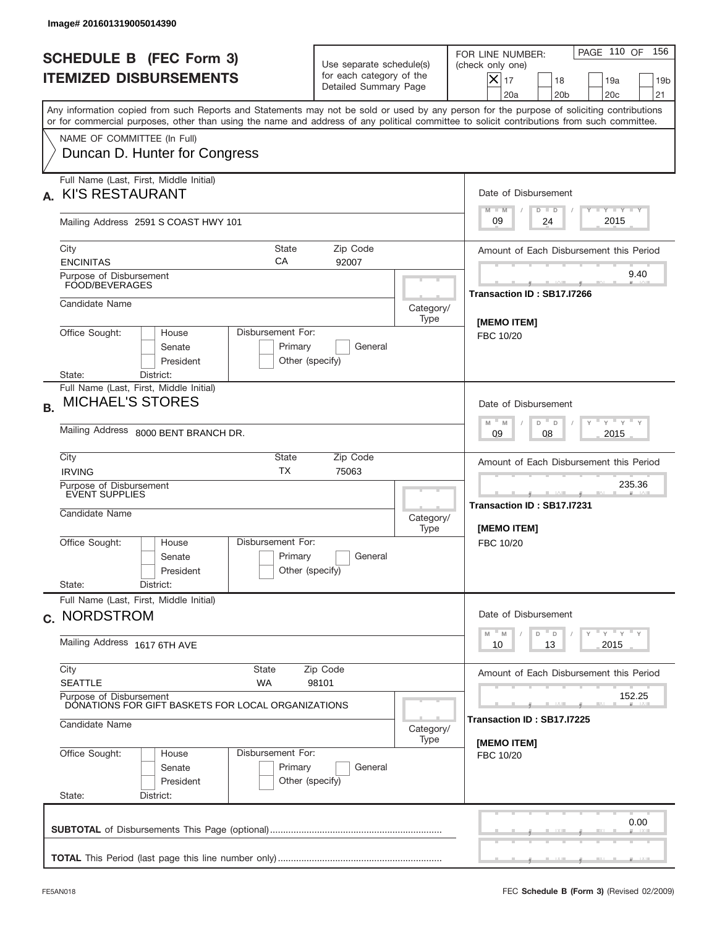|           | Image# 201601319005014390                                                                                                                                                                                                                                                                                              |                                                                                                |                                                                               |                   |                                                                                                                                                            |  |  |  |
|-----------|------------------------------------------------------------------------------------------------------------------------------------------------------------------------------------------------------------------------------------------------------------------------------------------------------------------------|------------------------------------------------------------------------------------------------|-------------------------------------------------------------------------------|-------------------|------------------------------------------------------------------------------------------------------------------------------------------------------------|--|--|--|
|           | <b>SCHEDULE B (FEC Form 3)</b><br><b>ITEMIZED DISBURSEMENTS</b>                                                                                                                                                                                                                                                        |                                                                                                | Use separate schedule(s)<br>for each category of the<br>Detailed Summary Page |                   | PAGE 110 OF<br>156<br>FOR LINE NUMBER:<br>(check only one)<br>$X _{17}$<br>18<br>19a<br>19 <sub>b</sub><br>20a<br>20 <sub>b</sub><br>20 <sub>c</sub><br>21 |  |  |  |
|           | Any information copied from such Reports and Statements may not be sold or used by any person for the purpose of soliciting contributions<br>or for commercial purposes, other than using the name and address of any political committee to solicit contributions from such committee.<br>NAME OF COMMITTEE (In Full) |                                                                                                |                                                                               |                   |                                                                                                                                                            |  |  |  |
|           | Duncan D. Hunter for Congress                                                                                                                                                                                                                                                                                          |                                                                                                |                                                                               |                   |                                                                                                                                                            |  |  |  |
| А.        | Full Name (Last, First, Middle Initial)<br><b>KI'S RESTAURANT</b>                                                                                                                                                                                                                                                      |                                                                                                |                                                                               |                   | Date of Disbursement<br>Y I Y I Y I Y<br>$M - M$<br>$D$ $D$                                                                                                |  |  |  |
|           | Mailing Address 2591 S COAST HWY 101                                                                                                                                                                                                                                                                                   |                                                                                                |                                                                               |                   | 2015<br>09<br>24                                                                                                                                           |  |  |  |
|           | City<br><b>ENCINITAS</b>                                                                                                                                                                                                                                                                                               | State<br>СA                                                                                    | Zip Code<br>92007                                                             |                   | Amount of Each Disbursement this Period                                                                                                                    |  |  |  |
|           | Purpose of Disbursement<br>FOOD/BEVERAGES                                                                                                                                                                                                                                                                              |                                                                                                |                                                                               |                   | 9.40<br>Transaction ID: SB17.I7266                                                                                                                         |  |  |  |
|           | Candidate Name                                                                                                                                                                                                                                                                                                         |                                                                                                |                                                                               | Category/<br>Type | [MEMO ITEM]                                                                                                                                                |  |  |  |
|           | Office Sought:<br>House<br>Senate<br>President<br>District:<br>State:                                                                                                                                                                                                                                                  | Disbursement For:<br>Primary<br>Other (specify)                                                | General                                                                       |                   | FBC 10/20                                                                                                                                                  |  |  |  |
| <b>B.</b> | Full Name (Last, First, Middle Initial)<br><b>MICHAEL'S STORES</b>                                                                                                                                                                                                                                                     | Date of Disbursement<br>$\cdots$ $\gamma$ $\cdots$ $\gamma$ $\cdots$ $\gamma$<br>$M - M$       |                                                                               |                   |                                                                                                                                                            |  |  |  |
|           | Mailing Address 8000 BENT BRANCH DR.                                                                                                                                                                                                                                                                                   | D<br>D<br>2015<br>09<br>08                                                                     |                                                                               |                   |                                                                                                                                                            |  |  |  |
|           | City<br><b>IRVING</b>                                                                                                                                                                                                                                                                                                  | Amount of Each Disbursement this Period                                                        |                                                                               |                   |                                                                                                                                                            |  |  |  |
|           | Purpose of Disbursement<br><b>EVENT SUPPLIES</b><br>Candidate Name                                                                                                                                                                                                                                                     |                                                                                                |                                                                               | Category/<br>Type | 235.36<br>Transaction ID: SB17.I7231<br>[MEMO ITEM]                                                                                                        |  |  |  |
|           | Office Sought:<br>House<br>Senate<br>President<br>State:<br>District:                                                                                                                                                                                                                                                  | Disbursement For:<br>Primary<br>Other (specify)                                                | General                                                                       |                   | FBC 10/20                                                                                                                                                  |  |  |  |
|           | Full Name (Last, First, Middle Initial)<br>c. NORDSTROM                                                                                                                                                                                                                                                                | Date of Disbursement                                                                           |                                                                               |                   |                                                                                                                                                            |  |  |  |
|           | Mailing Address 1617 6TH AVE                                                                                                                                                                                                                                                                                           | $\gamma$ = $\gamma$ = $\gamma$ = $\gamma$<br>$-M$<br>D<br>$\mathsf D$<br>M<br>2015<br>10<br>13 |                                                                               |                   |                                                                                                                                                            |  |  |  |
|           | City<br>State<br><b>SEATTLE</b><br><b>WA</b>                                                                                                                                                                                                                                                                           |                                                                                                | Zip Code<br>98101                                                             |                   | Amount of Each Disbursement this Period                                                                                                                    |  |  |  |
|           | Purpose of Disbursement<br>DONATIONS FOR GIFT BASKETS FOR LOCAL ORGANIZATIONS                                                                                                                                                                                                                                          |                                                                                                | 152.25<br>Transaction ID: SB17.I7225                                          |                   |                                                                                                                                                            |  |  |  |
|           | Candidate Name                                                                                                                                                                                                                                                                                                         | Category/<br>Type                                                                              | [MEMO ITEM]                                                                   |                   |                                                                                                                                                            |  |  |  |
|           | Office Sought:<br>House<br>Senate<br>President<br>State:<br>District:                                                                                                                                                                                                                                                  | Disbursement For:<br>Primary<br>Other (specify)                                                | General                                                                       |                   | FBC 10/20                                                                                                                                                  |  |  |  |
|           |                                                                                                                                                                                                                                                                                                                        |                                                                                                |                                                                               |                   | 0.00                                                                                                                                                       |  |  |  |
|           |                                                                                                                                                                                                                                                                                                                        |                                                                                                |                                                                               |                   |                                                                                                                                                            |  |  |  |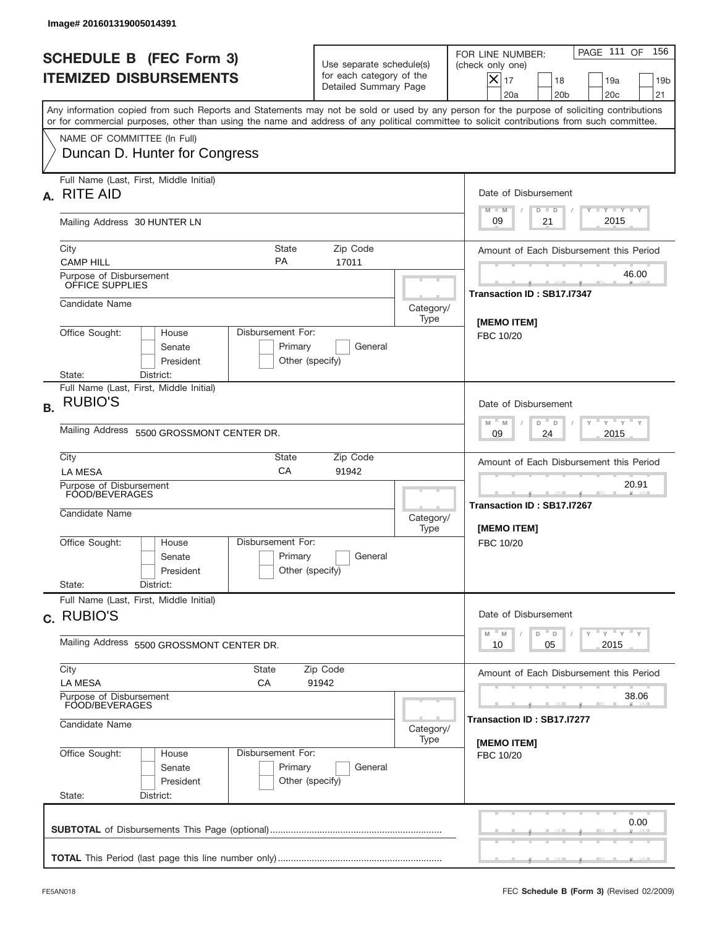|           | Image# 201601319005014391                                                                                                                                                                                                                                                               |                                                                                                           |                                                           |                                                                                                                                                            |
|-----------|-----------------------------------------------------------------------------------------------------------------------------------------------------------------------------------------------------------------------------------------------------------------------------------------|-----------------------------------------------------------------------------------------------------------|-----------------------------------------------------------|------------------------------------------------------------------------------------------------------------------------------------------------------------|
|           | <b>SCHEDULE B (FEC Form 3)</b><br><b>ITEMIZED DISBURSEMENTS</b>                                                                                                                                                                                                                         | Use separate schedule(s)<br>for each category of the<br>Detailed Summary Page                             |                                                           | PAGE 111 OF<br>156<br>FOR LINE NUMBER:<br>(check only one)<br>$X _{17}$<br>18<br>19a<br>19 <sub>b</sub><br>20a<br>20 <sub>b</sub><br>20 <sub>c</sub><br>21 |
|           | Any information copied from such Reports and Statements may not be sold or used by any person for the purpose of soliciting contributions<br>or for commercial purposes, other than using the name and address of any political committee to solicit contributions from such committee. |                                                                                                           |                                                           |                                                                                                                                                            |
|           | NAME OF COMMITTEE (In Full)<br>Duncan D. Hunter for Congress                                                                                                                                                                                                                            |                                                                                                           |                                                           |                                                                                                                                                            |
| А.        | Full Name (Last, First, Middle Initial)<br><b>RITE AID</b>                                                                                                                                                                                                                              |                                                                                                           |                                                           | Date of Disbursement<br>$T - Y$ $T - Y$ $T - Y$<br>$M - M$                                                                                                 |
|           | Mailing Address 30 HUNTER LN                                                                                                                                                                                                                                                            |                                                                                                           |                                                           | $D$ $D$<br>2015<br>09<br>21                                                                                                                                |
|           | City<br><b>PA</b><br><b>CAMP HILL</b>                                                                                                                                                                                                                                                   | <b>State</b><br>Zip Code<br>17011                                                                         |                                                           | Amount of Each Disbursement this Period                                                                                                                    |
|           | Purpose of Disbursement<br>OFFICE SUPPLIES                                                                                                                                                                                                                                              |                                                                                                           |                                                           | 46.00<br>Transaction ID: SB17.I7347                                                                                                                        |
|           | Candidate Name                                                                                                                                                                                                                                                                          |                                                                                                           | Category/<br>Type                                         |                                                                                                                                                            |
|           | Disbursement For:<br>Office Sought:<br>House<br>Senate<br>Primary<br>President<br>Other (specify)<br>State:<br>District:                                                                                                                                                                | <b>IMEMO ITEM1</b><br>FBC 10/20                                                                           |                                                           |                                                                                                                                                            |
| <b>B.</b> | Full Name (Last, First, Middle Initial)<br><b>RUBIO'S</b>                                                                                                                                                                                                                               | Date of Disbursement                                                                                      |                                                           |                                                                                                                                                            |
|           | Mailing Address<br>5500 GROSSMONT CENTER DR.                                                                                                                                                                                                                                            | $\mathbb{F}$ $\mathbb{Y}$ $\mathbb{F}$ $\mathbb{Y}$ $\mathbb{F}$<br>$M - M$<br>D<br>D<br>2015<br>09<br>24 |                                                           |                                                                                                                                                            |
|           | City<br>State<br>CA<br><b>LA MESA</b>                                                                                                                                                                                                                                                   | Amount of Each Disbursement this Period                                                                   |                                                           |                                                                                                                                                            |
|           | Purpose of Disbursement<br>FOOD/BEVERAGES<br>Candidate Name                                                                                                                                                                                                                             | Category/<br>Type                                                                                         | 20.91<br>Transaction ID: SB17.I7267<br><b>IMEMO ITEMI</b> |                                                                                                                                                            |
|           | Disbursement For:<br>Office Sought:<br>House<br>Senate<br>President<br>State:<br>District:                                                                                                                                                                                              | Primary<br>General<br>Other (specify)                                                                     |                                                           | FBC 10/20                                                                                                                                                  |
|           | Full Name (Last, First, Middle Initial)<br>c. RUBIO'S                                                                                                                                                                                                                                   | Date of Disbursement                                                                                      |                                                           |                                                                                                                                                            |
|           | Mailing Address 5500 GROSSMONT CENTER DR.                                                                                                                                                                                                                                               | $\gamma$ $\gamma$ $\gamma$ $\gamma$ $\gamma$<br>$M$ $M$<br>D<br>D<br>2015<br>10<br>05                     |                                                           |                                                                                                                                                            |
|           | City<br>State<br><b>LA MESA</b><br>СA                                                                                                                                                                                                                                                   | Zip Code<br>91942                                                                                         |                                                           | Amount of Each Disbursement this Period                                                                                                                    |
|           | Purpose of Disbursement<br><b>FOOD/BEVERAGES</b>                                                                                                                                                                                                                                        | 38.06                                                                                                     |                                                           |                                                                                                                                                            |
|           | Candidate Name                                                                                                                                                                                                                                                                          | Transaction ID: SB17.I7277<br>[MEMO ITEM]                                                                 |                                                           |                                                                                                                                                            |
|           | Office Sought:<br>Disbursement For:<br>House<br>Senate<br>President<br>State:<br>District:                                                                                                                                                                                              | Primary<br>General<br>Other (specify)                                                                     |                                                           | FBC 10/20                                                                                                                                                  |
|           |                                                                                                                                                                                                                                                                                         |                                                                                                           |                                                           | 0.00                                                                                                                                                       |
|           |                                                                                                                                                                                                                                                                                         |                                                                                                           |                                                           |                                                                                                                                                            |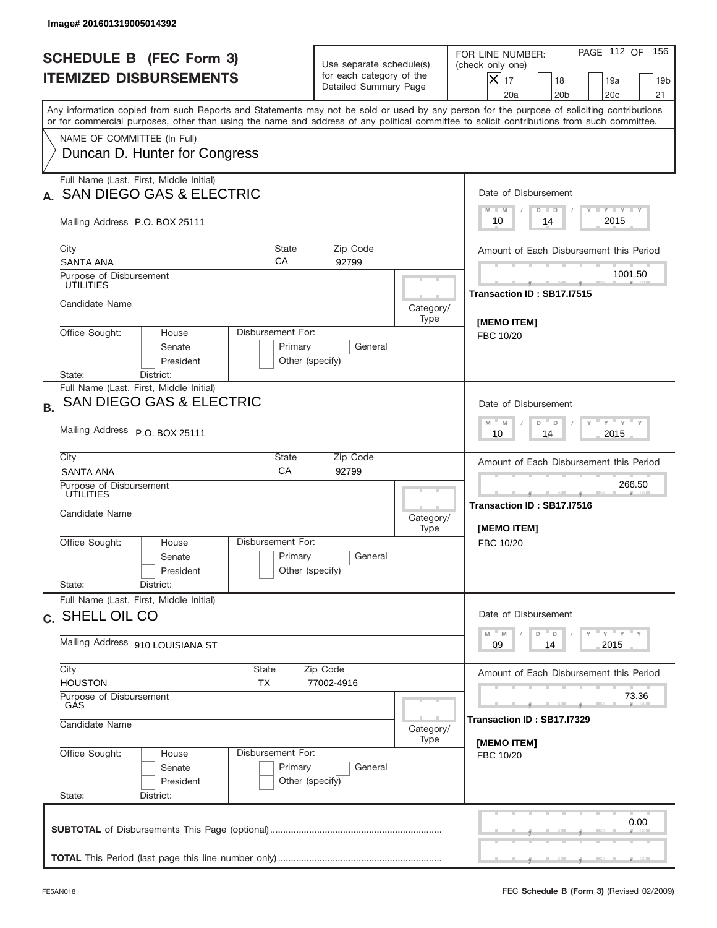| Image# 201601319005014392                                                                                                                                                                                                                                                                                              |                                                                                |                                     |                                                                                                                                                          |  |  |
|------------------------------------------------------------------------------------------------------------------------------------------------------------------------------------------------------------------------------------------------------------------------------------------------------------------------|--------------------------------------------------------------------------------|-------------------------------------|----------------------------------------------------------------------------------------------------------------------------------------------------------|--|--|
| <b>SCHEDULE B (FEC Form 3)</b><br><b>ITEMIZED DISBURSEMENTS</b>                                                                                                                                                                                                                                                        | Use separate schedule(s)<br>for each category of the<br>Detailed Summary Page  |                                     | PAGE 112 OF<br>156<br>FOR LINE NUMBER:<br>(check only one)<br>$ \mathsf{X} _{17}$<br>18<br>19a<br>19 <sub>b</sub><br>20a<br>20 <sub>b</sub><br>20c<br>21 |  |  |
| Any information copied from such Reports and Statements may not be sold or used by any person for the purpose of soliciting contributions<br>or for commercial purposes, other than using the name and address of any political committee to solicit contributions from such committee.<br>NAME OF COMMITTEE (In Full) |                                                                                |                                     |                                                                                                                                                          |  |  |
| Duncan D. Hunter for Congress                                                                                                                                                                                                                                                                                          |                                                                                |                                     |                                                                                                                                                          |  |  |
| Full Name (Last, First, Middle Initial)<br><b>SAN DIEGO GAS &amp; ELECTRIC</b>                                                                                                                                                                                                                                         |                                                                                |                                     | Date of Disbursement<br>Y TY TY TY<br>$M - M$<br>$D$ $D$                                                                                                 |  |  |
| Mailing Address P.O. BOX 25111                                                                                                                                                                                                                                                                                         |                                                                                |                                     | 2015<br>10<br>14                                                                                                                                         |  |  |
| City<br><b>State</b><br>CA<br><b>SANTA ANA</b>                                                                                                                                                                                                                                                                         | Zip Code<br>92799                                                              |                                     | Amount of Each Disbursement this Period                                                                                                                  |  |  |
| Purpose of Disbursement<br><b>ÚTILITIES</b>                                                                                                                                                                                                                                                                            |                                                                                |                                     | 1001.50<br>Transaction ID: SB17.I7515                                                                                                                    |  |  |
| Candidate Name                                                                                                                                                                                                                                                                                                         |                                                                                | Category/<br>Type                   | [MEMO ITEM]                                                                                                                                              |  |  |
| Office Sought:<br>Disbursement For:<br>House<br>Senate<br>Primary<br>President<br>District:<br>State:                                                                                                                                                                                                                  | General<br>Other (specify)                                                     |                                     | FBC 10/20                                                                                                                                                |  |  |
| Full Name (Last, First, Middle Initial)<br>SAN DIEGO GAS & ELECTRIC<br><b>B.</b><br>Mailing Address P.O. BOX 25111                                                                                                                                                                                                     | Date of Disbursement<br>ү " ү " ү " ү<br>$M - M$<br>D<br>D<br>2015<br>10<br>14 |                                     |                                                                                                                                                          |  |  |
| City<br>State<br>CA<br><b>SANTA ANA</b>                                                                                                                                                                                                                                                                                | Zip Code<br>92799                                                              |                                     |                                                                                                                                                          |  |  |
| Purpose of Disbursement<br>UTILITIES<br>Candidate Name                                                                                                                                                                                                                                                                 |                                                                                | Category/<br>Type                   | 266.50<br>___<br>Transaction ID: SB17.I7516<br>[MEMO ITEM]                                                                                               |  |  |
| Disbursement For:<br>Office Sought:<br>House<br>Primary<br>Senate<br>President<br>State:<br>District:                                                                                                                                                                                                                  | General<br>Other (specify)                                                     |                                     | FBC 10/20                                                                                                                                                |  |  |
| Full Name (Last, First, Middle Initial)<br>c. SHELL OIL CO                                                                                                                                                                                                                                                             | Date of Disbursement                                                           |                                     |                                                                                                                                                          |  |  |
| Mailing Address 910 LOUISIANA ST                                                                                                                                                                                                                                                                                       | ү "ү "ү "ү<br>$M - M$<br>D<br>$\mathsf D$<br>2015<br>09<br>14                  |                                     |                                                                                                                                                          |  |  |
| City<br>State<br><b>HOUSTON</b><br>ТX                                                                                                                                                                                                                                                                                  | Amount of Each Disbursement this Period                                        |                                     |                                                                                                                                                          |  |  |
| Purpose of Disbursement<br>GÁS<br>Candidate Name                                                                                                                                                                                                                                                                       |                                                                                | 73.36<br>Transaction ID: SB17.I7329 |                                                                                                                                                          |  |  |
| Office Sought:<br>Disbursement For:<br>House<br>Primary<br>Senate<br>President<br>State:<br>District:                                                                                                                                                                                                                  | General<br>Other (specify)                                                     | Category/<br>Type                   | [MEMO ITEM]<br>FBC 10/20                                                                                                                                 |  |  |
|                                                                                                                                                                                                                                                                                                                        |                                                                                |                                     | 0.00                                                                                                                                                     |  |  |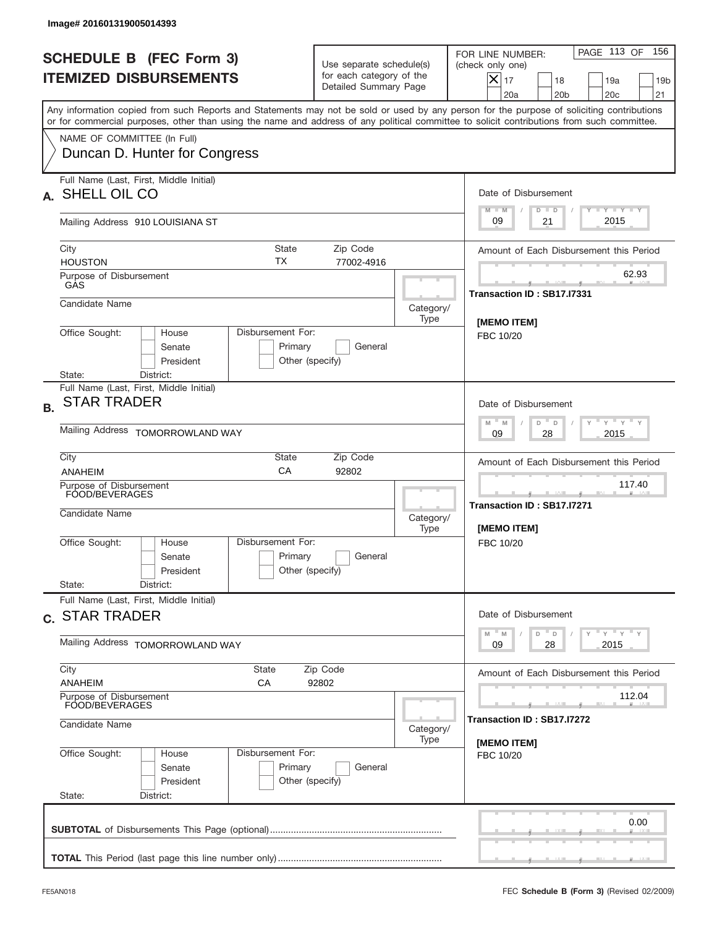|           | Image# 201601319005014393                                                                                                                                                                                                                                                               |                                                                                       |                                                                               |           |                                                                                                                                                                             |
|-----------|-----------------------------------------------------------------------------------------------------------------------------------------------------------------------------------------------------------------------------------------------------------------------------------------|---------------------------------------------------------------------------------------|-------------------------------------------------------------------------------|-----------|-----------------------------------------------------------------------------------------------------------------------------------------------------------------------------|
|           | <b>SCHEDULE B (FEC Form 3)</b><br><b>ITEMIZED DISBURSEMENTS</b>                                                                                                                                                                                                                         |                                                                                       | Use separate schedule(s)<br>for each category of the<br>Detailed Summary Page |           | PAGE 113 OF<br>156<br>FOR LINE NUMBER:<br>(check only one)<br>$\overline{\mathsf{x}}$ 17<br>18<br>19a<br>19 <sub>b</sub><br>20 <sub>c</sub><br>20a<br>20 <sub>b</sub><br>21 |
|           | Any information copied from such Reports and Statements may not be sold or used by any person for the purpose of soliciting contributions<br>or for commercial purposes, other than using the name and address of any political committee to solicit contributions from such committee. |                                                                                       |                                                                               |           |                                                                                                                                                                             |
|           | NAME OF COMMITTEE (In Full)<br>Duncan D. Hunter for Congress                                                                                                                                                                                                                            |                                                                                       |                                                                               |           |                                                                                                                                                                             |
|           | Full Name (Last, First, Middle Initial)<br>A. SHELL OIL CO                                                                                                                                                                                                                              |                                                                                       |                                                                               |           | Date of Disbursement                                                                                                                                                        |
|           | Mailing Address 910 LOUISIANA ST                                                                                                                                                                                                                                                        |                                                                                       |                                                                               |           | Y TY TY TY<br>$M - M$<br>$D$ $D$<br>2015<br>09<br>21                                                                                                                        |
|           | City<br>ТX<br><b>HOUSTON</b><br>Purpose of Disbursement                                                                                                                                                                                                                                 | State                                                                                 | Zip Code<br>77002-4916                                                        |           | Amount of Each Disbursement this Period<br>62.93                                                                                                                            |
|           | GAS<br>Candidate Name                                                                                                                                                                                                                                                                   |                                                                                       |                                                                               | Category/ | Transaction ID: SB17.I7331                                                                                                                                                  |
|           | Office Sought:<br>Disbursement For:<br>House<br>Senate<br>President                                                                                                                                                                                                                     | Primary<br>Other (specify)                                                            | General                                                                       | Type      | [MEMO ITEM]<br>FBC 10/20                                                                                                                                                    |
| <b>B.</b> | State:<br>District:<br>Full Name (Last, First, Middle Initial)<br><b>STAR TRADER</b><br>Mailing Address TOMORROWLAND WAY                                                                                                                                                                | Date of Disbursement<br>$-\gamma + \gamma -$<br>$M - M$<br>D<br>D<br>2015<br>09<br>28 |                                                                               |           |                                                                                                                                                                             |
|           | City<br>CA<br>ANAHEIM<br>Purpose of Disbursement<br>FOOD/BEVERAGES<br>Candidate Name                                                                                                                                                                                                    | State                                                                                 | Zip Code<br>92802                                                             | Category/ | Amount of Each Disbursement this Period<br>117.40<br>____<br>Transaction ID: SB17.I7271                                                                                     |
|           | Disbursement For:<br>Office Sought:<br>House<br>Senate<br>President<br>State:<br>District:                                                                                                                                                                                              | Primary<br>Other (specify)                                                            | General                                                                       | Type      | [MEMO ITEM]<br>FBC 10/20                                                                                                                                                    |
|           | Full Name (Last, First, Middle Initial)<br>c. STAR TRADER                                                                                                                                                                                                                               | Date of Disbursement                                                                  |                                                                               |           |                                                                                                                                                                             |
|           | Mailing Address TOMORROWLAND WAY                                                                                                                                                                                                                                                        | $\gamma$ = $\gamma$ = $\gamma$ = $\gamma$<br>$-M$<br>M<br>D<br>D<br>28<br>2015<br>09  |                                                                               |           |                                                                                                                                                                             |
|           | City<br>State<br><b>ANAHEIM</b><br>СA<br>Purpose of Disbursement<br>FOOD/BEVERAGES                                                                                                                                                                                                      |                                                                                       | Amount of Each Disbursement this Period<br>112.04                             |           |                                                                                                                                                                             |
|           | Candidate Name                                                                                                                                                                                                                                                                          | Category/<br>Type                                                                     | Transaction ID : SB17.I7272<br>[MEMO ITEM]                                    |           |                                                                                                                                                                             |
|           | Office Sought:<br>Disbursement For:<br>House<br>Senate<br>President<br>State:<br>District:                                                                                                                                                                                              | Primary<br>Other (specify)                                                            | General                                                                       |           | FBC 10/20                                                                                                                                                                   |
|           |                                                                                                                                                                                                                                                                                         |                                                                                       |                                                                               |           | 0.00                                                                                                                                                                        |
|           |                                                                                                                                                                                                                                                                                         |                                                                                       |                                                                               |           |                                                                                                                                                                             |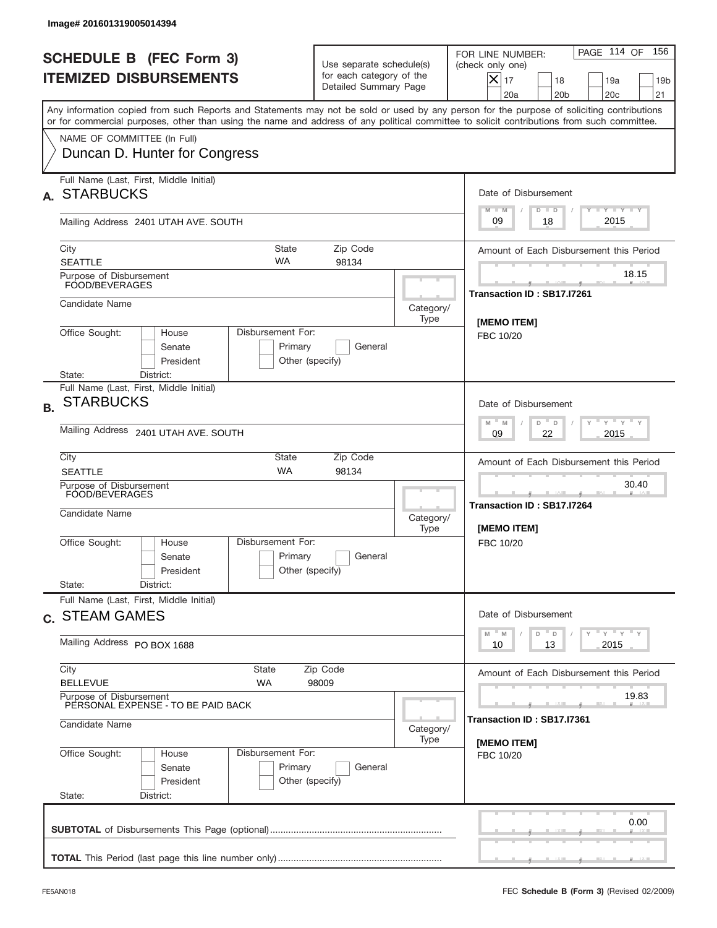|           | Image# 201601319005014394                                                                                                                                                                                                                                                               |                                     |                                                                               |                   |                                                                                                                                                          |
|-----------|-----------------------------------------------------------------------------------------------------------------------------------------------------------------------------------------------------------------------------------------------------------------------------------------|-------------------------------------|-------------------------------------------------------------------------------|-------------------|----------------------------------------------------------------------------------------------------------------------------------------------------------|
|           | <b>SCHEDULE B (FEC Form 3)</b><br><b>ITEMIZED DISBURSEMENTS</b>                                                                                                                                                                                                                         |                                     | Use separate schedule(s)<br>for each category of the<br>Detailed Summary Page |                   | PAGE 114 OF<br>156<br>FOR LINE NUMBER:<br>(check only one)<br>X<br>17<br>18<br>19a<br>19 <sub>b</sub><br>20 <sub>c</sub><br>21<br>20a<br>20 <sub>b</sub> |
|           | Any information copied from such Reports and Statements may not be sold or used by any person for the purpose of soliciting contributions<br>or for commercial purposes, other than using the name and address of any political committee to solicit contributions from such committee. |                                     |                                                                               |                   |                                                                                                                                                          |
|           | NAME OF COMMITTEE (In Full)<br>Duncan D. Hunter for Congress                                                                                                                                                                                                                            |                                     |                                                                               |                   |                                                                                                                                                          |
| А.        | Full Name (Last, First, Middle Initial)<br><b>STARBUCKS</b>                                                                                                                                                                                                                             |                                     |                                                                               |                   | Date of Disbursement<br>$T - Y$ $T - Y$<br>$M - M$<br>$D$ $D$                                                                                            |
|           | Mailing Address 2401 UTAH AVE. SOUTH                                                                                                                                                                                                                                                    |                                     |                                                                               |                   | 2015<br>09<br>18                                                                                                                                         |
|           | <b>State</b><br>City<br><b>WA</b><br><b>SEATTLE</b>                                                                                                                                                                                                                                     |                                     | Zip Code<br>98134                                                             |                   | Amount of Each Disbursement this Period                                                                                                                  |
|           | Purpose of Disbursement<br>FOOD/BEVERAGES                                                                                                                                                                                                                                               |                                     |                                                                               |                   | 18.15<br>Transaction ID: SB17.I7261                                                                                                                      |
|           | Candidate Name                                                                                                                                                                                                                                                                          |                                     |                                                                               | Category/<br>Type | [MEMO ITEM]                                                                                                                                              |
|           | Office Sought:<br>Disbursement For:<br>House<br>Senate<br>President<br>State:<br>District:                                                                                                                                                                                              | Primary<br>Other (specify)          | General                                                                       |                   | FBC 10/20                                                                                                                                                |
| <b>B.</b> | Full Name (Last, First, Middle Initial)<br><b>STARBUCKS</b>                                                                                                                                                                                                                             |                                     |                                                                               |                   | Date of Disbursement<br>$\cdots$ $\vee$ $\cdots$ $\vee$<br>$M - M$<br>D<br>D                                                                             |
|           | Mailing Address 2401 UTAH AVE. SOUTH                                                                                                                                                                                                                                                    | 2015<br>09<br>22                    |                                                                               |                   |                                                                                                                                                          |
|           | City<br>State<br><b>WA</b><br><b>SEATTLE</b>                                                                                                                                                                                                                                            |                                     | Zip Code<br>98134                                                             |                   | Amount of Each Disbursement this Period                                                                                                                  |
|           | Purpose of Disbursement<br>FOOD/BEVERAGES<br>Candidate Name                                                                                                                                                                                                                             |                                     |                                                                               | Category/<br>Type | 30.40<br>Transaction ID: SB17.I7264<br>[MEMO ITEM]                                                                                                       |
|           | Disbursement For:<br>Office Sought:<br>House<br>Senate<br>President<br>State:<br>District:                                                                                                                                                                                              | Primary<br>Other (specify)          | General                                                                       |                   | FBC 10/20                                                                                                                                                |
|           | Full Name (Last, First, Middle Initial)<br>c. STEAM GAMES                                                                                                                                                                                                                               |                                     |                                                                               |                   | Date of Disbursement                                                                                                                                     |
|           | Mailing Address PO BOX 1688                                                                                                                                                                                                                                                             |                                     |                                                                               |                   | $\gamma$ $\gamma$ $\gamma$ $\gamma$ $\gamma$<br>$M$ $M$<br>D<br>D<br>2015<br>10<br>13                                                                    |
|           | City<br>State<br><b>BELLEVUE</b><br>WA                                                                                                                                                                                                                                                  | Zip Code<br>98009                   |                                                                               |                   | Amount of Each Disbursement this Period                                                                                                                  |
|           | Purpose of Disbursement<br>PERSONAL EXPENSE - TO BE PAID BACK                                                                                                                                                                                                                           | 19.83<br>Transaction ID: SB17.I7361 |                                                                               |                   |                                                                                                                                                          |
|           | Candidate Name                                                                                                                                                                                                                                                                          | Category/<br>Type                   | [MEMO ITEM]                                                                   |                   |                                                                                                                                                          |
|           | Disbursement For:<br>Office Sought:<br>House<br>Senate<br>President<br>State:<br>District:                                                                                                                                                                                              | Primary<br>Other (specify)          | General                                                                       |                   | FBC 10/20                                                                                                                                                |
|           |                                                                                                                                                                                                                                                                                         |                                     |                                                                               |                   | 0.00                                                                                                                                                     |
|           |                                                                                                                                                                                                                                                                                         |                                     |                                                                               |                   |                                                                                                                                                          |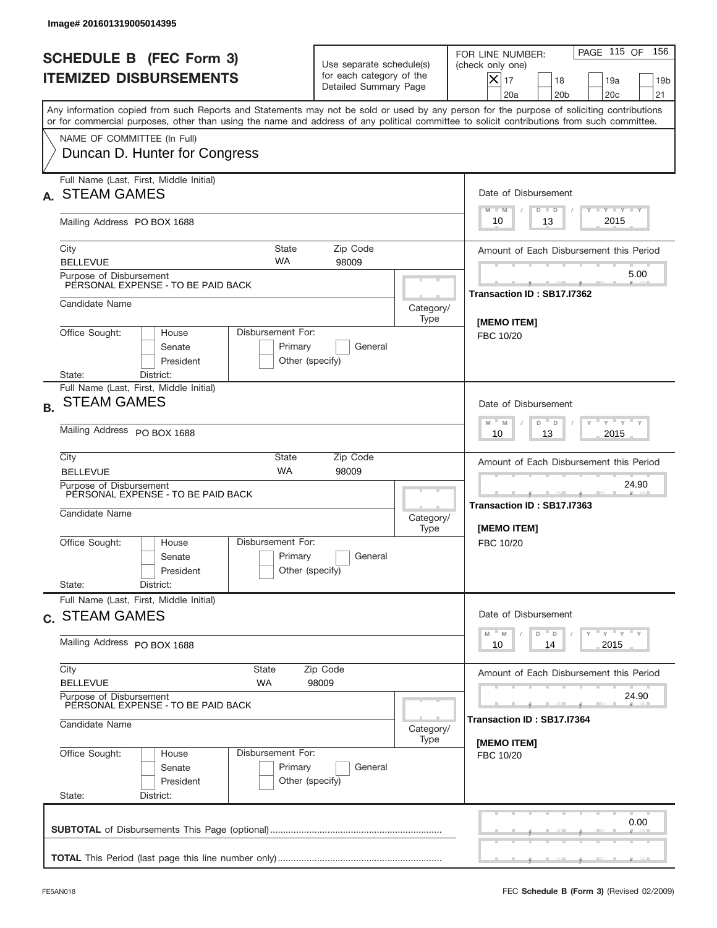|           | Image# 201601319005014395                                                                                 |                                                                                      |                                                                               |                   |                                                                                                                                                                                                                                                                                         |
|-----------|-----------------------------------------------------------------------------------------------------------|--------------------------------------------------------------------------------------|-------------------------------------------------------------------------------|-------------------|-----------------------------------------------------------------------------------------------------------------------------------------------------------------------------------------------------------------------------------------------------------------------------------------|
|           | <b>SCHEDULE B (FEC Form 3)</b><br><b>ITEMIZED DISBURSEMENTS</b>                                           |                                                                                      | Use separate schedule(s)<br>for each category of the<br>Detailed Summary Page |                   | PAGE 115 OF<br>156<br>FOR LINE NUMBER:<br>(check only one)<br>$X _{17}$<br>18<br>19a<br>19 <sub>b</sub><br>20 <sub>c</sub><br>20a<br>20 <sub>b</sub><br>21                                                                                                                              |
|           |                                                                                                           |                                                                                      |                                                                               |                   | Any information copied from such Reports and Statements may not be sold or used by any person for the purpose of soliciting contributions<br>or for commercial purposes, other than using the name and address of any political committee to solicit contributions from such committee. |
|           | NAME OF COMMITTEE (In Full)<br>Duncan D. Hunter for Congress                                              |                                                                                      |                                                                               |                   |                                                                                                                                                                                                                                                                                         |
|           | Full Name (Last, First, Middle Initial)<br><b>STEAM GAMES</b>                                             |                                                                                      |                                                                               |                   | Date of Disbursement<br><b>TAYLY LY</b><br>$M - M$<br>$D$ $D$                                                                                                                                                                                                                           |
|           | Mailing Address PO BOX 1688                                                                               |                                                                                      |                                                                               |                   | 2015<br>10<br>13                                                                                                                                                                                                                                                                        |
|           | City<br><b>BELLEVUE</b>                                                                                   | <b>State</b><br><b>WA</b>                                                            | Zip Code<br>98009                                                             |                   | Amount of Each Disbursement this Period                                                                                                                                                                                                                                                 |
|           | Purpose of Disbursement<br>PERSONAL EXPENSE - TO BE PAID BACK                                             |                                                                                      |                                                                               |                   | 5.00<br>Transaction ID: SB17.I7362                                                                                                                                                                                                                                                      |
|           | Candidate Name                                                                                            |                                                                                      |                                                                               | Category/<br>Type | [MEMO ITEM]                                                                                                                                                                                                                                                                             |
|           | Office Sought:<br>House<br>Senate<br>President<br>State:                                                  | Disbursement For:<br>Primary<br>Other (specify)                                      | General                                                                       |                   | FBC 10/20                                                                                                                                                                                                                                                                               |
| <b>B.</b> | District:<br>Full Name (Last, First, Middle Initial)<br><b>STEAM GAMES</b><br>Mailing Address PO BOX 1688 |                                                                                      |                                                                               |                   | Date of Disbursement<br>$\cdots$ $\gamma$ $\cdots$ $\gamma$ $\cdots$<br>$M - M$<br>D<br>$\Box$<br>2015<br>10<br>13                                                                                                                                                                      |
|           | City<br><b>BELLEVUE</b>                                                                                   | <b>State</b><br><b>WA</b>                                                            | Zip Code<br>98009                                                             |                   | Amount of Each Disbursement this Period<br>24.90                                                                                                                                                                                                                                        |
|           | Purpose of Disbursement<br>PERSONAL EXPENSE - TO BE PAID BACK<br>Candidate Name                           |                                                                                      |                                                                               | Category/<br>Type | ___<br>Transaction ID: SB17.I7363<br>[MEMO ITEM]                                                                                                                                                                                                                                        |
|           | Office Sought:<br>House<br>Senate<br>President<br>State:<br>District:                                     | Disbursement For:<br>Primary<br>Other (specify)                                      | General                                                                       |                   | FBC 10/20                                                                                                                                                                                                                                                                               |
|           | Full Name (Last, First, Middle Initial)<br>c. STEAM GAMES                                                 |                                                                                      |                                                                               |                   | Date of Disbursement                                                                                                                                                                                                                                                                    |
|           | Mailing Address PO BOX 1688                                                                               | $\gamma$ = $\gamma$ = $\gamma$ = $\gamma$<br>$-M$<br>D<br>M<br>D<br>2015<br>10<br>14 |                                                                               |                   |                                                                                                                                                                                                                                                                                         |
|           | City<br><b>BELLEVUE</b>                                                                                   | Amount of Each Disbursement this Period                                              |                                                                               |                   |                                                                                                                                                                                                                                                                                         |
|           | Purpose of Disbursement<br>PERSONAL EXPENSE - TO BE PAID BACK<br>Candidate Name                           | Category/                                                                            | 24.90<br>Transaction ID : SB17.I7364                                          |                   |                                                                                                                                                                                                                                                                                         |
|           | Office Sought:<br>House<br>Senate<br>President<br>State:<br>District:                                     | Disbursement For:<br>Primary<br>Other (specify)                                      | General                                                                       | Type              | [MEMO ITEM]<br>FBC 10/20                                                                                                                                                                                                                                                                |
|           |                                                                                                           |                                                                                      |                                                                               |                   | 0.00                                                                                                                                                                                                                                                                                    |
|           |                                                                                                           |                                                                                      |                                                                               |                   |                                                                                                                                                                                                                                                                                         |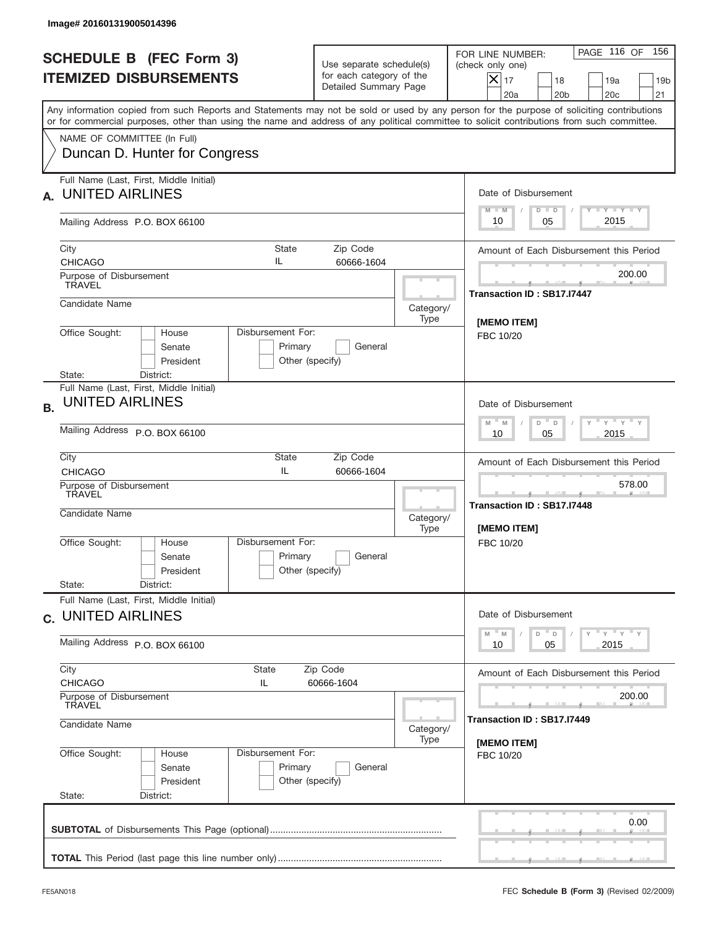| Image# 201601319005014396                                                                                                                                                                                                                                                               |                                                                               |                   |                                                                                                                                                                      |  |  |
|-----------------------------------------------------------------------------------------------------------------------------------------------------------------------------------------------------------------------------------------------------------------------------------------|-------------------------------------------------------------------------------|-------------------|----------------------------------------------------------------------------------------------------------------------------------------------------------------------|--|--|
| <b>SCHEDULE B (FEC Form 3)</b><br><b>ITEMIZED DISBURSEMENTS</b>                                                                                                                                                                                                                         | Use separate schedule(s)<br>for each category of the<br>Detailed Summary Page |                   | PAGE 116 OF<br>156<br>FOR LINE NUMBER:<br>(check only one)<br>$ \mathsf{X} _{17}$<br>18<br>19a<br>19 <sub>b</sub><br>20a<br>20 <sub>b</sub><br>20 <sub>c</sub><br>21 |  |  |
| Any information copied from such Reports and Statements may not be sold or used by any person for the purpose of soliciting contributions<br>or for commercial purposes, other than using the name and address of any political committee to solicit contributions from such committee. |                                                                               |                   |                                                                                                                                                                      |  |  |
| NAME OF COMMITTEE (In Full)<br>Duncan D. Hunter for Congress                                                                                                                                                                                                                            |                                                                               |                   |                                                                                                                                                                      |  |  |
| Full Name (Last, First, Middle Initial)<br><b>UNITED AIRLINES</b>                                                                                                                                                                                                                       |                                                                               |                   | Date of Disbursement<br>Y FY FY FY                                                                                                                                   |  |  |
| Mailing Address P.O. BOX 66100                                                                                                                                                                                                                                                          |                                                                               |                   | $M - M$<br>$D$ $D$<br>2015<br>10<br>05                                                                                                                               |  |  |
| City<br>State<br>IL<br><b>CHICAGO</b>                                                                                                                                                                                                                                                   | Zip Code<br>60666-1604                                                        |                   | Amount of Each Disbursement this Period                                                                                                                              |  |  |
| Purpose of Disbursement<br><b>TRAVEL</b>                                                                                                                                                                                                                                                |                                                                               |                   | 200.00<br>Transaction ID: SB17.I7447                                                                                                                                 |  |  |
| Candidate Name                                                                                                                                                                                                                                                                          |                                                                               | Category/<br>Type | <b>IMEMO ITEMI</b>                                                                                                                                                   |  |  |
| Disbursement For:<br>Office Sought:<br>House<br>Senate<br>President                                                                                                                                                                                                                     | Primary<br>General<br>Other (specify)                                         |                   | FBC 10/20                                                                                                                                                            |  |  |
| District:<br>State:<br>Full Name (Last, First, Middle Initial)<br><b>UNITED AIRLINES</b><br><b>B.</b>                                                                                                                                                                                   | Date of Disbursement<br>ү " ү " ү " ү<br>$M - M$<br>D<br>$\Box$               |                   |                                                                                                                                                                      |  |  |
| Mailing Address P.O. BOX 66100                                                                                                                                                                                                                                                          | 2015<br>10<br>05                                                              |                   |                                                                                                                                                                      |  |  |
| City<br>State<br>IL<br><b>CHICAGO</b>                                                                                                                                                                                                                                                   | Amount of Each Disbursement this Period                                       |                   |                                                                                                                                                                      |  |  |
| Purpose of Disbursement<br>TRAVEL<br>Candidate Name                                                                                                                                                                                                                                     |                                                                               | Category/<br>Type | 578.00<br>____<br>Transaction ID: SB17.I7448<br>[MEMO ITEM]                                                                                                          |  |  |
| Disbursement For:<br>Office Sought:<br>House<br>Senate<br>President<br>State:<br>District:                                                                                                                                                                                              | Primary<br>General<br>Other (specify)                                         |                   | FBC 10/20                                                                                                                                                            |  |  |
| Full Name (Last, First, Middle Initial)<br>c. UNITED AIRLINES                                                                                                                                                                                                                           |                                                                               |                   | Date of Disbursement                                                                                                                                                 |  |  |
| Mailing Address P.O. BOX 66100                                                                                                                                                                                                                                                          | $Y$ $Y$ $Y$ $Y$ $Y$<br>$-M$<br>D =<br>M<br>D<br>2015<br>10<br>05              |                   |                                                                                                                                                                      |  |  |
| City<br>State<br><b>CHICAGO</b><br>IL                                                                                                                                                                                                                                                   | Zip Code<br>60666-1604                                                        |                   |                                                                                                                                                                      |  |  |
| Purpose of Disbursement<br>TRAVEL                                                                                                                                                                                                                                                       |                                                                               |                   |                                                                                                                                                                      |  |  |
| Candidate Name<br>Disbursement For:                                                                                                                                                                                                                                                     | Category/<br>Type                                                             | [MEMO ITEM]       |                                                                                                                                                                      |  |  |
| Office Sought:<br>House<br>Senate<br>President<br>State:<br>District:                                                                                                                                                                                                                   | Primary<br>General<br>Other (specify)                                         |                   | FBC 10/20                                                                                                                                                            |  |  |
|                                                                                                                                                                                                                                                                                         |                                                                               |                   | 0.00                                                                                                                                                                 |  |  |
|                                                                                                                                                                                                                                                                                         |                                                                               |                   |                                                                                                                                                                      |  |  |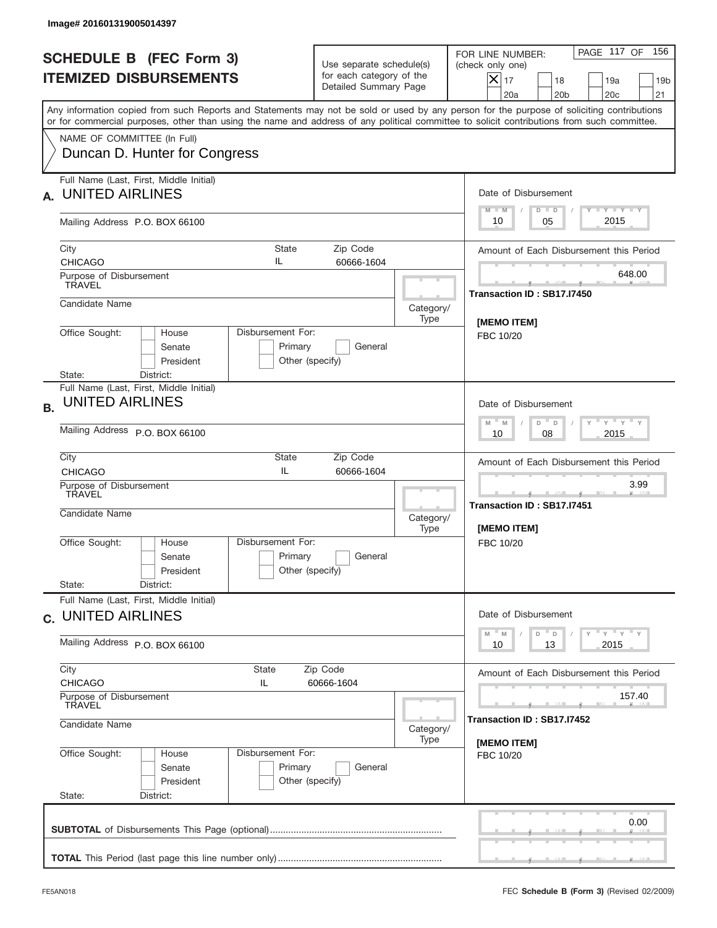|           | Image# 201601319005014397                                             |                                                                 |                                                                                  |                   |                                                                                                                                                                                                                                                                                         |  |  |
|-----------|-----------------------------------------------------------------------|-----------------------------------------------------------------|----------------------------------------------------------------------------------|-------------------|-----------------------------------------------------------------------------------------------------------------------------------------------------------------------------------------------------------------------------------------------------------------------------------------|--|--|
|           | <b>SCHEDULE B (FEC Form 3)</b><br><b>ITEMIZED DISBURSEMENTS</b>       |                                                                 | Use separate schedule(s)<br>for each category of the<br>Detailed Summary Page    |                   | PAGE 117 OF<br>156<br>FOR LINE NUMBER:<br>(check only one)<br>$ \mathsf{X} _{17}$<br>18<br>19a<br>19 <sub>b</sub><br>20a<br>20 <sub>b</sub><br>20 <sub>c</sub><br>21                                                                                                                    |  |  |
|           |                                                                       |                                                                 |                                                                                  |                   | Any information copied from such Reports and Statements may not be sold or used by any person for the purpose of soliciting contributions<br>or for commercial purposes, other than using the name and address of any political committee to solicit contributions from such committee. |  |  |
|           | NAME OF COMMITTEE (In Full)<br>Duncan D. Hunter for Congress          |                                                                 |                                                                                  |                   |                                                                                                                                                                                                                                                                                         |  |  |
|           | Full Name (Last, First, Middle Initial)<br><b>UNITED AIRLINES</b>     |                                                                 |                                                                                  |                   | Date of Disbursement<br>Y FY FY FY<br>$M - M$<br>$D$ $D$                                                                                                                                                                                                                                |  |  |
|           | Mailing Address P.O. BOX 66100                                        |                                                                 |                                                                                  |                   | 2015<br>10<br>05                                                                                                                                                                                                                                                                        |  |  |
|           | City<br><b>CHICAGO</b>                                                | State<br>IL                                                     | Zip Code<br>60666-1604                                                           |                   | Amount of Each Disbursement this Period                                                                                                                                                                                                                                                 |  |  |
|           | Purpose of Disbursement<br><b>TRAVEL</b>                              |                                                                 |                                                                                  |                   | 648.00<br>Transaction ID: SB17.I7450                                                                                                                                                                                                                                                    |  |  |
|           | Candidate Name                                                        |                                                                 |                                                                                  | Category/<br>Type | [MEMO ITEM]                                                                                                                                                                                                                                                                             |  |  |
|           | Office Sought:<br>House<br>Senate<br>President<br>District:<br>State: | Disbursement For:<br>Primary<br>Other (specify)                 | FBC 10/20                                                                        |                   |                                                                                                                                                                                                                                                                                         |  |  |
| <b>B.</b> | Full Name (Last, First, Middle Initial)<br><b>UNITED AIRLINES</b>     | Date of Disbursement<br>ү " ү " ү " ү<br>$M - M$<br>D<br>$\Box$ |                                                                                  |                   |                                                                                                                                                                                                                                                                                         |  |  |
|           | Mailing Address P.O. BOX 66100                                        | 2015<br>10<br>08                                                |                                                                                  |                   |                                                                                                                                                                                                                                                                                         |  |  |
|           | City<br><b>CHICAGO</b>                                                | State<br>Zip Code<br>IL<br>60666-1604                           |                                                                                  |                   |                                                                                                                                                                                                                                                                                         |  |  |
|           | Purpose of Disbursement<br>TRAVEL<br>Candidate Name                   |                                                                 |                                                                                  |                   | 3.99<br>_____<br>Transaction ID: SB17.I7451<br>[MEMO ITEM]                                                                                                                                                                                                                              |  |  |
|           | Office Sought:<br>House<br>Senate<br>President<br>State:<br>District: | Disbursement For:<br>Primary<br>Other (specify)                 | General                                                                          | Type              | FBC 10/20                                                                                                                                                                                                                                                                               |  |  |
|           | Full Name (Last, First, Middle Initial)<br>c. UNITED AIRLINES         | Date of Disbursement                                            |                                                                                  |                   |                                                                                                                                                                                                                                                                                         |  |  |
|           | Mailing Address P.O. BOX 66100                                        | $Y$ $Y$ $Y$ $Y$ $Y$<br>M<br>D<br>M<br>D<br>2015<br>10<br>13     |                                                                                  |                   |                                                                                                                                                                                                                                                                                         |  |  |
|           | City<br><b>CHICAGO</b><br>Purpose of Disbursement<br>TRAVEL           |                                                                 | Amount of Each Disbursement this Period<br>157.40<br>Transaction ID : SB17.I7452 |                   |                                                                                                                                                                                                                                                                                         |  |  |
|           | Candidate Name                                                        | Category/<br>Type                                               |                                                                                  |                   |                                                                                                                                                                                                                                                                                         |  |  |
|           | Office Sought:<br>House<br>Senate<br>President<br>State:<br>District: | Disbursement For:<br>Primary<br>Other (specify)                 | General                                                                          |                   | [MEMO ITEM]<br>FBC 10/20                                                                                                                                                                                                                                                                |  |  |
|           |                                                                       |                                                                 |                                                                                  |                   | 0.00                                                                                                                                                                                                                                                                                    |  |  |
|           |                                                                       |                                                                 |                                                                                  |                   |                                                                                                                                                                                                                                                                                         |  |  |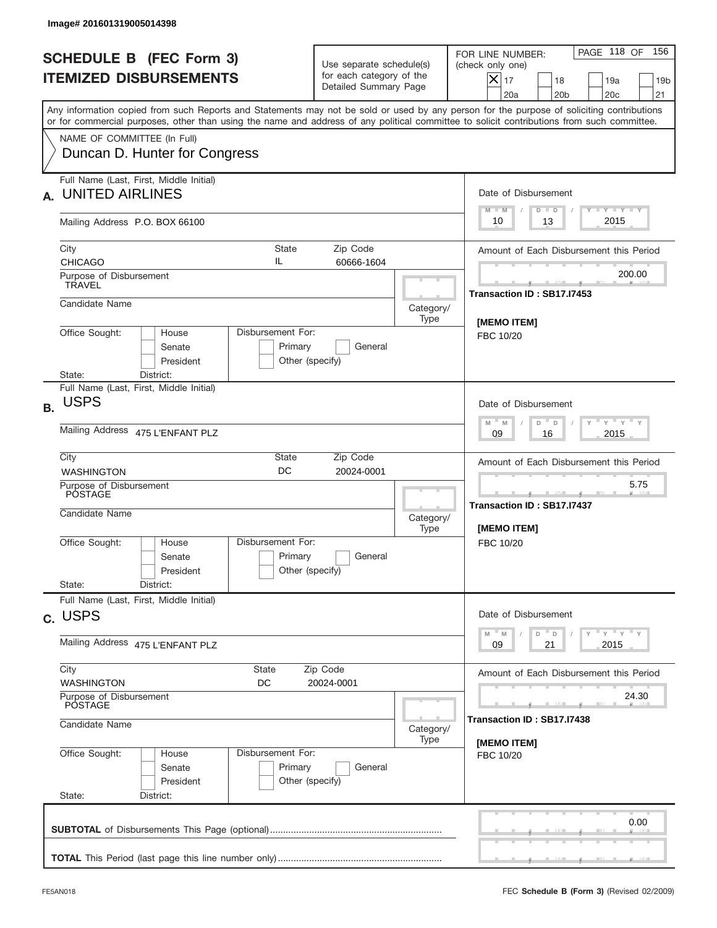|           | Image# 201601319005014398                                                                                                                  |                                                                                        |                                                                               |           |                                                                                                                                                            |
|-----------|--------------------------------------------------------------------------------------------------------------------------------------------|----------------------------------------------------------------------------------------|-------------------------------------------------------------------------------|-----------|------------------------------------------------------------------------------------------------------------------------------------------------------------|
|           | <b>SCHEDULE B (FEC Form 3)</b><br><b>ITEMIZED DISBURSEMENTS</b>                                                                            |                                                                                        | Use separate schedule(s)<br>for each category of the<br>Detailed Summary Page |           | PAGE 118 OF<br>156<br>FOR LINE NUMBER:<br>(check only one)<br>$X _{17}$<br>18<br>19a<br>19 <sub>b</sub><br>20 <sub>c</sub><br>20a<br>20 <sub>b</sub><br>21 |
|           | or for commercial purposes, other than using the name and address of any political committee to solicit contributions from such committee. |                                                                                        |                                                                               |           | Any information copied from such Reports and Statements may not be sold or used by any person for the purpose of soliciting contributions                  |
|           | NAME OF COMMITTEE (In Full)<br>Duncan D. Hunter for Congress                                                                               |                                                                                        |                                                                               |           |                                                                                                                                                            |
| А.        | Full Name (Last, First, Middle Initial)<br><b>UNITED AIRLINES</b>                                                                          |                                                                                        |                                                                               |           | Date of Disbursement<br><b>TAYLY LY</b><br>$M - M$<br>$D$ $D$                                                                                              |
|           | Mailing Address P.O. BOX 66100                                                                                                             |                                                                                        |                                                                               |           | 2015<br>13<br>10                                                                                                                                           |
|           | City<br><b>CHICAGO</b>                                                                                                                     | State<br>IL                                                                            | Zip Code<br>60666-1604                                                        |           | Amount of Each Disbursement this Period<br>200.00                                                                                                          |
|           | Purpose of Disbursement<br>TRAVEL<br>Candidate Name                                                                                        |                                                                                        |                                                                               | Category/ | Transaction ID: SB17.I7453                                                                                                                                 |
|           | Office Sought:<br>Disbursement For:<br>House<br>Senate                                                                                     | [MEMO ITEM]<br>FBC 10/20                                                               |                                                                               |           |                                                                                                                                                            |
|           | President<br>State:<br>District:<br>Full Name (Last, First, Middle Initial)                                                                | Other (specify)                                                                        |                                                                               |           |                                                                                                                                                            |
| <b>B.</b> | <b>USPS</b>                                                                                                                                | Date of Disbursement<br>$\cdots$ $\gamma$ $\cdots$ $\gamma$ $\cdots$ $\gamma$<br>$M$ M |                                                                               |           |                                                                                                                                                            |
|           | Mailing Address 475 L'ENFANT PLZ                                                                                                           | D<br>$\Box$<br>2015<br>09<br>16                                                        |                                                                               |           |                                                                                                                                                            |
|           | City<br><b>WASHINGTON</b>                                                                                                                  |                                                                                        | Amount of Each Disbursement this Period                                       |           |                                                                                                                                                            |
|           | Purpose of Disbursement<br>POSTAGE<br>Candidate Name                                                                                       |                                                                                        |                                                                               |           | 5.75<br>_____<br>Transaction ID: SB17.I7437<br>[MEMO ITEM]                                                                                                 |
|           | Office Sought:<br>House<br>Senate<br>President                                                                                             | Disbursement For:<br>Primary<br>Other (specify)                                        | General                                                                       | Type      | FBC 10/20                                                                                                                                                  |
|           | State:<br>District:<br>Full Name (Last, First, Middle Initial)                                                                             |                                                                                        |                                                                               |           |                                                                                                                                                            |
|           | c. USPS                                                                                                                                    |                                                                                        |                                                                               |           | Date of Disbursement<br>$Y$ $Y$ $Y$ $Y$ $Y$<br>$- M$<br>M<br>D<br>D                                                                                        |
|           | Mailing Address 475 L'ENFANT PLZ                                                                                                           | 2015<br>09<br>21                                                                       |                                                                               |           |                                                                                                                                                            |
|           | City<br>State<br><b>WASHINGTON</b><br>DC                                                                                                   |                                                                                        | Zip Code<br>20024-0001                                                        |           | Amount of Each Disbursement this Period                                                                                                                    |
|           | Purpose of Disbursement<br>POSTAGE<br>Candidate Name                                                                                       | Category/                                                                              | 24.30<br>Transaction ID : SB17.I7438                                          |           |                                                                                                                                                            |
|           | Office Sought:<br>House<br>Senate<br>President<br>State:<br>District:                                                                      | Disbursement For:<br>Primary<br>Other (specify)                                        | General                                                                       | Type      | [MEMO ITEM]<br>FBC 10/20                                                                                                                                   |
|           |                                                                                                                                            |                                                                                        |                                                                               |           | 0.00                                                                                                                                                       |
|           |                                                                                                                                            |                                                                                        |                                                                               |           |                                                                                                                                                            |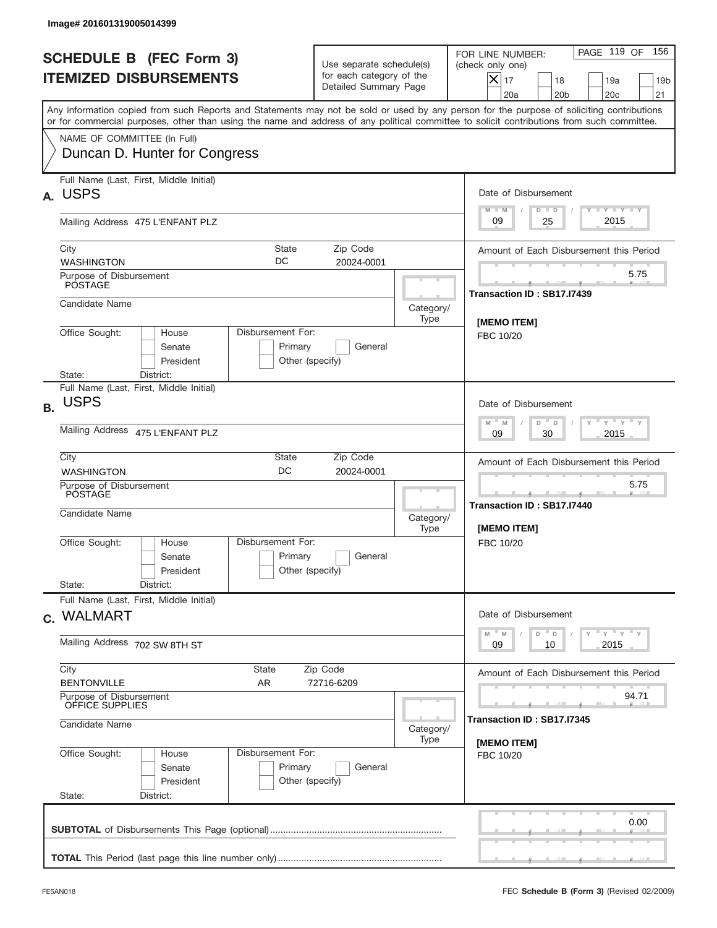|           | Image# 201601319005014399                                                                                                                  |                                                                                         |                                                                               |                   |                                                                                                                                                                      |
|-----------|--------------------------------------------------------------------------------------------------------------------------------------------|-----------------------------------------------------------------------------------------|-------------------------------------------------------------------------------|-------------------|----------------------------------------------------------------------------------------------------------------------------------------------------------------------|
|           | <b>SCHEDULE B (FEC Form 3)</b><br><b>ITEMIZED DISBURSEMENTS</b>                                                                            |                                                                                         | Use separate schedule(s)<br>for each category of the<br>Detailed Summary Page |                   | PAGE 119 OF<br>156<br>FOR LINE NUMBER:<br>(check only one)<br>$ \mathsf{X} _{17}$<br>18<br>19a<br>19 <sub>b</sub><br>20a<br>20 <sub>b</sub><br>20 <sub>c</sub><br>21 |
|           | or for commercial purposes, other than using the name and address of any political committee to solicit contributions from such committee. |                                                                                         |                                                                               |                   | Any information copied from such Reports and Statements may not be sold or used by any person for the purpose of soliciting contributions                            |
|           | NAME OF COMMITTEE (In Full)<br>Duncan D. Hunter for Congress                                                                               |                                                                                         |                                                                               |                   |                                                                                                                                                                      |
| А.        | Full Name (Last, First, Middle Initial)<br><b>USPS</b>                                                                                     |                                                                                         |                                                                               |                   | Date of Disbursement                                                                                                                                                 |
|           | Mailing Address 475 L'ENFANT PLZ                                                                                                           |                                                                                         |                                                                               |                   | Y FY FY FY<br>$M - M$<br>$D$ $D$<br>2015<br>09<br>25                                                                                                                 |
|           | City<br><b>WASHINGTON</b>                                                                                                                  | State<br>DC                                                                             | Zip Code<br>20024-0001                                                        |                   | Amount of Each Disbursement this Period                                                                                                                              |
|           | Purpose of Disbursement<br><b>POSTAGE</b>                                                                                                  |                                                                                         |                                                                               |                   | 5.75<br>Transaction ID: SB17.I7439                                                                                                                                   |
|           | Candidate Name                                                                                                                             |                                                                                         |                                                                               | Category/<br>Type | [MEMO ITEM]                                                                                                                                                          |
|           | Office Sought:<br>House<br>Senate<br>President<br>State:<br>District:                                                                      | Disbursement For:<br>Primary<br>Other (specify)                                         | General                                                                       |                   | FBC 10/20                                                                                                                                                            |
| <b>B.</b> | Full Name (Last, First, Middle Initial)<br><b>USPS</b>                                                                                     | Date of Disbursement                                                                    |                                                                               |                   |                                                                                                                                                                      |
|           | Mailing Address 475 L'ENFANT PLZ                                                                                                           | ү " ү " ү " ү<br>$M - M$<br>D<br>$\Box$<br>2015<br>09<br>30                             |                                                                               |                   |                                                                                                                                                                      |
|           | City<br><b>WASHINGTON</b>                                                                                                                  | Amount of Each Disbursement this Period                                                 |                                                                               |                   |                                                                                                                                                                      |
|           | Purpose of Disbursement<br>POSTAGE<br>Candidate Name                                                                                       |                                                                                         |                                                                               | Category/<br>Type | 5.75<br>____<br>Transaction ID: SB17.I7440<br>[MEMO ITEM]                                                                                                            |
|           | Office Sought:<br>House<br>Senate<br>President<br>State:<br>District:                                                                      | Disbursement For:<br>Primary<br>Other (specify)                                         | General                                                                       |                   | FBC 10/20                                                                                                                                                            |
|           | Full Name (Last, First, Middle Initial)<br>c. WALMART                                                                                      |                                                                                         |                                                                               |                   | Date of Disbursement                                                                                                                                                 |
|           | Mailing Address 702 SW 8TH ST                                                                                                              | $Y$ $Y$ $Y$ $Y$ $Y$<br>$M$ <sup><math>=</math></sup><br>M<br>D<br>D<br>2015<br>09<br>10 |                                                                               |                   |                                                                                                                                                                      |
|           | City<br><b>State</b><br><b>BENTONVILLE</b><br>AR                                                                                           |                                                                                         | Zip Code<br>72716-6209                                                        |                   | Amount of Each Disbursement this Period                                                                                                                              |
|           | Purpose of Disbursement<br>OFFICE SUPPLIES                                                                                                 |                                                                                         | 94.71                                                                         |                   |                                                                                                                                                                      |
|           | Candidate Name                                                                                                                             | Category/<br>Type                                                                       | Transaction ID: SB17.I7345<br>[MEMO ITEM]                                     |                   |                                                                                                                                                                      |
|           | Office Sought:<br>House<br>Senate<br>President<br>State:<br>District:                                                                      | Disbursement For:<br>Primary<br>Other (specify)                                         | General                                                                       |                   | FBC 10/20                                                                                                                                                            |
|           |                                                                                                                                            |                                                                                         |                                                                               |                   | 0.00                                                                                                                                                                 |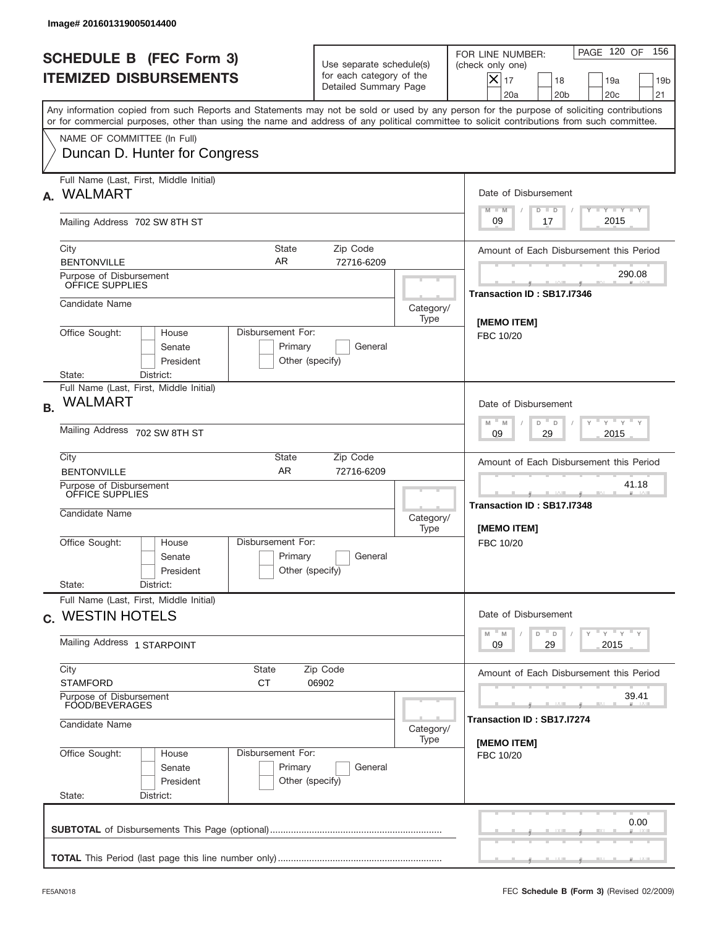|           | Image# 201601319005014400                                                                                                                                                                                                                                                               |                                                                                     |                                                                               |                   |                                                                                                                                                            |  |  |  |
|-----------|-----------------------------------------------------------------------------------------------------------------------------------------------------------------------------------------------------------------------------------------------------------------------------------------|-------------------------------------------------------------------------------------|-------------------------------------------------------------------------------|-------------------|------------------------------------------------------------------------------------------------------------------------------------------------------------|--|--|--|
|           | <b>SCHEDULE B (FEC Form 3)</b><br><b>ITEMIZED DISBURSEMENTS</b>                                                                                                                                                                                                                         |                                                                                     | Use separate schedule(s)<br>for each category of the<br>Detailed Summary Page |                   | 156<br>PAGE 120 OF<br>FOR LINE NUMBER:<br>(check only one)<br>$X _{17}$<br>18<br>19a<br>19 <sub>b</sub><br>20 <sub>c</sub><br>20a<br>20 <sub>b</sub><br>21 |  |  |  |
|           | Any information copied from such Reports and Statements may not be sold or used by any person for the purpose of soliciting contributions<br>or for commercial purposes, other than using the name and address of any political committee to solicit contributions from such committee. |                                                                                     |                                                                               |                   |                                                                                                                                                            |  |  |  |
|           | NAME OF COMMITTEE (In Full)<br>Duncan D. Hunter for Congress                                                                                                                                                                                                                            |                                                                                     |                                                                               |                   |                                                                                                                                                            |  |  |  |
| А.        | Full Name (Last, First, Middle Initial)<br><b>WALMART</b>                                                                                                                                                                                                                               |                                                                                     |                                                                               |                   | Date of Disbursement<br><b>TANK TANK</b><br>$M - M$<br>$D$ $D$                                                                                             |  |  |  |
|           | Mailing Address 702 SW 8TH ST                                                                                                                                                                                                                                                           |                                                                                     |                                                                               |                   | 2015<br>09<br>17                                                                                                                                           |  |  |  |
|           | City<br><b>BENTONVILLE</b><br>Purpose of Disbursement                                                                                                                                                                                                                                   | State<br>AR                                                                         | Zip Code<br>72716-6209                                                        |                   | Amount of Each Disbursement this Period<br>290.08                                                                                                          |  |  |  |
|           | OFFICE SUPPLIES<br>Candidate Name                                                                                                                                                                                                                                                       |                                                                                     |                                                                               |                   | Transaction ID: SB17.I7346                                                                                                                                 |  |  |  |
|           | Office Sought:<br>Disbursement For:<br>House                                                                                                                                                                                                                                            |                                                                                     |                                                                               | Category/<br>Type | <b>IMEMO ITEM1</b>                                                                                                                                         |  |  |  |
|           | Senate<br>President<br>State:<br>District:                                                                                                                                                                                                                                              | Primary<br>Other (specify)                                                          | General                                                                       |                   | FBC 10/20                                                                                                                                                  |  |  |  |
| <b>B.</b> | Full Name (Last, First, Middle Initial)<br><b>WALMART</b>                                                                                                                                                                                                                               | Date of Disbursement                                                                |                                                                               |                   |                                                                                                                                                            |  |  |  |
|           | Mailing Address 702 SW 8TH ST                                                                                                                                                                                                                                                           | $\cdots$ $\gamma$ $\cdots$ $\gamma$ $\cdots$<br>$M$ M<br>D<br>D<br>2015<br>09<br>29 |                                                                               |                   |                                                                                                                                                            |  |  |  |
|           | City<br><b>BENTONVILLE</b>                                                                                                                                                                                                                                                              | State<br><b>AR</b>                                                                  | Zip Code<br>72716-6209                                                        |                   | Amount of Each Disbursement this Period                                                                                                                    |  |  |  |
|           | Purpose of Disbursement<br>OFFICE SUPPLIES<br>Candidate Name                                                                                                                                                                                                                            | Category/<br>Type                                                                   | 41.18<br>Transaction ID: SB17.I7348<br>[MEMO ITEM]                            |                   |                                                                                                                                                            |  |  |  |
|           | Office Sought:<br>House<br>Senate<br>President                                                                                                                                                                                                                                          | Disbursement For:<br>Primary<br>Other (specify)                                     | General                                                                       |                   | FBC 10/20                                                                                                                                                  |  |  |  |
|           | State:<br>District:<br>Full Name (Last, First, Middle Initial)                                                                                                                                                                                                                          |                                                                                     |                                                                               |                   |                                                                                                                                                            |  |  |  |
|           | c. WESTIN HOTELS                                                                                                                                                                                                                                                                        |                                                                                     |                                                                               |                   | Date of Disbursement<br>$Y$ $Y$ $Y$ $Y$ $Y$<br>$-M$<br>M<br>D<br>D                                                                                         |  |  |  |
|           | Mailing Address 1 STARPOINT                                                                                                                                                                                                                                                             | 29<br>2015<br>09                                                                    |                                                                               |                   |                                                                                                                                                            |  |  |  |
|           | City<br>State<br><b>CT</b><br><b>STAMFORD</b>                                                                                                                                                                                                                                           |                                                                                     | Zip Code<br>06902                                                             |                   | Amount of Each Disbursement this Period                                                                                                                    |  |  |  |
|           | Purpose of Disbursement<br>FOOD/BEVERAGES<br>Candidate Name                                                                                                                                                                                                                             | Category/                                                                           | 39.41<br>Transaction ID : SB17.I7274                                          |                   |                                                                                                                                                            |  |  |  |
|           | Office Sought:<br>House<br>Senate<br>President<br>State:<br>District:                                                                                                                                                                                                                   | Disbursement For:<br>Primary<br>Other (specify)                                     | General                                                                       | Type              | [MEMO ITEM]<br>FBC 10/20                                                                                                                                   |  |  |  |
|           |                                                                                                                                                                                                                                                                                         |                                                                                     |                                                                               |                   | 0.00                                                                                                                                                       |  |  |  |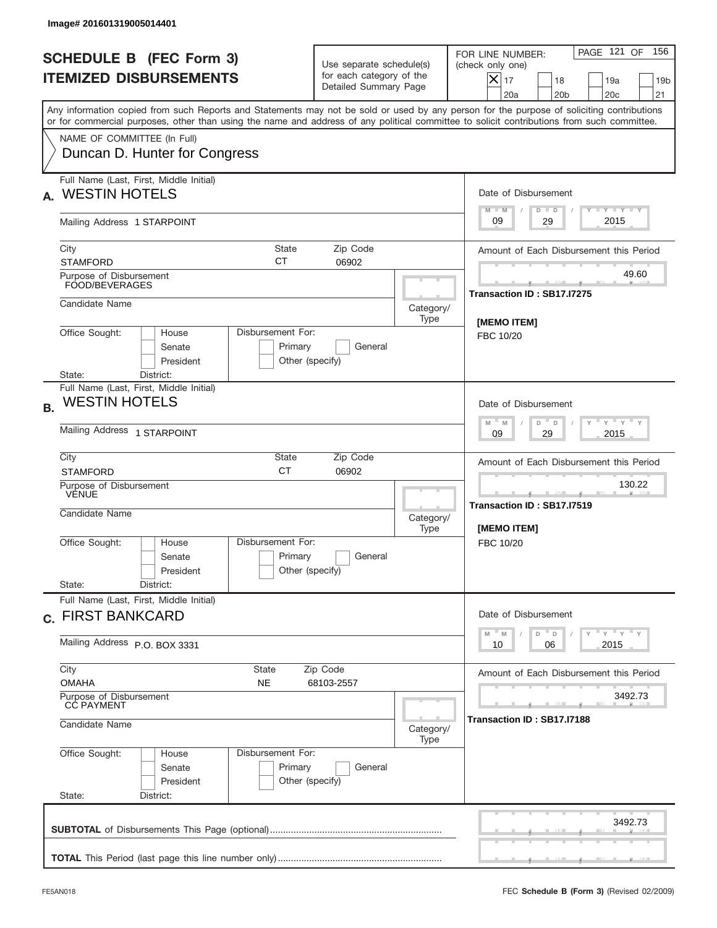| Image# 201601319005014401                                                                                                                                                                                                                                                               |                                                                                              |                                                                                                                                                            |  |  |
|-----------------------------------------------------------------------------------------------------------------------------------------------------------------------------------------------------------------------------------------------------------------------------------------|----------------------------------------------------------------------------------------------|------------------------------------------------------------------------------------------------------------------------------------------------------------|--|--|
| <b>SCHEDULE B (FEC Form 3)</b><br><b>ITEMIZED DISBURSEMENTS</b>                                                                                                                                                                                                                         | Use separate schedule(s)<br>for each category of the<br>Detailed Summary Page                | 156<br>PAGE 121 OF<br>FOR LINE NUMBER:<br>(check only one)<br>$X _{17}$<br>18<br>19a<br>19 <sub>b</sub><br>20 <sub>c</sub><br>20a<br>20 <sub>b</sub><br>21 |  |  |
| Any information copied from such Reports and Statements may not be sold or used by any person for the purpose of soliciting contributions<br>or for commercial purposes, other than using the name and address of any political committee to solicit contributions from such committee. |                                                                                              |                                                                                                                                                            |  |  |
| NAME OF COMMITTEE (In Full)<br>Duncan D. Hunter for Congress                                                                                                                                                                                                                            |                                                                                              |                                                                                                                                                            |  |  |
| Full Name (Last, First, Middle Initial)<br><b>WESTIN HOTELS</b><br>А.                                                                                                                                                                                                                   |                                                                                              | Date of Disbursement<br><b>TANK TANK</b><br>$M - M$<br>$D$ $D$                                                                                             |  |  |
| Mailing Address 1 STARPOINT                                                                                                                                                                                                                                                             |                                                                                              | 2015<br>29<br>09                                                                                                                                           |  |  |
| City<br>State<br>СT<br><b>STAMFORD</b>                                                                                                                                                                                                                                                  | Zip Code<br>06902                                                                            | Amount of Each Disbursement this Period                                                                                                                    |  |  |
| Purpose of Disbursement<br>FOOD/BEVERAGES                                                                                                                                                                                                                                               |                                                                                              | 49.60<br>Transaction ID: SB17.I7275                                                                                                                        |  |  |
| Candidate Name                                                                                                                                                                                                                                                                          |                                                                                              | Category/<br>Type<br><b>IMEMO ITEM1</b>                                                                                                                    |  |  |
| Office Sought:<br>Disbursement For:<br>House<br>Senate<br>Primary<br>President<br>State:<br>District:                                                                                                                                                                                   | General<br>Other (specify)                                                                   | FBC 10/20                                                                                                                                                  |  |  |
| Full Name (Last, First, Middle Initial)<br><b>WESTIN HOTELS</b><br><b>B.</b>                                                                                                                                                                                                            |                                                                                              | Date of Disbursement                                                                                                                                       |  |  |
| Mailing Address 1 STARPOINT                                                                                                                                                                                                                                                             | $\cdots$ $\gamma$ $\cdots$ $\gamma$ $\cdots$ $\gamma$<br>$M$ M<br>D<br>D<br>2015<br>09<br>29 |                                                                                                                                                            |  |  |
| City<br>State<br><b>CT</b><br><b>STAMFORD</b>                                                                                                                                                                                                                                           | Zip Code<br>06902                                                                            |                                                                                                                                                            |  |  |
| Purpose of Disbursement<br>VENUE<br>Candidate Name                                                                                                                                                                                                                                      |                                                                                              | 130.22<br>____<br>Transaction ID: SB17.I7519<br>Category/<br>[MEMO ITEM]<br>Type                                                                           |  |  |
| Disbursement For:<br>Office Sought:<br>House<br>Primary<br>Senate<br>President                                                                                                                                                                                                          | General<br>Other (specify)                                                                   | FBC 10/20                                                                                                                                                  |  |  |
| State:<br>District:<br>Full Name (Last, First, Middle Initial)                                                                                                                                                                                                                          |                                                                                              |                                                                                                                                                            |  |  |
| c. FIRST BANKCARD                                                                                                                                                                                                                                                                       |                                                                                              |                                                                                                                                                            |  |  |
| Mailing Address P.O. BOX 3331                                                                                                                                                                                                                                                           | 2015<br>10<br>06                                                                             |                                                                                                                                                            |  |  |
| City<br>State<br><b>OMAHA</b><br>NE                                                                                                                                                                                                                                                     | Amount of Each Disbursement this Period                                                      |                                                                                                                                                            |  |  |
| Purpose of Disbursement<br>CC PAYMENT<br>Candidate Name                                                                                                                                                                                                                                 | 3492.73<br>Transaction ID : SB17.I7188<br>Category/                                          |                                                                                                                                                            |  |  |
| Office Sought:<br>Disbursement For:<br>House<br>Primary<br>Senate<br>President<br>State:<br>District:                                                                                                                                                                                   | General<br>Other (specify)                                                                   | Type                                                                                                                                                       |  |  |
|                                                                                                                                                                                                                                                                                         |                                                                                              | 3492.73                                                                                                                                                    |  |  |
|                                                                                                                                                                                                                                                                                         |                                                                                              |                                                                                                                                                            |  |  |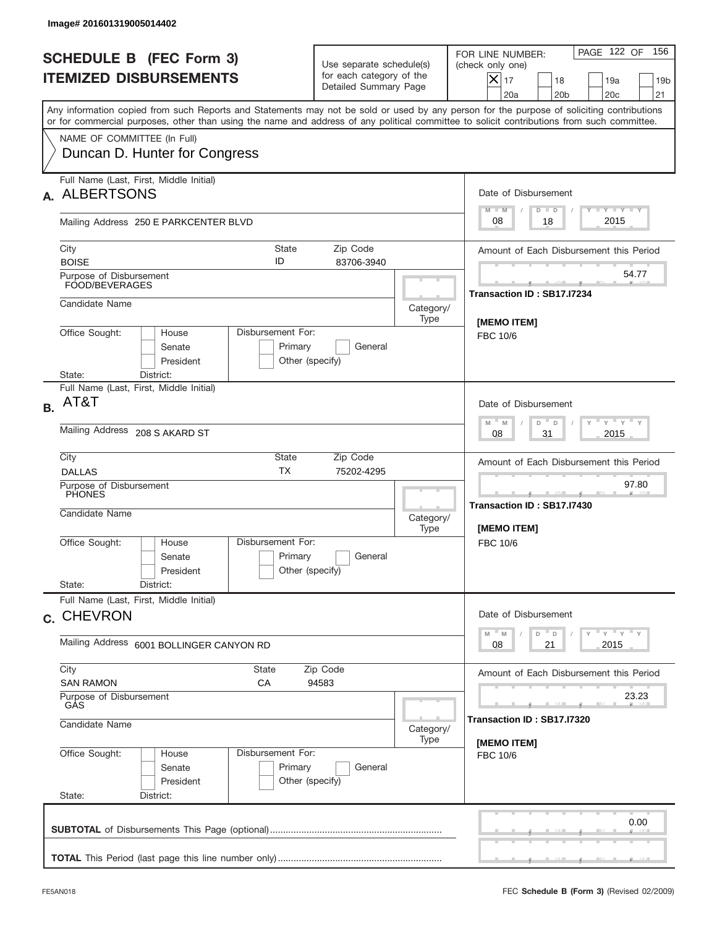|           | Image# 201601319005014402                                                                                    |                                                 |                                                                               |                                     |                                                                                                                                                                                                                                                                                         |
|-----------|--------------------------------------------------------------------------------------------------------------|-------------------------------------------------|-------------------------------------------------------------------------------|-------------------------------------|-----------------------------------------------------------------------------------------------------------------------------------------------------------------------------------------------------------------------------------------------------------------------------------------|
|           | <b>SCHEDULE B (FEC Form 3)</b><br><b>ITEMIZED DISBURSEMENTS</b>                                              |                                                 | Use separate schedule(s)<br>for each category of the<br>Detailed Summary Page |                                     | PAGE 122 OF<br>156<br>FOR LINE NUMBER:<br>(check only one)<br>$ \boldsymbol{\times} $<br>17<br>18<br>19a<br>19 <sub>b</sub><br>20a<br>20 <sub>b</sub><br>20 <sub>c</sub><br>21                                                                                                          |
|           |                                                                                                              |                                                 |                                                                               |                                     | Any information copied from such Reports and Statements may not be sold or used by any person for the purpose of soliciting contributions<br>or for commercial purposes, other than using the name and address of any political committee to solicit contributions from such committee. |
|           | NAME OF COMMITTEE (In Full)<br>Duncan D. Hunter for Congress                                                 |                                                 |                                                                               |                                     |                                                                                                                                                                                                                                                                                         |
| А.        | Full Name (Last, First, Middle Initial)<br><b>ALBERTSONS</b>                                                 |                                                 |                                                                               |                                     | Date of Disbursement                                                                                                                                                                                                                                                                    |
|           | Mailing Address 250 E PARKCENTER BLVD                                                                        |                                                 |                                                                               |                                     | Y FY FY FY<br>$M - M$<br>$D$ $D$<br>2015<br>08<br>18                                                                                                                                                                                                                                    |
|           | City<br><b>BOISE</b>                                                                                         | State<br>ID                                     | Zip Code<br>83706-3940                                                        |                                     | Amount of Each Disbursement this Period                                                                                                                                                                                                                                                 |
|           | Purpose of Disbursement<br>FOOD/BEVERAGES                                                                    |                                                 |                                                                               |                                     | 54.77<br>Transaction ID: SB17.I7234                                                                                                                                                                                                                                                     |
|           | Candidate Name                                                                                               |                                                 |                                                                               | Category/<br>Type                   | [MEMO ITEM]                                                                                                                                                                                                                                                                             |
|           | Office Sought:<br>Disbursement For:<br>House<br>Senate<br>Primary<br>General<br>President<br>Other (specify) |                                                 |                                                                               |                                     | FBC 10/6                                                                                                                                                                                                                                                                                |
| <b>B.</b> | State:<br>District:<br>Full Name (Last, First, Middle Initial)<br>AT&T                                       |                                                 |                                                                               |                                     | Date of Disbursement                                                                                                                                                                                                                                                                    |
|           | Mailing Address 208 S AKARD ST                                                                               |                                                 |                                                                               |                                     | ү " ү " ү " ү<br>$M - M$<br>D<br>$\Box$<br>2015<br>08<br>31                                                                                                                                                                                                                             |
|           | City<br>State<br>Zip Code<br><b>TX</b><br><b>DALLAS</b><br>75202-4295                                        |                                                 |                                                                               |                                     | Amount of Each Disbursement this Period                                                                                                                                                                                                                                                 |
|           | Purpose of Disbursement<br><b>PHONES</b><br>Candidate Name                                                   |                                                 |                                                                               | Category/<br>Type                   | 97.80<br>____<br>Transaction ID: SB17.I7430<br>[MEMO ITEM]                                                                                                                                                                                                                              |
|           | Office Sought:<br>House<br>Senate<br>President<br>State:<br>District:                                        | Disbursement For:<br>Primary<br>Other (specify) | General                                                                       |                                     | FBC 10/6                                                                                                                                                                                                                                                                                |
|           | Full Name (Last, First, Middle Initial)<br>c. CHEVRON                                                        |                                                 |                                                                               |                                     | Date of Disbursement                                                                                                                                                                                                                                                                    |
|           | Mailing Address 6001 BOLLINGER CANYON RD                                                                     |                                                 |                                                                               |                                     | $Y$ $Y$ $Y$ $Y$ $Y$<br>$M$ <sup><math>=</math></sup><br>D<br>M<br>D<br>2015<br>08<br>21                                                                                                                                                                                                 |
|           | City<br><b>SAN RAMON</b>                                                                                     | Amount of Each Disbursement this Period         |                                                                               |                                     |                                                                                                                                                                                                                                                                                         |
|           | Purpose of Disbursement<br>GÅS                                                                               |                                                 |                                                                               | 23.23<br>Transaction ID: SB17.I7320 |                                                                                                                                                                                                                                                                                         |
|           | Candidate Name<br>Category/<br>Type                                                                          |                                                 |                                                                               |                                     | [MEMO ITEM]                                                                                                                                                                                                                                                                             |
|           | Office Sought:<br>House<br>Senate<br>President<br>State:<br>District:                                        | Disbursement For:<br>Primary<br>Other (specify) | General                                                                       |                                     | FBC 10/6                                                                                                                                                                                                                                                                                |
|           |                                                                                                              |                                                 |                                                                               |                                     | 0.00                                                                                                                                                                                                                                                                                    |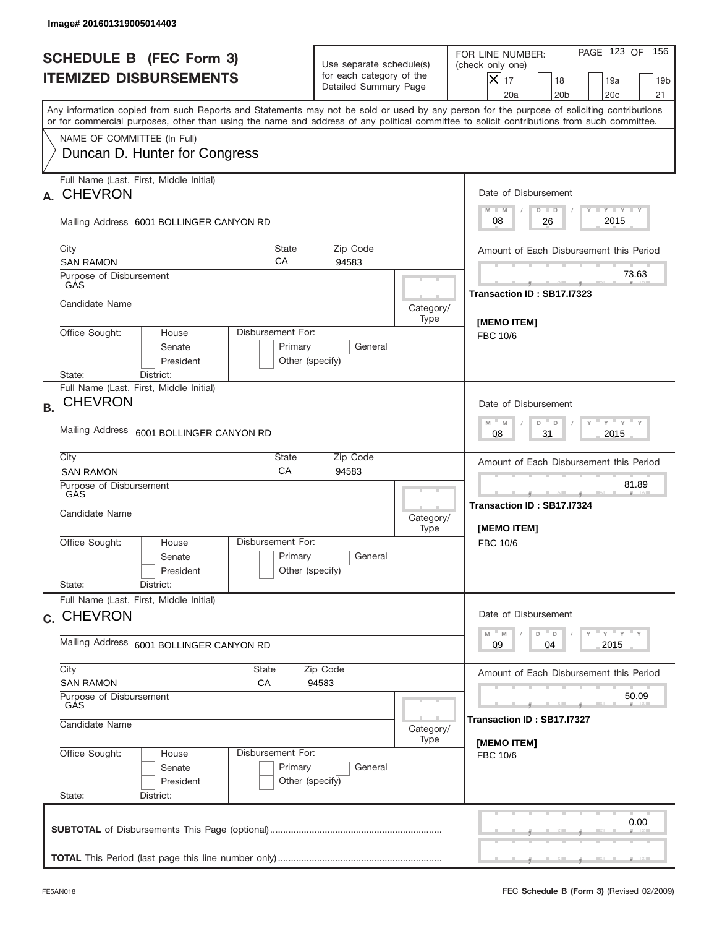|           | Image# 201601319005014403                                                                                                                  |                                                 |                                                                               |                                            |                                                                                                                                                                             |
|-----------|--------------------------------------------------------------------------------------------------------------------------------------------|-------------------------------------------------|-------------------------------------------------------------------------------|--------------------------------------------|-----------------------------------------------------------------------------------------------------------------------------------------------------------------------------|
|           | <b>SCHEDULE B (FEC Form 3)</b><br><b>ITEMIZED DISBURSEMENTS</b>                                                                            |                                                 | Use separate schedule(s)<br>for each category of the<br>Detailed Summary Page |                                            | PAGE 123 OF<br>156<br>FOR LINE NUMBER:<br>(check only one)<br>$\overline{\mathsf{x}}$ 17<br>18<br>19a<br>19 <sub>b</sub><br>20 <sub>c</sub><br>20a<br>20 <sub>b</sub><br>21 |
|           | or for commercial purposes, other than using the name and address of any political committee to solicit contributions from such committee. |                                                 |                                                                               |                                            | Any information copied from such Reports and Statements may not be sold or used by any person for the purpose of soliciting contributions                                   |
|           | NAME OF COMMITTEE (In Full)<br>Duncan D. Hunter for Congress                                                                               |                                                 |                                                                               |                                            |                                                                                                                                                                             |
| A.        | Full Name (Last, First, Middle Initial)<br><b>CHEVRON</b>                                                                                  |                                                 |                                                                               |                                            | Date of Disbursement<br>Y FY FY FY<br>$M - M$<br>$D$ $D$                                                                                                                    |
|           | Mailing Address 6001 BOLLINGER CANYON RD                                                                                                   |                                                 |                                                                               |                                            | 2015<br>08<br>26                                                                                                                                                            |
|           | City<br><b>State</b><br>Zip Code<br>СA<br><b>SAN RAMON</b><br>94583                                                                        |                                                 |                                                                               |                                            | Amount of Each Disbursement this Period                                                                                                                                     |
|           | Purpose of Disbursement<br>GAS                                                                                                             |                                                 |                                                                               |                                            | 73.63<br>Transaction ID: SB17.I7323                                                                                                                                         |
|           | Candidate Name                                                                                                                             |                                                 |                                                                               | Category/<br>Type                          | <b>IMEMO ITEM1</b>                                                                                                                                                          |
|           | Office Sought:<br>House<br>Senate<br>President<br>State:<br>District:                                                                      | Disbursement For:<br>Primary<br>Other (specify) | General                                                                       |                                            | FBC 10/6                                                                                                                                                                    |
| <b>B.</b> | Full Name (Last, First, Middle Initial)<br><b>CHEVRON</b>                                                                                  |                                                 |                                                                               |                                            | Date of Disbursement                                                                                                                                                        |
|           | Mailing Address<br>6001 BOLLINGER CANYON RD                                                                                                |                                                 |                                                                               |                                            | $-\gamma + \gamma - \gamma$<br>$M - M$<br>D<br>$\Box$<br>2015<br>08<br>31                                                                                                   |
|           | City<br>State<br>Zip Code<br>CA<br>94583<br><b>SAN RAMON</b>                                                                               |                                                 |                                                                               |                                            | Amount of Each Disbursement this Period                                                                                                                                     |
|           | Purpose of Disbursement<br>GAS<br>Candidate Name                                                                                           |                                                 |                                                                               | Category/<br>Type                          | 81.89<br>_____<br>Transaction ID: SB17.I7324<br>[MEMO ITEM]                                                                                                                 |
|           | Office Sought:<br>House<br>Senate<br>President                                                                                             | Disbursement For:<br>Primary<br>Other (specify) | General                                                                       |                                            | FBC 10/6                                                                                                                                                                    |
|           | State:<br>District:<br>Full Name (Last, First, Middle Initial)                                                                             |                                                 |                                                                               |                                            |                                                                                                                                                                             |
|           | c. CHEVRON<br>Mailing Address 6001 BOLLINGER CANYON RD                                                                                     |                                                 |                                                                               |                                            | Date of Disbursement<br>$\gamma$ $\gamma$ $\gamma$ $\gamma$ $\gamma$<br>$-M$<br>M<br>D<br>D<br>2015<br>09<br>04                                                             |
|           | City<br>State<br>Zip Code<br><b>SAN RAMON</b><br>СA<br>94583                                                                               |                                                 |                                                                               |                                            | Amount of Each Disbursement this Period                                                                                                                                     |
|           | Purpose of Disbursement<br>GÁS                                                                                                             |                                                 |                                                                               | 50.09                                      |                                                                                                                                                                             |
|           | Candidate Name<br>Category/<br>Type                                                                                                        |                                                 |                                                                               | Transaction ID : SB17.I7327<br>[MEMO ITEM] |                                                                                                                                                                             |
|           | Office Sought:<br>House<br>Senate<br>President<br>State:<br>District:                                                                      | Disbursement For:<br>Primary<br>Other (specify) | General                                                                       |                                            | FBC 10/6                                                                                                                                                                    |
|           |                                                                                                                                            |                                                 |                                                                               |                                            | 0.00                                                                                                                                                                        |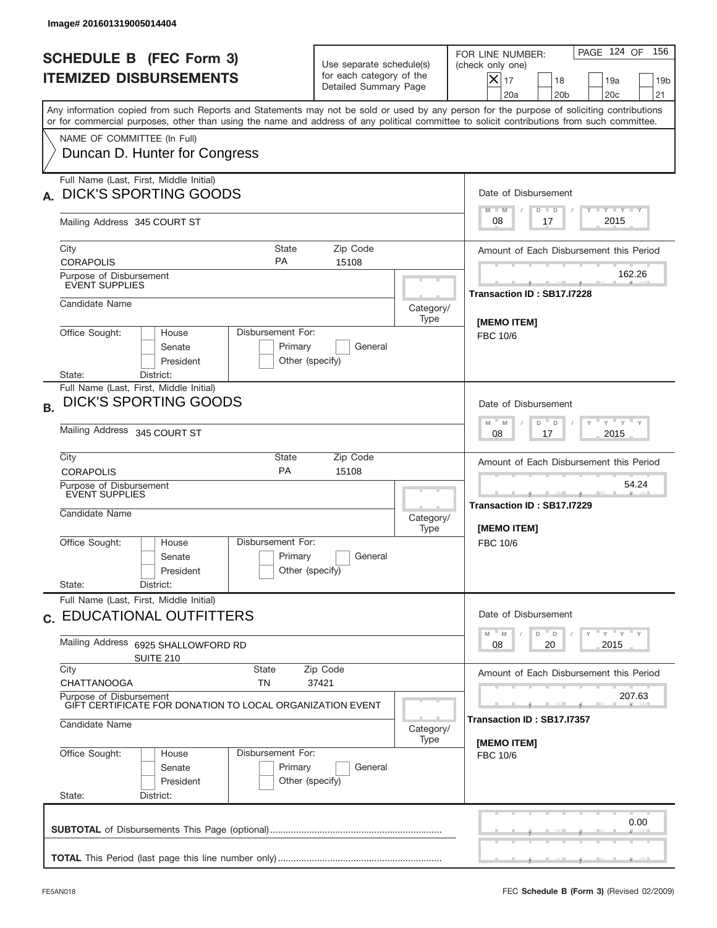| Image# 201601319005014404                                                                                                                                                                                                                                                                                              |                                                                                             |                                      |                                                                                                                                                                      |  |
|------------------------------------------------------------------------------------------------------------------------------------------------------------------------------------------------------------------------------------------------------------------------------------------------------------------------|---------------------------------------------------------------------------------------------|--------------------------------------|----------------------------------------------------------------------------------------------------------------------------------------------------------------------|--|
| <b>SCHEDULE B (FEC Form 3)</b><br><b>ITEMIZED DISBURSEMENTS</b>                                                                                                                                                                                                                                                        | Use separate schedule(s)<br>for each category of the<br>Detailed Summary Page               |                                      | PAGE 124 OF<br>156<br>FOR LINE NUMBER:<br>(check only one)<br>$ \mathsf{X} _{17}$<br>18<br>19a<br>19 <sub>b</sub><br>20a<br>20 <sub>b</sub><br>20 <sub>c</sub><br>21 |  |
| Any information copied from such Reports and Statements may not be sold or used by any person for the purpose of soliciting contributions<br>or for commercial purposes, other than using the name and address of any political committee to solicit contributions from such committee.<br>NAME OF COMMITTEE (In Full) |                                                                                             |                                      |                                                                                                                                                                      |  |
| Duncan D. Hunter for Congress                                                                                                                                                                                                                                                                                          |                                                                                             |                                      |                                                                                                                                                                      |  |
| Full Name (Last, First, Middle Initial)<br><b>DICK'S SPORTING GOODS</b>                                                                                                                                                                                                                                                |                                                                                             |                                      | Date of Disbursement<br>Y TY TY TY<br>$M - M$<br>$D$ $D$                                                                                                             |  |
| Mailing Address 345 COURT ST                                                                                                                                                                                                                                                                                           |                                                                                             |                                      | 2015<br>08<br>17                                                                                                                                                     |  |
| City<br><b>State</b><br><b>PA</b><br><b>CORAPOLIS</b>                                                                                                                                                                                                                                                                  | Zip Code<br>15108                                                                           |                                      | Amount of Each Disbursement this Period                                                                                                                              |  |
| Purpose of Disbursement<br>EVENT SUPPLIES                                                                                                                                                                                                                                                                              |                                                                                             |                                      | 162.26<br>Transaction ID: SB17.I7228                                                                                                                                 |  |
| Candidate Name                                                                                                                                                                                                                                                                                                         |                                                                                             | Category/<br>Type                    | [MEMO ITEM]                                                                                                                                                          |  |
| Office Sought:<br>House<br>Senate<br>President<br>District:<br>State:                                                                                                                                                                                                                                                  | Disbursement For:<br>Primary<br>General<br>Other (specify)                                  |                                      | FBC 10/6                                                                                                                                                             |  |
| Full Name (Last, First, Middle Initial)<br><b>DICK'S SPORTING GOODS</b><br><b>B.</b>                                                                                                                                                                                                                                   |                                                                                             |                                      | Date of Disbursement                                                                                                                                                 |  |
| Mailing Address 345 COURT ST                                                                                                                                                                                                                                                                                           |                                                                                             |                                      | ү " ү " ү " ү<br>$M - M$<br>D<br>D<br>2015<br>08<br>17                                                                                                               |  |
| City<br>State<br><b>PA</b><br><b>CORAPOLIS</b>                                                                                                                                                                                                                                                                         | Zip Code<br>15108                                                                           |                                      |                                                                                                                                                                      |  |
| Purpose of Disbursement<br>EVENT SUPPLIES<br>Candidate Name                                                                                                                                                                                                                                                            |                                                                                             | Category/<br>Type                    | 54.24<br>Transaction ID: SB17.I7229<br>[MEMO ITEM]                                                                                                                   |  |
| Disbursement For:<br>Office Sought:<br>House<br>Primary<br>Senate<br>President<br>State:<br>District:                                                                                                                                                                                                                  | General<br>Other (specify)                                                                  |                                      | FBC 10/6                                                                                                                                                             |  |
| Full Name (Last, First, Middle Initial)<br>c. EDUCATIONAL OUTFITTERS                                                                                                                                                                                                                                                   |                                                                                             |                                      | Date of Disbursement                                                                                                                                                 |  |
| Mailing Address<br>6925 SHALLOWFORD RD<br><b>SUITE 210</b>                                                                                                                                                                                                                                                             | $\gamma$ = $\gamma$ = $\gamma$ = $\gamma$<br>M<br>$\mathbb M$<br>D<br>D<br>08<br>20<br>2015 |                                      |                                                                                                                                                                      |  |
| City<br>State<br><b>CHATTANOOGA</b><br>TN                                                                                                                                                                                                                                                                              | Zip Code<br>37421                                                                           |                                      |                                                                                                                                                                      |  |
| Purpose of Disbursement<br>GIFT CERTIFICATE FOR DONATION TO LOCAL ORGANIZATION EVENT                                                                                                                                                                                                                                   |                                                                                             | 207.63<br>Transaction ID: SB17.I7357 |                                                                                                                                                                      |  |
| Candidate Name<br>Category/<br>Type                                                                                                                                                                                                                                                                                    |                                                                                             |                                      | [MEMO ITEM]                                                                                                                                                          |  |
| Office Sought:<br>Disbursement For:<br>House<br>Primary<br>Senate<br>President<br>State:<br>District:                                                                                                                                                                                                                  | General<br>Other (specify)                                                                  |                                      | FBC 10/6                                                                                                                                                             |  |
|                                                                                                                                                                                                                                                                                                                        |                                                                                             |                                      | 0.00                                                                                                                                                                 |  |
|                                                                                                                                                                                                                                                                                                                        |                                                                                             |                                      |                                                                                                                                                                      |  |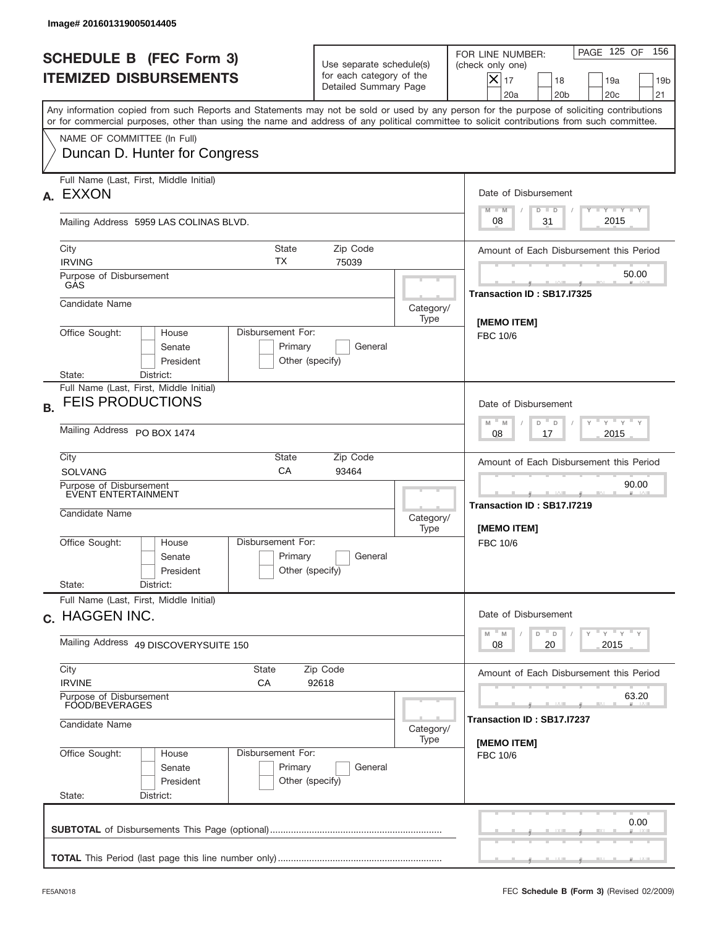|           | Image# 201601319005014405                                                                                                                                                                                                                                                               |                                                                               |                   |                                                                                                                                                            |
|-----------|-----------------------------------------------------------------------------------------------------------------------------------------------------------------------------------------------------------------------------------------------------------------------------------------|-------------------------------------------------------------------------------|-------------------|------------------------------------------------------------------------------------------------------------------------------------------------------------|
|           | <b>SCHEDULE B (FEC Form 3)</b><br><b>ITEMIZED DISBURSEMENTS</b>                                                                                                                                                                                                                         | Use separate schedule(s)<br>for each category of the<br>Detailed Summary Page |                   | 156<br>PAGE 125 OF<br>FOR LINE NUMBER:<br>(check only one)<br>$X _{17}$<br>18<br>19a<br>19 <sub>b</sub><br>20a<br>20 <sub>b</sub><br>20 <sub>c</sub><br>21 |
|           | Any information copied from such Reports and Statements may not be sold or used by any person for the purpose of soliciting contributions<br>or for commercial purposes, other than using the name and address of any political committee to solicit contributions from such committee. |                                                                               |                   |                                                                                                                                                            |
|           | NAME OF COMMITTEE (In Full)<br>Duncan D. Hunter for Congress                                                                                                                                                                                                                            |                                                                               |                   |                                                                                                                                                            |
| А.        | Full Name (Last, First, Middle Initial)<br><b>EXXON</b>                                                                                                                                                                                                                                 |                                                                               |                   | Date of Disbursement                                                                                                                                       |
|           | Mailing Address 5959 LAS COLINAS BLVD.                                                                                                                                                                                                                                                  |                                                                               |                   | $T - Y$ $T - Y$ $T - Y$<br>$M - M$<br>$D$ $D$<br>2015<br>08<br>31                                                                                          |
|           | City<br><b>State</b><br>TX<br><b>IRVING</b>                                                                                                                                                                                                                                             | Amount of Each Disbursement this Period                                       |                   |                                                                                                                                                            |
|           | Purpose of Disbursement<br>GAS                                                                                                                                                                                                                                                          |                                                                               |                   | 50.00<br>Transaction ID: SB17.I7325                                                                                                                        |
|           | Candidate Name                                                                                                                                                                                                                                                                          |                                                                               | Category/<br>Type | [MEMO ITEM]                                                                                                                                                |
|           | Disbursement For:<br>Office Sought:<br>House<br>Primary<br>General<br>Senate<br>President<br>Other (specify)                                                                                                                                                                            |                                                                               |                   | <b>FBC 10/6</b>                                                                                                                                            |
| <b>B.</b> | District:<br>State:<br>Full Name (Last, First, Middle Initial)<br><b>FEIS PRODUCTIONS</b>                                                                                                                                                                                               |                                                                               |                   | Date of Disbursement                                                                                                                                       |
|           | Mailing Address PO BOX 1474                                                                                                                                                                                                                                                             | $Y$ $Y$ $Y$ $Y$<br>$M$ M<br>D<br>D<br>2015<br>08<br>17                        |                   |                                                                                                                                                            |
|           | City<br>State<br>CA<br><b>SOLVANG</b>                                                                                                                                                                                                                                                   | Amount of Each Disbursement this Period                                       |                   |                                                                                                                                                            |
|           | Purpose of Disbursement<br>EVENT ENTERTAINMENT<br>Candidate Name<br>Category/                                                                                                                                                                                                           |                                                                               |                   | 90.00<br><b>All Angles</b><br>Transaction ID: SB17.I7219<br><b>IMEMO ITEMI</b>                                                                             |
|           | Disbursement For:<br>Office Sought:<br>House<br>Senate<br>President<br>State:<br>District:                                                                                                                                                                                              | Primary<br>General<br>Other (specify)                                         |                   | FBC 10/6                                                                                                                                                   |
|           | Full Name (Last, First, Middle Initial)<br>c. HAGGEN INC.                                                                                                                                                                                                                               |                                                                               |                   | Date of Disbursement                                                                                                                                       |
|           | Mailing Address 49 DISCOVERYSUITE 150                                                                                                                                                                                                                                                   | $Y$ $Y$ $Y$ $Y$ $Y$<br>$M$ $M$<br>D<br>D<br>2015<br>08<br>20                  |                   |                                                                                                                                                            |
|           | City<br>State<br><b>IRVINE</b><br>СA                                                                                                                                                                                                                                                    | Amount of Each Disbursement this Period                                       |                   |                                                                                                                                                            |
|           | 92618<br>Purpose of Disbursement<br>FOOD/BEVERAGES                                                                                                                                                                                                                                      |                                                                               |                   | 63.20<br>Transaction ID: SB17.I7237                                                                                                                        |
|           | Candidate Name                                                                                                                                                                                                                                                                          | Category/<br>[MEMO ITEM]                                                      |                   |                                                                                                                                                            |
|           | Office Sought:<br>Disbursement For:<br>House<br>Senate<br>President<br>State:<br>District:                                                                                                                                                                                              | Primary<br>General<br>Other (specify)                                         |                   | FBC 10/6                                                                                                                                                   |
|           |                                                                                                                                                                                                                                                                                         |                                                                               |                   | 0.00                                                                                                                                                       |
|           |                                                                                                                                                                                                                                                                                         |                                                                               |                   |                                                                                                                                                            |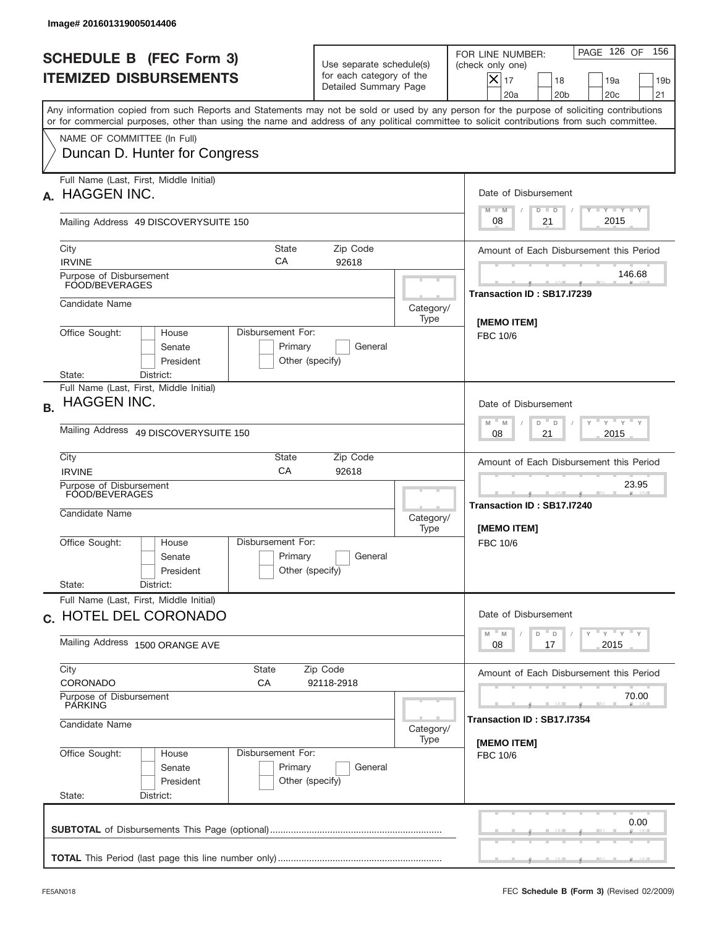|           | Image# 201601319005014406                                                                                                                                                                                                                                                               |                                                                               |                   |                                                                                                                                                            |  |
|-----------|-----------------------------------------------------------------------------------------------------------------------------------------------------------------------------------------------------------------------------------------------------------------------------------------|-------------------------------------------------------------------------------|-------------------|------------------------------------------------------------------------------------------------------------------------------------------------------------|--|
|           | <b>SCHEDULE B (FEC Form 3)</b><br><b>ITEMIZED DISBURSEMENTS</b>                                                                                                                                                                                                                         | Use separate schedule(s)<br>for each category of the<br>Detailed Summary Page |                   | 156<br>PAGE 126 OF<br>FOR LINE NUMBER:<br>(check only one)<br>$X _{17}$<br>18<br>19a<br>19 <sub>b</sub><br>20a<br>20 <sub>b</sub><br>20 <sub>c</sub><br>21 |  |
|           | Any information copied from such Reports and Statements may not be sold or used by any person for the purpose of soliciting contributions<br>or for commercial purposes, other than using the name and address of any political committee to solicit contributions from such committee. |                                                                               |                   |                                                                                                                                                            |  |
|           | NAME OF COMMITTEE (In Full)<br>Duncan D. Hunter for Congress                                                                                                                                                                                                                            |                                                                               |                   |                                                                                                                                                            |  |
| А.        | Full Name (Last, First, Middle Initial)<br><b>HAGGEN INC.</b>                                                                                                                                                                                                                           |                                                                               |                   | Date of Disbursement<br><b>TANK TANK</b><br>$M - M$                                                                                                        |  |
|           | Mailing Address 49 DISCOVERYSUITE 150                                                                                                                                                                                                                                                   |                                                                               |                   | $D$ $D$<br>2015<br>08<br>21                                                                                                                                |  |
|           | City<br><b>State</b><br>CA<br><b>IRVINE</b>                                                                                                                                                                                                                                             | Zip Code<br>92618                                                             |                   | Amount of Each Disbursement this Period                                                                                                                    |  |
|           | Purpose of Disbursement<br>FOOD/BEVERAGES                                                                                                                                                                                                                                               |                                                                               |                   | 146.68<br>Transaction ID: SB17.I7239                                                                                                                       |  |
|           | Candidate Name                                                                                                                                                                                                                                                                          |                                                                               | Category/<br>Type | [MEMO ITEM]                                                                                                                                                |  |
|           | Office Sought:<br>Disbursement For:<br>House<br>Primary<br>Senate<br>President<br>Other (specify)                                                                                                                                                                                       | <b>FBC 10/6</b>                                                               |                   |                                                                                                                                                            |  |
|           | District:<br>State:<br>Full Name (Last, First, Middle Initial)                                                                                                                                                                                                                          |                                                                               |                   |                                                                                                                                                            |  |
| <b>B.</b> | <b>HAGGEN INC.</b>                                                                                                                                                                                                                                                                      | Date of Disbursement                                                          |                   |                                                                                                                                                            |  |
|           | Mailing Address 49 DISCOVERYSUITE 150                                                                                                                                                                                                                                                   | $M$ M<br>≡ γ ≡ γ ≡<br>D<br>D<br>2015<br>08<br>21                              |                   |                                                                                                                                                            |  |
|           | City<br>State<br>CA<br><b>IRVINE</b>                                                                                                                                                                                                                                                    | Amount of Each Disbursement this Period                                       |                   |                                                                                                                                                            |  |
|           | Purpose of Disbursement<br>FOOD/BEVERAGES<br>Candidate Name<br>Category/                                                                                                                                                                                                                |                                                                               |                   | 23.95<br>Transaction ID: SB17.I7240<br><b>IMEMO ITEMI</b>                                                                                                  |  |
|           | Disbursement For:<br>Office Sought:<br>House<br>Senate<br>President<br>State:<br>District:                                                                                                                                                                                              | Primary<br>General<br>Other (specify)                                         |                   | FBC 10/6                                                                                                                                                   |  |
|           | Full Name (Last, First, Middle Initial)                                                                                                                                                                                                                                                 |                                                                               |                   | Date of Disbursement                                                                                                                                       |  |
|           | c. HOTEL DEL CORONADO<br>Mailing Address 1500 ORANGE AVE                                                                                                                                                                                                                                | $Y$ $Y$ $Y$ $Y$ $Y$<br>$M$ $M$<br>D<br>D<br>2015<br>08<br>17                  |                   |                                                                                                                                                            |  |
|           | City<br>State<br>CORONADO<br>СA                                                                                                                                                                                                                                                         | Amount of Each Disbursement this Period                                       |                   |                                                                                                                                                            |  |
|           | Purpose of Disbursement<br>PARKING                                                                                                                                                                                                                                                      | 70.00<br>Transaction ID: SB17.I7354                                           |                   |                                                                                                                                                            |  |
|           |                                                                                                                                                                                                                                                                                         | Candidate Name<br>Category/<br>Type                                           |                   |                                                                                                                                                            |  |
|           | Disbursement For:<br>Office Sought:<br>House<br>Senate<br>President<br>State:<br>District:                                                                                                                                                                                              | Primary<br>General<br>Other (specify)                                         |                   | [MEMO ITEM]<br>FBC 10/6                                                                                                                                    |  |
|           |                                                                                                                                                                                                                                                                                         |                                                                               |                   | 0.00                                                                                                                                                       |  |
|           |                                                                                                                                                                                                                                                                                         |                                                                               |                   |                                                                                                                                                            |  |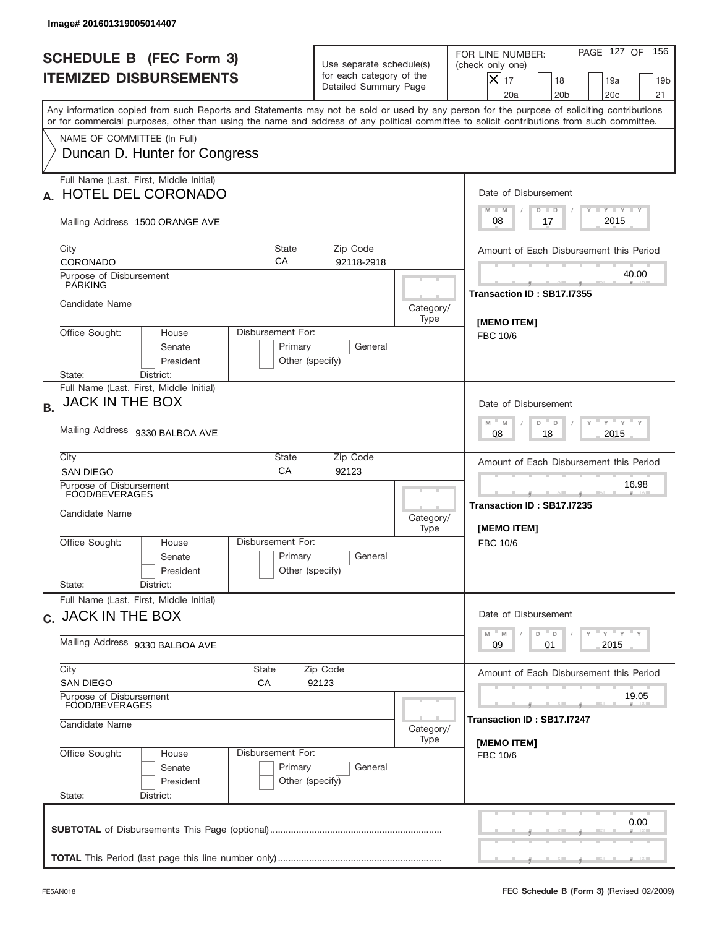|                                                                                                                                                                                                                                                                                         |                                                                                        |                   | PAGE 127 OF<br>156<br>FOR LINE NUMBER:                                                                                   |
|-----------------------------------------------------------------------------------------------------------------------------------------------------------------------------------------------------------------------------------------------------------------------------------------|----------------------------------------------------------------------------------------|-------------------|--------------------------------------------------------------------------------------------------------------------------|
| <b>SCHEDULE B (FEC Form 3)</b><br><b>ITEMIZED DISBURSEMENTS</b>                                                                                                                                                                                                                         | Use separate schedule(s)<br>for each category of the<br>Detailed Summary Page          |                   | (check only one)<br>$ \boldsymbol{\times} $<br>17<br>18<br>19a<br>19 <sub>b</sub><br>20a<br>20 <sub>b</sub><br>20c<br>21 |
| Any information copied from such Reports and Statements may not be sold or used by any person for the purpose of soliciting contributions<br>or for commercial purposes, other than using the name and address of any political committee to solicit contributions from such committee. |                                                                                        |                   |                                                                                                                          |
| NAME OF COMMITTEE (In Full)<br>Duncan D. Hunter for Congress                                                                                                                                                                                                                            |                                                                                        |                   |                                                                                                                          |
| Full Name (Last, First, Middle Initial)<br><b>HOTEL DEL CORONADO</b>                                                                                                                                                                                                                    |                                                                                        |                   | Date of Disbursement<br>Y TY TY TY<br>$M - M$<br>$D$ $D$                                                                 |
| Mailing Address 1500 ORANGE AVE                                                                                                                                                                                                                                                         |                                                                                        |                   | 2015<br>08<br>17                                                                                                         |
| State<br>City<br>CA<br>CORONADO                                                                                                                                                                                                                                                         | Amount of Each Disbursement this Period                                                |                   |                                                                                                                          |
| Purpose of Disbursement<br><b>PARKING</b>                                                                                                                                                                                                                                               |                                                                                        |                   | 40.00<br>Transaction ID: SB17.I7355                                                                                      |
| Candidate Name                                                                                                                                                                                                                                                                          |                                                                                        | Category/<br>Type | [MEMO ITEM]                                                                                                              |
| Office Sought:<br>Disbursement For:<br>House<br>Senate<br>President<br>State:<br>District:                                                                                                                                                                                              | Primary<br>General<br>Other (specify)                                                  |                   | <b>FBC 10/6</b>                                                                                                          |
| Full Name (Last, First, Middle Initial)<br>JACK IN THE BOX<br><b>B.</b>                                                                                                                                                                                                                 |                                                                                        |                   | Date of Disbursement<br>$-\gamma + \gamma - \gamma$<br>D "<br>M<br>$\mathsf D$<br>M                                      |
| Mailing Address 9330 BALBOA AVE                                                                                                                                                                                                                                                         | 2015<br>08<br>18                                                                       |                   |                                                                                                                          |
| City<br>State<br>CA<br>SAN DIEGO                                                                                                                                                                                                                                                        | Zip Code<br>92123                                                                      |                   | Amount of Each Disbursement this Period                                                                                  |
| Purpose of Disbursement<br>FOOD/BEVERAGES<br>Candidate Name<br>Category/                                                                                                                                                                                                                |                                                                                        |                   | 16.98<br>Transaction ID: SB17.I7235<br>[MEMO ITEM]                                                                       |
| Disbursement For:<br>Office Sought:<br>House<br>Senate<br>President<br>State:<br>District:                                                                                                                                                                                              | Primary<br>General<br>Other (specify)                                                  | Type              | FBC 10/6                                                                                                                 |
| Full Name (Last, First, Middle Initial)<br>c. JACK IN THE BOX                                                                                                                                                                                                                           | Date of Disbursement                                                                   |                   |                                                                                                                          |
| Mailing Address 9330 BALBOA AVE                                                                                                                                                                                                                                                         | $\gamma$ $\gamma$ $\gamma$ $\gamma$ $\gamma$<br>$M - M$<br>$D$ $D$<br>2015<br>09<br>01 |                   |                                                                                                                          |
| City<br><b>State</b><br><b>SAN DIEGO</b><br>СA                                                                                                                                                                                                                                          | Amount of Each Disbursement this Period                                                |                   |                                                                                                                          |
| Purpose of Disbursement<br>FOOD/BEVERAGES                                                                                                                                                                                                                                               |                                                                                        |                   | 19.05<br>Transaction ID: SB17.I7247                                                                                      |
| Candidate Name                                                                                                                                                                                                                                                                          | [MEMO ITEM]                                                                            |                   |                                                                                                                          |
| Disbursement For:<br>Office Sought:<br>House<br>Senate<br>President<br>State:<br>District:                                                                                                                                                                                              | Primary<br>General<br>Other (specify)                                                  |                   | FBC 10/6                                                                                                                 |
|                                                                                                                                                                                                                                                                                         |                                                                                        |                   | 0.00                                                                                                                     |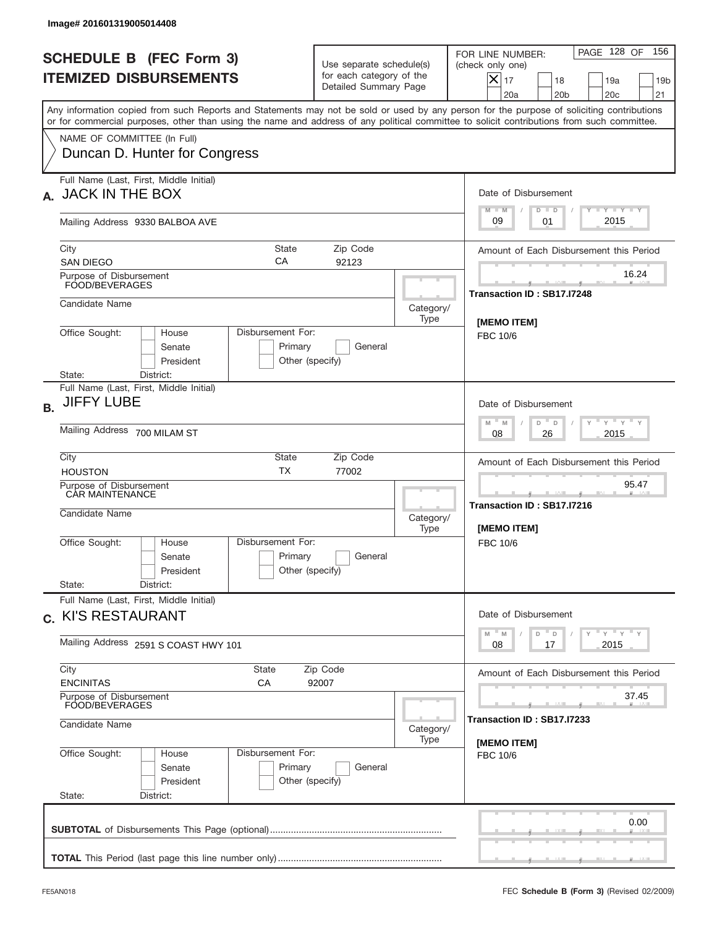| Image# 201601319005014408                                                                                                                                                                                                                                                               |                                                                                      |                                                                      |                                                                                                                                                                             |  |  |
|-----------------------------------------------------------------------------------------------------------------------------------------------------------------------------------------------------------------------------------------------------------------------------------------|--------------------------------------------------------------------------------------|----------------------------------------------------------------------|-----------------------------------------------------------------------------------------------------------------------------------------------------------------------------|--|--|
| <b>SCHEDULE B (FEC Form 3)</b><br><b>ITEMIZED DISBURSEMENTS</b>                                                                                                                                                                                                                         | Use separate schedule(s)<br>for each category of the<br>Detailed Summary Page        |                                                                      | 156<br>PAGE 128 OF<br>FOR LINE NUMBER:<br>(check only one)<br>$\overline{\mathsf{x}}$ 17<br>18<br>19a<br>19 <sub>b</sub><br>20a<br>20 <sub>b</sub><br>20 <sub>c</sub><br>21 |  |  |
| Any information copied from such Reports and Statements may not be sold or used by any person for the purpose of soliciting contributions<br>or for commercial purposes, other than using the name and address of any political committee to solicit contributions from such committee. |                                                                                      |                                                                      |                                                                                                                                                                             |  |  |
| NAME OF COMMITTEE (In Full)<br>Duncan D. Hunter for Congress                                                                                                                                                                                                                            |                                                                                      |                                                                      |                                                                                                                                                                             |  |  |
| Full Name (Last, First, Middle Initial)<br>A. JACK IN THE BOX                                                                                                                                                                                                                           |                                                                                      |                                                                      | Date of Disbursement<br>Y TY TY TY<br>$M - M$<br>$D$ $D$                                                                                                                    |  |  |
| Mailing Address 9330 BALBOA AVE                                                                                                                                                                                                                                                         |                                                                                      |                                                                      | 2015<br>09<br>01                                                                                                                                                            |  |  |
| City<br><b>State</b><br>СA<br><b>SAN DIEGO</b>                                                                                                                                                                                                                                          | Amount of Each Disbursement this Period                                              |                                                                      |                                                                                                                                                                             |  |  |
| Purpose of Disbursement<br>FOOD/BEVERAGES                                                                                                                                                                                                                                               |                                                                                      |                                                                      | 16.24<br>Transaction ID: SB17.I7248                                                                                                                                         |  |  |
| Candidate Name                                                                                                                                                                                                                                                                          |                                                                                      | Category/<br>Type                                                    | [MEMO ITEM]                                                                                                                                                                 |  |  |
| Office Sought:<br>Disbursement For:<br>House<br>Senate<br>President<br>State:<br>District:                                                                                                                                                                                              | Primary<br>General<br>Other (specify)                                                |                                                                      | FBC 10/6                                                                                                                                                                    |  |  |
| Full Name (Last, First, Middle Initial)<br><b>JIFFY LUBE</b><br><b>B.</b>                                                                                                                                                                                                               |                                                                                      |                                                                      | Date of Disbursement<br>$\cdots$ $\sqrt{1-\gamma}$<br>$M$ M<br>D<br>D                                                                                                       |  |  |
| Mailing Address 700 MILAM ST                                                                                                                                                                                                                                                            |                                                                                      |                                                                      |                                                                                                                                                                             |  |  |
| <b>HOUSTON</b>                                                                                                                                                                                                                                                                          | City<br>State<br>Zip Code<br><b>TX</b><br>77002                                      |                                                                      |                                                                                                                                                                             |  |  |
| Purpose of Disbursement<br>CAR MAINTENANCE<br>Candidate Name                                                                                                                                                                                                                            | Category/<br>Type                                                                    | 95.47<br>_______<br>Transaction ID: SB17.I7216<br><b>IMEMO ITEMI</b> |                                                                                                                                                                             |  |  |
| Disbursement For:<br>Office Sought:<br>House<br>Senate<br>President<br>State:<br>District:                                                                                                                                                                                              | Primary<br>General<br>Other (specify)                                                |                                                                      | FBC 10/6                                                                                                                                                                    |  |  |
| Full Name (Last, First, Middle Initial)<br>c. KI'S RESTAURANT                                                                                                                                                                                                                           |                                                                                      |                                                                      | Date of Disbursement                                                                                                                                                        |  |  |
| Mailing Address 2591 S COAST HWY 101                                                                                                                                                                                                                                                    | $\gamma$ = $\gamma$ = $\gamma$ = $\gamma$<br>$-M$<br>M<br>D<br>D<br>2015<br>08<br>17 |                                                                      |                                                                                                                                                                             |  |  |
| City<br>State<br><b>ENCINITAS</b><br>СA                                                                                                                                                                                                                                                 | Zip Code<br>92007                                                                    |                                                                      |                                                                                                                                                                             |  |  |
| Purpose of Disbursement<br>FOOD/BEVERAGES<br>Candidate Name                                                                                                                                                                                                                             |                                                                                      |                                                                      |                                                                                                                                                                             |  |  |
|                                                                                                                                                                                                                                                                                         | Category/<br>Type                                                                    |                                                                      |                                                                                                                                                                             |  |  |
| Office Sought:<br>Disbursement For:<br>House<br>Senate<br>President<br>State:<br>District:                                                                                                                                                                                              | Primary<br>General<br>Other (specify)                                                |                                                                      | [MEMO ITEM]<br>FBC 10/6                                                                                                                                                     |  |  |
|                                                                                                                                                                                                                                                                                         |                                                                                      |                                                                      | 0.00                                                                                                                                                                        |  |  |
|                                                                                                                                                                                                                                                                                         |                                                                                      |                                                                      |                                                                                                                                                                             |  |  |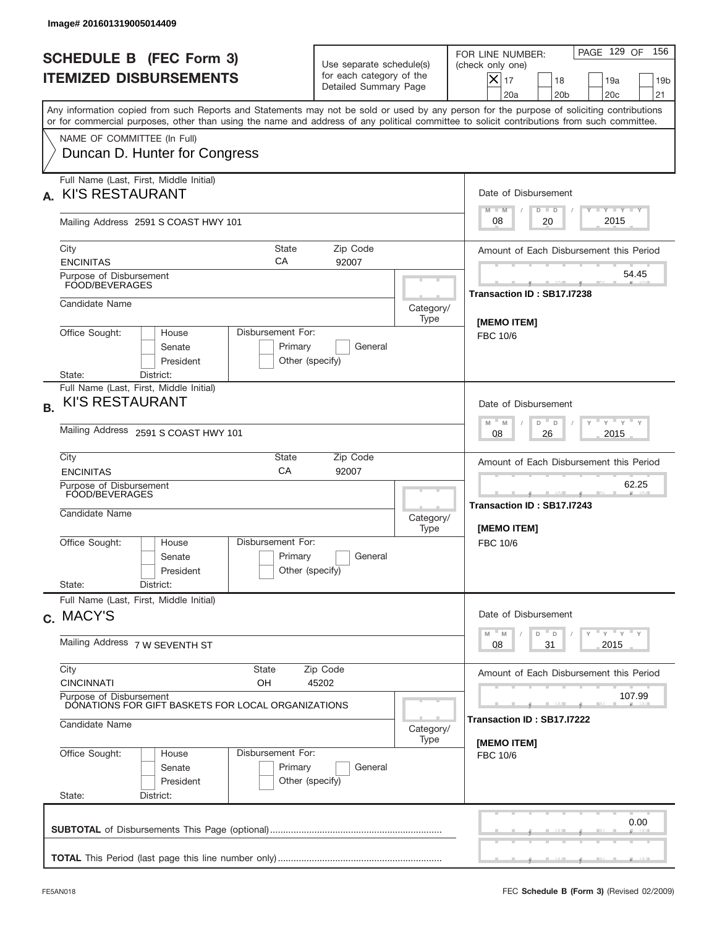| Image# 201601319005014409                                                                                                                                                                                                                                                               |                                                                                                |                                                           |                                                                                                                                                            |  |  |
|-----------------------------------------------------------------------------------------------------------------------------------------------------------------------------------------------------------------------------------------------------------------------------------------|------------------------------------------------------------------------------------------------|-----------------------------------------------------------|------------------------------------------------------------------------------------------------------------------------------------------------------------|--|--|
| <b>SCHEDULE B (FEC Form 3)</b><br><b>ITEMIZED DISBURSEMENTS</b>                                                                                                                                                                                                                         | Use separate schedule(s)<br>for each category of the<br>Detailed Summary Page                  |                                                           | PAGE 129 OF<br>156<br>FOR LINE NUMBER:<br>(check only one)<br>$X _{17}$<br>18<br>19a<br>19 <sub>b</sub><br>20a<br>20 <sub>b</sub><br>20 <sub>c</sub><br>21 |  |  |
| Any information copied from such Reports and Statements may not be sold or used by any person for the purpose of soliciting contributions<br>or for commercial purposes, other than using the name and address of any political committee to solicit contributions from such committee. |                                                                                                |                                                           |                                                                                                                                                            |  |  |
| NAME OF COMMITTEE (In Full)<br>Duncan D. Hunter for Congress                                                                                                                                                                                                                            |                                                                                                |                                                           |                                                                                                                                                            |  |  |
| Full Name (Last, First, Middle Initial)<br><b>KI'S RESTAURANT</b><br>А.                                                                                                                                                                                                                 |                                                                                                |                                                           | Date of Disbursement<br>Y I Y I Y I Y<br>$M - M$                                                                                                           |  |  |
| Mailing Address 2591 S COAST HWY 101                                                                                                                                                                                                                                                    |                                                                                                |                                                           | $D$ $D$<br>2015<br>08<br>20                                                                                                                                |  |  |
| City<br><b>ENCINITAS</b>                                                                                                                                                                                                                                                                | Amount of Each Disbursement this Period                                                        |                                                           |                                                                                                                                                            |  |  |
| Purpose of Disbursement<br>FOOD/BEVERAGES                                                                                                                                                                                                                                               |                                                                                                |                                                           | 54.45<br>Transaction ID: SB17.I7238                                                                                                                        |  |  |
| Candidate Name                                                                                                                                                                                                                                                                          |                                                                                                | Category/<br>Type                                         | <b>IMEMO ITEMI</b>                                                                                                                                         |  |  |
| Office Sought:<br>House<br>Senate<br>President                                                                                                                                                                                                                                          | Disbursement For:<br>Primary<br>General<br>Other (specify)                                     |                                                           |                                                                                                                                                            |  |  |
| District:<br>State:<br>Full Name (Last, First, Middle Initial)<br><b>KI'S RESTAURANT</b><br><b>B.</b><br>Mailing Address 2591 S COAST HWY 101                                                                                                                                           |                                                                                                |                                                           | Date of Disbursement<br>$\cdots$ $\gamma$ $\cdots$ $\gamma$ $\cdots$ $\gamma$<br>$M - M$<br>D<br>D<br>2015<br>08<br>26                                     |  |  |
| City<br><b>ENCINITAS</b>                                                                                                                                                                                                                                                                | State<br>Zip Code<br>CA<br>92007                                                               |                                                           |                                                                                                                                                            |  |  |
| Purpose of Disbursement<br>FOOD/BEVERAGES<br>Candidate Name                                                                                                                                                                                                                             | Category/<br>Type                                                                              | 62.25<br>Transaction ID: SB17.I7243<br><b>IMEMO ITEMI</b> |                                                                                                                                                            |  |  |
| Office Sought:<br>House<br>Senate<br>President<br>State:<br>District:                                                                                                                                                                                                                   | Disbursement For:<br>Primary<br>General<br>Other (specify)                                     |                                                           | FBC 10/6                                                                                                                                                   |  |  |
| Full Name (Last, First, Middle Initial)<br>c. MACY'S                                                                                                                                                                                                                                    |                                                                                                |                                                           | Date of Disbursement                                                                                                                                       |  |  |
| Mailing Address 7 W SEVENTH ST                                                                                                                                                                                                                                                          | $\gamma$ = $\gamma$ = $\gamma$ = $\gamma$<br>$-M$<br>D<br>M<br>$\mathsf D$<br>2015<br>08<br>31 |                                                           |                                                                                                                                                            |  |  |
| City<br>State<br><b>CINCINNATI</b><br>OH                                                                                                                                                                                                                                                | Amount of Each Disbursement this Period                                                        |                                                           |                                                                                                                                                            |  |  |
| Purpose of Disbursement<br>DONATIONS FOR GIFT BASKETS FOR LOCAL ORGANIZATIONS<br>Candidate Name                                                                                                                                                                                         |                                                                                                |                                                           | 107.99<br>Transaction ID: SB17.I7222                                                                                                                       |  |  |
| Office Sought:<br>House                                                                                                                                                                                                                                                                 | Disbursement For:                                                                              | Category/<br>Type                                         | [MEMO ITEM]<br>FBC 10/6                                                                                                                                    |  |  |
| Senate<br>President<br>State:<br>District:                                                                                                                                                                                                                                              | Primary<br>General<br>Other (specify)                                                          |                                                           |                                                                                                                                                            |  |  |
|                                                                                                                                                                                                                                                                                         |                                                                                                |                                                           | 0.00                                                                                                                                                       |  |  |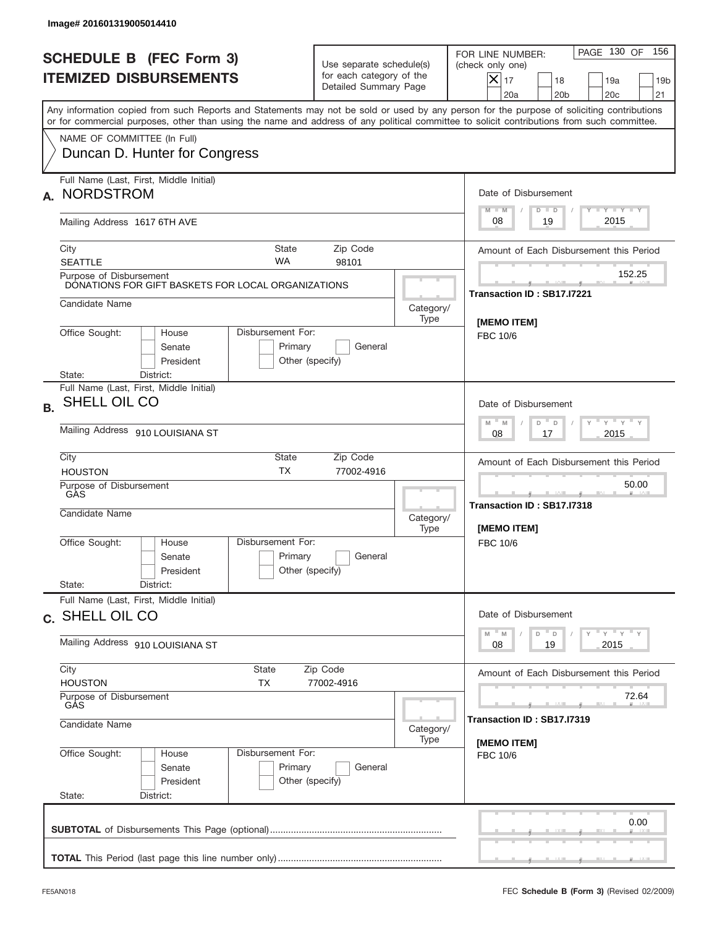|           | Image# 201601319005014410                                                                                                                                                                                                                                                               |                                                                                 |                   |                                                                                                                                                            |
|-----------|-----------------------------------------------------------------------------------------------------------------------------------------------------------------------------------------------------------------------------------------------------------------------------------------|---------------------------------------------------------------------------------|-------------------|------------------------------------------------------------------------------------------------------------------------------------------------------------|
|           | <b>SCHEDULE B (FEC Form 3)</b><br><b>ITEMIZED DISBURSEMENTS</b>                                                                                                                                                                                                                         | Use separate schedule(s)<br>for each category of the<br>Detailed Summary Page   |                   | 156<br>PAGE 130 OF<br>FOR LINE NUMBER:<br>(check only one)<br>$X _{17}$<br>18<br>19a<br>19 <sub>b</sub><br>20 <sub>c</sub><br>20a<br>20 <sub>b</sub><br>21 |
|           | Any information copied from such Reports and Statements may not be sold or used by any person for the purpose of soliciting contributions<br>or for commercial purposes, other than using the name and address of any political committee to solicit contributions from such committee. |                                                                                 |                   |                                                                                                                                                            |
|           | NAME OF COMMITTEE (In Full)<br>Duncan D. Hunter for Congress                                                                                                                                                                                                                            |                                                                                 |                   |                                                                                                                                                            |
| А.        | Full Name (Last, First, Middle Initial)<br><b>NORDSTROM</b>                                                                                                                                                                                                                             |                                                                                 |                   | Date of Disbursement<br><b>TANK TANK</b><br>$M - M$<br>$D$ $D$                                                                                             |
|           | Mailing Address 1617 6TH AVE                                                                                                                                                                                                                                                            |                                                                                 |                   | 2015<br>19<br>08                                                                                                                                           |
|           | City<br>State<br><b>WA</b><br><b>SEATTLE</b>                                                                                                                                                                                                                                            | Zip Code<br>98101                                                               |                   | Amount of Each Disbursement this Period                                                                                                                    |
|           | Purpose of Disbursement<br>DONATIONS FOR GIFT BASKETS FOR LOCAL ORGANIZATIONS                                                                                                                                                                                                           |                                                                                 |                   | 152.25<br>Transaction ID: SB17.I7221                                                                                                                       |
|           | Candidate Name                                                                                                                                                                                                                                                                          |                                                                                 | Category/<br>Type | [MEMO ITEM]                                                                                                                                                |
|           | Office Sought:<br>Disbursement For:<br>House<br>Senate<br>Primary<br>President                                                                                                                                                                                                          | General<br>Other (specify)                                                      |                   | FBC 10/6                                                                                                                                                   |
| <b>B.</b> | State:<br>District:<br>Full Name (Last, First, Middle Initial)<br>SHELL OIL CO                                                                                                                                                                                                          |                                                                                 |                   | Date of Disbursement<br>$\cdots$ $\gamma$ $\cdots$ $\gamma$ $\cdots$ $\gamma$<br>$M$ M<br>D<br>$\Box$                                                      |
|           | Mailing Address 910 LOUISIANA ST                                                                                                                                                                                                                                                        | 2015<br>08<br>17                                                                |                   |                                                                                                                                                            |
|           | City<br>State<br><b>TX</b><br><b>HOUSTON</b>                                                                                                                                                                                                                                            | Amount of Each Disbursement this Period                                         |                   |                                                                                                                                                            |
|           | Purpose of Disbursement<br>GÀS<br>Candidate Name                                                                                                                                                                                                                                        |                                                                                 | Category/<br>Type | 50.00<br>Transaction ID: SB17.I7318<br>[MEMO ITEM]                                                                                                         |
|           | Disbursement For:<br>Office Sought:<br>House<br>Primary<br>Senate<br>President                                                                                                                                                                                                          | General<br>Other (specify)                                                      |                   | FBC 10/6                                                                                                                                                   |
|           | State:<br>District:<br>Full Name (Last, First, Middle Initial)                                                                                                                                                                                                                          |                                                                                 |                   |                                                                                                                                                            |
|           | c. SHELL OIL CO                                                                                                                                                                                                                                                                         | Date of Disbursement<br>$Y$ $Y$ $Y$ $Y$ $Y$<br>$M - M$<br>D<br>D                |                   |                                                                                                                                                            |
|           | Mailing Address 910 LOUISIANA ST<br>City<br>State                                                                                                                                                                                                                                       | 19<br>2015<br>08                                                                |                   |                                                                                                                                                            |
|           | <b>HOUSTON</b><br>TX                                                                                                                                                                                                                                                                    | Zip Code<br>77002-4916                                                          |                   | Amount of Each Disbursement this Period                                                                                                                    |
|           | Purpose of Disbursement<br>GÅS<br>Candidate Name                                                                                                                                                                                                                                        | 72.64<br>Transaction ID : SB17.I7319                                            |                   |                                                                                                                                                            |
|           | Office Sought:<br>House<br>Senate<br>President<br>State:<br>District:                                                                                                                                                                                                                   | Category/<br>Type<br>Disbursement For:<br>Primary<br>General<br>Other (specify) |                   |                                                                                                                                                            |
|           |                                                                                                                                                                                                                                                                                         |                                                                                 |                   | 0.00                                                                                                                                                       |
|           |                                                                                                                                                                                                                                                                                         |                                                                                 |                   |                                                                                                                                                            |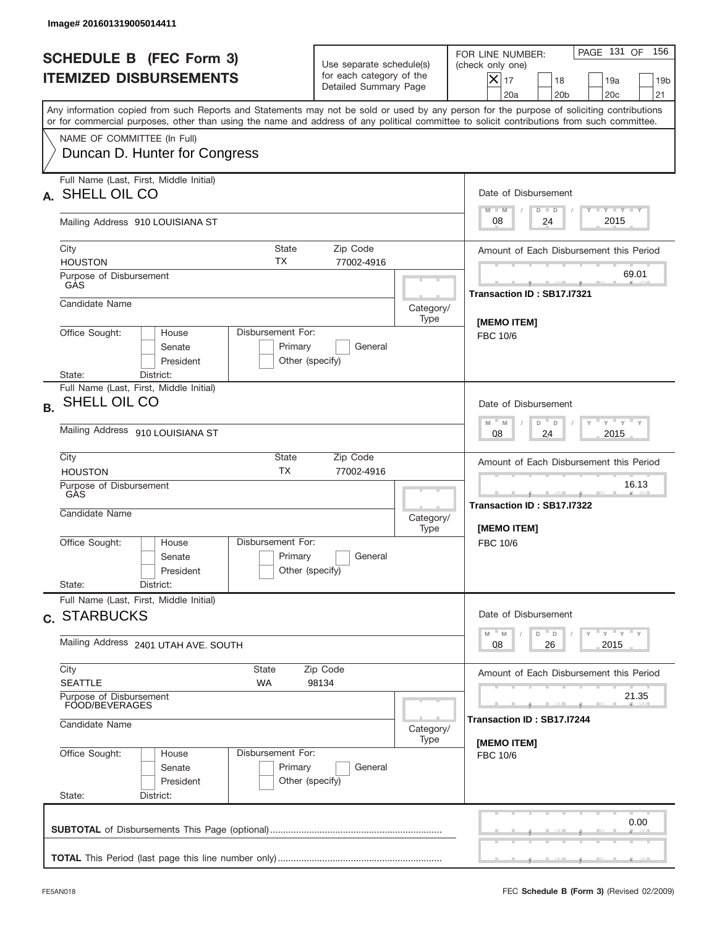| Image# 201601319005014411                                                                                                                                                                                                                                                                                              |                                                                                             |                   |                                                                                                                                                                             |  |  |
|------------------------------------------------------------------------------------------------------------------------------------------------------------------------------------------------------------------------------------------------------------------------------------------------------------------------|---------------------------------------------------------------------------------------------|-------------------|-----------------------------------------------------------------------------------------------------------------------------------------------------------------------------|--|--|
| <b>SCHEDULE B (FEC Form 3)</b><br><b>ITEMIZED DISBURSEMENTS</b>                                                                                                                                                                                                                                                        | Use separate schedule(s)<br>for each category of the<br>Detailed Summary Page               |                   | PAGE 131 OF<br>156<br>FOR LINE NUMBER:<br>(check only one)<br>$\overline{\mathsf{x}}$ 17<br>18<br>19a<br>19 <sub>b</sub><br>20a<br>20 <sub>b</sub><br>20 <sub>c</sub><br>21 |  |  |
| Any information copied from such Reports and Statements may not be sold or used by any person for the purpose of soliciting contributions<br>or for commercial purposes, other than using the name and address of any political committee to solicit contributions from such committee.<br>NAME OF COMMITTEE (In Full) |                                                                                             |                   |                                                                                                                                                                             |  |  |
| Duncan D. Hunter for Congress                                                                                                                                                                                                                                                                                          |                                                                                             |                   |                                                                                                                                                                             |  |  |
| Full Name (Last, First, Middle Initial)<br>SHELL OIL CO                                                                                                                                                                                                                                                                |                                                                                             |                   | Date of Disbursement<br>Y TY TY TY                                                                                                                                          |  |  |
| Mailing Address 910 LOUISIANA ST                                                                                                                                                                                                                                                                                       |                                                                                             |                   | $M - M$<br>$D$ $D$<br>2015<br>08<br>24                                                                                                                                      |  |  |
| City<br><b>State</b><br>ТX<br><b>HOUSTON</b>                                                                                                                                                                                                                                                                           | Zip Code<br>77002-4916                                                                      |                   | Amount of Each Disbursement this Period                                                                                                                                     |  |  |
| Purpose of Disbursement<br>GAS                                                                                                                                                                                                                                                                                         |                                                                                             |                   | 69.01<br>Transaction ID: SB17.I7321                                                                                                                                         |  |  |
| Candidate Name                                                                                                                                                                                                                                                                                                         |                                                                                             | Category/<br>Type | [MEMO ITEM]                                                                                                                                                                 |  |  |
| Senate<br>President<br>State:<br>District:                                                                                                                                                                                                                                                                             | Disbursement For:<br>Office Sought:<br>House<br>Primary<br>General<br>Other (specify)       |                   |                                                                                                                                                                             |  |  |
| Full Name (Last, First, Middle Initial)<br>SHELL OIL CO<br><b>B.</b>                                                                                                                                                                                                                                                   |                                                                                             |                   | Date of Disbursement<br>$Y$ $Y$ $Y$ $Y$ $Y$<br>$D$ <sup><math>-</math></sup>                                                                                                |  |  |
| Mailing Address 910 LOUISIANA ST                                                                                                                                                                                                                                                                                       | $M$ M<br>$\mathsf D$<br>24<br>2015<br>08                                                    |                   |                                                                                                                                                                             |  |  |
| City<br><b>HOUSTON</b>                                                                                                                                                                                                                                                                                                 | State<br>Zip Code<br><b>TX</b><br>77002-4916                                                |                   |                                                                                                                                                                             |  |  |
| Purpose of Disbursement<br>GÀS<br>Candidate Name                                                                                                                                                                                                                                                                       |                                                                                             | Category/<br>Type | 16.13<br>_____<br>Transaction ID: SB17.I7322<br>[MEMO ITEM]                                                                                                                 |  |  |
| Disbursement For:<br>Office Sought:<br>House<br>Senate<br>President<br>State:<br>District:                                                                                                                                                                                                                             | Primary<br>General<br>Other (specify)                                                       |                   | FBC 10/6                                                                                                                                                                    |  |  |
| Full Name (Last, First, Middle Initial)<br>c. STARBUCKS                                                                                                                                                                                                                                                                |                                                                                             |                   | Date of Disbursement                                                                                                                                                        |  |  |
| Mailing Address 2401 UTAH AVE. SOUTH                                                                                                                                                                                                                                                                                   | $\gamma$ = $\gamma$ = $\gamma$ = $\gamma$<br>M<br>D<br>M<br>$\mathsf D$<br>2015<br>08<br>26 |                   |                                                                                                                                                                             |  |  |
| City<br>State<br><b>SEATTLE</b><br><b>WA</b>                                                                                                                                                                                                                                                                           | Amount of Each Disbursement this Period                                                     |                   |                                                                                                                                                                             |  |  |
| Purpose of Disbursement<br>FOOD/BEVERAGES<br>Candidate Name                                                                                                                                                                                                                                                            |                                                                                             |                   | 21.35<br>Transaction ID: SB17.I7244                                                                                                                                         |  |  |
| Office Sought:<br>Disbursement For:<br>House                                                                                                                                                                                                                                                                           |                                                                                             | Category/<br>Type | [MEMO ITEM]<br>FBC 10/6                                                                                                                                                     |  |  |
| Senate<br>President<br>State:<br>District:                                                                                                                                                                                                                                                                             | Primary<br>General<br>Other (specify)                                                       |                   |                                                                                                                                                                             |  |  |
|                                                                                                                                                                                                                                                                                                                        |                                                                                             |                   | 0.00                                                                                                                                                                        |  |  |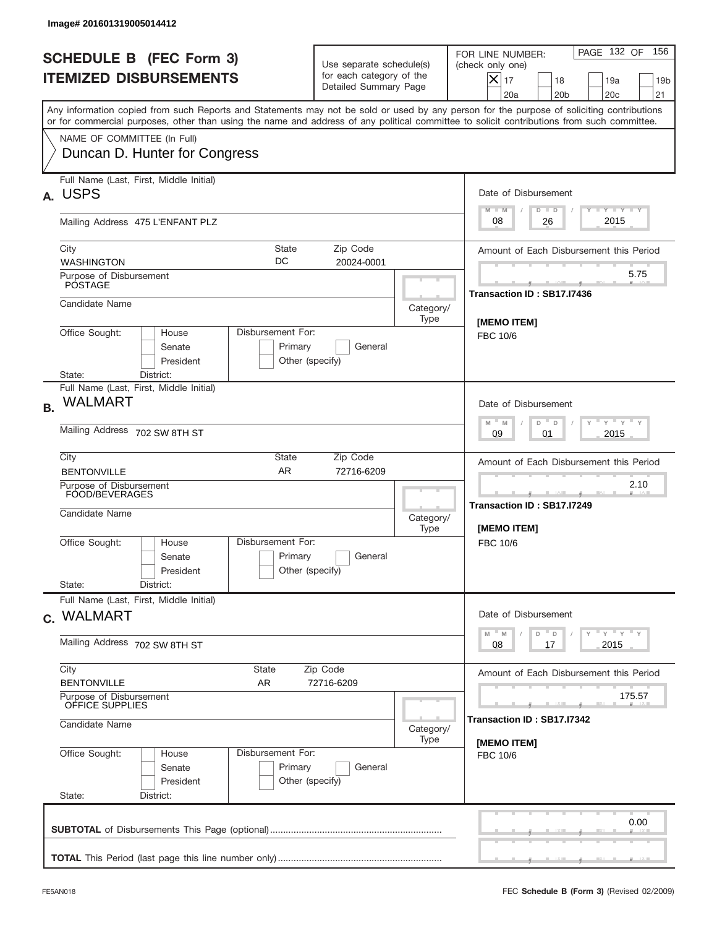| PAGE 132 OF<br>FOR LINE NUMBER:<br><b>SCHEDULE B (FEC Form 3)</b><br>Use separate schedule(s)<br>(check only one)<br>for each category of the<br><b>ITEMIZED DISBURSEMENTS</b><br>$\overline{\mathsf{x}}$ 17<br>18<br>19a<br>Detailed Summary Page<br>20 <sub>c</sub><br>20a<br>20 <sub>b</sub><br>Any information copied from such Reports and Statements may not be sold or used by any person for the purpose of soliciting contributions<br>or for commercial purposes, other than using the name and address of any political committee to solicit contributions from such committee.<br>NAME OF COMMITTEE (In Full)<br>Duncan D. Hunter for Congress<br>Full Name (Last, First, Middle Initial)<br>Date of Disbursement<br>Y TY TY TY<br>$M - M$<br>$D$ $D$<br>2015<br>08<br>26<br>Mailing Address 475 L'ENFANT PLZ<br>City<br>State<br>Zip Code<br>DC<br><b>WASHINGTON</b><br>20024-0001<br>5.75<br>Purpose of Disbursement<br><b>POSTAGE</b><br>Transaction ID: SB17.I7436<br>Candidate Name<br>Category/<br>Type<br>[MEMO ITEM]<br>Office Sought:<br>Disbursement For:<br>House<br>FBC 10/6<br>Primary<br>General<br>Senate<br>President<br>Other (specify)<br>State:<br>District:<br>Full Name (Last, First, Middle Initial)<br>WALMART<br>Date of Disbursement<br>$-\gamma + \gamma -$<br>$M - M$<br>D<br>$\Box$<br>Mailing Address 702 SW 8TH ST<br>2015<br>09<br>01<br>City<br>State<br>Zip Code<br>AR<br><b>BENTONVILLE</b><br>72716-6209<br>2.10<br>Purpose of Disbursement<br>FOOD/BEVERAGES<br>_____<br>Transaction ID: SB17.I7249<br>Candidate Name<br>Category/<br>Type<br>[MEMO ITEM]<br>Disbursement For:<br>Office Sought:<br>House<br>FBC 10/6<br>Primary<br>General<br>Senate<br>Other (specify)<br>President<br>State:<br>District:<br>Full Name (Last, First, Middle Initial)<br>Date of Disbursement<br>$Y$ $Y$ $Y$ $Y$ $Y$<br>$-M$<br>M<br>D<br>D<br>Mailing Address 702 SW 8TH ST<br>2015<br>08<br>17<br>City<br>State<br>Zip Code<br><b>BENTONVILLE</b><br>AR<br>72716-6209<br>Purpose of Disbursement<br>OFFICE SUPPLIES<br>175.57<br>Transaction ID : SB17.I7342<br>Candidate Name<br>Category/<br>Type<br>[MEMO ITEM]<br>Office Sought:<br>Disbursement For:<br>House<br>FBC 10/6<br>Primary<br>General<br>Senate<br>Other (specify)<br>President<br>State:<br>District:<br>0.00 |  | Image# 201601319005014412 |  |  |  |                                         |
|-------------------------------------------------------------------------------------------------------------------------------------------------------------------------------------------------------------------------------------------------------------------------------------------------------------------------------------------------------------------------------------------------------------------------------------------------------------------------------------------------------------------------------------------------------------------------------------------------------------------------------------------------------------------------------------------------------------------------------------------------------------------------------------------------------------------------------------------------------------------------------------------------------------------------------------------------------------------------------------------------------------------------------------------------------------------------------------------------------------------------------------------------------------------------------------------------------------------------------------------------------------------------------------------------------------------------------------------------------------------------------------------------------------------------------------------------------------------------------------------------------------------------------------------------------------------------------------------------------------------------------------------------------------------------------------------------------------------------------------------------------------------------------------------------------------------------------------------------------------------------------------------------------------------------------------------------------------------------------------------------------------------------------------------------------------------------------------------------------------------------------------------------------------------------------------------------------------------------------------------------------------------------------------------------------------------|--|---------------------------|--|--|--|-----------------------------------------|
| A. USPS<br><b>B.</b><br>c. WALMART                                                                                                                                                                                                                                                                                                                                                                                                                                                                                                                                                                                                                                                                                                                                                                                                                                                                                                                                                                                                                                                                                                                                                                                                                                                                                                                                                                                                                                                                                                                                                                                                                                                                                                                                                                                                                                                                                                                                                                                                                                                                                                                                                                                                                                                                                |  |                           |  |  |  | 156<br>19 <sub>b</sub><br>21            |
|                                                                                                                                                                                                                                                                                                                                                                                                                                                                                                                                                                                                                                                                                                                                                                                                                                                                                                                                                                                                                                                                                                                                                                                                                                                                                                                                                                                                                                                                                                                                                                                                                                                                                                                                                                                                                                                                                                                                                                                                                                                                                                                                                                                                                                                                                                                   |  |                           |  |  |  |                                         |
|                                                                                                                                                                                                                                                                                                                                                                                                                                                                                                                                                                                                                                                                                                                                                                                                                                                                                                                                                                                                                                                                                                                                                                                                                                                                                                                                                                                                                                                                                                                                                                                                                                                                                                                                                                                                                                                                                                                                                                                                                                                                                                                                                                                                                                                                                                                   |  |                           |  |  |  |                                         |
|                                                                                                                                                                                                                                                                                                                                                                                                                                                                                                                                                                                                                                                                                                                                                                                                                                                                                                                                                                                                                                                                                                                                                                                                                                                                                                                                                                                                                                                                                                                                                                                                                                                                                                                                                                                                                                                                                                                                                                                                                                                                                                                                                                                                                                                                                                                   |  |                           |  |  |  |                                         |
|                                                                                                                                                                                                                                                                                                                                                                                                                                                                                                                                                                                                                                                                                                                                                                                                                                                                                                                                                                                                                                                                                                                                                                                                                                                                                                                                                                                                                                                                                                                                                                                                                                                                                                                                                                                                                                                                                                                                                                                                                                                                                                                                                                                                                                                                                                                   |  |                           |  |  |  |                                         |
|                                                                                                                                                                                                                                                                                                                                                                                                                                                                                                                                                                                                                                                                                                                                                                                                                                                                                                                                                                                                                                                                                                                                                                                                                                                                                                                                                                                                                                                                                                                                                                                                                                                                                                                                                                                                                                                                                                                                                                                                                                                                                                                                                                                                                                                                                                                   |  |                           |  |  |  | Amount of Each Disbursement this Period |
|                                                                                                                                                                                                                                                                                                                                                                                                                                                                                                                                                                                                                                                                                                                                                                                                                                                                                                                                                                                                                                                                                                                                                                                                                                                                                                                                                                                                                                                                                                                                                                                                                                                                                                                                                                                                                                                                                                                                                                                                                                                                                                                                                                                                                                                                                                                   |  |                           |  |  |  |                                         |
|                                                                                                                                                                                                                                                                                                                                                                                                                                                                                                                                                                                                                                                                                                                                                                                                                                                                                                                                                                                                                                                                                                                                                                                                                                                                                                                                                                                                                                                                                                                                                                                                                                                                                                                                                                                                                                                                                                                                                                                                                                                                                                                                                                                                                                                                                                                   |  |                           |  |  |  |                                         |
|                                                                                                                                                                                                                                                                                                                                                                                                                                                                                                                                                                                                                                                                                                                                                                                                                                                                                                                                                                                                                                                                                                                                                                                                                                                                                                                                                                                                                                                                                                                                                                                                                                                                                                                                                                                                                                                                                                                                                                                                                                                                                                                                                                                                                                                                                                                   |  |                           |  |  |  |                                         |
|                                                                                                                                                                                                                                                                                                                                                                                                                                                                                                                                                                                                                                                                                                                                                                                                                                                                                                                                                                                                                                                                                                                                                                                                                                                                                                                                                                                                                                                                                                                                                                                                                                                                                                                                                                                                                                                                                                                                                                                                                                                                                                                                                                                                                                                                                                                   |  |                           |  |  |  |                                         |
|                                                                                                                                                                                                                                                                                                                                                                                                                                                                                                                                                                                                                                                                                                                                                                                                                                                                                                                                                                                                                                                                                                                                                                                                                                                                                                                                                                                                                                                                                                                                                                                                                                                                                                                                                                                                                                                                                                                                                                                                                                                                                                                                                                                                                                                                                                                   |  |                           |  |  |  |                                         |
|                                                                                                                                                                                                                                                                                                                                                                                                                                                                                                                                                                                                                                                                                                                                                                                                                                                                                                                                                                                                                                                                                                                                                                                                                                                                                                                                                                                                                                                                                                                                                                                                                                                                                                                                                                                                                                                                                                                                                                                                                                                                                                                                                                                                                                                                                                                   |  |                           |  |  |  | Amount of Each Disbursement this Period |
|                                                                                                                                                                                                                                                                                                                                                                                                                                                                                                                                                                                                                                                                                                                                                                                                                                                                                                                                                                                                                                                                                                                                                                                                                                                                                                                                                                                                                                                                                                                                                                                                                                                                                                                                                                                                                                                                                                                                                                                                                                                                                                                                                                                                                                                                                                                   |  |                           |  |  |  |                                         |
|                                                                                                                                                                                                                                                                                                                                                                                                                                                                                                                                                                                                                                                                                                                                                                                                                                                                                                                                                                                                                                                                                                                                                                                                                                                                                                                                                                                                                                                                                                                                                                                                                                                                                                                                                                                                                                                                                                                                                                                                                                                                                                                                                                                                                                                                                                                   |  |                           |  |  |  |                                         |
|                                                                                                                                                                                                                                                                                                                                                                                                                                                                                                                                                                                                                                                                                                                                                                                                                                                                                                                                                                                                                                                                                                                                                                                                                                                                                                                                                                                                                                                                                                                                                                                                                                                                                                                                                                                                                                                                                                                                                                                                                                                                                                                                                                                                                                                                                                                   |  |                           |  |  |  |                                         |
|                                                                                                                                                                                                                                                                                                                                                                                                                                                                                                                                                                                                                                                                                                                                                                                                                                                                                                                                                                                                                                                                                                                                                                                                                                                                                                                                                                                                                                                                                                                                                                                                                                                                                                                                                                                                                                                                                                                                                                                                                                                                                                                                                                                                                                                                                                                   |  |                           |  |  |  |                                         |
|                                                                                                                                                                                                                                                                                                                                                                                                                                                                                                                                                                                                                                                                                                                                                                                                                                                                                                                                                                                                                                                                                                                                                                                                                                                                                                                                                                                                                                                                                                                                                                                                                                                                                                                                                                                                                                                                                                                                                                                                                                                                                                                                                                                                                                                                                                                   |  |                           |  |  |  | Amount of Each Disbursement this Period |
|                                                                                                                                                                                                                                                                                                                                                                                                                                                                                                                                                                                                                                                                                                                                                                                                                                                                                                                                                                                                                                                                                                                                                                                                                                                                                                                                                                                                                                                                                                                                                                                                                                                                                                                                                                                                                                                                                                                                                                                                                                                                                                                                                                                                                                                                                                                   |  |                           |  |  |  |                                         |
|                                                                                                                                                                                                                                                                                                                                                                                                                                                                                                                                                                                                                                                                                                                                                                                                                                                                                                                                                                                                                                                                                                                                                                                                                                                                                                                                                                                                                                                                                                                                                                                                                                                                                                                                                                                                                                                                                                                                                                                                                                                                                                                                                                                                                                                                                                                   |  |                           |  |  |  |                                         |
|                                                                                                                                                                                                                                                                                                                                                                                                                                                                                                                                                                                                                                                                                                                                                                                                                                                                                                                                                                                                                                                                                                                                                                                                                                                                                                                                                                                                                                                                                                                                                                                                                                                                                                                                                                                                                                                                                                                                                                                                                                                                                                                                                                                                                                                                                                                   |  |                           |  |  |  |                                         |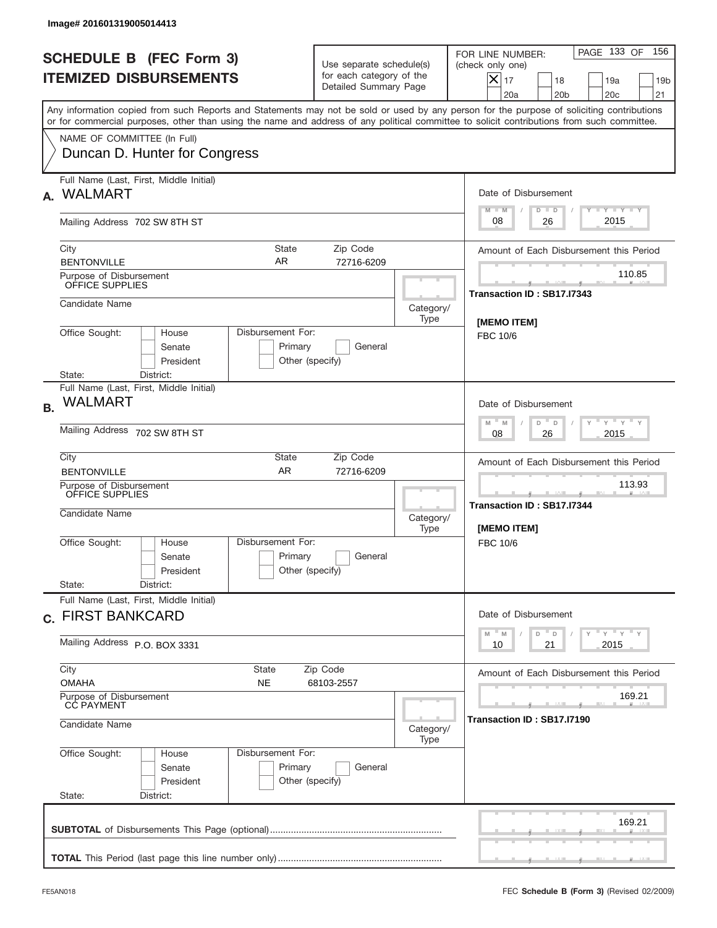|           | Image# 201601319005014413                                                                                                                                                                                                                                                               |                                                                                     |                                                                               |                   |                                                                                                                                                            |
|-----------|-----------------------------------------------------------------------------------------------------------------------------------------------------------------------------------------------------------------------------------------------------------------------------------------|-------------------------------------------------------------------------------------|-------------------------------------------------------------------------------|-------------------|------------------------------------------------------------------------------------------------------------------------------------------------------------|
|           | <b>SCHEDULE B (FEC Form 3)</b><br><b>ITEMIZED DISBURSEMENTS</b>                                                                                                                                                                                                                         |                                                                                     | Use separate schedule(s)<br>for each category of the<br>Detailed Summary Page |                   | 156<br>PAGE 133 OF<br>FOR LINE NUMBER:<br>(check only one)<br>$X _{17}$<br>18<br>19a<br>19 <sub>b</sub><br>20 <sub>c</sub><br>20a<br>20 <sub>b</sub><br>21 |
|           | Any information copied from such Reports and Statements may not be sold or used by any person for the purpose of soliciting contributions<br>or for commercial purposes, other than using the name and address of any political committee to solicit contributions from such committee. |                                                                                     |                                                                               |                   |                                                                                                                                                            |
|           | NAME OF COMMITTEE (In Full)<br>Duncan D. Hunter for Congress                                                                                                                                                                                                                            |                                                                                     |                                                                               |                   |                                                                                                                                                            |
| А.        | Full Name (Last, First, Middle Initial)<br><b>WALMART</b>                                                                                                                                                                                                                               |                                                                                     |                                                                               |                   | Date of Disbursement                                                                                                                                       |
|           | Mailing Address 702 SW 8TH ST                                                                                                                                                                                                                                                           |                                                                                     |                                                                               |                   | <b>TANK TANK</b><br>$M - M$<br>$D$ $D$<br>2015<br>08<br>26                                                                                                 |
|           | City<br><b>BENTONVILLE</b>                                                                                                                                                                                                                                                              | State<br>AR                                                                         | Zip Code<br>72716-6209                                                        |                   | Amount of Each Disbursement this Period                                                                                                                    |
|           | Purpose of Disbursement<br>OFFICE SUPPLIES                                                                                                                                                                                                                                              |                                                                                     |                                                                               |                   | 110.85<br>Transaction ID: SB17.I7343                                                                                                                       |
|           | Candidate Name                                                                                                                                                                                                                                                                          |                                                                                     |                                                                               | Category/<br>Type | [MEMO ITEM]                                                                                                                                                |
|           | Office Sought:<br>Disbursement For:<br>House<br>Senate<br>President<br>State:<br>District:                                                                                                                                                                                              | FBC 10/6                                                                            |                                                                               |                   |                                                                                                                                                            |
| <b>B.</b> | Full Name (Last, First, Middle Initial)<br><b>WALMART</b>                                                                                                                                                                                                                               |                                                                                     |                                                                               |                   | Date of Disbursement                                                                                                                                       |
|           | Mailing Address 702 SW 8TH ST                                                                                                                                                                                                                                                           | $\cdots$ $\gamma$ $\cdots$ $\gamma$ $\cdots$<br>$M$ M<br>D<br>D<br>2015<br>08<br>26 |                                                                               |                   |                                                                                                                                                            |
|           | City<br><b>BENTONVILLE</b>                                                                                                                                                                                                                                                              | State<br><b>AR</b>                                                                  | Zip Code<br>72716-6209                                                        |                   | Amount of Each Disbursement this Period                                                                                                                    |
|           | Purpose of Disbursement<br>OFFICE SUPPLIES<br>Candidate Name                                                                                                                                                                                                                            |                                                                                     |                                                                               |                   | 113.93<br>___<br>Transaction ID: SB17.I7344<br>[MEMO ITEM]                                                                                                 |
|           | Office Sought:<br>House<br>Senate<br>President<br>State:<br>District:                                                                                                                                                                                                                   | Disbursement For:<br>Primary<br>Other (specify)                                     | General                                                                       | Type              | FBC 10/6                                                                                                                                                   |
|           | Full Name (Last, First, Middle Initial)<br>c. FIRST BANKCARD                                                                                                                                                                                                                            |                                                                                     |                                                                               |                   | Date of Disbursement                                                                                                                                       |
|           | Mailing Address P.O. BOX 3331                                                                                                                                                                                                                                                           | $Y$ $Y$ $Y$ $Y$ $Y$<br>$-M$<br>D<br>M<br>D<br>2015<br>10<br>21                      |                                                                               |                   |                                                                                                                                                            |
|           | City<br>State<br><b>OMAHA</b><br>NE                                                                                                                                                                                                                                                     | Amount of Each Disbursement this Period                                             |                                                                               |                   |                                                                                                                                                            |
|           | Purpose of Disbursement<br>CC PAYMENT<br>Candidate Name                                                                                                                                                                                                                                 | Category/<br>Type                                                                   | 169.21<br>Transaction ID : SB17.I7190                                         |                   |                                                                                                                                                            |
|           | Office Sought:<br>Disbursement For:<br>House<br>Senate<br>President<br>State:<br>District:                                                                                                                                                                                              |                                                                                     |                                                                               |                   |                                                                                                                                                            |
|           |                                                                                                                                                                                                                                                                                         |                                                                                     |                                                                               |                   | 169.21                                                                                                                                                     |
|           |                                                                                                                                                                                                                                                                                         |                                                                                     |                                                                               |                   |                                                                                                                                                            |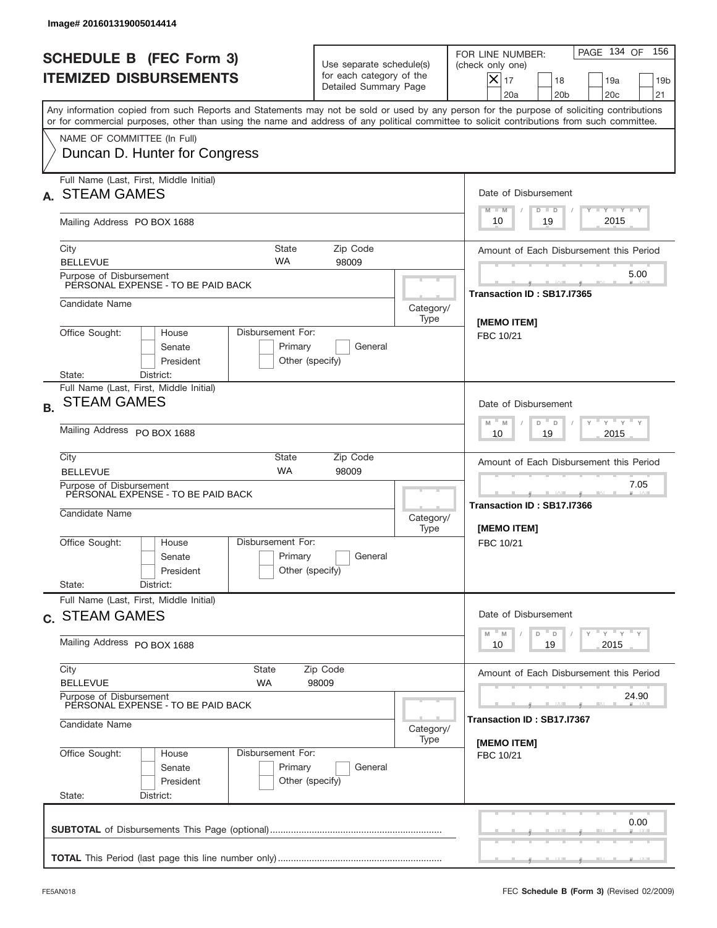|           | Image# 201601319005014414                                                                                 |                                                 |                                                                               |                   |                                                                                                                                                                                                                                                                                         |  |
|-----------|-----------------------------------------------------------------------------------------------------------|-------------------------------------------------|-------------------------------------------------------------------------------|-------------------|-----------------------------------------------------------------------------------------------------------------------------------------------------------------------------------------------------------------------------------------------------------------------------------------|--|
|           | <b>SCHEDULE B (FEC Form 3)</b><br><b>ITEMIZED DISBURSEMENTS</b>                                           |                                                 | Use separate schedule(s)<br>for each category of the<br>Detailed Summary Page |                   | 156<br>PAGE 134 OF<br>FOR LINE NUMBER:<br>(check only one)<br>$X _{17}$<br>18<br>19a<br>19 <sub>b</sub><br>20 <sub>c</sub><br>20a<br>20 <sub>b</sub><br>21                                                                                                                              |  |
|           |                                                                                                           |                                                 |                                                                               |                   | Any information copied from such Reports and Statements may not be sold or used by any person for the purpose of soliciting contributions<br>or for commercial purposes, other than using the name and address of any political committee to solicit contributions from such committee. |  |
|           | NAME OF COMMITTEE (In Full)<br>Duncan D. Hunter for Congress                                              |                                                 |                                                                               |                   |                                                                                                                                                                                                                                                                                         |  |
|           | Full Name (Last, First, Middle Initial)<br><b>STEAM GAMES</b>                                             |                                                 |                                                                               |                   | Date of Disbursement<br><b>TANK TANK</b><br>$M - M$<br>$D$ $D$                                                                                                                                                                                                                          |  |
|           | Mailing Address PO BOX 1688                                                                               |                                                 |                                                                               |                   | 2015<br>19<br>10                                                                                                                                                                                                                                                                        |  |
|           | City<br><b>BELLEVUE</b>                                                                                   | State<br><b>WA</b>                              | Zip Code<br>98009                                                             |                   | Amount of Each Disbursement this Period                                                                                                                                                                                                                                                 |  |
|           | Purpose of Disbursement<br>PERSONAL EXPENSE - TO BE PAID BACK                                             |                                                 |                                                                               |                   | 5.00<br>Transaction ID: SB17.I7365                                                                                                                                                                                                                                                      |  |
|           | Candidate Name                                                                                            |                                                 |                                                                               | Category/<br>Type | [MEMO ITEM]                                                                                                                                                                                                                                                                             |  |
|           | Office Sought:<br>House<br>Senate<br>President<br>State:                                                  | Disbursement For:<br>Primary<br>Other (specify) | General                                                                       |                   | FBC 10/21                                                                                                                                                                                                                                                                               |  |
| <b>B.</b> | District:<br>Full Name (Last, First, Middle Initial)<br><b>STEAM GAMES</b><br>Mailing Address PO BOX 1688 |                                                 |                                                                               |                   | Date of Disbursement<br>$\cdots$ $\gamma$ $\cdots$ $\gamma$ $\cdots$<br>$M - M$<br>D<br>$\Box$<br>2015<br>10<br>19                                                                                                                                                                      |  |
|           | City<br><b>BELLEVUE</b><br>Purpose of Disbursement                                                        | <b>State</b><br><b>WA</b>                       | Zip Code<br>98009                                                             |                   | Amount of Each Disbursement this Period<br>7.05                                                                                                                                                                                                                                         |  |
|           | PERSONAL EXPENSE - TO BE PAID BACK<br>Candidate Name                                                      |                                                 |                                                                               | Category/<br>Type | Transaction ID: SB17.I7366<br>[MEMO ITEM]                                                                                                                                                                                                                                               |  |
|           | Office Sought:<br>House<br>Senate<br>President<br>State:<br>District:                                     | Disbursement For:<br>Primary<br>Other (specify) | General                                                                       |                   | FBC 10/21                                                                                                                                                                                                                                                                               |  |
|           | Full Name (Last, First, Middle Initial)<br>c. STEAM GAMES                                                 |                                                 |                                                                               |                   | Date of Disbursement                                                                                                                                                                                                                                                                    |  |
|           | Mailing Address PO BOX 1688                                                                               |                                                 |                                                                               |                   | $\gamma$ = $\gamma$ = $\gamma$ = $\gamma$<br>$-M$<br>D<br>M<br>D<br>19<br>2015<br>10                                                                                                                                                                                                    |  |
|           | City<br><b>BELLEVUE</b>                                                                                   | State<br>Zip Code<br>WA<br>98009                |                                                                               |                   |                                                                                                                                                                                                                                                                                         |  |
|           | Purpose of Disbursement<br>PERSONAL EXPENSE - TO BE PAID BACK<br>Candidate Name                           | Category/                                       | 24.90<br>Transaction ID : SB17.I7367                                          |                   |                                                                                                                                                                                                                                                                                         |  |
|           | Office Sought:<br>House<br>Senate<br>President<br>State:<br>District:                                     | [MEMO ITEM]<br>FBC 10/21                        |                                                                               |                   |                                                                                                                                                                                                                                                                                         |  |
|           |                                                                                                           |                                                 |                                                                               |                   | 0.00                                                                                                                                                                                                                                                                                    |  |
|           |                                                                                                           |                                                 |                                                                               |                   |                                                                                                                                                                                                                                                                                         |  |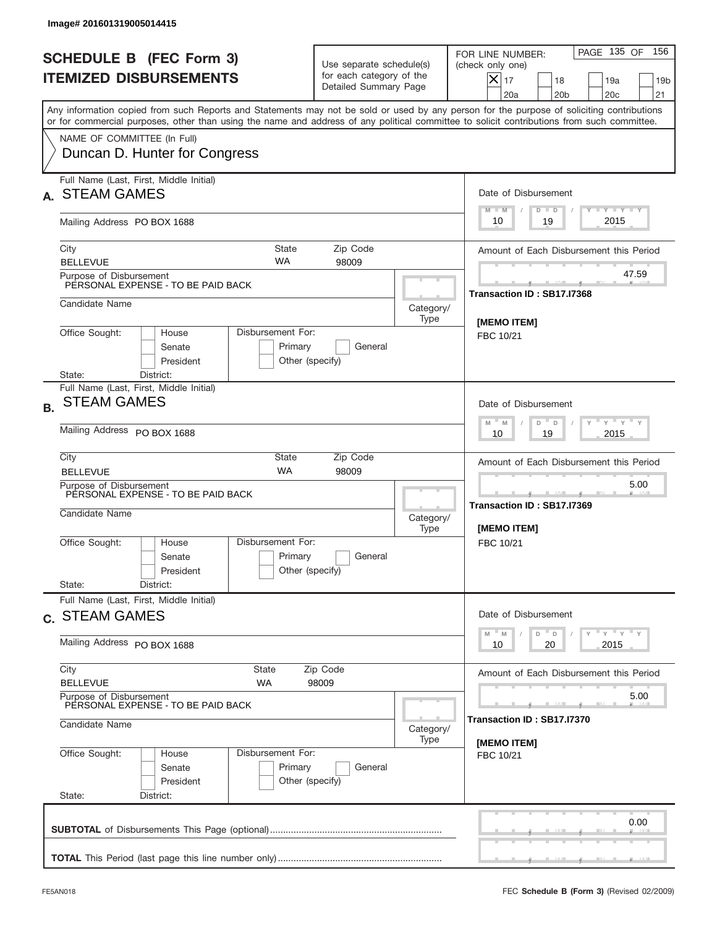|           | Image# 201601319005014415                                                                  |                                                 |                                                                               |                          |                                                                                                                                                                                                                                                                                         |
|-----------|--------------------------------------------------------------------------------------------|-------------------------------------------------|-------------------------------------------------------------------------------|--------------------------|-----------------------------------------------------------------------------------------------------------------------------------------------------------------------------------------------------------------------------------------------------------------------------------------|
|           | <b>SCHEDULE B (FEC Form 3)</b><br><b>ITEMIZED DISBURSEMENTS</b>                            |                                                 | Use separate schedule(s)<br>for each category of the<br>Detailed Summary Page |                          | 156<br>PAGE 135 OF<br>FOR LINE NUMBER:<br>(check only one)<br>$X _{17}$<br>18<br>19a<br>19 <sub>b</sub><br>20 <sub>c</sub><br>20a<br>20 <sub>b</sub><br>21                                                                                                                              |
|           |                                                                                            |                                                 |                                                                               |                          | Any information copied from such Reports and Statements may not be sold or used by any person for the purpose of soliciting contributions<br>or for commercial purposes, other than using the name and address of any political committee to solicit contributions from such committee. |
|           | NAME OF COMMITTEE (In Full)<br>Duncan D. Hunter for Congress                               |                                                 |                                                                               |                          |                                                                                                                                                                                                                                                                                         |
|           | Full Name (Last, First, Middle Initial)<br><b>STEAM GAMES</b>                              |                                                 |                                                                               |                          | Date of Disbursement<br><b>TANK TANK</b><br>$M - M$<br>$D$ $D$                                                                                                                                                                                                                          |
|           | Mailing Address PO BOX 1688                                                                |                                                 |                                                                               |                          | 2015<br>19<br>10                                                                                                                                                                                                                                                                        |
|           | City<br><b>BELLEVUE</b>                                                                    | State<br><b>WA</b>                              | Zip Code<br>98009                                                             |                          | Amount of Each Disbursement this Period                                                                                                                                                                                                                                                 |
|           | Purpose of Disbursement<br>PERSONAL EXPENSE - TO BE PAID BACK                              |                                                 |                                                                               |                          | 47.59<br>Transaction ID: SB17.I7368                                                                                                                                                                                                                                                     |
|           | Candidate Name                                                                             |                                                 |                                                                               | Category/<br>Type        |                                                                                                                                                                                                                                                                                         |
|           | Office Sought:<br>Disbursement For:<br>House<br>Senate<br>President<br>State:<br>District: | [MEMO ITEM]<br>FBC 10/21                        |                                                                               |                          |                                                                                                                                                                                                                                                                                         |
| <b>B.</b> | Full Name (Last, First, Middle Initial)<br><b>STEAM GAMES</b>                              |                                                 |                                                                               |                          | Date of Disbursement<br>$\cdots$ $\gamma$ $\cdots$ $\gamma$ $\cdots$<br>$M - M$<br>D<br>$\Box$                                                                                                                                                                                          |
|           | Mailing Address PO BOX 1688                                                                | 2015<br>10<br>19                                |                                                                               |                          |                                                                                                                                                                                                                                                                                         |
|           | City<br><b>BELLEVUE</b>                                                                    | <b>State</b><br><b>WA</b>                       | Zip Code<br>98009                                                             |                          | Amount of Each Disbursement this Period                                                                                                                                                                                                                                                 |
|           | Purpose of Disbursement<br>PERSONAL EXPENSE - TO BE PAID BACK<br>Candidate Name            |                                                 |                                                                               | Category/<br>Type        | 5.00<br>Transaction ID: SB17.I7369<br>[MEMO ITEM]                                                                                                                                                                                                                                       |
|           | Office Sought:<br>House<br>Senate<br>President                                             | Disbursement For:<br>Primary<br>Other (specify) | General                                                                       |                          | FBC 10/21                                                                                                                                                                                                                                                                               |
|           | State:<br>District:<br>Full Name (Last, First, Middle Initial)                             |                                                 |                                                                               |                          |                                                                                                                                                                                                                                                                                         |
|           | c. STEAM GAMES<br>Mailing Address PO BOX 1688                                              |                                                 |                                                                               |                          | Date of Disbursement<br>γ <sup>=</sup> γ <sup>=</sup> γ <sup>=</sup> γ<br>$-M$<br>D<br>M<br>D<br>2015<br>10<br>20                                                                                                                                                                       |
|           | City                                                                                       | State                                           | Zip Code                                                                      |                          | Amount of Each Disbursement this Period                                                                                                                                                                                                                                                 |
|           | <b>BELLEVUE</b><br>Purpose of Disbursement                                                 | 5.00                                            |                                                                               |                          |                                                                                                                                                                                                                                                                                         |
|           | PERSONAL EXPENSE - TO BE PAID BACK<br>Candidate Name                                       | Transaction ID : SB17.I7370                     |                                                                               |                          |                                                                                                                                                                                                                                                                                         |
|           | Office Sought:<br>House<br>Senate<br>President<br>State:<br>District:                      | Disbursement For:<br>Primary<br>Other (specify) | General                                                                       | [MEMO ITEM]<br>FBC 10/21 |                                                                                                                                                                                                                                                                                         |
|           |                                                                                            |                                                 |                                                                               |                          | 0.00                                                                                                                                                                                                                                                                                    |
|           |                                                                                            |                                                 |                                                                               |                          |                                                                                                                                                                                                                                                                                         |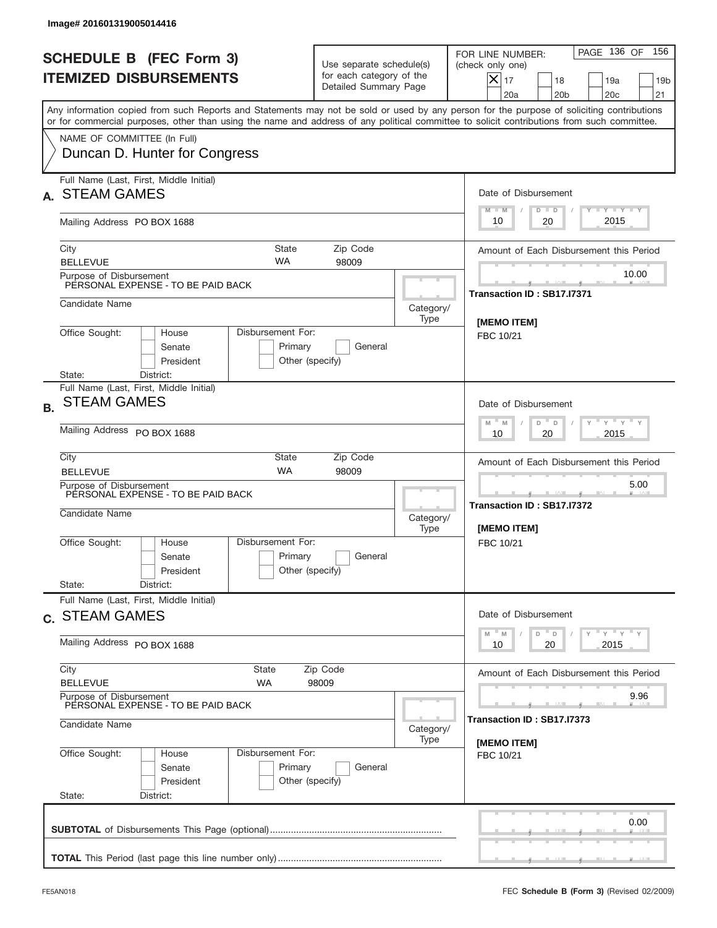|           | Image# 201601319005014416                                                                  |                                                  |                                                                               |                   |                                                                                                                                                                                                                                                                                         |  |
|-----------|--------------------------------------------------------------------------------------------|--------------------------------------------------|-------------------------------------------------------------------------------|-------------------|-----------------------------------------------------------------------------------------------------------------------------------------------------------------------------------------------------------------------------------------------------------------------------------------|--|
|           | <b>SCHEDULE B (FEC Form 3)</b><br><b>ITEMIZED DISBURSEMENTS</b>                            |                                                  | Use separate schedule(s)<br>for each category of the<br>Detailed Summary Page |                   | 156<br>PAGE 136 OF<br>FOR LINE NUMBER:<br>(check only one)<br>$X _{17}$<br>18<br>19a<br>19 <sub>b</sub><br>20 <sub>c</sub><br>20a<br>20 <sub>b</sub><br>21                                                                                                                              |  |
|           |                                                                                            |                                                  |                                                                               |                   | Any information copied from such Reports and Statements may not be sold or used by any person for the purpose of soliciting contributions<br>or for commercial purposes, other than using the name and address of any political committee to solicit contributions from such committee. |  |
|           | NAME OF COMMITTEE (In Full)<br>Duncan D. Hunter for Congress                               |                                                  |                                                                               |                   |                                                                                                                                                                                                                                                                                         |  |
|           | Full Name (Last, First, Middle Initial)<br><b>STEAM GAMES</b>                              |                                                  |                                                                               |                   | Date of Disbursement<br><b>TANK TANK</b><br>$M - M$<br>$D$ $D$                                                                                                                                                                                                                          |  |
|           | Mailing Address PO BOX 1688                                                                |                                                  |                                                                               |                   | 2015<br>20<br>10                                                                                                                                                                                                                                                                        |  |
|           | City<br><b>BELLEVUE</b>                                                                    | State<br><b>WA</b>                               | Zip Code<br>98009                                                             |                   | Amount of Each Disbursement this Period                                                                                                                                                                                                                                                 |  |
|           | Purpose of Disbursement<br>PERSONAL EXPENSE - TO BE PAID BACK                              |                                                  |                                                                               |                   | 10.00<br>Transaction ID: SB17.I7371                                                                                                                                                                                                                                                     |  |
|           | Candidate Name                                                                             |                                                  |                                                                               | Category/<br>Type | [MEMO ITEM]                                                                                                                                                                                                                                                                             |  |
|           | Office Sought:<br>House<br>Senate<br>President<br>State:<br>District:                      | Disbursement For:<br>Primary<br>Other (specify)  | General                                                                       |                   | FBC 10/21                                                                                                                                                                                                                                                                               |  |
| <b>B.</b> | Full Name (Last, First, Middle Initial)<br><b>STEAM GAMES</b>                              |                                                  |                                                                               |                   | Date of Disbursement<br>$\cdots$ $\gamma$ $\cdots$ $\gamma$ $\cdots$<br>$M - M$<br>D<br>D                                                                                                                                                                                               |  |
|           | Mailing Address PO BOX 1688                                                                | 2015<br>10<br>20                                 |                                                                               |                   |                                                                                                                                                                                                                                                                                         |  |
|           | City<br><b>BELLEVUE</b>                                                                    | <b>State</b><br><b>WA</b>                        | Zip Code<br>98009                                                             |                   | Amount of Each Disbursement this Period                                                                                                                                                                                                                                                 |  |
|           | Purpose of Disbursement<br>PERSONAL EXPENSE - TO BE PAID BACK<br>Candidate Name            |                                                  |                                                                               | Category/<br>Type | 5.00<br>Transaction ID: SB17.I7372<br>[MEMO ITEM]                                                                                                                                                                                                                                       |  |
|           | Office Sought:<br>House<br>Senate<br>President                                             | Disbursement For:<br>Primary<br>Other (specify)  | General                                                                       |                   | FBC 10/21                                                                                                                                                                                                                                                                               |  |
|           | State:<br>District:<br>Full Name (Last, First, Middle Initial)                             |                                                  |                                                                               |                   |                                                                                                                                                                                                                                                                                         |  |
|           | c. STEAM GAMES                                                                             |                                                  |                                                                               |                   | Date of Disbursement<br>γ <sup>=</sup> γ <sup>=</sup> γ <sup>=</sup> γ<br>$-M$<br>D<br>M<br>D<br>2015                                                                                                                                                                                   |  |
|           |                                                                                            | Mailing Address PO BOX 1688<br>State<br>Zip Code |                                                                               |                   |                                                                                                                                                                                                                                                                                         |  |
|           | City<br><b>BELLEVUE</b>                                                                    | Amount of Each Disbursement this Period          |                                                                               |                   |                                                                                                                                                                                                                                                                                         |  |
|           | Purpose of Disbursement<br>PERSONAL EXPENSE - TO BE PAID BACK<br>Candidate Name            | 9.96<br>Transaction ID : SB17.I7373              |                                                                               |                   |                                                                                                                                                                                                                                                                                         |  |
|           | Office Sought:<br>Disbursement For:<br>House<br>Senate<br>President<br>State:<br>District: | [MEMO ITEM]<br>FBC 10/21                         |                                                                               |                   |                                                                                                                                                                                                                                                                                         |  |
|           |                                                                                            |                                                  |                                                                               |                   | 0.00                                                                                                                                                                                                                                                                                    |  |
|           |                                                                                            |                                                  |                                                                               |                   |                                                                                                                                                                                                                                                                                         |  |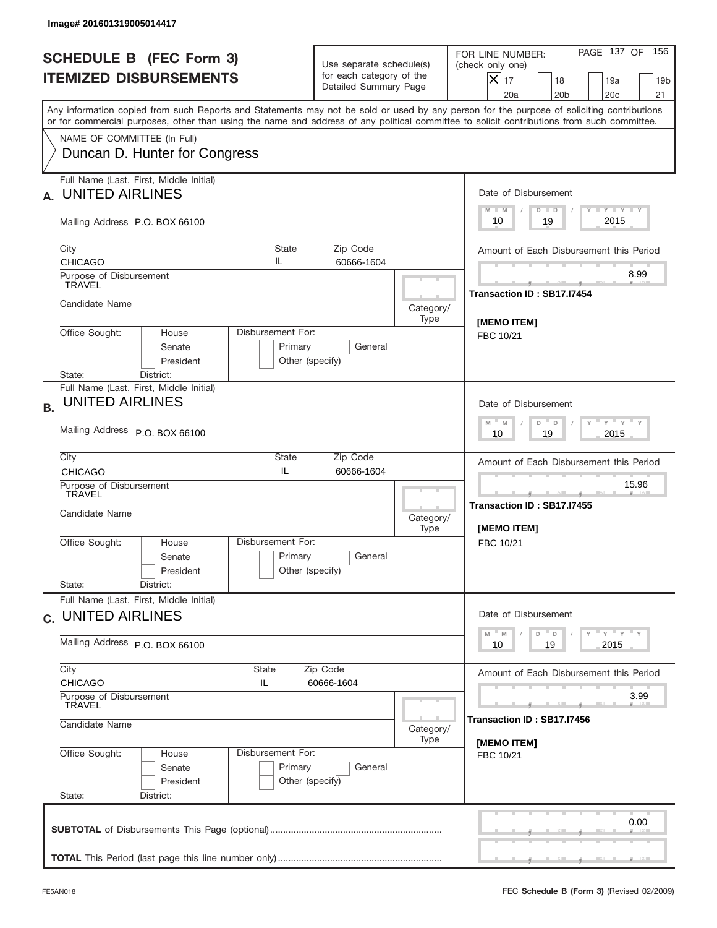|           | Image# 201601319005014417                                                                                                           |                                                                 |                                                                               |                                  |                                                                                                                                                                                                                                                                                         |
|-----------|-------------------------------------------------------------------------------------------------------------------------------------|-----------------------------------------------------------------|-------------------------------------------------------------------------------|----------------------------------|-----------------------------------------------------------------------------------------------------------------------------------------------------------------------------------------------------------------------------------------------------------------------------------------|
|           | <b>SCHEDULE B (FEC Form 3)</b><br><b>ITEMIZED DISBURSEMENTS</b>                                                                     |                                                                 | Use separate schedule(s)<br>for each category of the<br>Detailed Summary Page |                                  | PAGE 137 OF<br>156<br>FOR LINE NUMBER:<br>(check only one)<br>$ \mathsf{X} _{17}$<br>18<br>19a<br>19 <sub>b</sub><br>20a<br>20 <sub>b</sub><br>20 <sub>c</sub><br>21                                                                                                                    |
|           |                                                                                                                                     |                                                                 |                                                                               |                                  | Any information copied from such Reports and Statements may not be sold or used by any person for the purpose of soliciting contributions<br>or for commercial purposes, other than using the name and address of any political committee to solicit contributions from such committee. |
|           | NAME OF COMMITTEE (In Full)<br>Duncan D. Hunter for Congress                                                                        |                                                                 |                                                                               |                                  |                                                                                                                                                                                                                                                                                         |
|           | Full Name (Last, First, Middle Initial)<br><b>UNITED AIRLINES</b>                                                                   |                                                                 |                                                                               |                                  | Date of Disbursement<br>Y FY FY FY<br>$M - M$<br>$D$ $D$                                                                                                                                                                                                                                |
|           | Mailing Address P.O. BOX 66100                                                                                                      |                                                                 |                                                                               |                                  | 2015<br>10<br>19                                                                                                                                                                                                                                                                        |
|           | City<br><b>CHICAGO</b>                                                                                                              | State<br>IL                                                     | Zip Code<br>60666-1604                                                        |                                  | Amount of Each Disbursement this Period                                                                                                                                                                                                                                                 |
|           | Purpose of Disbursement<br><b>TRAVEL</b>                                                                                            |                                                                 |                                                                               |                                  | 8.99<br>Transaction ID: SB17.I7454                                                                                                                                                                                                                                                      |
|           | Candidate Name                                                                                                                      |                                                                 |                                                                               | Category/<br>Type                |                                                                                                                                                                                                                                                                                         |
|           | Disbursement For:<br>Office Sought:<br>House<br>Senate<br>Primary<br>General<br>President<br>Other (specify)<br>District:<br>State: |                                                                 |                                                                               |                                  | <b>IMEMO ITEMI</b><br>FBC 10/21                                                                                                                                                                                                                                                         |
| <b>B.</b> | Full Name (Last, First, Middle Initial)<br><b>UNITED AIRLINES</b>                                                                   | Date of Disbursement<br>ү " ү " ү " ү<br>$M - M$<br>D<br>$\Box$ |                                                                               |                                  |                                                                                                                                                                                                                                                                                         |
|           | Mailing Address P.O. BOX 66100                                                                                                      | 2015<br>10<br>19                                                |                                                                               |                                  |                                                                                                                                                                                                                                                                                         |
|           | City<br><b>CHICAGO</b>                                                                                                              | State<br>IL                                                     | Zip Code<br>60666-1604                                                        |                                  | Amount of Each Disbursement this Period                                                                                                                                                                                                                                                 |
|           | Purpose of Disbursement<br>TRAVEL<br>Candidate Name                                                                                 |                                                                 |                                                                               | Category/<br>[MEMO ITEM]<br>Type | 15.96<br>_____<br>Transaction ID: SB17.I7455                                                                                                                                                                                                                                            |
|           | Office Sought:<br>House<br>Senate<br>President<br>State:<br>District:                                                               | Disbursement For:<br>Primary<br>Other (specify)                 | General                                                                       |                                  | FBC 10/21                                                                                                                                                                                                                                                                               |
|           | Full Name (Last, First, Middle Initial)<br>c. UNITED AIRLINES                                                                       | Date of Disbursement                                            |                                                                               |                                  |                                                                                                                                                                                                                                                                                         |
|           | Mailing Address P.O. BOX 66100                                                                                                      | $Y$ $Y$ $Y$ $Y$ $Y$<br>$-M$<br>D<br>M<br>D<br>2015<br>10<br>19  |                                                                               |                                  |                                                                                                                                                                                                                                                                                         |
|           | City<br>State<br>Zip Code<br><b>CHICAGO</b><br>IL<br>60666-1604<br>Purpose of Disbursement<br>TRAVEL                                |                                                                 |                                                                               |                                  | Amount of Each Disbursement this Period<br>3.99                                                                                                                                                                                                                                         |
|           | Candidate Name                                                                                                                      | Category/<br>Type                                               |                                                                               |                                  |                                                                                                                                                                                                                                                                                         |
|           | Office Sought:<br>House<br>Senate<br>President<br>State:<br>District:                                                               | Disbursement For:<br>Primary<br>Other (specify)                 | General                                                                       |                                  | [MEMO ITEM]<br>FBC 10/21                                                                                                                                                                                                                                                                |
|           |                                                                                                                                     |                                                                 |                                                                               |                                  | 0.00                                                                                                                                                                                                                                                                                    |
|           |                                                                                                                                     |                                                                 |                                                                               |                                  |                                                                                                                                                                                                                                                                                         |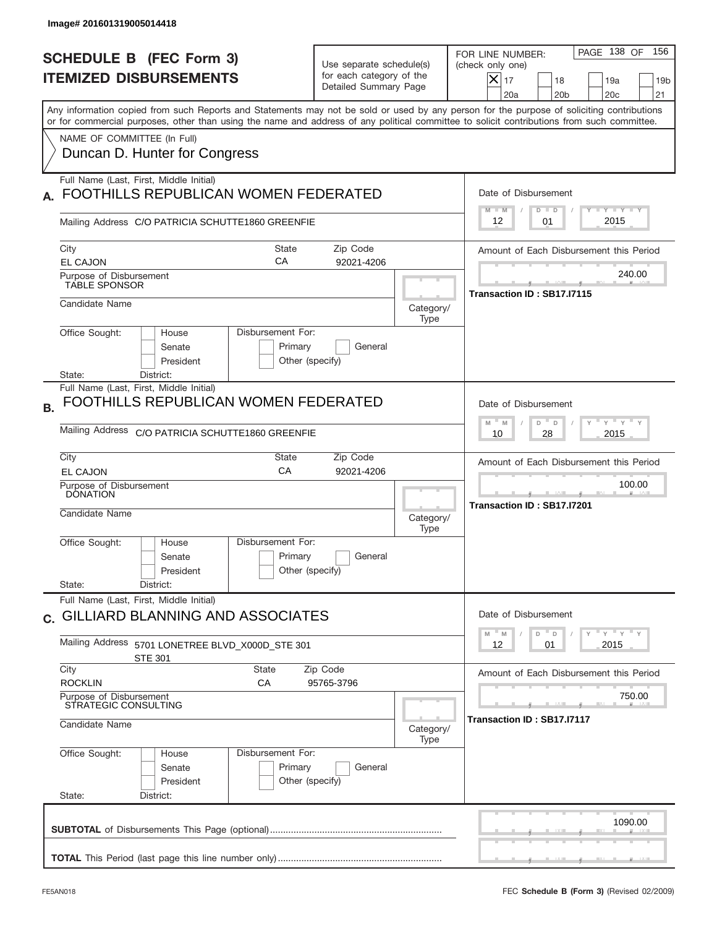| Image# 201601319005014418                                                                                                                                                                                                                                                                                              |                                                                               |                            |                                                                                                                                                |  |
|------------------------------------------------------------------------------------------------------------------------------------------------------------------------------------------------------------------------------------------------------------------------------------------------------------------------|-------------------------------------------------------------------------------|----------------------------|------------------------------------------------------------------------------------------------------------------------------------------------|--|
| <b>SCHEDULE B (FEC Form 3)</b><br><b>ITEMIZED DISBURSEMENTS</b>                                                                                                                                                                                                                                                        | Use separate schedule(s)<br>for each category of the<br>Detailed Summary Page |                            | PAGE 138 OF<br>156<br>FOR LINE NUMBER:<br>(check only one)<br>$X _{17}$<br>18<br>19 <sub>b</sub><br>19a<br>20a<br>20 <sub>b</sub><br>20c<br>21 |  |
| Any information copied from such Reports and Statements may not be sold or used by any person for the purpose of soliciting contributions<br>or for commercial purposes, other than using the name and address of any political committee to solicit contributions from such committee.<br>NAME OF COMMITTEE (In Full) |                                                                               |                            |                                                                                                                                                |  |
| Duncan D. Hunter for Congress                                                                                                                                                                                                                                                                                          |                                                                               |                            |                                                                                                                                                |  |
| Full Name (Last, First, Middle Initial)<br>FOOTHILLS REPUBLICAN WOMEN FEDERATED                                                                                                                                                                                                                                        |                                                                               |                            | Date of Disbursement<br>Y FY FY FY<br>$M - M$<br>$D$ $D$                                                                                       |  |
| Mailing Address C/O PATRICIA SCHUTTE1860 GREENFIE                                                                                                                                                                                                                                                                      |                                                                               |                            | 2015<br>12<br>01                                                                                                                               |  |
| City<br><b>State</b><br>CA<br><b>EL CAJON</b>                                                                                                                                                                                                                                                                          | Zip Code<br>92021-4206                                                        |                            | Amount of Each Disbursement this Period                                                                                                        |  |
| Purpose of Disbursement<br><b>TABLE SPONSOR</b>                                                                                                                                                                                                                                                                        |                                                                               |                            | 240.00<br>Transaction ID: SB17.I7115                                                                                                           |  |
| Candidate Name                                                                                                                                                                                                                                                                                                         |                                                                               | Category/<br>Type          |                                                                                                                                                |  |
| Office Sought:<br>Disbursement For:<br>House<br>Senate<br>President<br>District:<br>State:                                                                                                                                                                                                                             | Primary<br>General<br>Other (specify)                                         |                            |                                                                                                                                                |  |
| Full Name (Last, First, Middle Initial)<br>FOOTHILLS REPUBLICAN WOMEN FEDERATED<br><b>B.</b>                                                                                                                                                                                                                           |                                                                               |                            | Date of Disbursement<br>$\cdots$ $\gamma$ $\cdots$ $\gamma$ $\cdots$ $\gamma$<br>$M - M$<br>$D$ <sup><math>-</math></sup><br>$\mathsf D$       |  |
| Mailing Address C/O PATRICIA SCHUTTE1860 GREENFIE                                                                                                                                                                                                                                                                      |                                                                               |                            | 2015<br>10<br>28                                                                                                                               |  |
| City<br>State<br>CA<br><b>EL CAJON</b>                                                                                                                                                                                                                                                                                 | Zip Code<br>92021-4206                                                        |                            | Amount of Each Disbursement this Period                                                                                                        |  |
| Purpose of Disbursement<br><b>DONATION</b><br>Candidate Name                                                                                                                                                                                                                                                           |                                                                               | Category/<br>Type          | 100.00<br>Transaction ID: SB17.I7201                                                                                                           |  |
| Disbursement For:<br>Office Sought:<br>House<br>Senate<br>President                                                                                                                                                                                                                                                    | Primary<br>General<br>Other (specify)                                         |                            |                                                                                                                                                |  |
| State:<br>District:<br>Full Name (Last, First, Middle Initial)                                                                                                                                                                                                                                                         |                                                                               |                            |                                                                                                                                                |  |
| c. GILLIARD BLANNING AND ASSOCIATES<br><b>Mailing Address</b><br>5701 LONETREE BLVD_X000D_STE 301                                                                                                                                                                                                                      |                                                                               |                            | Date of Disbursement<br>$=\frac{1}{\gamma}+\frac{1}{\gamma}+\frac{1}{\gamma}+\frac{1}{\gamma}$<br>D<br>M<br>M<br>D<br>2015<br>12<br>01         |  |
| <b>STE 301</b><br>City<br><b>State</b>                                                                                                                                                                                                                                                                                 | Zip Code                                                                      |                            | Amount of Each Disbursement this Period                                                                                                        |  |
| <b>ROCKLIN</b><br>СA<br>95765-3796<br>Purpose of Disbursement<br>STRATEGIC CONSULTING                                                                                                                                                                                                                                  |                                                                               |                            | 750.00                                                                                                                                         |  |
| Candidate Name                                                                                                                                                                                                                                                                                                         | Category/<br>Type                                                             | Transaction ID: SB17.I7117 |                                                                                                                                                |  |
| Office Sought:<br>Disbursement For:<br>House<br>Senate<br>President<br>State:<br>District:                                                                                                                                                                                                                             | Primary<br>General<br>Other (specify)                                         |                            |                                                                                                                                                |  |
|                                                                                                                                                                                                                                                                                                                        |                                                                               |                            | 1090.00                                                                                                                                        |  |
|                                                                                                                                                                                                                                                                                                                        |                                                                               |                            |                                                                                                                                                |  |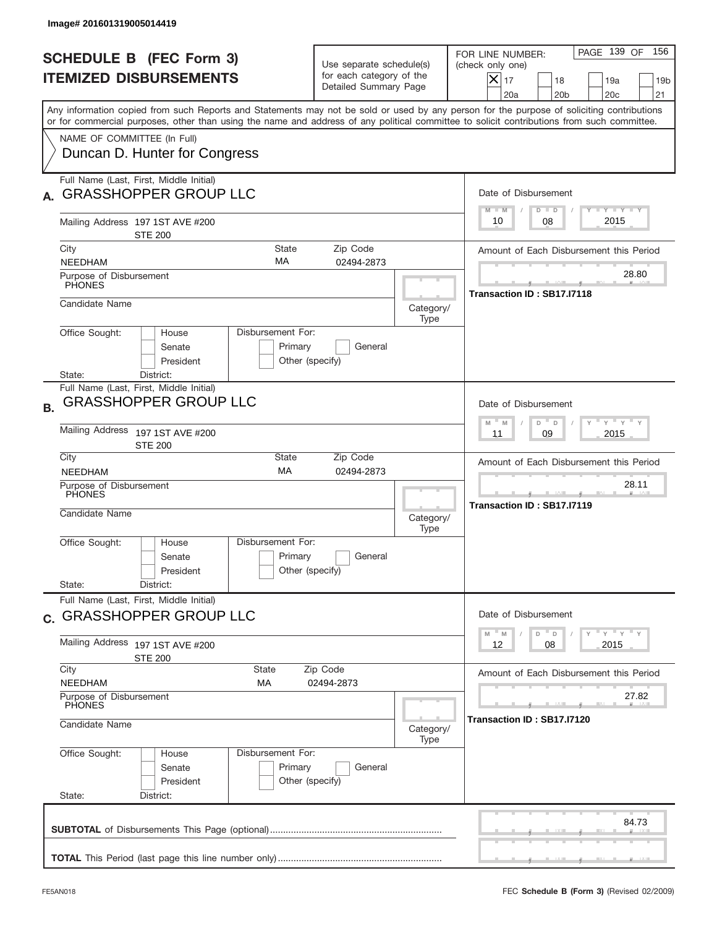|           | Image# 201601319005014419                                                                                              |                                                                         |                                                 |                                                                               |                                                           |                                                                                                                                                                                                                                                                                         |
|-----------|------------------------------------------------------------------------------------------------------------------------|-------------------------------------------------------------------------|-------------------------------------------------|-------------------------------------------------------------------------------|-----------------------------------------------------------|-----------------------------------------------------------------------------------------------------------------------------------------------------------------------------------------------------------------------------------------------------------------------------------------|
|           |                                                                                                                        | <b>SCHEDULE B (FEC Form 3)</b><br><b>ITEMIZED DISBURSEMENTS</b>         |                                                 | Use separate schedule(s)<br>for each category of the<br>Detailed Summary Page |                                                           | PAGE 139 OF<br>156<br>FOR LINE NUMBER:<br>(check only one)<br>$ \mathsf{X} _{17}$<br>18<br>19a<br>19 <sub>b</sub><br>20a<br>20 <sub>b</sub><br>20c<br>21                                                                                                                                |
|           |                                                                                                                        | NAME OF COMMITTEE (In Full)                                             |                                                 |                                                                               |                                                           | Any information copied from such Reports and Statements may not be sold or used by any person for the purpose of soliciting contributions<br>or for commercial purposes, other than using the name and address of any political committee to solicit contributions from such committee. |
|           |                                                                                                                        | Duncan D. Hunter for Congress                                           |                                                 |                                                                               |                                                           |                                                                                                                                                                                                                                                                                         |
|           |                                                                                                                        | Full Name (Last, First, Middle Initial)<br><b>GRASSHOPPER GROUP LLC</b> |                                                 |                                                                               |                                                           | Date of Disbursement<br>Y TY TY TY<br>$M - M$<br>$D$ $D$                                                                                                                                                                                                                                |
|           |                                                                                                                        | Mailing Address 197 1ST AVE #200<br><b>STE 200</b>                      |                                                 |                                                                               |                                                           | 2015<br>08<br>10                                                                                                                                                                                                                                                                        |
| City      | <b>NEEDHAM</b>                                                                                                         |                                                                         | <b>State</b><br>MA                              | Zip Code<br>02494-2873                                                        |                                                           | Amount of Each Disbursement this Period                                                                                                                                                                                                                                                 |
|           | Purpose of Disbursement<br><b>PHONES</b>                                                                               |                                                                         |                                                 |                                                                               |                                                           | 28.80<br>Transaction ID: SB17.I7118                                                                                                                                                                                                                                                     |
|           | Candidate Name                                                                                                         |                                                                         |                                                 |                                                                               | Category/<br>Type                                         |                                                                                                                                                                                                                                                                                         |
|           | Office Sought:<br>State:                                                                                               | House<br>Senate<br>President<br>District:                               | Disbursement For:<br>Primary<br>Other (specify) | General                                                                       |                                                           |                                                                                                                                                                                                                                                                                         |
| <b>B.</b> |                                                                                                                        | Full Name (Last, First, Middle Initial)<br><b>GRASSHOPPER GROUP LLC</b> |                                                 |                                                                               |                                                           | Date of Disbursement                                                                                                                                                                                                                                                                    |
|           | Mailing Address<br>197 1ST AVE #200<br><b>STE 200</b>                                                                  |                                                                         |                                                 |                                                                               | ү " ү " ү " ү<br>$-$ M<br>M<br>D<br>D<br>2015<br>11<br>09 |                                                                                                                                                                                                                                                                                         |
| City      | <b>NEEDHAM</b>                                                                                                         |                                                                         | State<br>MA                                     | Zip Code<br>02494-2873                                                        |                                                           | Amount of Each Disbursement this Period                                                                                                                                                                                                                                                 |
|           | Purpose of Disbursement<br><b>PHONES</b><br>Candidate Name                                                             |                                                                         |                                                 |                                                                               |                                                           | 28.11<br>Transaction ID: SB17.I7119                                                                                                                                                                                                                                                     |
|           |                                                                                                                        |                                                                         |                                                 |                                                                               | Category/<br>Type                                         |                                                                                                                                                                                                                                                                                         |
|           | Office Sought:                                                                                                         | House<br>Senate<br>President                                            | Disbursement For:<br>Primary<br>Other (specify) | General                                                                       |                                                           |                                                                                                                                                                                                                                                                                         |
|           | State:                                                                                                                 | District:                                                               |                                                 |                                                                               |                                                           |                                                                                                                                                                                                                                                                                         |
|           | Full Name (Last, First, Middle Initial)<br>c. GRASSHOPPER GROUP LLC                                                    |                                                                         |                                                 |                                                                               |                                                           | Date of Disbursement                                                                                                                                                                                                                                                                    |
|           | Mailing Address 197 1ST AVE #200<br><b>STE 200</b>                                                                     |                                                                         |                                                 |                                                                               |                                                           | $\gamma$ = $\gamma$ = $\gamma$ = $\gamma$<br>M<br>M<br>D<br>D<br>2015<br>12<br>08                                                                                                                                                                                                       |
|           | City<br>State<br>Zip Code                                                                                              |                                                                         |                                                 |                                                                               |                                                           | Amount of Each Disbursement this Period                                                                                                                                                                                                                                                 |
|           | <b>NEEDHAM</b><br>МA<br>02494-2873<br>Purpose of Disbursement<br>PHONES                                                |                                                                         |                                                 |                                                                               | 27.82                                                     |                                                                                                                                                                                                                                                                                         |
|           | Candidate Name                                                                                                         |                                                                         |                                                 | Category/<br>Type                                                             | Transaction ID: SB17.I7120                                |                                                                                                                                                                                                                                                                                         |
|           | Office Sought:<br>Disbursement For:<br>House<br>Primary<br>Senate<br>General<br>President<br>Other (specify)<br>State: |                                                                         |                                                 |                                                                               |                                                           |                                                                                                                                                                                                                                                                                         |
|           |                                                                                                                        | District:                                                               |                                                 |                                                                               |                                                           | 84.73                                                                                                                                                                                                                                                                                   |
|           |                                                                                                                        |                                                                         |                                                 |                                                                               |                                                           |                                                                                                                                                                                                                                                                                         |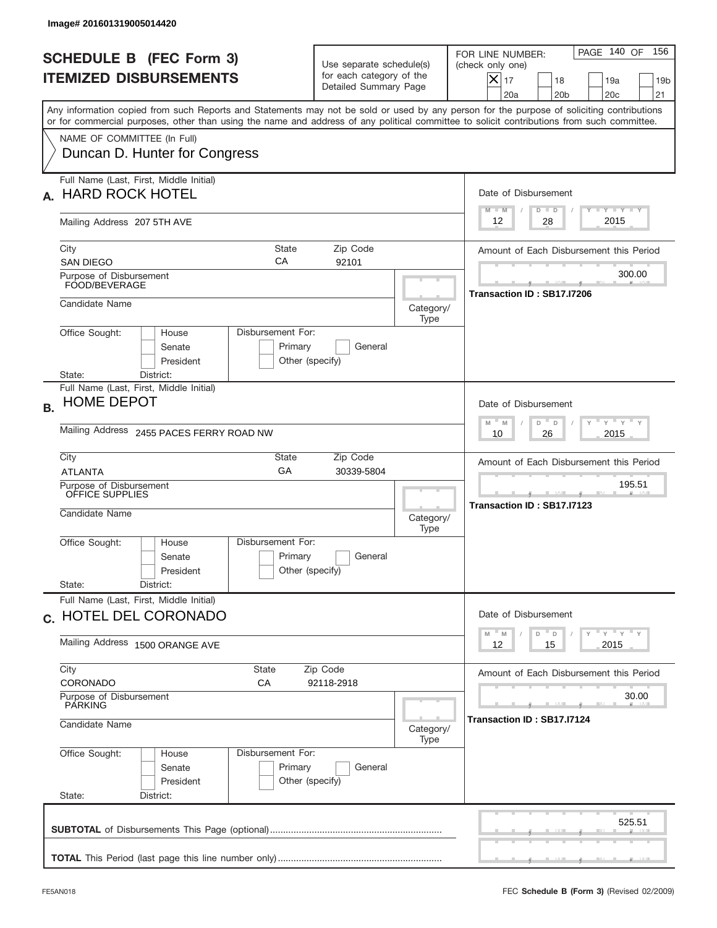|           | Image# 201601319005014420                                                                                                                                                                                                                                                               |                                                                               |                                     |                                                                                                                                                            |
|-----------|-----------------------------------------------------------------------------------------------------------------------------------------------------------------------------------------------------------------------------------------------------------------------------------------|-------------------------------------------------------------------------------|-------------------------------------|------------------------------------------------------------------------------------------------------------------------------------------------------------|
|           | <b>SCHEDULE B (FEC Form 3)</b><br><b>ITEMIZED DISBURSEMENTS</b>                                                                                                                                                                                                                         | Use separate schedule(s)<br>for each category of the<br>Detailed Summary Page |                                     | PAGE 140 OF<br>156<br>FOR LINE NUMBER:<br>(check only one)<br>$X _{17}$<br>18<br>19a<br>19 <sub>b</sub><br>20a<br>20 <sub>b</sub><br>20 <sub>c</sub><br>21 |
|           | Any information copied from such Reports and Statements may not be sold or used by any person for the purpose of soliciting contributions<br>or for commercial purposes, other than using the name and address of any political committee to solicit contributions from such committee. |                                                                               |                                     |                                                                                                                                                            |
|           | NAME OF COMMITTEE (In Full)<br>Duncan D. Hunter for Congress                                                                                                                                                                                                                            |                                                                               |                                     |                                                                                                                                                            |
|           | Full Name (Last, First, Middle Initial)<br><b>HARD ROCK HOTEL</b>                                                                                                                                                                                                                       |                                                                               |                                     | Date of Disbursement<br><b>TANK TANK</b><br>$M - M$<br>$D$ $D$                                                                                             |
|           | Mailing Address 207 5TH AVE                                                                                                                                                                                                                                                             |                                                                               |                                     | 2015<br>12<br>28                                                                                                                                           |
|           | City<br><b>State</b><br>CA<br><b>SAN DIEGO</b>                                                                                                                                                                                                                                          | Zip Code<br>92101                                                             |                                     | Amount of Each Disbursement this Period                                                                                                                    |
|           | Purpose of Disbursement<br>FOOD/BEVERAGE                                                                                                                                                                                                                                                |                                                                               |                                     | 300.00<br>Transaction ID: SB17.I7206                                                                                                                       |
|           | Candidate Name                                                                                                                                                                                                                                                                          |                                                                               | Category/<br>Type                   |                                                                                                                                                            |
|           | Disbursement For:<br>Office Sought:<br>House<br>Senate<br>President<br>State:<br>District:                                                                                                                                                                                              | Primary<br>General<br>Other (specify)                                         |                                     |                                                                                                                                                            |
| <b>B.</b> | Full Name (Last, First, Middle Initial)<br><b>HOME DEPOT</b>                                                                                                                                                                                                                            |                                                                               |                                     | Date of Disbursement                                                                                                                                       |
|           | Mailing Address 2455 PACES FERRY ROAD NW                                                                                                                                                                                                                                                | $M - M$<br>≡ γ ≡ γ ≡<br>D<br>D<br>2015<br>10<br>26                            |                                     |                                                                                                                                                            |
|           | City<br>State<br>GA<br><b>ATLANTA</b>                                                                                                                                                                                                                                                   | Amount of Each Disbursement this Period                                       |                                     |                                                                                                                                                            |
|           | Purpose of Disbursement<br>OFFICE SUPPLIES<br>Candidate Name                                                                                                                                                                                                                            |                                                                               |                                     | 195.51<br>Transaction ID: SB17.I7123                                                                                                                       |
|           | Disbursement For:<br>Office Sought:<br>House<br>Senate<br>President                                                                                                                                                                                                                     | Primary<br>General<br>Other (specify)                                         | Type                                |                                                                                                                                                            |
|           | State:<br>District:<br>Full Name (Last, First, Middle Initial)                                                                                                                                                                                                                          |                                                                               |                                     |                                                                                                                                                            |
|           | c. HOTEL DEL CORONADO                                                                                                                                                                                                                                                                   |                                                                               |                                     | Date of Disbursement<br>$\gamma$ $\gamma$ $\gamma$ $\gamma$ $\gamma$<br>$M$ $M$<br>D                                                                       |
|           | Mailing Address 1500 ORANGE AVE                                                                                                                                                                                                                                                         | D<br>2015<br>12<br>15                                                         |                                     |                                                                                                                                                            |
|           | City<br>State<br>CORONADO<br>СA                                                                                                                                                                                                                                                         | Zip Code<br>92118-2918                                                        |                                     | Amount of Each Disbursement this Period                                                                                                                    |
|           | Purpose of Disbursement<br>PARKING<br>Candidate Name                                                                                                                                                                                                                                    |                                                                               | 30.00<br>Transaction ID: SB17.I7124 |                                                                                                                                                            |
|           | Office Sought:<br>Disbursement For:<br>House                                                                                                                                                                                                                                            | Category/<br>Type                                                             |                                     |                                                                                                                                                            |
|           | Primary<br>Senate<br>President<br>Other (specify)<br>State:<br>District:                                                                                                                                                                                                                |                                                                               |                                     |                                                                                                                                                            |
|           |                                                                                                                                                                                                                                                                                         |                                                                               |                                     | 525.51                                                                                                                                                     |
|           |                                                                                                                                                                                                                                                                                         |                                                                               |                                     |                                                                                                                                                            |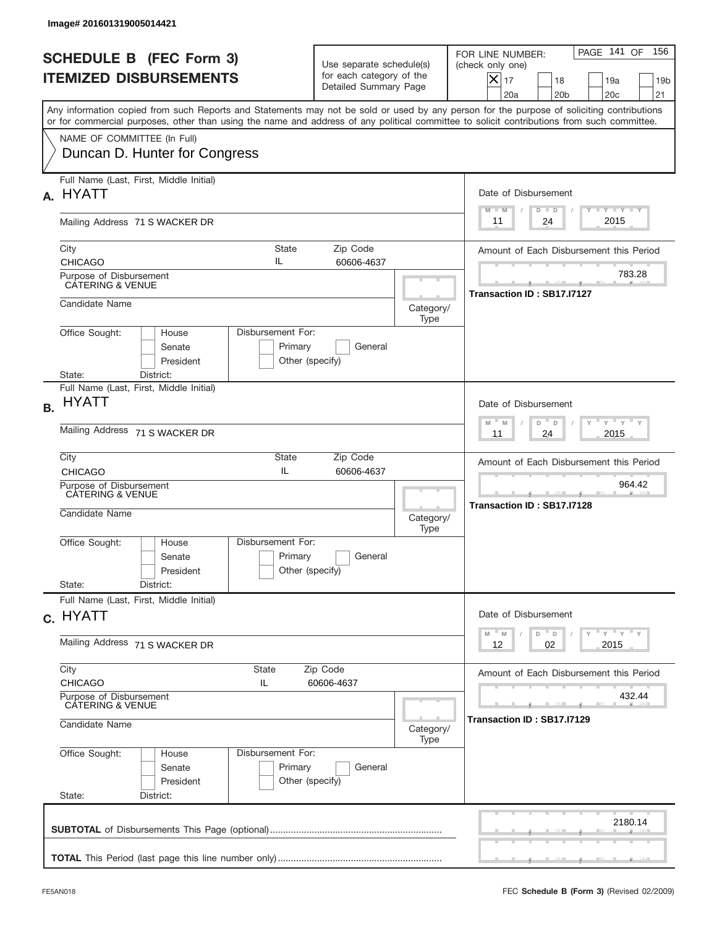|           | <b>SCHEDULE B (FEC Form 3)</b><br><b>ITEMIZED DISBURSEMENTS</b>                                                                             |                                                                                                        | Use separate schedule(s)<br>for each category of the<br>Detailed Summary Page |                   | PAGE 141 OF<br>156<br>FOR LINE NUMBER:<br>(check only one)<br>$X _{17}$<br>18<br>19a<br>19 <sub>b</sub><br>20a<br>20 <sub>b</sub><br>20 <sub>c</sub><br>21                                                                                                                              |
|-----------|---------------------------------------------------------------------------------------------------------------------------------------------|--------------------------------------------------------------------------------------------------------|-------------------------------------------------------------------------------|-------------------|-----------------------------------------------------------------------------------------------------------------------------------------------------------------------------------------------------------------------------------------------------------------------------------------|
|           |                                                                                                                                             |                                                                                                        |                                                                               |                   | Any information copied from such Reports and Statements may not be sold or used by any person for the purpose of soliciting contributions<br>or for commercial purposes, other than using the name and address of any political committee to solicit contributions from such committee. |
|           | NAME OF COMMITTEE (In Full)<br>Duncan D. Hunter for Congress                                                                                |                                                                                                        |                                                                               |                   |                                                                                                                                                                                                                                                                                         |
| А.        | Full Name (Last, First, Middle Initial)<br><b>HYATT</b>                                                                                     |                                                                                                        |                                                                               |                   | Date of Disbursement                                                                                                                                                                                                                                                                    |
|           | Mailing Address 71 S WACKER DR                                                                                                              |                                                                                                        |                                                                               |                   | Y I Y I Y I Y<br>$M - M$<br>$D$ $D$<br>2015<br>24<br>11                                                                                                                                                                                                                                 |
|           | City<br><b>CHICAGO</b>                                                                                                                      | State<br>IL                                                                                            | Zip Code<br>60606-4637                                                        |                   | Amount of Each Disbursement this Period                                                                                                                                                                                                                                                 |
|           | Purpose of Disbursement<br><b>CATERING &amp; VENUE</b>                                                                                      |                                                                                                        |                                                                               |                   | 783.28<br>Transaction ID: SB17.I7127                                                                                                                                                                                                                                                    |
|           | Candidate Name                                                                                                                              |                                                                                                        |                                                                               | Category/<br>Type |                                                                                                                                                                                                                                                                                         |
|           | Office Sought:<br>House<br>Senate<br>President<br>State:<br>District:                                                                       | Disbursement For:<br>Primary<br>Other (specify)                                                        | General                                                                       |                   |                                                                                                                                                                                                                                                                                         |
| <b>B.</b> | Full Name (Last, First, Middle Initial)<br><b>HYATT</b>                                                                                     |                                                                                                        |                                                                               |                   | Date of Disbursement                                                                                                                                                                                                                                                                    |
|           | Mailing Address 71 S WACKER DR                                                                                                              | $\cdots$ $\gamma$ $\cdots$ $\gamma$ $\cdots$ $\gamma$<br>$-M$<br>M<br>$D$ $-$<br>D<br>2015<br>11<br>24 |                                                                               |                   |                                                                                                                                                                                                                                                                                         |
|           | City<br>State<br>Zip Code<br>IL<br><b>CHICAGO</b><br>60606-4637                                                                             |                                                                                                        |                                                                               |                   | Amount of Each Disbursement this Period                                                                                                                                                                                                                                                 |
|           | Purpose of Disbursement<br>CATERING & VENUE<br>Candidate Name                                                                               |                                                                                                        |                                                                               | Category/         | 964.42<br>Transaction ID: SB17.I7128                                                                                                                                                                                                                                                    |
|           | Office Sought:<br>House<br>Senate<br>President                                                                                              | Disbursement For:<br>Primary<br>Other (specify)                                                        | General                                                                       | Type              |                                                                                                                                                                                                                                                                                         |
|           | State:<br>District:<br>Full Name (Last, First, Middle Initial)                                                                              |                                                                                                        |                                                                               |                   |                                                                                                                                                                                                                                                                                         |
|           | c. HYATT                                                                                                                                    | Date of Disbursement<br>ү "ү "ү "ү<br>$-M$<br>D<br>M<br>$\mathsf D$                                    |                                                                               |                   |                                                                                                                                                                                                                                                                                         |
|           | Mailing Address 71 S WACKER DR                                                                                                              | 02<br>2015<br>12                                                                                       |                                                                               |                   |                                                                                                                                                                                                                                                                                         |
|           | City<br><b>CHICAGO</b>                                                                                                                      |                                                                                                        | Amount of Each Disbursement this Period                                       |                   |                                                                                                                                                                                                                                                                                         |
|           | Purpose of Disbursement<br>CATERING & VENUE<br>Candidate Name                                                                               |                                                                                                        |                                                                               |                   | 432.44<br>Transaction ID: SB17.I7129<br>Category/                                                                                                                                                                                                                                       |
|           | Type<br>Office Sought:<br>Disbursement For:<br>House<br>Primary<br>Senate<br>General<br>Other (specify)<br>President<br>State:<br>District: |                                                                                                        |                                                                               |                   |                                                                                                                                                                                                                                                                                         |
|           |                                                                                                                                             |                                                                                                        |                                                                               |                   | 2180.14                                                                                                                                                                                                                                                                                 |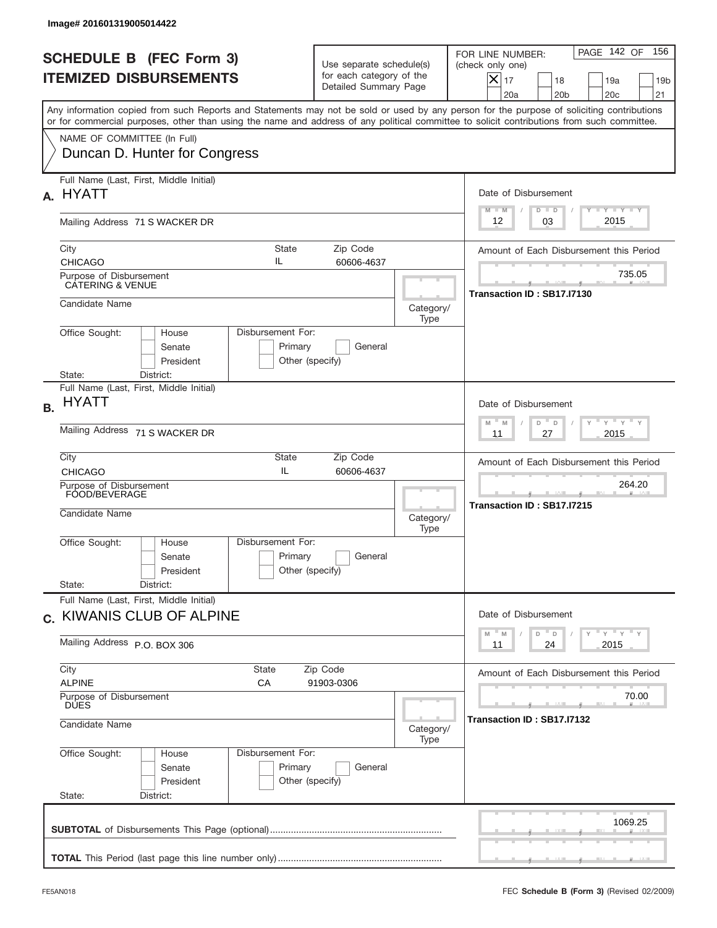| Image# 201601319005014422                                                                                                                                                                                                                                                                                              |                                                                               |                                                           |                                                                                                                                                          |
|------------------------------------------------------------------------------------------------------------------------------------------------------------------------------------------------------------------------------------------------------------------------------------------------------------------------|-------------------------------------------------------------------------------|-----------------------------------------------------------|----------------------------------------------------------------------------------------------------------------------------------------------------------|
| <b>SCHEDULE B (FEC Form 3)</b><br><b>ITEMIZED DISBURSEMENTS</b>                                                                                                                                                                                                                                                        | Use separate schedule(s)<br>for each category of the<br>Detailed Summary Page |                                                           | PAGE 142 OF<br>156<br>FOR LINE NUMBER:<br>(check only one)<br>$ \mathsf{X} _{17}$<br>18<br>19a<br>19 <sub>b</sub><br>20a<br>20 <sub>b</sub><br>20c<br>21 |
| Any information copied from such Reports and Statements may not be sold or used by any person for the purpose of soliciting contributions<br>or for commercial purposes, other than using the name and address of any political committee to solicit contributions from such committee.<br>NAME OF COMMITTEE (In Full) |                                                                               |                                                           |                                                                                                                                                          |
| Duncan D. Hunter for Congress                                                                                                                                                                                                                                                                                          |                                                                               |                                                           |                                                                                                                                                          |
| Full Name (Last, First, Middle Initial)<br><b>HYATT</b><br>A.                                                                                                                                                                                                                                                          |                                                                               |                                                           | Date of Disbursement<br>Y TY TY TY<br>$M - M$<br>$D$ $D$                                                                                                 |
| Mailing Address 71 S WACKER DR                                                                                                                                                                                                                                                                                         |                                                                               |                                                           | 2015<br>03<br>12                                                                                                                                         |
| City<br><b>State</b><br>IL<br><b>CHICAGO</b>                                                                                                                                                                                                                                                                           | Zip Code<br>60606-4637                                                        |                                                           | Amount of Each Disbursement this Period                                                                                                                  |
| Purpose of Disbursement<br><b>CATERING &amp; VENUE</b>                                                                                                                                                                                                                                                                 |                                                                               |                                                           | 735.05<br>Transaction ID: SB17.I7130                                                                                                                     |
| Candidate Name                                                                                                                                                                                                                                                                                                         |                                                                               | Category/<br>Type                                         |                                                                                                                                                          |
| Disbursement For:<br>Office Sought:<br>House<br>Senate<br>Primary<br>President<br>State:<br>District:                                                                                                                                                                                                                  | General<br>Other (specify)                                                    |                                                           |                                                                                                                                                          |
| Full Name (Last, First, Middle Initial)<br><b>HYATT</b><br><b>B.</b>                                                                                                                                                                                                                                                   |                                                                               |                                                           | Date of Disbursement                                                                                                                                     |
| Mailing Address 71 S WACKER DR                                                                                                                                                                                                                                                                                         |                                                                               | ү " ү " ү " ү<br>$-$ M<br>M<br>D<br>D<br>2015<br>11<br>27 |                                                                                                                                                          |
| City<br>State<br>IL<br><b>CHICAGO</b>                                                                                                                                                                                                                                                                                  | Zip Code<br>60606-4637                                                        |                                                           |                                                                                                                                                          |
| Purpose of Disbursement<br>FOOD/BEVERAGE<br>Candidate Name                                                                                                                                                                                                                                                             | Category/<br>Type                                                             | 264.20<br>Transaction ID: SB17.I7215                      |                                                                                                                                                          |
| Disbursement For:<br>Office Sought:<br>House<br>Primary<br>Senate<br>President                                                                                                                                                                                                                                         | General<br>Other (specify)                                                    |                                                           |                                                                                                                                                          |
| State:<br>District:<br>Full Name (Last, First, Middle Initial)                                                                                                                                                                                                                                                         |                                                                               |                                                           |                                                                                                                                                          |
| c. KIWANIS CLUB OF ALPINE<br>Mailing Address P.O. BOX 306                                                                                                                                                                                                                                                              |                                                                               |                                                           | Date of Disbursement<br>ү "ү "ү "ү<br>$-M$<br>$\mathsf D$<br>M<br>D<br>2015<br>11<br>24                                                                  |
| City<br>State<br>Zip Code<br><b>ALPINE</b><br>СA                                                                                                                                                                                                                                                                       |                                                                               | Amount of Each Disbursement this Period                   |                                                                                                                                                          |
| Purpose of Disbursement<br><b>DUES</b>                                                                                                                                                                                                                                                                                 |                                                                               | 70.00<br>Transaction ID: SB17.I7132                       |                                                                                                                                                          |
| Candidate Name                                                                                                                                                                                                                                                                                                         | Category/<br>Type                                                             |                                                           |                                                                                                                                                          |
| Office Sought:<br>Disbursement For:<br>House<br>Primary<br>Senate<br>President<br>Other (specify)<br>State:<br>District:                                                                                                                                                                                               |                                                                               |                                                           |                                                                                                                                                          |
|                                                                                                                                                                                                                                                                                                                        |                                                                               |                                                           | 1069.25                                                                                                                                                  |
|                                                                                                                                                                                                                                                                                                                        |                                                                               |                                                           |                                                                                                                                                          |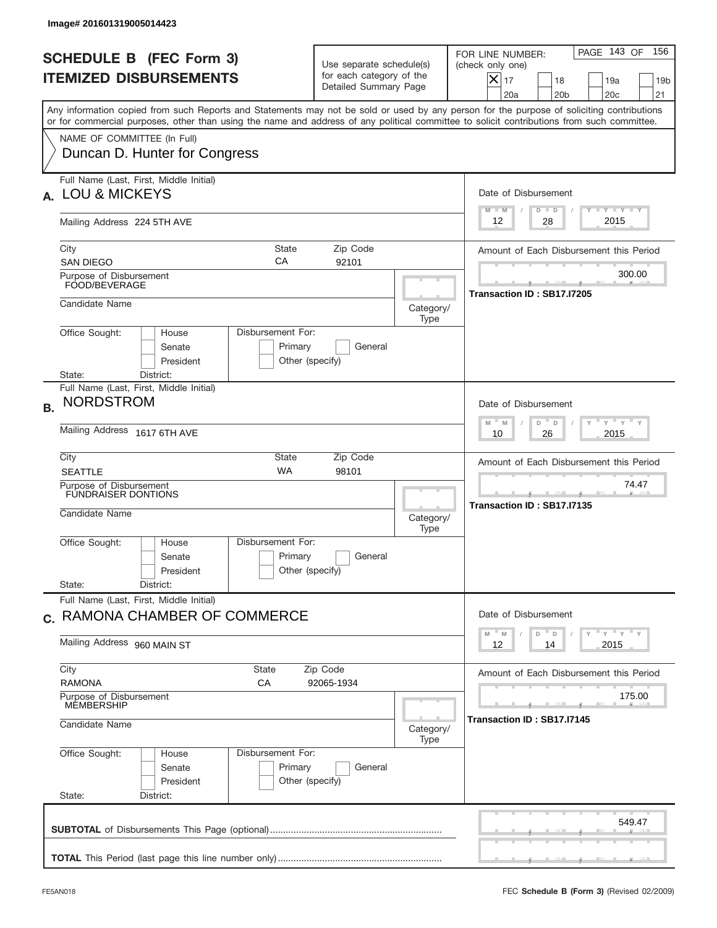|           | Image# 201601319005014423                                                                                                                                                                                                                                                               |                                                                                                |                   |                                                                                                                                                          |  |  |
|-----------|-----------------------------------------------------------------------------------------------------------------------------------------------------------------------------------------------------------------------------------------------------------------------------------------|------------------------------------------------------------------------------------------------|-------------------|----------------------------------------------------------------------------------------------------------------------------------------------------------|--|--|
|           | <b>SCHEDULE B (FEC Form 3)</b><br><b>ITEMIZED DISBURSEMENTS</b>                                                                                                                                                                                                                         | Use separate schedule(s)<br>for each category of the<br>Detailed Summary Page                  |                   | PAGE 143 OF<br>156<br>FOR LINE NUMBER:<br>(check only one)<br>X<br>17<br>18<br>19a<br>19 <sub>b</sub><br>20 <sub>c</sub><br>21<br>20a<br>20 <sub>b</sub> |  |  |
|           | Any information copied from such Reports and Statements may not be sold or used by any person for the purpose of soliciting contributions<br>or for commercial purposes, other than using the name and address of any political committee to solicit contributions from such committee. |                                                                                                |                   |                                                                                                                                                          |  |  |
|           | NAME OF COMMITTEE (In Full)<br>Duncan D. Hunter for Congress                                                                                                                                                                                                                            |                                                                                                |                   |                                                                                                                                                          |  |  |
|           | Full Name (Last, First, Middle Initial)<br>A. LOU & MICKEYS                                                                                                                                                                                                                             |                                                                                                |                   | Date of Disbursement<br>$T - Y$ $T - Y$<br>$M - M$<br>$D$ $D$                                                                                            |  |  |
|           | Mailing Address 224 5TH AVE                                                                                                                                                                                                                                                             |                                                                                                |                   | 2015<br>28<br>12                                                                                                                                         |  |  |
|           | <b>State</b><br>City<br>CA<br><b>SAN DIEGO</b>                                                                                                                                                                                                                                          | Zip Code<br>92101                                                                              |                   | Amount of Each Disbursement this Period                                                                                                                  |  |  |
|           | Purpose of Disbursement<br>FOOD/BEVERAGE                                                                                                                                                                                                                                                |                                                                                                |                   | 300.00<br>Transaction ID: SB17.I7205                                                                                                                     |  |  |
|           | Candidate Name                                                                                                                                                                                                                                                                          |                                                                                                | Category/<br>Type |                                                                                                                                                          |  |  |
|           | Disbursement For:<br>Office Sought:<br>House<br>Senate<br>Primary<br>President<br>State:<br>District:                                                                                                                                                                                   | General<br>Other (specify)                                                                     |                   |                                                                                                                                                          |  |  |
| <b>B.</b> | Full Name (Last, First, Middle Initial)<br><b>NORDSTROM</b>                                                                                                                                                                                                                             |                                                                                                |                   | Date of Disbursement                                                                                                                                     |  |  |
|           | Mailing Address 1617 6TH AVE                                                                                                                                                                                                                                                            | $\cdots$ $\gamma$ $\cdots$ $\gamma$ $\cdots$ $\gamma$<br>$M - M$<br>D<br>D<br>2015<br>10<br>26 |                   |                                                                                                                                                          |  |  |
|           | City<br>State<br><b>WA</b><br><b>SEATTLE</b>                                                                                                                                                                                                                                            | Zip Code<br>98101                                                                              |                   | Amount of Each Disbursement this Period                                                                                                                  |  |  |
|           | Purpose of Disbursement<br><b>FUNDRAISER DONTIONS</b><br>Candidate Name<br>Category/                                                                                                                                                                                                    |                                                                                                |                   | 74.47<br>__<br>Transaction ID: SB17.I7135                                                                                                                |  |  |
|           | Disbursement For:<br>Office Sought:<br>House<br>Primary<br>Senate<br>President                                                                                                                                                                                                          | General<br>Other (specify)                                                                     | Type              |                                                                                                                                                          |  |  |
|           | State:<br>District:<br>Full Name (Last, First, Middle Initial)                                                                                                                                                                                                                          |                                                                                                |                   |                                                                                                                                                          |  |  |
|           | c. RAMONA CHAMBER OF COMMERCE                                                                                                                                                                                                                                                           |                                                                                                |                   | Date of Disbursement<br>ү"ү"ү"ү<br>$M$ <sup><math>=</math></sup><br>D<br>M<br>D                                                                          |  |  |
|           | Mailing Address 960 MAIN ST                                                                                                                                                                                                                                                             |                                                                                                |                   |                                                                                                                                                          |  |  |
|           | City<br>State<br><b>RAMONA</b><br>СA                                                                                                                                                                                                                                                    | Zip Code<br>92065-1934                                                                         |                   | Amount of Each Disbursement this Period                                                                                                                  |  |  |
|           | Purpose of Disbursement<br><b>MEMBERSHIP</b><br>Candidate Name                                                                                                                                                                                                                          | 175.00<br>Transaction ID: SB17.I7145                                                           |                   |                                                                                                                                                          |  |  |
|           | Office Sought:<br>Disbursement For:<br>House<br>Primary<br>Senate                                                                                                                                                                                                                       |                                                                                                |                   |                                                                                                                                                          |  |  |
|           | President<br>State:<br>District:                                                                                                                                                                                                                                                        | General<br>Other (specify)                                                                     |                   |                                                                                                                                                          |  |  |
|           |                                                                                                                                                                                                                                                                                         |                                                                                                |                   | 549.47                                                                                                                                                   |  |  |
|           |                                                                                                                                                                                                                                                                                         |                                                                                                |                   |                                                                                                                                                          |  |  |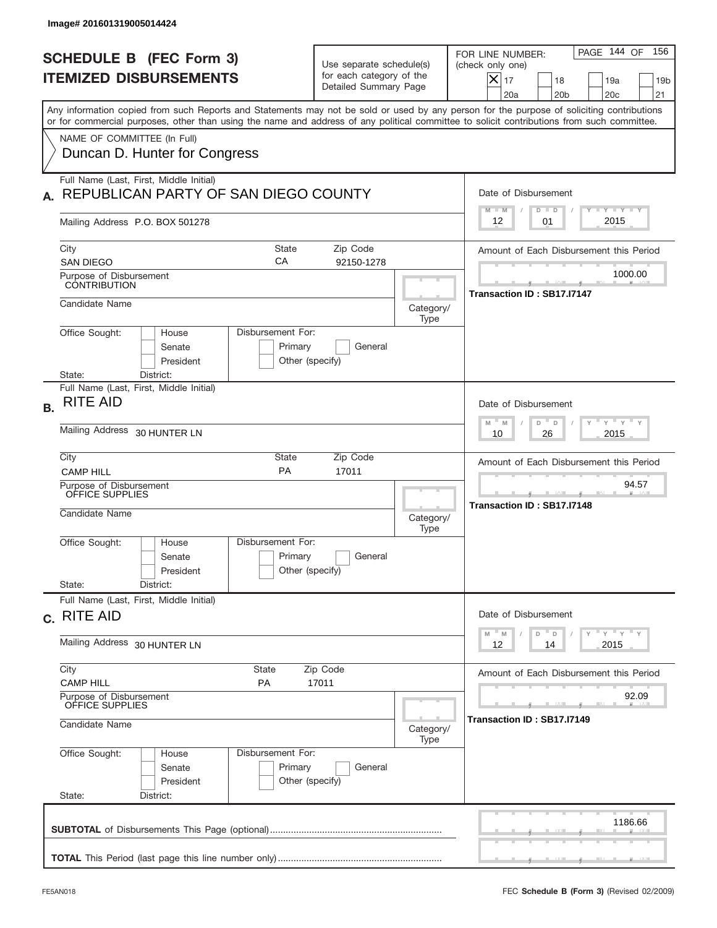|           | Image# 201601319005014424                                                       |                                                 |                                                                               |                   |                                                                                                                                                                                                                                                                                         |
|-----------|---------------------------------------------------------------------------------|-------------------------------------------------|-------------------------------------------------------------------------------|-------------------|-----------------------------------------------------------------------------------------------------------------------------------------------------------------------------------------------------------------------------------------------------------------------------------------|
|           | <b>SCHEDULE B (FEC Form 3)</b><br><b>ITEMIZED DISBURSEMENTS</b>                 |                                                 | Use separate schedule(s)<br>for each category of the<br>Detailed Summary Page |                   | PAGE 144 OF<br>156<br>FOR LINE NUMBER:<br>(check only one)<br>$ \mathsf{X} _{17}$<br>18<br>19a<br>19 <sub>b</sub><br>20a<br>20 <sub>b</sub><br>20 <sub>c</sub><br>21                                                                                                                    |
|           |                                                                                 |                                                 |                                                                               |                   | Any information copied from such Reports and Statements may not be sold or used by any person for the purpose of soliciting contributions<br>or for commercial purposes, other than using the name and address of any political committee to solicit contributions from such committee. |
|           | NAME OF COMMITTEE (In Full)<br>Duncan D. Hunter for Congress                    |                                                 |                                                                               |                   |                                                                                                                                                                                                                                                                                         |
|           | Full Name (Last, First, Middle Initial)<br>REPUBLICAN PARTY OF SAN DIEGO COUNTY |                                                 |                                                                               |                   | Date of Disbursement<br>Y FY FY FY<br>$M - M$<br>$D$ $D$                                                                                                                                                                                                                                |
|           | Mailing Address P.O. BOX 501278                                                 |                                                 |                                                                               |                   | 2015<br>12<br>01                                                                                                                                                                                                                                                                        |
|           | City<br><b>SAN DIEGO</b>                                                        | <b>State</b><br>CA                              | Zip Code<br>92150-1278                                                        |                   | Amount of Each Disbursement this Period                                                                                                                                                                                                                                                 |
|           | Purpose of Disbursement<br><b>CONTRIBUTION</b>                                  |                                                 |                                                                               |                   | 1000.00<br>Transaction ID: SB17.I7147                                                                                                                                                                                                                                                   |
|           | Candidate Name                                                                  |                                                 |                                                                               | Category/<br>Type |                                                                                                                                                                                                                                                                                         |
|           | Office Sought:<br>House<br>Senate<br>President<br>State:<br>District:           | Disbursement For:<br>Primary<br>Other (specify) | General                                                                       |                   |                                                                                                                                                                                                                                                                                         |
| <b>B.</b> | Full Name (Last, First, Middle Initial)<br><b>RITE AID</b>                      |                                                 |                                                                               |                   | Date of Disbursement<br>$-\gamma + \gamma - \gamma$                                                                                                                                                                                                                                     |
|           | Mailing Address 30 HUNTER LN                                                    | $M - M$<br>D<br>D<br>2015<br>10<br>26           |                                                                               |                   |                                                                                                                                                                                                                                                                                         |
|           | City<br><b>CAMP HILL</b>                                                        | State<br>PA                                     | Zip Code<br>17011                                                             |                   | Amount of Each Disbursement this Period                                                                                                                                                                                                                                                 |
|           | Purpose of Disbursement<br>OFFICE SUPPLIES<br>Candidate Name                    |                                                 |                                                                               | Category/<br>Type | 94.57<br>Transaction ID: SB17.I7148                                                                                                                                                                                                                                                     |
|           | Office Sought:<br>House<br>Senate<br>President                                  | Disbursement For:<br>Primary<br>Other (specify) | General                                                                       |                   |                                                                                                                                                                                                                                                                                         |
|           | State:<br>District:<br>Full Name (Last, First, Middle Initial)                  |                                                 |                                                                               |                   |                                                                                                                                                                                                                                                                                         |
|           | c. RITE AID                                                                     |                                                 |                                                                               |                   | Date of Disbursement<br>$Y$ $Y$ $Y$ $Y$ $Y$<br>$-M$<br>D<br>M<br>$\mathsf D$                                                                                                                                                                                                            |
|           | Mailing Address 30 HUNTER LN                                                    | 2015<br>12<br>14                                |                                                                               |                   |                                                                                                                                                                                                                                                                                         |
|           | City<br><b>CAMP HILL</b>                                                        | State<br><b>PA</b>                              | Zip Code<br>17011                                                             |                   | Amount of Each Disbursement this Period                                                                                                                                                                                                                                                 |
|           | Purpose of Disbursement<br>OFFICE SUPPLIES<br>Candidate Name                    |                                                 |                                                                               | Category/<br>Type | 92.09<br>Transaction ID : SB17.I7149                                                                                                                                                                                                                                                    |
|           | Office Sought:<br>House<br>Senate<br>President<br>State:<br>District:           | Disbursement For:<br>Primary<br>Other (specify) | General                                                                       |                   |                                                                                                                                                                                                                                                                                         |
|           |                                                                                 |                                                 |                                                                               |                   | 1186.66                                                                                                                                                                                                                                                                                 |
|           |                                                                                 |                                                 |                                                                               |                   |                                                                                                                                                                                                                                                                                         |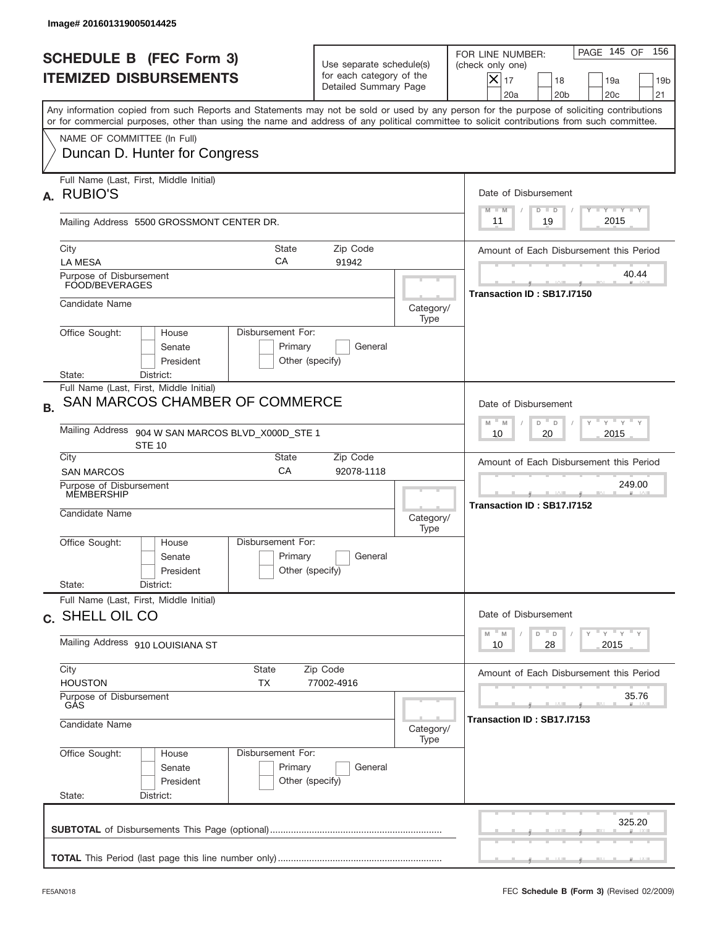| Image# 201601319005014425                                                                                                                                                                                                                                                               |                                                                               |                   |                                                                                                                                                                 |  |
|-----------------------------------------------------------------------------------------------------------------------------------------------------------------------------------------------------------------------------------------------------------------------------------------|-------------------------------------------------------------------------------|-------------------|-----------------------------------------------------------------------------------------------------------------------------------------------------------------|--|
| <b>SCHEDULE B (FEC Form 3)</b><br><b>ITEMIZED DISBURSEMENTS</b>                                                                                                                                                                                                                         | Use separate schedule(s)<br>for each category of the<br>Detailed Summary Page |                   | 156<br>PAGE 145 OF<br>FOR LINE NUMBER:<br>(check only one)<br>$\times$<br>17<br>18<br>19a<br>19 <sub>b</sub><br>20a<br>20 <sub>b</sub><br>20 <sub>c</sub><br>21 |  |
| Any information copied from such Reports and Statements may not be sold or used by any person for the purpose of soliciting contributions<br>or for commercial purposes, other than using the name and address of any political committee to solicit contributions from such committee. |                                                                               |                   |                                                                                                                                                                 |  |
| NAME OF COMMITTEE (In Full)<br>Duncan D. Hunter for Congress                                                                                                                                                                                                                            |                                                                               |                   |                                                                                                                                                                 |  |
| Full Name (Last, First, Middle Initial)<br><b>RUBIO'S</b><br>А.                                                                                                                                                                                                                         |                                                                               |                   | Date of Disbursement                                                                                                                                            |  |
| Mailing Address 5500 GROSSMONT CENTER DR.                                                                                                                                                                                                                                               |                                                                               |                   | $T - Y$ $T - Y$<br>$M - M$<br>$D$ $D$<br>2015<br>19<br>11                                                                                                       |  |
| City<br><b>LA MESA</b>                                                                                                                                                                                                                                                                  | State<br>Zip Code<br>CA<br>91942                                              |                   | Amount of Each Disbursement this Period                                                                                                                         |  |
| Purpose of Disbursement<br>FOOD/BEVERAGES                                                                                                                                                                                                                                               |                                                                               |                   | 40.44<br>Transaction ID: SB17.I7150                                                                                                                             |  |
| Candidate Name                                                                                                                                                                                                                                                                          |                                                                               | Category/<br>Type |                                                                                                                                                                 |  |
| Office Sought:<br>House<br>Senate<br>President                                                                                                                                                                                                                                          | Disbursement For:<br>Primary<br>General<br>Other (specify)                    |                   |                                                                                                                                                                 |  |
| State:<br>District:<br>Full Name (Last, First, Middle Initial)<br>SAN MARCOS CHAMBER OF COMMERCE<br><b>B.</b>                                                                                                                                                                           |                                                                               |                   | Date of Disbursement                                                                                                                                            |  |
| <b>Mailing Address</b><br>904 W SAN MARCOS BLVD_X000D_STE 1<br><b>STE 10</b>                                                                                                                                                                                                            | $M - M$<br>≡ γ ≡ γ ≡<br>D<br>D<br>2015<br>10<br>20                            |                   |                                                                                                                                                                 |  |
| City<br><b>SAN MARCOS</b>                                                                                                                                                                                                                                                               | State<br>Zip Code<br>CA<br>92078-1118                                         |                   | Amount of Each Disbursement this Period                                                                                                                         |  |
| Purpose of Disbursement<br>MEMBERSHIP<br>Candidate Name                                                                                                                                                                                                                                 |                                                                               | Category/<br>Type | 249.00<br>Transaction ID: SB17.I7152                                                                                                                            |  |
| Office Sought:<br>House<br>Senate<br>President                                                                                                                                                                                                                                          | Disbursement For:<br>Primary<br>General<br>Other (specify)                    |                   |                                                                                                                                                                 |  |
| State:<br>District:<br>Full Name (Last, First, Middle Initial)                                                                                                                                                                                                                          |                                                                               |                   |                                                                                                                                                                 |  |
| c. SHELL OIL CO                                                                                                                                                                                                                                                                         |                                                                               |                   | Date of Disbursement<br>$\gamma$ $\gamma$ $\gamma$ $\gamma$ $\gamma$<br>M<br>D<br>M<br>D                                                                        |  |
| Mailing Address 910 LOUISIANA ST                                                                                                                                                                                                                                                        |                                                                               |                   | 2015<br>10<br>28                                                                                                                                                |  |
| City<br>State<br><b>HOUSTON</b><br>ТX                                                                                                                                                                                                                                                   | Zip Code<br>77002-4916                                                        |                   | Amount of Each Disbursement this Period                                                                                                                         |  |
| GÁS<br>Candidate Name                                                                                                                                                                                                                                                                   | Purpose of Disbursement                                                       |                   |                                                                                                                                                                 |  |
| Office Sought:<br>House<br>Senate<br>President<br>State:<br>District:                                                                                                                                                                                                                   | Disbursement For:<br>Primary<br>General<br>Other (specify)                    | Category/<br>Type |                                                                                                                                                                 |  |
|                                                                                                                                                                                                                                                                                         |                                                                               |                   | 325.20                                                                                                                                                          |  |
|                                                                                                                                                                                                                                                                                         |                                                                               |                   |                                                                                                                                                                 |  |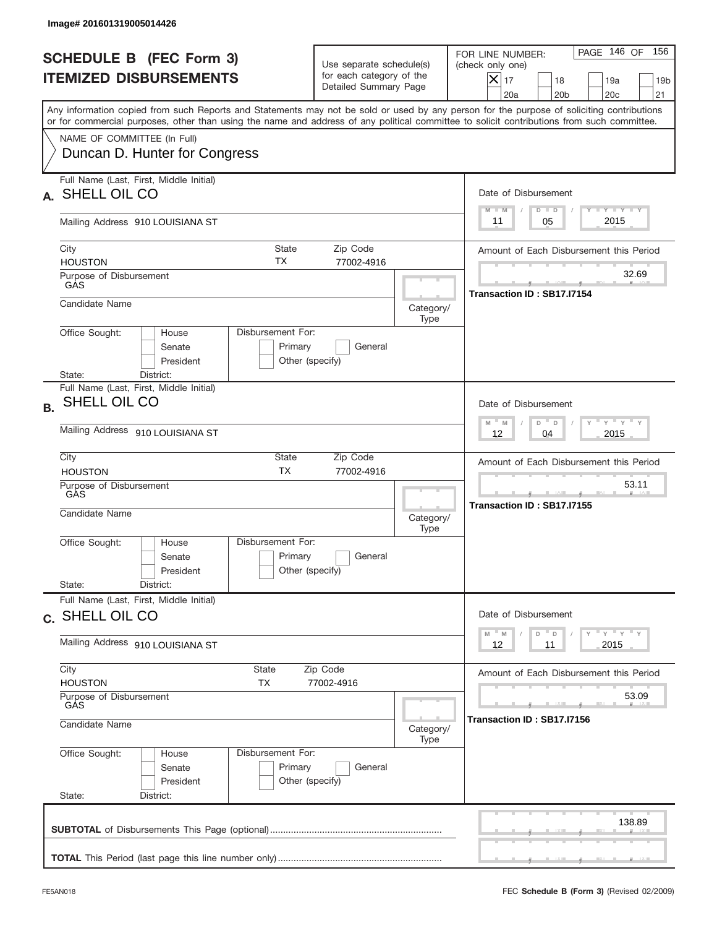|           | Image# 201601319005014426                                             |                                                                          |                                                                               |                   |                                                                                                                                                                                                                                                                                         |
|-----------|-----------------------------------------------------------------------|--------------------------------------------------------------------------|-------------------------------------------------------------------------------|-------------------|-----------------------------------------------------------------------------------------------------------------------------------------------------------------------------------------------------------------------------------------------------------------------------------------|
|           | <b>SCHEDULE B (FEC Form 3)</b><br><b>ITEMIZED DISBURSEMENTS</b>       |                                                                          | Use separate schedule(s)<br>for each category of the<br>Detailed Summary Page |                   | PAGE 146 OF<br>156<br>FOR LINE NUMBER:<br>(check only one)<br>$X _{17}$<br>18<br>19a<br>19 <sub>b</sub><br>20 <sub>c</sub><br>20a<br>20 <sub>b</sub><br>21                                                                                                                              |
|           |                                                                       |                                                                          |                                                                               |                   | Any information copied from such Reports and Statements may not be sold or used by any person for the purpose of soliciting contributions<br>or for commercial purposes, other than using the name and address of any political committee to solicit contributions from such committee. |
|           | NAME OF COMMITTEE (In Full)<br>Duncan D. Hunter for Congress          |                                                                          |                                                                               |                   |                                                                                                                                                                                                                                                                                         |
| А.        | Full Name (Last, First, Middle Initial)<br>SHELL OIL CO               |                                                                          |                                                                               |                   | Date of Disbursement<br><b>TANK TANK</b><br>$M - M$<br>$D$ $D$                                                                                                                                                                                                                          |
|           | Mailing Address 910 LOUISIANA ST                                      |                                                                          |                                                                               |                   | 2015<br>05<br>11                                                                                                                                                                                                                                                                        |
|           | City<br><b>HOUSTON</b><br>Purpose of Disbursement                     | State<br>ТX                                                              | Zip Code<br>77002-4916                                                        |                   | Amount of Each Disbursement this Period<br>32.69                                                                                                                                                                                                                                        |
|           | GAS<br>Candidate Name                                                 |                                                                          |                                                                               | Category/         | Transaction ID: SB17.I7154                                                                                                                                                                                                                                                              |
|           | Office Sought:<br>House<br>Senate<br>President<br>State:<br>District: | Disbursement For:<br>Primary<br>Other (specify)                          | General                                                                       | Type              |                                                                                                                                                                                                                                                                                         |
| <b>B.</b> | Full Name (Last, First, Middle Initial)<br>SHELL OIL CO               |                                                                          |                                                                               |                   | Date of Disbursement<br>$-\gamma + \gamma - \gamma$<br>$M - M$<br>D<br>$\Box$                                                                                                                                                                                                           |
|           | Mailing Address 910 LOUISIANA ST<br>City                              | State                                                                    | Zip Code                                                                      |                   | 2015<br>12<br>04<br>Amount of Each Disbursement this Period                                                                                                                                                                                                                             |
|           | <b>HOUSTON</b><br>Purpose of Disbursement<br>GÀS<br>Candidate Name    | <b>TX</b>                                                                | 77002-4916                                                                    | Category/<br>Type | 53.11<br>Transaction ID: SB17.I7155                                                                                                                                                                                                                                                     |
|           | Office Sought:<br>House<br>Senate<br>President<br>State:<br>District: | Disbursement For:<br>Primary<br>Other (specify)                          | General                                                                       |                   |                                                                                                                                                                                                                                                                                         |
|           | Full Name (Last, First, Middle Initial)<br>c. SHELL OIL CO            |                                                                          |                                                                               |                   | Date of Disbursement                                                                                                                                                                                                                                                                    |
|           | Mailing Address 910 LOUISIANA ST                                      | $Y$ $Y$ $Y$ $Y$ $Y$<br>$-M$<br>$\mathbb M$<br>D<br>D<br>2015<br>12<br>11 |                                                                               |                   |                                                                                                                                                                                                                                                                                         |
|           | City<br><b>HOUSTON</b>                                                | State<br>ТX                                                              | Zip Code<br>77002-4916                                                        |                   | Amount of Each Disbursement this Period                                                                                                                                                                                                                                                 |
|           | Purpose of Disbursement<br>GÅS<br>Candidate Name                      |                                                                          |                                                                               |                   | 53.09<br>Transaction ID : SB17.I7156                                                                                                                                                                                                                                                    |
|           | Office Sought:<br>House<br>Senate<br>President<br>State:<br>District: | Disbursement For:<br>Primary<br>Other (specify)                          | General                                                                       | Type              |                                                                                                                                                                                                                                                                                         |
|           |                                                                       |                                                                          |                                                                               |                   | 138.89                                                                                                                                                                                                                                                                                  |
|           |                                                                       |                                                                          |                                                                               |                   |                                                                                                                                                                                                                                                                                         |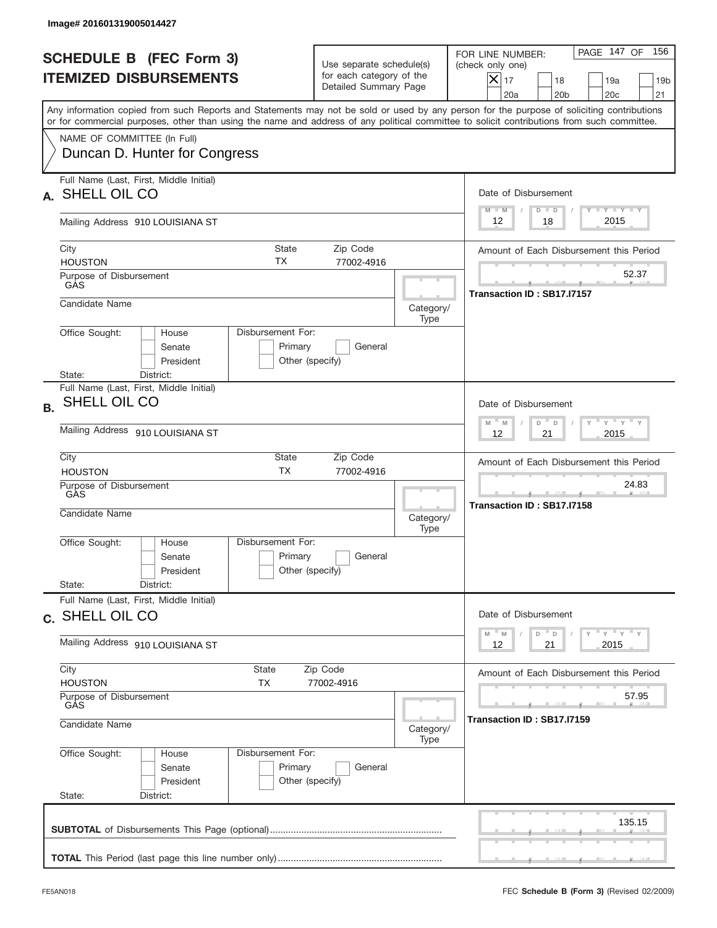| Image# 201601319005014427                                             |                                                 |                                                                               |                                         |                                                                                                                                                                                                                                                                                         |  |
|-----------------------------------------------------------------------|-------------------------------------------------|-------------------------------------------------------------------------------|-----------------------------------------|-----------------------------------------------------------------------------------------------------------------------------------------------------------------------------------------------------------------------------------------------------------------------------------------|--|
| <b>SCHEDULE B (FEC Form 3)</b><br><b>ITEMIZED DISBURSEMENTS</b>       |                                                 | Use separate schedule(s)<br>for each category of the<br>Detailed Summary Page |                                         | PAGE 147 OF<br>156<br>FOR LINE NUMBER:<br>(check only one)<br>$X _{17}$<br>18<br>19a<br>19 <sub>b</sub><br>20a<br>20 <sub>b</sub><br>20 <sub>c</sub><br>21                                                                                                                              |  |
| NAME OF COMMITTEE (In Full)                                           |                                                 |                                                                               |                                         | Any information copied from such Reports and Statements may not be sold or used by any person for the purpose of soliciting contributions<br>or for commercial purposes, other than using the name and address of any political committee to solicit contributions from such committee. |  |
| Duncan D. Hunter for Congress                                         |                                                 |                                                                               |                                         |                                                                                                                                                                                                                                                                                         |  |
| Full Name (Last, First, Middle Initial)<br>SHELL OIL CO<br>А.         |                                                 |                                                                               |                                         | Date of Disbursement<br>Y I Y I Y I Y<br>$M - M$<br>$D$ $D$                                                                                                                                                                                                                             |  |
| Mailing Address 910 LOUISIANA ST                                      |                                                 |                                                                               |                                         | 2015<br>18<br>12                                                                                                                                                                                                                                                                        |  |
| City<br><b>HOUSTON</b>                                                | State<br>ТX                                     |                                                                               | Amount of Each Disbursement this Period |                                                                                                                                                                                                                                                                                         |  |
| Purpose of Disbursement<br>GAS                                        |                                                 |                                                                               |                                         | 52.37<br>Transaction ID: SB17.I7157                                                                                                                                                                                                                                                     |  |
| Candidate Name                                                        |                                                 |                                                                               | Category/<br>Type                       |                                                                                                                                                                                                                                                                                         |  |
| Office Sought:<br>House<br>Senate<br>President<br>State:<br>District: | Disbursement For:<br>Primary<br>Other (specify) | General                                                                       |                                         |                                                                                                                                                                                                                                                                                         |  |
| Full Name (Last, First, Middle Initial)<br>SHELL OIL CO<br><b>B.</b>  |                                                 |                                                                               |                                         | Date of Disbursement<br>$\gamma$ $\gamma$ $\gamma$ $\gamma$ $\gamma$<br>$M - M$<br>D<br>$\mathsf D$                                                                                                                                                                                     |  |
| Mailing Address 910 LOUISIANA ST                                      |                                                 |                                                                               |                                         |                                                                                                                                                                                                                                                                                         |  |
| City<br><b>HOUSTON</b>                                                | State<br><b>TX</b>                              | Zip Code<br>77002-4916                                                        |                                         | Amount of Each Disbursement this Period<br>24.83                                                                                                                                                                                                                                        |  |
| Purpose of Disbursement<br>GÀS<br>Candidate Name                      |                                                 |                                                                               | Category/<br>Type                       | Transaction ID: SB17.I7158                                                                                                                                                                                                                                                              |  |
| Office Sought:<br>House<br>Senate<br>President                        | Disbursement For:<br>Primary<br>Other (specify) | General                                                                       |                                         |                                                                                                                                                                                                                                                                                         |  |
| State:<br>District:<br>Full Name (Last, First, Middle Initial)        |                                                 |                                                                               |                                         | Date of Disbursement                                                                                                                                                                                                                                                                    |  |
| c. SHELL OIL CO<br>Mailing Address 910 LOUISIANA ST                   |                                                 |                                                                               |                                         | ү" ү" ү" ү<br>$-M$<br>D<br>M<br>$\mathsf D$<br>2015<br>12<br>21                                                                                                                                                                                                                         |  |
| City<br><b>HOUSTON</b>                                                | State<br>TX                                     | Zip Code<br>77002-4916                                                        |                                         | Amount of Each Disbursement this Period                                                                                                                                                                                                                                                 |  |
| Purpose of Disbursement<br>GÁS                                        |                                                 |                                                                               | 57.95                                   |                                                                                                                                                                                                                                                                                         |  |
| Candidate Name                                                        |                                                 | Category/<br>Type                                                             | Transaction ID: SB17.I7159              |                                                                                                                                                                                                                                                                                         |  |
| Office Sought:<br>House<br>Senate<br>President<br>State:<br>District: | Disbursement For:<br>Primary<br>Other (specify) | General                                                                       |                                         |                                                                                                                                                                                                                                                                                         |  |
|                                                                       |                                                 |                                                                               |                                         | 135.15                                                                                                                                                                                                                                                                                  |  |
|                                                                       |                                                 |                                                                               |                                         |                                                                                                                                                                                                                                                                                         |  |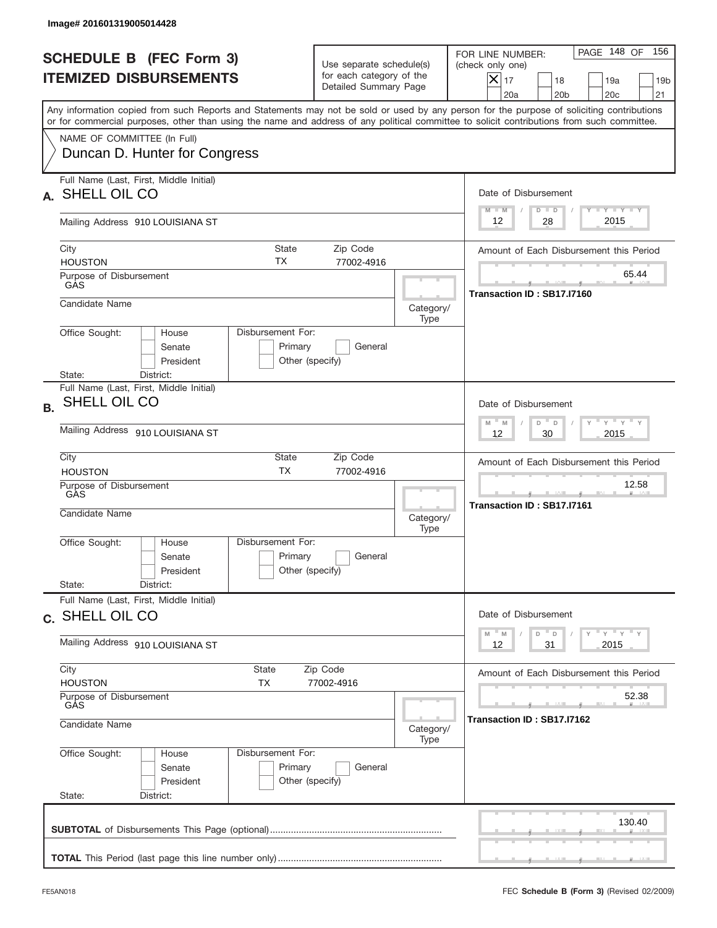|           | Image# 201601319005014428                                                                                                                  |                                                                           |                                                                               |                   |                                                                                                                                                            |
|-----------|--------------------------------------------------------------------------------------------------------------------------------------------|---------------------------------------------------------------------------|-------------------------------------------------------------------------------|-------------------|------------------------------------------------------------------------------------------------------------------------------------------------------------|
|           | <b>SCHEDULE B (FEC Form 3)</b><br><b>ITEMIZED DISBURSEMENTS</b>                                                                            |                                                                           | Use separate schedule(s)<br>for each category of the<br>Detailed Summary Page |                   | 156<br>PAGE 148 OF<br>FOR LINE NUMBER:<br>(check only one)<br>$X _{17}$<br>18<br>19a<br>19 <sub>b</sub><br>20 <sub>c</sub><br>20a<br>20 <sub>b</sub><br>21 |
|           | or for commercial purposes, other than using the name and address of any political committee to solicit contributions from such committee. |                                                                           |                                                                               |                   | Any information copied from such Reports and Statements may not be sold or used by any person for the purpose of soliciting contributions                  |
|           | NAME OF COMMITTEE (In Full)<br>Duncan D. Hunter for Congress                                                                               |                                                                           |                                                                               |                   |                                                                                                                                                            |
| А.        | Full Name (Last, First, Middle Initial)<br>SHELL OIL CO                                                                                    |                                                                           |                                                                               |                   | Date of Disbursement<br>$T$ $Y$ $T$ $Y$ $T$ $Y$<br>$M - M$<br>$D$ $D$                                                                                      |
|           | Mailing Address 910 LOUISIANA ST                                                                                                           |                                                                           |                                                                               |                   | 2015<br>28<br>12                                                                                                                                           |
|           | City<br><b>HOUSTON</b><br>Purpose of Disbursement                                                                                          | State<br>ТX                                                               | Zip Code<br>77002-4916                                                        |                   | Amount of Each Disbursement this Period<br>65.44                                                                                                           |
|           | GAS<br>Candidate Name                                                                                                                      |                                                                           |                                                                               |                   | Transaction ID: SB17.I7160                                                                                                                                 |
|           | Office Sought:<br>House                                                                                                                    | Disbursement For:                                                         |                                                                               | Category/<br>Type |                                                                                                                                                            |
|           | Senate<br>President<br>State:<br>District:                                                                                                 | Primary<br>Other (specify)                                                | General                                                                       |                   |                                                                                                                                                            |
| <b>B.</b> | Full Name (Last, First, Middle Initial)<br>SHELL OIL CO                                                                                    |                                                                           |                                                                               |                   | Date of Disbursement                                                                                                                                       |
|           | Mailing Address 910 LOUISIANA ST                                                                                                           | $-\gamma + \gamma - \gamma$<br>$M - M$<br>D<br>$\Box$<br>30<br>2015<br>12 |                                                                               |                   |                                                                                                                                                            |
|           | City<br><b>HOUSTON</b>                                                                                                                     | State<br><b>TX</b>                                                        | Zip Code<br>77002-4916                                                        |                   | Amount of Each Disbursement this Period                                                                                                                    |
|           | Purpose of Disbursement<br>GÀS<br>Candidate Name                                                                                           |                                                                           |                                                                               | Category/<br>Type | 12.58<br>__<br>Transaction ID: SB17.I7161                                                                                                                  |
|           | Office Sought:<br>House<br>Senate<br>President                                                                                             | Disbursement For:<br>Primary<br>Other (specify)                           | General                                                                       |                   |                                                                                                                                                            |
|           | State:<br>District:<br>Full Name (Last, First, Middle Initial)                                                                             |                                                                           |                                                                               |                   |                                                                                                                                                            |
|           | c. SHELL OIL CO                                                                                                                            |                                                                           |                                                                               |                   | Date of Disbursement<br>$Y$ $Y$ $Y$ $Y$ $Y$<br>$-M$<br>D<br>M<br>D                                                                                         |
|           | Mailing Address 910 LOUISIANA ST                                                                                                           | 31<br>2015<br>12                                                          |                                                                               |                   |                                                                                                                                                            |
|           | City<br>State<br><b>HOUSTON</b><br>ТX                                                                                                      |                                                                           | Zip Code<br>77002-4916                                                        |                   | Amount of Each Disbursement this Period                                                                                                                    |
|           | Purpose of Disbursement<br>GÅS<br>Candidate Name                                                                                           | Category/                                                                 | 52.38<br>Transaction ID : SB17.I7162                                          |                   |                                                                                                                                                            |
|           | Office Sought:<br>House<br>Senate<br>President<br>State:<br>District:                                                                      | Disbursement For:<br>Primary<br>Other (specify)                           | General                                                                       | Type              |                                                                                                                                                            |
|           |                                                                                                                                            |                                                                           |                                                                               |                   | 130.40                                                                                                                                                     |
|           |                                                                                                                                            |                                                                           |                                                                               |                   |                                                                                                                                                            |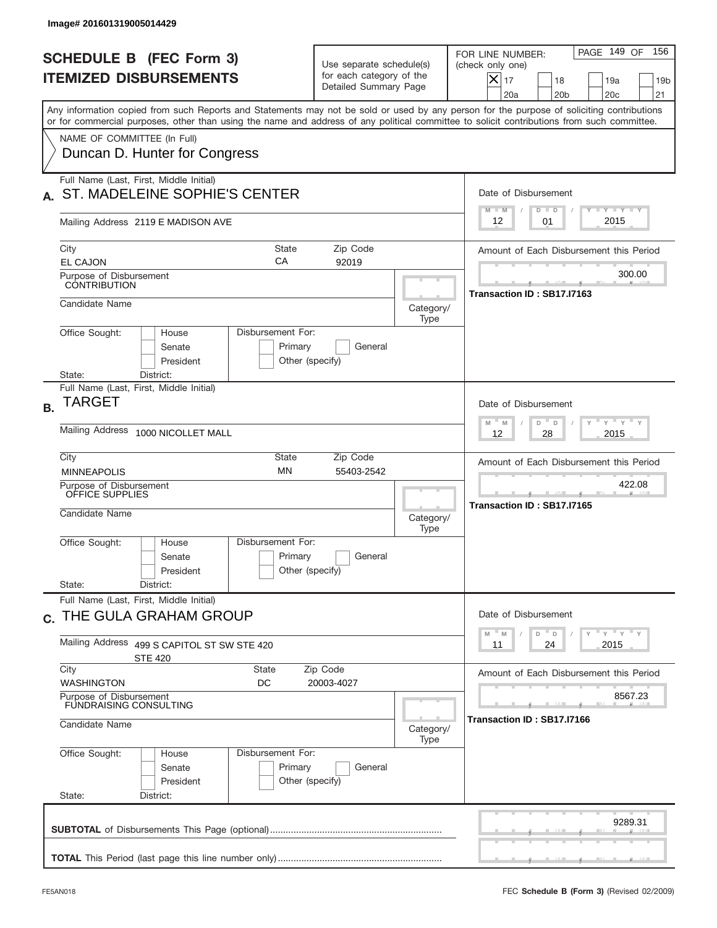|           | Image# 201601319005014429                                                                                                                                                                                                                                                               |                                                                               |                   |                                                                                                                                                                 |
|-----------|-----------------------------------------------------------------------------------------------------------------------------------------------------------------------------------------------------------------------------------------------------------------------------------------|-------------------------------------------------------------------------------|-------------------|-----------------------------------------------------------------------------------------------------------------------------------------------------------------|
|           | <b>SCHEDULE B (FEC Form 3)</b><br><b>ITEMIZED DISBURSEMENTS</b>                                                                                                                                                                                                                         | Use separate schedule(s)<br>for each category of the<br>Detailed Summary Page |                   | PAGE 149 OF<br>156<br>FOR LINE NUMBER:<br>(check only one)<br>$\times$<br>17<br>18<br>19 <sub>b</sub><br>19a<br>20a<br>20 <sub>b</sub><br>20 <sub>c</sub><br>21 |
|           | Any information copied from such Reports and Statements may not be sold or used by any person for the purpose of soliciting contributions<br>or for commercial purposes, other than using the name and address of any political committee to solicit contributions from such committee. |                                                                               |                   |                                                                                                                                                                 |
|           | NAME OF COMMITTEE (In Full)<br>Duncan D. Hunter for Congress                                                                                                                                                                                                                            |                                                                               |                   |                                                                                                                                                                 |
|           | Full Name (Last, First, Middle Initial)<br>ST. MADELEINE SOPHIE'S CENTER                                                                                                                                                                                                                |                                                                               |                   | Date of Disbursement<br>Y FY FY FY<br>$M - M$<br>$D$ $D$                                                                                                        |
|           | Mailing Address 2119 E MADISON AVE                                                                                                                                                                                                                                                      |                                                                               |                   | 2015<br>12<br>01                                                                                                                                                |
|           | City<br><b>State</b><br>СA                                                                                                                                                                                                                                                              | Zip Code                                                                      |                   | Amount of Each Disbursement this Period                                                                                                                         |
|           | <b>EL CAJON</b><br>Purpose of Disbursement<br><b>CONTRIBUTION</b>                                                                                                                                                                                                                       | 92019                                                                         |                   | 300.00<br>Transaction ID: SB17.I7163                                                                                                                            |
|           | Candidate Name                                                                                                                                                                                                                                                                          |                                                                               | Category/<br>Type |                                                                                                                                                                 |
|           | Disbursement For:<br>Office Sought:<br>House<br>Primary<br>Senate<br>President<br>Other (specify)<br>District:<br>State:                                                                                                                                                                | General                                                                       |                   |                                                                                                                                                                 |
| <b>B.</b> | Full Name (Last, First, Middle Initial)<br>TARGET                                                                                                                                                                                                                                       |                                                                               |                   | Date of Disbursement                                                                                                                                            |
|           | <b>Mailing Address</b><br>1000 NICOLLET MALL                                                                                                                                                                                                                                            |                                                                               |                   | $-\gamma + \gamma - \gamma$<br>$-M$<br>D <sup>"</sup><br>M<br>D<br>2015<br>12<br>28                                                                             |
|           | City<br>State<br><b>MN</b><br><b>MINNEAPOLIS</b>                                                                                                                                                                                                                                        | Zip Code<br>55403-2542                                                        |                   | Amount of Each Disbursement this Period                                                                                                                         |
|           | Purpose of Disbursement<br>OFFICE SUPPLIES<br>Candidate Name                                                                                                                                                                                                                            |                                                                               | Category/<br>Type | 422.08<br>Transaction ID: SB17.I7165                                                                                                                            |
|           | Disbursement For:<br>Office Sought:<br>House<br>Primary<br>Senate<br>Other (specify)<br>President<br>State:<br>District:                                                                                                                                                                | General                                                                       |                   |                                                                                                                                                                 |
|           | Full Name (Last, First, Middle Initial)<br>C. THE GULA GRAHAM GROUP                                                                                                                                                                                                                     |                                                                               |                   | Date of Disbursement                                                                                                                                            |
|           | Mailing Address<br>499 S CAPITOL ST SW STE 420<br><b>STE 420</b>                                                                                                                                                                                                                        |                                                                               |                   | ү "ү "ү "ү<br>$\overline{\phantom{a}}$ D<br>$\mathbb M$<br>$\mathbb M$<br>D<br>2015<br>11<br>24                                                                 |
|           | City<br>State<br><b>WASHINGTON</b><br>DC                                                                                                                                                                                                                                                | Zip Code<br>20003-4027                                                        |                   | Amount of Each Disbursement this Period                                                                                                                         |
|           | Purpose of Disbursement<br><b>FUNDRAISING CONSULTING</b><br>Candidate Name                                                                                                                                                                                                              |                                                                               | Category/<br>Type | 8567.23<br>Transaction ID: SB17.I7166                                                                                                                           |
|           | Office Sought:<br>Disbursement For:<br>House<br>Primary<br>Senate<br>Other (specify)<br>President<br>State:<br>District:                                                                                                                                                                | General                                                                       |                   |                                                                                                                                                                 |
|           |                                                                                                                                                                                                                                                                                         |                                                                               |                   | 9289.31                                                                                                                                                         |
|           |                                                                                                                                                                                                                                                                                         |                                                                               |                   |                                                                                                                                                                 |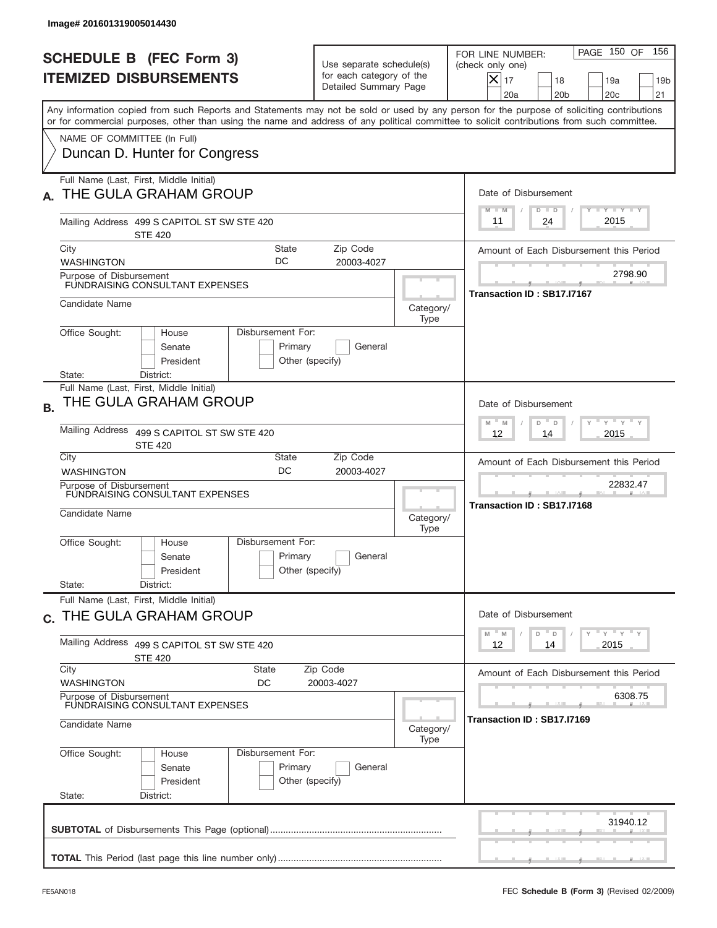| Image# 201601319005014430                                                                                                                                                                                                                                                                                                                               |                                                                               |                   |                                                                                                                                                |
|---------------------------------------------------------------------------------------------------------------------------------------------------------------------------------------------------------------------------------------------------------------------------------------------------------------------------------------------------------|-------------------------------------------------------------------------------|-------------------|------------------------------------------------------------------------------------------------------------------------------------------------|
| <b>SCHEDULE B (FEC Form 3)</b><br><b>ITEMIZED DISBURSEMENTS</b>                                                                                                                                                                                                                                                                                         | Use separate schedule(s)<br>for each category of the<br>Detailed Summary Page |                   | PAGE 150 OF<br>156<br>FOR LINE NUMBER:<br>(check only one)<br>$X _{17}$<br>18<br>19 <sub>b</sub><br>19a<br>20a<br>20 <sub>b</sub><br>20c<br>21 |
| Any information copied from such Reports and Statements may not be sold or used by any person for the purpose of soliciting contributions<br>or for commercial purposes, other than using the name and address of any political committee to solicit contributions from such committee.<br>NAME OF COMMITTEE (In Full)<br>Duncan D. Hunter for Congress |                                                                               |                   |                                                                                                                                                |
| Full Name (Last, First, Middle Initial)<br>THE GULA GRAHAM GROUP<br>Mailing Address 499 S CAPITOL ST SW STE 420                                                                                                                                                                                                                                         |                                                                               |                   | Date of Disbursement<br>Y FY FY FY<br>$D$ $D$<br>$M - M$<br>2015<br>24<br>11                                                                   |
| <b>STE 420</b><br>City<br>State<br>DC<br><b>WASHINGTON</b><br>Purpose of Disbursement<br>FUNDRAISING CONSULTANT EXPENSES<br>Candidate Name                                                                                                                                                                                                              | Zip Code<br>20003-4027                                                        |                   | Amount of Each Disbursement this Period<br>2798.90<br>Transaction ID: SB17.I7167                                                               |
| Disbursement For:<br>Office Sought:<br>House<br>Senate<br>Primary<br>President<br>District:<br>State:                                                                                                                                                                                                                                                   | General<br>Other (specify)                                                    | Category/<br>Type |                                                                                                                                                |
| Full Name (Last, First, Middle Initial)<br>THE GULA GRAHAM GROUP<br><b>B.</b><br><b>Mailing Address</b><br>499 S CAPITOL ST SW STE 420<br><b>STE 420</b>                                                                                                                                                                                                |                                                                               |                   | Date of Disbursement<br>$\cdots$ $\gamma$ $\cdots$ $\gamma$ $\cdots$ $\gamma$<br>$-M$<br>M<br>D<br>D<br>2015<br>12<br>14                       |
| City<br>State<br>DC<br><b>WASHINGTON</b><br>Purpose of Disbursement<br>FUNDRAISING CONSULTANT EXPENSES<br>Candidate Name                                                                                                                                                                                                                                | Zip Code<br>20003-4027                                                        | Category/<br>Type | Amount of Each Disbursement this Period<br>22832.47<br>Transaction ID: SB17.I7168                                                              |
| Disbursement For:<br>Office Sought:<br>House<br>Primary<br>Senate<br>President<br>State:<br>District:                                                                                                                                                                                                                                                   | General<br>Other (specify)                                                    |                   |                                                                                                                                                |
| Full Name (Last, First, Middle Initial)<br>c. THE GULA GRAHAM GROUP<br>Mailing Address<br>499 S CAPITOL ST SW STE 420<br><b>STE 420</b>                                                                                                                                                                                                                 |                                                                               |                   | Date of Disbursement<br>ү "ү "ү "ү<br>$-M$<br>M<br>D<br>D<br>2015<br>12<br>14                                                                  |
| City<br>State<br><b>WASHINGTON</b><br>DC<br>Purpose of Disbursement<br>FUNDRAISING CONSULTANT EXPENSES<br>Candidate Name                                                                                                                                                                                                                                | Zip Code<br>20003-4027                                                        | Category/<br>Type | Amount of Each Disbursement this Period<br>6308.75<br>Transaction ID: SB17.I7169                                                               |
| Office Sought:<br>Disbursement For:<br>House<br>Primary<br>Senate<br>President<br>State:<br>District:                                                                                                                                                                                                                                                   | General<br>Other (specify)                                                    |                   |                                                                                                                                                |
|                                                                                                                                                                                                                                                                                                                                                         |                                                                               |                   | 31940.12                                                                                                                                       |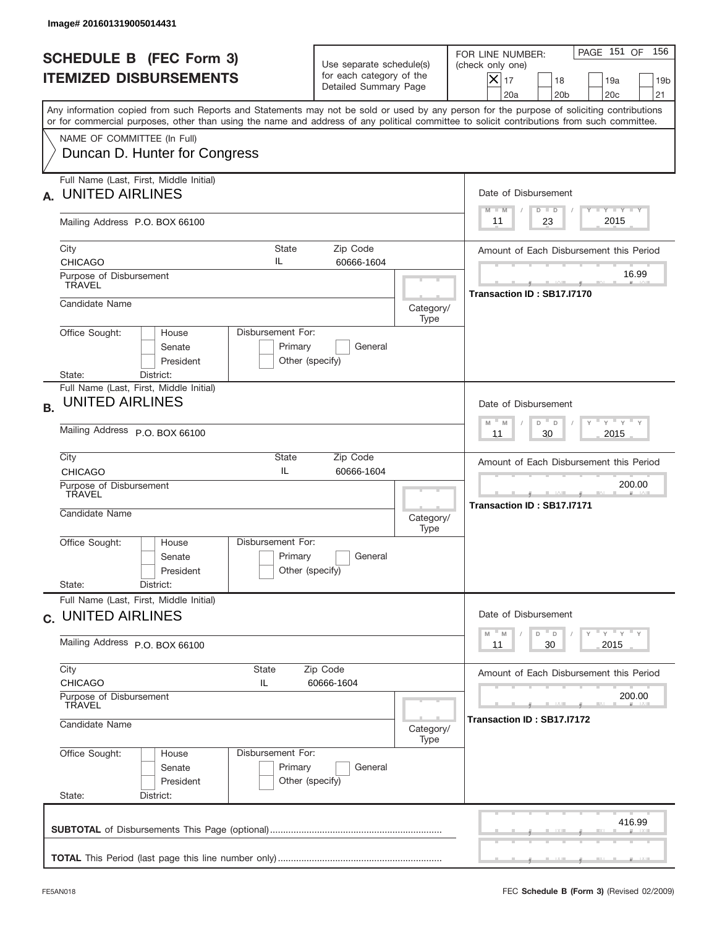|           | Image# 201601319005014431                                                                |                                                 |                                                                               |                   |                                                                                                                                                                                                                                                                                         |
|-----------|------------------------------------------------------------------------------------------|-------------------------------------------------|-------------------------------------------------------------------------------|-------------------|-----------------------------------------------------------------------------------------------------------------------------------------------------------------------------------------------------------------------------------------------------------------------------------------|
|           | <b>SCHEDULE B (FEC Form 3)</b><br><b>ITEMIZED DISBURSEMENTS</b>                          |                                                 | Use separate schedule(s)<br>for each category of the<br>Detailed Summary Page |                   | PAGE 151 OF<br>156<br>FOR LINE NUMBER:<br>(check only one)<br>$ \mathsf{X} _{17}$<br>18<br>19a<br>19 <sub>b</sub><br>20a<br>20 <sub>b</sub><br>20 <sub>c</sub><br>21                                                                                                                    |
|           | NAME OF COMMITTEE (In Full)                                                              |                                                 |                                                                               |                   | Any information copied from such Reports and Statements may not be sold or used by any person for the purpose of soliciting contributions<br>or for commercial purposes, other than using the name and address of any political committee to solicit contributions from such committee. |
|           | Duncan D. Hunter for Congress                                                            |                                                 |                                                                               |                   |                                                                                                                                                                                                                                                                                         |
| А.        | Full Name (Last, First, Middle Initial)<br><b>UNITED AIRLINES</b>                        |                                                 |                                                                               |                   | Date of Disbursement<br>Y FY FY FY<br>$M - M$<br>$D$ $D$                                                                                                                                                                                                                                |
|           | Mailing Address P.O. BOX 66100                                                           | 2015<br>23<br>11                                |                                                                               |                   |                                                                                                                                                                                                                                                                                         |
|           | City<br><b>CHICAGO</b>                                                                   | <b>State</b><br>IL                              | Zip Code<br>60666-1604                                                        |                   | Amount of Each Disbursement this Period                                                                                                                                                                                                                                                 |
|           | Purpose of Disbursement<br><b>TRAVEL</b>                                                 |                                                 |                                                                               |                   | 16.99<br>Transaction ID: SB17.I7170                                                                                                                                                                                                                                                     |
|           | Candidate Name                                                                           |                                                 |                                                                               | Category/<br>Type |                                                                                                                                                                                                                                                                                         |
|           | Office Sought:<br>House<br>Senate<br>President                                           | Disbursement For:<br>Primary<br>Other (specify) | General                                                                       |                   |                                                                                                                                                                                                                                                                                         |
| <b>B.</b> | State:<br>District:<br>Full Name (Last, First, Middle Initial)<br><b>UNITED AIRLINES</b> |                                                 |                                                                               |                   | Date of Disbursement<br>ү " ү " ү " ү<br>$M - M$<br>D<br>D                                                                                                                                                                                                                              |
|           | Mailing Address P.O. BOX 66100<br>Zip Code<br>City<br>State                              |                                                 |                                                                               |                   | 2015<br>11<br>30                                                                                                                                                                                                                                                                        |
|           | <b>CHICAGO</b>                                                                           | IL                                              | 60666-1604                                                                    |                   | Amount of Each Disbursement this Period<br>200.00                                                                                                                                                                                                                                       |
|           | Purpose of Disbursement<br>TRAVEL<br>Candidate Name                                      |                                                 |                                                                               | Category/<br>Type | __<br>Transaction ID: SB17.I7171                                                                                                                                                                                                                                                        |
|           | Office Sought:<br>House<br>Senate<br>President                                           | Disbursement For:<br>Primary<br>Other (specify) | General                                                                       |                   |                                                                                                                                                                                                                                                                                         |
|           | State:<br>District:<br>Full Name (Last, First, Middle Initial)                           |                                                 |                                                                               |                   |                                                                                                                                                                                                                                                                                         |
|           | c. UNITED AIRLINES                                                                       |                                                 |                                                                               |                   | Date of Disbursement<br>$Y$ $Y$ $Y$ $Y$ $Y$<br>$-M$<br>D<br>M<br>D                                                                                                                                                                                                                      |
|           | Mailing Address P.O. BOX 66100                                                           |                                                 |                                                                               |                   | 2015<br>11<br>30                                                                                                                                                                                                                                                                        |
|           | City<br><b>CHICAGO</b>                                                                   | State<br>IL                                     | Zip Code<br>60666-1604                                                        |                   | Amount of Each Disbursement this Period                                                                                                                                                                                                                                                 |
|           | Purpose of Disbursement<br>TRAVEL<br>Candidate Name                                      |                                                 |                                                                               | Category/         | 200.00<br>Transaction ID : SB17.I7172                                                                                                                                                                                                                                                   |
|           | Office Sought:<br>House<br>Senate<br>President<br>State:<br>District:                    | Disbursement For:<br>Primary<br>Other (specify) | General                                                                       | Type              |                                                                                                                                                                                                                                                                                         |
|           |                                                                                          |                                                 |                                                                               |                   | 416.99                                                                                                                                                                                                                                                                                  |
|           |                                                                                          |                                                 |                                                                               |                   |                                                                                                                                                                                                                                                                                         |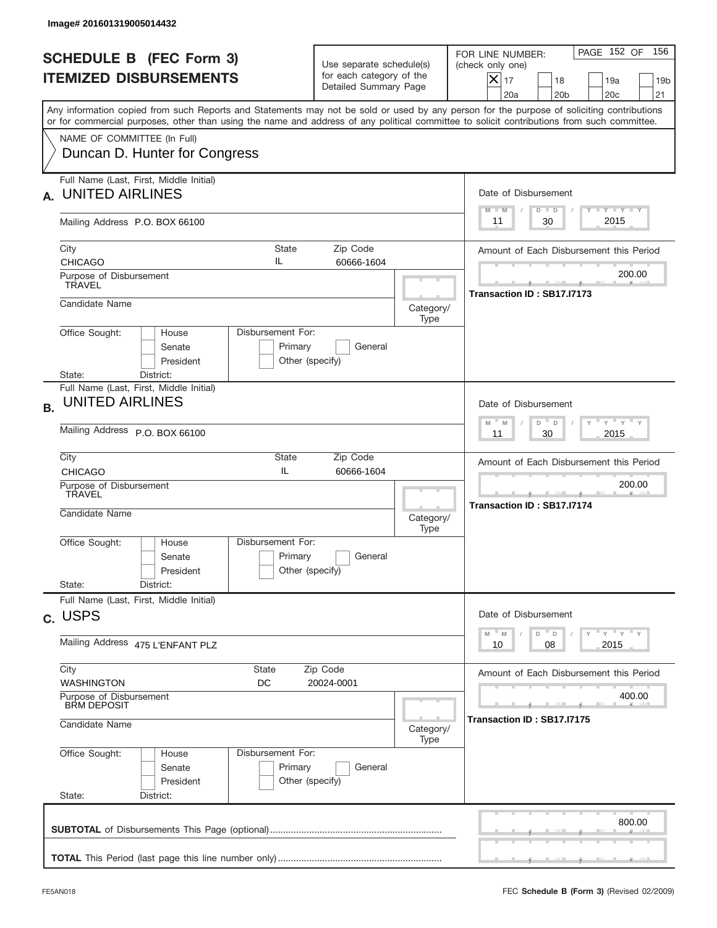|           | Image# 201601319005014432                                                                                                                                                                                                                                                               |                                                                           |                                                                               |                   |                                                                                                                                                            |
|-----------|-----------------------------------------------------------------------------------------------------------------------------------------------------------------------------------------------------------------------------------------------------------------------------------------|---------------------------------------------------------------------------|-------------------------------------------------------------------------------|-------------------|------------------------------------------------------------------------------------------------------------------------------------------------------------|
|           | <b>SCHEDULE B (FEC Form 3)</b><br><b>ITEMIZED DISBURSEMENTS</b>                                                                                                                                                                                                                         |                                                                           | Use separate schedule(s)<br>for each category of the<br>Detailed Summary Page |                   | 156<br>PAGE 152 OF<br>FOR LINE NUMBER:<br>(check only one)<br>$X _{17}$<br>18<br>19a<br>19 <sub>b</sub><br>20a<br>20 <sub>b</sub><br>20 <sub>c</sub><br>21 |
|           | Any information copied from such Reports and Statements may not be sold or used by any person for the purpose of soliciting contributions<br>or for commercial purposes, other than using the name and address of any political committee to solicit contributions from such committee. |                                                                           |                                                                               |                   |                                                                                                                                                            |
|           | NAME OF COMMITTEE (In Full)<br>Duncan D. Hunter for Congress                                                                                                                                                                                                                            |                                                                           |                                                                               |                   |                                                                                                                                                            |
| А.        | Full Name (Last, First, Middle Initial)<br><b>UNITED AIRLINES</b>                                                                                                                                                                                                                       |                                                                           |                                                                               |                   | Date of Disbursement                                                                                                                                       |
|           | Mailing Address P.O. BOX 66100                                                                                                                                                                                                                                                          |                                                                           |                                                                               |                   | $T$ $Y$ $T$ $Y$ $T$ $Y$<br>$M - M$<br>$D$ $D$<br>2015<br>30<br>11                                                                                          |
|           | City<br><b>CHICAGO</b>                                                                                                                                                                                                                                                                  | <b>State</b><br>IL                                                        | Zip Code<br>60666-1604                                                        |                   | Amount of Each Disbursement this Period                                                                                                                    |
|           | Purpose of Disbursement<br><b>TRAVEL</b>                                                                                                                                                                                                                                                |                                                                           |                                                                               |                   | 200.00<br>Transaction ID: SB17.I7173                                                                                                                       |
|           | Candidate Name                                                                                                                                                                                                                                                                          |                                                                           |                                                                               | Category/<br>Type |                                                                                                                                                            |
|           | Disbursement For:<br>Office Sought:<br>House<br>Senate<br>President<br>State:<br>District:                                                                                                                                                                                              | Primary<br>Other (specify)                                                | General                                                                       |                   |                                                                                                                                                            |
| <b>B.</b> | Full Name (Last, First, Middle Initial)<br><b>UNITED AIRLINES</b>                                                                                                                                                                                                                       |                                                                           |                                                                               |                   | Date of Disbursement                                                                                                                                       |
|           | Mailing Address P.O. BOX 66100                                                                                                                                                                                                                                                          | $-\gamma + \gamma - \gamma$<br>$M - M$<br>D<br>$\Box$<br>30<br>2015<br>11 |                                                                               |                   |                                                                                                                                                            |
|           | City<br><b>CHICAGO</b>                                                                                                                                                                                                                                                                  | State<br>IL                                                               | Zip Code<br>60666-1604                                                        |                   | Amount of Each Disbursement this Period                                                                                                                    |
|           | Purpose of Disbursement<br>TRAVEL<br>Candidate Name                                                                                                                                                                                                                                     |                                                                           |                                                                               | Category/<br>Type | 200.00<br>__<br>Transaction ID: SB17.I7174                                                                                                                 |
|           | Disbursement For:<br>Office Sought:<br>House<br>Senate<br>President                                                                                                                                                                                                                     | Primary<br>Other (specify)                                                | General                                                                       |                   |                                                                                                                                                            |
|           | State:<br>District:<br>Full Name (Last, First, Middle Initial)                                                                                                                                                                                                                          |                                                                           |                                                                               |                   |                                                                                                                                                            |
|           | c. USPS                                                                                                                                                                                                                                                                                 |                                                                           |                                                                               |                   | Date of Disbursement<br>$\gamma$ $\gamma$ $\gamma$ $\gamma$ $\gamma$<br>M<br>M<br>D<br>$\mathsf D$                                                         |
|           | Mailing Address 475 L'ENFANT PLZ                                                                                                                                                                                                                                                        |                                                                           |                                                                               |                   | 2015<br>10<br>08                                                                                                                                           |
|           | City<br>State<br><b>WASHINGTON</b><br>DC                                                                                                                                                                                                                                                |                                                                           | Zip Code<br>20024-0001                                                        |                   | Amount of Each Disbursement this Period                                                                                                                    |
|           | Purpose of Disbursement<br><b>BRM DEPOSIT</b><br>Candidate Name                                                                                                                                                                                                                         |                                                                           |                                                                               |                   | 400.00<br>Transaction ID: SB17.I7175                                                                                                                       |
|           | Office Sought:<br>Disbursement For:<br>House                                                                                                                                                                                                                                            |                                                                           |                                                                               | Category/<br>Type |                                                                                                                                                            |
|           | Senate<br>President<br>State:<br>District:                                                                                                                                                                                                                                              | Primary<br>Other (specify)                                                | General                                                                       |                   |                                                                                                                                                            |
|           |                                                                                                                                                                                                                                                                                         |                                                                           |                                                                               |                   | 800.00                                                                                                                                                     |
|           |                                                                                                                                                                                                                                                                                         |                                                                           |                                                                               |                   |                                                                                                                                                            |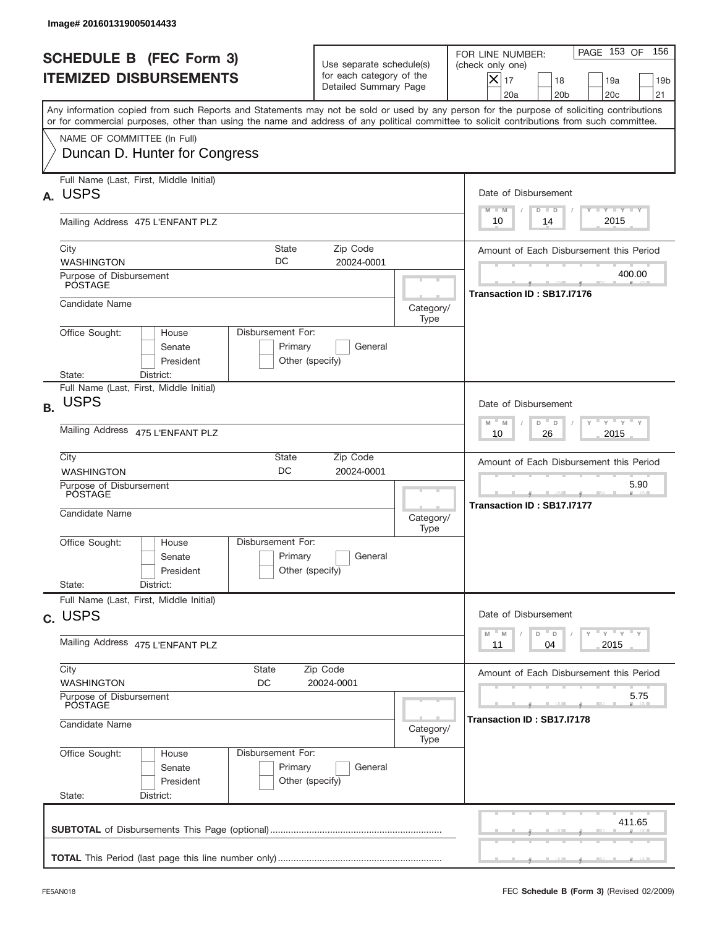|           | Image# 201601319005014433                                                                                                                                                                                                                                                               |                                                                               |                   |                                                                                                                                                            |
|-----------|-----------------------------------------------------------------------------------------------------------------------------------------------------------------------------------------------------------------------------------------------------------------------------------------|-------------------------------------------------------------------------------|-------------------|------------------------------------------------------------------------------------------------------------------------------------------------------------|
|           | <b>SCHEDULE B (FEC Form 3)</b><br><b>ITEMIZED DISBURSEMENTS</b>                                                                                                                                                                                                                         | Use separate schedule(s)<br>for each category of the<br>Detailed Summary Page |                   | 156<br>PAGE 153 OF<br>FOR LINE NUMBER:<br>(check only one)<br>$X _{17}$<br>18<br>19a<br>19 <sub>b</sub><br>20a<br>20 <sub>b</sub><br>20 <sub>c</sub><br>21 |
|           | Any information copied from such Reports and Statements may not be sold or used by any person for the purpose of soliciting contributions<br>or for commercial purposes, other than using the name and address of any political committee to solicit contributions from such committee. |                                                                               |                   |                                                                                                                                                            |
|           | NAME OF COMMITTEE (In Full)<br>Duncan D. Hunter for Congress                                                                                                                                                                                                                            |                                                                               |                   |                                                                                                                                                            |
| А.        | Full Name (Last, First, Middle Initial)<br><b>USPS</b>                                                                                                                                                                                                                                  |                                                                               |                   | Date of Disbursement                                                                                                                                       |
|           | Mailing Address 475 L'ENFANT PLZ                                                                                                                                                                                                                                                        | <b>TANK TANK</b><br>$M - M$<br>$D$ $D$<br>2015<br>10<br>14                    |                   |                                                                                                                                                            |
|           | City<br>DC<br><b>WASHINGTON</b>                                                                                                                                                                                                                                                         | <b>State</b><br>Zip Code<br>20024-0001                                        |                   | Amount of Each Disbursement this Period                                                                                                                    |
|           | Purpose of Disbursement<br>POSTAGE                                                                                                                                                                                                                                                      |                                                                               |                   | 400.00<br>Transaction ID: SB17.I7176                                                                                                                       |
|           | Candidate Name                                                                                                                                                                                                                                                                          |                                                                               | Category/<br>Type |                                                                                                                                                            |
|           | Disbursement For:<br>Office Sought:<br>House<br>Senate<br>President<br>State:<br>District:                                                                                                                                                                                              | Primary<br>General<br>Other (specify)                                         |                   |                                                                                                                                                            |
| <b>B.</b> | Full Name (Last, First, Middle Initial)<br><b>USPS</b>                                                                                                                                                                                                                                  |                                                                               |                   | Date of Disbursement                                                                                                                                       |
|           | Mailing Address 475 L'ENFANT PLZ                                                                                                                                                                                                                                                        | $-\gamma + \gamma - \gamma$<br>$M - M$<br>D<br>D<br>2015<br>10<br>26          |                   |                                                                                                                                                            |
|           | City<br><b>WASHINGTON</b>                                                                                                                                                                                                                                                               | State<br>Zip Code<br>DC<br>20024-0001                                         |                   | Amount of Each Disbursement this Period                                                                                                                    |
|           | Purpose of Disbursement<br>POSTAGE<br>Candidate Name                                                                                                                                                                                                                                    |                                                                               | Category/<br>Type | 5.90<br>__<br>Transaction ID: SB17.I7177                                                                                                                   |
|           | Disbursement For:<br>Office Sought:<br>House<br>Senate<br>President                                                                                                                                                                                                                     | Primary<br>General<br>Other (specify)                                         |                   |                                                                                                                                                            |
|           | State:<br>District:<br>Full Name (Last, First, Middle Initial)                                                                                                                                                                                                                          |                                                                               |                   |                                                                                                                                                            |
|           | c. USPS                                                                                                                                                                                                                                                                                 |                                                                               |                   | Date of Disbursement<br>$\gamma$ $\gamma$ $\gamma$ $\gamma$ $\gamma$<br>M<br>M<br>D                                                                        |
|           | Mailing Address 475 L'ENFANT PLZ                                                                                                                                                                                                                                                        | $\mathsf D$<br>2015<br>11<br>04                                               |                   |                                                                                                                                                            |
|           | City<br>State<br><b>WASHINGTON</b><br>DC                                                                                                                                                                                                                                                | Zip Code<br>20024-0001                                                        |                   | Amount of Each Disbursement this Period                                                                                                                    |
|           | Purpose of Disbursement<br>POSTAGE<br>Candidate Name                                                                                                                                                                                                                                    |                                                                               |                   | 5.75<br>Transaction ID: SB17.I7178                                                                                                                         |
|           | Office Sought:<br>Disbursement For:<br>House                                                                                                                                                                                                                                            | Category/<br>Type                                                             |                   |                                                                                                                                                            |
|           | Senate<br>President<br>State:<br>District:                                                                                                                                                                                                                                              | Primary<br>General<br>Other (specify)                                         |                   |                                                                                                                                                            |
|           |                                                                                                                                                                                                                                                                                         |                                                                               |                   | 411.65                                                                                                                                                     |
|           |                                                                                                                                                                                                                                                                                         |                                                                               |                   |                                                                                                                                                            |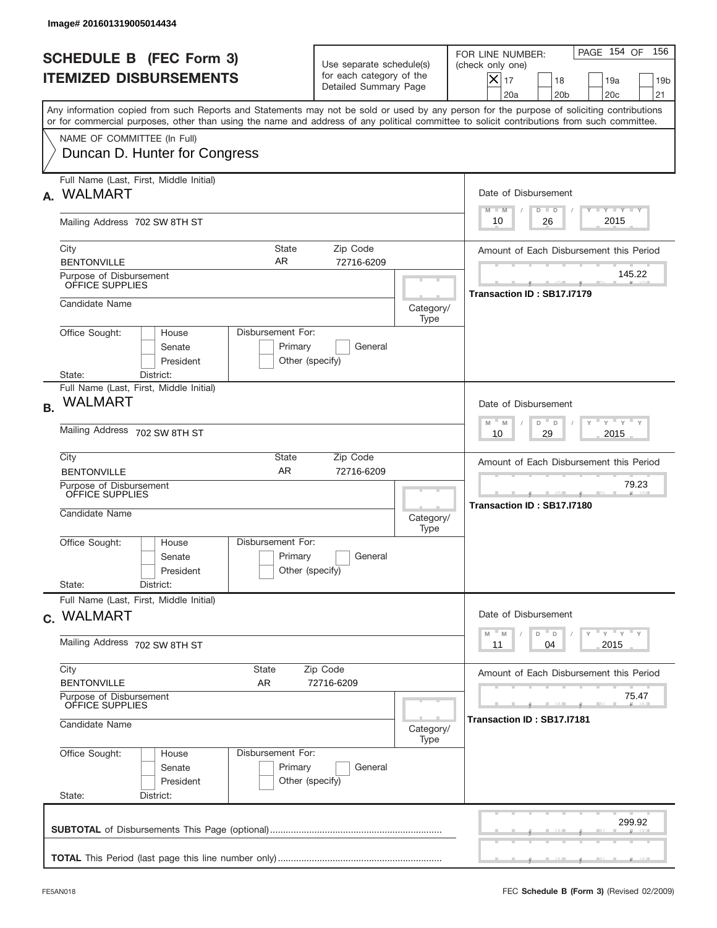|           | Image# 201601319005014434                                             |                                                                                       |                                                                               |                                      |                                                                                                                                                                                                                                                                                         |
|-----------|-----------------------------------------------------------------------|---------------------------------------------------------------------------------------|-------------------------------------------------------------------------------|--------------------------------------|-----------------------------------------------------------------------------------------------------------------------------------------------------------------------------------------------------------------------------------------------------------------------------------------|
|           | <b>SCHEDULE B (FEC Form 3)</b><br><b>ITEMIZED DISBURSEMENTS</b>       |                                                                                       | Use separate schedule(s)<br>for each category of the<br>Detailed Summary Page |                                      | 156<br>PAGE 154 OF<br>FOR LINE NUMBER:<br>(check only one)<br>$X _{17}$<br>18<br>19a<br>19 <sub>b</sub><br>20 <sub>c</sub><br>20a<br>20 <sub>b</sub><br>21                                                                                                                              |
|           |                                                                       |                                                                                       |                                                                               |                                      | Any information copied from such Reports and Statements may not be sold or used by any person for the purpose of soliciting contributions<br>or for commercial purposes, other than using the name and address of any political committee to solicit contributions from such committee. |
|           | NAME OF COMMITTEE (In Full)<br>Duncan D. Hunter for Congress          |                                                                                       |                                                                               |                                      |                                                                                                                                                                                                                                                                                         |
| А.        | Full Name (Last, First, Middle Initial)<br><b>WALMART</b>             |                                                                                       |                                                                               |                                      | Date of Disbursement                                                                                                                                                                                                                                                                    |
|           | Mailing Address 702 SW 8TH ST                                         |                                                                                       |                                                                               |                                      | <b>TANK TANK</b><br>$M - M$<br>$D$ $D$<br>2015<br>10<br>26                                                                                                                                                                                                                              |
|           | City<br><b>BENTONVILLE</b><br>Purpose of Disbursement                 | State<br>AR                                                                           | Zip Code<br>72716-6209                                                        |                                      | Amount of Each Disbursement this Period<br>145.22                                                                                                                                                                                                                                       |
|           | OFFICE SUPPLIES<br>Candidate Name                                     |                                                                                       |                                                                               | Category/                            | Transaction ID: SB17.I7179                                                                                                                                                                                                                                                              |
|           | Office Sought:<br>House<br>Senate<br>President<br>State:<br>District: | Disbursement For:<br>Primary<br>Other (specify)                                       | General                                                                       | Type                                 |                                                                                                                                                                                                                                                                                         |
| <b>B.</b> | Full Name (Last, First, Middle Initial)<br><b>WALMART</b>             |                                                                                       |                                                                               |                                      | Date of Disbursement                                                                                                                                                                                                                                                                    |
|           | Mailing Address 702 SW 8TH ST                                         | $\cdots$ $\gamma$ $\cdots$ $\gamma$ $\cdots$<br>$M - M$<br>D<br>D<br>2015<br>10<br>29 |                                                                               |                                      |                                                                                                                                                                                                                                                                                         |
|           | City<br><b>BENTONVILLE</b>                                            | State<br><b>AR</b>                                                                    | Zip Code<br>72716-6209                                                        |                                      | Amount of Each Disbursement this Period                                                                                                                                                                                                                                                 |
|           | Purpose of Disbursement<br>OFFICE SUPPLIES<br>Candidate Name          |                                                                                       |                                                                               | Category/<br>Type                    | 79.23<br>Transaction ID: SB17.I7180                                                                                                                                                                                                                                                     |
|           | Office Sought:<br>House<br>Senate<br>President<br>State:<br>District: | Disbursement For:<br>Primary<br>Other (specify)                                       | General                                                                       |                                      |                                                                                                                                                                                                                                                                                         |
|           | Full Name (Last, First, Middle Initial)<br>c. WALMART                 |                                                                                       |                                                                               |                                      | Date of Disbursement                                                                                                                                                                                                                                                                    |
|           | Mailing Address 702 SW 8TH ST                                         |                                                                                       |                                                                               |                                      | $\gamma$ $\gamma$ $\gamma$ $\gamma$ $\gamma$<br>M<br>D<br>M<br>$\mathsf D$<br>2015<br>11<br>04                                                                                                                                                                                          |
|           | City<br><b>BENTONVILLE</b>                                            | State<br>AR                                                                           | Zip Code<br>72716-6209                                                        |                                      | Amount of Each Disbursement this Period                                                                                                                                                                                                                                                 |
|           | Purpose of Disbursement<br>OFFICE SUPPLIES<br>Candidate Name          |                                                                                       | Category/                                                                     | 75.47<br>Transaction ID : SB17.I7181 |                                                                                                                                                                                                                                                                                         |
|           | Office Sought:<br>House<br>Senate<br>President<br>State:<br>District: | Disbursement For:<br>Primary<br>Other (specify)                                       | General                                                                       | Type                                 |                                                                                                                                                                                                                                                                                         |
|           |                                                                       |                                                                                       |                                                                               |                                      | 299.92                                                                                                                                                                                                                                                                                  |
|           |                                                                       |                                                                                       |                                                                               |                                      |                                                                                                                                                                                                                                                                                         |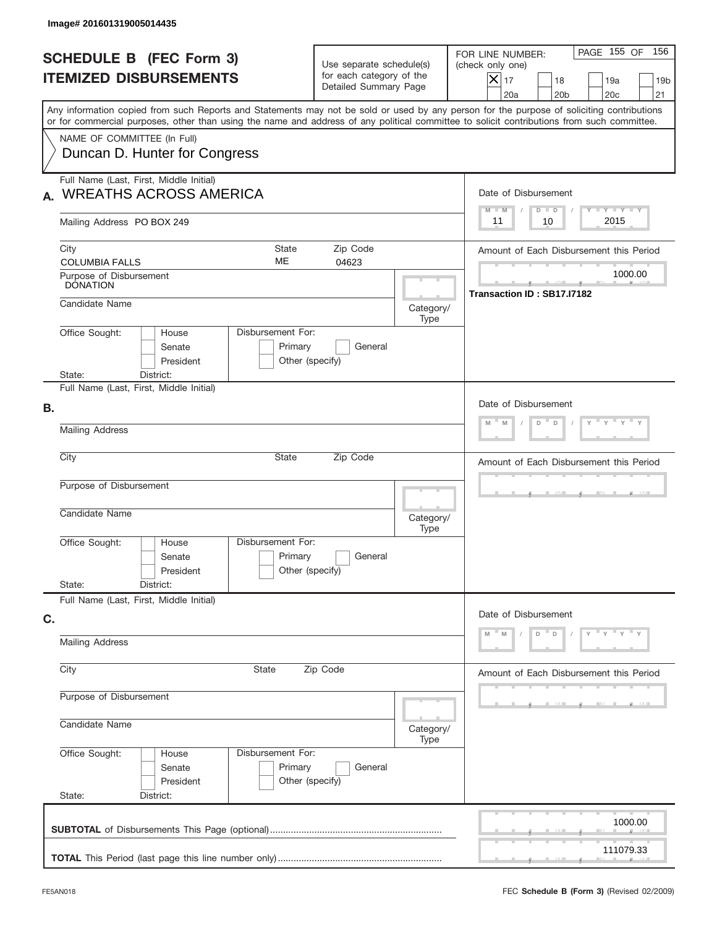| Image# 201601319005014435                                                                                                                                                                                                                                                               |                                                                               |                   |                                                                                                                                                                             |
|-----------------------------------------------------------------------------------------------------------------------------------------------------------------------------------------------------------------------------------------------------------------------------------------|-------------------------------------------------------------------------------|-------------------|-----------------------------------------------------------------------------------------------------------------------------------------------------------------------------|
| <b>SCHEDULE B (FEC Form 3)</b><br><b>ITEMIZED DISBURSEMENTS</b>                                                                                                                                                                                                                         | Use separate schedule(s)<br>for each category of the<br>Detailed Summary Page |                   | PAGE 155 OF<br>156<br>FOR LINE NUMBER:<br>(check only one)<br>$\overline{\mathsf{x}}$ 17<br>18<br>19a<br>19 <sub>b</sub><br>20a<br>20 <sub>b</sub><br>20 <sub>c</sub><br>21 |
| Any information copied from such Reports and Statements may not be sold or used by any person for the purpose of soliciting contributions<br>or for commercial purposes, other than using the name and address of any political committee to solicit contributions from such committee. |                                                                               |                   |                                                                                                                                                                             |
| NAME OF COMMITTEE (In Full)<br>Duncan D. Hunter for Congress                                                                                                                                                                                                                            |                                                                               |                   |                                                                                                                                                                             |
| Full Name (Last, First, Middle Initial)<br><b>WREATHS ACROSS AMERICA</b>                                                                                                                                                                                                                |                                                                               |                   | Date of Disbursement                                                                                                                                                        |
| Mailing Address PO BOX 249                                                                                                                                                                                                                                                              |                                                                               |                   | Y TY TY TY<br>$M - M$<br>$D$ $D$<br>2015<br>11<br>10                                                                                                                        |
| City<br>State<br>ME<br><b>COLUMBIA FALLS</b>                                                                                                                                                                                                                                            | Zip Code<br>04623                                                             |                   | Amount of Each Disbursement this Period                                                                                                                                     |
| Purpose of Disbursement<br><b>DONATION</b>                                                                                                                                                                                                                                              |                                                                               |                   | 1000.00<br>Transaction ID: SB17.I7182                                                                                                                                       |
| Candidate Name                                                                                                                                                                                                                                                                          |                                                                               | Category/<br>Type |                                                                                                                                                                             |
| Disbursement For:<br>Office Sought:<br>House<br>Senate<br>President<br>State:<br>District:                                                                                                                                                                                              | Primary<br>General<br>Other (specify)                                         |                   |                                                                                                                                                                             |
| Full Name (Last, First, Middle Initial)                                                                                                                                                                                                                                                 |                                                                               |                   |                                                                                                                                                                             |
| В.<br><b>Mailing Address</b>                                                                                                                                                                                                                                                            | Date of Disbursement<br>M<br>D<br>D<br>M                                      |                   |                                                                                                                                                                             |
| City<br>State                                                                                                                                                                                                                                                                           |                                                                               |                   |                                                                                                                                                                             |
|                                                                                                                                                                                                                                                                                         | Amount of Each Disbursement this Period                                       |                   |                                                                                                                                                                             |
| Purpose of Disbursement<br>Candidate Name                                                                                                                                                                                                                                               |                                                                               | Category/<br>Type |                                                                                                                                                                             |
| Disbursement For:<br>Office Sought:<br>House<br>Senate<br>President                                                                                                                                                                                                                     | Primary<br>General<br>Other (specify)                                         |                   |                                                                                                                                                                             |
| State:<br>District:<br>Full Name (Last, First, Middle Initial)                                                                                                                                                                                                                          |                                                                               |                   |                                                                                                                                                                             |
| C.                                                                                                                                                                                                                                                                                      | Date of Disbursement                                                          |                   |                                                                                                                                                                             |
| <b>Mailing Address</b>                                                                                                                                                                                                                                                                  | $\mathbf{y} = \mathbf{y}$<br>D<br>D                                           |                   |                                                                                                                                                                             |
| City<br>State                                                                                                                                                                                                                                                                           | Amount of Each Disbursement this Period                                       |                   |                                                                                                                                                                             |
| Purpose of Disbursement                                                                                                                                                                                                                                                                 |                                                                               |                   |                                                                                                                                                                             |
| Candidate Name                                                                                                                                                                                                                                                                          |                                                                               |                   |                                                                                                                                                                             |
| Office Sought:<br>Disbursement For:<br>House<br>Senate<br>President<br>State:<br>District:                                                                                                                                                                                              | Primary<br>General<br>Other (specify)                                         |                   |                                                                                                                                                                             |
|                                                                                                                                                                                                                                                                                         |                                                                               |                   | 1000.00                                                                                                                                                                     |
|                                                                                                                                                                                                                                                                                         |                                                                               |                   | 111079.33                                                                                                                                                                   |
|                                                                                                                                                                                                                                                                                         |                                                                               |                   |                                                                                                                                                                             |